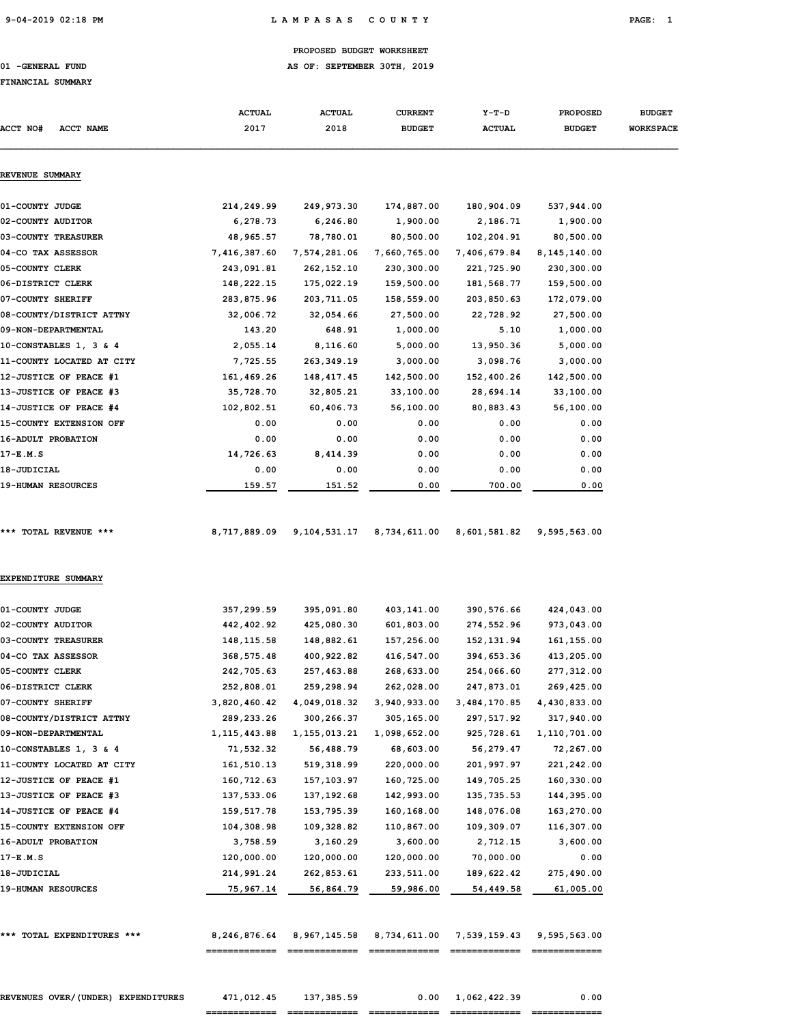# 9-04-2019 02:18 PM L A M P A S A S C O U N T Y PAGE: 1

### PROPOSED BUDGET WORKSHEET

# 01 -GENERAL FUND **AS OF: SEPTEMBER 30TH, 2019**

### FINANCIAL SUMMARY

| <b>ACCT NO#</b><br><b>ACCT NAME</b> | <b>ACTUAL</b><br>2017 | <b>ACTUAL</b><br>2018 | <b>CURRENT</b><br><b>BUDGET</b> | $Y-T-D$<br><b>ACTUAL</b> | <b>PROPOSED</b><br><b>BUDGET</b> | <b>BUDGET</b><br><b>WORKSPACE</b> |
|-------------------------------------|-----------------------|-----------------------|---------------------------------|--------------------------|----------------------------------|-----------------------------------|
| REVENUE SUMMARY                     |                       |                       |                                 |                          |                                  |                                   |
|                                     |                       |                       |                                 |                          |                                  |                                   |
| 01-COUNTY JUDGE                     | 214,249.99            | 249,973.30            | 174,887.00                      | 180,904.09               | 537,944.00                       |                                   |
| 02-COUNTY AUDITOR                   | 6,278.73              | 6,246.80              | 1,900.00                        | 2,186.71                 | 1,900.00                         |                                   |
| 03-COUNTY TREASURER                 | 48,965.57             | 78,780.01             | 80,500.00                       | 102,204.91               | 80,500.00                        |                                   |
| 04-CO TAX ASSESSOR                  | 7,416,387.60          | 7,574,281.06          | 7,660,765.00                    | 7,406,679.84             | 8,145,140.00                     |                                   |
| 05-COUNTY CLERK                     | 243,091.81            | 262,152.10            | 230,300.00                      | 221,725.90               | 230,300.00                       |                                   |
| 06-DISTRICT CLERK                   | 148,222.15            | 175,022.19            | 159,500.00                      | 181,568.77               | 159,500.00                       |                                   |
| 07-COUNTY SHERIFF                   | 283,875.96            | 203,711.05            | 158,559.00                      | 203,850.63               | 172,079.00                       |                                   |
| 08-COUNTY/DISTRICT ATTNY            | 32,006.72             | 32,054.66             | 27,500.00                       | 22,728.92                | 27,500.00                        |                                   |
| 09-NON-DEPARTMENTAL                 | 143.20                | 648.91                | 1,000.00                        | 5.10                     | 1,000.00                         |                                   |
| 10-CONSTABLES 1, 3 & 4              | 2,055.14              | 8,116.60              | 5,000.00                        | 13,950.36                | 5,000.00                         |                                   |
| 11-COUNTY LOCATED AT CITY           | 7,725.55              | 263,349.19            | 3,000.00                        | 3,098.76                 | 3,000.00                         |                                   |
| 12-JUSTICE OF PEACE #1              | 161,469.26            | 148,417.45            | 142,500.00                      | 152,400.26               | 142,500.00                       |                                   |
| 13-JUSTICE OF PEACE #3              | 35,728.70             | 32,805.21             | 33,100.00                       | 28,694.14                | 33,100.00                        |                                   |
| 14-JUSTICE OF PEACE #4              | 102,802.51            | 60,406.73             | 56,100.00                       | 80,883.43                | 56,100.00                        |                                   |
| 15-COUNTY EXTENSION OFF             | 0.00                  | 0.00                  | 0.00                            | 0.00                     | 0.00                             |                                   |
| 16-ADULT PROBATION                  | 0.00                  | 0.00                  | 0.00                            | 0.00                     | 0.00                             |                                   |
| $17-E.M.S$                          | 14,726.63             | 8,414.39              | 0.00                            | 0.00                     | 0.00                             |                                   |
| 18-JUDICIAL                         | 0.00                  | 0.00                  | 0.00                            | 0.00                     | 0.00                             |                                   |
| <b>19-HUMAN RESOURCES</b>           | 159.57                | 151.52                | 0.00                            | 700.00                   | 0.00                             |                                   |
| *** TOTAL REVENUE ***               | 8,717,889.09          | 9,104,531.17          | 8,734,611.00                    | 8,601,581.82             | 9,595,563.00                     |                                   |
| EXPENDITURE SUMMARY                 |                       |                       |                                 |                          |                                  |                                   |
| 01-COUNTY JUDGE                     | 357,299.59            | 395,091.80            | 403,141.00                      | 390,576.66               | 424,043.00                       |                                   |
|                                     | 442,402.92            | 425,080.30            | 601,803.00                      | 274,552.96               |                                  |                                   |
| 02-COUNTY AUDITOR                   |                       |                       |                                 |                          | 973,043.00                       |                                   |
| 03-COUNTY TREASURER                 | 148, 115.58           | 148,882.61            | 157,256.00                      | 152, 131.94              | 161, 155.00                      |                                   |
| 04-CO TAX ASSESSOR                  | 368,575.48            | 400,922.82            | 416,547.00                      | 394,653.36               | 413,205.00                       |                                   |
| 05-COUNTY CLERK                     | 242,705.63            | 257,463.88            | 268,633.00                      | 254,066.60               | 277,312.00                       |                                   |
| 06-DISTRICT CLERK                   | 252,808.01            | 259,298.94            | 262,028.00                      | 247,873.01               | 269,425.00                       |                                   |
| 07-COUNTY SHERIFF                   | 3,820,460.42          | 4,049,018.32          | 3,940,933.00                    | 3,484,170.85             | 4,430,833.00                     |                                   |
| 08-COUNTY/DISTRICT ATTNY            | 289,233.26            | 300,266.37            | 305,165.00                      | 297,517.92               | 317,940.00                       |                                   |
| 09-NON-DEPARTMENTAL                 | 1, 115, 443.88        | 1, 155, 013.21        | 1,098,652.00                    | 925,728.61               | 1,110,701.00                     |                                   |
| 10-CONSTABLES 1, 3 & 4              | 71,532.32             | 56,488.79             | 68,603.00                       | 56,279.47                | 72,267.00                        |                                   |
| 11-COUNTY LOCATED AT CITY           | 161,510.13            | 519,318.99            | 220,000.00                      | 201,997.97               | 221,242.00                       |                                   |
| 12-JUSTICE OF PEACE #1              | 160,712.63            | 157,103.97            | 160,725.00                      | 149,705.25               | 160,330.00                       |                                   |
| 13-JUSTICE OF PEACE #3              | 137,533.06            | 137, 192.68           | 142,993.00                      | 135,735.53               | 144,395.00                       |                                   |
| 14-JUSTICE OF PEACE #4              | 159,517.78            | 153,795.39            | 160,168.00                      | 148,076.08               | 163,270.00                       |                                   |
| 15-COUNTY EXTENSION OFF             | 104,308.98            | 109,328.82            | 110,867.00                      | 109,309.07               | 116,307.00                       |                                   |
| 16-ADULT PROBATION                  | 3,758.59              | 3,160.29              | 3,600.00                        | 2,712.15                 | 3,600.00                         |                                   |
| 17-E.M.S                            | 120,000.00            | 120,000.00            | 120,000.00                      | 70,000.00                | 0.00                             |                                   |
| 18-JUDICIAL                         | 214,991.24            | 262,853.61            | 233,511.00                      | 189,622.42               | 275,490.00                       |                                   |
| <b>19-HUMAN RESOURCES</b>           | 75,967.14             | 56,864.79             | 59,986.00                       | 54,449.58                | 61,005.00                        |                                   |

REVENUES OVER/(UNDER) EXPENDITURES 471,012.45 137,385.59 0.00 1,062,422.39 0.00 ============= ============= ============= ============= =============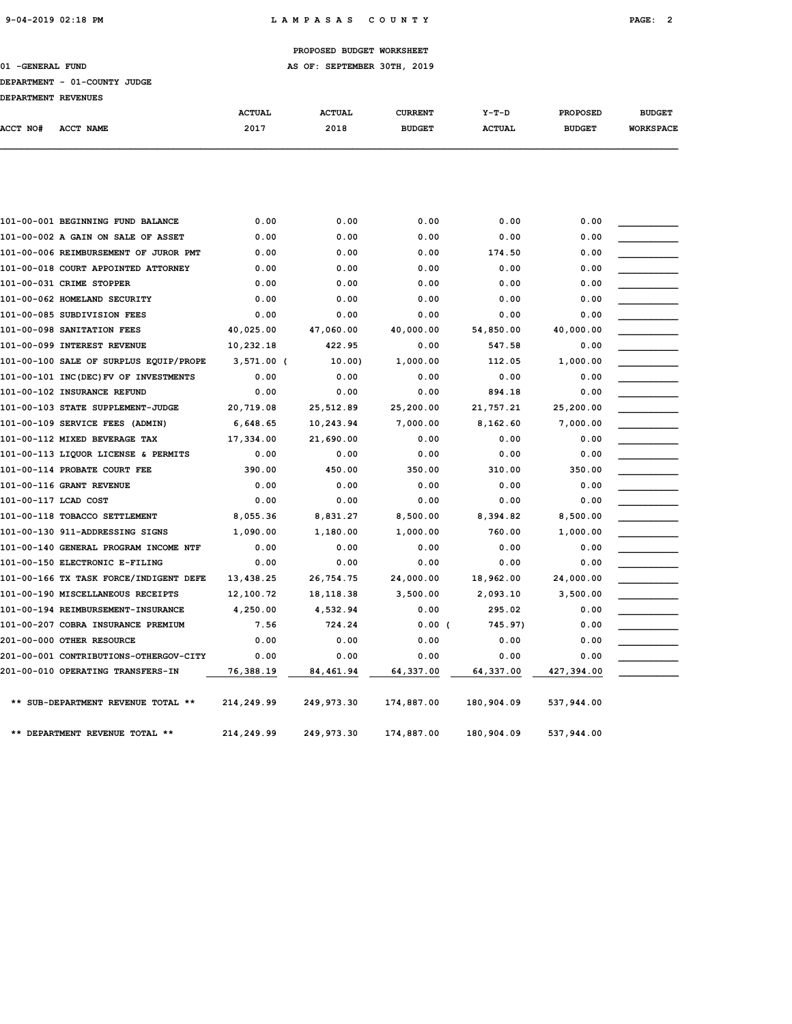# 9-04-2019 02:18 PM L A M P A S A S C O U N T Y PAGE: 2

# PROPOSED BUDGET WORKSHEET

01 -GENERAL FUND **AS OF: SEPTEMBER 30TH, 2019** 

| DEPARTMENT - 01-COUNTY JUDGE |  |  |  |
|------------------------------|--|--|--|
|                              |  |  |  |

| DEPARTMENT - 01-COUNTY JUDGE |  |  |
|------------------------------|--|--|
|                              |  |  |

| <b>DEPARTMENT</b> | 01-COUNTY JUDGE |  |
|-------------------|-----------------|--|
|-------------------|-----------------|--|

| DEPARTMENT - | $01 - COTNTY$ JUL |  |
|--------------|-------------------|--|

| DEPARTMENT - | $01 - \text{COTNTV}$ . TH |  |
|--------------|---------------------------|--|

| <b>DEPARTMENT</b> | $\overline{\phantom{a}}$ | 01-COUNTY JUD |  |
|-------------------|--------------------------|---------------|--|
|                   |                          |               |  |

| <b>DEPARTMENT</b> | 01-COUNTY |  |
|-------------------|-----------|--|
|-------------------|-----------|--|

| DEPARTMENT - 01-COUNTY JUDGE |  |  |
|------------------------------|--|--|
|                              |  |  |

| DEPARTMENT REVENUES | _____<br>_____ |               |               |                |               |                 |                  |
|---------------------|----------------|---------------|---------------|----------------|---------------|-----------------|------------------|
|                     |                | <b>ACTUAL</b> | <b>ACTUAL</b> | <b>CURRENT</b> | $Y-T-D$       | <b>PROPOSED</b> | <b>BUDGET</b>    |
| <b>ACCT NO#</b>     | ACCT NAME      | 2017          | 2018          | <b>BUDGET</b>  | <b>ACTUAL</b> | <b>BUDGET</b>   | <b>WORKSPACE</b> |

| 101-00-001 BEGINNING FUND BALANCE      | 0.00         | 0.00       | 0.00       | 0.00       | 0.00       |  |
|----------------------------------------|--------------|------------|------------|------------|------------|--|
| 101-00-002 A GAIN ON SALE OF ASSET     | 0.00         | 0.00       | 0.00       | 0.00       | 0.00       |  |
| 101-00-006 REIMBURSEMENT OF JUROR PMT  | 0.00         | 0.00       | 0.00       | 174.50     | 0.00       |  |
| 101-00-018 COURT APPOINTED ATTORNEY    | 0.00         | 0.00       | 0.00       | 0.00       | 0.00       |  |
| 101-00-031 CRIME STOPPER               | 0.00         | 0.00       | 0.00       | 0.00       | 0.00       |  |
| 101-00-062 HOMELAND SECURITY           | 0.00         | 0.00       | 0.00       | 0.00       | 0.00       |  |
| 101-00-085 SUBDIVISION FEES            | 0.00         | 0.00       | 0.00       | 0.00       | 0.00       |  |
| 101-00-098 SANITATION FEES             | 40,025.00    | 47,060.00  | 40,000.00  | 54,850.00  | 40,000.00  |  |
| 101-00-099 INTEREST REVENUE            | 10,232.18    | 422.95     | 0.00       | 547.58     | 0.00       |  |
| 101-00-100 SALE OF SURPLUS EQUIP/PROPE | $3,571.00$ ( | 10.00      | 1,000.00   | 112.05     | 1,000.00   |  |
| 101-00-101 INC(DEC) FV OF INVESTMENTS  | 0.00         | 0.00       | 0.00       | 0.00       | 0.00       |  |
| 101-00-102 INSURANCE REFUND            | 0.00         | 0.00       | 0.00       | 894.18     | 0.00       |  |
| 101-00-103 STATE SUPPLEMENT-JUDGE      | 20,719.08    | 25,512.89  | 25,200.00  | 21,757.21  | 25,200.00  |  |
| 101-00-109 SERVICE FEES (ADMIN)        | 6,648.65     | 10,243.94  | 7,000.00   | 8,162.60   | 7,000.00   |  |
| 101-00-112 MIXED BEVERAGE TAX          | 17,334.00    | 21,690.00  | 0.00       | 0.00       | 0.00       |  |
| 101-00-113 LIQUOR LICENSE & PERMITS    | 0.00         | 0.00       | 0.00       | 0.00       | 0.00       |  |
| 101-00-114 PROBATE COURT FEE           | 390.00       | 450.00     | 350.00     | 310.00     | 350.00     |  |
| 101-00-116 GRANT REVENUE               | 0.00         | 0.00       | 0.00       | 0.00       | 0.00       |  |
| 101-00-117 LCAD COST                   | 0.00         | 0.00       | 0.00       | 0.00       | 0.00       |  |
| 101-00-118 TOBACCO SETTLEMENT          | 8,055.36     | 8,831.27   | 8,500.00   | 8,394.82   | 8,500.00   |  |
| 101-00-130 911-ADDRESSING SIGNS        | 1,090.00     | 1,180.00   | 1,000.00   | 760.00     | 1,000.00   |  |
| 101-00-140 GENERAL PROGRAM INCOME NTF  | 0.00         | 0.00       | 0.00       | 0.00       | 0.00       |  |
| 101-00-150 ELECTRONIC E-FILING         | 0.00         | 0.00       | 0.00       | 0.00       | 0.00       |  |
| 101-00-166 TX TASK FORCE/INDIGENT DEFE | 13,438.25    | 26,754.75  | 24,000.00  | 18,962.00  | 24,000.00  |  |
| 101-00-190 MISCELLANEOUS RECEIPTS      | 12,100.72    | 18,118.38  | 3,500.00   | 2,093.10   | 3,500.00   |  |
| 101-00-194 REIMBURSEMENT-INSURANCE     | 4,250.00     | 4,532.94   | 0.00       | 295.02     | 0.00       |  |
| 101-00-207 COBRA INSURANCE PREMIUM     | 7.56         | 724.24     | 0.00(      | 745.97)    | 0.00       |  |
| 201-00-000 OTHER RESOURCE              | 0.00         | 0.00       | 0.00       | 0.00       | 0.00       |  |
| 201-00-001 CONTRIBUTIONS-OTHERGOV-CITY | 0.00         | 0.00       | 0.00       | 0.00       | 0.00       |  |
| 201-00-010 OPERATING TRANSFERS-IN      | 76,388.19    | 84,461.94  | 64,337.00  | 64,337.00  | 427,394.00 |  |
| ** SUB-DEPARTMENT REVENUE TOTAL **     | 214,249.99   | 249,973.30 | 174,887.00 | 180,904.09 | 537,944.00 |  |
| ** DEPARTMENT REVENUE TOTAL **         | 214,249.99   | 249,973.30 | 174,887.00 | 180,904.09 | 537,944.00 |  |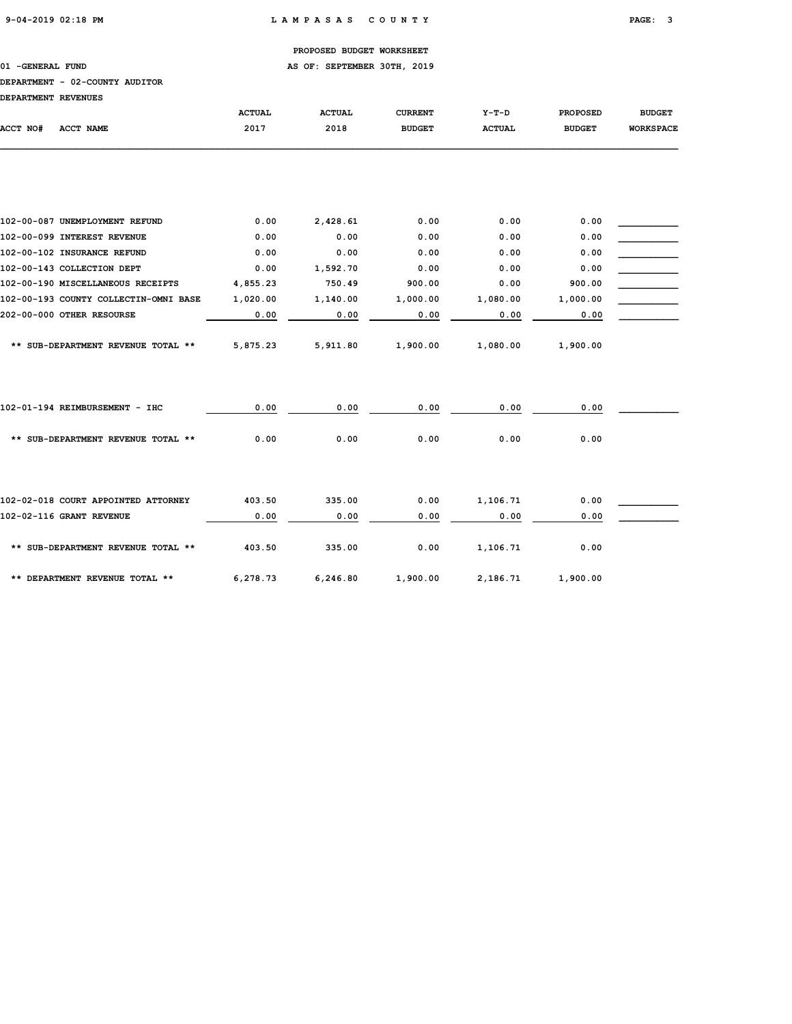01 -GENERAL FUND **AS OF: SEPTEMBER 30TH, 2019** 

### DEPARTMENT - 02-COUNTY AUDITOR

DEPARTMENT REVENUES

| DEFARIMENI REVENUES                   |               |               |                |               |                 |                  |
|---------------------------------------|---------------|---------------|----------------|---------------|-----------------|------------------|
|                                       | <b>ACTUAL</b> | <b>ACTUAL</b> | <b>CURRENT</b> | $Y-T-D$       | <b>PROPOSED</b> | <b>BUDGET</b>    |
| <b>ACCT NO#</b><br><b>ACCT NAME</b>   | 2017          | 2018          | <b>BUDGET</b>  | <b>ACTUAL</b> | <b>BUDGET</b>   | <b>WORKSPACE</b> |
|                                       |               |               |                |               |                 |                  |
|                                       |               |               |                |               |                 |                  |
| 102-00-087 UNEMPLOYMENT REFUND        | 0.00          | 2,428.61      | 0.00           | 0.00          | 0.00            |                  |
| 102-00-099 INTEREST REVENUE           | 0.00          | 0.00          | 0.00           | 0.00          | 0.00            |                  |
| 102-00-102 INSURANCE REFUND           | 0.00          | 0.00          | 0.00           | 0.00          | 0.00            |                  |
| 102-00-143 COLLECTION DEPT            | 0.00          | 1,592.70      | 0.00           | 0.00          | 0.00            |                  |
| 102-00-190 MISCELLANEOUS RECEIPTS     | 4,855.23      | 750.49        | 900.00         | 0.00          | 900.00          |                  |
| 102-00-193 COUNTY COLLECTIN-OMNI BASE | 1,020.00      | 1,140.00      | 1,000.00       | 1,080.00      | 1,000.00        |                  |
| 202-00-000 OTHER RESOURSE             | 0.00          | 0.00          | 0.00           | 0.00          | 0.00            |                  |
| ** SUB-DEPARTMENT REVENUE TOTAL **    | 5,875.23      | 5,911.80      | 1,900.00       | 1,080.00      | 1,900.00        |                  |
| 102-01-194 REIMBURSEMENT - IHC        | 0.00          | 0.00          | 0.00           | 0.00          | 0.00            |                  |
| ** SUB-DEPARTMENT REVENUE TOTAL **    | 0.00          | 0.00          | 0.00           | 0.00          | 0.00            |                  |
| 102-02-018 COURT APPOINTED ATTORNEY   | 403.50        | 335.00        | 0.00           | 1,106.71      | 0.00            |                  |
| 102-02-116 GRANT REVENUE              | 0.00          | 0.00          | 0.00           | 0.00          | 0.00            |                  |
|                                       |               |               |                |               |                 |                  |
| ** SUB-DEPARTMENT REVENUE TOTAL **    | 403.50        | 335.00        | 0.00           | 1,106.71      | 0.00            |                  |
| ** DEPARTMENT REVENUE TOTAL **        | 6,278.73      | 6,246.80      | 1,900.00       | 2,186.71      | 1,900.00        |                  |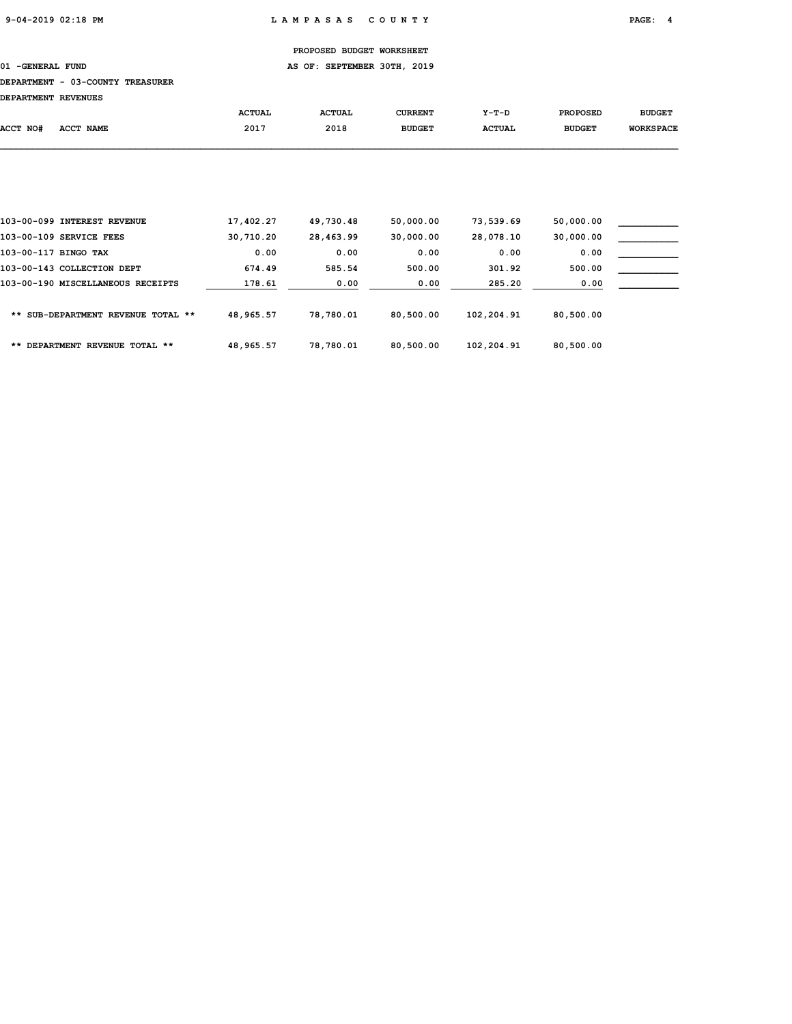# 01 -GENERAL FUND **AS OF: SEPTEMBER 30TH, 2019**

### DEPARTMENT - 03-COUNTY TREASURER

| <b>DEPARTMENT REVENUES</b> |           |               |               |                |               |                 |                  |
|----------------------------|-----------|---------------|---------------|----------------|---------------|-----------------|------------------|
|                            |           | <b>ACTUAL</b> | <b>ACTUAL</b> | <b>CURRENT</b> | Y-T-D         | <b>PROPOSED</b> | <b>BUDGET</b>    |
| ACCT NO#                   | ACCT NAME | 2017          | 2018          | <b>BUDGET</b>  | <b>ACTUAL</b> | <b>BUDGET</b>   | <b>WORKSPACE</b> |
|                            |           |               |               |                |               |                 |                  |
|                            |           |               |               |                |               |                 |                  |
|                            |           |               |               |                |               |                 |                  |
|                            |           |               |               |                |               |                 |                  |
|                            |           |               |               |                |               |                 |                  |

|                         | 103-00-099 INTEREST REVENUE        | 17,402.27 | 49,730.48 | 50,000.00 | 73,539.69  | 50,000.00 |
|-------------------------|------------------------------------|-----------|-----------|-----------|------------|-----------|
| 103-00-109 SERVICE FEES |                                    | 30,710.20 | 28,463.99 | 30,000.00 | 28,078.10  | 30,000.00 |
| 103-00-117 BINGO TAX    |                                    | 0.00      | 0.00      | 0.00      | 0.00       | 0.00      |
|                         | 103-00-143 COLLECTION DEPT         | 674.49    | 585.54    | 500.00    | 301.92     | 500.00    |
|                         | 103-00-190 MISCELLANEOUS RECEIPTS  | 178.61    | 0.00      | 0.00      | 285.20     | 0.00      |
|                         | ** SUB-DEPARTMENT REVENUE TOTAL ** | 48,965.57 | 78,780.01 | 80,500.00 | 102,204.91 | 80,500.00 |
|                         | ** DEPARTMENT REVENUE TOTAL **     | 48,965.57 | 78,780.01 | 80,500.00 | 102,204.91 | 80,500.00 |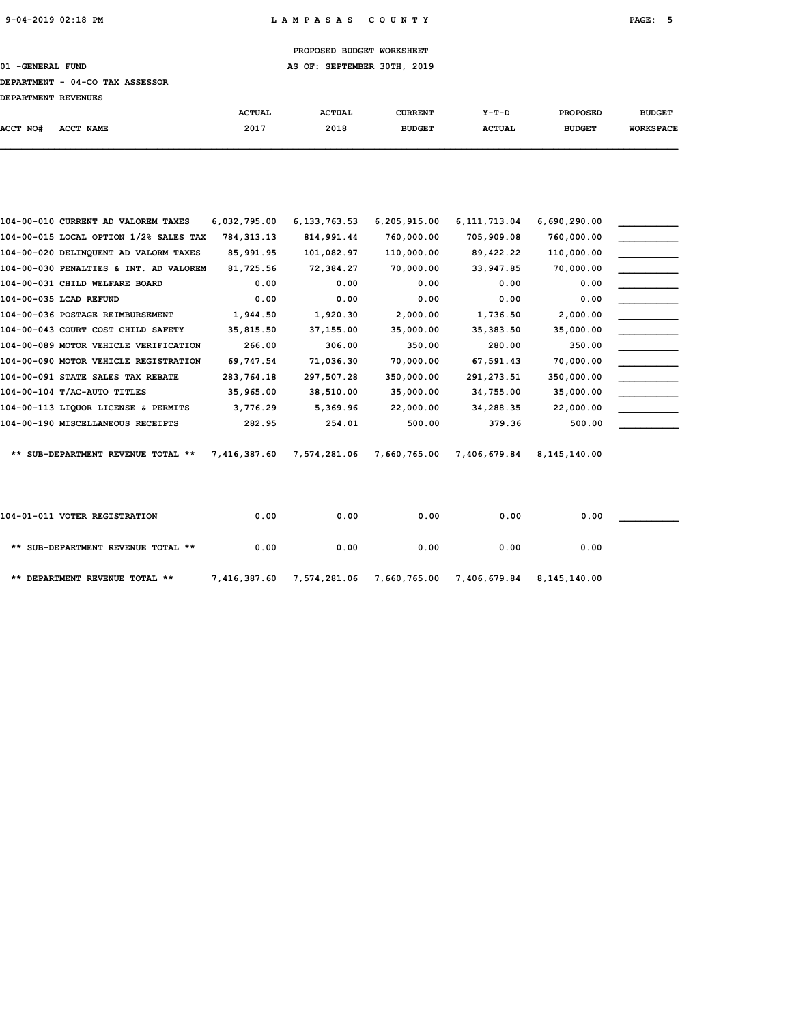01 -GENERAL FUND **AS OF: SEPTEMBER 30TH, 2019** 

### DEPARTMENT - 04-CO TAX ASSESSOR

| <b>DEPARTMENT REVENUES</b> |  |
|----------------------------|--|
|----------------------------|--|

|          |           | <b>ACTUAL</b> | <b>ACTUAL</b> | <b>CURRENT</b> | $Y-T-D$       | <b>PROPOSED</b> | <b>BUDGET</b>    |
|----------|-----------|---------------|---------------|----------------|---------------|-----------------|------------------|
| ACCT NO# | ACCT NAME | 2017          | 2018          | <b>BUDGET</b>  | <b>ACTUAL</b> | <b>BUDGET</b>   | <b>WORKSPACE</b> |
|          |           |               |               |                |               |                 |                  |

| 104-00-010 CURRENT AD VALOREM TAXES    | 6,032,795.00 | 6, 133, 763.53 | 6, 205, 915.00 | 6, 111, 713.04 | 6,690,290.00 |  |
|----------------------------------------|--------------|----------------|----------------|----------------|--------------|--|
| 104-00-015 LOCAL OPTION 1/2% SALES TAX | 784, 313.13  | 814,991.44     | 760,000.00     | 705,909.08     | 760,000.00   |  |
| 104-00-020 DELINQUENT AD VALORM TAXES  | 85,991.95    | 101,082.97     | 110,000.00     | 89,422.22      | 110,000.00   |  |
| 104-00-030 PENALTIES & INT. AD VALOREM | 81,725.56    | 72,384.27      | 70,000.00      | 33,947.85      | 70,000.00    |  |
| 104-00-031 CHILD WELFARE BOARD         | 0.00         | 0.00           | 0.00           | 0.00           | 0.00         |  |
| 104-00-035 LCAD REFUND                 | 0.00         | 0.00           | 0.00           | 0.00           | 0.00         |  |
| 104-00-036 POSTAGE REIMBURSEMENT       | 1,944.50     | 1,920.30       | 2,000.00       | 1,736.50       | 2,000.00     |  |
| 104-00-043 COURT COST CHILD SAFETY     | 35,815.50    | 37,155.00      | 35,000.00      | 35, 383.50     | 35,000.00    |  |
| 104-00-089 MOTOR VEHICLE VERIFICATION  | 266.00       | 306.00         | 350.00         | 280.00         | 350.00       |  |
| 104-00-090 MOTOR VEHICLE REGISTRATION  | 69,747.54    | 71,036.30      | 70,000.00      | 67,591.43      | 70,000.00    |  |
| 104-00-091 STATE SALES TAX REBATE      | 283,764.18   | 297,507.28     | 350,000.00     | 291, 273.51    | 350,000.00   |  |
| 104-00-104 T/AC-AUTO TITLES            | 35,965.00    | 38,510.00      | 35,000.00      | 34,755.00      | 35,000.00    |  |
| 104-00-113 LIQUOR LICENSE & PERMITS    | 3,776.29     | 5,369.96       | 22,000.00      | 34,288.35      | 22,000.00    |  |
| 104-00-190 MISCELLANEOUS RECEIPTS      | 282.95       | 254.01         | 500.00         | 379.36         | 500.00       |  |
| ** SUB-DEPARTMENT REVENUE TOTAL **     | 7,416,387.60 | 7,574,281.06   | 7,660,765.00   | 7,406,679.84   | 8,145,140.00 |  |
| 104-01-011 VOTER REGISTRATION          | 0.00         | 0.00           | 0.00           | 0.00           | 0.00         |  |
| ** SUB-DEPARTMENT REVENUE TOTAL **     | 0.00         | 0.00           | 0.00           | 0.00           | 0.00         |  |

\*\* DEPARTMENT REVENUE TOTAL \*\* 7,416,387.60 7,574,281.06 7,660,765.00 7,406,679.84 8,145,140.00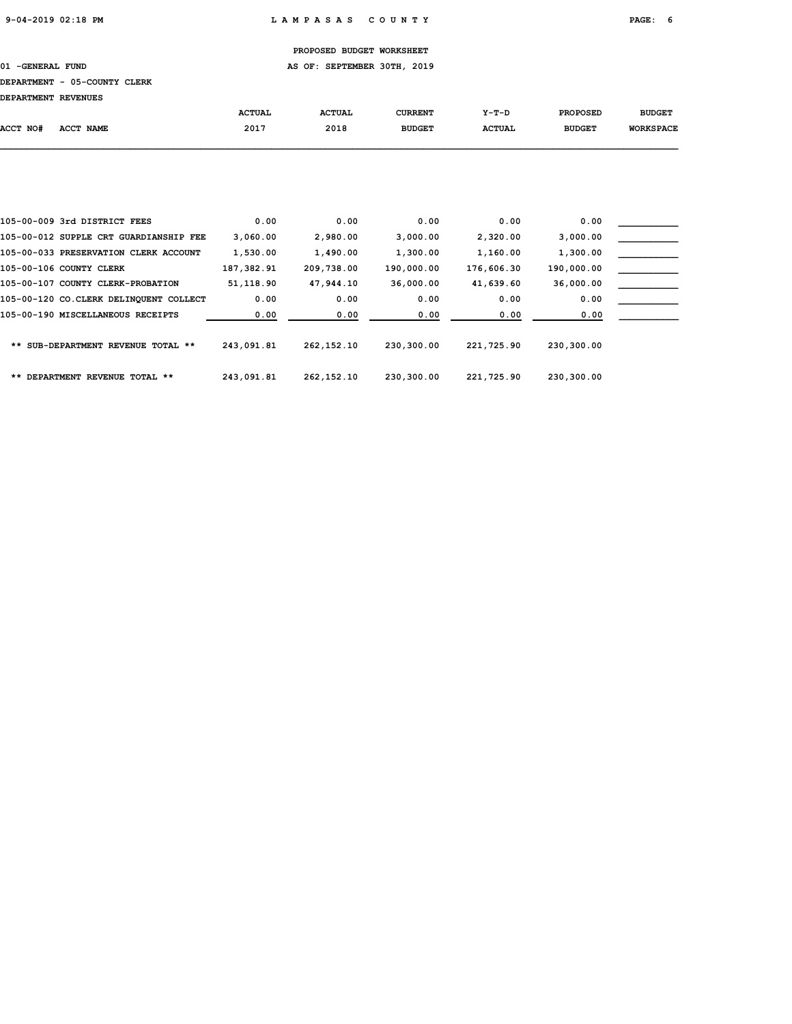01 -GENERAL FUND **AS OF: SEPTEMBER 30TH, 2019** 

# DEPARTMENT - 05-COUNTY CLERK

| DEPARTMENT REVENUES |           |               |               |                |               |                 |                  |
|---------------------|-----------|---------------|---------------|----------------|---------------|-----------------|------------------|
|                     |           | <b>ACTUAL</b> | <b>ACTUAL</b> | <b>CURRENT</b> | $Y-T-D$       | <b>PROPOSED</b> | <b>BUDGET</b>    |
| ACCT NO#            | ACCT NAME | 2017          | 2018          | <b>BUDGET</b>  | <b>ACTUAL</b> | <b>BUDGET</b>   | <b>WORKSPACE</b> |
|                     |           |               |               |                |               |                 |                  |

| 105-00-009 3rd DISTRICT FEES           | 0.00       | 0.00         | 0.00       | 0.00       | 0.00       |  |
|----------------------------------------|------------|--------------|------------|------------|------------|--|
| 105-00-012 SUPPLE CRT GUARDIANSHIP FEE | 3,060.00   | 2,980.00     | 3,000.00   | 2,320.00   | 3,000.00   |  |
| 105-00-033 PRESERVATION CLERK ACCOUNT  | 1,530.00   | 1,490.00     | 1,300.00   | 1,160.00   | 1,300.00   |  |
| 105-00-106 COUNTY CLERK                | 187,382.91 | 209,738.00   | 190,000.00 | 176,606.30 | 190,000.00 |  |
| 105-00-107 COUNTY CLERK-PROBATION      | 51,118.90  | 47,944.10    | 36,000.00  | 41,639.60  | 36,000.00  |  |
| 105-00-120 CO.CLERK DELINOUENT COLLECT | 0.00       | 0.00         | 0.00       | 0.00       | 0.00       |  |
| 105-00-190 MISCELLANEOUS RECEIPTS      | 0.00       | 0.00         | 0.00       | 0.00       | 0.00       |  |
| ** SUB-DEPARTMENT REVENUE TOTAL **     | 243,091.81 | 262, 152, 10 | 230,300.00 | 221,725.90 | 230,300.00 |  |
| ** DEPARTMENT REVENUE TOTAL **         | 243,091.81 | 262, 152, 10 | 230,300.00 | 221,725.90 | 230,300.00 |  |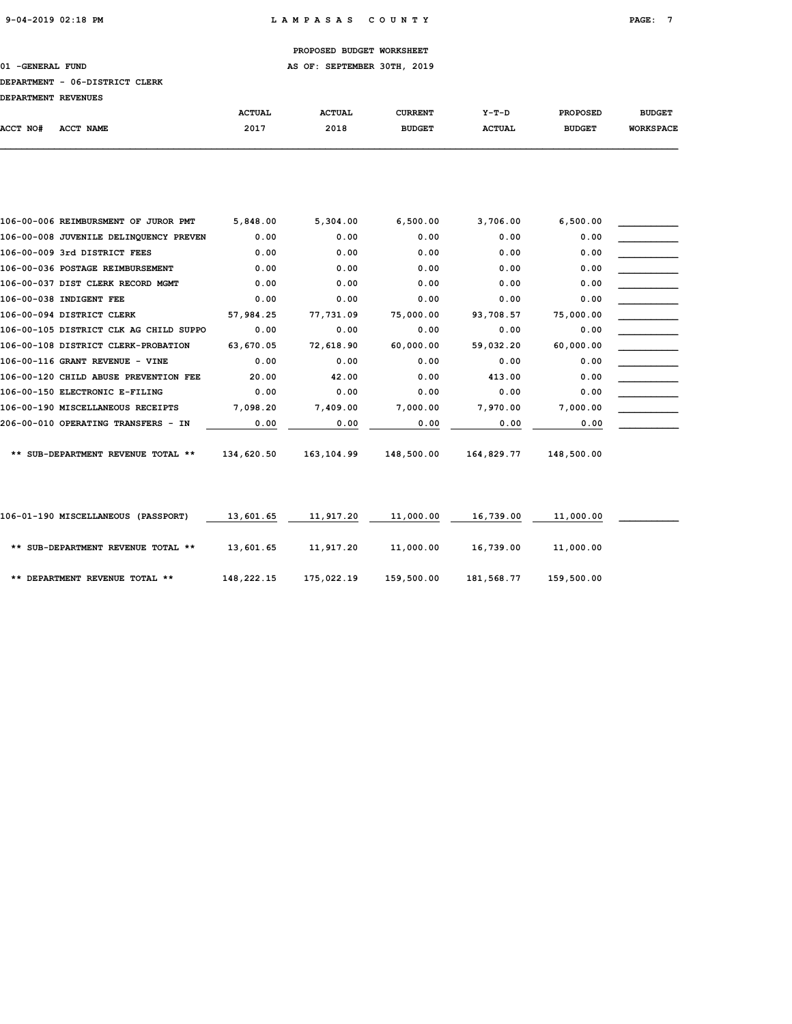01 -GENERAL FUND **AS OF: SEPTEMBER 30TH, 2019** 

### DEPARTMENT - 06-DISTRICT CLERK

DEPARTMENT REVENUES

| DEPARTMENT REVENUES |                  |               |               |               |               |                 |                  |
|---------------------|------------------|---------------|---------------|---------------|---------------|-----------------|------------------|
|                     |                  | <b>ACTUAL</b> | <b>ACTUAL</b> | CURRENT       | $Y-T-D$       | <b>PROPOSED</b> | <b>BUDGET</b>    |
| ACCT NO#            | <b>ACCT NAME</b> | 2017          | 2018          | <b>BUDGET</b> | <b>ACTUAL</b> | <b>BUDGET</b>   | <b>WORKSPACE</b> |
|                     |                  |               |               |               |               |                 |                  |

| 106-00-006 REIMBURSMENT OF JUROR PMT   | 5,848.00   | 5,304.00   | 6,500.00   | 3,706.00   | 6,500.00   |  |
|----------------------------------------|------------|------------|------------|------------|------------|--|
| 106-00-008 JUVENILE DELINQUENCY PREVEN | 0.00       | 0.00       | 0.00       | 0.00       | 0.00       |  |
| 106-00-009 3rd DISTRICT FEES           | 0.00       | 0.00       | 0.00       | 0.00       | 0.00       |  |
| 106-00-036 POSTAGE REIMBURSEMENT       | 0.00       | 0.00       | 0.00       | 0.00       | 0.00       |  |
| 106-00-037 DIST CLERK RECORD MGMT      | 0.00       | 0.00       | 0.00       | 0.00       | 0.00       |  |
| 106-00-038 INDIGENT FEE                | 0.00       | 0.00       | 0.00       | 0.00       | 0.00       |  |
| 106-00-094 DISTRICT CLERK              | 57,984.25  | 77,731.09  | 75,000.00  | 93,708.57  | 75,000.00  |  |
| 106-00-105 DISTRICT CLK AG CHILD SUPPO | 0.00       | 0.00       | 0.00       | 0.00       | 0.00       |  |
| 106-00-108 DISTRICT CLERK-PROBATION    | 63,670.05  | 72,618.90  | 60,000.00  | 59,032.20  | 60,000.00  |  |
| 106-00-116 GRANT REVENUE - VINE        | 0.00       | 0.00       | 0.00       | 0.00       | 0.00       |  |
| 106-00-120 CHILD ABUSE PREVENTION FEE  | 20.00      | 42.00      | 0.00       | 413.00     | 0.00       |  |
| 106-00-150 ELECTRONIC E-FILING         | 0.00       | 0.00       | 0.00       | 0.00       | 0.00       |  |
| 106-00-190 MISCELLANEOUS RECEIPTS      | 7,098.20   | 7,409.00   | 7,000.00   | 7,970.00   | 7,000.00   |  |
| 206-00-010 OPERATING TRANSFERS - IN    | 0.00       | 0.00       | 0.00       | 0.00       | 0.00       |  |
| ** SUB-DEPARTMENT REVENUE TOTAL **     | 134,620.50 | 163,104.99 | 148,500.00 | 164,829.77 | 148,500.00 |  |
|                                        |            |            |            |            |            |  |
| 106-01-190 MISCELLANEOUS (PASSPORT)    | 13,601.65  | 11,917.20  | 11,000.00  | 16,739.00  | 11,000.00  |  |
| ** SUB-DEPARTMENT REVENUE TOTAL **     | 13,601.65  | 11,917.20  | 11,000.00  | 16,739.00  | 11,000.00  |  |
| ** DEPARTMENT REVENUE TOTAL **         | 148,222.15 | 175,022.19 | 159,500.00 | 181,568.77 | 159,500.00 |  |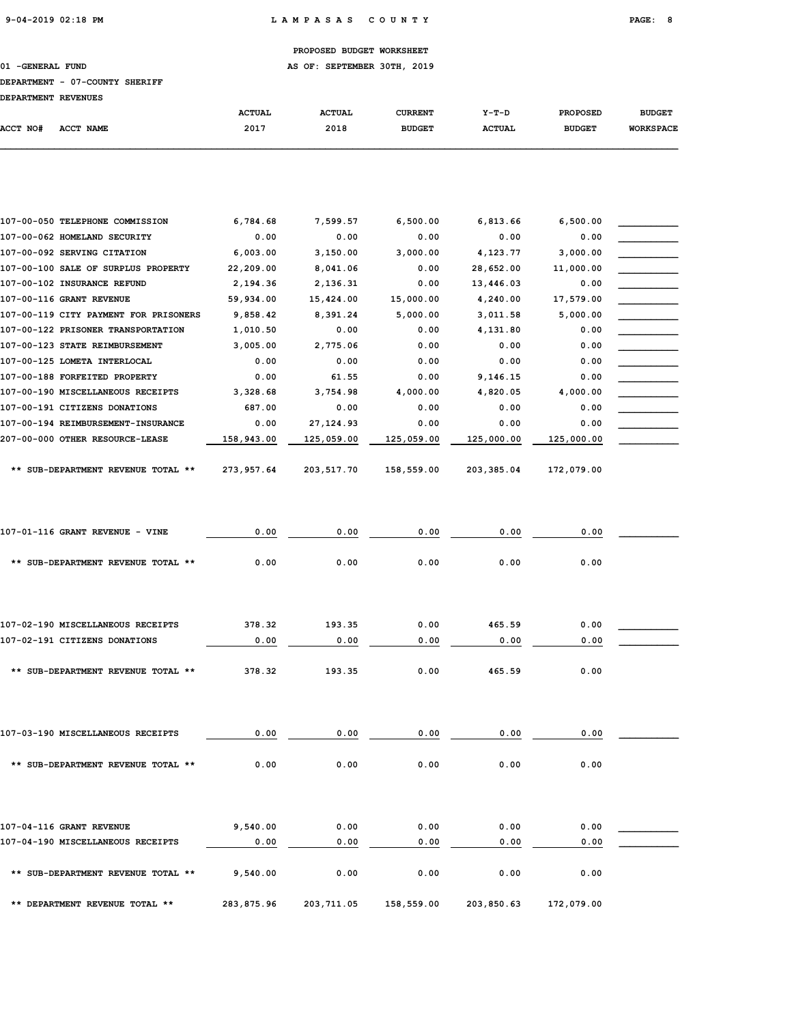01 -GENERAL FUND **AS OF: SEPTEMBER 30TH, 2019** 

### DEPARTMENT - 07-COUNTY SHERIFF

| <b>DEPARTMENT REVENUES</b> |           |               |               |                |               |                 |                  |
|----------------------------|-----------|---------------|---------------|----------------|---------------|-----------------|------------------|
|                            |           | <b>ACTUAL</b> | <b>ACTUAL</b> | <b>CURRENT</b> | $Y-T-D$       | <b>PROPOSED</b> | <b>BUDGET</b>    |
| ACCT NO#                   | ACCT NAME | 2017          | 2018          | <b>BUDGET</b>  | <b>ACTUAL</b> | <b>BUDGET</b>   | <b>WORKSPACE</b> |
|                            |           |               |               |                |               |                 |                  |

| 107-00-050 TELEPHONE COMMISSION       | 6,784.68   | 7,599.57   | 6,500.00   | 6,813.66   | 6,500.00   |  |
|---------------------------------------|------------|------------|------------|------------|------------|--|
| 107-00-062 HOMELAND SECURITY          | 0.00       | 0.00       | 0.00       | 0.00       | 0.00       |  |
| 107-00-092 SERVING CITATION           | 6,003.00   | 3,150.00   | 3,000.00   | 4,123.77   | 3,000.00   |  |
| 107-00-100 SALE OF SURPLUS PROPERTY   | 22,209.00  | 8,041.06   | 0.00       | 28,652.00  | 11,000.00  |  |
| 107-00-102 INSURANCE REFUND           | 2,194.36   | 2,136.31   | 0.00       | 13,446.03  | 0.00       |  |
| 107-00-116 GRANT REVENUE              | 59,934.00  | 15,424.00  | 15,000.00  | 4,240.00   | 17,579.00  |  |
| 107-00-119 CITY PAYMENT FOR PRISONERS | 9,858.42   | 8,391.24   | 5,000.00   | 3,011.58   | 5,000.00   |  |
| 107-00-122 PRISONER TRANSPORTATION    | 1,010.50   | 0.00       | 0.00       | 4,131.80   | 0.00       |  |
| 107-00-123 STATE REIMBURSEMENT        | 3,005.00   | 2,775.06   | 0.00       | 0.00       | 0.00       |  |
| 107-00-125 LOMETA INTERLOCAL          | 0.00       | 0.00       | 0.00       | 0.00       | 0.00       |  |
| 107-00-188 FORFEITED PROPERTY         | 0.00       | 61.55      | 0.00       | 9,146.15   | 0.00       |  |
| 107-00-190 MISCELLANEOUS RECEIPTS     | 3,328.68   | 3,754.98   | 4,000.00   | 4,820.05   | 4,000.00   |  |
| 107-00-191 CITIZENS DONATIONS         | 687.00     | 0.00       | 0.00       | 0.00       | 0.00       |  |
| 107-00-194 REIMBURSEMENT-INSURANCE    | 0.00       | 27, 124.93 | 0.00       | 0.00       | 0.00       |  |
| 207-00-000 OTHER RESOURCE-LEASE       | 158,943.00 | 125,059.00 | 125,059.00 | 125,000.00 | 125,000.00 |  |
|                                       |            |            |            |            |            |  |
| ** SUB-DEPARTMENT REVENUE TOTAL **    | 273,957.64 | 203,517.70 | 158,559.00 | 203,385.04 | 172,079.00 |  |

| 107-01-116 GRANT REVENUE - VINE    | 0.00   | 0.00   | 0.00 | 0.00   | 0.00 |  |
|------------------------------------|--------|--------|------|--------|------|--|
| ** SUB-DEPARTMENT REVENUE TOTAL ** | 0.00   | 0.00   | 0.00 | 0.00   | 0.00 |  |
| 107-02-190 MISCELLANEOUS RECEIPTS  | 378.32 | 193.35 | 0.00 | 465.59 | 0.00 |  |
| 107-02-191 CITIZENS DONATIONS      | 0.00   | 0.00   | 0.00 | 0.00   | 0.00 |  |
| ** SUB-DEPARTMENT REVENUE TOTAL ** | 378.32 | 193.35 | 0.00 | 465.59 | 0.00 |  |

| 107-03-190 MISCELLANEOUS RECEIPTS  | 0.00 | 0.00 | 0.00 | 0.00 | 0.00 |  |
|------------------------------------|------|------|------|------|------|--|
| ** SUB-DEPARTMENT REVENUE TOTAL ** | 0.00 | 0.00 | 0.00 | 0.00 | 0.00 |  |
|                                    |      |      |      |      |      |  |
|                                    | .    |      |      |      | .    |  |

| 107-04-116 GRANT REVENUE           | 9,540.00   | 0.00       | 0.00       | 0.00       | 0.00       |  |
|------------------------------------|------------|------------|------------|------------|------------|--|
| 107-04-190 MISCELLANEOUS RECEIPTS  | 0.00       | 0.00       | 0.00       | 0.00       | 0.00       |  |
| ** SUB-DEPARTMENT REVENUE TOTAL ** | 9,540.00   | 0.00       | 0.00       | 0.00       | 0.00       |  |
| ** DEPARTMENT REVENUE TOTAL **     | 283,875.96 | 203,711.05 | 158,559.00 | 203,850.63 | 172,079.00 |  |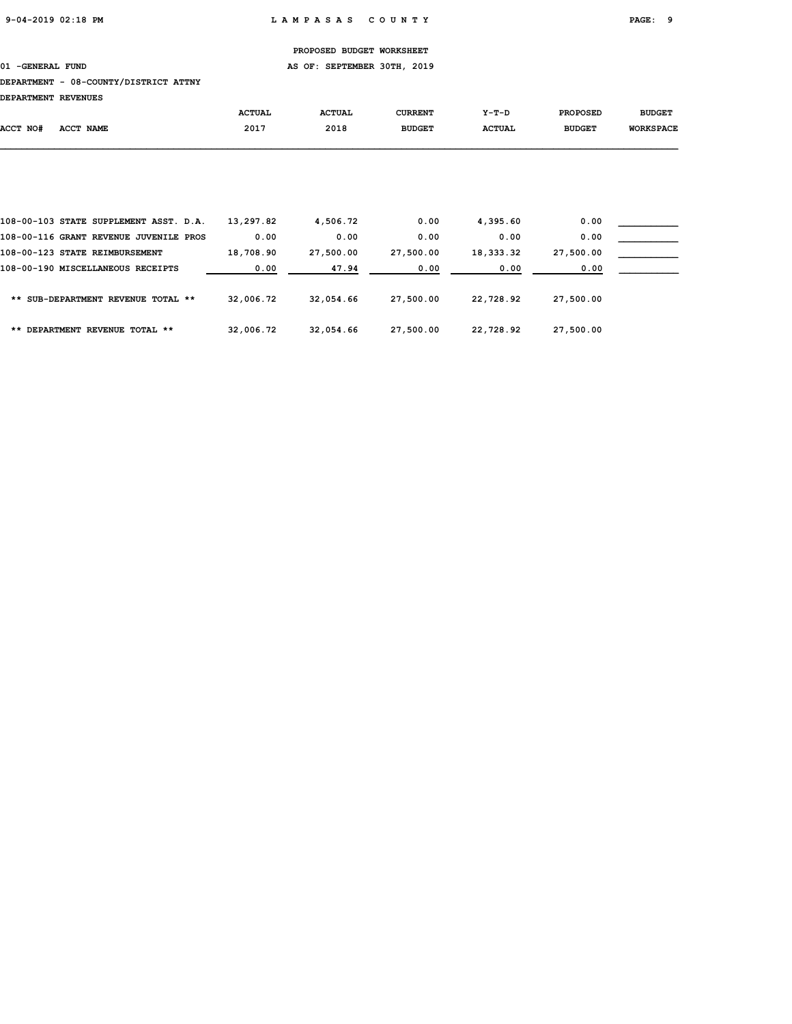01 -GENERAL FUND **AS OF: SEPTEMBER 30TH, 2019** 

### DEPARTMENT - 08-COUNTY/DISTRICT ATTNY

DEPARTMENT REVENUES

|          |                                        | <b>ACTUAL</b> | <b>ACTUAL</b> | <b>CURRENT</b> | $Y-T-D$       | <b>PROPOSED</b> | <b>BUDGET</b>    |
|----------|----------------------------------------|---------------|---------------|----------------|---------------|-----------------|------------------|
| ACCT NO# | <b>ACCT NAME</b>                       | 2017          | 2018          | <b>BUDGET</b>  | <b>ACTUAL</b> | <b>BUDGET</b>   | <b>WORKSPACE</b> |
|          |                                        |               |               |                |               |                 |                  |
|          |                                        |               |               |                |               |                 |                  |
|          |                                        |               |               |                |               |                 |                  |
|          |                                        |               |               |                |               |                 |                  |
|          |                                        |               |               |                |               |                 |                  |
|          | 108-00-103 STATE SUPPLEMENT ASST. D.A. | 13,297.82     | 4,506.72      | 0.00           | 4,395.60      | 0.00            |                  |
|          | 108-00-116 GRANT REVENUE JUVENILE PROS | 0.00          | 0.00          | 0.00           | 0.00          | 0.00            |                  |
|          | 108-00-123 STATE REIMBURSEMENT         | 18,708.90     | 27,500.00     | 27,500.00      | 18,333.32     | 27,500.00       |                  |
|          | 108-00-190 MISCELLANEOUS RECEIPTS      | 0.00          | 47.94         | 0.00           | 0.00          | 0.00            |                  |

| ** SUB-DEPARTMENT REVENUE TOTAL ** | 32,006.72 | 32,054.66 | 27,500.00 | 22,728.92 | 27,500.00 |
|------------------------------------|-----------|-----------|-----------|-----------|-----------|
| ** DEPARTMENT REVENUE TOTAL **     | 32,006.72 | 32,054.66 | 27,500.00 | 22,728.92 | 27,500.00 |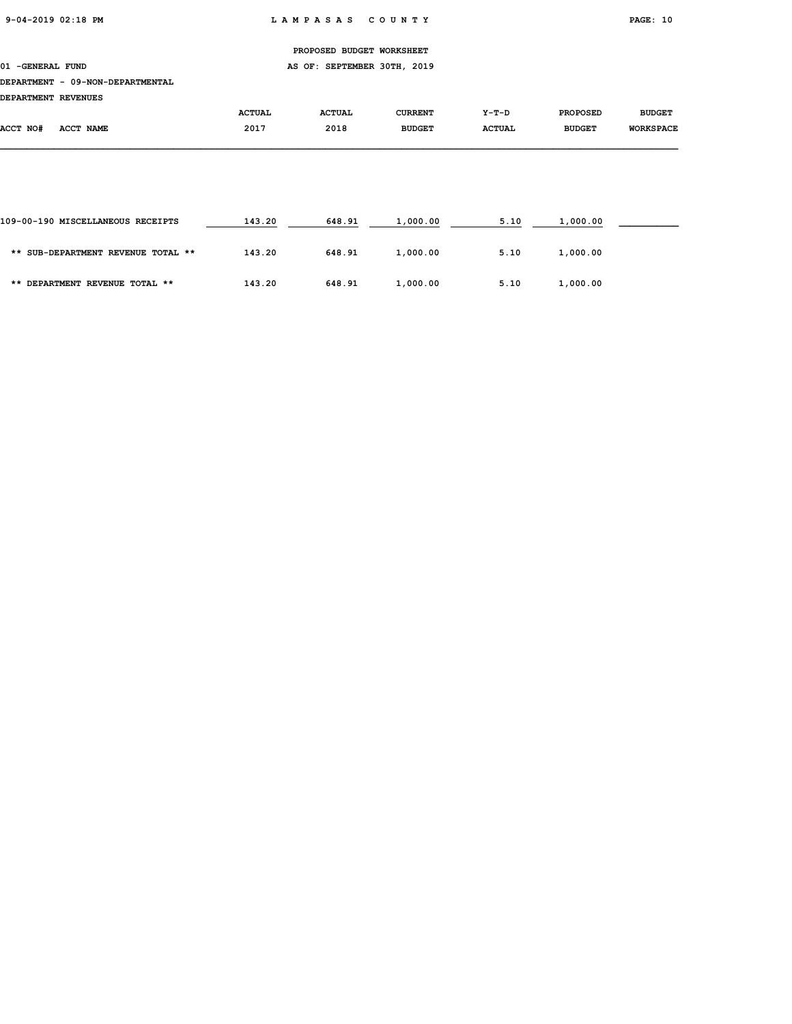01 -GENERAL FUND **AS OF: SEPTEMBER 30TH, 2019** 

### DEPARTMENT - 09-NON-DEPARTMENTAL

DEPARTMENT REVENUES

| DEPARIMENI REVENUES |                            |               |               |                |               |                 |                  |
|---------------------|----------------------------|---------------|---------------|----------------|---------------|-----------------|------------------|
|                     |                            | <b>ACTUAL</b> | <b>ACTUAL</b> | <b>CURRENT</b> | Y-T-D         | <b>PROPOSED</b> | <b>BUDGET</b>    |
| ACCT NO#            | <b>ACCT</b><br><b>NAME</b> | 2017          | 2018          | <b>BUDGET</b>  | <b>ACTUAL</b> | <b>BUDGET</b>   | <b>WORKSPACE</b> |
|                     |                            |               |               |                |               |                 |                  |

| 109-00-190 MISCELLANEOUS RECEIPTS  | 143.20 | 648.91 | 1,000.00 | 5.10 | 1,000.00 |  |
|------------------------------------|--------|--------|----------|------|----------|--|
| ** SUB-DEPARTMENT REVENUE TOTAL ** | 143.20 | 648.91 | 1,000.00 | 5.10 | 1,000.00 |  |
| ** DEPARTMENT REVENUE TOTAL **     | 143.20 | 648.91 | 1,000.00 | 5.10 | 1,000.00 |  |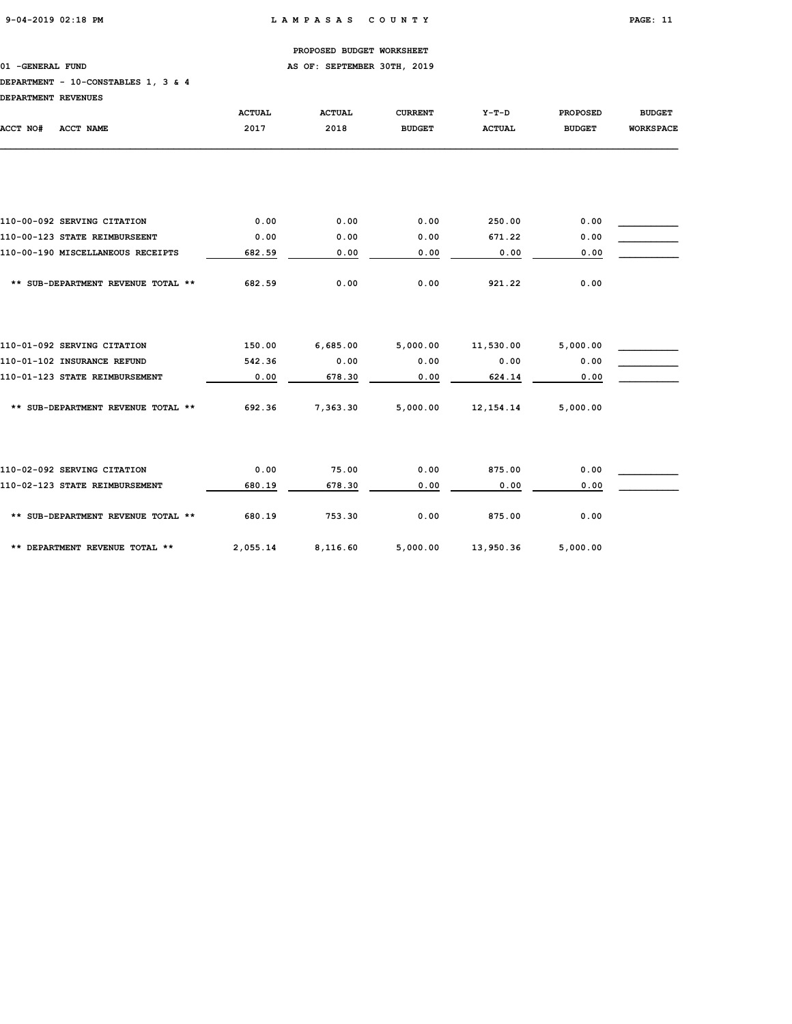01 -GENERAL FUND **AS OF: SEPTEMBER 30TH, 2019** 

# DEPARTMENT - 10-CONSTABLES 1, 3 & 4

| ntonomwtwm prwtwiite |  |  |
|----------------------|--|--|

| DEPARTMENT REVENUES                |               |               |                |               |                 |                  |
|------------------------------------|---------------|---------------|----------------|---------------|-----------------|------------------|
|                                    | <b>ACTUAL</b> | <b>ACTUAL</b> | <b>CURRENT</b> | $Y-T-D$       | <b>PROPOSED</b> | <b>BUDGET</b>    |
| ACCT NO#<br><b>ACCT NAME</b>       | 2017          | 2018          | <b>BUDGET</b>  | <b>ACTUAL</b> | <b>BUDGET</b>   | <b>WORKSPACE</b> |
|                                    |               |               |                |               |                 |                  |
| 110-00-092 SERVING CITATION        | 0.00          | 0.00          | 0.00           | 250.00        | 0.00            |                  |
| 110-00-123 STATE REIMBURSEENT      | 0.00          | 0.00          | 0.00           | 671.22        | 0.00            |                  |
| 110-00-190 MISCELLANEOUS RECEIPTS  | 682.59        | 0.00          | 0.00           | 0.00          | 0.00            |                  |
|                                    |               |               |                |               |                 |                  |
| ** SUB-DEPARTMENT REVENUE TOTAL ** | 682.59        | 0.00          | 0.00           | 921.22        | 0.00            |                  |
|                                    |               |               |                |               |                 |                  |
| 110-01-092 SERVING CITATION        | 150.00        | 6,685.00      | 5,000.00       | 11,530.00     | 5,000.00        |                  |
| 110-01-102 INSURANCE REFUND        | 542.36        | 0.00          | 0.00           | 0.00          | 0.00            |                  |
| 110-01-123 STATE REIMBURSEMENT     | 0.00          | 678.30        | 0.00           | 624.14        | 0.00            |                  |
| ** SUB-DEPARTMENT REVENUE TOTAL ** | 692.36        | 7,363.30      | 5,000.00       | 12, 154.14    | 5,000.00        |                  |
|                                    |               |               |                |               |                 |                  |
| 110-02-092 SERVING CITATION        | 0.00          | 75.00         | 0.00           | 875.00        | 0.00            |                  |
| 110-02-123 STATE REIMBURSEMENT     | 680.19        | 678.30        | 0.00           | 0.00          | 0.00            |                  |
| ** SUB-DEPARTMENT REVENUE TOTAL ** | 680.19        | 753.30        | 0.00           | 875.00        | 0.00            |                  |
| ** DEPARTMENT REVENUE TOTAL **     | 2,055.14      | 8,116.60      | 5,000.00       | 13,950.36     | 5,000.00        |                  |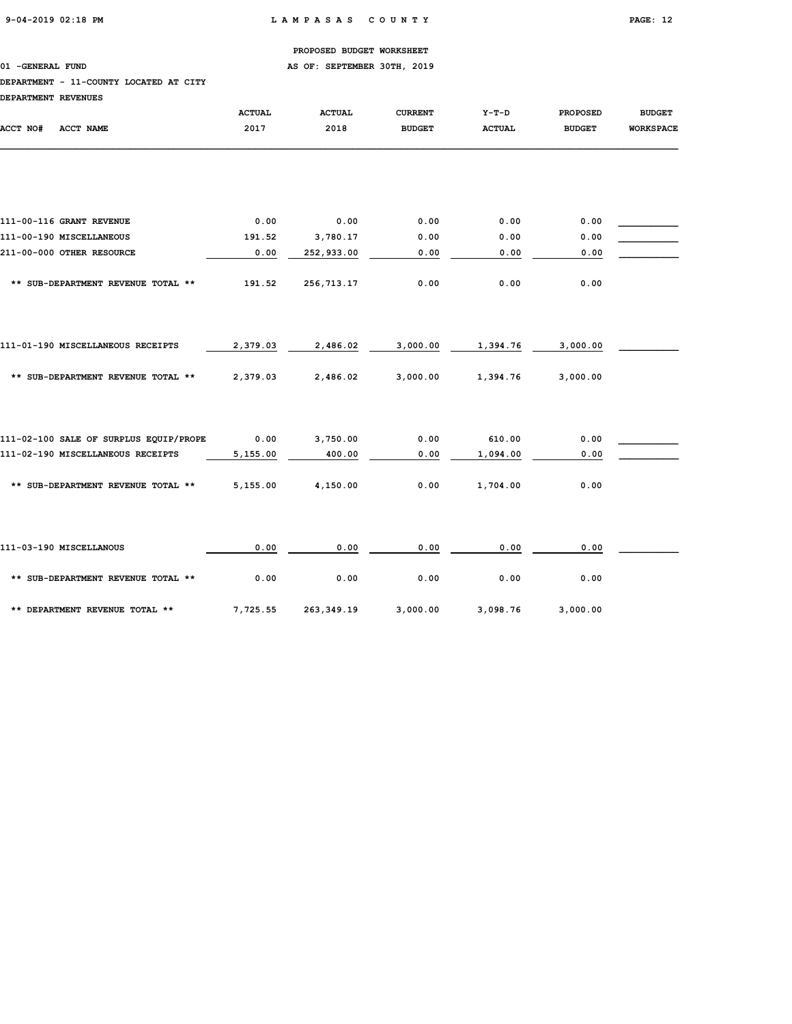01 -GENERAL FUND **AS OF: SEPTEMBER 30TH, 2019** 

# DEPARTMENT - 11-COUNTY LOCATED AT CITY

| DEPARTMENT REVENUES                    |               |               |                |               |                 |                  |
|----------------------------------------|---------------|---------------|----------------|---------------|-----------------|------------------|
|                                        | <b>ACTUAL</b> | <b>ACTUAL</b> | <b>CURRENT</b> | $Y-T-D$       | <b>PROPOSED</b> | <b>BUDGET</b>    |
| ACCT NO#<br><b>ACCT NAME</b>           | 2017          | 2018          | <b>BUDGET</b>  | <b>ACTUAL</b> | <b>BUDGET</b>   | <b>WORKSPACE</b> |
|                                        |               |               |                |               |                 |                  |
| 111-00-116 GRANT REVENUE               | 0.00          | 0.00          | 0.00           | 0.00          | 0.00            |                  |
| 111-00-190 MISCELLANEOUS               | 191.52        | 3,780.17      | 0.00           | 0.00          | 0.00            |                  |
| 211-00-000 OTHER RESOURCE              | 0.00          | 252,933.00    | 0.00           | 0.00          | 0.00            |                  |
| ** SUB-DEPARTMENT REVENUE TOTAL **     | 191.52        | 256,713.17    | 0.00           | 0.00          | 0.00            |                  |
| 111-01-190 MISCELLANEOUS RECEIPTS      | 2,379.03      | 2,486.02      | 3,000.00       | 1,394.76      | 3,000.00        |                  |
| ** SUB-DEPARTMENT REVENUE TOTAL **     | 2,379.03      | 2,486.02      | 3,000.00       | 1,394.76      | 3,000.00        |                  |
| 111-02-100 SALE OF SURPLUS EQUIP/PROPE | 0.00          | 3,750.00      | 0.00           | 610.00        | 0.00            |                  |
| 111-02-190 MISCELLANEOUS RECEIPTS      | 5,155.00      | 400.00        | 0.00           | 1,094.00      | 0.00            |                  |
| ** SUB-DEPARTMENT REVENUE TOTAL **     | 5,155.00      | 4,150.00      | 0.00           | 1,704.00      | 0.00            |                  |
| 111-03-190 MISCELLANOUS                | 0.00          | 0.00          | 0.00           | 0.00          | 0.00            |                  |
| ** SUB-DEPARTMENT REVENUE TOTAL **     | 0.00          | 0.00          | 0.00           | 0.00          | 0.00            |                  |
| ** DEPARTMENT REVENUE TOTAL **         | 7,725.55      | 263, 349.19   | 3,000.00       | 3,098.76      | 3,000.00        |                  |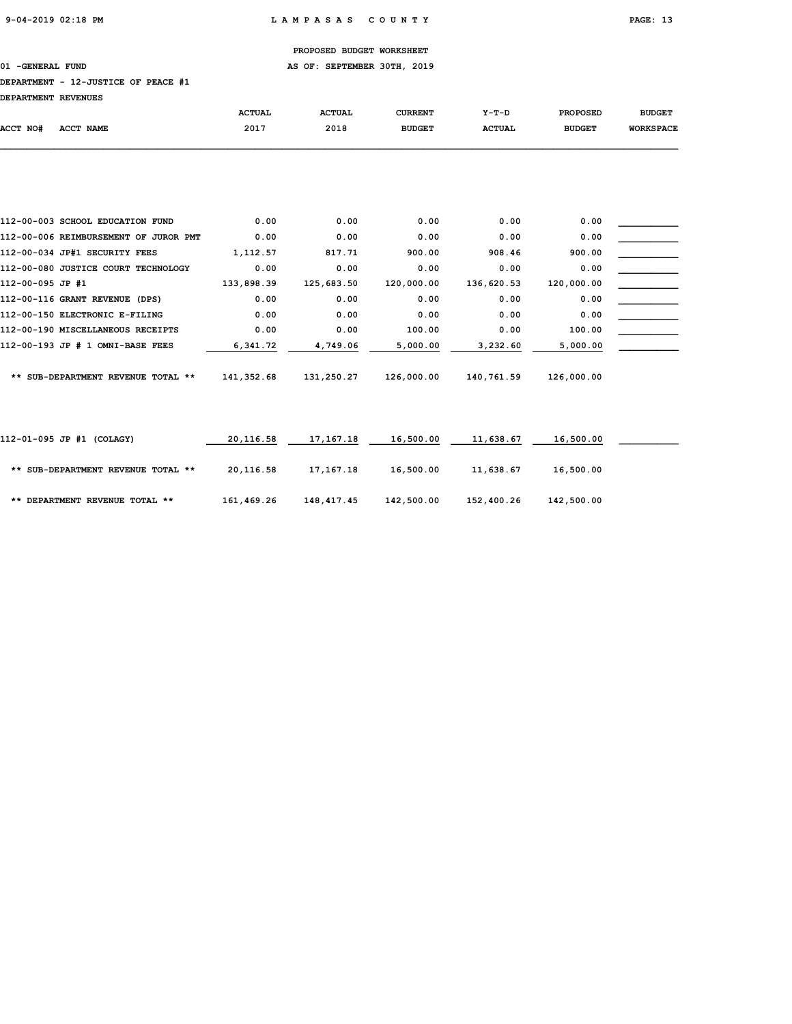01 -GENERAL FUND **AS OF: SEPTEMBER 30TH, 2019** 

# DEPARTMENT - 12-JUSTICE OF PEACE #1

DEPARTMENT REVENUES

| DEPARIMENT REVENUES |                                  |               |               |                |               |                 |                  |
|---------------------|----------------------------------|---------------|---------------|----------------|---------------|-----------------|------------------|
|                     |                                  | <b>ACTUAL</b> | <b>ACTUAL</b> | <b>CURRENT</b> | Y-T-D         | <b>PROPOSED</b> | <b>BUDGET</b>    |
| ACCT NO#            | ACCT NAME                        | 2017          | 2018          | <b>BUDGET</b>  | <b>ACTUAL</b> | <b>BUDGET</b>   | <b>WORKSPACE</b> |
|                     |                                  |               |               |                |               |                 |                  |
|                     |                                  |               |               |                |               |                 |                  |
|                     | 112-00-003 SCHOOL EDUCATION FUND | 0.00          | 0.00          | 0.00           | 0.00          | 0.00            |                  |
|                     |                                  |               |               |                |               |                 |                  |

| 112-00-006 REIMBURSEMENT OF JUROR PMT | 0.00       | 0.00       | 0.00       | 0.00       | 0.00       |  |
|---------------------------------------|------------|------------|------------|------------|------------|--|
| 112-00-034 JP#1 SECURITY FEES         | 1,112.57   | 817.71     | 900.00     | 908.46     | 900.00     |  |
| 112-00-080 JUSTICE COURT TECHNOLOGY   | 0.00       | 0.00       | 0.00       | 0.00       | 0.00       |  |
| 112-00-095 JP #1                      | 133,898.39 | 125,683.50 | 120,000.00 | 136,620.53 | 120,000.00 |  |
| 112-00-116 GRANT REVENUE (DPS)        | 0.00       | 0.00       | 0.00       | 0.00       | 0.00       |  |
| 112-00-150 ELECTRONIC E-FILING        | 0.00       | 0.00       | 0.00       | 0.00       | 0.00       |  |
| 112-00-190 MISCELLANEOUS RECEIPTS     | 0.00       | 0.00       | 100.00     | 0.00       | 100.00     |  |
| 112-00-193 JP # 1 OMNI-BASE FEES      | 6,341.72   | 4,749.06   | 5,000.00   | 3,232.60   | 5,000.00   |  |
| ** SUB-DEPARTMENT REVENUE TOTAL **    | 141,352.68 | 131,250.27 | 126,000.00 | 140,761.59 | 126,000.00 |  |
|                                       |            |            |            |            |            |  |

| 112-01-095 JP #1 (COLAGY)          | 20,116.58  | 17,167.18  | 16,500.00  | 11,638.67  | 16,500.00  |  |
|------------------------------------|------------|------------|------------|------------|------------|--|
| ** SUB-DEPARTMENT REVENUE TOTAL ** | 20,116.58  | 17,167.18  | 16,500.00  | 11,638.67  | 16,500.00  |  |
| ** DEPARTMENT REVENUE TOTAL **     | 161,469.26 | 148,417.45 | 142,500.00 | 152,400.26 | 142,500.00 |  |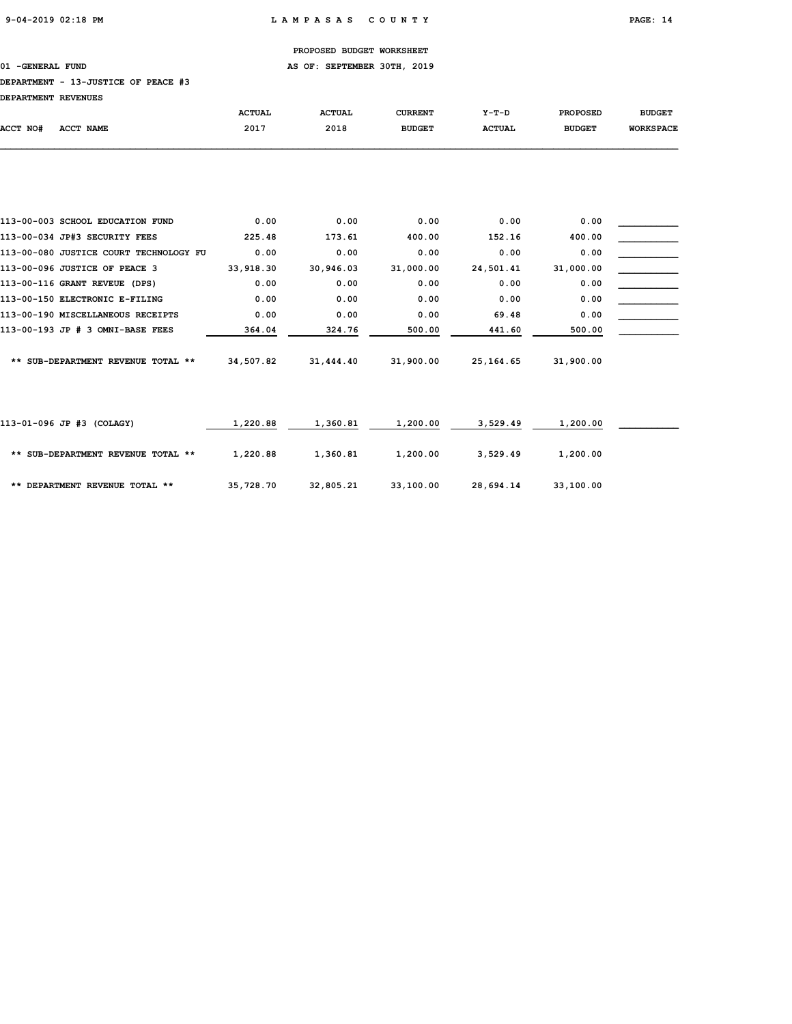01 -GENERAL FUND **AS OF: SEPTEMBER 30TH, 2019** 

### DEPARTMENT - 13-JUSTICE OF PEACE #3

| DEPARTMENT REVENUES                    |               |               |                |               |                 |                  |
|----------------------------------------|---------------|---------------|----------------|---------------|-----------------|------------------|
|                                        | <b>ACTUAL</b> | <b>ACTUAL</b> | <b>CURRENT</b> | $Y-T-D$       | <b>PROPOSED</b> | <b>BUDGET</b>    |
| ACCT NO#<br>ACCT NAME                  | 2017          | 2018          | <b>BUDGET</b>  | <b>ACTUAL</b> | <b>BUDGET</b>   | <b>WORKSPACE</b> |
|                                        |               |               |                |               |                 |                  |
|                                        |               |               |                |               |                 |                  |
| 113-00-003 SCHOOL EDUCATION FUND       | 0.00          | 0.00          | 0.00           | 0.00          | 0.00            |                  |
| 113-00-034 JP#3 SECURITY FEES          | 225.48        | 173.61        | 400.00         | 152.16        | 400.00          |                  |
| 113-00-080 JUSTICE COURT TECHNOLOGY FU | 0.00          | 0.00          | 0.00           | 0.00          | 0.00            |                  |
| 113-00-096 JUSTICE OF PEACE 3          | 33,918.30     | 30,946.03     | 31,000.00      | 24,501.41     | 31,000.00       |                  |
| 113-00-116 GRANT REVEUE (DPS)          | 0.00          | 0.00          | 0.00           | 0.00          | 0.00            |                  |
| 113-00-150 ELECTRONIC E-FILING         | 0.00          | 0.00          | 0.00           | 0.00          | 0.00            |                  |
| 113-00-190 MISCELLANEOUS RECEIPTS      | 0.00          | 0.00          | 0.00           | 69.48         | 0.00            |                  |
| 113-00-193 JP # 3 OMNI-BASE FEES       | 364.04        | 324.76        | 500.00         | 441.60        | 500.00          |                  |
| ** SUB-DEPARTMENT REVENUE TOTAL **     | 34,507.82     | 31,444.40     | 31,900.00      | 25, 164.65    | 31,900.00       |                  |
|                                        |               |               |                |               |                 |                  |
| 113-01-096 JP #3 (COLAGY)              | 1,220.88      | 1,360.81      | 1,200.00       | 3,529.49      | 1,200.00        |                  |
| ** SUB-DEPARTMENT REVENUE TOTAL **     | 1,220.88      | 1,360.81      | 1,200.00       | 3,529.49      | 1,200.00        |                  |

\*\* DEPARTMENT REVENUE TOTAL \*\* 35,728.70 32,805.21 33,100.00 28,694.14 33,100.00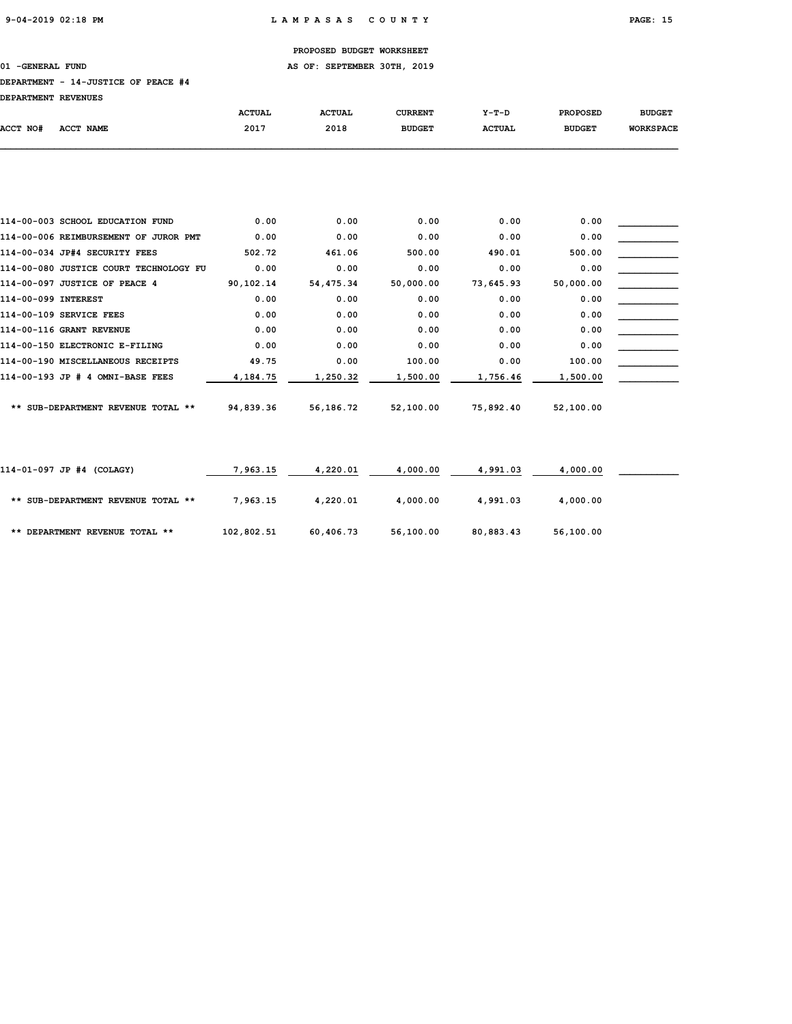01 -GENERAL FUND **AS OF: SEPTEMBER 30TH, 2019** 

## DEPARTMENT - 14-JUSTICE OF PEACE #4

| <b>DEPARTMENT REVENUES</b> |           |               |               |                |               |                 |                  |
|----------------------------|-----------|---------------|---------------|----------------|---------------|-----------------|------------------|
|                            |           | <b>ACTUAL</b> | <b>ACTUAL</b> | <b>CURRENT</b> | Y-T-D         | <b>PROPOSED</b> | <b>BUDGET</b>    |
| ACCT NO#                   | ACCT NAME | 2017          | 2018          | <b>BUDGET</b>  | <b>ACTUAL</b> | <b>BUDGET</b>   | <b>WORKSPACE</b> |
|                            |           |               |               |                |               |                 |                  |

| 114-00-003 SCHOOL EDUCATION FUND       | 0.00      | 0.00      | 0.00      | 0.00      | 0.00      |  |
|----------------------------------------|-----------|-----------|-----------|-----------|-----------|--|
| 114-00-006 REIMBURSEMENT OF JUROR PMT  | 0.00      | 0.00      | 0.00      | 0.00      | 0.00      |  |
| 114-00-034 JP#4 SECURITY FEES          | 502.72    | 461.06    | 500.00    | 490.01    | 500.00    |  |
| 114-00-080 JUSTICE COURT TECHNOLOGY FU | 0.00      | 0.00      | 0.00      | 0.00      | 0.00      |  |
| 114-00-097 JUSTICE OF PEACE 4          | 90,102.14 | 54,475.34 | 50,000.00 | 73,645.93 | 50,000.00 |  |
| 114-00-099 INTEREST                    | 0.00      | 0.00      | 0.00      | 0.00      | 0.00      |  |
| 114-00-109 SERVICE FEES                | 0.00      | 0.00      | 0.00      | 0.00      | 0.00      |  |
| 114-00-116 GRANT REVENUE               | 0.00      | 0.00      | 0.00      | 0.00      | 0.00      |  |
| 114-00-150 ELECTRONIC E-FILING         | 0.00      | 0.00      | 0.00      | 0.00      | 0.00      |  |
| 114-00-190 MISCELLANEOUS RECEIPTS      | 49.75     | 0.00      | 100.00    | 0.00      | 100.00    |  |
| 114-00-193 JP # 4 OMNI-BASE FEES       | 4,184.75  | 1,250.32  | 1,500.00  | 1,756.46  | 1,500.00  |  |
|                                        |           |           |           |           |           |  |
| ** SUB-DEPARTMENT REVENUE TOTAL **     | 94,839.36 | 56,186.72 | 52,100.00 | 75,892.40 | 52,100.00 |  |

| 114-01-097 JP #4 (COLAGY)          | 7,963.15   | 4,220.01  | 4,000.00  | 4,991.03  | 4,000.00  |  |
|------------------------------------|------------|-----------|-----------|-----------|-----------|--|
| ** SUB-DEPARTMENT REVENUE TOTAL ** | 7,963.15   | 4,220.01  | 4,000.00  | 4,991.03  | 4,000.00  |  |
| ** DEPARTMENT REVENUE TOTAL **     | 102,802.51 | 60,406.73 | 56,100.00 | 80,883.43 | 56,100.00 |  |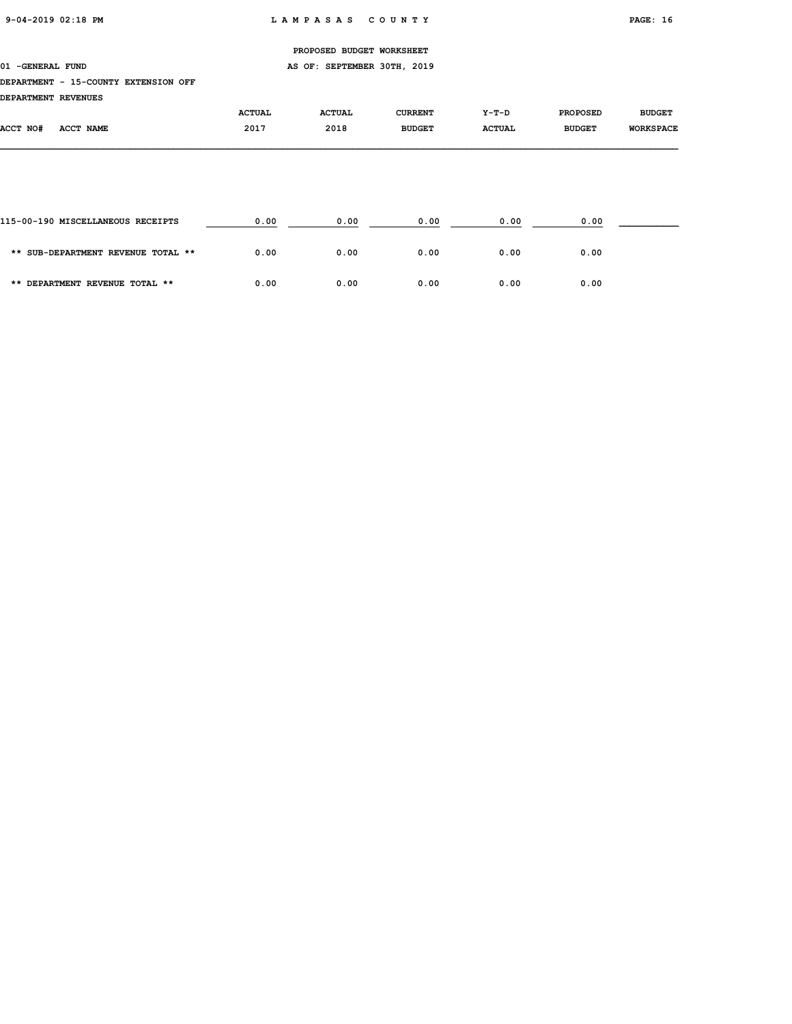01 -GENERAL FUND **AS OF: SEPTEMBER 30TH, 2019** 

# DEPARTMENT - 15-COUNTY EXTENSION OFF

DEPARTMENT REVENUES

| DEFARIMENI REVENUES |                  |               |               |                |               |                 |                  |
|---------------------|------------------|---------------|---------------|----------------|---------------|-----------------|------------------|
|                     |                  | <b>ACTUAL</b> | <b>ACTUAL</b> | <b>CURRENT</b> | $Y-T-D$       | <b>PROPOSED</b> | <b>BUDGET</b>    |
| <b>ACCT NO#</b>     | <b>ACCT NAME</b> | 2017          | 2018          | <b>BUDGET</b>  | <b>ACTUAL</b> | <b>BUDGET</b>   | <b>WORKSPACE</b> |
|                     |                  |               |               |                |               |                 |                  |

| 115-00-190 MISCELLANEOUS RECEIPTS  | 0.00 | 0.00 | 0.00 | 0.00 | 0.00 |  |
|------------------------------------|------|------|------|------|------|--|
| ** SUB-DEPARTMENT REVENUE TOTAL ** | 0.00 | 0.00 | 0.00 | 0.00 | 0.00 |  |
| ** DEPARTMENT REVENUE TOTAL **     | 0.00 | 0.00 | 0.00 | 0.00 | 0.00 |  |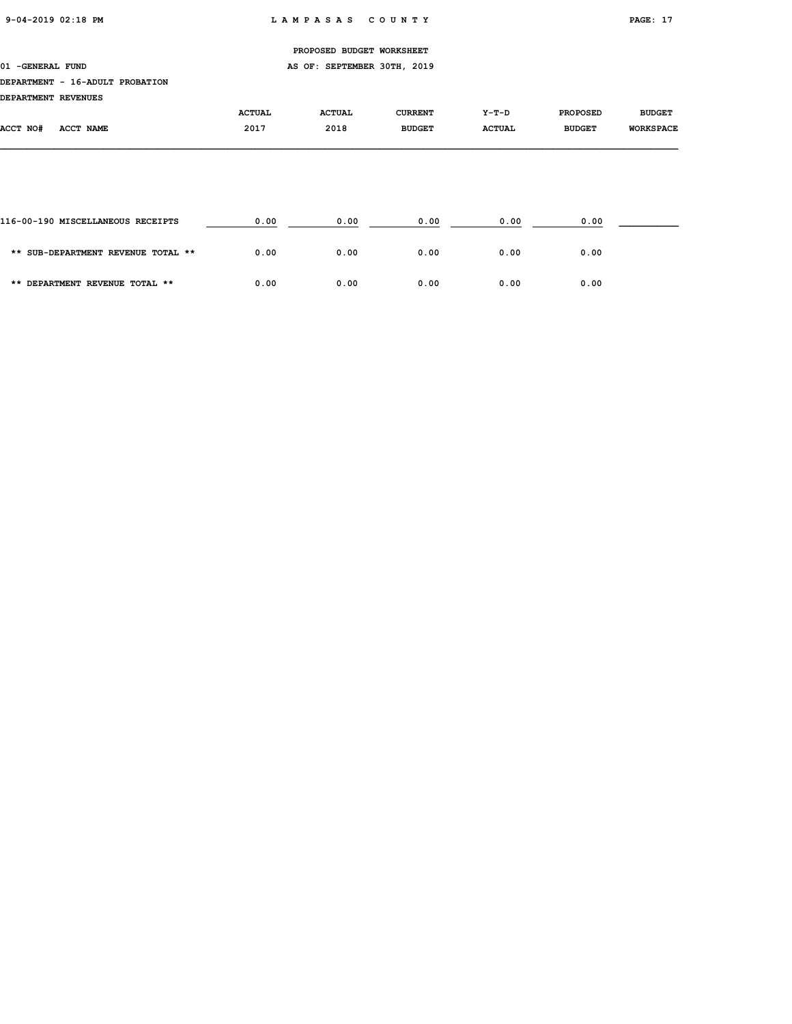# PROPOSED BUDGET WORKSHEET 01 -GENERAL FUND **AS OF: SEPTEMBER 30TH, 2019** DEPARTMENT - 16-ADULT PROBATION DEPARTMENT REVENUES ACTUAL ACTUAL CURRENT Y-T-D PROPOSED BUDGET ACCT NO# ACCT NAME 2017 2018 BUDGET ACTUAL BUDGET WORKSPACE

| 116-00-190 MISCELLANEOUS RECEIPTS  | 0.00 | 0.00 | 0.00 | 0.00 | 0.00 |  |
|------------------------------------|------|------|------|------|------|--|
| ** SUB-DEPARTMENT REVENUE TOTAL ** | 0.00 | 0.00 | 0.00 | 0.00 | 0.00 |  |
| ** DEPARTMENT REVENUE TOTAL **     | 0.00 | 0.00 | 0.00 | 0.00 | 0.00 |  |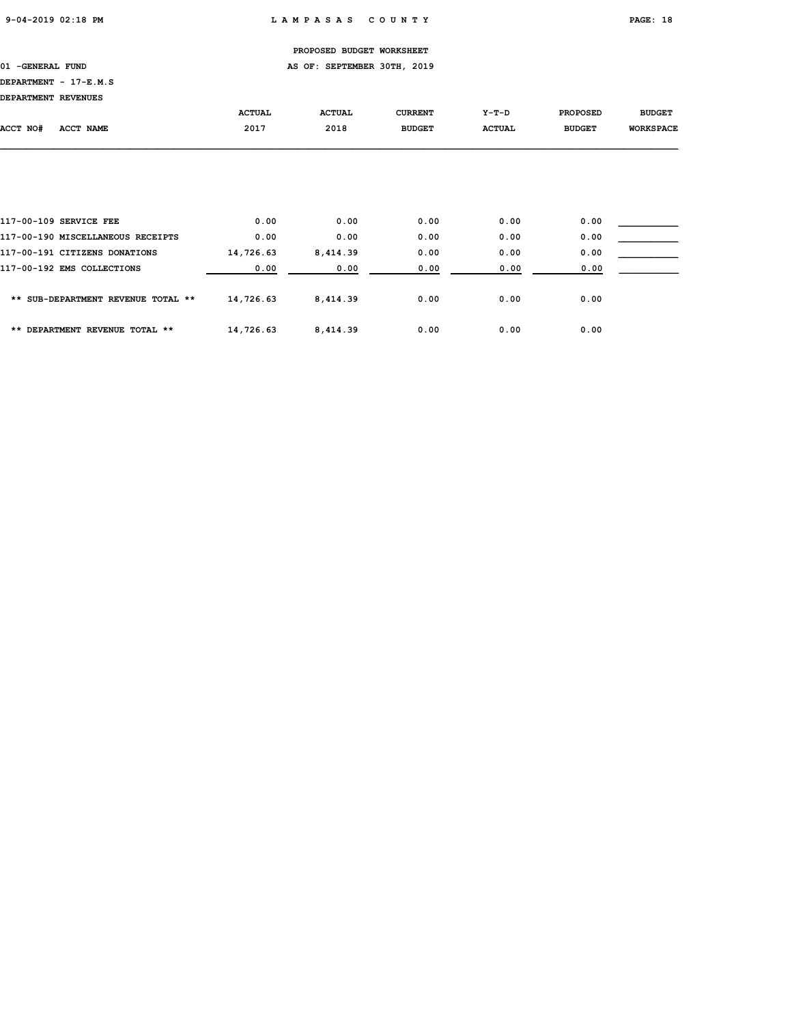01 -GENERAL FUND **AS OF: SEPTEMBER 30TH, 2019** 

# DEPARTMENT - 17-E.M.S

| DEPARTMENT REVENUES |                                                             |                       |                       |                                 |                          |                                  |                                   |
|---------------------|-------------------------------------------------------------|-----------------------|-----------------------|---------------------------------|--------------------------|----------------------------------|-----------------------------------|
| ACCT NO#            | ACCT NAME                                                   | <b>ACTUAL</b><br>2017 | <b>ACTUAL</b><br>2018 | <b>CURRENT</b><br><b>BUDGET</b> | $Y-T-D$<br><b>ACTUAL</b> | <b>PROPOSED</b><br><b>BUDGET</b> | <b>BUDGET</b><br><b>WORKSPACE</b> |
|                     |                                                             |                       |                       |                                 |                          |                                  |                                   |
|                     |                                                             |                       |                       |                                 |                          |                                  |                                   |
|                     | 117-00-109 SERVICE FEE<br>117-00-190 MISCELLANEOUS RECEIPTS | 0.00<br>0.00          | 0.00<br>0.00          | 0.00<br>0.00                    | 0.00<br>0.00             | 0.00<br>0.00                     |                                   |

| 117-00-191 CITIZENS DONATIONS      | 14,726.63 | 8,414.39 | 0.00 | 0.00 | 0.00 |  |
|------------------------------------|-----------|----------|------|------|------|--|
| 117-00-192 EMS COLLECTIONS         | 0.00      | 0.00     | 0.00 | 0.00 | 0.00 |  |
| ** SUB-DEPARTMENT REVENUE TOTAL ** | 14,726.63 | 8,414.39 | 0.00 | 0.00 | 0.00 |  |
| ** DEPARTMENT REVENUE TOTAL **     | 14,726.63 | 8,414.39 | 0.00 | 0.00 | 0.00 |  |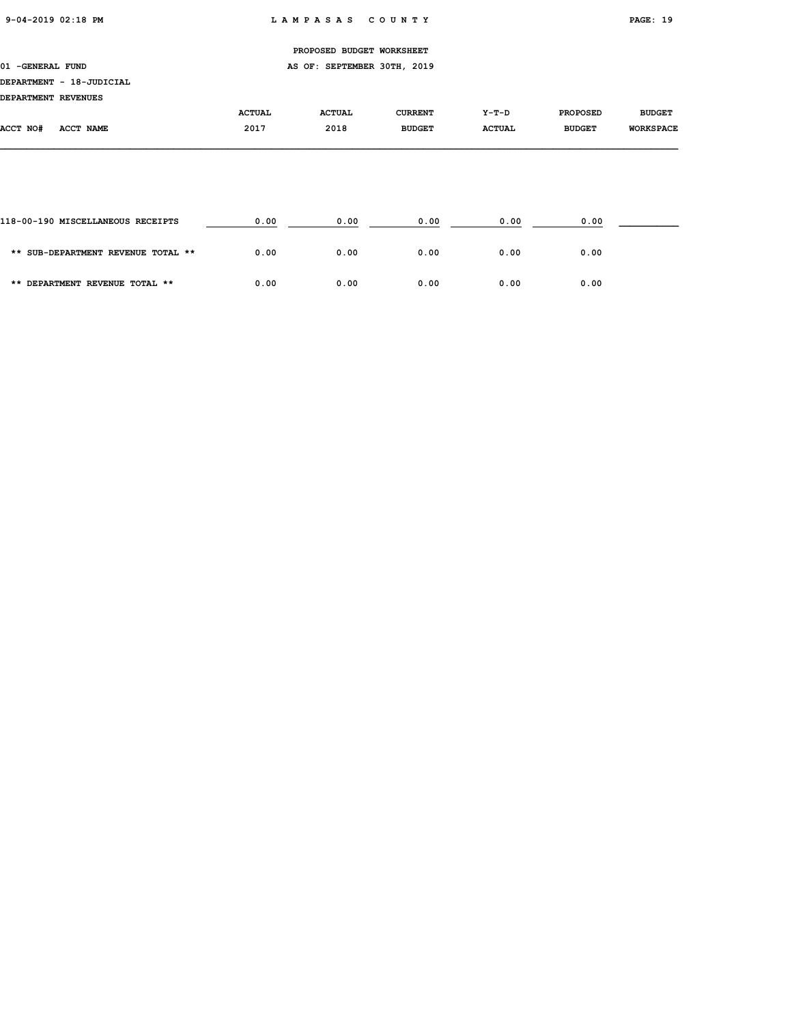|                     |                          |               | PROPOSED BUDGET WORKSHEET   |                |               |                 |                  |
|---------------------|--------------------------|---------------|-----------------------------|----------------|---------------|-----------------|------------------|
| 01 - GENERAL FUND   |                          |               | AS OF: SEPTEMBER 30TH, 2019 |                |               |                 |                  |
|                     | DEPARTMENT - 18-JUDICIAL |               |                             |                |               |                 |                  |
| DEPARTMENT REVENUES |                          |               |                             |                |               |                 |                  |
|                     |                          | <b>ACTUAL</b> | <b>ACTUAL</b>               | <b>CURRENT</b> | Y-T-D         | <b>PROPOSED</b> | <b>BUDGET</b>    |
| ACCT NO#            | ACCT NAME                | 2017          | 2018                        | <b>BUDGET</b>  | <b>ACTUAL</b> | <b>BUDGET</b>   | <b>WORKSPACE</b> |
|                     |                          |               |                             |                |               |                 |                  |
|                     |                          |               |                             |                |               |                 |                  |

| 118-00-190 MISCELLANEOUS RECEIPTS  | 0.00 | 0.00 | 0.00 | 0.00 | 0.00 |  |
|------------------------------------|------|------|------|------|------|--|
| ** SUB-DEPARTMENT REVENUE TOTAL ** | 0.00 | 0.00 | 0.00 | 0.00 | 0.00 |  |
| ** DEPARTMENT REVENUE TOTAL **     | 0.00 | 0.00 | 0.00 | 0.00 | 0.00 |  |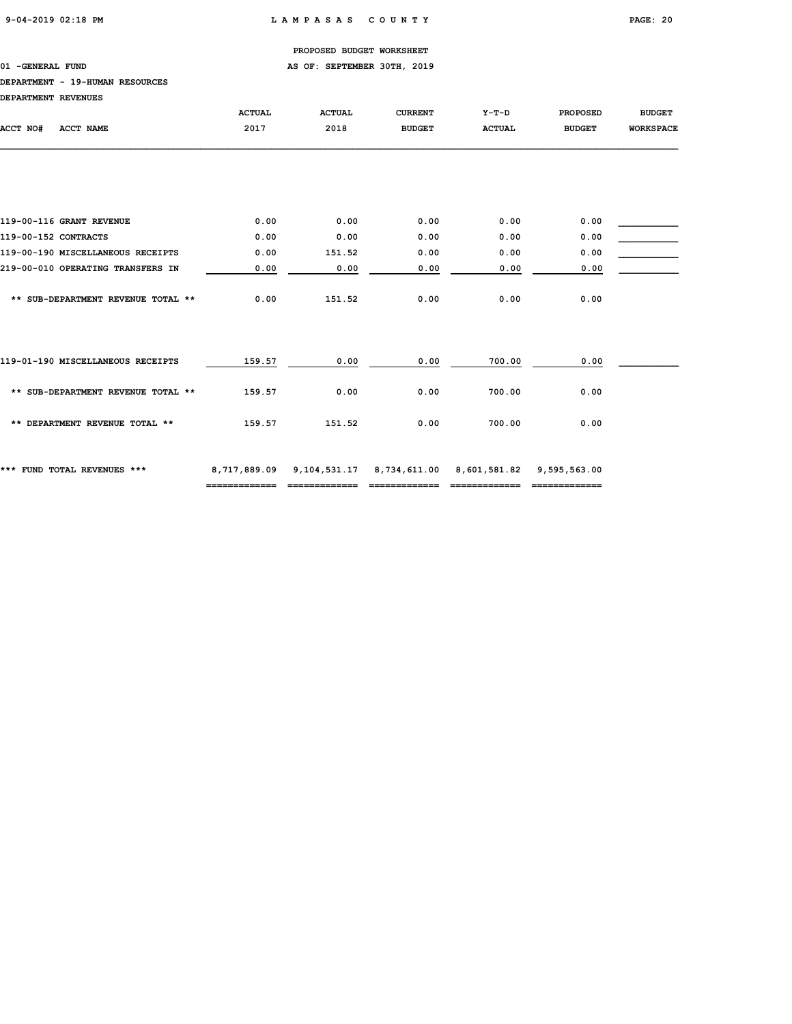# 01 -GENERAL FUND **AS OF: SEPTEMBER 30TH, 2019**

### DEPARTMENT - 19-HUMAN RESOURCES

| DEPARTMENT REVENUES  |                                    |               |               |                                                 |               |                 |                  |
|----------------------|------------------------------------|---------------|---------------|-------------------------------------------------|---------------|-----------------|------------------|
|                      |                                    | <b>ACTUAL</b> | <b>ACTUAL</b> | <b>CURRENT</b>                                  | $Y-T-D$       | <b>PROPOSED</b> | <b>BUDGET</b>    |
| ACCT NO#             | ACCT NAME                          | 2017          | 2018          | <b>BUDGET</b>                                   | <b>ACTUAL</b> | <b>BUDGET</b>   | <b>WORKSPACE</b> |
|                      |                                    |               |               |                                                 |               |                 |                  |
|                      |                                    |               |               |                                                 |               |                 |                  |
|                      |                                    |               |               |                                                 |               |                 |                  |
|                      | 119-00-116 GRANT REVENUE           | 0.00          | 0.00          | 0.00                                            | 0.00          | 0.00            |                  |
| 119-00-152 CONTRACTS |                                    | 0.00          | 0.00          | 0.00                                            | 0.00          | 0.00            |                  |
|                      | 119-00-190 MISCELLANEOUS RECEIPTS  | 0.00          | 151.52        | 0.00                                            | 0.00          | 0.00            |                  |
|                      | 219-00-010 OPERATING TRANSFERS IN  | 0.00          | 0.00          | 0.00                                            | 0.00          | 0.00            |                  |
|                      |                                    |               |               |                                                 |               |                 |                  |
|                      | ** SUB-DEPARTMENT REVENUE TOTAL ** | 0.00          | 151.52        | 0.00                                            | 0.00          | 0.00            |                  |
|                      |                                    |               |               |                                                 |               |                 |                  |
|                      |                                    |               |               |                                                 |               |                 |                  |
|                      |                                    |               |               |                                                 |               |                 |                  |
|                      | 119-01-190 MISCELLANEOUS RECEIPTS  | 159.57        | 0.00          | 0.00                                            | 700.00        | 0.00            |                  |
|                      |                                    |               |               |                                                 |               |                 |                  |
|                      | ** SUB-DEPARTMENT REVENUE TOTAL ** | 159.57        | 0.00          | 0.00                                            | 700.00        | 0.00            |                  |
|                      | ** DEPARTMENT REVENUE TOTAL **     | 159.57        | 151.52        | 0.00                                            | 700.00        | 0.00            |                  |
|                      |                                    |               |               |                                                 |               |                 |                  |
|                      |                                    |               |               |                                                 |               |                 |                  |
|                      | *** FUND TOTAL REVENUES ***        | 8,717,889.09  |               | 9, 104, 531. 17 8, 734, 611. 00 8, 601, 581. 82 |               | 9,595,563.00    |                  |
|                      |                                    | ------------- | ------------- | =============                                   |               | =============   |                  |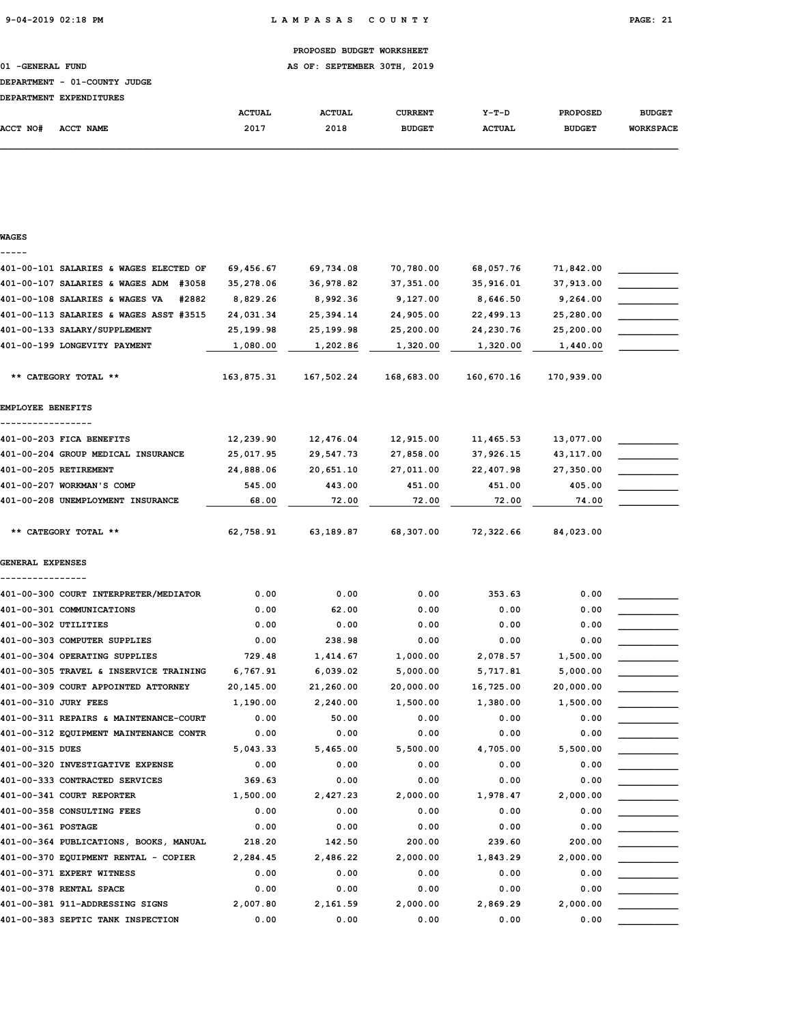01 -GENERAL FUND **AS OF: SEPTEMBER 30TH, 2019** 

### DEPARTMENT - 01-COUNTY JUDGE

| <b>DEPARTMENT</b> | <b>EXPENDITURES</b> |               |               |               |               |                 |                  |
|-------------------|---------------------|---------------|---------------|---------------|---------------|-----------------|------------------|
|                   |                     | <b>ACTUAL</b> | <b>ACTUAL</b> | CURRENT       | $Y-T-D$       | <b>PROPOSED</b> | <b>BUDGET</b>    |
| <b>ACCT NO#</b>   | <b>ACCT NAME</b>    | 2017          | 2018          | <b>BUDGET</b> | <b>ACTUAL</b> | <b>BUDGET</b>   | <b>WORKSPACE</b> |

| WAGES |  |
|-------|--|
|       |  |

| 401-00-101 SALARIES & WAGES ELECTED OF   | 69,456.67  | 69,734.08  | 70,780.00  | 68,057.76  | 71,842.00  |  |
|------------------------------------------|------------|------------|------------|------------|------------|--|
| 401-00-107 SALARIES & WAGES ADM<br>#3058 | 35,278.06  | 36,978.82  | 37, 351.00 | 35,916.01  | 37,913.00  |  |
| 401-00-108 SALARIES & WAGES VA<br>#2882  | 8,829.26   | 8,992.36   | 9,127.00   | 8,646.50   | 9,264.00   |  |
| 401-00-113 SALARIES & WAGES ASST #3515   | 24,031.34  | 25, 394.14 | 24,905.00  | 22,499.13  | 25,280.00  |  |
| 401-00-133 SALARY/SUPPLEMENT             | 25,199.98  | 25,199.98  | 25,200.00  | 24,230.76  | 25,200.00  |  |
| 401-00-199 LONGEVITY PAYMENT             | 1,080.00   | 1,202.86   | 1,320.00   | 1,320.00   | 1,440.00   |  |
|                                          |            |            |            |            |            |  |
| ** CATEGORY TOTAL **                     | 163,875.31 | 167,502.24 | 168,683.00 | 160,670.16 | 170,939.00 |  |
|                                          |            |            |            |            |            |  |
| EMPLOYEE BENEFITS                        |            |            |            |            |            |  |
|                                          |            |            |            |            |            |  |
| 401-00-203 FICA BENEFITS                 | 12,239.90  | 12,476.04  | 12,915.00  | 11,465.53  | 13,077.00  |  |
| 401-00-204 GROUP MEDICAL INSURANCE       | 25,017.95  | 29,547.73  | 27,858.00  | 37,926.15  | 43,117.00  |  |
| 401-00-205 RETIREMENT                    | 24,888.06  | 20,651.10  | 27,011.00  | 22,407.98  | 27,350.00  |  |
| 401-00-207 WORKMAN'S COMP                | 545.00     | 443.00     | 451.00     | 451.00     | 405.00     |  |
| 401-00-208 UNEMPLOYMENT INSURANCE        | 68.00      | 72.00      | 72.00      | 72.00      | 74.00      |  |
|                                          |            |            |            |            |            |  |
| ** CATEGORY TOTAL **                     | 62,758.91  | 63,189.87  | 68,307.00  | 72,322.66  | 84,023.00  |  |
|                                          |            |            |            |            |            |  |
| <b>GENERAL EXPENSES</b>                  |            |            |            |            |            |  |
| ----------------                         |            |            |            |            |            |  |
| 401-00-300 COURT INTERPRETER/MEDIATOR    | 0.00       | 0.00       | 0.00       | 353.63     | 0.00       |  |
| 401-00-301 COMMUNICATIONS                | 0.00       | 62.00      | 0.00       | 0.00       | 0.00       |  |
| 401-00-302 UTILITIES                     | 0.00       | 0.00       | 0.00       | 0.00       | 0.00       |  |
| 401-00-303 COMPUTER SUPPLIES             | 0.00       | 238.98     | 0.00       | 0.00       | 0.00       |  |
| 401-00-304 OPERATING SUPPLIES            | 729.48     | 1,414.67   | 1,000.00   | 2,078.57   | 1,500.00   |  |
| 401-00-305 TRAVEL & INSERVICE TRAINING   | 6,767.91   | 6,039.02   | 5,000.00   | 5,717.81   | 5,000.00   |  |
| 401-00-309 COURT APPOINTED ATTORNEY      | 20,145.00  | 21,260.00  | 20,000.00  | 16,725.00  | 20,000.00  |  |
| 401-00-310 JURY FEES                     | 1,190.00   | 2,240.00   | 1,500.00   | 1,380.00   | 1,500.00   |  |
| 401-00-311 REPAIRS & MAINTENANCE-COURT   | 0.00       | 50.00      | 0.00       | 0.00       | 0.00       |  |
| 401-00-312 EQUIPMENT MAINTENANCE CONTR   | 0.00       | 0.00       | 0.00       | 0.00       | 0.00       |  |
| 401-00-315 DUES                          | 5,043.33   | 5,465.00   | 5,500.00   | 4,705.00   | 5,500.00   |  |
| 401-00-320 INVESTIGATIVE EXPENSE         | 0.00       | 0.00       | 0.00       | 0.00       | 0.00       |  |
| 401-00-333 CONTRACTED SERVICES           | 369.63     | 0.00       | 0.00       | 0.00       | 0.00       |  |
| 401-00-341 COURT REPORTER                | 1,500.00   | 2,427.23   | 2,000.00   | 1,978.47   | 2,000.00   |  |
| 401-00-358 CONSULTING FEES               | 0.00       | 0.00       | 0.00       | 0.00       | 0.00       |  |
| 401-00-361 POSTAGE                       | 0.00       | 0.00       | 0.00       | 0.00       | 0.00       |  |
| 401-00-364 PUBLICATIONS, BOOKS, MANUAL   | 218.20     | 142.50     | 200.00     | 239.60     | 200.00     |  |
| 401-00-370 EQUIPMENT RENTAL - COPIER     | 2,284.45   | 2,486.22   | 2,000.00   | 1,843.29   | 2,000.00   |  |
| 401-00-371 EXPERT WITNESS                | 0.00       | 0.00       | 0.00       | 0.00       | 0.00       |  |
| 401-00-378 RENTAL SPACE                  | 0.00       | 0.00       | 0.00       | 0.00       | 0.00       |  |
| 401-00-381 911-ADDRESSING SIGNS          | 2,007.80   | 2,161.59   | 2,000.00   | 2,869.29   | 2,000.00   |  |
| 401-00-383 SEPTIC TANK INSPECTION        | 0.00       | 0.00       | 0.00       | 0.00       | 0.00       |  |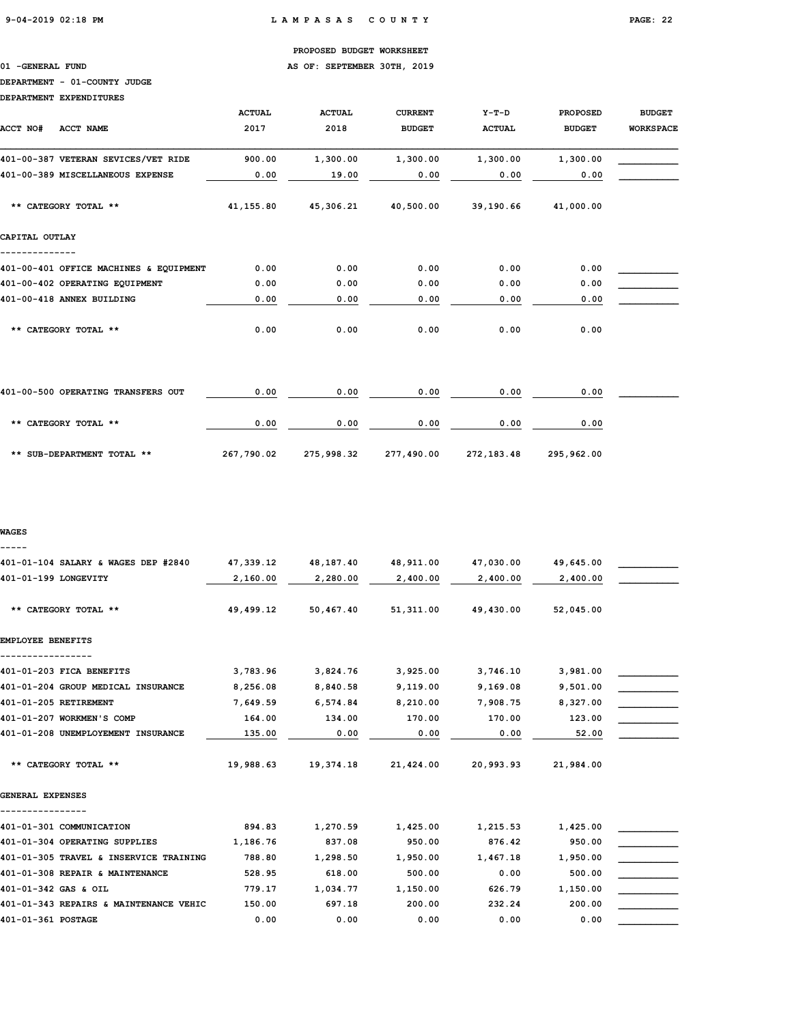01 -GENERAL FUND **AS OF: SEPTEMBER 30TH, 2019** 

## DEPARTMENT - 01-COUNTY JUDGE

DEPARTMENT EXPENDITURES

| ACCT NO#<br>ACCT NAME                  | <b>ACTUAL</b><br>2017 | <b>ACTUAL</b><br>2018 | <b>CURRENT</b><br><b>BUDGET</b> | $Y-T-D$<br><b>ACTUAL</b> | <b>PROPOSED</b><br><b>BUDGET</b> | <b>BUDGET</b><br><b>WORKSPACE</b> |
|----------------------------------------|-----------------------|-----------------------|---------------------------------|--------------------------|----------------------------------|-----------------------------------|
| 401-00-387 VETERAN SEVICES/VET RIDE    | 900.00                | 1,300.00              | 1,300.00                        | 1,300.00                 | 1,300.00                         |                                   |
| 401-00-389 MISCELLANEOUS EXPENSE       | 0.00                  | 19.00                 | 0.00                            | 0.00                     | 0.00                             |                                   |
| ** CATEGORY TOTAL **                   | 41,155.80             | 45,306.21             | 40,500.00                       | 39,190.66                | 41,000.00                        |                                   |
| CAPITAL OUTLAY                         |                       |                       |                                 |                          |                                  |                                   |
| 401-00-401 OFFICE MACHINES & EQUIPMENT | 0.00                  | 0.00                  | 0.00                            | 0.00                     | 0.00                             |                                   |
| 401-00-402 OPERATING EQUIPMENT         | 0.00                  | 0.00                  | 0.00                            | 0.00                     | 0.00                             |                                   |
| 401-00-418 ANNEX BUILDING              | 0.00                  | 0.00                  | 0.00                            | 0.00                     | 0.00                             |                                   |
| ** CATEGORY TOTAL **                   | 0.00                  | 0.00                  | 0.00                            | 0.00                     | 0.00                             |                                   |
| 401-00-500 OPERATING TRANSFERS OUT     | 0.00                  | 0.00                  | 0.00                            | 0.00                     | 0.00                             |                                   |
| ** CATEGORY TOTAL **                   | 0.00                  | 0.00                  | 0.00                            | 0.00                     | 0.00                             |                                   |
|                                        |                       |                       |                                 |                          |                                  |                                   |

\*\* SUB-DEPARTMENT TOTAL \*\* 267,790.02 275,998.32 277,490.00 272,183.48 295,962.00

### WAGES

-----

| 401-01-199 LONGEVITY<br>2,280.00<br>2,400.00<br>2,160.00<br>2,400.00<br>2,400.00<br>** CATEGORY TOTAL **<br>49,499.12<br>50,467.40<br>51,311.00<br>49,430.00<br>52,045.00<br>EMPLOYEE BENEFITS<br>401-01-203 FICA BENEFITS<br>3,783.96<br>3,824.76<br>3,925.00<br>3,746.10<br>3,981.00<br>401-01-204 GROUP MEDICAL INSURANCE<br>8,256.08<br>9,501.00<br>8,840.58<br>9,119.00<br>9,169.08<br>401-01-205 RETIREMENT<br>7,649.59<br>6,574.84<br>8,210.00<br>7,908.75<br>8,327.00<br>401-01-207 WORKMEN'S COMP<br>164.00<br>123.00<br>134.00<br>170.00<br>170.00<br>401-01-208 UNEMPLOYEMENT INSURANCE<br>135.00<br>0.00<br>0.00<br>0.00<br>52.00<br>19,374.18<br>** CATEGORY TOTAL **<br>19,988.63<br>21,424.00<br>20,993.93<br>21,984.00<br>GENERAL EXPENSES<br>401-01-301 COMMUNICATION<br>1,270.59<br>894.83<br>1,425.00<br>1,215.53<br>1,425.00<br>401-01-304 OPERATING SUPPLIES<br>1,186.76<br>837.08<br>950.00<br>876.42<br>950.00<br>401-01-305 TRAVEL & INSERVICE TRAINING<br>788.80<br>1,298.50<br>1,467.18<br>1,950.00<br>1,950.00<br>401-01-308 REPAIR & MAINTENANCE<br>528.95<br>618.00<br>500.00<br>500.00<br>0.00<br>1,034.77<br>626.79<br>1,150.00<br>401-01-342 GAS & OIL<br>779.17<br>1,150.00<br>232.24<br>200.00<br>401-01-343 REPAIRS & MAINTENANCE VEHIC<br>150.00<br>697.18<br>200.00<br>401-01-361 POSTAGE<br>0.00<br>0.00<br>0.00<br>0.00<br>0.00 | 401-01-104 SALARY & WAGES DEP #2840 | 47,339.12 | 48,187.40 | 48,911.00 | 47,030.00 | 49,645.00 |  |
|------------------------------------------------------------------------------------------------------------------------------------------------------------------------------------------------------------------------------------------------------------------------------------------------------------------------------------------------------------------------------------------------------------------------------------------------------------------------------------------------------------------------------------------------------------------------------------------------------------------------------------------------------------------------------------------------------------------------------------------------------------------------------------------------------------------------------------------------------------------------------------------------------------------------------------------------------------------------------------------------------------------------------------------------------------------------------------------------------------------------------------------------------------------------------------------------------------------------------------------------------------------------------------------------------------------------------------------------------------------------|-------------------------------------|-----------|-----------|-----------|-----------|-----------|--|
|                                                                                                                                                                                                                                                                                                                                                                                                                                                                                                                                                                                                                                                                                                                                                                                                                                                                                                                                                                                                                                                                                                                                                                                                                                                                                                                                                                        |                                     |           |           |           |           |           |  |
|                                                                                                                                                                                                                                                                                                                                                                                                                                                                                                                                                                                                                                                                                                                                                                                                                                                                                                                                                                                                                                                                                                                                                                                                                                                                                                                                                                        |                                     |           |           |           |           |           |  |
|                                                                                                                                                                                                                                                                                                                                                                                                                                                                                                                                                                                                                                                                                                                                                                                                                                                                                                                                                                                                                                                                                                                                                                                                                                                                                                                                                                        |                                     |           |           |           |           |           |  |
|                                                                                                                                                                                                                                                                                                                                                                                                                                                                                                                                                                                                                                                                                                                                                                                                                                                                                                                                                                                                                                                                                                                                                                                                                                                                                                                                                                        |                                     |           |           |           |           |           |  |
|                                                                                                                                                                                                                                                                                                                                                                                                                                                                                                                                                                                                                                                                                                                                                                                                                                                                                                                                                                                                                                                                                                                                                                                                                                                                                                                                                                        |                                     |           |           |           |           |           |  |
|                                                                                                                                                                                                                                                                                                                                                                                                                                                                                                                                                                                                                                                                                                                                                                                                                                                                                                                                                                                                                                                                                                                                                                                                                                                                                                                                                                        |                                     |           |           |           |           |           |  |
|                                                                                                                                                                                                                                                                                                                                                                                                                                                                                                                                                                                                                                                                                                                                                                                                                                                                                                                                                                                                                                                                                                                                                                                                                                                                                                                                                                        |                                     |           |           |           |           |           |  |
|                                                                                                                                                                                                                                                                                                                                                                                                                                                                                                                                                                                                                                                                                                                                                                                                                                                                                                                                                                                                                                                                                                                                                                                                                                                                                                                                                                        |                                     |           |           |           |           |           |  |
|                                                                                                                                                                                                                                                                                                                                                                                                                                                                                                                                                                                                                                                                                                                                                                                                                                                                                                                                                                                                                                                                                                                                                                                                                                                                                                                                                                        |                                     |           |           |           |           |           |  |
|                                                                                                                                                                                                                                                                                                                                                                                                                                                                                                                                                                                                                                                                                                                                                                                                                                                                                                                                                                                                                                                                                                                                                                                                                                                                                                                                                                        |                                     |           |           |           |           |           |  |
|                                                                                                                                                                                                                                                                                                                                                                                                                                                                                                                                                                                                                                                                                                                                                                                                                                                                                                                                                                                                                                                                                                                                                                                                                                                                                                                                                                        |                                     |           |           |           |           |           |  |
|                                                                                                                                                                                                                                                                                                                                                                                                                                                                                                                                                                                                                                                                                                                                                                                                                                                                                                                                                                                                                                                                                                                                                                                                                                                                                                                                                                        |                                     |           |           |           |           |           |  |
|                                                                                                                                                                                                                                                                                                                                                                                                                                                                                                                                                                                                                                                                                                                                                                                                                                                                                                                                                                                                                                                                                                                                                                                                                                                                                                                                                                        |                                     |           |           |           |           |           |  |
|                                                                                                                                                                                                                                                                                                                                                                                                                                                                                                                                                                                                                                                                                                                                                                                                                                                                                                                                                                                                                                                                                                                                                                                                                                                                                                                                                                        |                                     |           |           |           |           |           |  |
|                                                                                                                                                                                                                                                                                                                                                                                                                                                                                                                                                                                                                                                                                                                                                                                                                                                                                                                                                                                                                                                                                                                                                                                                                                                                                                                                                                        |                                     |           |           |           |           |           |  |
|                                                                                                                                                                                                                                                                                                                                                                                                                                                                                                                                                                                                                                                                                                                                                                                                                                                                                                                                                                                                                                                                                                                                                                                                                                                                                                                                                                        |                                     |           |           |           |           |           |  |
|                                                                                                                                                                                                                                                                                                                                                                                                                                                                                                                                                                                                                                                                                                                                                                                                                                                                                                                                                                                                                                                                                                                                                                                                                                                                                                                                                                        |                                     |           |           |           |           |           |  |
|                                                                                                                                                                                                                                                                                                                                                                                                                                                                                                                                                                                                                                                                                                                                                                                                                                                                                                                                                                                                                                                                                                                                                                                                                                                                                                                                                                        |                                     |           |           |           |           |           |  |
|                                                                                                                                                                                                                                                                                                                                                                                                                                                                                                                                                                                                                                                                                                                                                                                                                                                                                                                                                                                                                                                                                                                                                                                                                                                                                                                                                                        |                                     |           |           |           |           |           |  |
|                                                                                                                                                                                                                                                                                                                                                                                                                                                                                                                                                                                                                                                                                                                                                                                                                                                                                                                                                                                                                                                                                                                                                                                                                                                                                                                                                                        |                                     |           |           |           |           |           |  |
|                                                                                                                                                                                                                                                                                                                                                                                                                                                                                                                                                                                                                                                                                                                                                                                                                                                                                                                                                                                                                                                                                                                                                                                                                                                                                                                                                                        |                                     |           |           |           |           |           |  |
|                                                                                                                                                                                                                                                                                                                                                                                                                                                                                                                                                                                                                                                                                                                                                                                                                                                                                                                                                                                                                                                                                                                                                                                                                                                                                                                                                                        |                                     |           |           |           |           |           |  |
|                                                                                                                                                                                                                                                                                                                                                                                                                                                                                                                                                                                                                                                                                                                                                                                                                                                                                                                                                                                                                                                                                                                                                                                                                                                                                                                                                                        |                                     |           |           |           |           |           |  |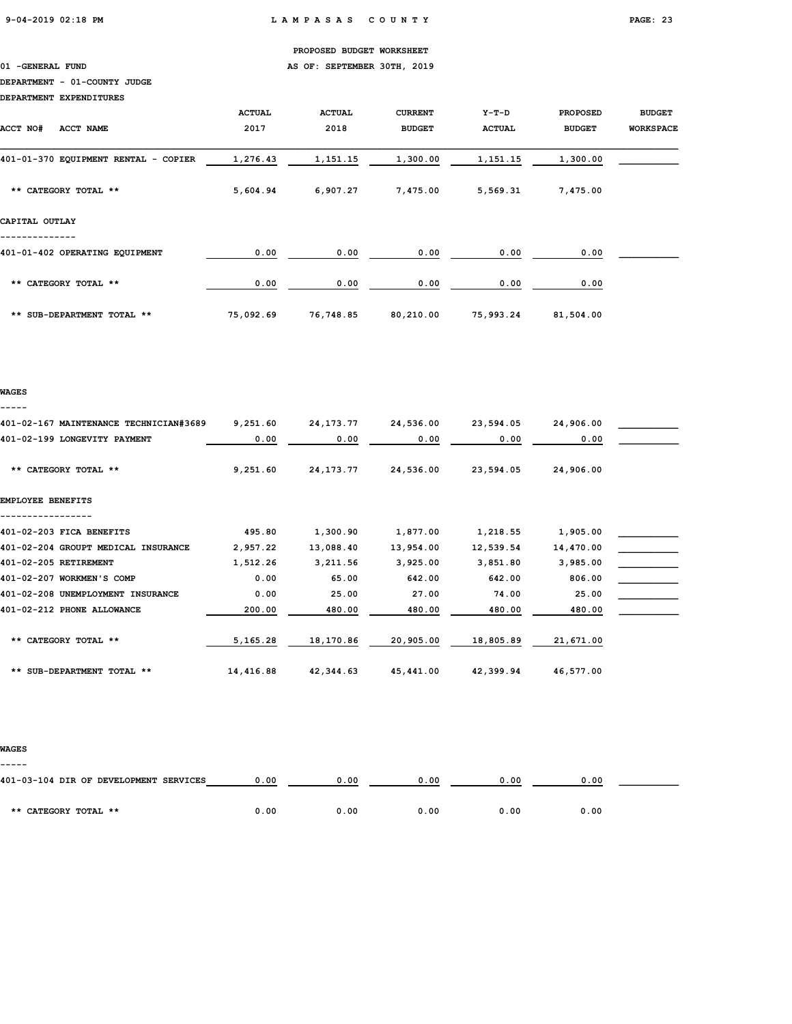01 -GENERAL FUND **AS OF: SEPTEMBER 30TH, 2019** 

# DEPARTMENT - 01-COUNTY JUDGE

DEPARTMENT EXPENDITURES

| <b>ACCT NO#</b><br>ACCT NAME         | <b>ACTUAL</b><br>2017 | <b>ACTUAL</b><br>2018 | <b>CURRENT</b><br><b>BUDGET</b> | Y-T-D<br><b>ACTUAL</b> | <b>PROPOSED</b><br><b>BUDGET</b> | <b>BUDGET</b><br><b>WORKSPACE</b> |
|--------------------------------------|-----------------------|-----------------------|---------------------------------|------------------------|----------------------------------|-----------------------------------|
| 401-01-370 EQUIPMENT RENTAL - COPIER | 1,276.43              | 1,151.15              | 1,300.00                        | 1,151.15               | 1,300.00                         |                                   |
| ** CATEGORY TOTAL **                 | 5,604.94              | 6,907.27              | 7,475.00                        | 5,569.31               | 7,475.00                         |                                   |
| CAPITAL OUTLAY                       |                       |                       |                                 |                        |                                  |                                   |
| 401-01-402 OPERATING EQUIPMENT       | 0.00                  | 0.00                  | 0.00                            | 0.00                   | 0.00                             |                                   |
| ** CATEGORY TOTAL **                 | 0.00                  | 0.00                  | 0.00                            | 0.00                   | 0.00                             |                                   |
| ** SUB-DEPARTMENT TOTAL **           | 75,092.69             | 76,748.85             | 80,210.00                       | 75,993.24              | 81,504.00                        |                                   |

### WAGES -----

| 401-02-167 MAINTENANCE TECHNICIAN#3689 | 9,251.60  | 24, 173. 77 | 24,536.00 | 23,594.05 | 24,906.00 |  |
|----------------------------------------|-----------|-------------|-----------|-----------|-----------|--|
| 401-02-199 LONGEVITY PAYMENT           | 0.00      | 0.00        | 0.00      | 0.00      | 0.00      |  |
| ** CATEGORY TOTAL **                   | 9,251.60  | 24, 173. 77 | 24,536.00 | 23,594.05 | 24,906.00 |  |
| EMPLOYEE BENEFITS                      |           |             |           |           |           |  |
|                                        |           |             |           |           |           |  |
| 401-02-203 FICA BENEFITS               | 495.80    | 1,300.90    | 1,877.00  | 1,218.55  | 1,905.00  |  |
| 401-02-204 GROUPT MEDICAL INSURANCE    | 2,957.22  | 13,088.40   | 13,954.00 | 12,539.54 | 14,470.00 |  |
| 401-02-205 RETIREMENT                  | 1,512.26  | 3,211.56    | 3,925.00  | 3,851.80  | 3,985.00  |  |
| 401-02-207 WORKMEN'S COMP              | 0.00      | 65.00       | 642.00    | 642.00    | 806.00    |  |
| 401-02-208 UNEMPLOYMENT INSURANCE      | 0.00      | 25.00       | 27.00     | 74.00     | 25.00     |  |
| 401-02-212 PHONE ALLOWANCE             | 200.00    | 480.00      | 480.00    | 480.00    | 480.00    |  |
| ** CATEGORY TOTAL **                   | 5,165.28  | 18,170.86   | 20,905.00 | 18,805.89 | 21,671.00 |  |
| ** SUB-DEPARTMENT TOTAL **             | 14,416.88 | 42,344.63   | 45,441.00 | 42,399.94 | 46,577.00 |  |

### WAGES

| -----                                  |      |      |      |      |      |  |
|----------------------------------------|------|------|------|------|------|--|
| 401-03-104 DIR OF DEVELOPMENT SERVICES | 0.00 | 0.00 | 0.00 | 0.00 | 0.00 |  |
|                                        |      |      |      |      |      |  |
| ** CATEGORY TOTAL **                   | 0.00 | 0.00 | 0.00 | 0.00 | 0.00 |  |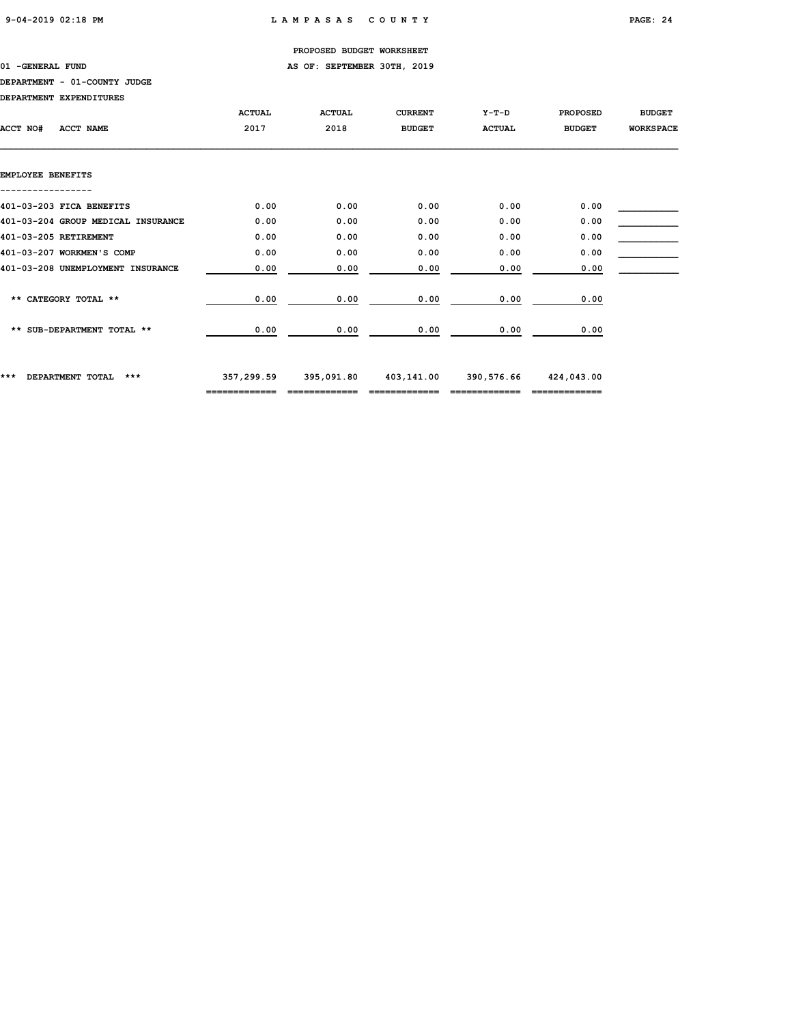01 -GENERAL FUND **AS OF: SEPTEMBER 30TH, 2019** 

# DEPARTMENT - 01-COUNTY JUDGE

DEPARTMENT EXPENDITURES

|                                    | <b>ACTUAL</b> | <b>ACTUAL</b> | <b>CURRENT</b> | $Y-T-D$       | <b>PROPOSED</b> | <b>BUDGET</b>    |
|------------------------------------|---------------|---------------|----------------|---------------|-----------------|------------------|
| ACCT NO#<br>ACCT NAME              | 2017          | 2018          | <b>BUDGET</b>  | <b>ACTUAL</b> | <b>BUDGET</b>   | <b>WORKSPACE</b> |
|                                    |               |               |                |               |                 |                  |
| EMPLOYEE BENEFITS                  |               |               |                |               |                 |                  |
| 401-03-203 FICA BENEFITS           | 0.00          | 0.00          | 0.00           | 0.00          | 0.00            |                  |
| 401-03-204 GROUP MEDICAL INSURANCE | 0.00          | 0.00          | 0.00           | 0.00          | 0.00            |                  |
| 401-03-205 RETIREMENT              | 0.00          | 0.00          | 0.00           | 0.00          | 0.00            |                  |
| 401-03-207 WORKMEN'S COMP          | 0.00          | 0.00          | 0.00           | 0.00          | 0.00            |                  |
| 401-03-208 UNEMPLOYMENT INSURANCE  | 0.00          | 0.00          | 0.00           | 0.00          | 0.00            |                  |
| ** CATEGORY TOTAL **               | 0.00          | 0.00          | 0.00           | 0.00          | 0.00            |                  |
|                                    |               |               |                |               |                 |                  |
| ** SUB-DEPARTMENT TOTAL **         | 0.00          | 0.00          | 0.00           | 0.00          | 0.00            |                  |
| ***<br>DEPARTMENT TOTAL<br>***     | 357,299.59    | 395,091.80    | 403,141.00     | 390,576.66    | 424,043.00      |                  |
|                                    |               |               |                |               |                 |                  |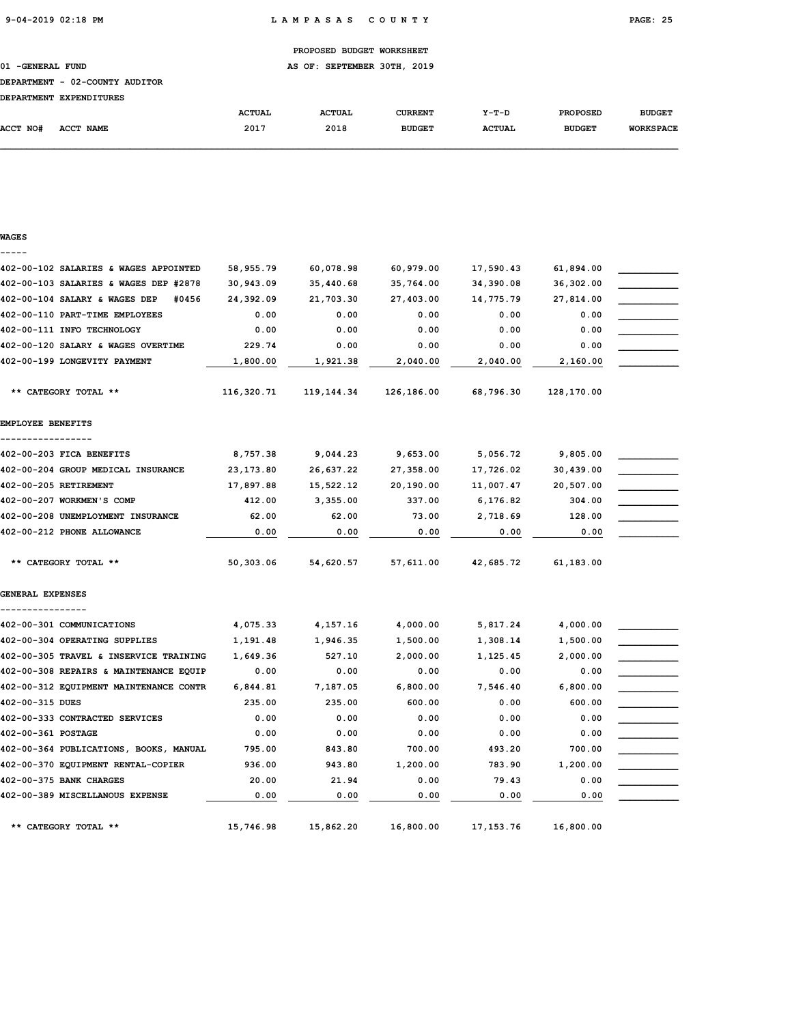01 -GENERAL FUND **AS OF: SEPTEMBER 30TH, 2019** 

### DEPARTMENT - 02-COUNTY AUDITOR

| DRDADMWRNM RYDRNDTMURC |  |
|------------------------|--|

| <b>DEPARTMENT</b> | <b>EXPENDITURES</b> |               |               |               |               |                 |                  |
|-------------------|---------------------|---------------|---------------|---------------|---------------|-----------------|------------------|
|                   |                     | <b>ACTUAL</b> | <b>ACTUAL</b> | CURRENT       | $Y-T-D$       | <b>PROPOSED</b> | <b>BUDGET</b>    |
| ACCT NO#          | <b>ACCT NAME</b>    | 2017          | 2018          | <b>BUDGET</b> | <b>ACTUAL</b> | <b>BUDGET</b>   | <b>WORKSPACE</b> |

| V | WAG |  | ٠ |  |
|---|-----|--|---|--|
|   |     |  |   |  |

| 402-00-102 SALARIES & WAGES APPOINTED  | 58,955.79  | 60,078.98  | 60,979.00  | 17,590.43   | 61,894.00  |  |
|----------------------------------------|------------|------------|------------|-------------|------------|--|
| 402-00-103 SALARIES & WAGES DEP #2878  | 30,943.09  | 35,440.68  | 35,764.00  | 34,390.08   | 36,302.00  |  |
| 402-00-104 SALARY & WAGES DEP<br>#0456 | 24,392.09  | 21,703.30  | 27,403.00  | 14,775.79   | 27,814.00  |  |
| 402-00-110 PART-TIME EMPLOYEES         | 0.00       | 0.00       | 0.00       | 0.00        | 0.00       |  |
| 402-00-111 INFO TECHNOLOGY             | 0.00       | 0.00       | 0.00       | 0.00        | 0.00       |  |
| 402-00-120 SALARY & WAGES OVERTIME     | 229.74     | 0.00       | 0.00       | 0.00        | 0.00       |  |
| 402-00-199 LONGEVITY PAYMENT           | 1,800.00   | 1,921.38   | 2,040.00   | 2,040.00    | 2,160.00   |  |
| ** CATEGORY TOTAL **                   | 116,320.71 | 119,144.34 | 126,186.00 | 68,796.30   | 128,170.00 |  |
| EMPLOYEE BENEFITS                      |            |            |            |             |            |  |
| 402-00-203 FICA BENEFITS               | 8,757.38   | 9,044.23   | 9,653.00   | 5,056.72    | 9,805.00   |  |
| 402-00-204 GROUP MEDICAL INSURANCE     | 23, 173.80 | 26,637.22  | 27,358.00  | 17,726.02   | 30,439.00  |  |
| 402-00-205 RETIREMENT                  | 17,897.88  | 15,522.12  | 20,190.00  | 11,007.47   | 20,507.00  |  |
| 402-00-207 WORKMEN'S COMP              | 412.00     | 3,355.00   | 337.00     | 6,176.82    | 304.00     |  |
| 402-00-208 UNEMPLOYMENT INSURANCE      | 62.00      | 62.00      | 73.00      | 2,718.69    | 128.00     |  |
| 402-00-212 PHONE ALLOWANCE             | 0.00       | 0.00       | 0.00       | 0.00        | 0.00       |  |
| ** CATEGORY TOTAL **                   | 50,303.06  | 54,620.57  | 57,611.00  | 42,685.72   | 61,183.00  |  |
| GENERAL EXPENSES                       |            |            |            |             |            |  |
|                                        |            |            |            |             |            |  |
| 402-00-301 COMMUNICATIONS              | 4,075.33   | 4,157.16   | 4,000.00   | 5,817.24    | 4,000.00   |  |
| 402-00-304 OPERATING SUPPLIES          | 1,191.48   | 1,946.35   | 1,500.00   | 1,308.14    | 1,500.00   |  |
| 402-00-305 TRAVEL & INSERVICE TRAINING | 1,649.36   | 527.10     | 2,000.00   | 1,125.45    | 2,000.00   |  |
| 402-00-308 REPAIRS & MAINTENANCE EQUIP | 0.00       | 0.00       | 0.00       | 0.00        | 0.00       |  |
| 402-00-312 EQUIPMENT MAINTENANCE CONTR | 6,844.81   | 7,187.05   | 6,800.00   | 7,546.40    | 6,800.00   |  |
| 402-00-315 DUES                        | 235.00     | 235.00     | 600.00     | 0.00        | 600.00     |  |
| 402-00-333 CONTRACTED SERVICES         | 0.00       | 0.00       | 0.00       | 0.00        | 0.00       |  |
| 402-00-361 POSTAGE                     | 0.00       | 0.00       | 0.00       | 0.00        | 0.00       |  |
| 402-00-364 PUBLICATIONS, BOOKS, MANUAL | 795.00     | 843.80     | 700.00     | 493.20      | 700.00     |  |
| 402-00-370 EQUIPMENT RENTAL-COPIER     | 936.00     | 943.80     | 1,200.00   | 783.90      | 1,200.00   |  |
| 402-00-375 BANK CHARGES                | 20.00      | 21.94      | 0.00       | 79.43       | 0.00       |  |
| 402-00-389 MISCELLANOUS EXPENSE        | 0.00       | 0.00       | 0.00       | 0.00        | 0.00       |  |
| ** CATEGORY TOTAL **                   | 15,746.98  | 15,862.20  | 16,800.00  | 17, 153. 76 | 16,800.00  |  |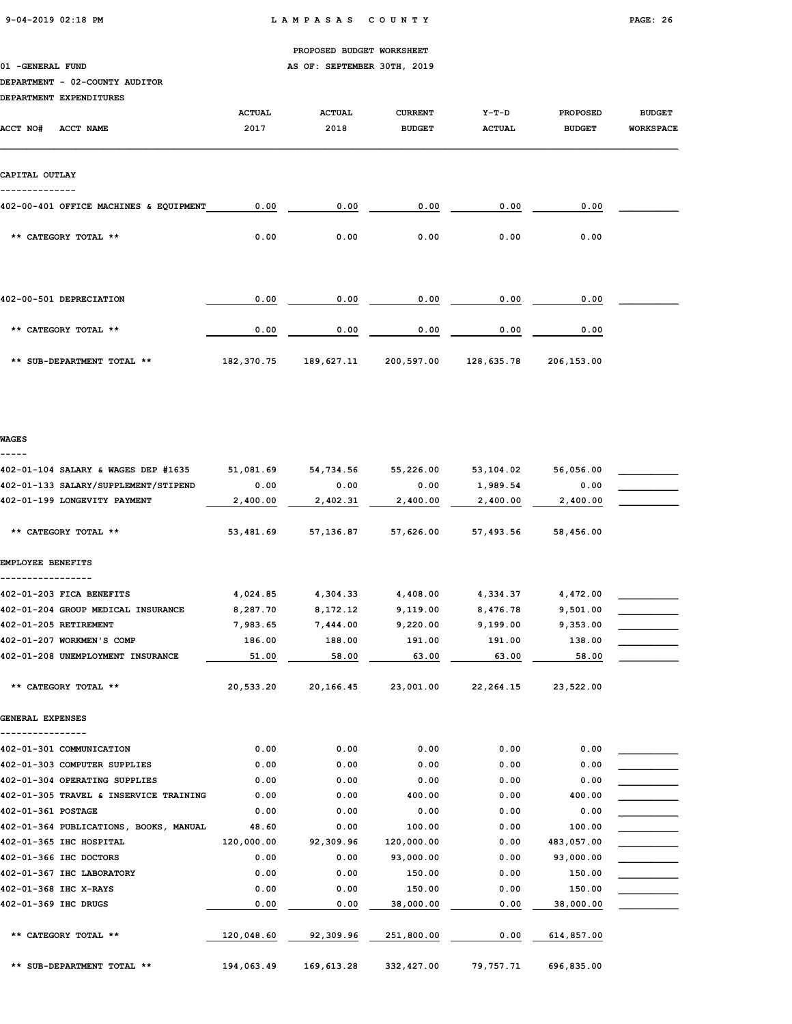01 -GENERAL FUND **AS OF: SEPTEMBER 30TH, 2019** 

### DEPARTMENT - 02-COUNTY AUDITOR

| DEPARTMENT EXPENDITURES                     |               |               |                |               |                 |                  |
|---------------------------------------------|---------------|---------------|----------------|---------------|-----------------|------------------|
|                                             | <b>ACTUAL</b> | <b>ACTUAL</b> | <b>CURRENT</b> | $Y-T-D$       | <b>PROPOSED</b> | <b>BUDGET</b>    |
| <b>ACCT NO#</b><br>ACCT NAME                | 2017          | 2018          | <b>BUDGET</b>  | <b>ACTUAL</b> | <b>BUDGET</b>   | <b>WORKSPACE</b> |
| CAPITAL OUTLAY                              |               |               |                |               |                 |                  |
|                                             |               |               |                |               |                 |                  |
| 402-00-401 OFFICE MACHINES & EQUIPMENT      | 0.00          | 0.00          | 0.00           | 0.00          | 0.00            |                  |
| ** CATEGORY TOTAL **                        | 0.00          | 0.00          | 0.00           | 0.00          | 0.00            |                  |
| 402-00-501 DEPRECIATION                     | 0.00          | 0.00          | 0.00           | 0.00          | 0.00            |                  |
| ** CATEGORY TOTAL **                        | 0.00          | 0.00          | 0.00           | 0.00          | 0.00            |                  |
| ** SUB-DEPARTMENT TOTAL **                  | 182,370.75    | 189,627.11    | 200,597.00     | 128,635.78    | 206,153.00      |                  |
| WAGES                                       |               |               |                |               |                 |                  |
| 402-01-104 SALARY & WAGES DEP #1635         | 51,081.69     | 54,734.56     | 55,226.00      | 53,104.02     | 56,056.00       |                  |
| 402-01-133 SALARY/SUPPLEMENT/STIPEND        | 0.00          | 0.00          | 0.00           | 1,989.54      | 0.00            |                  |
| 402-01-199 LONGEVITY PAYMENT                | 2,400.00      | 2,402.31      | 2,400.00       | 2,400.00      | 2,400.00        |                  |
| ** CATEGORY TOTAL **                        | 53,481.69     | 57,136.87     | 57,626.00      | 57,493.56     | 58,456.00       |                  |
| EMPLOYEE BENEFITS                           |               |               |                |               |                 |                  |
| ---------------<br>402-01-203 FICA BENEFITS | 4,024.85      | 4,304.33      | 4,408.00       | 4,334.37      | 4,472.00        |                  |
| 402-01-204 GROUP MEDICAL INSURANCE          | 8,287.70      | 8,172.12      | 9,119.00       | 8,476.78      | 9,501.00        |                  |
| 402-01-205 RETIREMENT                       | 7,983.65      | 7,444.00      | 9,220.00       | 9,199.00      | 9,353.00        |                  |
| 402-01-207 WORKMEN'S COMP                   | 186.00        | 188.00        | 191.00         | 191.00        | 138.00          |                  |
| 402-01-208 UNEMPLOYMENT INSURANCE           | 51.00         | 58.00         | 63.00          | 63.00         | 58.00           |                  |
| ** CATEGORY TOTAL **                        | 20,533.20     | 20,166.45     | 23,001.00      | 22,264.15     | 23,522.00       |                  |
| GENERAL EXPENSES                            |               |               |                |               |                 |                  |
| 402-01-301 COMMUNICATION                    | 0.00          | 0.00          | 0.00           | 0.00          | 0.00            |                  |
| 402-01-303 COMPUTER SUPPLIES                | 0.00          | 0.00          | 0.00           | 0.00          | 0.00            |                  |
| 402-01-304 OPERATING SUPPLIES               | 0.00          | 0.00          | 0.00           | 0.00          | 0.00            |                  |
| 402-01-305 TRAVEL & INSERVICE TRAINING      | 0.00          | 0.00          | 400.00         | 0.00          | 400.00          |                  |
| 402-01-361 POSTAGE                          | 0.00          | 0.00          | 0.00           | 0.00          | 0.00            |                  |
| 402-01-364 PUBLICATIONS, BOOKS, MANUAL      | 48.60         | 0.00          | 100.00         | 0.00          | 100.00          |                  |
| 402-01-365 IHC HOSPITAL                     | 120,000.00    | 92,309.96     | 120,000.00     | 0.00          | 483,057.00      |                  |
| 402-01-366 IHC DOCTORS                      | 0.00          | 0.00          | 93,000.00      | 0.00          | 93,000.00       |                  |
| 402-01-367 IHC LABORATORY                   | 0.00          | 0.00          | 150.00         | 0.00          | 150.00          |                  |

402-01-368 IHC X-RAYS 0.00 0.00 150.00 0.00 150.00 \_\_\_\_\_\_\_\_\_\_\_ 402-01-369 IHC DRUGS 0.00 0.00 38,000.00 0.00 38,000.00 \_\_\_\_\_\_\_\_\_\_\_

\*\* CATEGORY TOTAL \*\* 120,048.60 32,309.96 251,800.00 0.00 614,857.00

\*\* SUB-DEPARTMENT TOTAL \*\* 194,063.49 169,613.28 332,427.00 79,757.71 696,835.00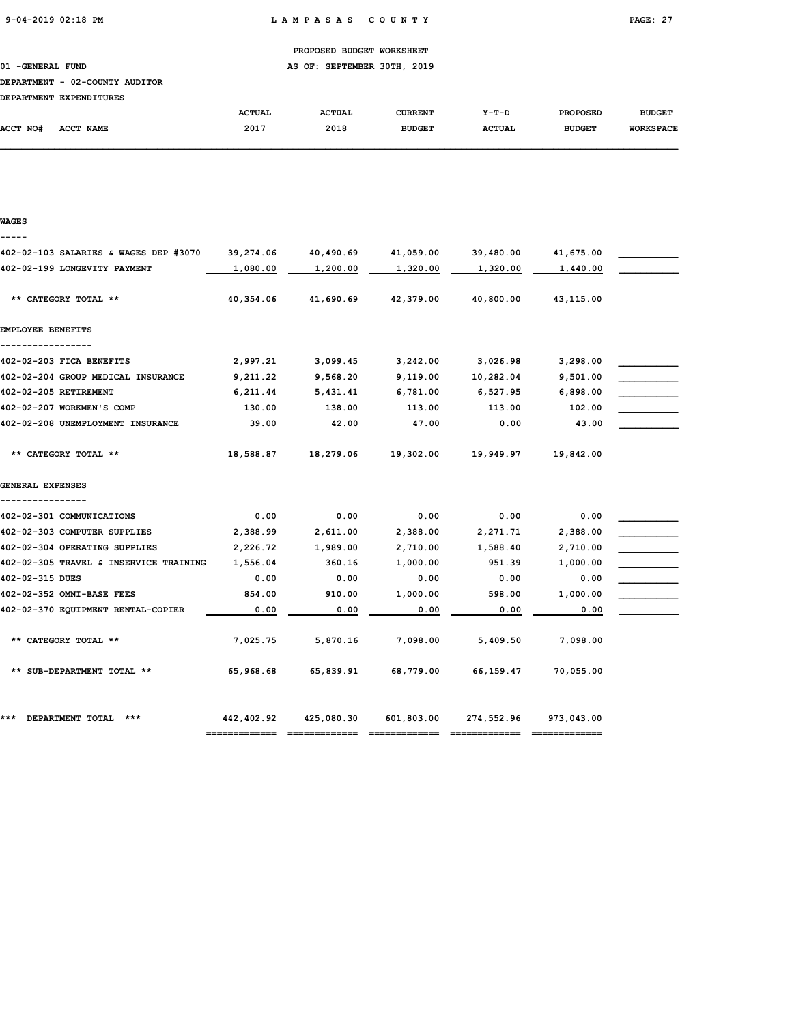01 -GENERAL FUND **AS OF: SEPTEMBER 30TH, 2019** 

### DEPARTMENT - 02-COUNTY AUDITOR

|                 | pserviveni safsnyfivno     |               |               |               |               |                 |                  |
|-----------------|----------------------------|---------------|---------------|---------------|---------------|-----------------|------------------|
|                 |                            | <b>ACTUAL</b> | <b>ACTUAL</b> | CURRENT       | $Y-T-D$       | <b>PROPOSED</b> | <b>BUDGET</b>    |
| <b>ACCT NO#</b> | <b>ACCT</b><br><b>NAME</b> | 2017          | 2018          | <b>BUDGET</b> | <b>ACTUAL</b> | <b>BUDGET</b>   | <b>WORKSPACE</b> |

| <b>WAGES</b> |  |
|--------------|--|
| --           |  |

| 402-02-103 SALARIES & WAGES DEP #3070  | 39,274.06  | 40,490.69  | 41,059.00                   | 39,480.00  | 41,675.00  |  |
|----------------------------------------|------------|------------|-----------------------------|------------|------------|--|
| 402-02-199 LONGEVITY PAYMENT           | 1,080.00   | 1,200.00   | 1,320.00                    | 1,320.00   | 1,440.00   |  |
|                                        |            |            |                             |            |            |  |
| ** CATEGORY TOTAL **                   | 40,354.06  | 41,690.69  | 42,379.00                   | 40,800.00  | 43,115.00  |  |
|                                        |            |            |                             |            |            |  |
| EMPLOYEE BENEFITS                      |            |            |                             |            |            |  |
| 402-02-203 FICA BENEFITS               | 2,997.21   | 3,099.45   | 3,242.00                    | 3,026.98   | 3,298.00   |  |
| 402-02-204 GROUP MEDICAL INSURANCE     | 9,211.22   | 9,568.20   | 9,119.00                    | 10,282.04  | 9,501.00   |  |
| 402-02-205 RETIREMENT                  | 6,211.44   | 5,431.41   | 6,781.00                    | 6,527.95   | 6,898.00   |  |
| 402-02-207 WORKMEN'S COMP              | 130.00     | 138.00     | 113.00                      | 113.00     | 102.00     |  |
| 402-02-208 UNEMPLOYMENT INSURANCE      |            |            |                             |            |            |  |
|                                        | 39.00      | 42.00      | 47.00                       | 0.00       | 43.00      |  |
| ** CATEGORY TOTAL **                   |            | 18,279.06  |                             |            |            |  |
|                                        | 18,588.87  |            | 19,302.00                   | 19,949.97  | 19,842.00  |  |
| GENERAL EXPENSES                       |            |            |                             |            |            |  |
|                                        |            |            |                             |            |            |  |
| 402-02-301 COMMUNICATIONS              | 0.00       | 0.00       | 0.00                        | 0.00       | 0.00       |  |
| 402-02-303 COMPUTER SUPPLIES           | 2,388.99   | 2,611.00   | 2,388.00                    | 2,271.71   | 2,388.00   |  |
| 402-02-304 OPERATING SUPPLIES          | 2,226.72   | 1,989.00   | 2,710.00                    | 1,588.40   | 2,710.00   |  |
| 402-02-305 TRAVEL & INSERVICE TRAINING | 1,556.04   | 360.16     | 1,000.00                    | 951.39     | 1,000.00   |  |
| 402-02-315 DUES                        | 0.00       | 0.00       | 0.00                        | 0.00       | 0.00       |  |
| 402-02-352 OMNI-BASE FEES              | 854.00     | 910.00     | 1,000.00                    | 598.00     | 1,000.00   |  |
| 402-02-370 EQUIPMENT RENTAL-COPIER     | 0.00       | 0.00       | 0.00                        | 0.00       | 0.00       |  |
|                                        |            |            |                             |            |            |  |
| ** CATEGORY TOTAL **                   | 7,025.75   | 5,870.16   | 7,098.00                    | 5,409.50   | 7,098.00   |  |
|                                        |            |            |                             |            |            |  |
| ** SUB-DEPARTMENT TOTAL **             | 65,968.68  | 65,839.91  | 68,779.00                   | 66,159.47  | 70,055.00  |  |
|                                        |            |            |                             |            |            |  |
|                                        |            |            |                             |            |            |  |
| DEPARTMENT TOTAL<br>$***$<br>***       | 442,402.92 | 425,080.30 | 601,803.00                  | 274,552.96 | 973,043.00 |  |
|                                        |            |            | =========================== |            |            |  |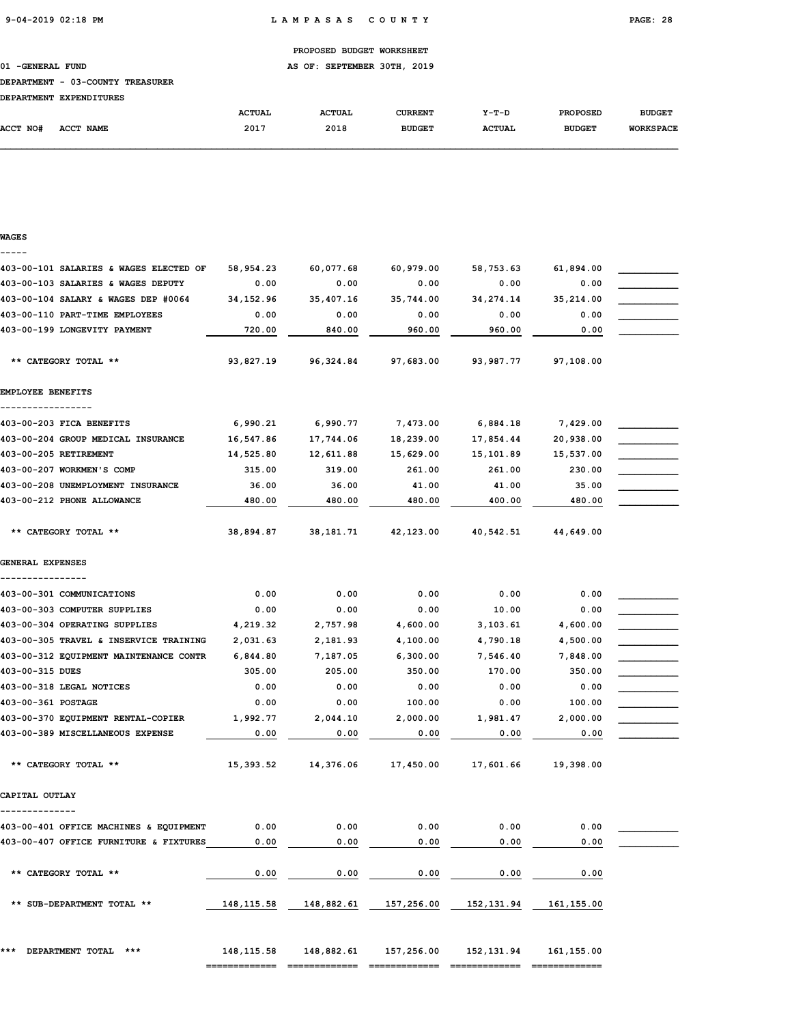01 -GENERAL FUND AS OF: SEPTEMBER 30TH, 2019

### DEPARTMENT - 03-COUNTY TREASURER

|          | DEPARTMENT EXPENDITURES |               |               |                |               |                 |                  |
|----------|-------------------------|---------------|---------------|----------------|---------------|-----------------|------------------|
|          |                         | <b>ACTUAL</b> | <b>ACTUAL</b> | <b>CURRENT</b> | $Y-T-D$       | <b>PROPOSED</b> | <b>BUDGET</b>    |
| ACCT NO# | ACCT NAME               | 2017          | 2018          | <b>BUDGET</b>  | <b>ACTUAL</b> | <b>BUDGET</b>   | <b>WORKSPACE</b> |

# WAGES ----- 403-00-101 SALARIES & WAGES ELECTED OF 58,954.23 60,077.68 60,979.00 58,753.63 61,894.00 \_\_\_\_\_\_\_\_\_\_\_ 403-00-103 SALARIES & WAGES DEPUTY  $0.00$   $0.00$   $0.00$   $0.00$   $0.00$   $0.00$   $0.00$ 403-00-104 SALARY & WAGES DEP #0064 34,152.96 35,407.16 35,744.00 34,274.14 35,214.00  $403-00-110$  PART-TIME EMPLOYEES  $0.00$   $0.00$   $0.00$   $0.00$   $0.00$   $0.00$   $0.00$ 403-00-199 LONGEVITY PAYMENT **120.00** 2840.00 2860.00 2860.00 2860.00 2860.00 \*\* CATEGORY TOTAL \*\* 93,827.19 96,324.84 97,683.00 93,987.77 97,108.00 EMPLOYEE BENEFITS ----------------- 403-00-203 FICA BENEFITS 6,990.21 6,990.77 7,473.00 6,884.18 7,429.00 403-00-204 GROUP MEDICAL INSURANCE  $16,547.86$   $17,744.06$   $18,239.00$   $17,854.44$   $20,938.00$ 403-00-205 RETIREMENT 14,525.80 12,611.88 15,629.00 15,101.89 15,537.00 \_\_\_\_\_\_\_\_\_\_\_ 403-00-207 WORKMEN'S COMP 315.00 319.00 261.00 261.00 261.00 230.00 403-00-208 UNEMPLOYMENT INSURANCE 36.00 36.00 41.00 41.00 35.00 \_\_\_\_\_\_\_\_\_\_\_ 403-00-212 PHONE ALLOWANCE 480.00 480.00 480.00 480.00 480.00 480.00 480.00 \*\* CATEGORY TOTAL \*\* 38,894.87 38,181.71 42,123.00 40,542.51 44,649.00 GENERAL EXPENSES ----------------  $403-00-301$  COMMUNICATIONS  $0.00$   $0.00$   $0.00$   $0.00$   $0.00$   $0.00$   $0.00$  $403-00-303$  COMPUTER SUPPLIES  $0.00$   $0.00$   $0.00$   $0.00$   $10.00$   $0.00$ 403-00-304 OPERATING SUPPLIES  $4,219.32$   $2,757.98$   $4,600.00$   $3,103.61$   $4,600.00$ 403-00-305 TRAVEL & INSERVICE TRAINING  $2,031.63$   $2,181.93$   $4,100.00$   $4,790.18$   $4,500.00$ 403-00-312 EQUIPMENT MAINTENANCE CONTR 6,844.80 7,187.05 6,300.00 7,546.40 7,848.00 403-00-315 DUES 305.00 205.00 350.00 170.00 350.00 \_\_\_\_\_\_\_\_\_\_\_  $403-00-318$  LEGAL NOTICES  $0.00$   $0.00$   $0.00$   $0.00$   $0.00$   $0.00$   $0.00$  $403-00-361$   $\textrm{POSTAGE}$   $\textrm{0.00}$   $\textrm{0.00}$   $\textrm{100.00}$   $\textrm{0.00}$   $\textrm{100.00}$   $\textrm{100.00}$ 403-00-370 EQUIPMENT RENTAL-COPIER  $1,992.77$  2,044.10 2,000.00 1,981.47 2,000.00 403-00-389 MISCELLANEOUS EXPENSE 0.00 0.00 0.00 0.00 0.00 \_\_\_\_\_\_\_\_\_\_\_ \*\* CATEGORY TOTAL \*\* 15,393.52 14,376.06 17,450.00 17,601.66 19,398.00 CAPITAL OUTLAY -------------- 403-00-401 OFFICE MACHINES & EQUIPMENT 0.00 0.00 0.00 0.00 0.00 \_\_\_\_\_\_\_\_\_\_\_ 403-00-407 OFFICE FURNITURE & FIXTURES  $0.00$   $0.00$   $0.00$   $0.00$   $0.00$   $0.00$   $0.00$  \*\* CATEGORY TOTAL \*\* 0.00 0.00 0.00 0.00 0.00 \*\* SUB-DEPARTMENT TOTAL \*\* 148,115.58 148,882.61 157,256.00 152,131.94 161,155.00 \*\*\* DEPARTMENT TOTAL \*\*\* 148,115.58 148,882.61 157,256.00 152,131.94 161,155.00

============= ============= ============= ============= =============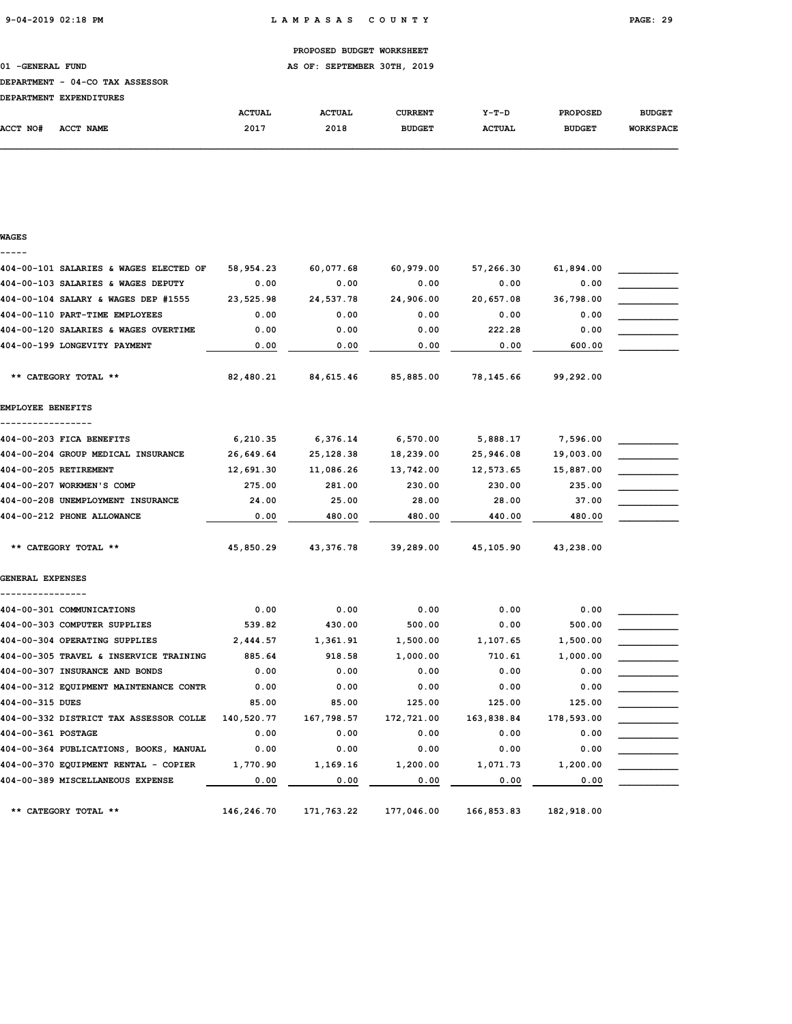01 -GENERAL FUND **AS OF: SEPTEMBER 30TH, 2019** 

### DEPARTMENT - 04-CO TAX ASSESSOR

| nentomuento evoenotomuec |  |
|--------------------------|--|

| <b>DEPARTMENT</b> | <b>EXPENDITURES</b> |               |               |               |               |                 |                  |
|-------------------|---------------------|---------------|---------------|---------------|---------------|-----------------|------------------|
|                   |                     | <b>ACTUAL</b> | <b>ACTUAL</b> | CURRENT       | $Y-T-D$       | <b>PROPOSED</b> | <b>BUDGET</b>    |
| ACCT NO#          | <b>ACCT NAME</b>    | 2017          | 2018          | <b>BUDGET</b> | <b>ACTUAL</b> | <b>BUDGET</b>   | <b>WORKSPACE</b> |

| WAGES                                  |            |            |            |            |            |  |
|----------------------------------------|------------|------------|------------|------------|------------|--|
| 404-00-101 SALARIES & WAGES ELECTED OF | 58,954.23  | 60,077.68  | 60,979.00  | 57,266.30  | 61,894.00  |  |
| 404-00-103 SALARIES & WAGES DEPUTY     | 0.00       | 0.00       | 0.00       | 0.00       | 0.00       |  |
| 404-00-104 SALARY & WAGES DEP #1555    | 23,525.98  | 24,537.78  | 24,906.00  | 20,657.08  | 36,798.00  |  |
| 404-00-110 PART-TIME EMPLOYEES         | 0.00       | 0.00       | 0.00       | 0.00       | 0.00       |  |
| 404-00-120 SALARIES & WAGES OVERTIME   | 0.00       | 0.00       | 0.00       | 222.28     | 0.00       |  |
| 404-00-199 LONGEVITY PAYMENT           | 0.00       | 0.00       | 0.00       | 0.00       | 600.00     |  |
| ** CATEGORY TOTAL **                   | 82,480.21  | 84,615.46  | 85,885.00  | 78,145.66  | 99,292.00  |  |
| EMPLOYEE BENEFITS                      |            |            |            |            |            |  |
| 404-00-203 FICA BENEFITS               | 6,210.35   | 6,376.14   | 6,570.00   | 5,888.17   | 7,596.00   |  |
| 404-00-204 GROUP MEDICAL INSURANCE     | 26,649.64  | 25,128.38  | 18,239.00  | 25,946.08  | 19,003.00  |  |
| 404-00-205 RETIREMENT                  | 12,691.30  | 11,086.26  | 13,742.00  | 12,573.65  | 15,887.00  |  |
| 404-00-207 WORKMEN'S COMP              | 275.00     | 281.00     | 230.00     | 230.00     | 235.00     |  |
| 404-00-208 UNEMPLOYMENT INSURANCE      | 24.00      | 25.00      | 28.00      | 28.00      | 37.00      |  |
| 404-00-212 PHONE ALLOWANCE             | 0.00       | 480.00     | 480.00     | 440.00     | 480.00     |  |
| ** CATEGORY TOTAL **                   | 45,850.29  | 43,376.78  | 39,289.00  | 45,105.90  | 43,238.00  |  |
| <b>GENERAL EXPENSES</b>                |            |            |            |            |            |  |
| 404-00-301 COMMUNICATIONS              | 0.00       | 0.00       | 0.00       | 0.00       | 0.00       |  |
| 404-00-303 COMPUTER SUPPLIES           | 539.82     | 430.00     | 500.00     | 0.00       | 500.00     |  |
| 404-00-304 OPERATING SUPPLIES          | 2,444.57   | 1,361.91   | 1,500.00   | 1,107.65   | 1,500.00   |  |
| 404-00-305 TRAVEL & INSERVICE TRAINING | 885.64     | 918.58     | 1,000.00   | 710.61     | 1,000.00   |  |
| 404-00-307 INSURANCE AND BONDS         | 0.00       | 0.00       | 0.00       | 0.00       | 0.00       |  |
| 404-00-312 EQUIPMENT MAINTENANCE CONTR | 0.00       | 0.00       | 0.00       | 0.00       | 0.00       |  |
| 404-00-315 DUES                        | 85.00      | 85.00      | 125.00     | 125.00     | 125.00     |  |
| 404-00-332 DISTRICT TAX ASSESSOR COLLE | 140,520.77 | 167,798.57 | 172,721.00 | 163,838.84 | 178,593.00 |  |
| 404-00-361 POSTAGE                     | 0.00       | 0.00       | 0.00       | 0.00       | 0.00       |  |
| 404-00-364 PUBLICATIONS, BOOKS, MANUAL | 0.00       | 0.00       | 0.00       | 0.00       | 0.00       |  |
| 404-00-370 EQUIPMENT RENTAL - COPIER   | 1,770.90   | 1,169.16   | 1,200.00   | 1,071.73   | 1,200.00   |  |
| 404-00-389 MISCELLANEOUS EXPENSE       | 0.00       | 0.00       | 0.00       | 0.00       | 0.00       |  |
| ** CATEGORY TOTAL **                   | 146,246.70 | 171,763.22 | 177,046.00 | 166,853.83 | 182,918.00 |  |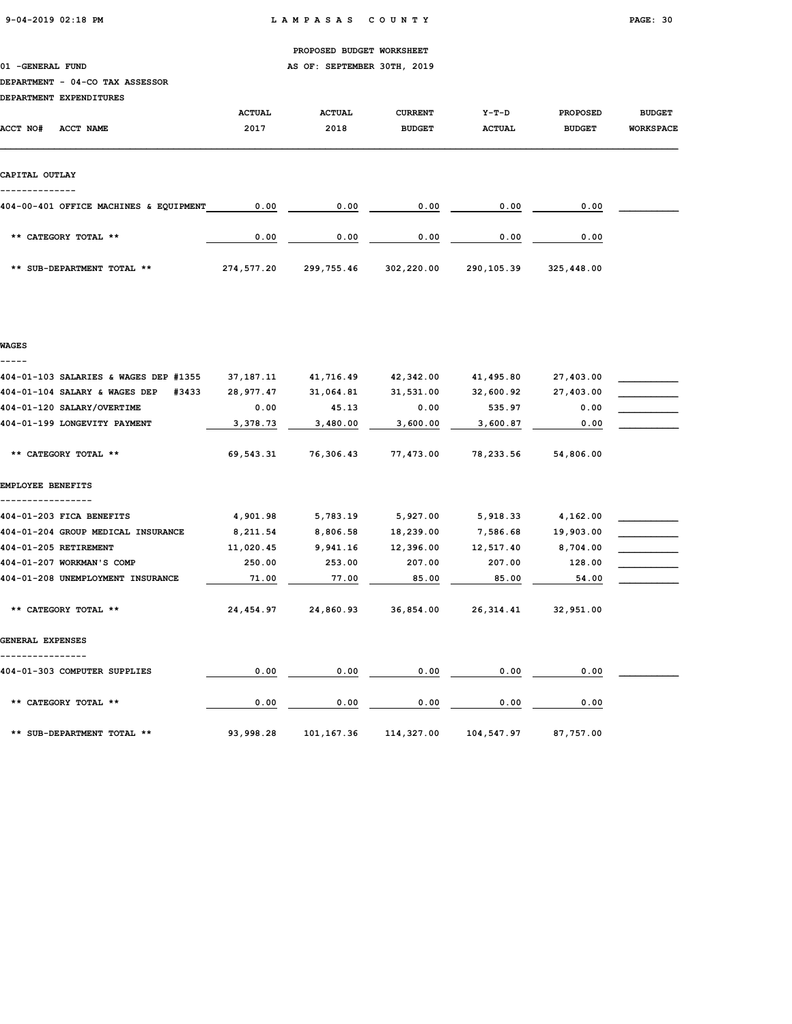01 -GENERAL FUND **AS OF: SEPTEMBER 30TH, 2019** 

### DEPARTMENT - 04-CO TAX ASSESSOR

| DEPARTMENT EXPENDITURES                |               |               |                |               |                 |                  |
|----------------------------------------|---------------|---------------|----------------|---------------|-----------------|------------------|
|                                        | <b>ACTUAL</b> | <b>ACTUAL</b> | <b>CURRENT</b> | $Y-T-D$       | <b>PROPOSED</b> | <b>BUDGET</b>    |
| <b>ACCT NO#</b><br>ACCT NAME           | 2017          | 2018          | <b>BUDGET</b>  | <b>ACTUAL</b> | <b>BUDGET</b>   | <b>WORKSPACE</b> |
|                                        |               |               |                |               |                 |                  |
|                                        |               |               |                |               |                 |                  |
| CAPITAL OUTLAY                         |               |               |                |               |                 |                  |
|                                        |               |               |                |               |                 |                  |
| 404-00-401 OFFICE MACHINES & EQUIPMENT | 0.00          | 0.00          | 0.00           | 0.00          | 0.00            |                  |
|                                        |               |               |                |               |                 |                  |
| ** CATEGORY TOTAL **                   | 0.00          | 0.00          | 0.00           | 0.00          | 0.00            |                  |
|                                        |               |               |                |               |                 |                  |
| ** SUB-DEPARTMENT TOTAL **             | 274,577.20    | 299,755.46    | 302,220.00     | 290,105.39    | 325,448.00      |                  |

### WAGES -----

| 404-01-103 SALARIES & WAGES DEP #1355  | 37, 187. 11 | 41,716.49   | 42,342.00  | 41,495.80  | 27,403.00 |  |
|----------------------------------------|-------------|-------------|------------|------------|-----------|--|
| 404-01-104 SALARY & WAGES DEP<br>#3433 | 28,977.47   | 31,064.81   | 31,531.00  | 32,600.92  | 27,403.00 |  |
| 404-01-120 SALARY/OVERTIME             | 0.00        | 45.13       | 0.00       | 535.97     | 0.00      |  |
| 404-01-199 LONGEVITY PAYMENT           | 3,378.73    | 3,480.00    | 3,600.00   | 3,600.87   | 0.00      |  |
| ** CATEGORY TOTAL **                   | 69,543.31   | 76,306.43   | 77,473.00  | 78,233.56  | 54,806.00 |  |
| EMPLOYEE BENEFITS                      |             |             |            |            |           |  |
|                                        |             |             |            |            |           |  |
| 404-01-203 FICA BENEFITS               | 4,901.98    | 5,783.19    | 5,927.00   | 5,918.33   | 4,162.00  |  |
| 404-01-204 GROUP MEDICAL INSURANCE     | 8,211.54    | 8,806.58    | 18,239.00  | 7,586.68   | 19,903.00 |  |
| 404-01-205 RETIREMENT                  | 11,020.45   | 9,941.16    | 12,396.00  | 12,517.40  | 8,704.00  |  |
| 404-01-207 WORKMAN'S COMP              | 250.00      | 253.00      | 207.00     | 207.00     | 128.00    |  |
| 404-01-208 UNEMPLOYMENT INSURANCE      | 71.00       | 77.00       | 85.00      | 85.00      | 54.00     |  |
| ** CATEGORY TOTAL **                   | 24,454.97   | 24,860.93   | 36,854.00  | 26,314.41  | 32,951.00 |  |
| GENERAL EXPENSES                       |             |             |            |            |           |  |
| 404-01-303 COMPUTER SUPPLIES           | 0.00        | 0.00        | 0.00       | 0.00       | 0.00      |  |
| ** CATEGORY TOTAL **                   | 0.00        | 0.00        | 0.00       | 0.00       | 0.00      |  |
| ** SUB-DEPARTMENT TOTAL **             | 93,998.28   | 101, 167.36 | 114,327.00 | 104,547.97 | 87,757.00 |  |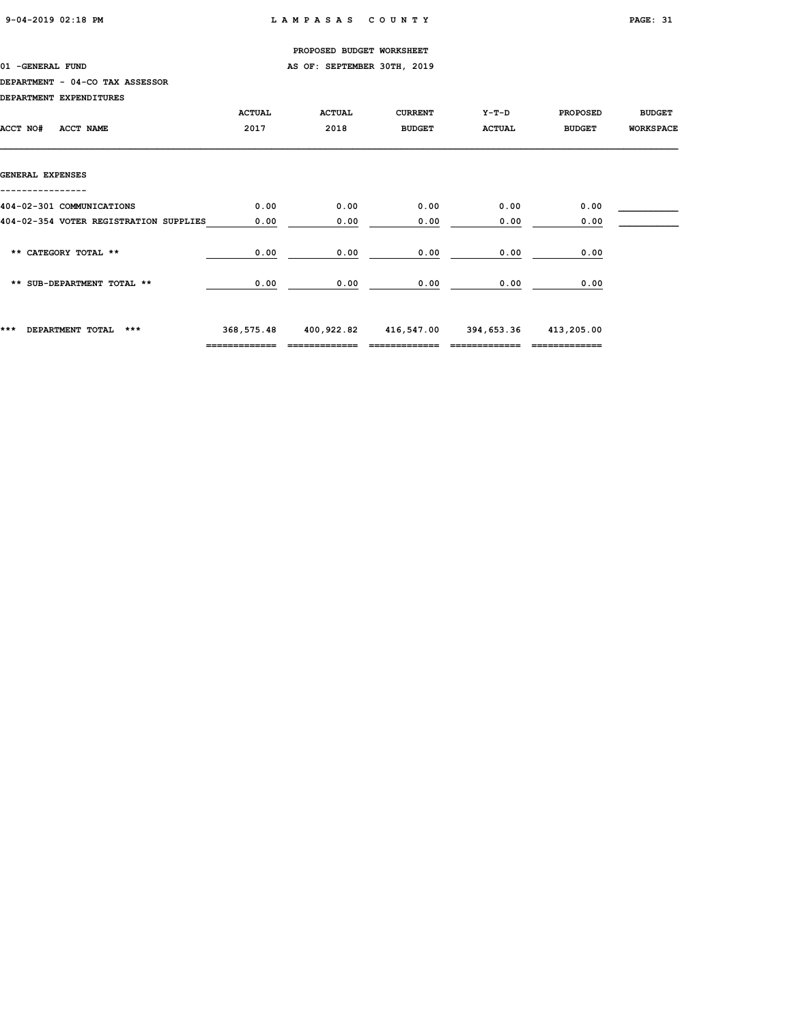01 -GENERAL FUND **AS OF: SEPTEMBER 30TH, 2019** 

# DEPARTMENT - 04-CO TAX ASSESSOR

DEPARTMENT EXPENDITURES

| DEPARIMENI EAPENDIIORES                |               |               |                |                       |                 |                  |
|----------------------------------------|---------------|---------------|----------------|-----------------------|-----------------|------------------|
|                                        | <b>ACTUAL</b> | <b>ACTUAL</b> | <b>CURRENT</b> | $Y-T-D$               | <b>PROPOSED</b> | <b>BUDGET</b>    |
| ACCT NO#<br>ACCT NAME                  | 2017          | 2018          | <b>BUDGET</b>  | <b>ACTUAL</b>         | <b>BUDGET</b>   | <b>WORKSPACE</b> |
|                                        |               |               |                |                       |                 |                  |
|                                        |               |               |                |                       |                 |                  |
| GENERAL EXPENSES                       |               |               |                |                       |                 |                  |
|                                        |               |               |                |                       |                 |                  |
| 404-02-301 COMMUNICATIONS              | 0.00          | 0.00          | 0.00           | 0.00                  | 0.00            |                  |
| 404-02-354 VOTER REGISTRATION SUPPLIES | 0.00          | 0.00          | 0.00           | 0.00                  | 0.00            |                  |
|                                        |               |               |                |                       |                 |                  |
| ** CATEGORY TOTAL **                   | 0.00          | 0.00          | 0.00           | 0.00                  | 0.00            |                  |
|                                        |               |               |                |                       |                 |                  |
| ** SUB-DEPARTMENT TOTAL **             | 0.00          | 0.00          | 0.00           | 0.00                  | 0.00            |                  |
|                                        |               |               |                |                       |                 |                  |
|                                        |               |               |                |                       |                 |                  |
| ***<br>DEPARTMENT TOTAL<br>$***$       | 368,575.48    | 400,922.82    |                | 416,547.00 394,653.36 | 413,205.00      |                  |
|                                        | ============= |               |                |                       | =============   |                  |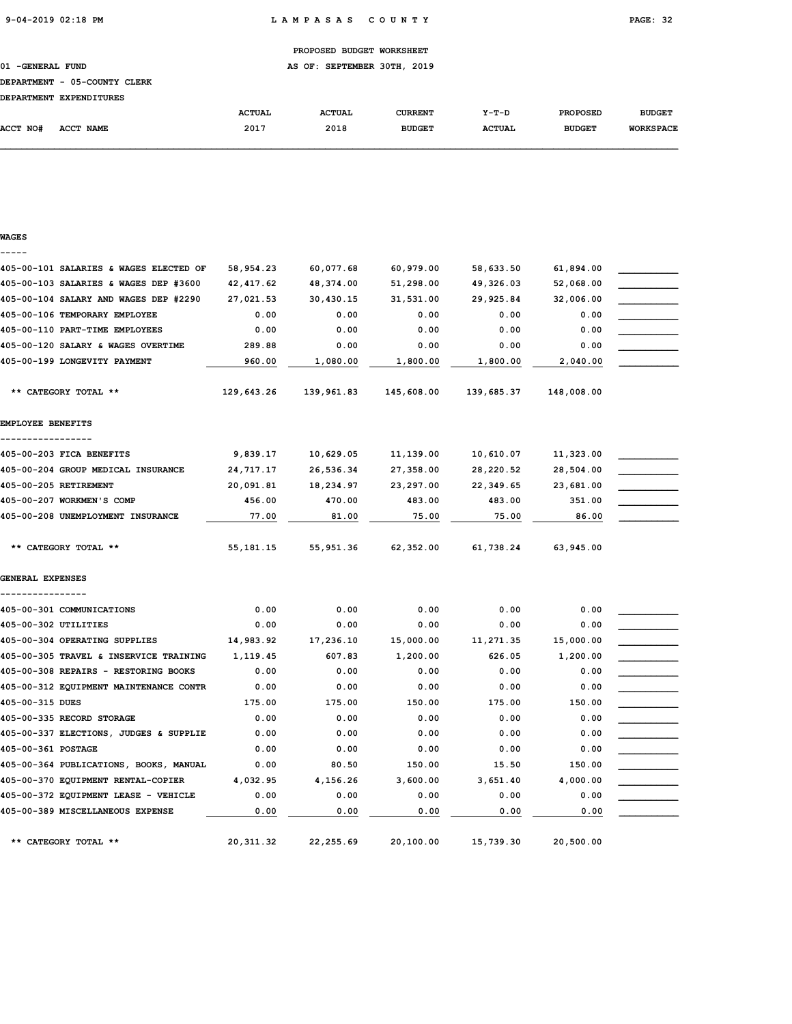01 -GENERAL FUND **AS OF: SEPTEMBER 30TH, 2019** 

# DEPARTMENT - 05-COUNTY CLERK

|          | DEPARTMENT EXPENDITURES |               |               |               |               |                 |                  |
|----------|-------------------------|---------------|---------------|---------------|---------------|-----------------|------------------|
|          |                         | <b>ACTUAL</b> | <b>ACTUAL</b> | CURRENT       | $Y-T-D$       | <b>PROPOSED</b> | <b>BUDGET</b>    |
| ACCT NO# | <b>ACCT NAME</b>        | 2017          | 2018          | <b>BUDGET</b> | <b>ACTUAL</b> | <b>BUDGET</b>   | <b>WORKSPACE</b> |

### WAGES -----

| 405-00-101 SALARIES & WAGES ELECTED OF | 58,954.23   | 60,077.68  | 60,979.00  | 58,633.50  | 61,894.00  |  |
|----------------------------------------|-------------|------------|------------|------------|------------|--|
| 405-00-103 SALARIES & WAGES DEP #3600  | 42, 417.62  | 48,374.00  | 51,298.00  | 49,326.03  | 52,068.00  |  |
| 405-00-104 SALARY AND WAGES DEP #2290  | 27,021.53   | 30,430.15  | 31,531.00  | 29,925.84  | 32,006.00  |  |
| 405-00-106 TEMPORARY EMPLOYEE          | 0.00        | 0.00       | 0.00       | 0.00       | 0.00       |  |
| 405-00-110 PART-TIME EMPLOYEES         | 0.00        | 0.00       | 0.00       | 0.00       | 0.00       |  |
| 405-00-120 SALARY & WAGES OVERTIME     | 289.88      | 0.00       | 0.00       | 0.00       | 0.00       |  |
| 405-00-199 LONGEVITY PAYMENT           | 960.00      | 1,080.00   | 1,800.00   | 1,800.00   | 2,040.00   |  |
| ** CATEGORY TOTAL **                   | 129,643.26  | 139,961.83 | 145,608.00 | 139,685.37 | 148,008.00 |  |
| EMPLOYEE BENEFITS                      |             |            |            |            |            |  |
|                                        |             |            |            |            |            |  |
| 405-00-203 FICA BENEFITS               | 9,839.17    | 10,629.05  | 11,139.00  | 10,610.07  | 11,323.00  |  |
| 405-00-204 GROUP MEDICAL INSURANCE     | 24,717.17   | 26,536.34  | 27,358.00  | 28,220.52  | 28,504.00  |  |
| 405-00-205 RETIREMENT                  | 20,091.81   | 18,234.97  | 23,297.00  | 22,349.65  | 23,681.00  |  |
| 405-00-207 WORKMEN'S COMP              | 456.00      | 470.00     | 483.00     | 483.00     | 351.00     |  |
| 405-00-208 UNEMPLOYMENT INSURANCE      | 77.00       | 81.00      | 75.00      | 75.00      | 86.00      |  |
| ** CATEGORY TOTAL **                   | 55, 181. 15 | 55,951.36  | 62,352.00  | 61,738.24  | 63,945.00  |  |
| GENERAL EXPENSES                       |             |            |            |            |            |  |
| 405-00-301 COMMUNICATIONS              | 0.00        | 0.00       | 0.00       | 0.00       | 0.00       |  |
| 405-00-302 UTILITIES                   | 0.00        | 0.00       | 0.00       | 0.00       | 0.00       |  |
| 405-00-304 OPERATING SUPPLIES          | 14,983.92   | 17,236.10  | 15,000.00  | 11,271.35  | 15,000.00  |  |
| 405-00-305 TRAVEL & INSERVICE TRAINING | 1,119.45    | 607.83     | 1,200.00   | 626.05     | 1,200.00   |  |
| 405-00-308 REPAIRS - RESTORING BOOKS   | 0.00        | 0.00       | 0.00       | 0.00       | 0.00       |  |
| 405-00-312 EQUIPMENT MAINTENANCE CONTR | 0.00        | 0.00       | 0.00       | 0.00       | 0.00       |  |
| 405-00-315 DUES                        | 175.00      | 175.00     | 150.00     | 175.00     | 150.00     |  |
| 405-00-335 RECORD STORAGE              | 0.00        | 0.00       | 0.00       | 0.00       | 0.00       |  |
| 405-00-337 ELECTIONS, JUDGES & SUPPLIE | 0.00        | 0.00       | 0.00       | 0.00       | 0.00       |  |
| 405-00-361 POSTAGE                     | 0.00        | 0.00       | 0.00       | 0.00       | 0.00       |  |
| 405-00-364 PUBLICATIONS, BOOKS, MANUAL | 0.00        | 80.50      | 150.00     | 15.50      | 150.00     |  |
| 405-00-370 EQUIPMENT RENTAL-COPIER     | 4,032.95    | 4,156.26   | 3,600.00   | 3,651.40   | 4,000.00   |  |
| 405-00-372 EQUIPMENT LEASE - VEHICLE   | 0.00        | 0.00       | 0.00       | 0.00       | 0.00       |  |
| 405-00-389 MISCELLANEOUS EXPENSE       | 0.00        | 0.00       | 0.00       | 0.00       | 0.00       |  |
| ** CATEGORY TOTAL **                   | 20, 311.32  | 22, 255.69 | 20,100.00  | 15,739.30  | 20,500.00  |  |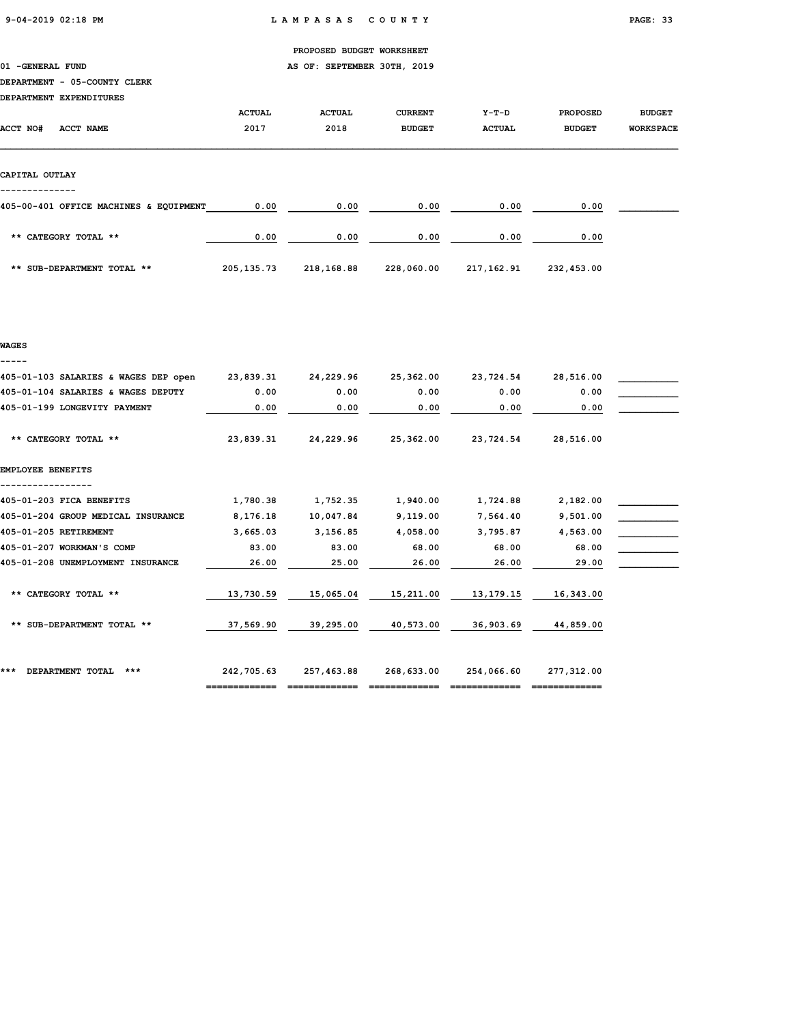01 -GENERAL FUND **AS OF: SEPTEMBER 30TH, 2019** 

# DEPARTMENT - 05-COUNTY CLERK

| DEPARTMENT EXPENDITURES                |               |               |                |               |                 |                  |
|----------------------------------------|---------------|---------------|----------------|---------------|-----------------|------------------|
|                                        | <b>ACTUAL</b> | <b>ACTUAL</b> | <b>CURRENT</b> | $Y-T-D$       | <b>PROPOSED</b> | <b>BUDGET</b>    |
| ACCT NO#<br>ACCT NAME                  | 2017          | 2018          | <b>BUDGET</b>  | <b>ACTUAL</b> | <b>BUDGET</b>   | <b>WORKSPACE</b> |
|                                        |               |               |                |               |                 |                  |
|                                        |               |               |                |               |                 |                  |
| CAPITAL OUTLAY                         |               |               |                |               |                 |                  |
|                                        |               |               |                |               |                 |                  |
| 405-00-401 OFFICE MACHINES & EQUIPMENT | 0.00          | 0.00          | 0.00           | 0.00          | 0.00            |                  |
|                                        |               |               |                |               |                 |                  |
| ** CATEGORY TOTAL **                   | 0.00          | 0.00          | 0.00           | 0.00          | 0.00            |                  |
|                                        |               |               |                |               |                 |                  |
| ** SUB-DEPARTMENT TOTAL **             | 205, 135. 73  | 218,168.88    | 228,060.00     | 217,162.91    | 232,453.00      |                  |

# WAGES -----

| 405-01-103 SALARIES & WAGES DEP open | 23,839.31  | 24,229.96  | 25,362.00  | 23,724.54  | 28,516.00  |  |
|--------------------------------------|------------|------------|------------|------------|------------|--|
| 405-01-104 SALARIES & WAGES DEPUTY   | 0.00       | 0.00       | 0.00       | 0.00       | 0.00       |  |
| 405-01-199 LONGEVITY PAYMENT         | 0.00       | 0.00       | 0.00       | 0.00       | 0.00       |  |
| ** CATEGORY TOTAL **                 | 23,839.31  | 24,229.96  | 25,362.00  | 23,724.54  | 28,516.00  |  |
| EMPLOYEE BENEFITS                    |            |            |            |            |            |  |
| 405-01-203 FICA BENEFITS             | 1,780.38   | 1,752.35   | 1,940.00   | 1,724.88   | 2,182.00   |  |
| 405-01-204 GROUP MEDICAL INSURANCE   | 8,176.18   | 10,047.84  | 9,119.00   | 7,564.40   | 9,501.00   |  |
| 405-01-205 RETIREMENT                | 3,665.03   | 3,156.85   | 4,058.00   | 3,795.87   | 4,563.00   |  |
| 405-01-207 WORKMAN'S COMP            | 83.00      | 83.00      | 68.00      | 68.00      | 68.00      |  |
| 405-01-208 UNEMPLOYMENT INSURANCE    | 26.00      | 25.00      | 26.00      | 26.00      | 29.00      |  |
| ** CATEGORY TOTAL **                 | 13,730.59  | 15,065.04  | 15,211.00  | 13,179.15  | 16,343.00  |  |
| ** SUB-DEPARTMENT TOTAL **           | 37,569.90  | 39,295.00  | 40,573.00  | 36,903.69  | 44,859.00  |  |
| ***<br>DEPARTMENT TOTAL<br>***       | 242,705.63 | 257,463.88 | 268,633.00 | 254,066.60 | 277,312.00 |  |
|                                      |            |            |            |            |            |  |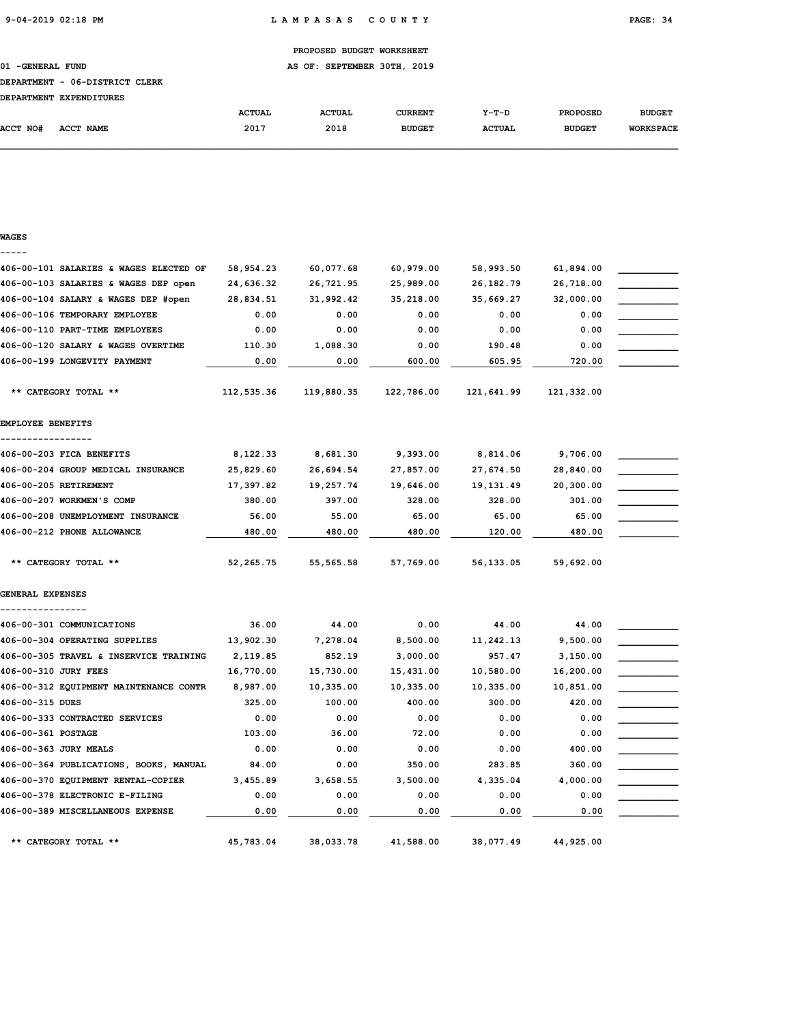01 -GENERAL FUND **AS OF: SEPTEMBER 30TH, 2019** 

### DEPARTMENT - 06-DISTRICT CLERK

|          | DEPARTMENT EXPENDITURES |               |               |               |               |                 |                  |
|----------|-------------------------|---------------|---------------|---------------|---------------|-----------------|------------------|
|          |                         | <b>ACTUAL</b> | <b>ACTUAL</b> | CURRENT       | $Y-T-D$       | <b>PROPOSED</b> | <b>BUDGET</b>    |
| ACCT NO# | <b>ACCT NAME</b>        | 2017          | 2018          | <b>BUDGET</b> | <b>ACTUAL</b> | <b>BUDGET</b>   | <b>WORKSPACE</b> |

| WAGES                                  |             |            |            |            |            |  |
|----------------------------------------|-------------|------------|------------|------------|------------|--|
| 406-00-101 SALARIES & WAGES ELECTED OF | 58,954.23   | 60,077.68  | 60,979.00  | 58,993.50  | 61,894.00  |  |
| 406-00-103 SALARIES & WAGES DEP open   | 24,636.32   | 26,721.95  | 25,989.00  | 26,182.79  | 26,718.00  |  |
| 406-00-104 SALARY & WAGES DEP #open    | 28,834.51   | 31,992.42  | 35,218.00  | 35,669.27  | 32,000.00  |  |
| 406-00-106 TEMPORARY EMPLOYEE          | 0.00        | 0.00       | 0.00       | 0.00       | 0.00       |  |
| 406-00-110 PART-TIME EMPLOYEES         | 0.00        | 0.00       | 0.00       | 0.00       | 0.00       |  |
| 406-00-120 SALARY & WAGES OVERTIME     | 110.30      | 1,088.30   | 0.00       | 190.48     | 0.00       |  |
| 406-00-199 LONGEVITY PAYMENT           | 0.00        | 0.00       | 600.00     | 605.95     | 720.00     |  |
| ** CATEGORY TOTAL **                   | 112,535.36  | 119,880.35 | 122,786.00 | 121,641.99 | 121,332.00 |  |
| EMPLOYEE BENEFITS                      |             |            |            |            |            |  |
| 406-00-203 FICA BENEFITS               | 8,122.33    | 8,681.30   | 9,393.00   | 8,814.06   | 9,706.00   |  |
| 406-00-204 GROUP MEDICAL INSURANCE     | 25,829.60   | 26,694.54  | 27,857.00  | 27,674.50  | 28,840.00  |  |
| 406-00-205 RETIREMENT                  | 17,397.82   | 19,257.74  | 19,646.00  | 19,131.49  | 20,300.00  |  |
| 406-00-207 WORKMEN'S COMP              | 380.00      | 397.00     | 328.00     | 328.00     | 301.00     |  |
| 406-00-208 UNEMPLOYMENT INSURANCE      | 56.00       | 55.00      | 65.00      | 65.00      | 65.00      |  |
| 406-00-212 PHONE ALLOWANCE             | 480.00      | 480.00     | 480.00     | 120.00     | 480.00     |  |
| ** CATEGORY TOTAL **                   | 52, 265. 75 | 55, 565.58 | 57,769.00  | 56,133.05  | 59,692.00  |  |
| GENERAL EXPENSES                       |             |            |            |            |            |  |
|                                        |             |            |            |            |            |  |
| 406-00-301 COMMUNICATIONS              | 36.00       | 44.00      | 0.00       | 44.00      | 44.00      |  |
| 406-00-304 OPERATING SUPPLIES          | 13,902.30   | 7,278.04   | 8,500.00   | 11,242.13  | 9,500.00   |  |
| 406-00-305 TRAVEL & INSERVICE TRAINING | 2,119.85    | 852.19     | 3,000.00   | 957.47     | 3,150.00   |  |
| 406-00-310 JURY FEES                   | 16,770.00   | 15,730.00  | 15,431.00  | 10,580.00  | 16,200.00  |  |
| 406-00-312 EQUIPMENT MAINTENANCE CONTR | 8,987.00    | 10,335.00  | 10,335.00  | 10,335.00  | 10,851.00  |  |
| 406-00-315 DUES                        | 325.00      | 100.00     | 400.00     | 300.00     | 420.00     |  |
| 406-00-333 CONTRACTED SERVICES         | 0.00        | 0.00       | 0.00       | 0.00       | 0.00       |  |
| 406-00-361 POSTAGE                     | 103.00      | 36.00      | 72.00      | 0.00       | 0.00       |  |
| 406-00-363 JURY MEALS                  | 0.00        | 0.00       | 0.00       | 0.00       | 400.00     |  |
| 406-00-364 PUBLICATIONS, BOOKS, MANUAL | 84.00       | 0.00       | 350.00     | 283.85     | 360.00     |  |
| 406-00-370 EQUIPMENT RENTAL-COPIER     | 3,455.89    | 3,658.55   | 3,500.00   | 4,335.04   | 4,000.00   |  |
| 406-00-378 ELECTRONIC E-FILING         | 0.00        | 0.00       | 0.00       | 0.00       | 0.00       |  |
| 406-00-389 MISCELLANEOUS EXPENSE       | 0.00        | 0.00       | 0.00       | 0.00       | 0.00       |  |
| ** CATEGORY TOTAL **                   | 45,783.04   | 38,033.78  | 41,588.00  | 38,077.49  | 44,925.00  |  |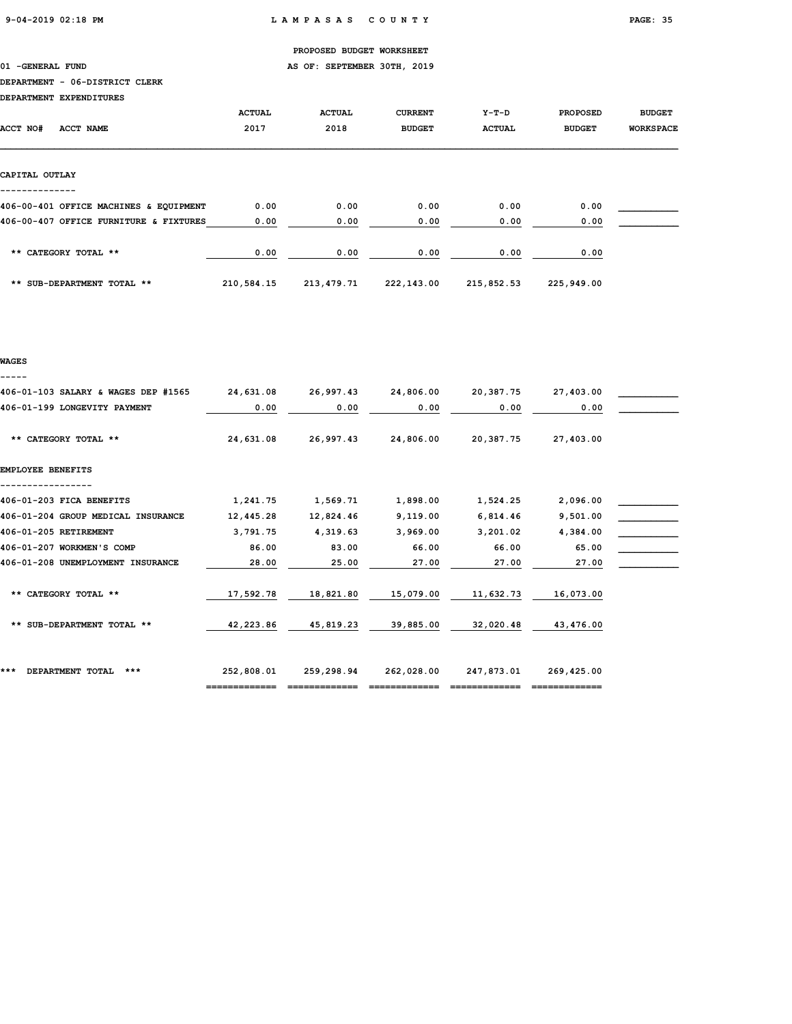01 -GENERAL FUND **AS OF: SEPTEMBER 30TH, 2019** 

### DEPARTMENT - 06-DISTRICT CLERK

DEPARTMENT EXPENDITURES

| DEPARTMENT EXPENDITURES                |               |               |                |               |                 |                  |
|----------------------------------------|---------------|---------------|----------------|---------------|-----------------|------------------|
|                                        | <b>ACTUAL</b> | <b>ACTUAL</b> | <b>CURRENT</b> | $Y-T-D$       | <b>PROPOSED</b> | <b>BUDGET</b>    |
| <b>ACCT NO#</b><br>ACCT NAME           | 2017          | 2018          | <b>BUDGET</b>  | <b>ACTUAL</b> | <b>BUDGET</b>   | <b>WORKSPACE</b> |
|                                        |               |               |                |               |                 |                  |
|                                        |               |               |                |               |                 |                  |
| CAPITAL OUTLAY                         |               |               |                |               |                 |                  |
|                                        |               |               |                |               |                 |                  |
| 406-00-401 OFFICE MACHINES & EQUIPMENT | 0.00          | 0.00          | 0.00           | 0.00          | 0.00            |                  |
| 406-00-407 OFFICE FURNITURE & FIXTURES | 0.00          | 0.00          | 0.00           | 0.00          | 0.00            |                  |
|                                        |               |               |                |               |                 |                  |
| ** CATEGORY TOTAL **                   | 0.00          | 0.00          | 0.00           | 0.00          | 0.00            |                  |
|                                        |               |               |                |               |                 |                  |
| ** SUB-DEPARTMENT TOTAL **             | 210,584.15    | 213,479.71    | 222,143.00     | 215,852.53    | 225,949.00      |                  |

### WAGES

-----

| 406-01-103 SALARY & WAGES DEP #1565 | 24,631.08  | 26,997.43  | 24,806.00  | 20,387.75  | 27,403.00  |  |
|-------------------------------------|------------|------------|------------|------------|------------|--|
| 406-01-199 LONGEVITY PAYMENT        | 0.00       | 0.00       | 0.00       | 0.00       | 0.00       |  |
| ** CATEGORY TOTAL **                | 24,631.08  | 26,997.43  | 24,806.00  | 20,387.75  | 27,403.00  |  |
| EMPLOYEE BENEFITS                   |            |            |            |            |            |  |
| 406-01-203 FICA BENEFITS            | 1,241.75   | 1,569.71   | 1,898.00   | 1,524.25   | 2,096.00   |  |
| 406-01-204 GROUP MEDICAL INSURANCE  | 12,445.28  | 12,824.46  | 9,119.00   | 6,814.46   | 9,501.00   |  |
| 406-01-205 RETIREMENT               | 3,791.75   | 4,319.63   | 3,969.00   | 3,201.02   | 4,384.00   |  |
| 406-01-207 WORKMEN'S COMP           | 86.00      | 83.00      | 66.00      | 66.00      | 65.00      |  |
| 406-01-208 UNEMPLOYMENT INSURANCE   | 28.00      | 25.00      | 27.00      | 27.00      | 27.00      |  |
| ** CATEGORY TOTAL **                | 17,592.78  | 18,821.80  | 15,079.00  | 11,632.73  | 16,073.00  |  |
| ** SUB-DEPARTMENT TOTAL **          | 42,223.86  | 45,819.23  | 39,885.00  | 32,020.48  | 43,476.00  |  |
| ***<br>DEPARTMENT TOTAL<br>***      | 252,808.01 | 259,298.94 | 262,028.00 | 247,873.01 | 269,425.00 |  |
|                                     |            |            |            |            |            |  |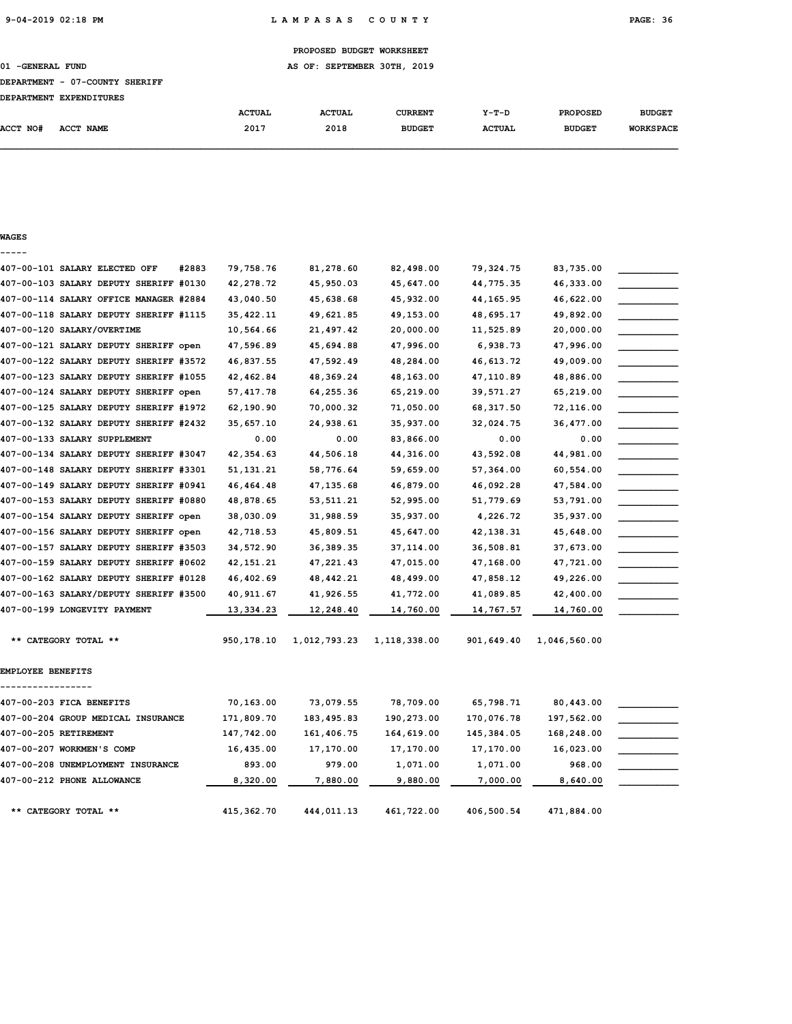# PROPOSED BUDGET WORKSHEET 01 -GENERAL FUND **AS OF: SEPTEMBER 30TH, 2019** DEPARTMENT - 07-COUNTY SHERIFF DEPARTMENT EXPENDITURES ACTUAL ACTUAL CURRENT Y-T-D PROPOSED BUDGET ACCT NO# ACCT NAME 2017 2018 BUDGET ACTUAL BUDGET WORKSPACE

### WAGES -----

|                          | 407-00-101 SALARY ELECTED OFF          | #2883<br>79,758.76 | 81,278.60    | 82,498.00    | 79,324.75  | 83,735.00    |  |
|--------------------------|----------------------------------------|--------------------|--------------|--------------|------------|--------------|--|
|                          | 407-00-103 SALARY DEPUTY SHERIFF #0130 | 42,278.72          | 45,950.03    | 45,647.00    | 44,775.35  | 46,333.00    |  |
|                          | 407-00-114 SALARY OFFICE MANAGER #2884 | 43,040.50          | 45,638.68    | 45,932.00    | 44, 165.95 | 46,622.00    |  |
|                          | 407-00-118 SALARY DEPUTY SHERIFF #1115 | 35, 422.11         | 49,621.85    | 49,153.00    | 48,695.17  | 49,892.00    |  |
|                          | 407-00-120 SALARY/OVERTIME             | 10,564.66          | 21,497.42    | 20,000.00    | 11,525.89  | 20,000.00    |  |
|                          | 407-00-121 SALARY DEPUTY SHERIFF open  | 47,596.89          | 45,694.88    | 47,996.00    | 6,938.73   | 47,996.00    |  |
|                          | 407-00-122 SALARY DEPUTY SHERIFF #3572 | 46,837.55          | 47,592.49    | 48,284.00    | 46,613.72  | 49,009.00    |  |
|                          | 407-00-123 SALARY DEPUTY SHERIFF #1055 | 42,462.84          | 48,369.24    | 48,163.00    | 47,110.89  | 48,886.00    |  |
|                          | 407-00-124 SALARY DEPUTY SHERIFF open  | 57, 417.78         | 64,255.36    | 65,219.00    | 39,571.27  | 65,219.00    |  |
|                          | 407-00-125 SALARY DEPUTY SHERIFF #1972 | 62,190.90          | 70,000.32    | 71,050.00    | 68, 317.50 | 72,116.00    |  |
|                          | 407-00-132 SALARY DEPUTY SHERIFF #2432 | 35,657.10          | 24,938.61    | 35,937.00    | 32,024.75  | 36,477.00    |  |
|                          | 407-00-133 SALARY SUPPLEMENT           | 0.00               | 0.00         | 83,866.00    | 0.00       | 0.00         |  |
|                          | 407-00-134 SALARY DEPUTY SHERIFF #3047 | 42, 354.63         | 44,506.18    | 44,316.00    | 43,592.08  | 44,981.00    |  |
|                          | 407-00-148 SALARY DEPUTY SHERIFF #3301 | 51, 131. 21        | 58,776.64    | 59,659.00    | 57,364.00  | 60,554.00    |  |
|                          | 407-00-149 SALARY DEPUTY SHERIFF #0941 | 46, 464. 48        | 47, 135.68   | 46,879.00    | 46,092.28  | 47,584.00    |  |
|                          | 407-00-153 SALARY DEPUTY SHERIFF #0880 | 48,878.65          | 53, 511.21   | 52,995.00    | 51,779.69  | 53,791.00    |  |
|                          | 407-00-154 SALARY DEPUTY SHERIFF open  | 38,030.09          | 31,988.59    | 35,937.00    | 4,226.72   | 35,937.00    |  |
|                          | 407-00-156 SALARY DEPUTY SHERIFF open  | 42,718.53          | 45,809.51    | 45,647.00    | 42, 138.31 | 45,648.00    |  |
|                          | 407-00-157 SALARY DEPUTY SHERIFF #3503 | 34,572.90          | 36,389.35    | 37, 114.00   | 36,508.81  | 37,673.00    |  |
|                          | 407-00-159 SALARY DEPUTY SHERIFF #0602 | 42, 151. 21        | 47,221.43    | 47,015.00    | 47,168.00  | 47,721.00    |  |
|                          | 407-00-162 SALARY DEPUTY SHERIFF #0128 | 46,402.69          | 48,442.21    | 48,499.00    | 47,858.12  | 49,226.00    |  |
|                          | 407-00-163 SALARY/DEPUTY SHERIFF #3500 | 40, 911.67         | 41,926.55    | 41,772.00    | 41,089.85  | 42,400.00    |  |
|                          | 407-00-199 LONGEVITY PAYMENT           | 13,334.23          | 12,248.40    | 14,760.00    | 14,767.57  | 14,760.00    |  |
|                          | ** CATEGORY TOTAL **                   | 950,178.10         | 1,012,793.23 | 1,118,338.00 | 901,649.40 | 1,046,560.00 |  |
| <b>EMPLOYEE BENEFITS</b> |                                        |                    |              |              |            |              |  |
|                          | 407-00-203 FICA BENEFITS               | 70,163.00          | 73,079.55    | 78,709.00    | 65,798.71  | 80,443.00    |  |
|                          | 407-00-204 GROUP MEDICAL INSURANCE     | 171,809.70         | 183,495.83   | 190,273.00   | 170,076.78 | 197,562.00   |  |
|                          | 407-00-205 RETIREMENT                  | 147,742.00         | 161,406.75   | 164,619.00   | 145,384.05 | 168,248.00   |  |
|                          | 407-00-207 WORKMEN'S COMP              | 16,435.00          | 17,170.00    | 17,170.00    | 17,170.00  | 16,023.00    |  |
|                          | 407-00-208 UNEMPLOYMENT INSURANCE      | 893.00             | 979.00       | 1,071.00     | 1,071.00   | 968.00       |  |
|                          | 407-00-212 PHONE ALLOWANCE             | 8,320.00           | 7,880.00     | 9,880.00     | 7,000.00   | 8,640.00     |  |
|                          | ** CATEGORY TOTAL **                   | 415, 362.70        | 444,011.13   | 461,722.00   | 406,500.54 | 471,884.00   |  |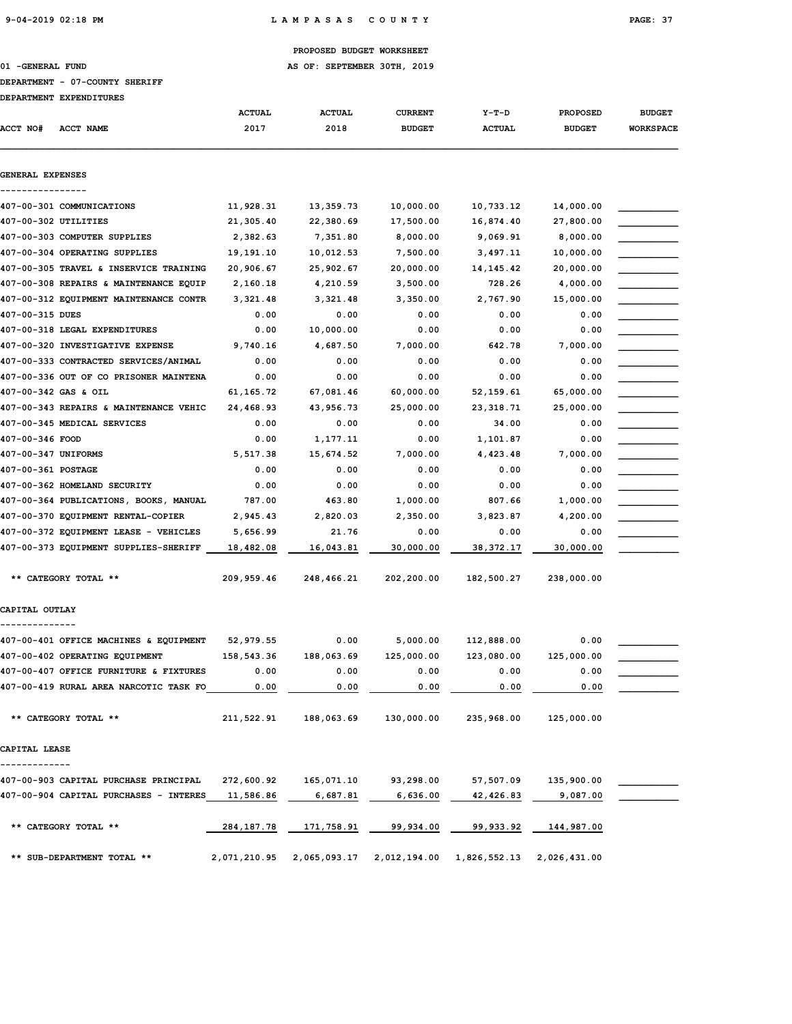01 -GENERAL FUND **AS OF: SEPTEMBER 30TH, 2019** 

### DEPARTMENT - 07-COUNTY SHERIFF

|                     | <b>DEPARTMENT EXPENDITURES</b>         |               |               |                |                           |               |                  |
|---------------------|----------------------------------------|---------------|---------------|----------------|---------------------------|---------------|------------------|
|                     |                                        | <b>ACTUAL</b> | <b>ACTUAL</b> | <b>CURRENT</b> | $Y-T-D$                   | PROPOSED      | <b>BUDGET</b>    |
| <b>ACCT NO#</b>     | ACCT NAME                              | 2017          | 2018          | <b>BUDGET</b>  | <b>ACTUAL</b>             | <b>BUDGET</b> | <b>WORKSPACE</b> |
| GENERAL EXPENSES    |                                        |               |               |                |                           |               |                  |
|                     |                                        |               |               |                |                           |               |                  |
|                     | 407-00-301 COMMUNICATIONS              | 11,928.31     | 13,359.73     | 10,000.00      | 10,733.12                 | 14,000.00     |                  |
|                     | 407-00-302 UTILITIES                   | 21,305.40     | 22,380.69     | 17,500.00      | 16,874.40                 | 27,800.00     |                  |
|                     | 407-00-303 COMPUTER SUPPLIES           | 2,382.63      | 7,351.80      | 8,000.00       | 9,069.91                  | 8,000.00      |                  |
|                     | 407-00-304 OPERATING SUPPLIES          | 19,191.10     | 10,012.53     | 7,500.00       | 3,497.11                  | 10,000.00     |                  |
|                     | 407-00-305 TRAVEL & INSERVICE TRAINING | 20,906.67     | 25,902.67     | 20,000.00      | 14, 145. 42               | 20,000.00     |                  |
|                     | 407-00-308 REPAIRS & MAINTENANCE EQUIP | 2,160.18      | 4,210.59      | 3,500.00       | 728.26                    | 4,000.00      |                  |
|                     | 407-00-312 EQUIPMENT MAINTENANCE CONTR | 3,321.48      | 3,321.48      | 3,350.00       | 2,767.90                  | 15,000.00     |                  |
| 407-00-315 DUES     |                                        | 0.00          | 0.00          | 0.00           | 0.00                      | 0.00          |                  |
|                     | 407-00-318 LEGAL EXPENDITURES          | 0.00          | 10,000.00     | 0.00           | 0.00                      | 0.00          |                  |
|                     | 407-00-320 INVESTIGATIVE EXPENSE       | 9,740.16      | 4,687.50      | 7,000.00       | 642.78                    | 7,000.00      |                  |
|                     | 407-00-333 CONTRACTED SERVICES/ANIMAL  | 0.00          | 0.00          | 0.00           | 0.00                      | 0.00          |                  |
|                     | 407-00-336 OUT OF CO PRISONER MAINTENA | 0.00          | 0.00          | 0.00           | 0.00                      | 0.00          |                  |
|                     | 407-00-342 GAS & OIL                   | 61, 165. 72   | 67,081.46     | 60,000.00      | 52,159.61                 | 65,000.00     |                  |
|                     | 407-00-343 REPAIRS & MAINTENANCE VEHIC | 24,468.93     | 43,956.73     | 25,000.00      | 23, 318.71                | 25,000.00     |                  |
|                     | 407-00-345 MEDICAL SERVICES            | 0.00          | 0.00          | 0.00           | 34.00                     | 0.00          |                  |
| 407-00-346 FOOD     |                                        | 0.00          | 1,177.11      | 0.00           | 1,101.87                  | 0.00          |                  |
| 407-00-347 UNIFORMS |                                        | 5,517.38      | 15,674.52     | 7,000.00       | 4,423.48                  | 7,000.00      |                  |
| 407-00-361 POSTAGE  |                                        | 0.00          | 0.00          | 0.00           | 0.00                      | 0.00          |                  |
|                     | 407-00-362 HOMELAND SECURITY           | 0.00          | 0.00          | 0.00           | 0.00                      | 0.00          |                  |
|                     | 407-00-364 PUBLICATIONS, BOOKS, MANUAL | 787.00        | 463.80        | 1,000.00       | 807.66                    | 1,000.00      |                  |
|                     | 407-00-370 EQUIPMENT RENTAL-COPIER     | 2,945.43      | 2,820.03      | 2,350.00       | 3,823.87                  | 4,200.00      |                  |
|                     | 407-00-372 EQUIPMENT LEASE - VEHICLES  | 5,656.99      | 21.76         | 0.00           | 0.00                      | 0.00          |                  |
|                     | 407-00-373 EQUIPMENT SUPPLIES-SHERIFF  | 18,482.08     | 16,043.81     | 30,000.00      | 38,372.17                 | 30,000.00     |                  |
|                     |                                        |               |               |                |                           |               |                  |
|                     | ** CATEGORY TOTAL **                   | 209,959.46    | 248,466.21    | 202,200.00     | 182,500.27                | 238,000.00    |                  |
| CAPITAL OUTLAY      |                                        |               |               |                |                           |               |                  |
|                     | 407-00-401 OFFICE MACHINES & EQUIPMENT | 52,979.55     | 0.00          | 5,000.00       | 112,888.00                | 0.00          |                  |
|                     | 407-00-402 OPERATING EQUIPMENT         | 158,543.36    | 188,063.69    | 125,000.00     | 123,080.00                | 125,000.00    |                  |
|                     | 407-00-407 OFFICE FURNITURE & FIXTURES | 0.00          | 0.00          | 0.00           | 0.00                      | 0.00          |                  |
|                     | 407-00-419 RURAL AREA NARCOTIC TASK FO | 0.00          | 0.00          | 0.00           | 0.00                      | 0.00          |                  |
|                     | ** CATEGORY TOTAL **                   | 211,522.91    | 188,063.69    | 130,000.00     | 235,968.00                | 125,000.00    |                  |
| CAPITAL LEASE       |                                        |               |               |                |                           |               |                  |
|                     |                                        |               |               |                |                           |               |                  |
|                     | 407-00-903 CAPITAL PURCHASE PRINCIPAL  | 272,600.92    | 165,071.10    | 93,298.00      | 57,507.09                 | 135,900.00    |                  |
|                     | 407-00-904 CAPITAL PURCHASES - INTERES | 11,586.86     | 6,687.81      | 6,636.00       | 42,426.83                 | 9,087.00      |                  |
|                     | ** CATEGORY TOTAL **                   | 284,187.78    | 171,758.91    | 99,934.00      | 99,933.92                 | 144,987.00    |                  |
|                     | ** SUB-DEPARTMENT TOTAL **             | 2,071,210.95  | 2,065,093.17  |                | 2,012,194.00 1,826,552.13 | 2,026,431.00  |                  |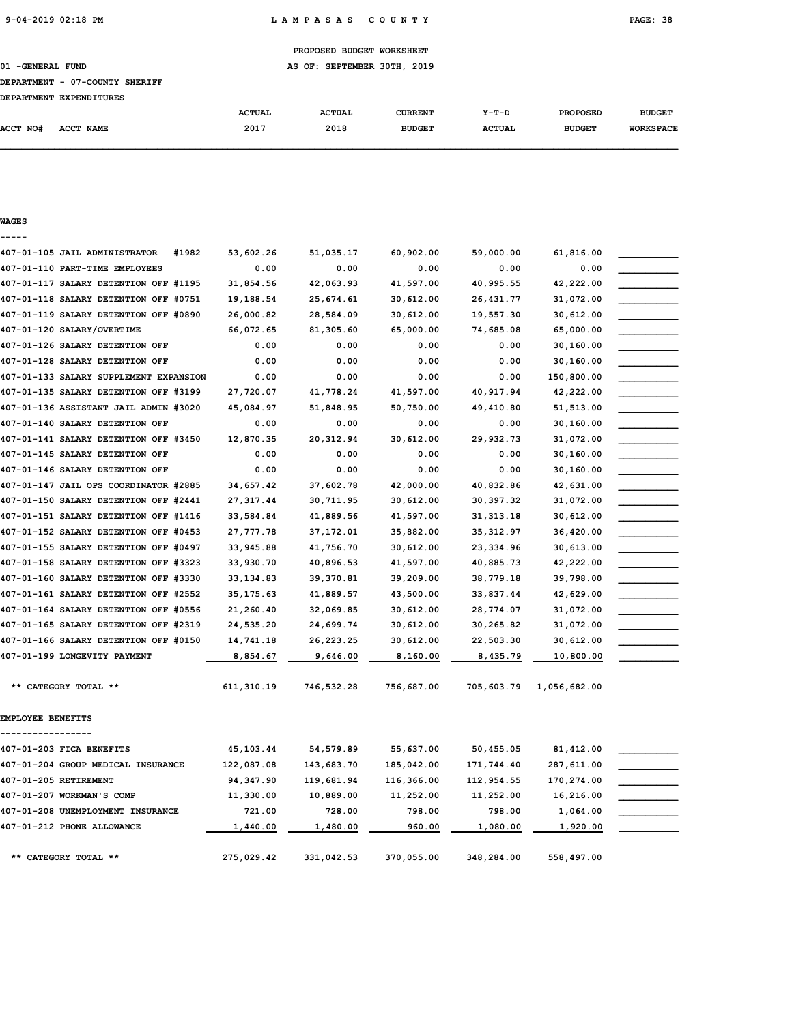01 -GENERAL FUND **AS OF: SEPTEMBER 30TH, 2019** 

#### DEPARTMENT - 07-COUNTY SHERIFF

|                 | DEPARTMENT EXPENDITURES |               |               |                |               |                 |                  |
|-----------------|-------------------------|---------------|---------------|----------------|---------------|-----------------|------------------|
|                 |                         | <b>ACTUAL</b> | <b>ACTUAL</b> | <b>CURRENT</b> | $Y-T-D$       | <b>PROPOSED</b> | <b>BUDGET</b>    |
| <b>ACCT NO#</b> | ACCT NAME               | 2017          | 2018          | <b>BUDGET</b>  | <b>ACTUAL</b> | <b>BUDGET</b>   | <b>WORKSPACE</b> |

#### WAGES -----

# 407-01-105 JAIL ADMINISTRATOR #1982 53,602.26 51,035.17 60,902.00 59,000.00 61,816.00 \_\_\_\_\_\_\_\_\_\_\_  $407-01-110$  PART-TIME EMPLOYEES  $0.00$   $0.00$   $0.00$   $0.00$   $0.00$   $0.00$   $0.00$ 407-01-117 SALARY DETENTION OFF #1195 31,854.56 42,063.93 41,597.00 40,995.55 42,222.00 407-01-118 SALARY DETENTION OFF #0751 19,188.54 25,674.61 30,612.00 26,431.77 31,072.00 407-01-119 SALARY DETENTION OFF #0890 26,000.82 28,584.09 30,612.00 19,557.30 30,612.00 \_\_\_\_\_\_\_\_\_\_\_ 407-01-120 SALARY/OVERTIME 66,072.65 81,305.60 65,000.00 74,685.08 65,000.00 \_\_\_\_\_\_\_\_\_\_\_ 407-01-126 SALARY DETENTION OFF  $0.00$   $0.00$   $0.00$   $0.00$   $0.00$   $0.00$   $30,160.00$ 407-01-128 SALARY DETENTION OFF  $0.00$   $0.00$   $0.00$   $0.00$   $0.00$   $0.00$   $30,160.00$ 407-01-133 SALARY SUPPLEMENT EXPANSION  $0.00$   $0.00$   $0.00$   $0.00$   $0.00$   $0.00$   $150,800.00$ 407-01-135 SALARY DETENTION OFF #3199 27,720.07 41,778.24 41,597.00 40,917.94 42,222.00 407-01-136 ASSISTANT JAIL ADMIN #3020 45,084.97 51,848.95 50,750.00 49,410.80 51,513.00 \_\_\_\_\_\_\_\_\_\_\_ 407-01-140 SALARY DETENTION OFF  $0.00$   $0.00$   $0.00$   $0.00$   $0.00$   $0.00$   $30,160.00$ 407-01-141 SALARY DETENTION OFF #3450 12,870.35 20,312.94 30,612.00 29,932.73 31,072.00 407-01-145 SALARY DETENTION OFF  $0.00$   $0.00$   $0.00$   $0.00$   $0.00$   $0.00$   $30,160.00$ 407-01-146 SALARY DETENTION OFF  $0.00$   $0.00$   $0.00$   $0.00$   $0.00$   $0.00$   $30,160.00$ 407-01-147 JAIL OPS COORDINATOR #2885 34,657.42 37,602.78 42,000.00 40,832.86 42,631.00 \_\_\_\_\_\_\_\_\_\_\_ 407-01-150 SALARY DETENTION OFF #2441 27,317.44 30,711.95 30,612.00 30,397.32 31,072.00 \_\_\_\_\_\_\_\_\_\_\_ 407-01-151 SALARY DETENTION OFF #1416 33,584.84 41,889.56 41,597.00 31,313.18 30,612.00 407-01-152 SALARY DETENTION OFF #0453 27,777.78 37,172.01 35,882.00 35,312.97 36,420.00 \_\_\_\_\_\_\_\_\_\_\_ 407-01-155 SALARY DETENTION OFF #0497 33,945.88 41,756.70 30,612.00 23,334.96 30,613.00 \_\_\_\_\_\_\_\_\_\_\_ 407-01-158 SALARY DETENTION OFF #3323 33,930.70 40,896.53 41,597.00 40,885.73 42,222.00 \_\_\_\_\_\_\_\_\_\_\_ 407-01-160 SALARY DETENTION OFF #3330 33,134.83 39,370.81 39,209.00 38,779.18 39,798.00 \_\_\_\_\_\_\_\_\_\_\_ 407-01-161 SALARY DETENTION OFF #2552 35,175.63 41,889.57 43,500.00 33,837.44 42,629.00 407-01-164 SALARY DETENTION OFF #0556 21,260.40 32,069.85 30,612.00 28,774.07 31,072.00 \_\_\_\_\_\_\_\_\_\_\_ 407-01-165 SALARY DETENTION OFF #2319 24,535.20 24,699.74 30,612.00 30,265.82 31,072.00 \_\_\_\_\_\_\_\_\_\_\_ 407-01-166 SALARY DETENTION OFF #0150 14,741.18 26,223.25 30,612.00 22,503.30 30,612.00 407-01-199 LONGEVITY PAYMENT **8,854.67** 9,646.00 8,160.00 8,435.79 10,800.00 \*\* CATEGORY TOTAL \*\* 611,310.19 746,532.28 756,687.00 705,603.79 1,056,682.00 EMPLOYEE BENEFITS ----------------- 407-01-203 FICA BENEFITS 45,103.44 54,579.89 55,637.00 50,455.05 81,412.00 407-01-204 GROUP MEDICAL INSURANCE 122,087.08 143,683.70 185,042.00 171,744.40 287,611.00 407-01-205 RETIREMENT 94,347.90 119,681.94 116,366.00 112,954.55 170,274.00 \_\_\_\_\_\_\_\_\_\_\_ 407-01-207 WORKMAN'S COMP 11,330.00 10,889.00 11,252.00 11,252.00 16,216.00 \_\_\_\_\_\_\_\_\_\_\_ 407-01-208 UNEMPLOYMENT INSURANCE 721.00 728.00 798.00 798.00 1,064.00 \_\_\_\_\_\_\_\_\_\_\_  $407-01-212$  PHONE ALLOWANCE  $1,440.00$   $1,480.00$   $960.00$   $1,080.00$   $1,920.00$

\*\* CATEGORY TOTAL \*\* 275,029.42 331,042.53 370,055.00 348,284.00 558,497.00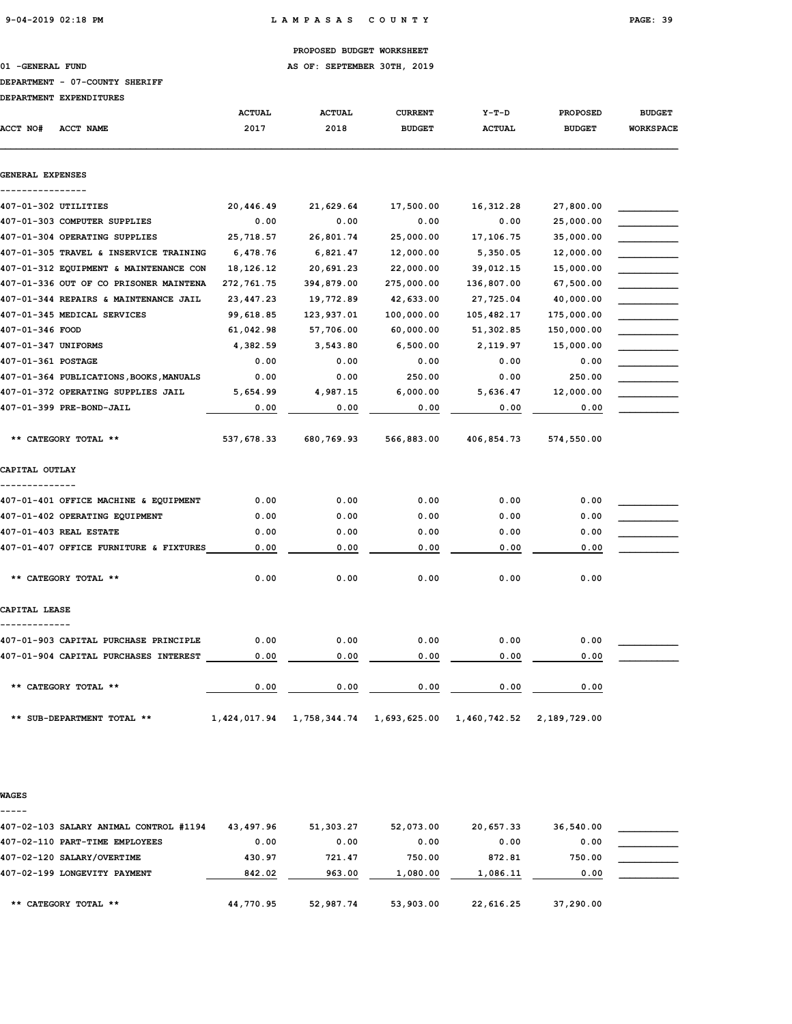01 -GENERAL FUND **AS OF: SEPTEMBER 30TH, 2019** 

### DEPARTMENT - 07-COUNTY SHERIFF

|                     | DEPARTMENT EXPENDITURES                 |               |               |                |               |                 |                  |
|---------------------|-----------------------------------------|---------------|---------------|----------------|---------------|-----------------|------------------|
|                     |                                         | <b>ACTUAL</b> | <b>ACTUAL</b> | <b>CURRENT</b> | $Y-T-D$       | <b>PROPOSED</b> | <b>BUDGET</b>    |
| <b>ACCT NO#</b>     | <b>ACCT NAME</b>                        | 2017          | 2018          | <b>BUDGET</b>  | <b>ACTUAL</b> | <b>BUDGET</b>   | <b>WORKSPACE</b> |
| GENERAL EXPENSES    |                                         |               |               |                |               |                 |                  |
|                     |                                         |               |               |                |               |                 |                  |
|                     | 407-01-302 UTILITIES                    | 20,446.49     | 21,629.64     | 17,500.00      | 16, 312.28    | 27,800.00       |                  |
|                     | 407-01-303 COMPUTER SUPPLIES            | 0.00          | 0.00          | 0.00           | 0.00          | 25,000.00       |                  |
|                     | 407-01-304 OPERATING SUPPLIES           | 25,718.57     | 26,801.74     | 25,000.00      | 17,106.75     | 35,000.00       |                  |
|                     | 407-01-305 TRAVEL & INSERVICE TRAINING  | 6,478.76      | 6,821.47      | 12,000.00      | 5,350.05      | 12,000.00       |                  |
|                     | 407-01-312 EQUIPMENT & MAINTENANCE CON  | 18, 126. 12   | 20,691.23     | 22,000.00      | 39,012.15     | 15,000.00       |                  |
|                     | 407-01-336 OUT OF CO PRISONER MAINTENA  | 272,761.75    | 394,879.00    | 275,000.00     | 136,807.00    | 67,500.00       |                  |
|                     | 407-01-344 REPAIRS & MAINTENANCE JAIL   | 23,447.23     | 19,772.89     | 42,633.00      | 27,725.04     | 40,000.00       |                  |
|                     | 407-01-345 MEDICAL SERVICES             | 99,618.85     | 123,937.01    | 100,000.00     | 105,482.17    | 175,000.00      |                  |
| 407-01-346 FOOD     |                                         | 61,042.98     | 57,706.00     | 60,000.00      | 51,302.85     | 150,000.00      |                  |
| 407-01-347 UNIFORMS |                                         | 4,382.59      | 3,543.80      | 6,500.00       | 2,119.97      | 15,000.00       |                  |
| 407-01-361 POSTAGE  |                                         | 0.00          | 0.00          | 0.00           | 0.00          | 0.00            |                  |
|                     | 407-01-364 PUBLICATIONS, BOOKS, MANUALS | 0.00          | 0.00          | 250.00         | 0.00          | 250.00          |                  |
|                     | 407-01-372 OPERATING SUPPLIES JAIL      | 5,654.99      | 4,987.15      | 6,000.00       | 5,636.47      | 12,000.00       |                  |
|                     | 407-01-399 PRE-BOND-JAIL                | 0.00          | 0.00          | 0.00           | 0.00          | 0.00            |                  |
|                     | ** CATEGORY TOTAL **                    | 537,678.33    | 680,769.93    | 566,883.00     | 406,854.73    | 574,550.00      |                  |
| CAPITAL OUTLAY      |                                         |               |               |                |               |                 |                  |
|                     | 407-01-401 OFFICE MACHINE & EQUIPMENT   | 0.00          | 0.00          | 0.00           | 0.00          | 0.00            |                  |
|                     | 407-01-402 OPERATING EQUIPMENT          | 0.00          | 0.00          | 0.00           | 0.00          | 0.00            |                  |
|                     | 407-01-403 REAL ESTATE                  | 0.00          | 0.00          | 0.00           | 0.00          | 0.00            |                  |
|                     | 407-01-407 OFFICE FURNITURE & FIXTURES  | 0.00          | 0.00          | 0.00           | 0.00          | 0.00            |                  |
|                     |                                         |               |               |                |               |                 |                  |
|                     | ** CATEGORY TOTAL **                    | 0.00          | 0.00          | 0.00           | 0.00          | 0.00            |                  |
| CAPITAL LEASE       |                                         |               |               |                |               |                 |                  |
|                     | 407-01-903 CAPITAL PURCHASE PRINCIPLE   | 0.00          | 0.00          | 0.00           | 0.00          | 0.00            |                  |
|                     | 407-01-904 CAPITAL PURCHASES INTEREST   | 0.00          | 0.00          | 0.00           | 0.00          | 0.00            |                  |
|                     | ** CATEGORY TOTAL **                    | 0.00          | 0.00          | 0.00           | 0.00          | 0.00            |                  |
|                     | ** SUB-DEPARTMENT TOTAL **              | 1,424,017.94  | 1,758,344.74  | 1,693,625.00   | 1,460,742.52  | 2,189,729.00    |                  |

#### WAGES

| -----                                  |           |           |           |           |           |  |
|----------------------------------------|-----------|-----------|-----------|-----------|-----------|--|
| 407-02-103 SALARY ANIMAL CONTROL #1194 | 43,497.96 | 51,303.27 | 52,073.00 | 20,657.33 | 36,540.00 |  |
| 407-02-110 PART-TIME EMPLOYEES         | 0.00      | 0.00      | 0.00      | 0.00      | 0.00      |  |
| 407-02-120 SALARY/OVERTIME             | 430.97    | 721.47    | 750.00    | 872.81    | 750.00    |  |
| 407-02-199 LONGEVITY PAYMENT           | 842.02    | 963.00    | 1,080.00  | 1,086.11  | 0.00      |  |
|                                        |           |           |           |           |           |  |
| ** CATEGORY TOTAL **                   | 44,770.95 | 52,987.74 | 53,903.00 | 22,616.25 | 37,290.00 |  |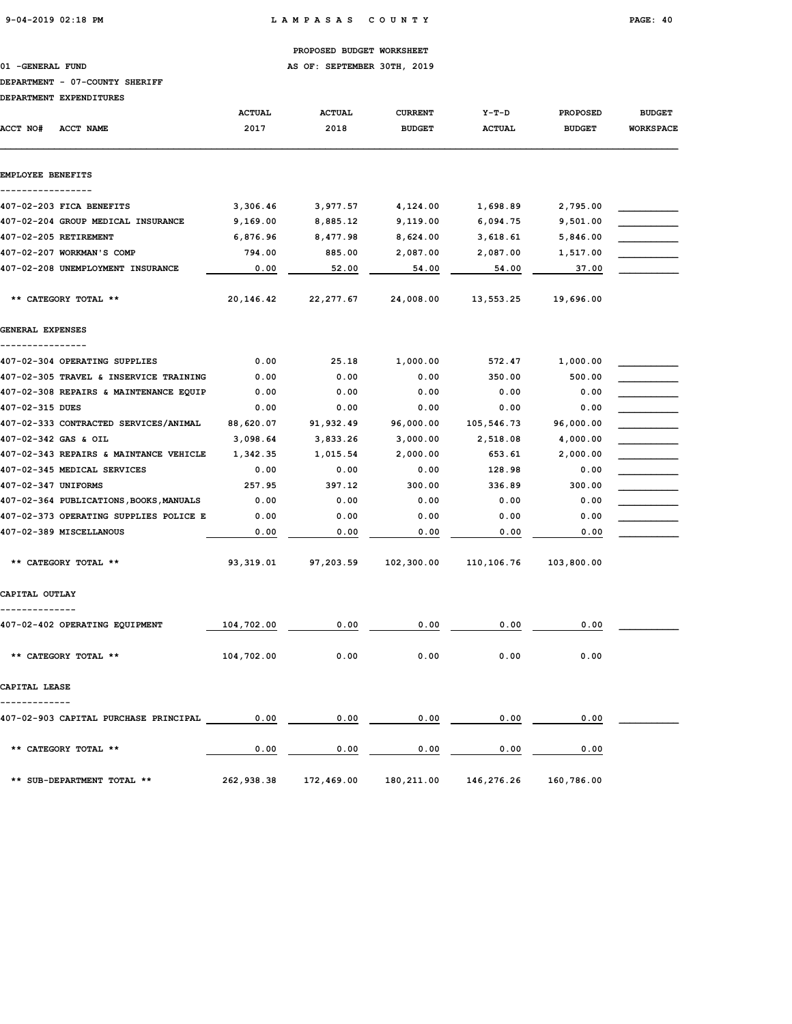01 -GENERAL FUND **AS OF: SEPTEMBER 30TH, 2019** 

### DEPARTMENT - 07-COUNTY SHERIFF

|                     | <i>DBEARINB</i> AI BAFBNDIIORBU            | <b>ACTUAL</b> | <b>ACTUAL</b>                                          | <b>CURRENT</b> | Y-T-D         | <b>PROPOSED</b> | <b>BUDGET</b>    |
|---------------------|--------------------------------------------|---------------|--------------------------------------------------------|----------------|---------------|-----------------|------------------|
| <b>ACCT NO#</b>     | <b>ACCT NAME</b>                           | 2017          | 2018                                                   | <b>BUDGET</b>  | <b>ACTUAL</b> | <b>BUDGET</b>   | <b>WORKSPACE</b> |
| EMPLOYEE BENEFITS   |                                            |               |                                                        |                |               |                 |                  |
|                     | 407-02-203 FICA BENEFITS                   | 3,306.46      | 3,977.57                                               | 4,124.00       | 1,698.89      | 2,795.00        |                  |
|                     | 407-02-204 GROUP MEDICAL INSURANCE         | 9,169.00      | 8,885.12                                               | 9,119.00       | 6,094.75      | 9,501.00        |                  |
|                     | 407-02-205 RETIREMENT                      | 6,876.96      | 8,477.98                                               | 8,624.00       | 3,618.61      | 5,846.00        |                  |
|                     | 407-02-207 WORKMAN'S COMP                  | 794.00        | 885.00                                                 | 2,087.00       | 2,087.00      | 1,517.00        |                  |
|                     | 407-02-208 UNEMPLOYMENT INSURANCE          | 0.00          | 52.00                                                  | 54.00          | 54.00         | 37.00           |                  |
|                     | ** CATEGORY TOTAL **                       | 20,146.42     | 22, 277.67                                             | 24,008.00      | 13,553.25     | 19,696.00       |                  |
| GENERAL EXPENSES    |                                            |               |                                                        |                |               |                 |                  |
|                     | 407-02-304 OPERATING SUPPLIES              | 0.00          | 25.18                                                  | 1,000.00       | 572.47        | 1,000.00        |                  |
|                     | 407-02-305 TRAVEL & INSERVICE TRAINING     | 0.00          | 0.00                                                   | 0.00           | 350.00        | 500.00          |                  |
|                     | 407-02-308 REPAIRS & MAINTENANCE EQUIP     | 0.00          | 0.00                                                   | 0.00           | 0.00          | 0.00            |                  |
| 407-02-315 DUES     |                                            | 0.00          | 0.00                                                   | 0.00           | 0.00          | 0.00            |                  |
|                     | 407-02-333 CONTRACTED SERVICES/ANIMAL      | 88,620.07     | 91,932.49                                              | 96,000.00      | 105,546.73    | 96,000.00       |                  |
|                     | 407-02-342 GAS & OIL                       | 3,098.64      | 3,833.26                                               | 3,000.00       | 2,518.08      | 4,000.00        |                  |
|                     | 407-02-343 REPAIRS & MAINTANCE VEHICLE     | 1,342.35      | 1,015.54                                               | 2,000.00       | 653.61        | 2,000.00        |                  |
|                     | 407-02-345 MEDICAL SERVICES                | 0.00          | 0.00                                                   | 0.00           | 128.98        | 0.00            |                  |
| 407-02-347 UNIFORMS |                                            | 257.95        | 397.12                                                 | 300.00         | 336.89        | 300.00          |                  |
|                     | 407-02-364 PUBLICATIONS, BOOKS, MANUALS    | 0.00          | 0.00                                                   | 0.00           | 0.00          | 0.00            |                  |
|                     | 407-02-373 OPERATING SUPPLIES POLICE E     | 0.00          | 0.00                                                   | 0.00           | 0.00          | 0.00            |                  |
|                     | 407-02-389 MISCELLANOUS                    | 0.00          | 0.00                                                   | 0.00           | 0.00          | 0.00            |                  |
|                     | ** CATEGORY TOTAL **                       | 93,319.01     | 97,203.59                                              | 102,300.00     | 110,106.76    | 103,800.00      |                  |
| CAPITAL OUTLAY      |                                            |               |                                                        |                |               |                 |                  |
|                     | 407-02-402 OPERATING EQUIPMENT             | 104,702.00    | 0.00                                                   | 0.00           | 0.00          | 0.00            |                  |
|                     | ** CATEGORY TOTAL **                       | 104,702.00    | 0.00                                                   | 0.00           | 0.00          | 0.00            |                  |
| CAPITAL LEASE       |                                            |               |                                                        |                |               |                 |                  |
|                     | 407-02-903 CAPITAL PURCHASE PRINCIPAL 0.00 |               | 0.00                                                   | 0.00           | 0.00          | 0.00            |                  |
|                     | ** CATEGORY TOTAL **                       | 0.00          | 0.00                                                   | 0.00           | 0.00          | 0.00            |                  |
|                     | ** SUB-DEPARTMENT TOTAL **                 |               | 262,938.38 172,469.00 180,211.00 146,276.26 160,786.00 |                |               |                 |                  |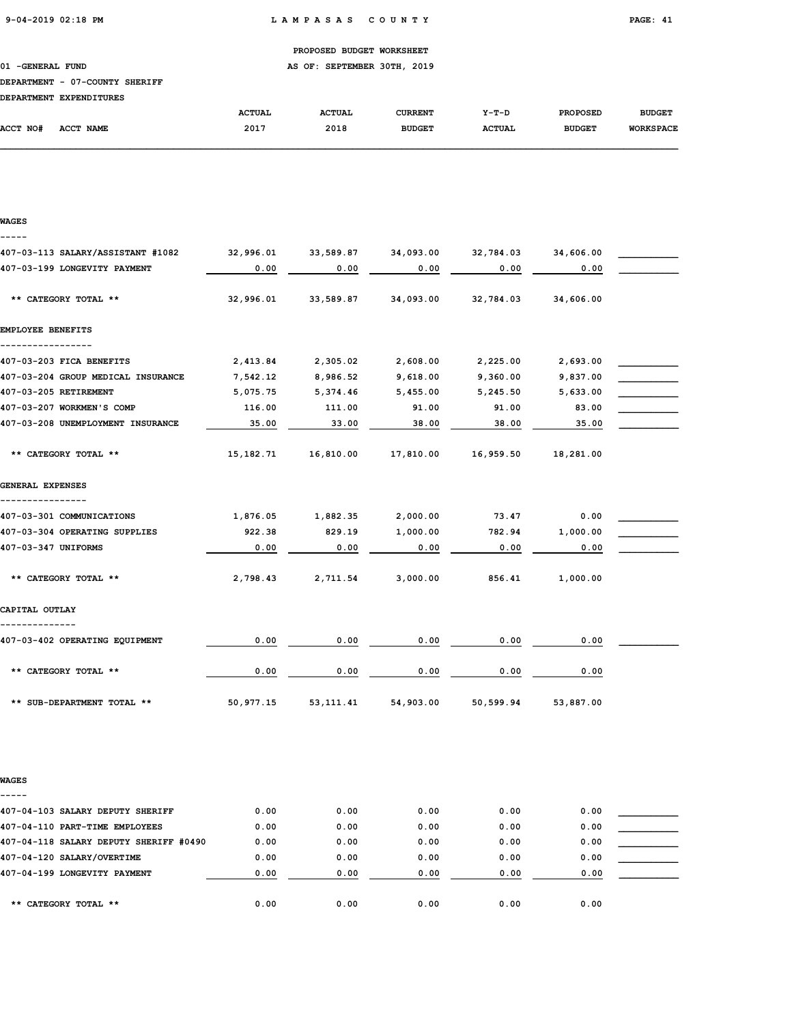01 -GENERAL FUND **AS OF: SEPTEMBER 30TH, 2019** 

### DEPARTMENT - 07-COUNTY SHERIFF

|          | DEPARTMENT EXPENDITURES |               |               |               |               |                 |                  |
|----------|-------------------------|---------------|---------------|---------------|---------------|-----------------|------------------|
|          |                         | <b>ACTUAL</b> | <b>ACTUAL</b> | CURRENT       | $Y-T-D$       | <b>PROPOSED</b> | <b>BUDGET</b>    |
| ACCT NO# | <b>ACCT NAME</b>        | 2017          | 2018          | <b>BUDGET</b> | <b>ACTUAL</b> | <b>BUDGET</b>   | <b>WORKSPACE</b> |

| <b>WAGES</b>                       |           |           |           |           |           |  |
|------------------------------------|-----------|-----------|-----------|-----------|-----------|--|
| 407-03-113 SALARY/ASSISTANT #1082  | 32,996.01 | 33,589.87 | 34,093.00 | 32,784.03 | 34,606.00 |  |
| 407-03-199 LONGEVITY PAYMENT       | 0.00      | 0.00      | 0.00      | 0.00      | 0.00      |  |
| ** CATEGORY TOTAL **               | 32,996.01 | 33,589.87 | 34,093.00 | 32,784.03 | 34,606.00 |  |
| EMPLOYEE BENEFITS<br>-----------   |           |           |           |           |           |  |
| 407-03-203 FICA BENEFITS           | 2,413.84  | 2,305.02  | 2,608.00  | 2,225.00  | 2,693.00  |  |
| 407-03-204 GROUP MEDICAL INSURANCE | 7,542.12  | 8,986.52  | 9,618.00  | 9,360.00  | 9,837.00  |  |
| 407-03-205 RETIREMENT              | 5,075.75  | 5,374.46  | 5,455.00  | 5,245.50  | 5,633.00  |  |
| 407-03-207 WORKMEN'S COMP          | 116.00    | 111.00    | 91.00     | 91.00     | 83.00     |  |
| 407-03-208 UNEMPLOYMENT INSURANCE  | 35.00     | 33.00     | 38.00     | 38.00     | 35.00     |  |
| ** CATEGORY TOTAL **               | 15,182.71 | 16,810.00 | 17,810.00 | 16,959.50 | 18,281.00 |  |
| GENERAL EXPENSES                   |           |           |           |           |           |  |
|                                    |           |           |           |           |           |  |
| 407-03-301 COMMUNICATIONS          | 1,876.05  | 1,882.35  | 2,000.00  | 73.47     | 0.00      |  |
| 407-03-304 OPERATING SUPPLIES      | 922.38    | 829.19    | 1,000.00  | 782.94    | 1,000.00  |  |
| 407-03-347 UNIFORMS                | 0.00      | 0.00      | 0.00      | 0.00      | 0.00      |  |
| ** CATEGORY TOTAL **               | 2,798.43  | 2,711.54  | 3,000.00  | 856.41    | 1,000.00  |  |
| CAPITAL OUTLAY                     |           |           |           |           |           |  |
| 407-03-402 OPERATING EQUIPMENT     | 0.00      | 0.00      | 0.00      | 0.00      | 0.00      |  |
| ** CATEGORY TOTAL **               | 0.00      | 0.00      | 0.00      | 0.00      | 0.00      |  |
|                                    | 50,977.15 | 53,111.41 | 54,903.00 | 50,599.94 | 53,887.00 |  |

WAGES

| 407-04-103 SALARY DEPUTY SHERIFF       | 0.00 | 0.00 | 0.00 | 0.00 | 0.00 |  |
|----------------------------------------|------|------|------|------|------|--|
| 407-04-110 PART-TIME EMPLOYEES         | 0.00 | 0.00 | 0.00 | 0.00 | 0.00 |  |
| 407-04-118 SALARY DEPUTY SHERIFF #0490 | 0.00 | 0.00 | 0.00 | 0.00 | 0.00 |  |
| 407-04-120 SALARY/OVERTIME             | 0.00 | 0.00 | 0.00 | 0.00 | 0.00 |  |
| 407-04-199 LONGEVITY PAYMENT           | 0.00 | 0.00 | 0.00 | 0.00 | 0.00 |  |
|                                        |      |      |      |      |      |  |
| ** CATEGORY TOTAL **                   | 0.00 | 0.00 | 0.00 | 0.00 | 0.00 |  |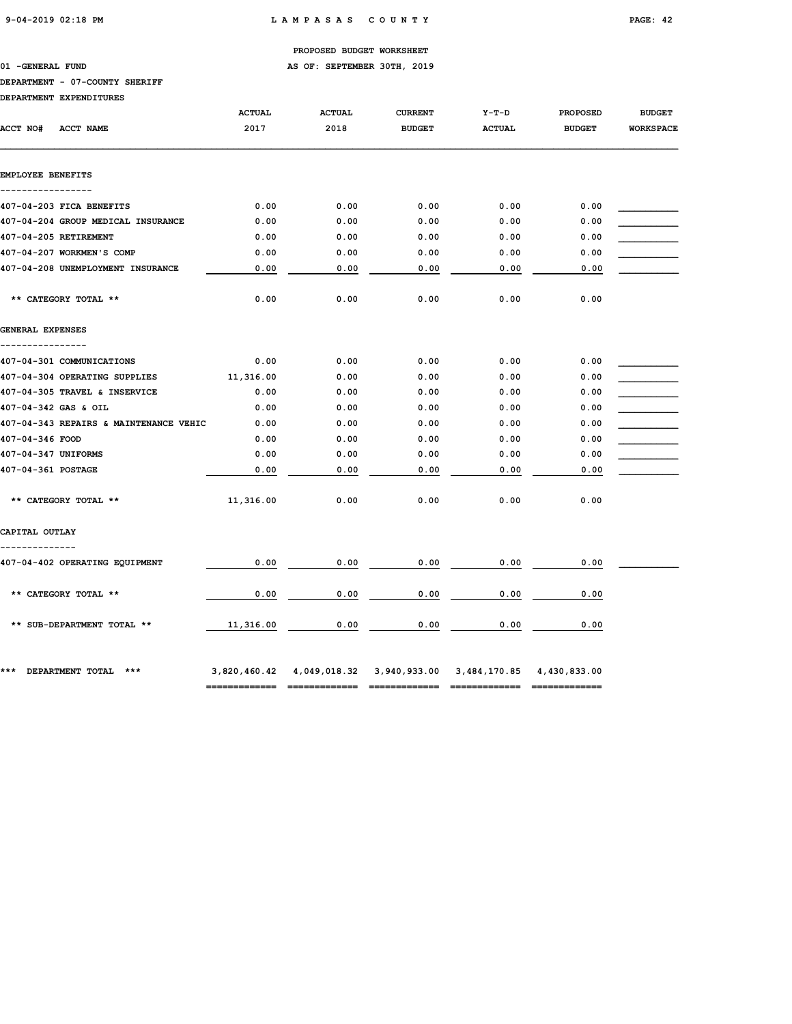01 -GENERAL FUND **AS OF: SEPTEMBER 30TH, 2019** 

### DEPARTMENT - 07-COUNTY SHERIFF

| ACCT NO#                           | ACCT NAME                              | <b>ACTUAL</b><br>2017 | <b>ACTUAL</b><br>2018 | <b>CURRENT</b><br><b>BUDGET</b> | $Y-T-D$<br><b>ACTUAL</b>                                         | <b>PROPOSED</b><br><b>BUDGET</b> | <b>BUDGET</b><br><b>WORKSPACE</b> |
|------------------------------------|----------------------------------------|-----------------------|-----------------------|---------------------------------|------------------------------------------------------------------|----------------------------------|-----------------------------------|
| EMPLOYEE BENEFITS                  |                                        |                       |                       |                                 |                                                                  |                                  |                                   |
|                                    | 407-04-203 FICA BENEFITS               | 0.00                  | 0.00                  | 0.00                            | 0.00                                                             | 0.00                             |                                   |
|                                    | 407-04-204 GROUP MEDICAL INSURANCE     | 0.00                  | 0.00                  | 0.00                            | 0.00                                                             | 0.00                             |                                   |
|                                    | 407-04-205 RETIREMENT                  | 0.00                  | 0.00                  | 0.00                            | 0.00                                                             | 0.00                             |                                   |
|                                    | 407-04-207 WORKMEN'S COMP              | 0.00                  | 0.00                  | 0.00                            | 0.00                                                             | 0.00                             |                                   |
|                                    | 407-04-208 UNEMPLOYMENT INSURANCE      | 0.00                  | 0.00                  | 0.00                            | 0.00                                                             | 0.00                             |                                   |
|                                    | ** CATEGORY TOTAL **                   | 0.00                  | 0.00                  | 0.00                            | 0.00                                                             | 0.00                             |                                   |
| GENERAL EXPENSES<br>-------------- |                                        |                       |                       |                                 |                                                                  |                                  |                                   |
|                                    | 407-04-301 COMMUNICATIONS              | 0.00                  | 0.00                  | 0.00                            | 0.00                                                             | 0.00                             |                                   |
|                                    | 407-04-304 OPERATING SUPPLIES          | 11,316.00             | 0.00                  | 0.00                            | 0.00                                                             | 0.00                             |                                   |
|                                    | 407-04-305 TRAVEL & INSERVICE          | 0.00                  | 0.00                  | 0.00                            | 0.00                                                             | 0.00                             |                                   |
|                                    | 407-04-342 GAS & OIL                   | 0.00                  | 0.00                  | 0.00                            | 0.00                                                             | 0.00                             |                                   |
|                                    | 407-04-343 REPAIRS & MAINTENANCE VEHIC | 0.00                  | 0.00                  | 0.00                            | 0.00                                                             | 0.00                             |                                   |
| 407-04-346 FOOD                    |                                        | 0.00                  | 0.00                  | 0.00                            | 0.00                                                             | 0.00                             |                                   |
| 407-04-347 UNIFORMS                |                                        | 0.00                  | 0.00                  | 0.00                            | 0.00                                                             | 0.00                             |                                   |
| 407-04-361 POSTAGE                 |                                        | 0.00                  | 0.00                  | 0.00                            | 0.00                                                             | 0.00                             |                                   |
|                                    | ** CATEGORY TOTAL **                   | 11,316.00             | 0.00                  | 0.00                            | 0.00                                                             | 0.00                             |                                   |
| CAPITAL OUTLAY                     |                                        |                       |                       |                                 |                                                                  |                                  |                                   |
|                                    | 407-04-402 OPERATING EQUIPMENT         | 0.00                  | 0.00                  | 0.00                            | 0.00                                                             | 0.00                             |                                   |
|                                    | ** CATEGORY TOTAL **                   | 0.00                  | 0.00                  | 0.00                            | 0.00                                                             | 0.00                             |                                   |
|                                    | ** SUB-DEPARTMENT TOTAL **             | 11,316.00             | 0.00                  | 0.00                            | 0.00                                                             | 0.00                             |                                   |
| ***                                | DEPARTMENT TOTAL ***                   |                       |                       |                                 | 3,820,460.42 4,049,018.32 3,940,933.00 3,484,170.85 4,430,833.00 |                                  |                                   |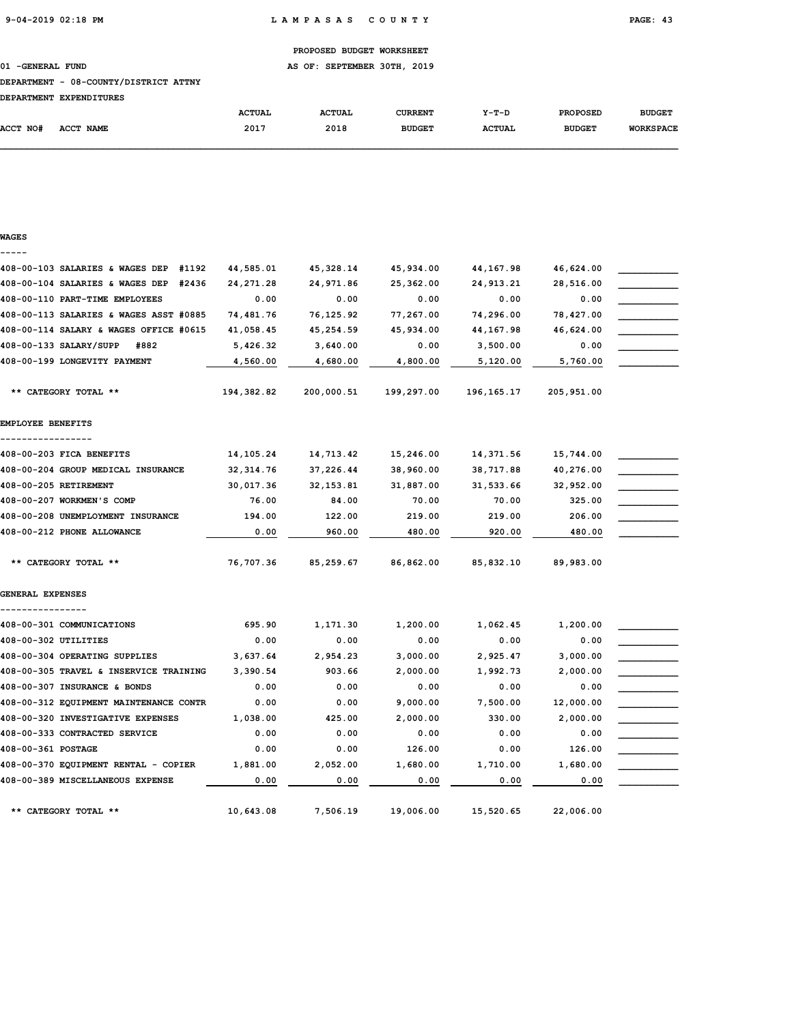01 -GENERAL FUND **AS OF: SEPTEMBER 30TH, 2019** 

#### DEPARTMENT - 08-COUNTY/DISTRICT ATTNY

| ROBADOVENIO RYDRUDTOUDRO |  |  |
|--------------------------|--|--|

| <b>DEPARTMENT</b> | <b>EXPENDITURES</b> |               |               |               |               |                 |                  |
|-------------------|---------------------|---------------|---------------|---------------|---------------|-----------------|------------------|
|                   |                     | <b>ACTUAL</b> | <b>ACTUAL</b> | CURRENT       | $Y-T-D$       | <b>PROPOSED</b> | <b>BUDGET</b>    |
| <b>ACCT NO#</b>   | ACCT NAME           | 2017          | 2018          | <b>BUDGET</b> | <b>ACTUAL</b> | <b>BUDGET</b>   | <b>WORKSPACE</b> |

### WAGES -----

| 408-00-103 SALARIES & WAGES DEP<br>#1192 | 44,585.01   | 45,328.14  | 45,934.00  | 44, 167.98  | 46,624.00  |  |
|------------------------------------------|-------------|------------|------------|-------------|------------|--|
| 408-00-104 SALARIES & WAGES DEP<br>#2436 | 24,271.28   | 24,971.86  | 25,362.00  | 24, 913. 21 | 28,516.00  |  |
| 408-00-110 PART-TIME EMPLOYEES           | 0.00        | 0.00       | 0.00       | 0.00        | 0.00       |  |
| 408-00-113 SALARIES & WAGES ASST #0885   | 74,481.76   | 76,125.92  | 77,267.00  | 74,296.00   | 78,427.00  |  |
| 408-00-114 SALARY & WAGES OFFICE #0615   | 41,058.45   | 45,254.59  | 45,934.00  | 44,167.98   | 46,624.00  |  |
| 408-00-133 SALARY/SUPP<br>#882           | 5,426.32    | 3,640.00   | 0.00       | 3,500.00    | 0.00       |  |
| 408-00-199 LONGEVITY PAYMENT             | 4,560.00    | 4,680.00   | 4,800.00   | 5,120.00    | 5,760.00   |  |
|                                          |             |            |            |             |            |  |
| ** CATEGORY TOTAL **                     | 194,382.82  | 200,000.51 | 199,297.00 | 196,165.17  | 205,951.00 |  |
| EMPLOYEE BENEFITS                        |             |            |            |             |            |  |
| 408-00-203 FICA BENEFITS                 | 14, 105. 24 | 14,713.42  | 15,246.00  | 14,371.56   | 15,744.00  |  |
| 408-00-204 GROUP MEDICAL INSURANCE       | 32, 314.76  | 37,226.44  | 38,960.00  | 38,717.88   | 40,276.00  |  |
| 408-00-205 RETIREMENT                    | 30,017.36   | 32, 153.81 | 31,887.00  | 31,533.66   | 32,952.00  |  |
| 408-00-207 WORKMEN'S COMP                | 76.00       | 84.00      | 70.00      | 70.00       | 325.00     |  |
| 408-00-208 UNEMPLOYMENT INSURANCE        | 194.00      | 122.00     | 219.00     | 219.00      | 206.00     |  |
| 408-00-212 PHONE ALLOWANCE               | 0.00        | 960.00     | 480.00     | 920.00      | 480.00     |  |
| ** CATEGORY TOTAL **                     | 76,707.36   | 85,259.67  | 86,862.00  | 85,832.10   | 89,983.00  |  |
| GENERAL EXPENSES                         |             |            |            |             |            |  |
|                                          |             |            |            |             |            |  |
| 408-00-301 COMMUNICATIONS                | 695.90      | 1,171.30   | 1,200.00   | 1,062.45    | 1,200.00   |  |
| 408-00-302 UTILITIES                     | 0.00        | 0.00       | 0.00       | 0.00        | 0.00       |  |
| 408-00-304 OPERATING SUPPLIES            | 3,637.64    | 2,954.23   | 3,000.00   | 2,925.47    | 3,000.00   |  |
| 408-00-305 TRAVEL & INSERVICE TRAINING   | 3,390.54    | 903.66     | 2,000.00   | 1,992.73    | 2,000.00   |  |
| 408-00-307 INSURANCE & BONDS             | 0.00        | 0.00       | 0.00       | 0.00        | 0.00       |  |
| 408-00-312 EQUIPMENT MAINTENANCE CONTR   | 0.00        | 0.00       | 9,000.00   | 7,500.00    | 12,000.00  |  |
| 408-00-320 INVESTIGATIVE EXPENSES        | 1,038.00    | 425.00     | 2,000.00   | 330.00      | 2,000.00   |  |
| 408-00-333 CONTRACTED SERVICE            | 0.00        | 0.00       | 0.00       | 0.00        | 0.00       |  |
| 408-00-361 POSTAGE                       | 0.00        | 0.00       | 126.00     | 0.00        | 126.00     |  |
| 408-00-370 EQUIPMENT RENTAL - COPIER     | 1,881.00    | 2,052.00   | 1,680.00   | 1,710.00    | 1,680.00   |  |
| 408-00-389 MISCELLANEOUS EXPENSE         | 0.00        | 0.00       | 0.00       | 0.00        | 0.00       |  |
| ** CATEGORY TOTAL **                     | 10,643.08   | 7,506.19   | 19,006.00  | 15,520.65   | 22,006.00  |  |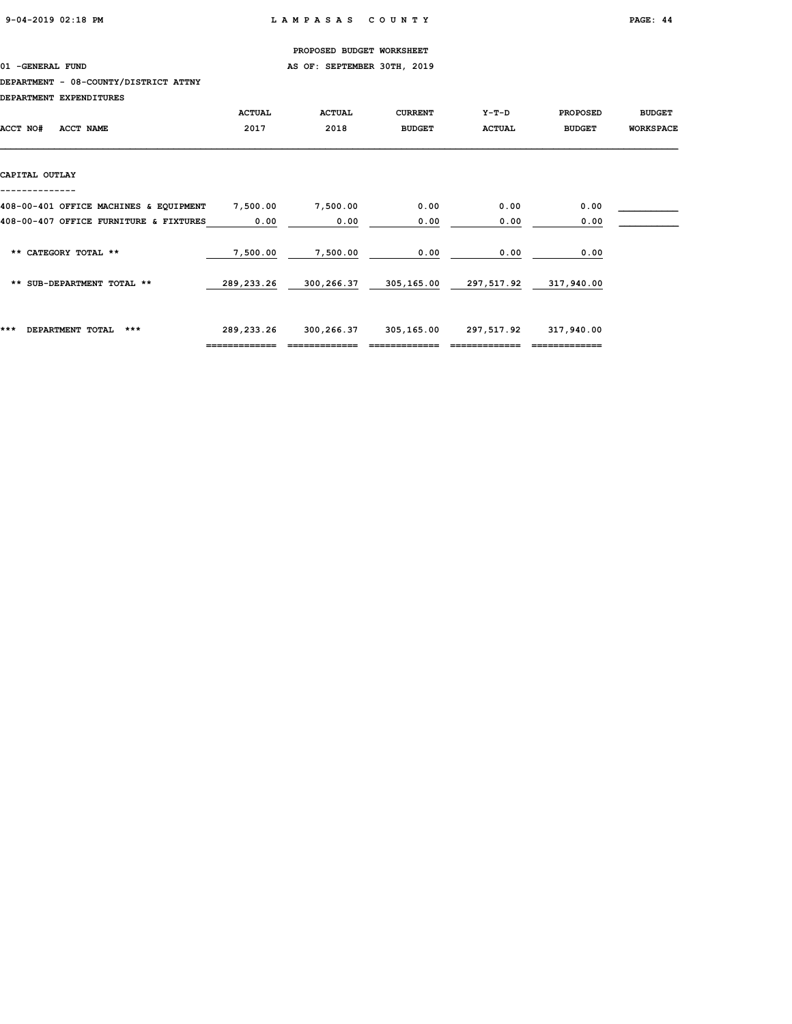01 -GENERAL FUND **AS OF: SEPTEMBER 30TH, 2019** 

#### DEPARTMENT - 08-COUNTY/DISTRICT ATTNY

|                                        | <b>ACTUAL</b> | <b>ACTUAL</b> | <b>CURRENT</b> | $Y-T-D$       | <b>PROPOSED</b> | <b>BUDGET</b>    |
|----------------------------------------|---------------|---------------|----------------|---------------|-----------------|------------------|
| ACCT NO#<br><b>ACCT NAME</b>           | 2017          | 2018          | <b>BUDGET</b>  | <b>ACTUAL</b> | <b>BUDGET</b>   | <b>WORKSPACE</b> |
|                                        |               |               |                |               |                 |                  |
|                                        |               |               |                |               |                 |                  |
| CAPITAL OUTLAY                         |               |               |                |               |                 |                  |
|                                        |               |               |                |               |                 |                  |
| 408-00-401 OFFICE MACHINES & EQUIPMENT | 7,500.00      | 7,500.00      | 0.00           | 0.00          | 0.00            |                  |
| 408-00-407 OFFICE FURNITURE & FIXTURES | 0.00          | 0.00          | 0.00           | 0.00          | 0.00            |                  |
|                                        |               |               |                |               |                 |                  |
| ** CATEGORY TOTAL **                   | 7,500.00      | 7,500.00      | 0.00           | 0.00          | 0.00            |                  |
|                                        |               |               |                |               |                 |                  |
| ** SUB-DEPARTMENT TOTAL **             | 289,233.26    | 300,266.37    | 305,165.00     | 297,517.92    | 317,940.00      |                  |
|                                        |               |               |                |               |                 |                  |
|                                        |               |               |                |               |                 |                  |
| ***<br>DEPARTMENT TOTAL<br>$***$       | 289,233.26    | 300,266.37    | 305,165.00     | 297,517.92    | 317,940.00      |                  |
|                                        | ------------- |               |                |               |                 |                  |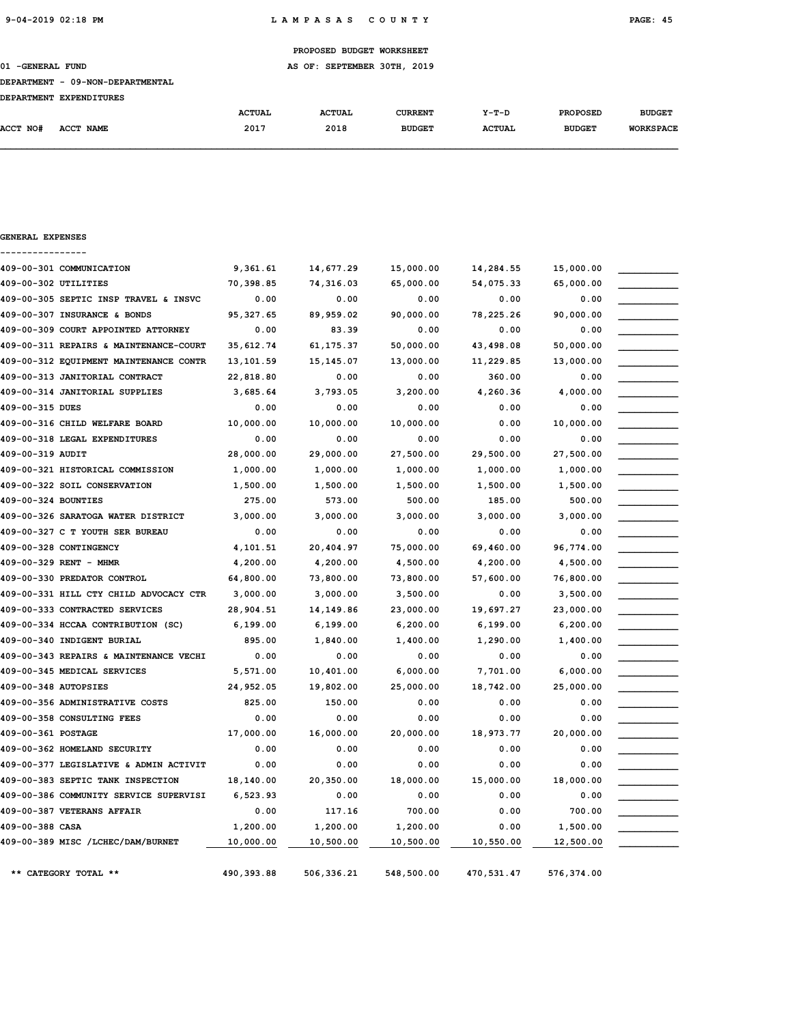GENERAL EXPENSES

PROPOSED BUDGET WORKSHEET

01 -GENERAL FUND **AS OF: SEPTEMBER 30TH, 2019** 

#### DEPARTMENT - 09-NON-DEPARTMENTAL

| ------------- |           |               |               |                |               |                 |                  |
|---------------|-----------|---------------|---------------|----------------|---------------|-----------------|------------------|
|               |           | <b>ACTUAL</b> | <b>ACTUAL</b> | <b>CURRENT</b> | $Y-T-D$       | <b>PROPOSED</b> | <b>BUDGET</b>    |
| ACCT NO#      | ACCT NAME | 2017          | 2018          | <b>BUDGET</b>  | <b>ACTUAL</b> | <b>BUDGET</b>   | <b>WORKSPACE</b> |
|               |           |               |               |                |               |                 |                  |

## ---------------- 409-00-301 COMMUNICATION 9,361.61 14,677.29 15,000.00 14,284.55 15,000.00 \_\_\_\_\_\_\_\_\_\_\_ 409-00-302 UTILITIES 70,398.85 74,316.03 65,000.00 54,075.33 65,000.00 \_\_\_\_\_\_\_\_\_\_\_ 409-00-305 SEPTIC INSP TRAVEL & INSVC 0.00 0.00 0.00 0.00 0.00 \_\_\_\_\_\_\_\_\_\_\_ 409-00-307 INSURANCE & BONDS 95,327.65 89,959.02 90,000.00 78,225.26 90,000.00 \_\_\_\_\_\_\_\_\_\_\_ 409-00-309 COURT APPOINTED ATTORNEY 0.00 83.39 0.00 0.00 0.00 \_\_\_\_\_\_\_\_\_\_\_ 409-00-311 REPAIRS & MAINTENANCE-COURT 35,612.74 61,175.37 50,000.00 43,498.08 50,000.00 \_\_\_\_\_\_\_\_\_\_\_ 409-00-312 EQUIPMENT MAINTENANCE CONTR 13,101.59 15,145.07 13,000.00 11,229.85 13,000.00 409-00-313 JANITORIAL CONTRACT 22,818.80 0.00 0.00 360.00 0.00 \_\_\_\_\_\_\_\_\_\_\_ 409-00-314 JANITORIAL SUPPLIES 3,685.64 3,793.05 3,200.00 4,260.36 4,000.00 \_\_\_\_\_\_\_\_\_\_\_  $409-00-315$  DUES  $0.00$   $0.00$   $0.00$   $0.00$   $0.00$   $0.00$   $0.00$   $0.00$   $0.00$   $0.00$   $0.00$   $0.00$   $0.00$   $0.00$   $0.00$   $0.00$   $0.00$   $0.00$   $0.00$   $0.00$   $0.00$   $0.00$   $0.00$   $0.00$   $0.00$   $0.00$   $0.00$   $0.00$   $0.00$  409-00-316 CHILD WELFARE BOARD  $10,000.00$   $10,000.00$   $10,000.00$   $0.00$   $0.00$   $10,000.00$  $409-00-318$  LEGAL EXPENDITURES  $0.00$   $0.00$   $0.00$   $0.00$   $0.00$   $0.00$   $0.00$ 409-00-319 AUDIT 28,000.00 29,000.00 27,500.00 29,500.00 27,500.00 \_\_\_\_\_\_\_\_\_\_\_ 409-00-321 HISTORICAL COMMISSION 1,000.00 1,000.00 1,000.00 1,000.00 1,000.00 \_\_\_\_\_\_\_\_\_\_\_ 409-00-322 SOIL CONSERVATION  $1,500.00$   $1,500.00$   $1,500.00$   $1,500.00$   $1,500.00$   $1,500.00$ 409-00-324 BOUNTIES 275.00 573.00 500.00 185.00 500.00 \_\_\_\_\_\_\_\_\_\_\_ 409-00-326 SARATOGA WATER DISTRICT 3,000.00 3,000.00 3,000.00 3,000.00 3,000.00 \_\_\_\_\_\_\_\_\_\_\_ 409-00-327 C T YOUTH SER BUREAU 0.00 0.00 0.00 0.00 0.00 \_\_\_\_\_\_\_\_\_\_\_ 409-00-328 CONTINGENCY 4,101.51 20,404.97 75,000.00 69,460.00 96,774.00 \_\_\_\_\_\_\_\_\_\_\_ 409-00-329 RENT - MHMR 4,200.00 4,200.00 4,500.00 4,200.00 4,500.00 \_\_\_\_\_\_\_\_\_\_\_ 409-00-330 PREDATOR CONTROL 64,800.00 73,800.00 73,800.00 57,600.00 76,800.00 \_\_\_\_\_\_\_\_\_\_\_ 409-00-331 HILL CTY CHILD ADVOCACY CTR 3,000.00 3,000.00 3,500.00 0.00 3,500.00 \_\_\_\_\_\_\_\_\_\_\_ 409-00-333 CONTRACTED SERVICES 28,904.51 14,149.86 23,000.00 19,697.27 23,000.00 \_\_\_\_\_\_\_\_\_\_\_ 409-00-334 HCCAA CONTRIBUTION (SC) 6,199.00 6,199.00 6,200.00 6,199.00 6,200.00 \_\_\_\_\_\_\_\_\_\_\_  $409-00-340$  INDIGENT BURIAL  $895.00$   $1,840.00$   $1,400.00$   $1,290.00$   $1,400.00$ 409-00-343 REPAIRS & MAINTENANCE VECHI 0.00 0.00 0.00 0.00 0.00 \_\_\_\_\_\_\_\_\_\_\_ 409-00-345 MEDICAL SERVICES 5,571.00 10,401.00 6,000.00 7,701.00 6,000.00 \_\_\_\_\_\_\_\_\_\_\_ 409-00-348 AUTOPSIES 24,952.05 19,802.00 25,000.00 18,742.00 25,000.00 \_\_\_\_\_\_\_\_\_\_\_ 409-00-356 ADMINISTRATIVE COSTS  $\begin{array}{cccc} 825.00 & 150.00 & 0.00 & 0.00 \end{array}$  0.00  $409-00-358$  CONSULTING FEES  $0.00$   $0.00$   $0.00$   $0.00$   $0.00$   $0.00$   $0.00$ 409-00-361 POSTAGE 17,000.00 16,000.00 20,000.00 18,973.77 20,000.00 \_\_\_\_\_\_\_\_\_\_\_  $409-00-362$  HOMELAND SECURITY  $0.00$   $0.00$   $0.00$   $0.00$   $0.00$   $0.00$   $0.00$ 409-00-377 LEGISLATIVE & ADMIN ACTIVIT 0.00 0.00 0.00 0.00 0.00 \_\_\_\_\_\_\_\_\_\_\_ 409-00-383 SEPTIC TANK INSPECTION 18,140.00 20,350.00 18,000.00 15,000.00 18,000.00 \_\_\_\_\_\_\_\_\_\_\_ 409-00-386 COMMUNITY SERVICE SUPERVISI 6,523.93 0.00 0.00 0.00 0.00 0.00 0.00 409-00-387 VETERANS AFFAIR 0.00 117.16 700.00 0.00 700.00 \_\_\_\_\_\_\_\_\_\_\_  $409-00-388$  CASA  $1,200.00$   $1,200.00$   $1,200.00$   $0.00$   $1,500.00$   $1,500.00$ 409-00-389 MISC /LCHEC/DAM/BURNET  $\underline{\hspace{1cm}} 10,000.00$   $\underline{\hspace{1cm}} 10,500.00$   $\underline{\hspace{1cm}} 10,500.00$   $\underline{\hspace{1cm}} 10,500.00$   $\underline{\hspace{1cm}} 10,500.00$   $\underline{\hspace{1cm}} 10,550.00$   $\underline{\hspace{1cm}} 12,500.00$ \*\* CATEGORY TOTAL \*\* 490,393.88 506,336.21 548,500.00 470,531.47 576,374.00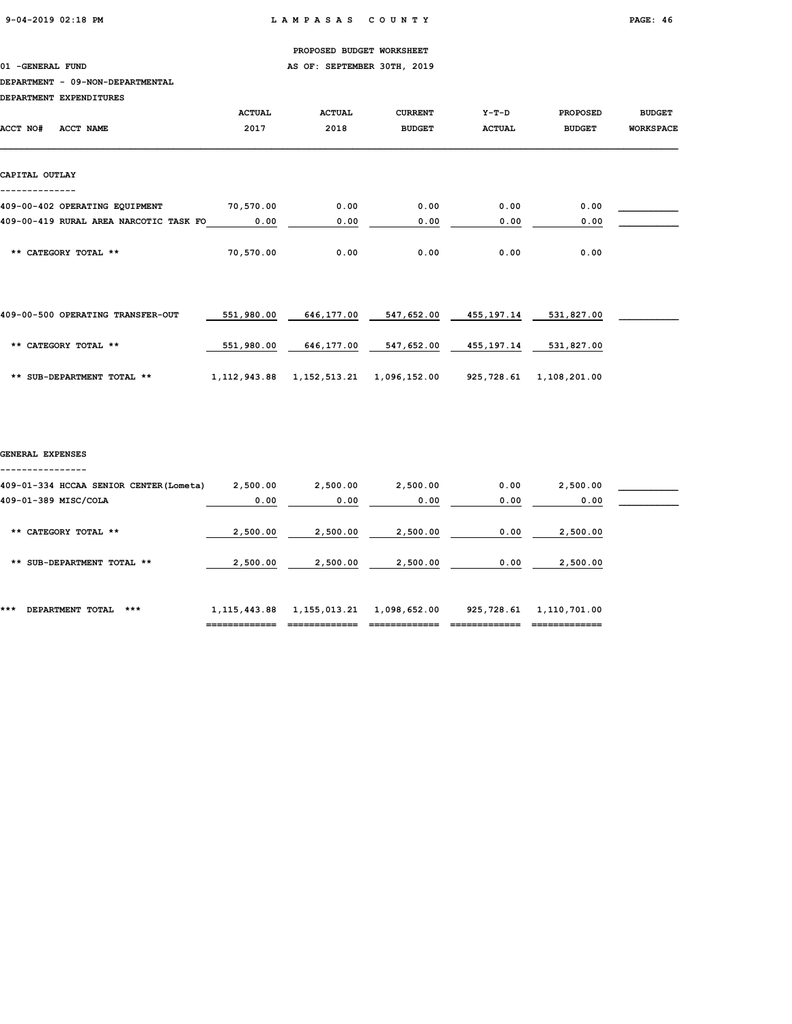01 -GENERAL FUND **AS OF: SEPTEMBER 30TH, 2019** 

#### DEPARTMENT - 09-NON-DEPARTMENTAL

DEPARTMENT EXPENDITURES

|                                        | <b>ACTUAL</b> | <b>ACTUAL</b> | <b>CURRENT</b> | Y-T-D         | <b>PROPOSED</b> | <b>BUDGET</b>    |
|----------------------------------------|---------------|---------------|----------------|---------------|-----------------|------------------|
| <b>ACCT NO#</b><br>ACCT NAME           | 2017          | 2018          | <b>BUDGET</b>  | <b>ACTUAL</b> | <b>BUDGET</b>   | <b>WORKSPACE</b> |
|                                        |               |               |                |               |                 |                  |
| CAPITAL OUTLAY                         |               |               |                |               |                 |                  |
| 409-00-402 OPERATING EQUIPMENT         | 70,570.00     | 0.00          | 0.00           | 0.00          | 0.00            |                  |
| 409-00-419 RURAL AREA NARCOTIC TASK FO | 0.00          | 0.00          | 0.00           | 0.00          | 0.00            |                  |
| ** CATEGORY TOTAL **                   | 70,570.00     | 0.00          | 0.00           | 0.00          | 0.00            |                  |
|                                        |               |               |                |               |                 |                  |
|                                        |               |               |                |               |                 |                  |

| 409-00-500 OPERATING TRANSFER-OUT | 551,980.00   | 646,177.00   | 547,652.00   | 455,197.14 | 531,827.00   |  |
|-----------------------------------|--------------|--------------|--------------|------------|--------------|--|
| ** CATEGORY TOTAL **              | 551,980.00   | 646,177.00   | 547,652.00   | 455,197.14 | 531,827.00   |  |
| ** SUB-DEPARTMENT TOTAL **        | 1,112,943.88 | 1,152,513.21 | 1,096,152.00 | 925,728.61 | 1,108,201.00 |  |

#### GENERAL EXPENSES ----------------

| ***<br>$***$<br>DEPARTMENT TOTAL                                | 1, 115, 443.88   | 1,155,013.21     | 1,098,652.00     | 925,728.61   | 1,110,701.00     |  |
|-----------------------------------------------------------------|------------------|------------------|------------------|--------------|------------------|--|
| SUB-DEPARTMENT TOTAL **<br>**                                   | 2,500.00         | 2,500.00         | 2,500.00         | 0.00         | 2,500.00         |  |
| ** CATEGORY TOTAL **                                            | 2,500.00         | 2,500.00         | 2,500.00         | 0.00         | 2,500.00         |  |
| 409-01-334 HCCAA SENIOR CENTER (Lometa)<br>409-01-389 MISC/COLA | 2,500.00<br>0.00 | 2,500.00<br>0.00 | 2,500.00<br>0.00 | 0.00<br>0.00 | 2,500.00<br>0.00 |  |
|                                                                 |                  |                  |                  |              |                  |  |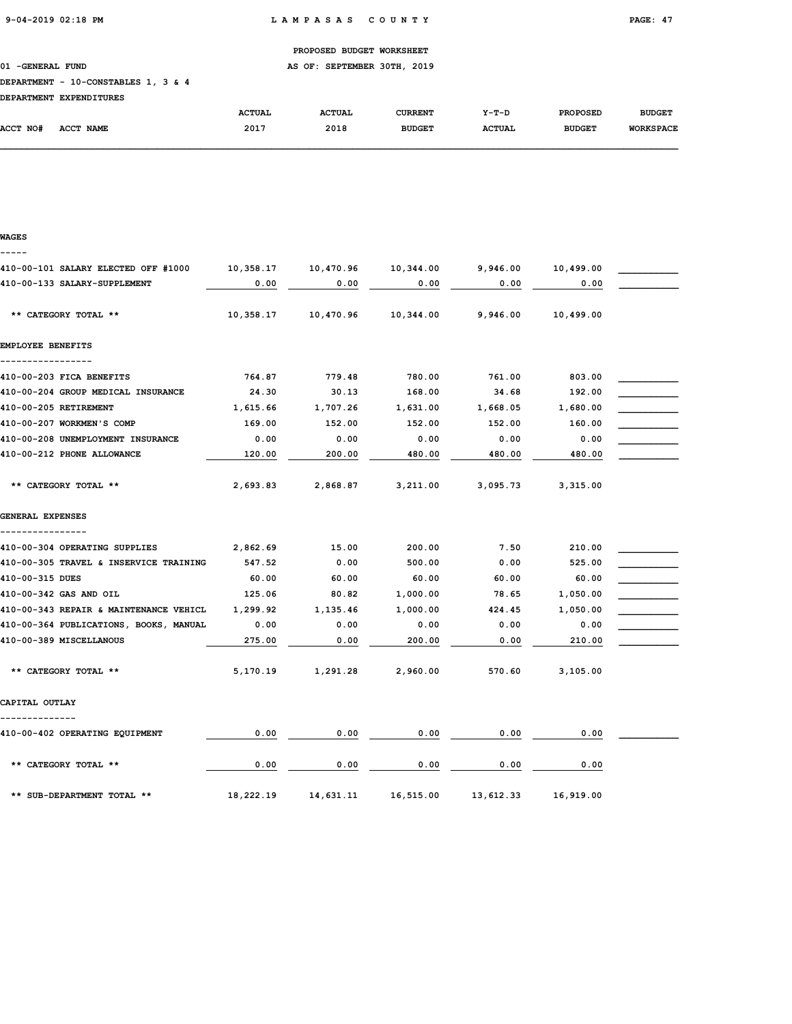01 -GENERAL FUND **AS OF: SEPTEMBER 30TH, 2019** 

### DEPARTMENT - 10-CONSTABLES 1, 3 & 4

|          | DEPARTMENT EXPENDITURES |               |               |               |               |                 |                  |
|----------|-------------------------|---------------|---------------|---------------|---------------|-----------------|------------------|
|          |                         | <b>ACTUAL</b> | <b>ACTUAL</b> | CURRENT       | $Y-T-D$       | <b>PROPOSED</b> | <b>BUDGET</b>    |
| ACCT NO# | <b>ACCT NAME</b>        | 2017          | 2018          | <b>BUDGET</b> | <b>ACTUAL</b> | <b>BUDGET</b>   | <b>WORKSPACE</b> |

### WAGES -----

| 410-00-101 SALARY ELECTED OFF #1000    | 10,358.17 | 10,470.96 | 10,344.00 | 9,946.00  | 10,499.00 |  |
|----------------------------------------|-----------|-----------|-----------|-----------|-----------|--|
| 410-00-133 SALARY-SUPPLEMENT           | 0.00      | 0.00      | 0.00      | 0.00      | 0.00      |  |
| ** CATEGORY TOTAL **                   | 10,358.17 | 10,470.96 | 10,344.00 | 9,946.00  | 10,499.00 |  |
| EMPLOYEE BENEFITS                      |           |           |           |           |           |  |
|                                        |           |           |           |           |           |  |
| 410-00-203 FICA BENEFITS               | 764.87    | 779.48    | 780.00    | 761.00    | 803.00    |  |
| 410-00-204 GROUP MEDICAL INSURANCE     | 24.30     | 30.13     | 168.00    | 34.68     | 192.00    |  |
| 410-00-205 RETIREMENT                  | 1,615.66  | 1,707.26  | 1,631.00  | 1,668.05  | 1,680.00  |  |
| 410-00-207 WORKMEN'S COMP              | 169.00    | 152.00    | 152.00    | 152.00    | 160.00    |  |
| 410-00-208 UNEMPLOYMENT INSURANCE      | 0.00      | 0.00      | 0.00      | 0.00      | 0.00      |  |
| 410-00-212 PHONE ALLOWANCE             | 120.00    | 200.00    | 480.00    | 480.00    | 480.00    |  |
| ** CATEGORY TOTAL **                   | 2,693.83  | 2,868.87  | 3,211.00  | 3,095.73  | 3,315.00  |  |
| GENERAL EXPENSES                       |           |           |           |           |           |  |
| 410-00-304 OPERATING SUPPLIES          | 2,862.69  | 15.00     | 200.00    | 7.50      | 210.00    |  |
| 410-00-305 TRAVEL & INSERVICE TRAINING | 547.52    | 0.00      | 500.00    | 0.00      | 525.00    |  |
| 410-00-315 DUES                        | 60.00     | 60.00     | 60.00     | 60.00     | 60.00     |  |
| 410-00-342 GAS AND OIL                 | 125.06    | 80.82     | 1,000.00  | 78.65     | 1,050.00  |  |
| 410-00-343 REPAIR & MAINTENANCE VEHICL | 1,299.92  | 1,135.46  | 1,000.00  | 424.45    | 1,050.00  |  |
| 410-00-364 PUBLICATIONS, BOOKS, MANUAL | 0.00      | 0.00      | 0.00      | 0.00      | 0.00      |  |
| 410-00-389 MISCELLANOUS                | 275.00    | 0.00      | 200.00    | 0.00      | 210.00    |  |
| ** CATEGORY TOTAL **                   | 5,170.19  | 1,291.28  | 2,960.00  | 570.60    | 3,105.00  |  |
| CAPITAL OUTLAY                         |           |           |           |           |           |  |
| 410-00-402 OPERATING EQUIPMENT         | 0.00      | 0.00      | 0.00      | 0.00      | 0.00      |  |
| ** CATEGORY TOTAL **                   | 0.00      | 0.00      | 0.00      | 0.00      | 0.00      |  |
| ** SUB-DEPARTMENT TOTAL **             | 18,222.19 | 14,631.11 | 16,515.00 | 13,612.33 | 16,919.00 |  |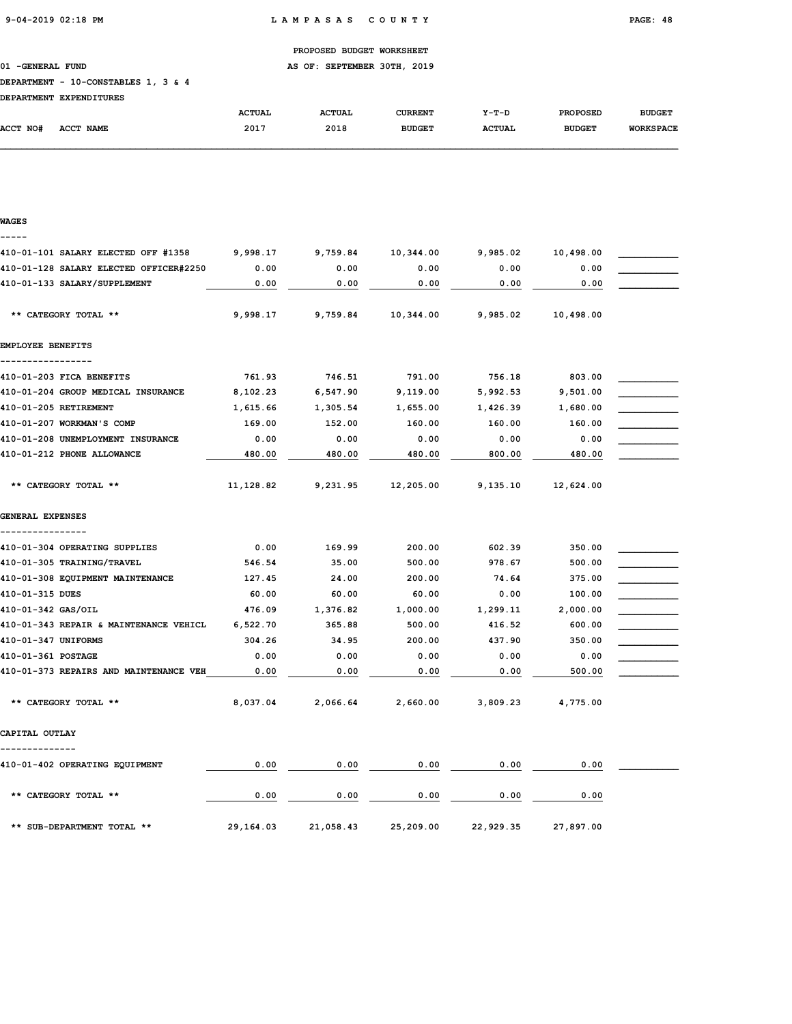01 -GENERAL FUND **AS OF: SEPTEMBER 30TH, 2019** 

### DEPARTMENT - 10-CONSTABLES 1, 3 & 4

| DEPARTMENT EXPENDITURES |  |
|-------------------------|--|
|                         |  |

|          | DEFARIMENI EAFENDIIORES |               |               |                |               |                 |                  |
|----------|-------------------------|---------------|---------------|----------------|---------------|-----------------|------------------|
|          |                         | <b>ACTUAL</b> | <b>ACTUAL</b> | <b>CURRENT</b> | $Y-T-D$       | <b>PROPOSED</b> | <b>BUDGET</b>    |
| ACCT NO# | <b>ACCT NAME</b>        | 2017          | 2018          | <b>BUDGET</b>  | <b>ACTUAL</b> | <b>BUDGET</b>   | <b>WORKSPACE</b> |
|          |                         |               |               |                |               |                 |                  |

| WAGES                                  |           |           |           |           |           |  |
|----------------------------------------|-----------|-----------|-----------|-----------|-----------|--|
|                                        |           |           |           |           |           |  |
| 410-01-101 SALARY ELECTED OFF #1358    | 9,998.17  | 9,759.84  | 10,344.00 | 9,985.02  | 10,498.00 |  |
| 410-01-128 SALARY ELECTED OFFICER#2250 | 0.00      | 0.00      | 0.00      | 0.00      | 0.00      |  |
| 410-01-133 SALARY/SUPPLEMENT           | 0.00      | 0.00      | 0.00      | 0.00      | 0.00      |  |
| ** CATEGORY TOTAL **                   | 9,998.17  | 9,759.84  | 10,344.00 | 9,985.02  | 10,498.00 |  |
| <b>EMPLOYEE BENEFITS</b>               |           |           |           |           |           |  |
| 410-01-203 FICA BENEFITS               | 761.93    | 746.51    | 791.00    | 756.18    | 803.00    |  |
| 410-01-204 GROUP MEDICAL INSURANCE     | 8,102.23  | 6,547.90  | 9,119.00  | 5,992.53  | 9,501.00  |  |
| 410-01-205 RETIREMENT                  | 1,615.66  | 1,305.54  | 1,655.00  | 1,426.39  | 1,680.00  |  |
| 410-01-207 WORKMAN'S COMP              | 169.00    | 152.00    | 160.00    | 160.00    | 160.00    |  |
| 410-01-208 UNEMPLOYMENT INSURANCE      | 0.00      | 0.00      | 0.00      | 0.00      | 0.00      |  |
| 410-01-212 PHONE ALLOWANCE             | 480.00    | 480.00    | 480.00    | 800.00    | 480.00    |  |
| ** CATEGORY TOTAL **                   | 11,128.82 | 9,231.95  | 12,205.00 | 9,135.10  | 12,624.00 |  |
| GENERAL EXPENSES                       |           |           |           |           |           |  |
| 410-01-304 OPERATING SUPPLIES          | 0.00      | 169.99    | 200.00    | 602.39    | 350.00    |  |
| 410-01-305 TRAINING/TRAVEL             | 546.54    | 35.00     | 500.00    | 978.67    | 500.00    |  |
| 410-01-308 EQUIPMENT MAINTENANCE       | 127.45    | 24.00     | 200.00    | 74.64     | 375.00    |  |
| 410-01-315 DUES                        | 60.00     | 60.00     | 60.00     | 0.00      | 100.00    |  |
| 410-01-342 GAS/OIL                     | 476.09    | 1,376.82  | 1,000.00  | 1,299.11  | 2,000.00  |  |
| 410-01-343 REPAIR & MAINTENANCE VEHICL | 6,522.70  | 365.88    | 500.00    | 416.52    | 600.00    |  |
| 410-01-347 UNIFORMS                    | 304.26    | 34.95     | 200.00    | 437.90    | 350.00    |  |
| 410-01-361 POSTAGE                     | 0.00      | 0.00      | 0.00      | 0.00      | 0.00      |  |
| 410-01-373 REPAIRS AND MAINTENANCE VEH | 0.00      | 0.00      | 0.00      | 0.00      | 500.00    |  |
| ** CATEGORY TOTAL **                   | 8,037.04  | 2,066.64  | 2,660.00  | 3,809.23  | 4,775.00  |  |
| CAPITAL OUTLAY                         |           |           |           |           |           |  |
| 410-01-402 OPERATING EQUIPMENT         | 0.00      | 0.00      | 0.00      | 0.00      | 0.00      |  |
| ** CATEGORY TOTAL **                   | 0.00      | 0.00      | 0.00      | 0.00      | 0.00      |  |
| ** SUB-DEPARTMENT TOTAL **             | 29,164.03 | 21,058.43 | 25,209.00 | 22,929.35 | 27,897.00 |  |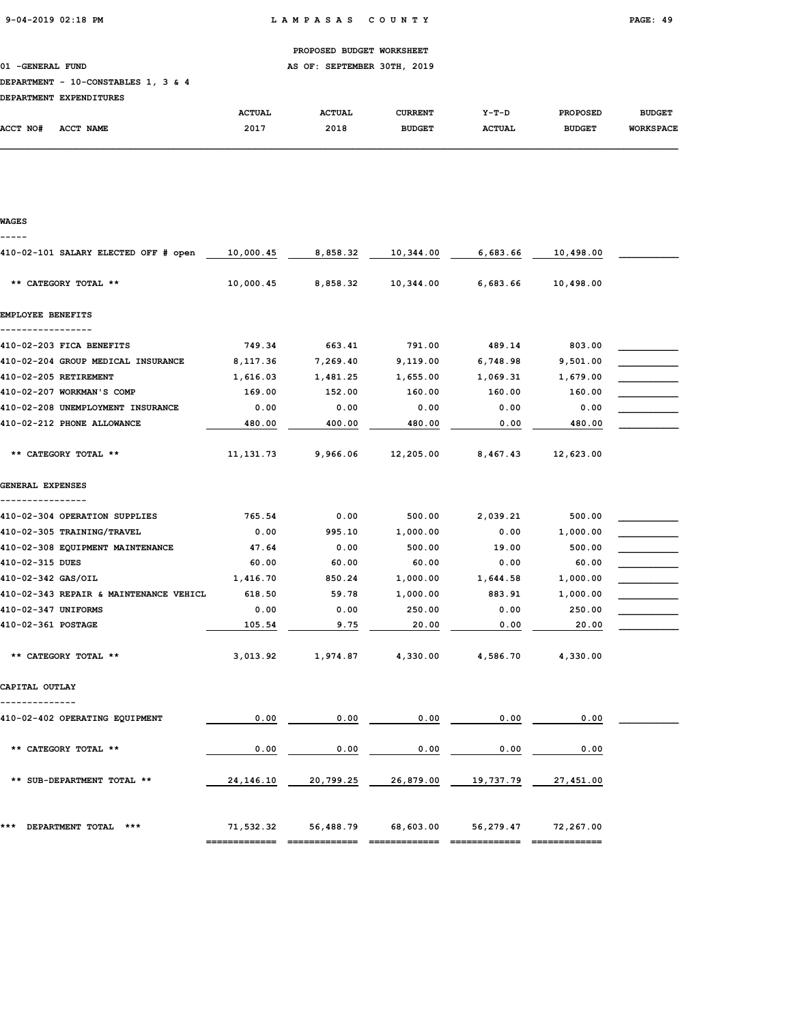01 -GENERAL FUND AS OF: SEPTEMBER 30TH, 2019

#### DEPARTMENT - 10-CONSTABLES 1, 3 & 4

|                 | DEFARIMENI EAFENDIIORES    |               |               |                |               |                 |                  |
|-----------------|----------------------------|---------------|---------------|----------------|---------------|-----------------|------------------|
|                 |                            | <b>ACTUAL</b> | <b>ACTUAL</b> | <b>CURRENT</b> | $Y-T-D$       | <b>PROPOSED</b> | <b>BUDGET</b>    |
| <b>ACCT NO#</b> | <b>NAME</b><br><b>ACCT</b> | 2017          | 2018          | <b>BUDGET</b>  | <b>ACTUAL</b> | <b>BUDGET</b>   | <b>WORKSPACE</b> |
|                 |                            |               |               |                |               |                 |                  |

# WAGES ----- 410-02-101 SALARY ELECTED OFF # open  $\underline{10,000.45}$  8,858.32  $\underline{10,344.00}$  6,683.66  $\underline{10,498.00}$  \*\* CATEGORY TOTAL \*\* 10,000.45 8,858.32 10,344.00 6,683.66 10,498.00 EMPLOYEE BENEFITS ----------------- 410-02-203 FICA BENEFITS **749.34** 663.41 791.00 489.14 803.00 410-02-204 GROUP MEDICAL INSURANCE 8,117.36 7,269.40 9,119.00 6,748.98 9,501.00 410-02-205 RETIREMENT 1,616.03 1,481.25 1,655.00 1,069.31 1,679.00 410-02-207 WORKMAN'S COMP 169.00 152.00 160.00 160.00 160.00 160.00 410-02-208 UNEMPLOYMENT INSURANCE  $0.00$   $0.00$   $0.00$   $0.00$   $0.00$   $0.00$   $0.00$ 410-02-212 PHONE ALLOWANCE  $\frac{480.00}{0.00}$   $\frac{400.00}{0.00}$   $\frac{480.00}{0.00}$   $\frac{480.00}{0.00}$  \*\* CATEGORY TOTAL \*\* 11,131.73 9,966.06 12,205.00 8,467.43 12,623.00 GENERAL EXPENSES ---------------- 410-02-304 OPERATION SUPPLIES **765.54** 0.00 500.00 2,039.21 500.00 410-02-305 TRAINING/TRAVEL 0.00 995.10 1,000.00 0.00 1,000.00 \_\_\_\_\_\_\_\_\_\_\_ 410-02-308 EQUIPMENT MAINTENANCE 47.64 0.00 500.00 19.00 500.00 500.00 410-02-315 DUES 60.00 60.00 60.00 0.00 60.00 \_\_\_\_\_\_\_\_\_\_\_ 410-02-342 GAS/OIL 1,416.70 850.24 1,000.00 1,644.58 1,000.00 \_\_\_\_\_\_\_\_\_\_\_ 410-02-343 REPAIR & MAINTENANCE VEHICL 618.50 59.78 1,000.00 883.91 1,000.00 410-02-347 UNIFORMS 0.00 0.00 250.00 0.00 250.00 \_\_\_\_\_\_\_\_\_\_\_  $410-02-361$  POSTAGE  $\overline{)105.54}$   $\underline{)105.54}$   $\underline{)9.75}$   $\underline{)20.00}$   $\underline{)0.00}$   $\underline{)20.00}$  \*\* CATEGORY TOTAL \*\* 3,013.92 1,974.87 4,330.00 4,586.70 4,330.00 CAPITAL OUTLAY -------------- 410-02-402 OPERATING EQUIPMENT  $0.00$   $0.00$   $0.00$   $0.00$   $0.00$   $0.00$   $0.00$   $0.00$   $0.00$   $0.00$   $0.00$   $0.00$   $0.00$   $0.00$   $0.00$   $0.00$   $0.00$   $0.00$   $0.00$   $0.00$   $0.00$   $0.00$   $0.00$   $0.00$   $0.00$   $0.00$   $0.00$   $0$ \*\* CATEGORY TOTAL \*\*  $\hspace{1.5cm} 0.00$   $\hspace{1.5cm} 0.00$   $\hspace{1.5cm} 0.00$   $\hspace{1.5cm} 0.00$   $\hspace{1.5cm} 0.00$   $\hspace{1.5cm} 0.00$ \*\* SUB-DEPARTMENT TOTAL \*\*  $24,146.10$   $20,799.25$   $26,879.00$   $19,737.79$   $27,451.00$ \*\*\* DEPARTMENT TOTAL \*\*\* 71,532.32 56,488.79 68,603.00 56,279.47 72,267.00 ============= ============= ============= ============= =============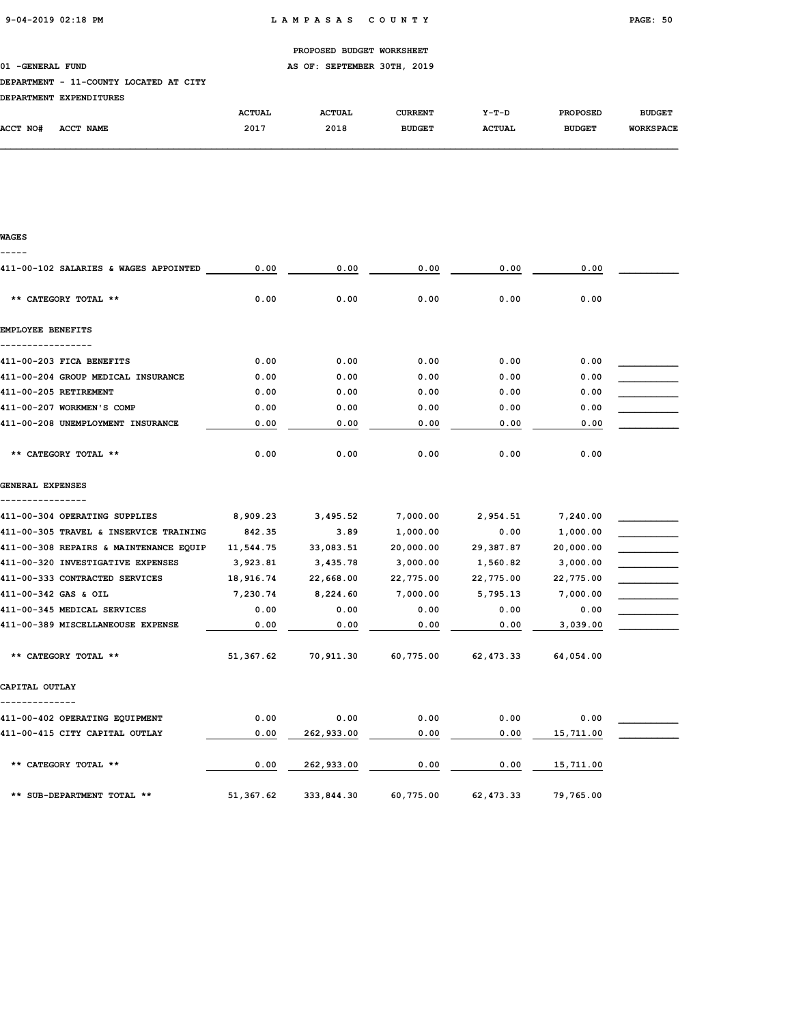### 01 -GENERAL FUND **AS OF: SEPTEMBER 30TH, 2019**

### DEPARTMENT - 11-COUNTY LOCATED AT CITY

|          | DEPARTMENT EXPENDITURES |               |               |                |               |                 |                  |
|----------|-------------------------|---------------|---------------|----------------|---------------|-----------------|------------------|
|          |                         | <b>ACTUAL</b> | <b>ACTUAL</b> | <b>CURRENT</b> | $Y-T-D$       | <b>PROPOSED</b> | <b>BUDGET</b>    |
| ACCT NO# | ACCT NAME               | 2017          | 2018          | <b>BUDGET</b>  | <b>ACTUAL</b> | <b>BUDGET</b>   | <b>WORKSPACE</b> |

#### WAGES -----

| 411-00-102 SALARIES & WAGES APPOINTED  | 0.00      | 0.00       | 0.00      | 0.00       | 0.00      |  |
|----------------------------------------|-----------|------------|-----------|------------|-----------|--|
| ** CATEGORY TOTAL **                   | 0.00      | 0.00       | 0.00      | 0.00       | 0.00      |  |
| EMPLOYEE BENEFITS                      |           |            |           |            |           |  |
| 411-00-203 FICA BENEFITS               | 0.00      | 0.00       | 0.00      | 0.00       | 0.00      |  |
| 411-00-204 GROUP MEDICAL INSURANCE     | 0.00      | 0.00       | 0.00      | 0.00       | 0.00      |  |
| 411-00-205 RETIREMENT                  | 0.00      | 0.00       | 0.00      | 0.00       | 0.00      |  |
| 411-00-207 WORKMEN'S COMP              | 0.00      | 0.00       | 0.00      | 0.00       | 0.00      |  |
| 411-00-208 UNEMPLOYMENT INSURANCE      | 0.00      | 0.00       | 0.00      | 0.00       | 0.00      |  |
| ** CATEGORY TOTAL **                   | 0.00      | 0.00       | 0.00      | 0.00       | 0.00      |  |
| GENERAL EXPENSES                       |           |            |           |            |           |  |
| 411-00-304 OPERATING SUPPLIES          | 8,909.23  | 3,495.52   | 7,000.00  | 2,954.51   | 7,240.00  |  |
| 411-00-305 TRAVEL & INSERVICE TRAINING | 842.35    | 3.89       | 1,000.00  | 0.00       | 1,000.00  |  |
| 411-00-308 REPAIRS & MAINTENANCE EQUIP | 11,544.75 | 33,083.51  | 20,000.00 | 29,387.87  | 20,000.00 |  |
| 411-00-320 INVESTIGATIVE EXPENSES      | 3,923.81  | 3,435.78   | 3,000.00  | 1,560.82   | 3,000.00  |  |
| 411-00-333 CONTRACTED SERVICES         | 18,916.74 | 22,668.00  | 22,775.00 | 22,775.00  | 22,775.00 |  |
| 411-00-342 GAS & OIL                   | 7,230.74  | 8,224.60   | 7,000.00  | 5,795.13   | 7,000.00  |  |
| 411-00-345 MEDICAL SERVICES            | 0.00      | 0.00       | 0.00      | 0.00       | 0.00      |  |
| 411-00-389 MISCELLANEOUSE EXPENSE      | 0.00      | 0.00       | 0.00      | 0.00       | 3,039.00  |  |
| ** CATEGORY TOTAL **                   | 51,367.62 | 70,911.30  | 60,775.00 | 62, 473.33 | 64,054.00 |  |
| CAPITAL OUTLAY                         |           |            |           |            |           |  |
| 411-00-402 OPERATING EQUIPMENT         | 0.00      | 0.00       | 0.00      | 0.00       | 0.00      |  |
| 411-00-415 CITY CAPITAL OUTLAY         | 0.00      | 262,933.00 | 0.00      | 0.00       | 15,711.00 |  |
| ** CATEGORY TOTAL **                   | 0.00      | 262,933.00 | 0.00      | 0.00       | 15,711.00 |  |
| ** SUB-DEPARTMENT TOTAL **             | 51,367.62 | 333,844.30 | 60,775.00 | 62, 473.33 | 79,765.00 |  |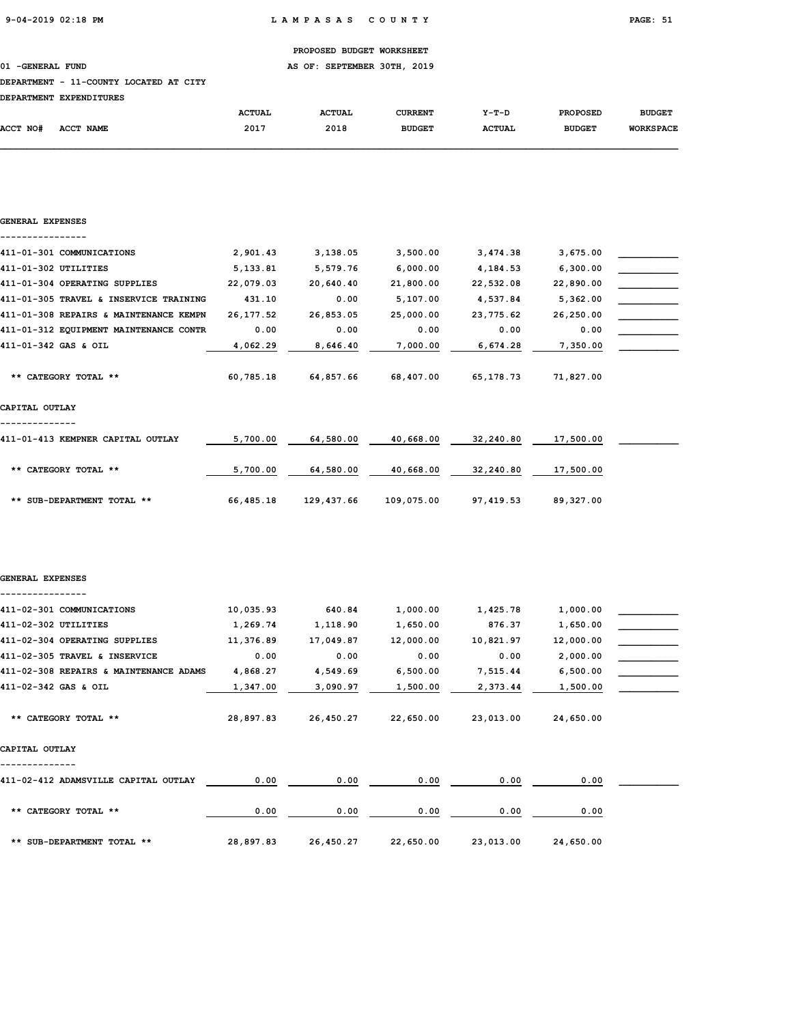01 -GENERAL FUND **AS OF: SEPTEMBER 30TH, 2019** 

#### DEPARTMENT - 11-COUNTY LOCATED AT CITY

|          | DEPARTMENT EXPENDITURES |               |               |                |               |                 |                  |
|----------|-------------------------|---------------|---------------|----------------|---------------|-----------------|------------------|
|          |                         | <b>ACTUAL</b> | <b>ACTUAL</b> | <b>CURRENT</b> | $Y-T-D$       | <b>PROPOSED</b> | <b>BUDGET</b>    |
| ACCT NO# | ACCT NAME               | 2017          | 2018          | <b>BUDGET</b>  | <b>ACTUAL</b> | <b>BUDGET</b>   | <b>WORKSPACE</b> |
|          |                         |               |               |                |               |                 |                  |

| GENERAL EXPENSES                       |            |            |            |             |           |  |
|----------------------------------------|------------|------------|------------|-------------|-----------|--|
| 411-01-301 COMMUNICATIONS              | 2,901.43   | 3,138.05   | 3,500.00   | 3,474.38    | 3,675.00  |  |
| 411-01-302 UTILITIES                   | 5,133.81   | 5,579.76   | 6,000.00   | 4,184.53    | 6,300.00  |  |
| 411-01-304 OPERATING SUPPLIES          | 22,079.03  | 20,640.40  | 21,800.00  | 22,532.08   | 22,890.00 |  |
| 411-01-305 TRAVEL & INSERVICE TRAINING | 431.10     | 0.00       | 5,107.00   | 4,537.84    | 5,362.00  |  |
| 411-01-308 REPAIRS & MAINTENANCE KEMPN | 26, 177.52 | 26,853.05  | 25,000.00  | 23, 775.62  | 26,250.00 |  |
| 411-01-312 EQUIPMENT MAINTENANCE CONTR | 0.00       | 0.00       | 0.00       | 0.00        | 0.00      |  |
| 411-01-342 GAS & OIL                   | 4,062.29   | 8,646.40   | 7,000.00   | 6,674.28    | 7,350.00  |  |
| ** CATEGORY TOTAL **                   | 60,785.18  | 64,857.66  | 68,407.00  | 65, 178. 73 | 71,827.00 |  |
| CAPITAL OUTLAY                         |            |            |            |             |           |  |
| 411-01-413 KEMPNER CAPITAL OUTLAY      | 5,700.00   | 64,580.00  | 40,668.00  | 32,240.80   | 17,500.00 |  |
| ** CATEGORY TOTAL **                   | 5,700.00   | 64,580.00  | 40,668.00  | 32,240.80   | 17,500.00 |  |
| ** SUB-DEPARTMENT TOTAL **             | 66,485.18  | 129,437.66 | 109,075.00 | 97,419.53   | 89,327.00 |  |
| GENERAL EXPENSES                       |            |            |            |             |           |  |
|                                        |            |            |            |             |           |  |
| 411-02-301 COMMUNICATIONS              | 10,035.93  | 640.84     | 1,000.00   | 1,425.78    | 1,000.00  |  |
| 411-02-302 UTILITIES                   | 1,269.74   | 1,118.90   | 1,650.00   | 876.37      | 1,650.00  |  |
| 411-02-304 OPERATING SUPPLIES          | 11,376.89  | 17,049.87  | 12,000.00  | 10,821.97   | 12,000.00 |  |
| 411-02-305 TRAVEL & INSERVICE          | 0.00       | 0.00       | 0.00       | 0.00        | 2,000.00  |  |
| 411-02-308 REPAIRS & MAINTENANCE ADAMS | 4,868.27   | 4,549.69   | 6,500.00   | 7,515.44    | 6,500.00  |  |
| 411-02-342 GAS & OIL                   | 1,347.00   | 3,090.97   | 1,500.00   | 2,373.44    | 1,500.00  |  |
| ** CATEGORY TOTAL **                   | 28,897.83  | 26,450.27  | 22,650.00  | 23,013.00   | 24,650.00 |  |
| CAPITAL OUTLAY                         |            |            |            |             |           |  |
| 411-02-412 ADAMSVILLE CAPITAL OUTLAY   | 0.00       | 0.00       | 0.00       | 0.00        | 0.00      |  |
| ** CATEGORY TOTAL **                   | 0.00       | 0.00       | 0.00       | 0.00        | 0.00      |  |
| ** SUB-DEPARTMENT TOTAL **             | 28,897.83  | 26,450.27  | 22,650.00  | 23,013.00   | 24,650.00 |  |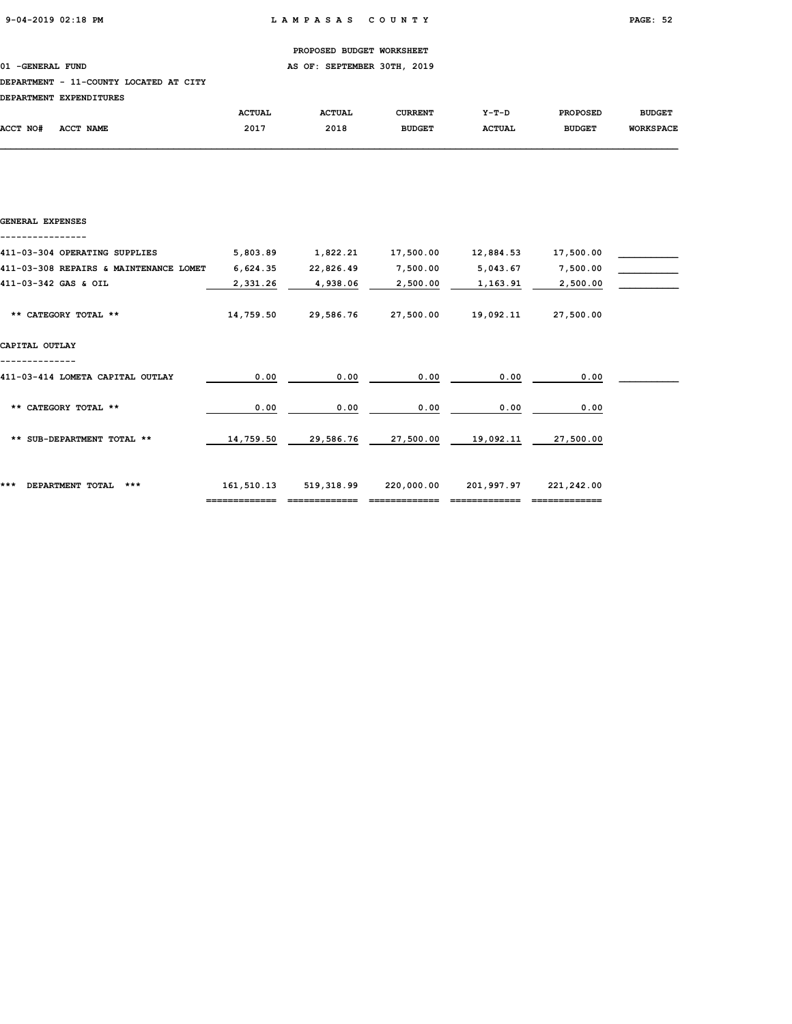01 -GENERAL FUND **AS OF: SEPTEMBER 30TH, 2019** 

### DEPARTMENT - 11-COUNTY LOCATED AT CITY

|          | DEPARIMENI EAPENDIIORES |               |               |               |               |                 |                  |
|----------|-------------------------|---------------|---------------|---------------|---------------|-----------------|------------------|
|          |                         | <b>ACTUAL</b> | <b>ACTUAL</b> | CURRENT       | $Y-T-D$       | <b>PROPOSED</b> | <b>BUDGET</b>    |
| ACCT NO# | ACCT NAME               | 2017          | 2018          | <b>BUDGET</b> | <b>ACTUAL</b> | <b>BUDGET</b>   | <b>WORKSPACE</b> |
|          |                         |               |               |               |               |                 |                  |

| GENERAL EXPENSES                       |            |            |            |            |            |  |
|----------------------------------------|------------|------------|------------|------------|------------|--|
| 411-03-304 OPERATING SUPPLIES          | 5,803.89   | 1,822.21   | 17,500.00  | 12,884.53  | 17,500.00  |  |
| 411-03-308 REPAIRS & MAINTENANCE LOMET | 6,624.35   | 22,826.49  | 7,500.00   | 5,043.67   | 7,500.00   |  |
| 411-03-342 GAS & OIL                   | 2,331.26   | 4,938.06   | 2,500.00   | 1,163.91   | 2,500.00   |  |
| ** CATEGORY TOTAL **                   | 14,759.50  | 29,586.76  | 27,500.00  | 19,092.11  | 27,500.00  |  |
| CAPITAL OUTLAY                         |            |            |            |            |            |  |
| 411-03-414 LOMETA CAPITAL OUTLAY       | 0.00       | 0.00       | 0.00       | 0.00       | 0.00       |  |
| ** CATEGORY TOTAL **                   | 0.00       | 0.00       | 0.00       | 0.00       | 0.00       |  |
| ** SUB-DEPARTMENT TOTAL **             | 14,759.50  | 29,586.76  | 27,500.00  | 19,092.11  | 27,500.00  |  |
| ***<br>DEPARTMENT TOTAL<br>***         | 161,510.13 | 519,318.99 | 220,000.00 | 201,997.97 | 221,242.00 |  |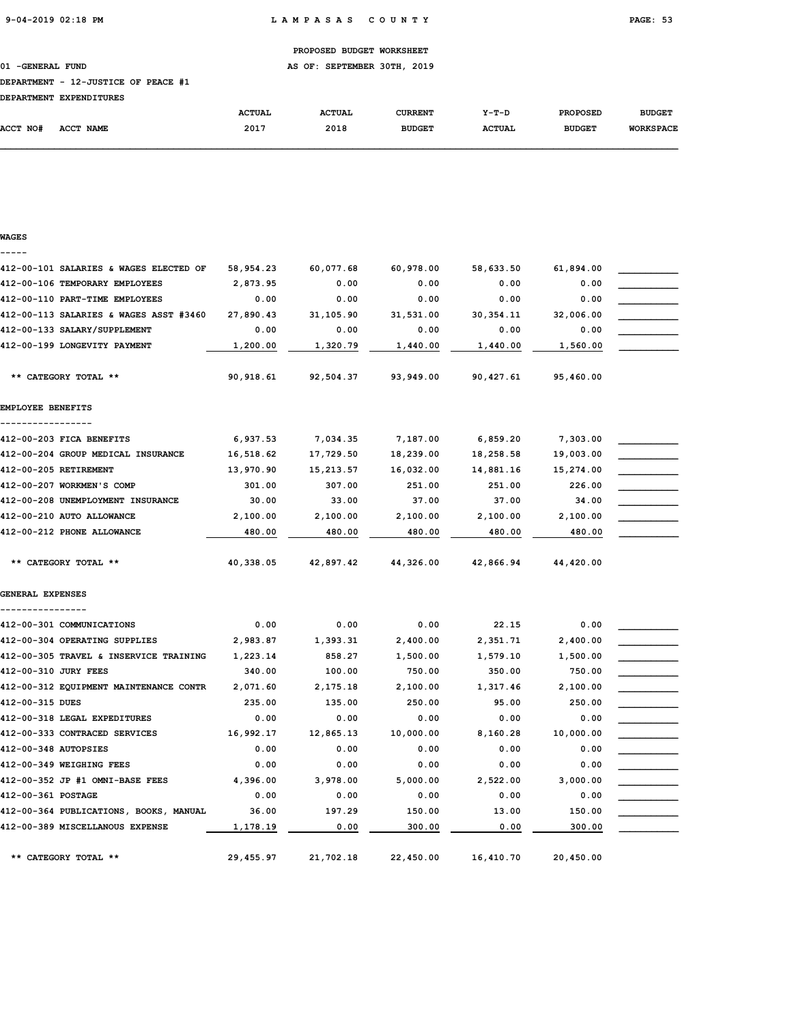01 -GENERAL FUND **AS OF: SEPTEMBER 30TH, 2019** 

### DEPARTMENT - 12-JUSTICE OF PEACE #1

| rorandurum overuntmuno e |  |
|--------------------------|--|

| <b>DEPARTMENT</b> | <b>EXPENDITURES</b> |               |               |               |               |                 |                  |
|-------------------|---------------------|---------------|---------------|---------------|---------------|-----------------|------------------|
|                   |                     | <b>ACTUAL</b> | <b>ACTUAL</b> | CURRENT       | $Y-T-D$       | <b>PROPOSED</b> | <b>BUDGET</b>    |
| <b>ACCT NO#</b>   | ACCT NAME           | 2017          | 2018          | <b>BUDGET</b> | <b>ACTUAL</b> | <b>BUDGET</b>   | <b>WORKSPACE</b> |

| WAGES                                  |           |            |           |            |           |  |
|----------------------------------------|-----------|------------|-----------|------------|-----------|--|
| 412-00-101 SALARIES & WAGES ELECTED OF | 58,954.23 | 60,077.68  | 60,978.00 | 58,633.50  | 61,894.00 |  |
| 412-00-106 TEMPORARY EMPLOYEES         | 2,873.95  | 0.00       | 0.00      | 0.00       | 0.00      |  |
| 412-00-110 PART-TIME EMPLOYEES         | 0.00      | 0.00       | 0.00      | 0.00       | 0.00      |  |
| 412-00-113 SALARIES & WAGES ASST #3460 | 27,890.43 | 31,105.90  | 31,531.00 | 30, 354.11 | 32,006.00 |  |
| 412-00-133 SALARY/SUPPLEMENT           | 0.00      | 0.00       | 0.00      | 0.00       | 0.00      |  |
| 412-00-199 LONGEVITY PAYMENT           | 1,200.00  | 1,320.79   | 1,440.00  | 1,440.00   | 1,560.00  |  |
| ** CATEGORY TOTAL **                   | 90,918.61 | 92,504.37  | 93,949.00 | 90,427.61  | 95,460.00 |  |
| EMPLOYEE BENEFITS                      |           |            |           |            |           |  |
| 412-00-203 FICA BENEFITS               | 6,937.53  | 7,034.35   | 7,187.00  | 6,859.20   | 7,303.00  |  |
| 412-00-204 GROUP MEDICAL INSURANCE     | 16,518.62 | 17,729.50  | 18,239.00 | 18,258.58  | 19,003.00 |  |
| 412-00-205 RETIREMENT                  | 13,970.90 | 15, 213.57 | 16,032.00 | 14,881.16  | 15,274.00 |  |
| 412-00-207 WORKMEN'S COMP              | 301.00    | 307.00     | 251.00    | 251.00     | 226.00    |  |
| 412-00-208 UNEMPLOYMENT INSURANCE      | 30.00     | 33.00      | 37.00     | 37.00      | 34.00     |  |
| 412-00-210 AUTO ALLOWANCE              | 2,100.00  | 2,100.00   | 2,100.00  | 2,100.00   | 2,100.00  |  |
| 412-00-212 PHONE ALLOWANCE             | 480.00    | 480.00     | 480.00    | 480.00     | 480.00    |  |
| ** CATEGORY TOTAL **                   | 40,338.05 | 42,897.42  | 44,326.00 | 42,866.94  | 44,420.00 |  |
| GENERAL EXPENSES                       |           |            |           |            |           |  |
| 412-00-301 COMMUNICATIONS              | 0.00      | 0.00       | 0.00      | 22.15      | 0.00      |  |
| 412-00-304 OPERATING SUPPLIES          | 2,983.87  | 1,393.31   | 2,400.00  | 2,351.71   | 2,400.00  |  |
| 412-00-305 TRAVEL & INSERVICE TRAINING | 1,223.14  | 858.27     | 1,500.00  | 1,579.10   | 1,500.00  |  |
| 412-00-310 JURY FEES                   | 340.00    | 100.00     | 750.00    | 350.00     | 750.00    |  |
| 412-00-312 EQUIPMENT MAINTENANCE CONTR | 2,071.60  | 2,175.18   | 2,100.00  | 1,317.46   | 2,100.00  |  |
| 412-00-315 DUES                        | 235.00    | 135.00     | 250.00    | 95.00      | 250.00    |  |
| 412-00-318 LEGAL EXPEDITURES           | 0.00      | 0.00       | 0.00      | 0.00       | 0.00      |  |
| 412-00-333 CONTRACED SERVICES          | 16,992.17 | 12,865.13  | 10,000.00 | 8,160.28   | 10,000.00 |  |
| 412-00-348 AUTOPSIES                   | 0.00      | 0.00       | 0.00      | 0.00       | 0.00      |  |
| 412-00-349 WEIGHING FEES               | 0.00      | 0.00       | 0.00      | 0.00       | 0.00      |  |
| 412-00-352 JP #1 OMNI-BASE FEES        | 4,396.00  | 3,978.00   | 5,000.00  | 2,522.00   | 3,000.00  |  |
| 412-00-361 POSTAGE                     | 0.00      | 0.00       | 0.00      | 0.00       | 0.00      |  |
| 412-00-364 PUBLICATIONS, BOOKS, MANUAL | 36.00     | 197.29     | 150.00    | 13.00      | 150.00    |  |
| 412-00-389 MISCELLANOUS EXPENSE        | 1,178.19  | 0.00       | 300.00    | 0.00       | 300.00    |  |
| ** CATEGORY TOTAL **                   | 29,455.97 | 21,702.18  | 22,450.00 | 16,410.70  | 20,450.00 |  |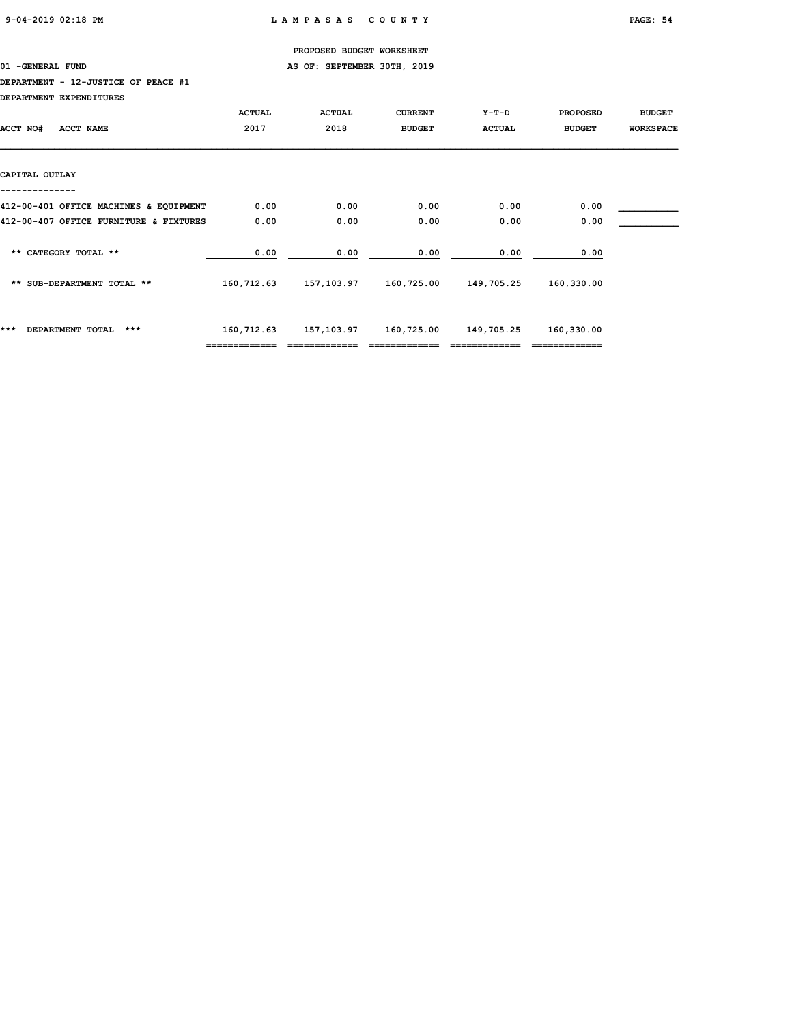01 -GENERAL FUND **AS OF: SEPTEMBER 30TH, 2019** 

### DEPARTMENT - 12-JUSTICE OF PEACE #1

| DEPARTMENT EXPENDITURES                |               |                                             |                |               |                 |                  |
|----------------------------------------|---------------|---------------------------------------------|----------------|---------------|-----------------|------------------|
|                                        | <b>ACTUAL</b> | <b>ACTUAL</b>                               | <b>CURRENT</b> | Y-T-D         | <b>PROPOSED</b> | <b>BUDGET</b>    |
| <b>ACCT NAME</b><br><b>ACCT NO#</b>    | 2017          | 2018                                        | <b>BUDGET</b>  | <b>ACTUAL</b> | <b>BUDGET</b>   | <b>WORKSPACE</b> |
|                                        |               |                                             |                |               |                 |                  |
|                                        |               |                                             |                |               |                 |                  |
| CAPITAL OUTLAY                         |               |                                             |                |               |                 |                  |
|                                        |               |                                             |                |               |                 |                  |
| 412-00-401 OFFICE MACHINES & EQUIPMENT | 0.00          | 0.00                                        | 0.00           | 0.00          | 0.00            |                  |
| 412-00-407 OFFICE FURNITURE & FIXTURES | 0.00          | 0.00                                        | 0.00           | 0.00          | 0.00            |                  |
|                                        |               |                                             |                |               |                 |                  |
| ** CATEGORY TOTAL **                   | 0.00          | 0.00                                        | 0.00           | 0.00          | 0.00            |                  |
|                                        |               |                                             |                |               |                 |                  |
| ** SUB-DEPARTMENT TOTAL **             |               | 160,712.63 157,103.97 160,725.00 149,705.25 |                |               | 160,330.00      |                  |
|                                        |               |                                             |                |               |                 |                  |
|                                        |               |                                             |                |               |                 |                  |
| ***<br>DEPARTMENT TOTAL<br>$***$       | 160,712.63    | 157,103.97                                  | 160,725.00     | 149,705.25    | 160,330.00      |                  |
|                                        |               |                                             |                |               |                 |                  |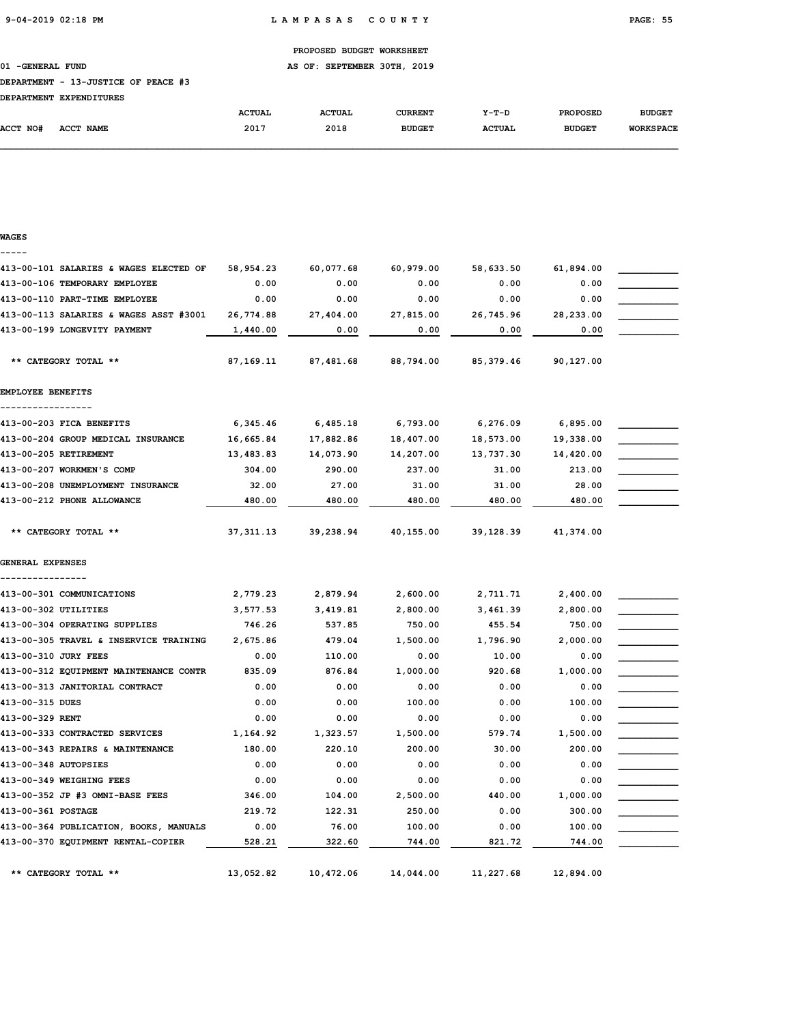01 -GENERAL FUND **AS OF: SEPTEMBER 30TH, 2019** 

#### DEPARTMENT - 13-JUSTICE OF PEACE #3

| DRDADMWRNM RYDRNDTMUDRC |  |
|-------------------------|--|

|          | DEPARTMENT EXPENDITURES |               |               |                |               |                 |                  |
|----------|-------------------------|---------------|---------------|----------------|---------------|-----------------|------------------|
|          |                         | <b>ACTUAL</b> | <b>ACTUAL</b> | <b>CURRENT</b> | Y-T-D         | <b>PROPOSED</b> | <b>BUDGET</b>    |
| ACCT NO# | ACCT NAME               | 2017          | 2018          | <b>BUDGET</b>  | <b>ACTUAL</b> | <b>BUDGET</b>   | <b>WORKSPACE</b> |

| WAGES                                  |             |           |           |           |           |  |
|----------------------------------------|-------------|-----------|-----------|-----------|-----------|--|
|                                        |             |           |           |           |           |  |
| 413-00-101 SALARIES & WAGES ELECTED OF | 58,954.23   | 60,077.68 | 60,979.00 | 58,633.50 | 61,894.00 |  |
| 413-00-106 TEMPORARY EMPLOYEE          | 0.00        | 0.00      | 0.00      | 0.00      | 0.00      |  |
| 413-00-110 PART-TIME EMPLOYEE          | 0.00        | 0.00      | 0.00      | 0.00      | 0.00      |  |
| 413-00-113 SALARIES & WAGES ASST #3001 | 26,774.88   | 27,404.00 | 27,815.00 | 26,745.96 | 28,233.00 |  |
| 413-00-199 LONGEVITY PAYMENT           | 1,440.00    | 0.00      | 0.00      | 0.00      | 0.00      |  |
| ** CATEGORY TOTAL **                   | 87,169.11   | 87,481.68 | 88,794.00 | 85,379.46 | 90,127.00 |  |
| EMPLOYEE BENEFITS                      |             |           |           |           |           |  |
| ----------------                       |             |           |           |           |           |  |
| 413-00-203 FICA BENEFITS               | 6,345.46    | 6,485.18  | 6,793.00  | 6,276.09  | 6,895.00  |  |
| 413-00-204 GROUP MEDICAL INSURANCE     | 16,665.84   | 17,882.86 | 18,407.00 | 18,573.00 | 19,338.00 |  |
| 413-00-205 RETIREMENT                  | 13,483.83   | 14,073.90 | 14,207.00 | 13,737.30 | 14,420.00 |  |
| 413-00-207 WORKMEN'S COMP              | 304.00      | 290.00    | 237.00    | 31.00     | 213.00    |  |
| 413-00-208 UNEMPLOYMENT INSURANCE      | 32.00       | 27.00     | 31.00     | 31.00     | 28.00     |  |
| 413-00-212 PHONE ALLOWANCE             | 480.00      | 480.00    | 480.00    | 480.00    | 480.00    |  |
| ** CATEGORY TOTAL **                   | 37, 311, 13 | 39,238.94 | 40,155.00 | 39,128.39 | 41,374.00 |  |
| <b>GENERAL EXPENSES</b>                |             |           |           |           |           |  |
| ---------------                        |             |           |           |           |           |  |
| 413-00-301 COMMUNICATIONS              | 2,779.23    | 2,879.94  | 2,600.00  | 2,711.71  | 2,400.00  |  |
| 413-00-302 UTILITIES                   | 3,577.53    | 3,419.81  | 2,800.00  | 3,461.39  | 2,800.00  |  |
| 413-00-304 OPERATING SUPPLIES          | 746.26      | 537.85    | 750.00    | 455.54    | 750.00    |  |
| 413-00-305 TRAVEL & INSERVICE TRAINING | 2,675.86    | 479.04    | 1,500.00  | 1,796.90  | 2,000.00  |  |
| 413-00-310 JURY FEES                   | 0.00        | 110.00    | 0.00      | 10.00     | 0.00      |  |
| 413-00-312 EQUIPMENT MAINTENANCE CONTR | 835.09      | 876.84    | 1,000.00  | 920.68    | 1,000.00  |  |
| 413-00-313 JANITORIAL CONTRACT         | 0.00        | 0.00      | 0.00      | 0.00      | 0.00      |  |
| 413-00-315 DUES                        | 0.00        | 0.00      | 100.00    | 0.00      | 100.00    |  |
| 413-00-329 RENT                        | 0.00        | 0.00      | 0.00      | 0.00      | 0.00      |  |
| 413-00-333 CONTRACTED SERVICES         | 1,164.92    | 1,323.57  | 1,500.00  | 579.74    | 1,500.00  |  |
| 413-00-343 REPAIRS & MAINTENANCE       | 180.00      | 220.10    | 200.00    | 30.00     | 200.00    |  |
| 413-00-348 AUTOPSIES                   | 0.00        | 0.00      | 0.00      | 0.00      | 0.00      |  |
| 413-00-349 WEIGHING FEES               | 0.00        | 0.00      | 0.00      | 0.00      | 0.00      |  |
| 413-00-352 JP #3 OMNI-BASE FEES        | 346.00      | 104.00    | 2,500.00  | 440.00    | 1,000.00  |  |
| 413-00-361 POSTAGE                     | 219.72      | 122.31    | 250.00    | 0.00      | 300.00    |  |
| 413-00-364 PUBLICATION, BOOKS, MANUALS | 0.00        | 76.00     | 100.00    | 0.00      | 100.00    |  |
| 413-00-370 EQUIPMENT RENTAL-COPIER     | 528.21      | 322.60    | 744.00    | 821.72    | 744.00    |  |
| ** CATEGORY TOTAL **                   | 13,052.82   | 10,472.06 | 14,044.00 | 11,227.68 | 12,894.00 |  |
|                                        |             |           |           |           |           |  |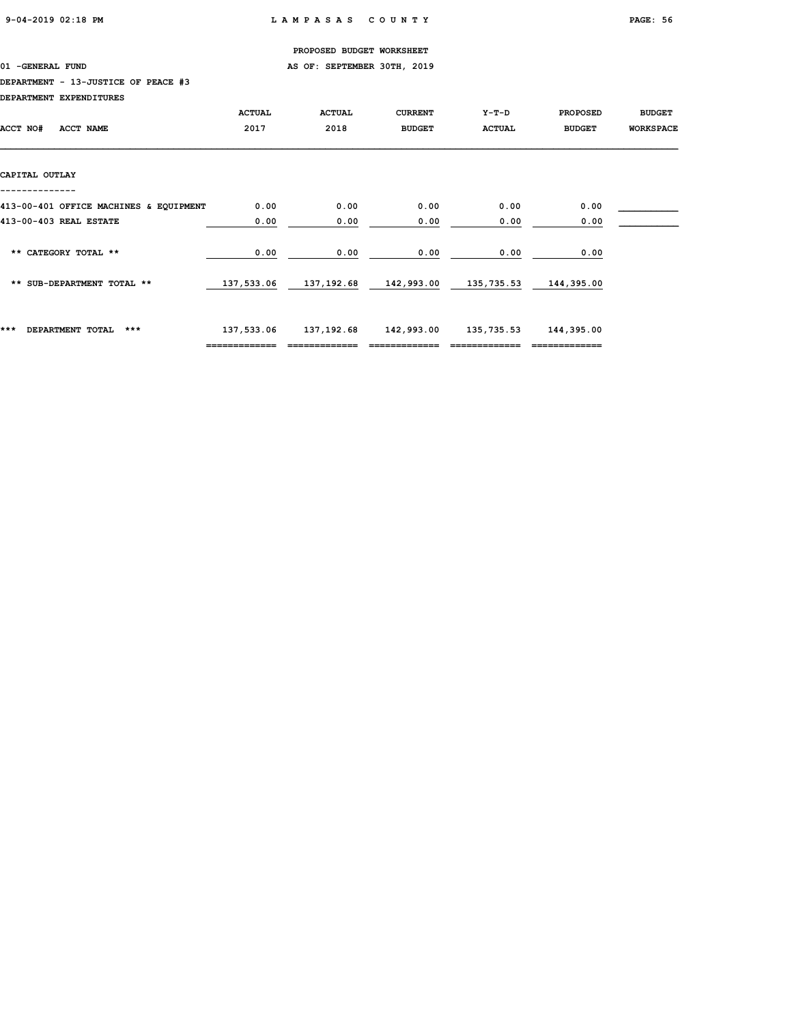01 -GENERAL FUND **AS OF: SEPTEMBER 30TH, 2019** 

### DEPARTMENT - 13-JUSTICE OF PEACE #3

| DEPARIMENI EXPENDITURES                |               |                                             |                |               |                 |                  |
|----------------------------------------|---------------|---------------------------------------------|----------------|---------------|-----------------|------------------|
|                                        | <b>ACTUAL</b> | <b>ACTUAL</b>                               | <b>CURRENT</b> | $Y-T-D$       | <b>PROPOSED</b> | <b>BUDGET</b>    |
| ACCT NO#<br>ACCT NAME                  | 2017          | 2018                                        | <b>BUDGET</b>  | <b>ACTUAL</b> | <b>BUDGET</b>   | <b>WORKSPACE</b> |
|                                        |               |                                             |                |               |                 |                  |
|                                        |               |                                             |                |               |                 |                  |
| CAPITAL OUTLAY                         |               |                                             |                |               |                 |                  |
|                                        |               |                                             |                |               |                 |                  |
| 413-00-401 OFFICE MACHINES & EQUIPMENT | 0.00          | 0.00                                        | 0.00           | 0.00          | 0.00            |                  |
| 413-00-403 REAL ESTATE                 | 0.00          | 0.00                                        | 0.00           | 0.00          | 0.00            |                  |
|                                        |               |                                             |                |               |                 |                  |
| ** CATEGORY TOTAL **                   | 0.00          | 0.00                                        | 0.00           | 0.00          | 0.00            |                  |
|                                        |               |                                             |                |               |                 |                  |
| ** SUB-DEPARTMENT TOTAL **             |               | 137,533.06 137,192.68 142,993.00 135,735.53 |                |               | 144,395.00      |                  |
|                                        |               |                                             |                |               |                 |                  |
|                                        |               |                                             |                |               |                 |                  |
| ***<br>$***$<br>DEPARTMENT TOTAL       | 137,533.06    | 137,192.68                                  | 142,993.00     | 135,735.53    | 144,395.00      |                  |
|                                        | ------------- |                                             |                |               | -------------   |                  |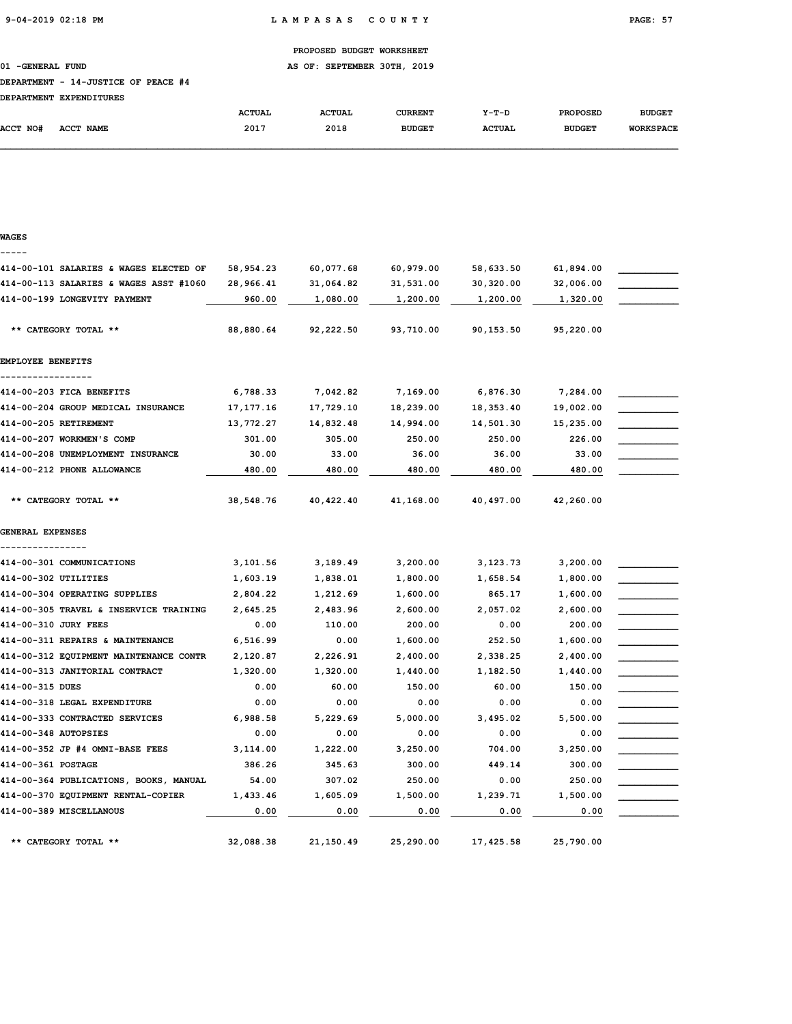01 -GENERAL FUND **AS OF: SEPTEMBER 30TH, 2019** 

### DEPARTMENT - 14-JUSTICE OF PEACE #4

| <b>DEPARTMENT</b> | <b>EXPENDITURES</b> |               |               |               |               |                 |                  |
|-------------------|---------------------|---------------|---------------|---------------|---------------|-----------------|------------------|
|                   |                     | <b>ACTUAL</b> | <b>ACTUAL</b> | CURRENT       | $Y-T-D$       | <b>PROPOSED</b> | <b>BUDGET</b>    |
| <b>ACCT NO#</b>   | <b>ACCT NAME</b>    | 2017          | 2018          | <b>BUDGET</b> | <b>ACTUAL</b> | <b>BUDGET</b>   | <b>WORKSPACE</b> |

| WAGES                                     |             |           |           |           |           |  |
|-------------------------------------------|-------------|-----------|-----------|-----------|-----------|--|
| 414-00-101 SALARIES & WAGES ELECTED OF    | 58,954.23   | 60,077.68 | 60,979.00 | 58,633.50 | 61,894.00 |  |
| 414-00-113 SALARIES & WAGES ASST #1060    | 28,966.41   | 31,064.82 | 31,531.00 | 30,320.00 | 32,006.00 |  |
| 414-00-199 LONGEVITY PAYMENT              | 960.00      | 1,080.00  | 1,200.00  | 1,200.00  | 1,320.00  |  |
| ** CATEGORY TOTAL **                      | 88,880.64   | 92,222.50 | 93,710.00 | 90,153.50 | 95,220.00 |  |
| EMPLOYEE BENEFITS                         |             |           |           |           |           |  |
| -------------<br>414-00-203 FICA BENEFITS | 6,788.33    | 7,042.82  | 7,169.00  | 6,876.30  | 7,284.00  |  |
| 414-00-204 GROUP MEDICAL INSURANCE        | 17, 177. 16 | 17,729.10 | 18,239.00 | 18,353.40 | 19,002.00 |  |
| 414-00-205 RETIREMENT                     | 13,772.27   | 14,832.48 | 14,994.00 | 14,501.30 | 15,235.00 |  |
| 414-00-207 WORKMEN'S COMP                 | 301.00      | 305.00    | 250.00    | 250.00    | 226.00    |  |
| 414-00-208 UNEMPLOYMENT INSURANCE         | 30.00       | 33.00     | 36.00     | 36.00     | 33.00     |  |
| 414-00-212 PHONE ALLOWANCE                | 480.00      | 480.00    | 480.00    | 480.00    | 480.00    |  |
| ** CATEGORY TOTAL **                      | 38,548.76   | 40,422.40 | 41,168.00 | 40,497.00 | 42,260.00 |  |
| GENERAL EXPENSES                          |             |           |           |           |           |  |
|                                           |             |           |           |           |           |  |
| 414-00-301 COMMUNICATIONS                 | 3,101.56    | 3,189.49  | 3,200.00  | 3,123.73  | 3,200.00  |  |
| 414-00-302 UTILITIES                      | 1,603.19    | 1,838.01  | 1,800.00  | 1,658.54  | 1,800.00  |  |
| 414-00-304 OPERATING SUPPLIES             | 2,804.22    | 1,212.69  | 1,600.00  | 865.17    | 1,600.00  |  |
| 414-00-305 TRAVEL & INSERVICE TRAINING    | 2,645.25    | 2,483.96  | 2,600.00  | 2,057.02  | 2,600.00  |  |
| 414-00-310 JURY FEES                      | 0.00        | 110.00    | 200.00    | 0.00      | 200.00    |  |
| 414-00-311 REPAIRS & MAINTENANCE          | 6,516.99    | 0.00      | 1,600.00  | 252.50    | 1,600.00  |  |
| 414-00-312 EQUIPMENT MAINTENANCE CONTR    | 2,120.87    | 2,226.91  | 2,400.00  | 2,338.25  | 2,400.00  |  |
| 414-00-313 JANITORIAL CONTRACT            | 1,320.00    | 1,320.00  | 1,440.00  | 1,182.50  | 1,440.00  |  |
| 414-00-315 DUES                           | 0.00        | 60.00     | 150.00    | 60.00     | 150.00    |  |
| 414-00-318 LEGAL EXPENDITURE              | 0.00        | 0.00      | 0.00      | 0.00      | 0.00      |  |
| 414-00-333 CONTRACTED SERVICES            | 6,988.58    | 5,229.69  | 5,000.00  | 3,495.02  | 5,500.00  |  |
| 414-00-348 AUTOPSIES                      | 0.00        | 0.00      | 0.00      | 0.00      | 0.00      |  |
| 414-00-352 JP #4 OMNI-BASE FEES           | 3,114.00    | 1,222.00  | 3,250.00  | 704.00    | 3,250.00  |  |
| 414-00-361 POSTAGE                        | 386.26      | 345.63    | 300.00    | 449.14    | 300.00    |  |
| 414-00-364 PUBLICATIONS, BOOKS, MANUAL    | 54.00       | 307.02    | 250.00    | 0.00      | 250.00    |  |
| 414-00-370 EQUIPMENT RENTAL-COPIER        | 1,433.46    | 1,605.09  | 1,500.00  | 1,239.71  | 1,500.00  |  |
| 414-00-389 MISCELLANOUS                   | 0.00        | 0.00      | 0.00      | 0.00      | 0.00      |  |
| ** CATEGORY TOTAL **                      | 32,088.38   | 21,150.49 | 25,290.00 | 17,425.58 | 25,790.00 |  |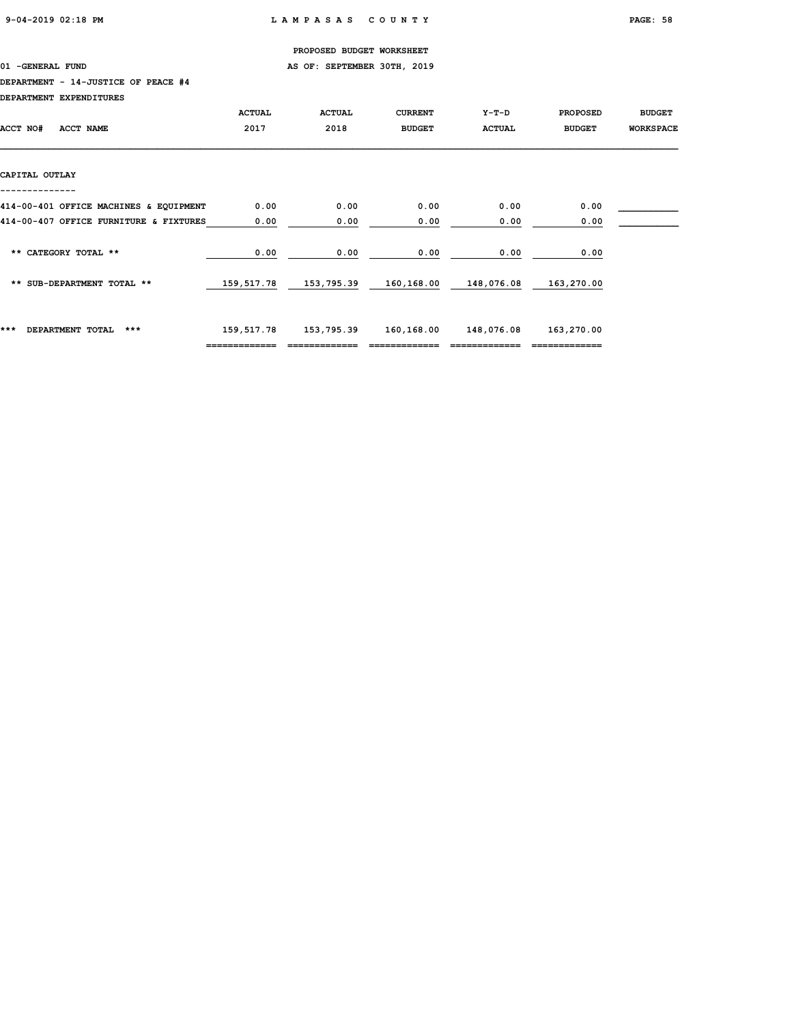01 -GENERAL FUND **AS OF: SEPTEMBER 30TH, 2019** 

### DEPARTMENT - 14-JUSTICE OF PEACE #4

| DEPARTMENT EXPENDITURES                |               |               |                |               |                 |                  |
|----------------------------------------|---------------|---------------|----------------|---------------|-----------------|------------------|
|                                        | <b>ACTUAL</b> | <b>ACTUAL</b> | <b>CURRENT</b> | Y-T-D         | <b>PROPOSED</b> | <b>BUDGET</b>    |
| ACCT NO#<br>ACCT NAME                  | 2017          | 2018          | <b>BUDGET</b>  | <b>ACTUAL</b> | <b>BUDGET</b>   | <b>WORKSPACE</b> |
|                                        |               |               |                |               |                 |                  |
|                                        |               |               |                |               |                 |                  |
| CAPITAL OUTLAY                         |               |               |                |               |                 |                  |
|                                        |               |               |                |               |                 |                  |
| 414-00-401 OFFICE MACHINES & EQUIPMENT | 0.00          | 0.00          | 0.00           | 0.00          | 0.00            |                  |
| 414-00-407 OFFICE FURNITURE & FIXTURES | 0.00          | 0.00          | 0.00           | 0.00          | 0.00            |                  |
|                                        |               |               |                |               |                 |                  |
| ** CATEGORY TOTAL **                   | 0.00          | 0.00          | 0.00           | 0.00          | 0.00            |                  |
|                                        |               |               |                |               |                 |                  |
| ** SUB-DEPARTMENT TOTAL **             | 159,517.78    | 153,795.39    | 160,168.00     | 148,076.08    | 163,270.00      |                  |
|                                        |               |               |                |               |                 |                  |
|                                        |               |               |                |               |                 |                  |
| ***<br>DEPARTMENT TOTAL<br>***         | 159,517.78    | 153,795.39    | 160,168.00     | 148,076.08    | 163,270.00      |                  |
|                                        | ============= |               |                |               |                 |                  |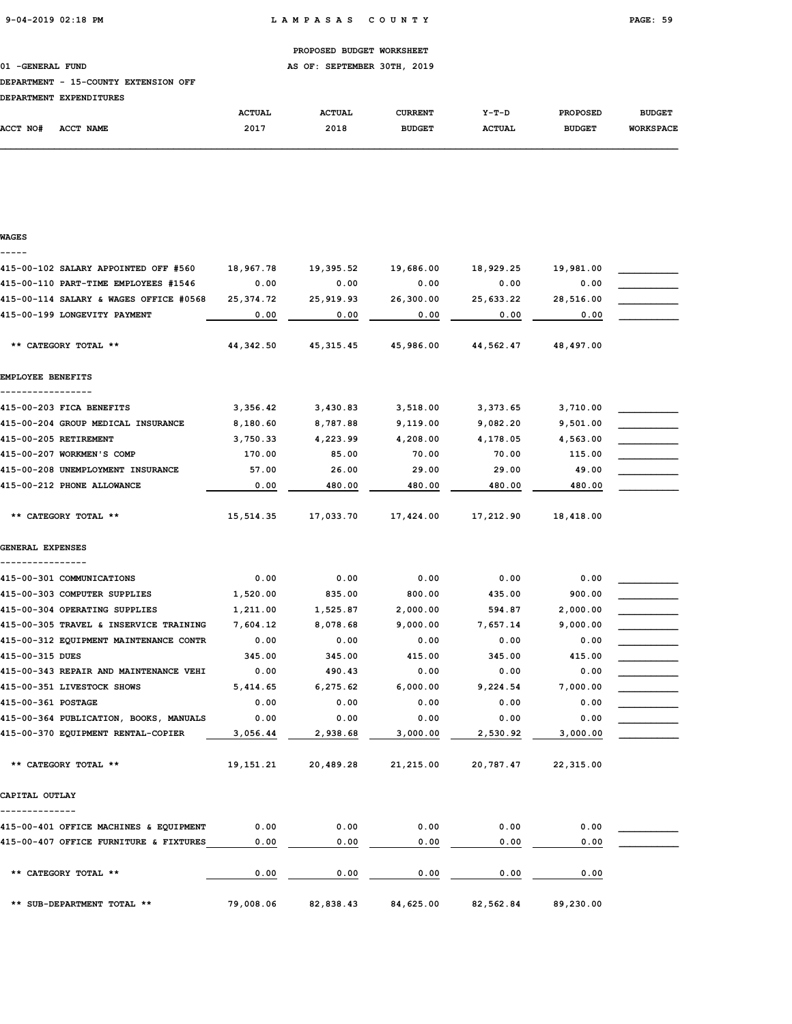01 -GENERAL FUND **AS OF: SEPTEMBER 30TH, 2019** 

### DEPARTMENT - 15-COUNTY EXTENSION OFF

| <b>DEPARTMENT</b> | <b>EXPENDITURES</b> |               |               |               |               |                 |                  |
|-------------------|---------------------|---------------|---------------|---------------|---------------|-----------------|------------------|
|                   |                     | <b>ACTUAL</b> | <b>ACTUAL</b> | CURRENT       | $Y-T-D$       | <b>PROPOSED</b> | <b>BUDGET</b>    |
| ACCT NO#          | <b>ACCT NAME</b>    | 2017          | 2018          | <b>BUDGET</b> | <b>ACTUAL</b> | <b>BUDGET</b>   | <b>WORKSPACE</b> |

#### WAGES -----

| 415-00-102 SALARY APPOINTED OFF #560                            | 18,967.78     | 19,395.52       | 19,686.00       | 18,929.25       | 19,981.00       |  |
|-----------------------------------------------------------------|---------------|-----------------|-----------------|-----------------|-----------------|--|
| 415-00-110 PART-TIME EMPLOYEES #1546                            | 0.00          | 0.00            | 0.00            | 0.00            | 0.00            |  |
| 415-00-114 SALARY & WAGES OFFICE #0568                          | 25, 374.72    | 25,919.93       | 26,300.00       | 25,633.22       | 28,516.00       |  |
| 415-00-199 LONGEVITY PAYMENT                                    | 0.00          | 0.00            | 0.00            | 0.00            | 0.00            |  |
| ** CATEGORY TOTAL **                                            | 44,342.50     | 45, 315.45      | 45,986.00       | 44,562.47       | 48,497.00       |  |
| EMPLOYEE BENEFITS                                               |               |                 |                 |                 |                 |  |
|                                                                 |               |                 |                 |                 |                 |  |
| 415-00-203 FICA BENEFITS                                        | 3,356.42      | 3,430.83        | 3,518.00        | 3,373.65        | 3,710.00        |  |
| 415-00-204 GROUP MEDICAL INSURANCE                              | 8,180.60      | 8,787.88        | 9,119.00        | 9,082.20        | 9,501.00        |  |
| 415-00-205 RETIREMENT                                           | 3,750.33      | 4,223.99        | 4,208.00        | 4,178.05        | 4,563.00        |  |
| 415-00-207 WORKMEN'S COMP                                       | 170.00        | 85.00           | 70.00           | 70.00           | 115.00          |  |
| 415-00-208 UNEMPLOYMENT INSURANCE<br>415-00-212 PHONE ALLOWANCE | 57.00<br>0.00 | 26.00<br>480.00 | 29.00<br>480.00 | 29.00<br>480.00 | 49.00<br>480.00 |  |
|                                                                 |               |                 |                 |                 |                 |  |
| ** CATEGORY TOTAL **                                            | 15, 514.35    | 17,033.70       | 17,424.00       | 17,212.90       | 18,418.00       |  |
| GENERAL EXPENSES                                                |               |                 |                 |                 |                 |  |
| 415-00-301 COMMUNICATIONS                                       | 0.00          | 0.00            | 0.00            | 0.00            | 0.00            |  |
| 415-00-303 COMPUTER SUPPLIES                                    | 1,520.00      | 835.00          | 800.00          | 435.00          | 900.00          |  |
| 415-00-304 OPERATING SUPPLIES                                   | 1,211.00      | 1,525.87        | 2,000.00        | 594.87          | 2,000.00        |  |
| 415-00-305 TRAVEL & INSERVICE TRAINING                          | 7,604.12      | 8,078.68        | 9,000.00        | 7,657.14        | 9,000.00        |  |
| 415-00-312 EQUIPMENT MAINTENANCE CONTR                          | 0.00          | 0.00            | 0.00            | 0.00            | 0.00            |  |
| 415-00-315 DUES                                                 | 345.00        | 345.00          | 415.00          | 345.00          | 415.00          |  |
| 415-00-343 REPAIR AND MAINTENANCE VEHI                          | 0.00          | 490.43          | 0.00            | 0.00            | 0.00            |  |
| 415-00-351 LIVESTOCK SHOWS                                      | 5,414.65      | 6,275.62        | 6,000.00        | 9,224.54        | 7,000.00        |  |
| 415-00-361 POSTAGE                                              | 0.00          | 0.00            | 0.00            | 0.00            | 0.00            |  |
| 415-00-364 PUBLICATION, BOOKS, MANUALS                          | 0.00          | 0.00            | 0.00            | 0.00            | 0.00            |  |
| 415-00-370 EQUIPMENT RENTAL-COPIER                              | 3,056.44      | 2,938.68        | 3,000.00        | 2,530.92        | 3,000.00        |  |
| ** CATEGORY TOTAL **                                            | 19, 151. 21   | 20,489.28       | 21,215.00       | 20,787.47       | 22,315.00       |  |
| CAPITAL OUTLAY                                                  |               |                 |                 |                 |                 |  |
| 415-00-401 OFFICE MACHINES & EQUIPMENT                          | 0.00          | 0.00            | 0.00            | 0.00            | 0.00            |  |
| 415-00-407 OFFICE FURNITURE & FIXTURES                          | 0.00          | 0.00            | 0.00            | 0.00            | 0.00            |  |
| ** CATEGORY TOTAL **                                            | 0.00          | 0.00            | 0.00            | 0.00            | 0.00            |  |
| ** SUB-DEPARTMENT TOTAL **                                      | 79,008.06     | 82,838.43       | 84,625.00       | 82,562.84       | 89,230.00       |  |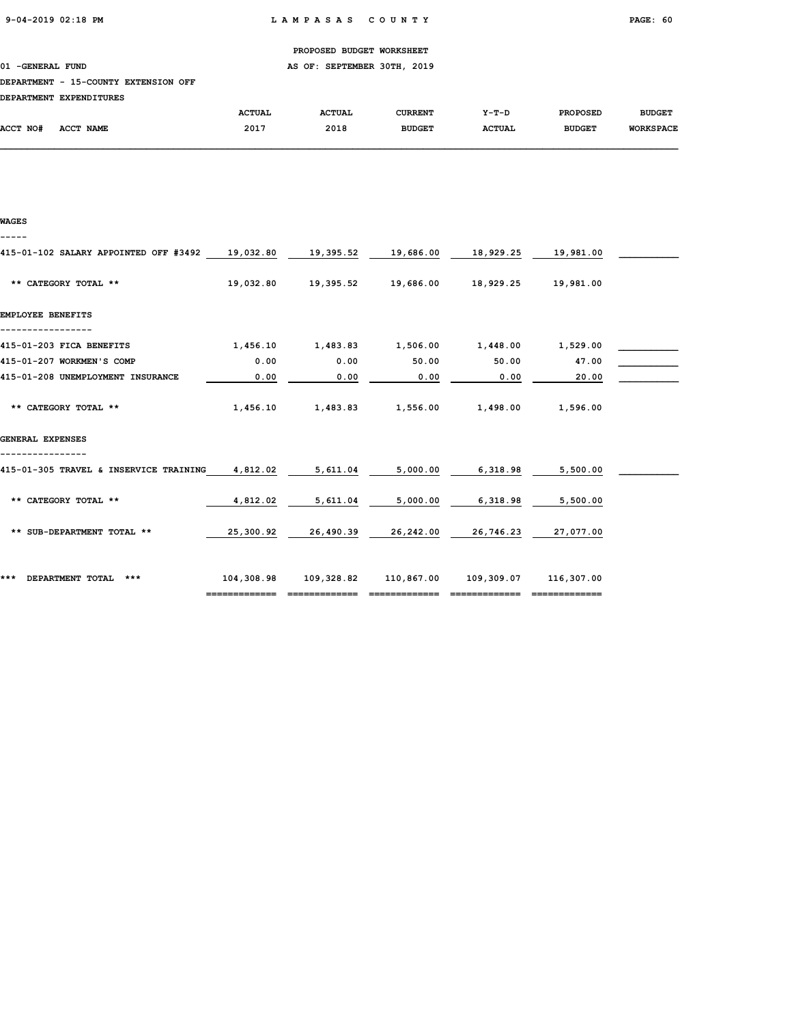WAGES

#### PROPOSED BUDGET WORKSHEET

01 -GENERAL FUND AS OF: SEPTEMBER 30TH, 2019

### DEPARTMENT - 15-COUNTY EXTENSION OFF

|          | DEPARTMENT EXPENDITURES |               |               |               |         |                 |                  |
|----------|-------------------------|---------------|---------------|---------------|---------|-----------------|------------------|
|          |                         | <b>ACTUAL</b> | <b>ACTUAL</b> | CURRENT       | $Y-T-D$ | <b>PROPOSED</b> | <b>BUDGET</b>    |
| ACCT NO# | ACCT NAME               | 2017          | 2018          | <b>BUDGET</b> | ACTUAL  | <b>BUDGET</b>   | <b>WORKSPACE</b> |

# ----- 415-01-102 SALARY APPOINTED OFF #3492 19,032.80 19,395.52 19,686.00 18,929.25 19,981.00 \*\* CATEGORY TOTAL \*\* 19,032.80 19,395.52 19,686.00 18,929.25 19,981.00 EMPLOYEE BENEFITS ----------------- 415-01-203 FICA BENEFITS  $1,456.10$   $1,483.83$   $1,506.00$   $1,448.00$   $1,529.00$   $\_\_$ 415-01-207 WORKMEN'S COMP 0.00 0.00 50.00 50.00 47.00 \_\_\_\_\_\_\_\_\_\_\_ 415-01-208 UNEMPLOYMENT INSURANCE 0.00 0.00 0.00 0.00 20.00 \_\_\_\_\_\_\_\_\_\_\_ \*\* CATEGORY TOTAL \*\* <br>1,456.10 1,483.83 1,556.00 1,498.00 1,596.00 GENERAL EXPENSES ---------------- 415-01-305 TRAVEL & INSERVICE TRAINING 4,812.02 5,611.04 5,000.00 6,318.98 5,500.00 \_\_\_\_\_\_\_\_\_\_\_ \*\* CATEGORY TOTAL \*\* 4,812.02 5,611.04 5,000.00 6,318.98 5,500.00 \*\* SUB-DEPARTMENT TOTAL \*\* 25,300.92 26,490.39 26,242.00 26,746.23 27,077.00 \*\*\* DEPARTMENT TOTAL \*\*\* 104,308.98 109,328.82 110,867.00 109,309.07 116,307.00

============= ============= ============= ============= =============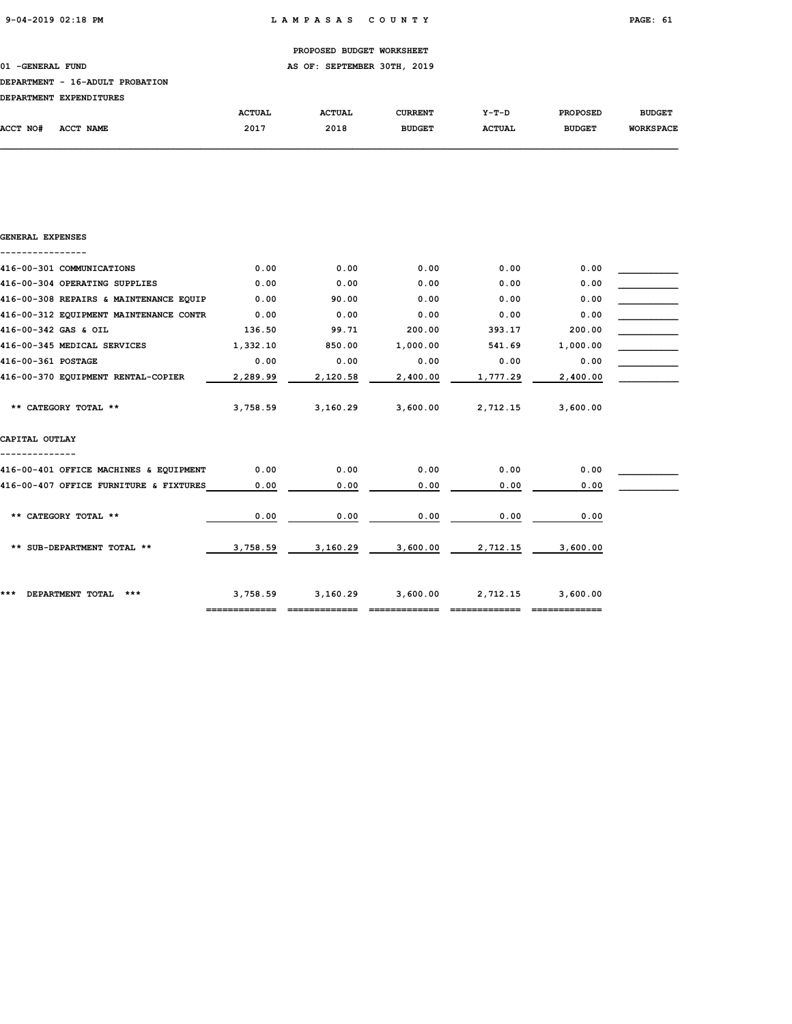### 01 -GENERAL FUND **AS OF: SEPTEMBER 30TH, 2019**

## DEPARTMENT - 16-ADULT PROBATION

| <b>DEPARTMENT</b> | <b>EXPENDITURES</b> |               |               |                |               |                 |                  |
|-------------------|---------------------|---------------|---------------|----------------|---------------|-----------------|------------------|
|                   |                     | <b>ACTUAL</b> | <b>ACTUAL</b> | <b>CURRENT</b> | $Y-T-D$       | <b>PROPOSED</b> | <b>BUDGET</b>    |
| ACCT NO#          | <b>ACCT NAME</b>    | 2017          | 2018          | <b>BUDGET</b>  | <b>ACTUAL</b> | <b>BUDGET</b>   | <b>WORKSPACE</b> |

| GENERAL EXPENSES                       |          |          |          |          |          |  |
|----------------------------------------|----------|----------|----------|----------|----------|--|
| 416-00-301 COMMUNICATIONS              | 0.00     | 0.00     | 0.00     | 0.00     | 0.00     |  |
| 416-00-304 OPERATING SUPPLIES          | 0.00     | 0.00     | 0.00     | 0.00     | 0.00     |  |
| 416-00-308 REPAIRS & MAINTENANCE EQUIP | 0.00     | 90.00    | 0.00     | 0.00     | 0.00     |  |
| 416-00-312 EQUIPMENT MAINTENANCE CONTR | 0.00     | 0.00     | 0.00     | 0.00     | 0.00     |  |
| 416-00-342 GAS & OIL                   | 136.50   | 99.71    | 200.00   | 393.17   | 200.00   |  |
| 416-00-345 MEDICAL SERVICES            | 1,332.10 | 850.00   | 1,000.00 | 541.69   | 1,000.00 |  |
| 416-00-361 POSTAGE                     | 0.00     | 0.00     | 0.00     | 0.00     | 0.00     |  |
| 416-00-370 EQUIPMENT RENTAL-COPIER     | 2,289.99 | 2,120.58 | 2,400.00 | 1,777.29 | 2,400.00 |  |
| ** CATEGORY TOTAL **                   | 3,758.59 | 3,160.29 | 3,600.00 | 2,712.15 | 3,600.00 |  |
| CAPITAL OUTLAY                         |          |          |          |          |          |  |
| 416-00-401 OFFICE MACHINES & EQUIPMENT | 0.00     | 0.00     | 0.00     | 0.00     | 0.00     |  |
| 416-00-407 OFFICE FURNITURE & FIXTURES | 0.00     | 0.00     | 0.00     | 0.00     | 0.00     |  |
| ** CATEGORY TOTAL **                   | 0.00     | 0.00     | 0.00     | 0.00     | 0.00     |  |
| ** SUB-DEPARTMENT TOTAL **             | 3,758.59 | 3,160.29 | 3,600.00 | 2,712.15 | 3,600.00 |  |
| DEPARTMENT TOTAL<br>$***$<br>***       | 3,758.59 | 3,160.29 | 3,600.00 | 2,712.15 | 3,600.00 |  |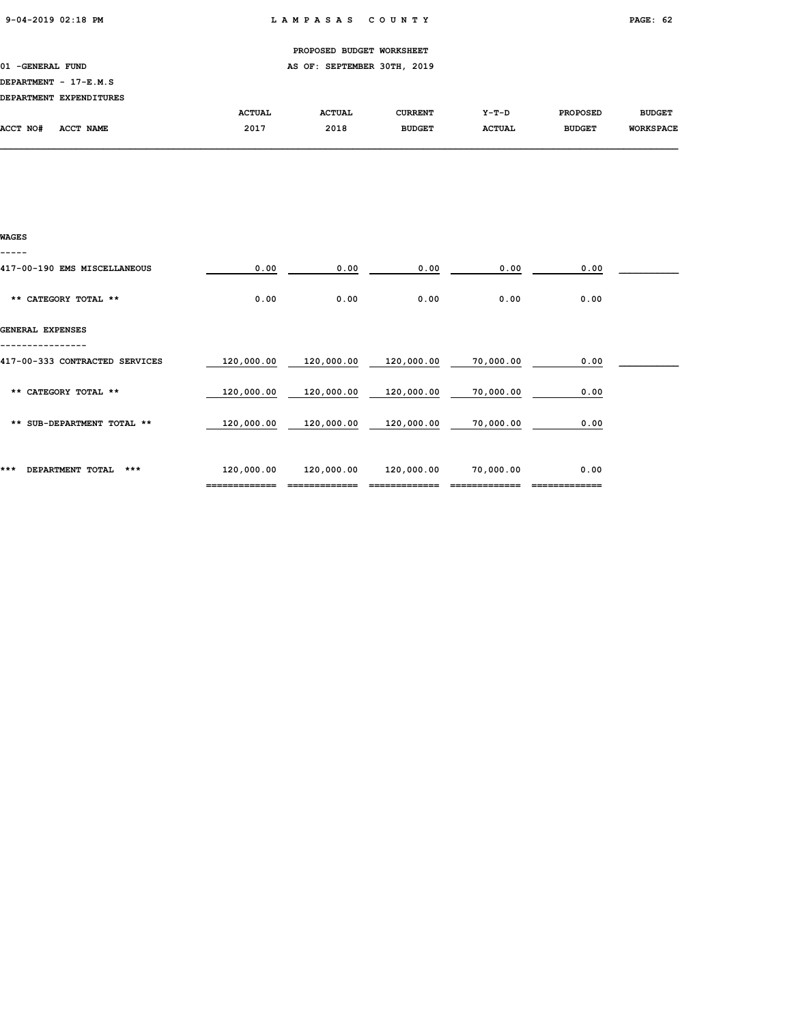|                     |                         |               | PROPOSED BUDGET WORKSHEET   |                |               |                 |                  |
|---------------------|-------------------------|---------------|-----------------------------|----------------|---------------|-----------------|------------------|
| 01<br>-GENERAL FUND |                         |               | AS OF: SEPTEMBER 30TH, 2019 |                |               |                 |                  |
|                     | DEPARTMENT - 17-E.M.S   |               |                             |                |               |                 |                  |
|                     | DEPARTMENT EXPENDITURES |               |                             |                |               |                 |                  |
|                     |                         | <b>ACTUAL</b> | <b>ACTUAL</b>               | <b>CURRENT</b> | Y-T-D         | <b>PROPOSED</b> | <b>BUDGET</b>    |
| ACCT NO#            | ACCT NAME               | 2017          | 2018                        | <b>BUDGET</b>  | <b>ACTUAL</b> | <b>BUDGET</b>   | <b>WORKSPACE</b> |
|                     |                         |               |                             |                |               |                 |                  |

| WAGES                          |            |            |            |           |      |  |
|--------------------------------|------------|------------|------------|-----------|------|--|
|                                |            |            |            |           |      |  |
| 417-00-190 EMS MISCELLANEOUS   | 0.00       | 0.00       | 0.00       | 0.00      | 0.00 |  |
| ** CATEGORY TOTAL **           | 0.00       | 0.00       | 0.00       | 0.00      | 0.00 |  |
| GENERAL EXPENSES               |            |            |            |           |      |  |
| 417-00-333 CONTRACTED SERVICES | 120,000.00 | 120,000.00 | 120,000.00 | 70,000.00 | 0.00 |  |
| ** CATEGORY TOTAL **           | 120,000.00 | 120,000.00 | 120,000.00 | 70,000.00 | 0.00 |  |
| ** SUB-DEPARTMENT TOTAL **     | 120,000.00 | 120,000.00 | 120,000.00 | 70,000.00 | 0.00 |  |
| DEPARTMENT TOTAL<br>***<br>*** | 120,000.00 | 120,000.00 | 120,000.00 | 70,000.00 | 0.00 |  |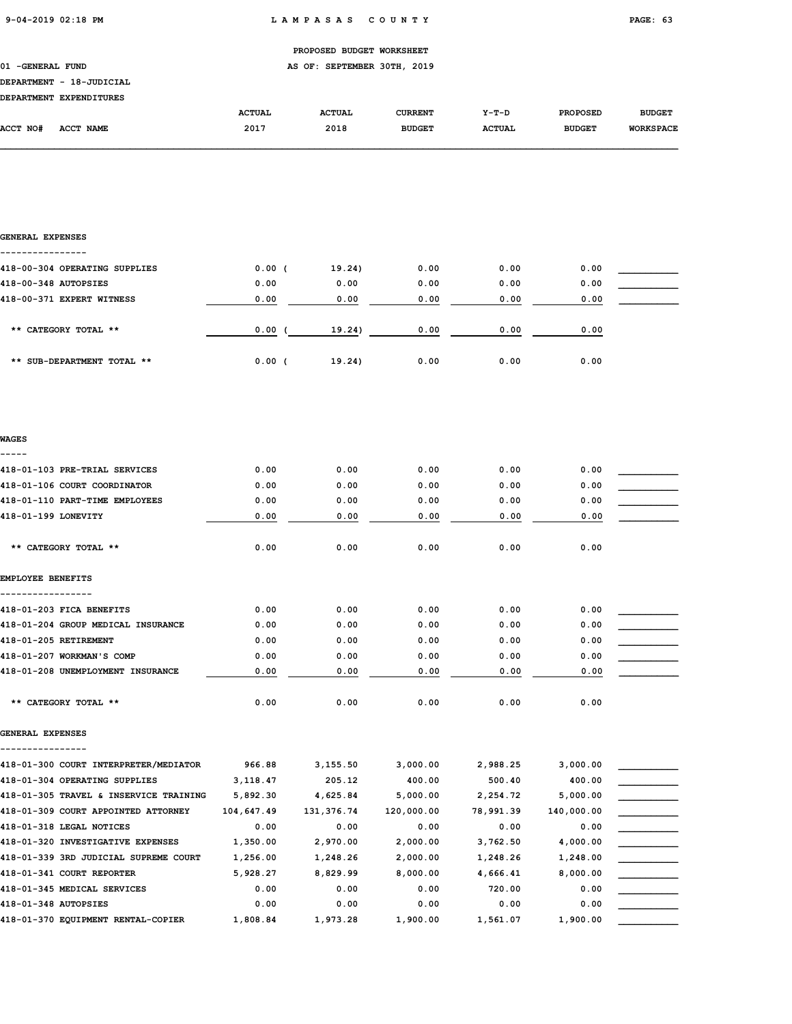PROPOSED BUDGET WORKSHEET 01 -GENERAL FUND **AS OF: SEPTEMBER 30TH, 2019** DEPARTMENT - 18-JUDICIAL DEPARTMENT EXPENDITURES ACTUAL ACTUAL CURRENT Y-T-D PROPOSED BUDGET ACCT NO# ACCT NAME 2017 2018 BUDGET ACTUAL BUDGET WORKSPACE

| <b>GENERAL EXPENSES</b>                                                       |                        |                         |                        |                       |                        |  |
|-------------------------------------------------------------------------------|------------------------|-------------------------|------------------------|-----------------------|------------------------|--|
| 418-00-304 OPERATING SUPPLIES                                                 | 0.00(                  | 19.24)                  | 0.00                   | 0.00                  | 0.00                   |  |
| 418-00-348 AUTOPSIES                                                          | 0.00                   | 0.00                    | 0.00                   | 0.00                  | 0.00                   |  |
| 418-00-371 EXPERT WITNESS                                                     | 0.00                   | 0.00                    | 0.00                   | 0.00                  | 0.00                   |  |
| ** CATEGORY TOTAL **                                                          | 0.00(                  | 19.24)                  | 0.00                   | 0.00                  | 0.00                   |  |
| ** SUB-DEPARTMENT TOTAL **                                                    | 0.00(                  | 19.24)                  | 0.00                   | 0.00                  | 0.00                   |  |
|                                                                               |                        |                         |                        |                       |                        |  |
| <b>WAGES</b>                                                                  |                        |                         |                        |                       |                        |  |
| 418-01-103 PRE-TRIAL SERVICES                                                 | 0.00                   | 0.00                    | 0.00                   | 0.00                  | 0.00                   |  |
| 418-01-106 COURT COORDINATOR                                                  | 0.00                   | 0.00                    | 0.00                   | 0.00                  | 0.00                   |  |
| 418-01-110 PART-TIME EMPLOYEES                                                | 0.00                   | 0.00                    | 0.00                   | 0.00                  | 0.00                   |  |
| 418-01-199 LONEVITY                                                           | 0.00                   | 0.00                    | 0.00                   | 0.00                  | 0.00                   |  |
| ** CATEGORY TOTAL **                                                          | 0.00                   | 0.00                    | 0.00                   | 0.00                  | 0.00                   |  |
| <b>EMPLOYEE BENEFITS</b>                                                      |                        |                         |                        |                       |                        |  |
|                                                                               |                        |                         |                        |                       |                        |  |
| 418-01-203 FICA BENEFITS                                                      | 0.00                   | 0.00                    | 0.00                   | 0.00                  | 0.00                   |  |
| 418-01-204 GROUP MEDICAL INSURANCE                                            | 0.00                   | 0.00                    | 0.00                   | 0.00                  | 0.00                   |  |
| 418-01-205 RETIREMENT                                                         | 0.00                   | 0.00                    | 0.00                   | 0.00                  | 0.00                   |  |
| 418-01-207 WORKMAN'S COMP                                                     | 0.00                   | 0.00                    | 0.00                   | 0.00                  | 0.00                   |  |
| 418-01-208 UNEMPLOYMENT INSURANCE                                             | 0.00                   | 0.00                    | 0.00                   | 0.00                  | 0.00                   |  |
| ** CATEGORY TOTAL **                                                          | 0.00                   | 0.00                    | 0.00                   | 0.00                  | 0.00                   |  |
| GENERAL EXPENSES                                                              |                        |                         |                        |                       |                        |  |
|                                                                               |                        |                         |                        |                       |                        |  |
| 418-01-300 COURT INTERPRETER/MEDIATOR                                         | 966.88                 | 3,155.50                | 3,000.00               | 2,988.25              | 3,000.00               |  |
| 418-01-304 OPERATING SUPPLIES                                                 | 3,118.47               | 205.12                  | 400.00                 | 500.40                | 400.00                 |  |
| 418-01-305 TRAVEL & INSERVICE TRAINING<br>418-01-309 COURT APPOINTED ATTORNEY | 5,892.30<br>104,647.49 | 4,625.84<br>131, 376.74 | 5,000.00<br>120,000.00 | 2,254.72<br>78,991.39 | 5,000.00<br>140,000.00 |  |
| 418-01-318 LEGAL NOTICES                                                      | 0.00                   | 0.00                    | 0.00                   | 0.00                  | 0.00                   |  |
| 418-01-320 INVESTIGATIVE EXPENSES                                             | 1,350.00               | 2,970.00                | 2,000.00               | 3,762.50              | 4,000.00               |  |
| 418-01-339 3RD JUDICIAL SUPREME COURT                                         | 1,256.00               | 1,248.26                | 2,000.00               | 1,248.26              | 1,248.00               |  |
| 418-01-341 COURT REPORTER                                                     | 5,928.27               | 8,829.99                | 8,000.00               | 4,666.41              | 8,000.00               |  |
| 418-01-345 MEDICAL SERVICES                                                   | 0.00                   | 0.00                    | 0.00                   | 720.00                | 0.00                   |  |
| 418-01-348 AUTOPSIES                                                          | 0.00                   | 0.00                    | 0.00                   | 0.00                  | 0.00                   |  |
| 418-01-370 EQUIPMENT RENTAL-COPIER                                            | 1,808.84               | 1,973.28                | 1,900.00               | 1,561.07              | 1,900.00               |  |
|                                                                               |                        |                         |                        |                       |                        |  |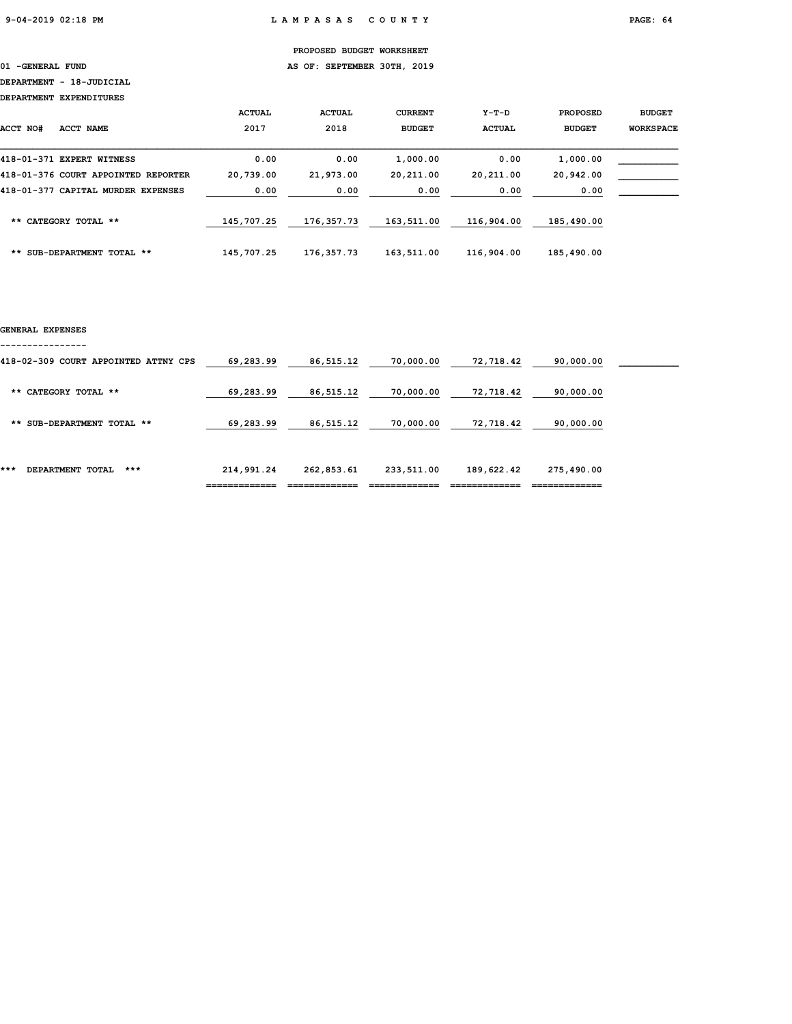01 -GENERAL FUND **AS OF: SEPTEMBER 30TH, 2019** 

### DEPARTMENT - 18-JUDICIAL

DEPARTMENT EXPENDITURES

| ACCT NO#<br><b>ACCT NAME</b>        | <b>ACTUAL</b><br>2017 | <b>ACTUAL</b><br>2018 | <b>CURRENT</b><br><b>BUDGET</b> | $Y-T-D$<br><b>ACTUAL</b> | <b>PROPOSED</b><br><b>BUDGET</b> | <b>BUDGET</b><br><b>WORKSPACE</b> |
|-------------------------------------|-----------------------|-----------------------|---------------------------------|--------------------------|----------------------------------|-----------------------------------|
| 418-01-371 EXPERT WITNESS           | 0.00                  | 0.00                  | 1,000.00                        | 0.00                     | 1,000.00                         |                                   |
| 418-01-376 COURT APPOINTED REPORTER | 20,739.00             | 21,973.00             | 20,211.00                       | 20,211.00                | 20,942.00                        |                                   |
| 418-01-377 CAPITAL MURDER EXPENSES  | 0.00                  | 0.00                  | 0.00                            | 0.00                     | 0.00                             |                                   |
| CATEGORY TOTAL **<br>$***$          | 145,707.25            | 176,357.73            | 163,511.00                      | 116,904.00               | 185,490.00                       |                                   |
| SUB-DEPARTMENT TOTAL **<br>**       | 145,707.25            | 176,357.73            | 163,511.00                      | 116,904.00               | 185,490.00                       |                                   |

#### GENERAL EXPENSES

----------------

|                                      | ____________ |            |            |            | -------------- |  |
|--------------------------------------|--------------|------------|------------|------------|----------------|--|
| ***<br>***<br>DEPARTMENT TOTAL       | 214,991.24   | 262,853.61 | 233,511.00 | 189,622.42 | 275,490.00     |  |
| ** SUB-DEPARTMENT TOTAL **           | 69,283.99    | 86,515.12  | 70,000.00  | 72,718.42  | 90,000.00      |  |
| ** CATEGORY TOTAL **                 | 69,283.99    | 86,515.12  | 70,000.00  | 72,718.42  | 90,000.00      |  |
| 418-02-309 COURT APPOINTED ATTNY CPS | 69,283.99    | 86,515.12  | 70,000.00  | 72,718.42  | 90,000.00      |  |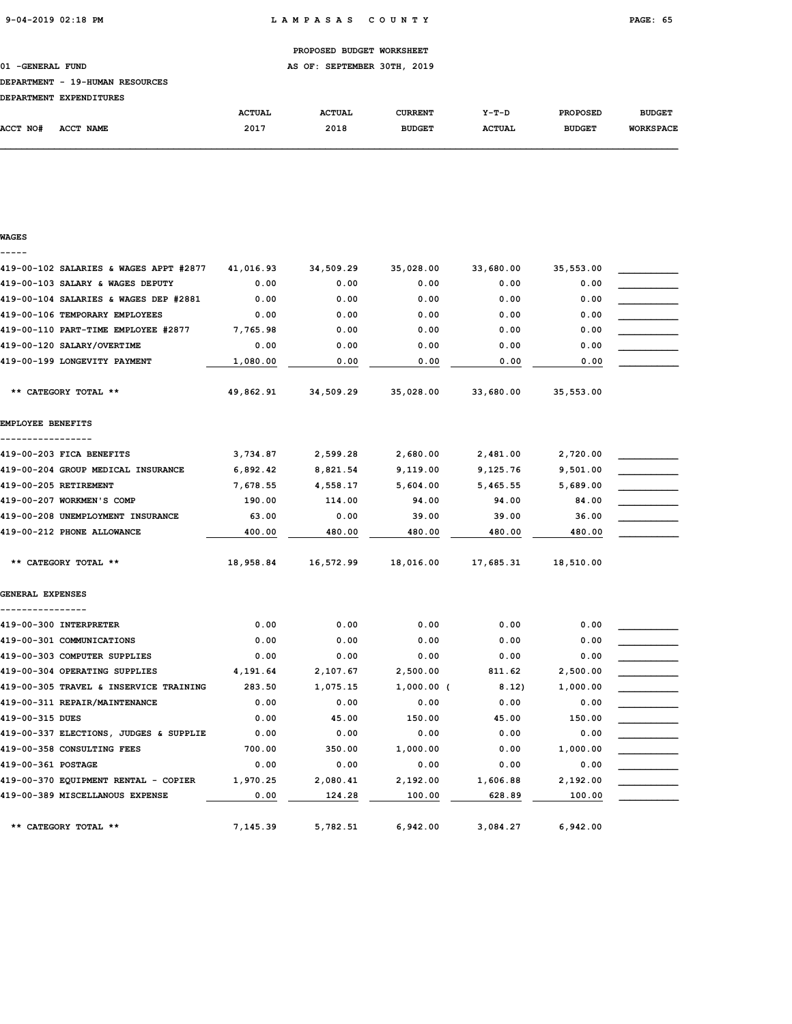01 -GENERAL FUND AS OF: SEPTEMBER 30TH, 2019

#### DEPARTMENT - 19-HUMAN RESOURCES

| <b>DEPARTMENT</b> | <b>EXPENDITURES</b> |               |               |                |               |                 |                  |
|-------------------|---------------------|---------------|---------------|----------------|---------------|-----------------|------------------|
|                   |                     | <b>ACTUAL</b> | <b>ACTUAL</b> | <b>CURRENT</b> | Y-T-D         | <b>PROPOSED</b> | <b>BUDGET</b>    |
| <b>ACCT NO#</b>   | <b>NAME</b><br>ACCT | 2017          | 2018          | <b>BUDGET</b>  | <b>ACTUAL</b> | <b>BUDGET</b>   | <b>WORKSPACE</b> |

# WAGES ----- 419-00-102 SALARIES & WAGES APPT #2877 41,016.93 34,509.29 35,028.00 33,680.00 35,553.00 \_\_\_\_\_\_\_\_\_\_\_ 419-00-103 SALARY & WAGES DEPUTY  $0.00$  0.00 0.00 0.00 0.00 0.00 419-00-104 SALARIES & WAGES DEP #2881 0.00 0.00 0.00 0.00 0.00 0.00 0.00  $419-00-106$  TEMPORARY EMPLOYEES  $0.00$   $0.00$   $0.00$   $0.00$   $0.00$   $0.00$ 419-00-110 PART-TIME EMPLOYEE #2877 7,765.98 0.00 0.00 0.00 0.00 0.00 0.00  $419-00-120$  SALARY/OVERTIME  $0.00$   $0.00$   $0.00$   $0.00$   $0.00$   $0.00$   $0.00$ 419-00-199 LONGEVITY PAYMENT  $1,080.00$   $0.00$   $0.00$   $0.00$   $0.00$   $0.00$   $0.00$  \*\* CATEGORY TOTAL \*\* 49,862.91 34,509.29 35,028.00 33,680.00 35,553.00 EMPLOYEE BENEFITS ----------------- 419-00-203 FICA BENEFITS  $3,734.87$   $2,599.28$   $2,680.00$   $2,481.00$   $2,720.00$ 419-00-204 GROUP MEDICAL INSURANCE  $\begin{array}{cccc} 6,892.42 & 8,821.54 & 9,119.00 & 9,125.76 & 9,501.00 \end{array}$ 419-00-205 RETIREMENT 7,678.55 4,558.17 5,604.00 5,465.55 5,689.00 \_\_\_\_\_\_\_\_\_\_\_  $419-00-207$  WORKMEN'S COMP  $190.00$   $114.00$   $94.00$   $94.00$   $84.00$ 419-00-208 UNEMPLOYMENT INSURANCE 63.00 0.00 39.00 39.00 39.00 39.00 36.00 419-00-212 PHONE ALLOWANCE 400.00 480.00 480.00 480.00 480.00 480.00 480.00 \*\* CATEGORY TOTAL \*\* 18,958.84 16,572.99 18,016.00 17,685.31 18,510.00 GENERAL EXPENSES ----------------  $\bf 419\hbox{-}00\hbox{-}300$  INTERPRETER  $\bf 0.00$   $\bf 0.00$   $\bf 0.00$   $\bf 0.00$   $\bf 0.00$ 419-00-301 COMMUNICATIONS 0.00 0.00 0.00 0.00 0.00 \_\_\_\_\_\_\_\_\_\_\_ 419-00-303 COMPUTER SUPPLIES  $0.00$   $0.00$   $0.00$   $0.00$   $0.00$   $0.00$   $0.00$ 419-00-304 OPERATING SUPPLIES  $4,191.64$   $2,107.67$   $2,500.00$   $811.62$   $2,500.00$ 419-00-305 TRAVEL & INSERVICE TRAINING 283.50 1,075.15 1,000.00 ( 8.12) 1,000.00 419-00-311 REPAIR/MAINTENANCE  $0.00$   $0.00$   $0.00$   $0.00$   $0.00$   $0.00$   $0.00$ 419-00-315 DUES 0.00 45.00 150.00 45.00 150.00 \_\_\_\_\_\_\_\_\_\_\_ 419-00-337 ELECTIONS, JUDGES & SUPPLIE  $0.00$   $0.00$   $0.00$   $0.00$   $0.00$   $0.00$ 419-00-358 CONSULTING FEES **700.00** 350.00 1,000.00 0.00 1,000.00  $\bf 419\text{-}00\text{-}361$   $\bf POSTAGE$   $\bf 0.00$   $\bf 0.00$   $\bf 0.00$   $\bf 0.00$   $\bf 0.00$   $\bf 0.00$ 419-00-370 EQUIPMENT RENTAL - COPIER  $1,970.25$  2,080.41 2,192.00  $1,606.88$  2,192.00 419-00-389 MISCELLANOUS EXPENSE **0.00** 124.28 100.00 628.89 100.00 \*\* CATEGORY TOTAL \*\* 7,145.39 5,782.51 6,942.00 3,084.27 6,942.00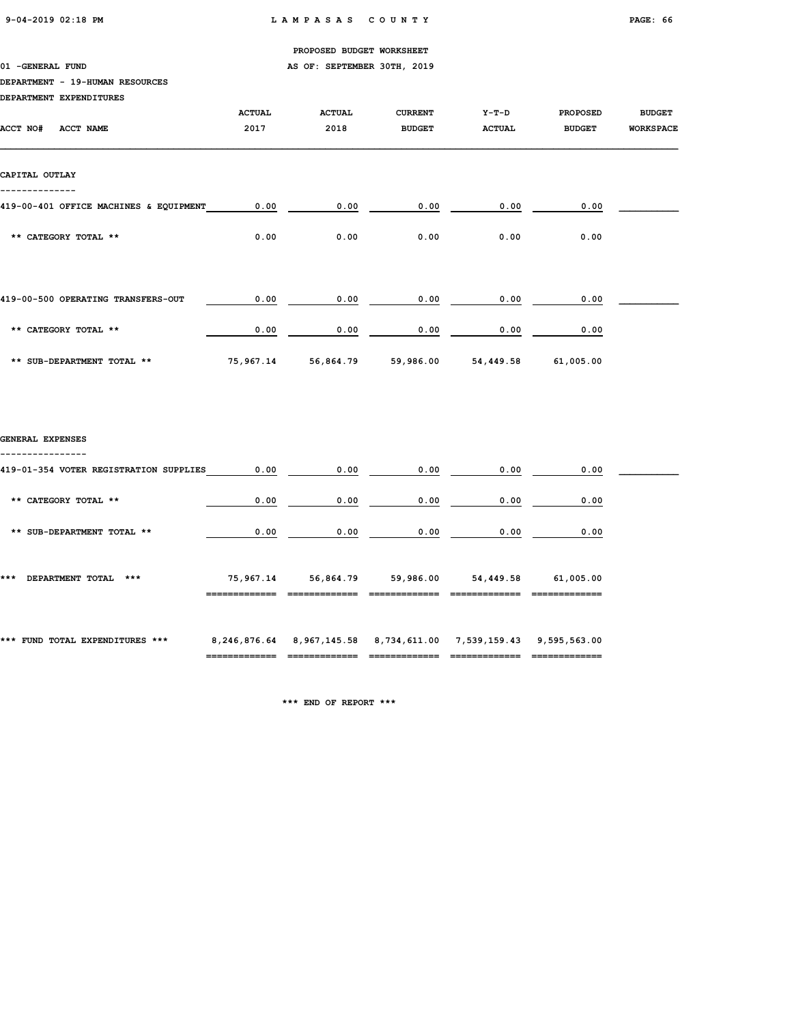01 -GENERAL FUND **AS OF: SEPTEMBER 30TH, 2019** 

### DEPARTMENT - 19-HUMAN RESOURCES

|                  | DEPARTMENT EXPENDITURES                |                       |                                                                                                   |                                 |                          |                                  |                                   |
|------------------|----------------------------------------|-----------------------|---------------------------------------------------------------------------------------------------|---------------------------------|--------------------------|----------------------------------|-----------------------------------|
| ACCT NO#         | ACCT NAME                              | <b>ACTUAL</b><br>2017 | <b>ACTUAL</b><br>2018                                                                             | <b>CURRENT</b><br><b>BUDGET</b> | $Y-T-D$<br><b>ACTUAL</b> | <b>PROPOSED</b><br><b>BUDGET</b> | <b>BUDGET</b><br><b>WORKSPACE</b> |
| CAPITAL OUTLAY   |                                        |                       |                                                                                                   |                                 |                          |                                  |                                   |
|                  |                                        |                       |                                                                                                   |                                 |                          |                                  |                                   |
|                  | 419-00-401 OFFICE MACHINES & EQUIPMENT | 0.00                  | 0.00                                                                                              | 0.00                            | 0.00                     | 0.00                             |                                   |
|                  | ** CATEGORY TOTAL **                   | 0.00                  | 0.00                                                                                              | 0.00                            | 0.00                     | 0.00                             |                                   |
|                  | 419-00-500 OPERATING TRANSFERS-OUT     | 0.00                  | 0.00                                                                                              | 0.00                            | 0.00                     | 0.00                             |                                   |
|                  |                                        |                       |                                                                                                   |                                 |                          |                                  |                                   |
|                  | ** CATEGORY TOTAL **                   | 0.00                  | 0.00                                                                                              | 0.00                            | 0.00                     | 0.00                             |                                   |
|                  | ** SUB-DEPARTMENT TOTAL **             | 75,967.14             | 56,864.79                                                                                         | 59,986.00                       | 54,449.58                | 61,005.00                        |                                   |
|                  |                                        |                       |                                                                                                   |                                 |                          |                                  |                                   |
| GENERAL EXPENSES |                                        |                       |                                                                                                   |                                 |                          |                                  |                                   |
|                  | 419-01-354 VOTER REGISTRATION SUPPLIES | 0.00                  | 0.00                                                                                              | 0.00                            | 0.00                     | 0.00                             |                                   |
|                  | ** CATEGORY TOTAL **                   | 0.00                  | 0.00                                                                                              | 0.00                            | 0.00                     | 0.00                             |                                   |
|                  | ** SUB-DEPARTMENT TOTAL **             | 0.00                  | 0.00                                                                                              | 0.00                            | 0.00                     | 0.00                             |                                   |
|                  | *** DEPARTMENT TOTAL ***               | 75,967.14             | 56,864.79                                                                                         | 59,986.00                       | 54,449.58                | 61,005.00                        |                                   |
|                  | *** FUND TOTAL EXPENDITURES ***        |                       | 8,246,876.64 8,967,145.58 8,734,611.00 7,539,159.43 9,595,563.00<br>============================= | =============                   | =============            | =============                    |                                   |

\*\*\* END OF REPORT \*\*\*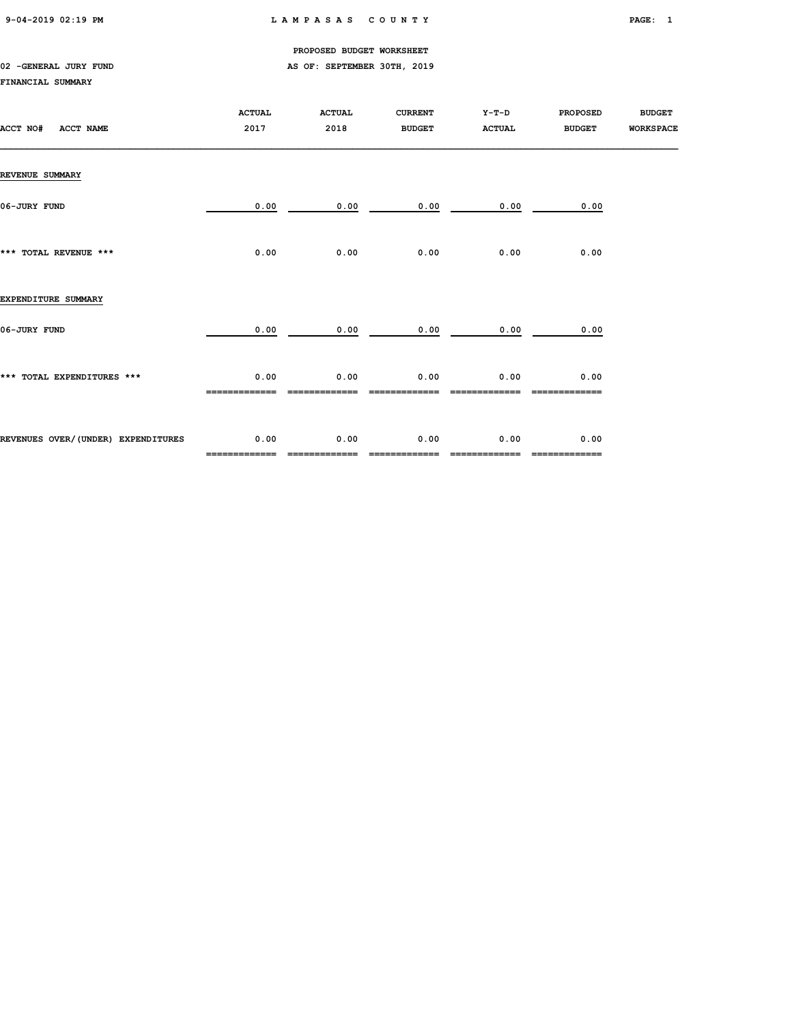9-04-2019 02:19 PM L A M P A S A S C O U N T Y PAGE: 1

PROPOSED BUDGET WORKSHEET

# 02 -GENERAL JURY FUND **AS OF: SEPTEMBER 30TH, 2019**

### FINANCIAL SUMMARY

| ACCT NO#<br><b>ACCT NAME</b>       | <b>ACTUAL</b><br>2017 | <b>ACTUAL</b><br>2018 | <b>CURRENT</b><br><b>BUDGET</b> | $Y-T-D$<br><b>ACTUAL</b> | <b>PROPOSED</b><br><b>BUDGET</b> | <b>BUDGET</b><br><b>WORKSPACE</b> |
|------------------------------------|-----------------------|-----------------------|---------------------------------|--------------------------|----------------------------------|-----------------------------------|
| <b>REVENUE SUMMARY</b>             |                       |                       |                                 |                          |                                  |                                   |
| 06-JURY FUND                       | 0.00                  | 0.00                  | 0.00                            | 0.00                     | 0.00                             |                                   |
| *** TOTAL REVENUE ***              | 0.00                  | 0.00                  | 0.00                            | 0.00                     | 0.00                             |                                   |
| EXPENDITURE SUMMARY                |                       |                       |                                 |                          |                                  |                                   |
| 06-JURY FUND                       | 0.00                  | 0.00                  | 0.00                            | 0.00                     | 0.00                             |                                   |
| *** TOTAL EXPENDITURES ***         | 0.00                  | 0.00                  | 0.00                            | 0.00                     | 0.00                             |                                   |
| REVENUES OVER/(UNDER) EXPENDITURES | 0.00<br>============= | 0.00<br>============= | 0.00<br>-------------           | 0.00                     | 0.00<br>-------------            |                                   |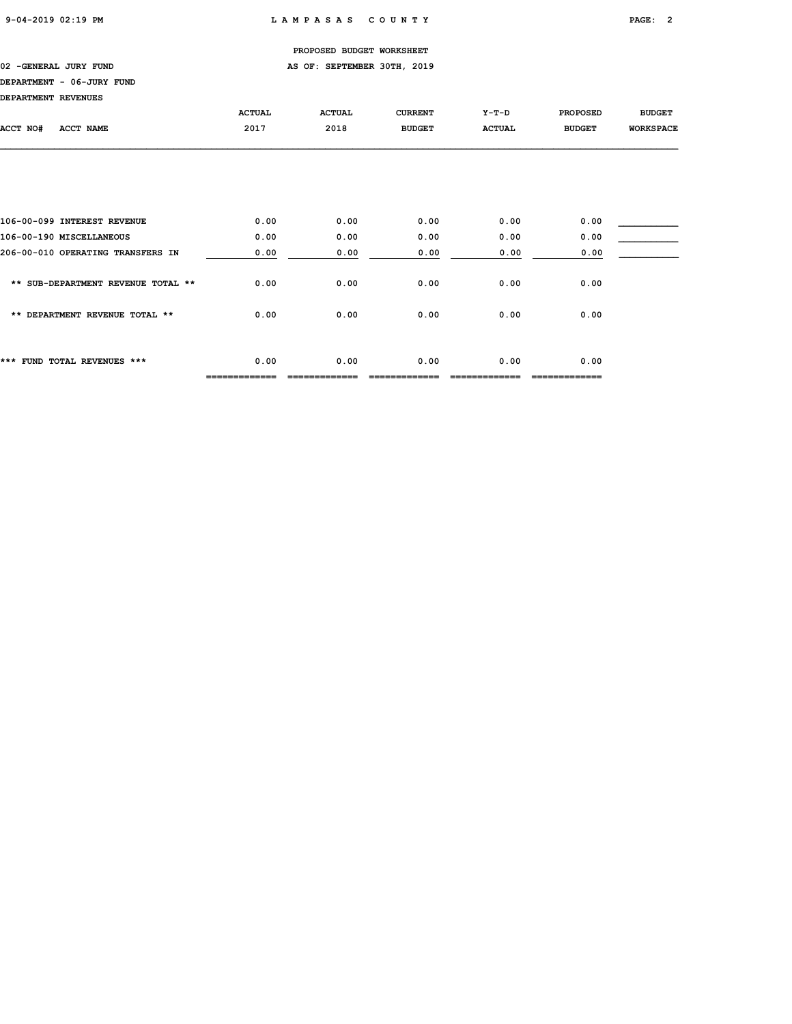### 02 -GENERAL JURY FUND **AS OF: SEPTEMBER 30TH, 2019**

# DEPARTMENT - 06-JURY FUND

| DEPARTMENT REVENUES                |               |               |                |               |                 |                  |
|------------------------------------|---------------|---------------|----------------|---------------|-----------------|------------------|
|                                    | <b>ACTUAL</b> | <b>ACTUAL</b> | <b>CURRENT</b> | $Y-T-D$       | <b>PROPOSED</b> | <b>BUDGET</b>    |
| ACCT NO#<br><b>ACCT NAME</b>       | 2017          | 2018          | <b>BUDGET</b>  | <b>ACTUAL</b> | <b>BUDGET</b>   | <b>WORKSPACE</b> |
|                                    |               |               |                |               |                 |                  |
|                                    |               |               |                |               |                 |                  |
|                                    |               |               |                |               |                 |                  |
|                                    |               |               |                |               |                 |                  |
| 106-00-099 INTEREST REVENUE        | 0.00          | 0.00          | 0.00           | 0.00          | 0.00            |                  |
| 106-00-190 MISCELLANEOUS           | 0.00          | 0.00          | 0.00           | 0.00          | 0.00            |                  |
| 206-00-010 OPERATING TRANSFERS IN  | 0.00          | 0.00          | 0.00           | 0.00          | 0.00            |                  |
|                                    |               |               |                |               |                 |                  |
| ** SUB-DEPARTMENT REVENUE TOTAL ** | 0.00          | 0.00          | 0.00           | 0.00          | 0.00            |                  |
| ** DEPARTMENT REVENUE TOTAL **     | 0.00          | 0.00          | 0.00           | 0.00          | 0.00            |                  |
|                                    |               |               |                |               |                 |                  |
|                                    |               |               |                |               |                 |                  |
| *** FUND TOTAL REVENUES ***        | 0.00          | 0.00          | 0.00           | 0.00          | 0.00            |                  |
|                                    |               |               |                |               |                 |                  |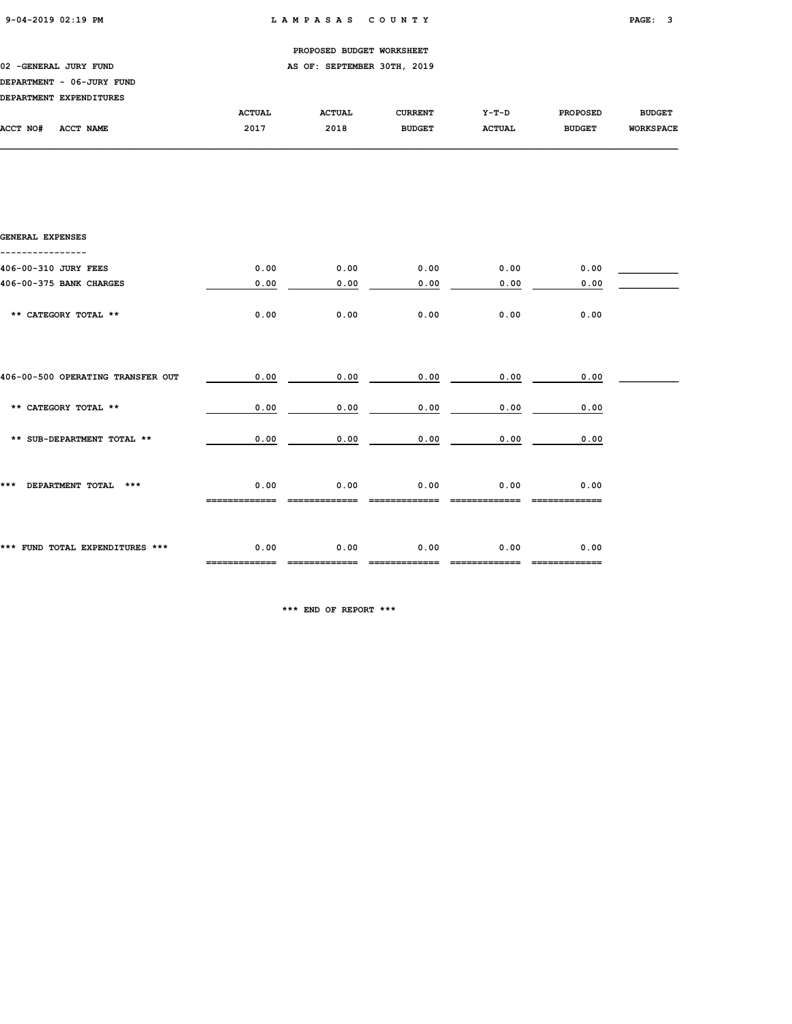----------------

|                  |                           |               | PROPOSED BUDGET WORKSHEET   |                |               |                 |                  |
|------------------|---------------------------|---------------|-----------------------------|----------------|---------------|-----------------|------------------|
|                  | 02 - GENERAL JURY FUND    |               | AS OF: SEPTEMBER 30TH, 2019 |                |               |                 |                  |
|                  | DEPARTMENT - 06-JURY FUND |               |                             |                |               |                 |                  |
|                  | DEPARTMENT EXPENDITURES   |               |                             |                |               |                 |                  |
|                  |                           | <b>ACTUAL</b> | <b>ACTUAL</b>               | <b>CURRENT</b> | Y-T-D         | <b>PROPOSED</b> | <b>BUDGET</b>    |
| ACCT NO#         | <b>ACCT NAME</b>          | 2017          | 2018                        | <b>BUDGET</b>  | <b>ACTUAL</b> | <b>BUDGET</b>   | <b>WORKSPACE</b> |
|                  |                           |               |                             |                |               |                 |                  |
|                  |                           |               |                             |                |               |                 |                  |
|                  |                           |               |                             |                |               |                 |                  |
|                  |                           |               |                             |                |               |                 |                  |
|                  |                           |               |                             |                |               |                 |                  |
|                  |                           |               |                             |                |               |                 |                  |
| GENERAL EXPENSES |                           |               |                             |                |               |                 |                  |
|                  |                           |               |                             |                |               |                 |                  |

| 406-00-310 JURY FEES              | 0.00 | 0.00 | 0.00 | 0.00 | 0.00 |  |
|-----------------------------------|------|------|------|------|------|--|
| 406-00-375 BANK CHARGES           | 0.00 | 0.00 | 0.00 | 0.00 | 0.00 |  |
| ** CATEGORY TOTAL **              | 0.00 | 0.00 | 0.00 | 0.00 | 0.00 |  |
| 406-00-500 OPERATING TRANSFER OUT | 0.00 | 0.00 | 0.00 | 0.00 | 0.00 |  |
| ** CATEGORY TOTAL **              | 0.00 | 0.00 | 0.00 | 0.00 | 0.00 |  |
| ** SUB-DEPARTMENT TOTAL **        | 0.00 | 0.00 | 0.00 | 0.00 | 0.00 |  |
| DEPARTMENT TOTAL ***<br>***       | 0.00 | 0.00 | 0.00 | 0.00 | 0.00 |  |
| *** FUND TOTAL EXPENDITURES ***   | 0.00 | 0.00 | 0.00 | 0.00 | 0.00 |  |

\*\*\* END OF REPORT \*\*\*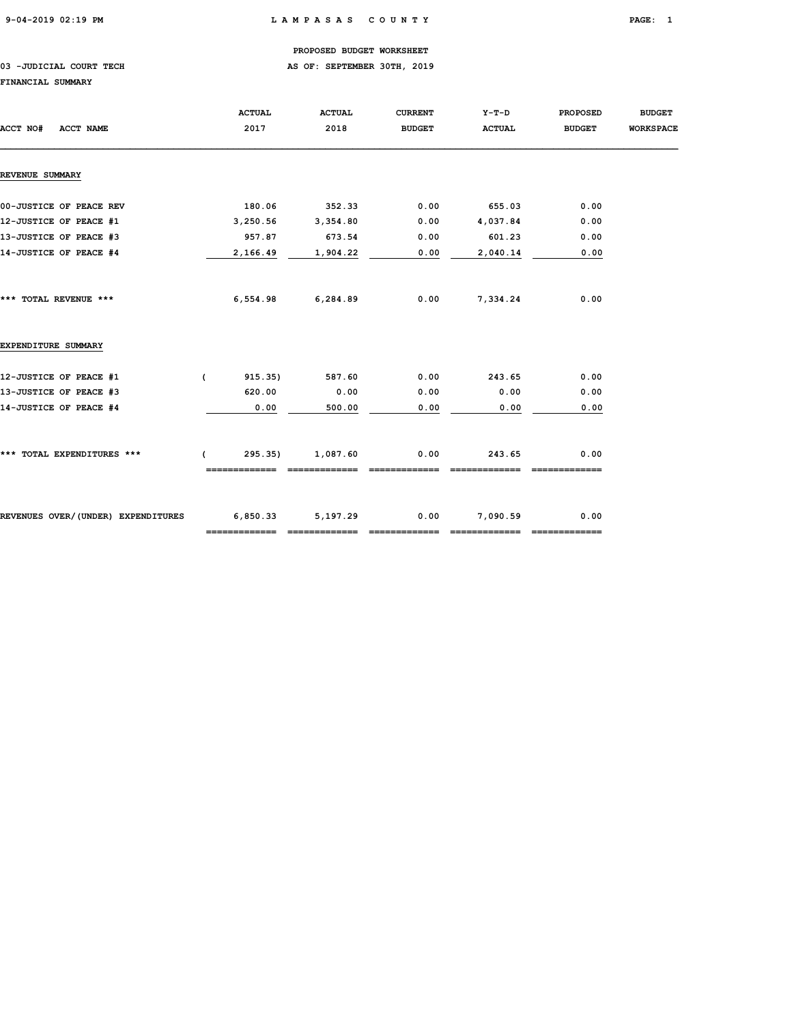### 03 -JUDICIAL COURT TECH **AS OF: SEPTEMBER 30TH, 2019**

#### FINANCIAL SUMMARY

| ACCT NO#<br><b>ACCT NAME</b>       | <b>ACTUAL</b><br>2017 | <b>ACTUAL</b><br>2018 | <b>CURRENT</b><br><b>BUDGET</b> | Y-T-D<br><b>ACTUAL</b> | <b>PROPOSED</b><br><b>BUDGET</b> | <b>BUDGET</b><br><b>WORKSPACE</b> |
|------------------------------------|-----------------------|-----------------------|---------------------------------|------------------------|----------------------------------|-----------------------------------|
| <b>REVENUE SUMMARY</b>             |                       |                       |                                 |                        |                                  |                                   |
| 00-JUSTICE OF PEACE REV            | 180.06                | 352.33                | 0.00                            | 655.03                 | 0.00                             |                                   |
| 12-JUSTICE OF PEACE #1             | 3,250.56              | 3,354.80              | 0.00                            | 4,037.84               | 0.00                             |                                   |
| 13-JUSTICE OF PEACE #3             | 957.87                | 673.54                | 0.00                            | 601.23                 | 0.00                             |                                   |
| 14-JUSTICE OF PEACE #4             | 2,166.49              | 1,904.22              | 0.00                            | 2,040.14               | 0.00                             |                                   |
| *** TOTAL REVENUE ***              |                       | 6,554.98 6,284.89     | 0.00                            | 7,334.24               | 0.00                             |                                   |
| EXPENDITURE SUMMARY                |                       |                       |                                 |                        |                                  |                                   |
| 12-JUSTICE OF PEACE #1             | 915.35)<br>$\epsilon$ | 587.60                | 0.00                            | 243.65                 | 0.00                             |                                   |
| 13-JUSTICE OF PEACE #3             | 620.00                | 0.00                  | 0.00                            | 0.00                   | 0.00                             |                                   |
| 14-JUSTICE OF PEACE #4             | 0.00                  | 500.00                | 0.00                            | 0.00                   | 0.00                             |                                   |
| *** TOTAL EXPENDITURES ***         | 295.35)<br>$\sqrt{2}$ | 1,087.60              | 0.00                            | 243.65                 | 0.00                             |                                   |
|                                    |                       |                       |                                 |                        |                                  |                                   |
| REVENUES OVER/(UNDER) EXPENDITURES | 6,850.33 5,197.29     |                       | 0.00                            | 7,090.59               | 0.00                             |                                   |
|                                    |                       |                       |                                 |                        |                                  |                                   |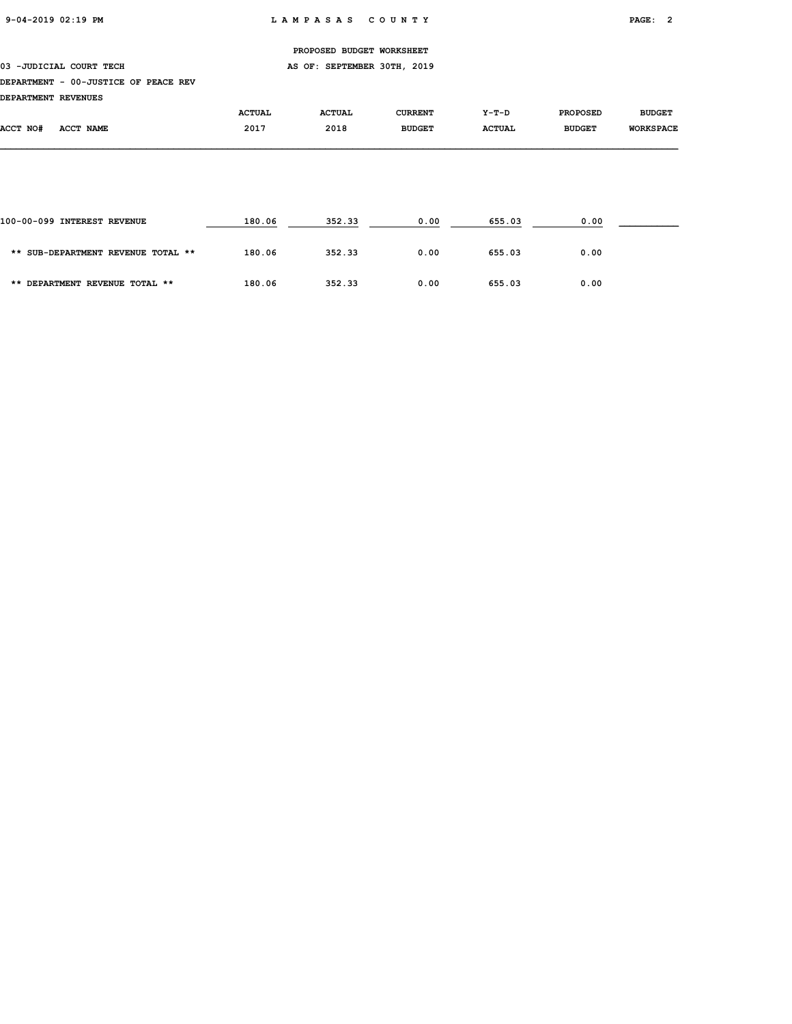03 -JUDICIAL COURT TECH **AS OF: SEPTEMBER 30TH, 2019** 

#### DEPARTMENT - 00-JUSTICE OF PEACE REV

DEPARTMENT REVENUES

|          |           | <b>ACTUAL</b> | <b>ACTUAL</b> | <b>CURRENT</b> | Y-T-D         | <b>PROPOSED</b> | <b>BUDGET</b>    |
|----------|-----------|---------------|---------------|----------------|---------------|-----------------|------------------|
| ACCT NO# | ACCT NAME | 2017          | 2018          | <b>BUDGET</b>  | <b>ACTUAL</b> | <b>BUDGET</b>   | <b>WORKSPACE</b> |
|          |           |               |               |                |               |                 |                  |

| 100-00-099 INTEREST REVENUE        | 180.06 | 352.33 | 0.00 | 655.03 | 0.00 |  |
|------------------------------------|--------|--------|------|--------|------|--|
| ** SUB-DEPARTMENT REVENUE TOTAL ** | 180.06 | 352.33 | 0.00 | 655.03 | 0.00 |  |
| ** DEPARTMENT REVENUE TOTAL **     | 180.06 | 352.33 | 0.00 | 655.03 | 0.00 |  |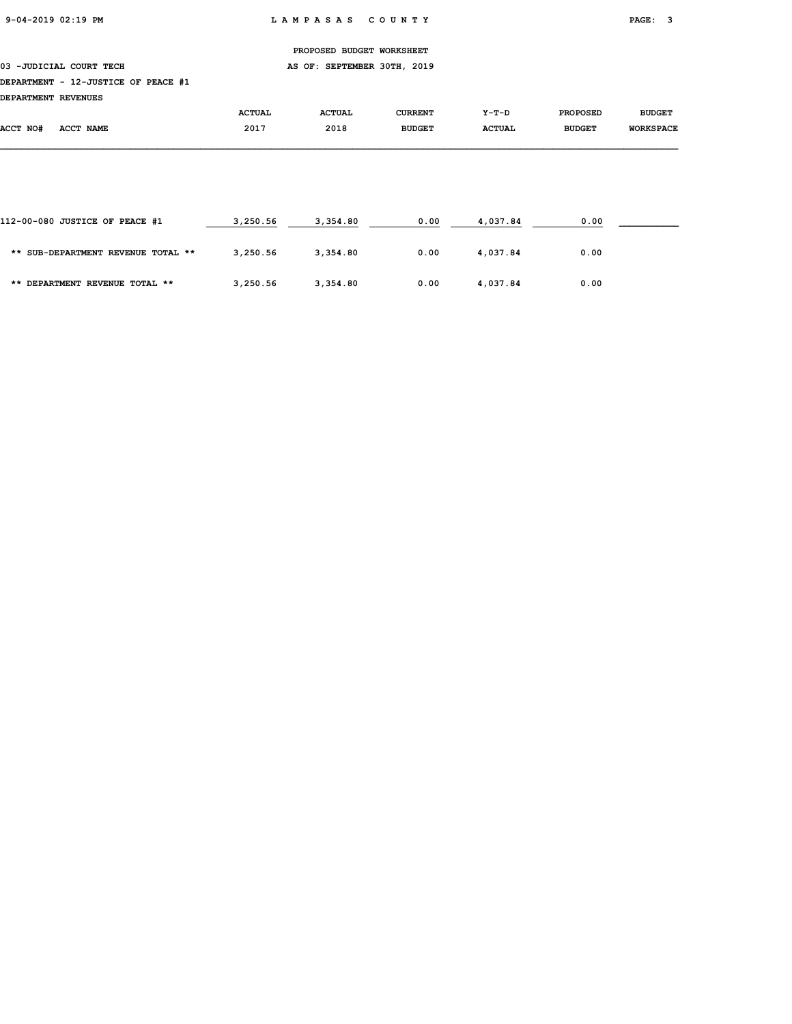03 -JUDICIAL COURT TECH **AS OF: SEPTEMBER 30TH, 2019** 

### DEPARTMENT - 12-JUSTICE OF PEACE #1

| DEPARTMENT REVENUES |  |
|---------------------|--|

|          |           | <b>ACTUAL</b> | <b>ACTUAL</b> | <b>CURRENT</b> | Y-T-D         | <b>PROPOSED</b> | <b>BUDGET</b>    |
|----------|-----------|---------------|---------------|----------------|---------------|-----------------|------------------|
| ACCT NO# | ACCT NAME | 2017          | 2018          | <b>BUDGET</b>  | <b>ACTUAL</b> | <b>BUDGET</b>   | <b>WORKSPACE</b> |
|          |           |               |               |                |               |                 |                  |

| 112-00-080 JUSTICE OF PEACE #1     | 3,250.56 | 3,354.80 | 0.00 | 4,037.84 | 0.00 |  |
|------------------------------------|----------|----------|------|----------|------|--|
| ** SUB-DEPARTMENT REVENUE TOTAL ** | 3,250.56 | 3,354.80 | 0.00 | 4,037.84 | 0.00 |  |
| ** DEPARTMENT REVENUE TOTAL **     | 3,250.56 | 3,354.80 | 0.00 | 4,037.84 | 0.00 |  |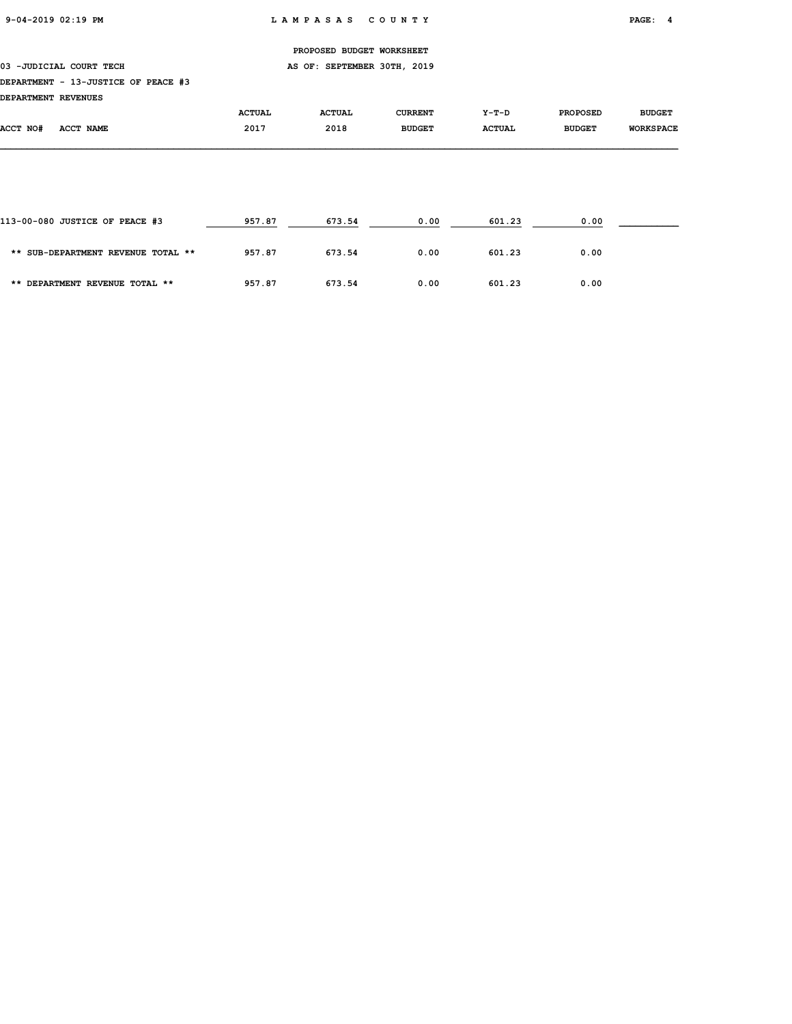03 -JUDICIAL COURT TECH **AS OF: SEPTEMBER 30TH, 2019** 

### DEPARTMENT - 13-JUSTICE OF PEACE #3

| DEPARTMENT REVENUES |           |               |               |                |               |                 |                  |
|---------------------|-----------|---------------|---------------|----------------|---------------|-----------------|------------------|
|                     |           | <b>ACTUAL</b> | <b>ACTUAL</b> | <b>CURRENT</b> | Y-T-D         | <b>PROPOSED</b> | <b>BUDGET</b>    |
| ACCT NO#            | ACCT NAME | 2017          | 2018          | <b>BUDGET</b>  | <b>ACTUAL</b> | <b>BUDGET</b>   | <b>WORKSPACE</b> |

| 113-00-080 JUSTICE OF PEACE #3     | 957.87 | 673.54 | 0.00 | 601.23 | 0.00 |  |
|------------------------------------|--------|--------|------|--------|------|--|
| ** SUB-DEPARTMENT REVENUE TOTAL ** | 957.87 | 673.54 | 0.00 | 601.23 | 0.00 |  |
| ** DEPARTMENT REVENUE TOTAL **     | 957.87 | 673.54 | 0.00 | 601.23 | 0.00 |  |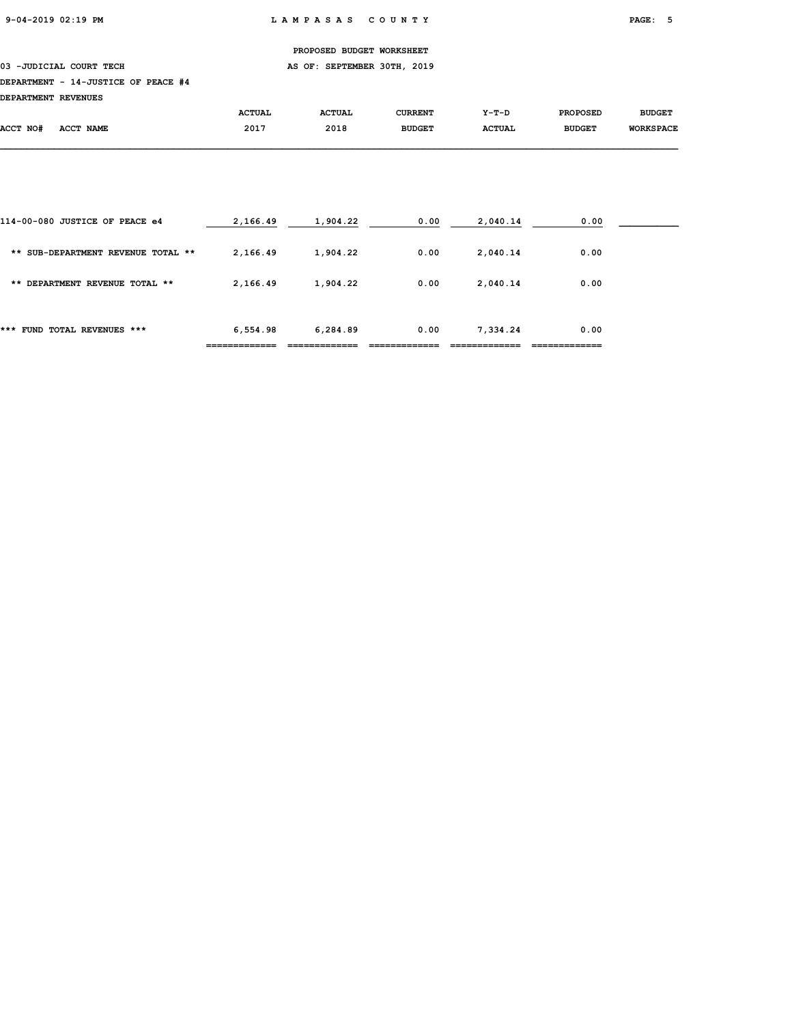03 -JUDICIAL COURT TECH **AS OF: SEPTEMBER 30TH, 2019** 

### DEPARTMENT - 14-JUSTICE OF PEACE #4

DEPARTMENT REVENUES

| pserviveni vsvenos |           |               |               |                |               |                 |                  |
|--------------------|-----------|---------------|---------------|----------------|---------------|-----------------|------------------|
|                    |           | <b>ACTUAL</b> | <b>ACTUAL</b> | <b>CURRENT</b> | Y-T-D         | <b>PROPOSED</b> | <b>BUDGET</b>    |
| ACCT NO#           | ACCT NAME | 2017          | 2018          | <b>BUDGET</b>  | <b>ACTUAL</b> | <b>BUDGET</b>   | <b>WORKSPACE</b> |
|                    |           |               |               |                |               |                 |                  |

|                                    | ========== | _________ |      |          |      |  |
|------------------------------------|------------|-----------|------|----------|------|--|
| ***<br>FUND TOTAL REVENUES ***     | 6,554.98   | 6,284.89  | 0.00 | 7,334.24 | 0.00 |  |
| ** DEPARTMENT REVENUE TOTAL **     | 2,166.49   | 1,904.22  | 0.00 | 2,040.14 | 0.00 |  |
| ** SUB-DEPARTMENT REVENUE TOTAL ** | 2,166.49   | 1,904.22  | 0.00 | 2,040.14 | 0.00 |  |
| 114-00-080 JUSTICE OF PEACE e4     | 2,166.49   | 1,904.22  | 0.00 | 2,040.14 | 0.00 |  |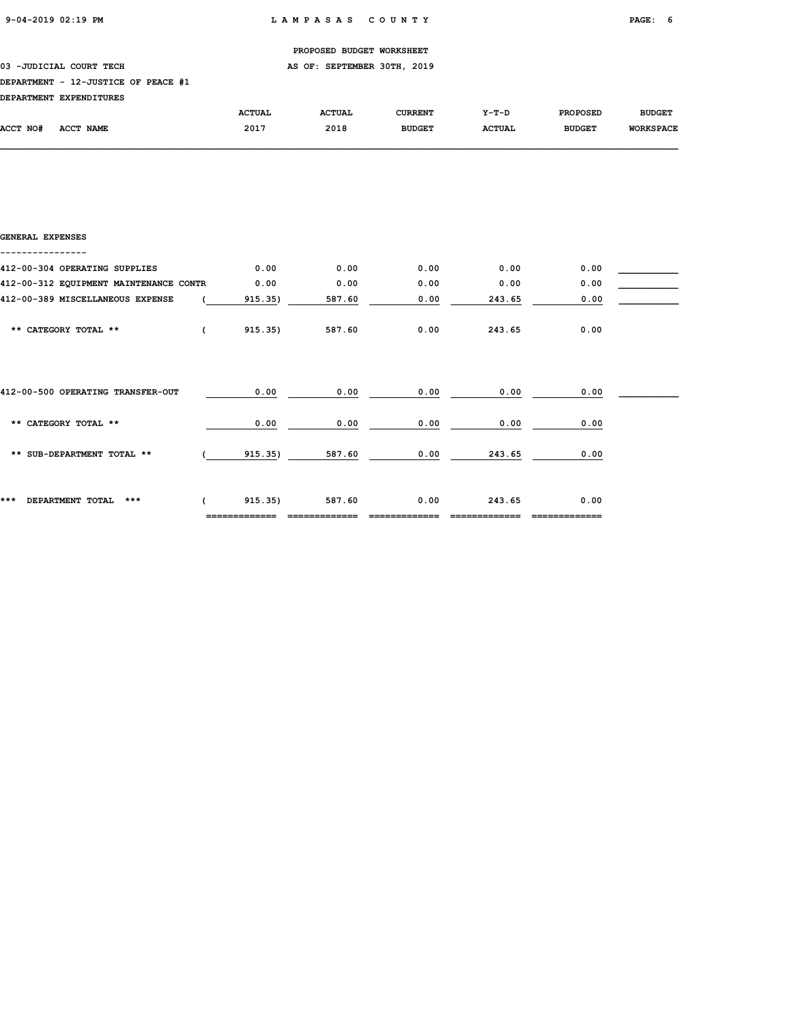### 03 -JUDICIAL COURT TECH **AS OF: SEPTEMBER 30TH, 2019**

### DEPARTMENT - 12-JUSTICE OF PEACE #1

|          | DEPARTMENT EXPENDITURES |               |               |                |               |                 |                  |
|----------|-------------------------|---------------|---------------|----------------|---------------|-----------------|------------------|
|          |                         | <b>ACTUAL</b> | <b>ACTUAL</b> | <b>CURRENT</b> | $Y-T-D$       | <b>PROPOSED</b> | <b>BUDGET</b>    |
| ACCT NO# | ACCT NAME               | 2017          | 2018          | <b>BUDGET</b>  | <b>ACTUAL</b> | <b>BUDGET</b>   | <b>WORKSPACE</b> |

| GENERAL EXPENSES                       |            |         |        |      |        |      |  |
|----------------------------------------|------------|---------|--------|------|--------|------|--|
| 412-00-304 OPERATING SUPPLIES          |            | 0.00    | 0.00   | 0.00 | 0.00   | 0.00 |  |
| 412-00-312 EQUIPMENT MAINTENANCE CONTR |            | 0.00    | 0.00   | 0.00 | 0.00   | 0.00 |  |
| 412-00-389 MISCELLANEOUS EXPENSE       |            | 915.35) | 587.60 | 0.00 | 243.65 | 0.00 |  |
| ** CATEGORY TOTAL **                   | $\epsilon$ | 915.35) | 587.60 | 0.00 | 243.65 | 0.00 |  |
| 412-00-500 OPERATING TRANSFER-OUT      |            | 0.00    | 0.00   | 0.00 | 0.00   | 0.00 |  |
| ** CATEGORY TOTAL **                   |            | 0.00    | 0.00   | 0.00 | 0.00   | 0.00 |  |
| ** SUB-DEPARTMENT TOTAL **             |            | 915.35) | 587.60 | 0.00 | 243.65 | 0.00 |  |
| ***<br>DEPARTMENT TOTAL<br>***         | $\epsilon$ | 915.35) | 587.60 | 0.00 | 243.65 | 0.00 |  |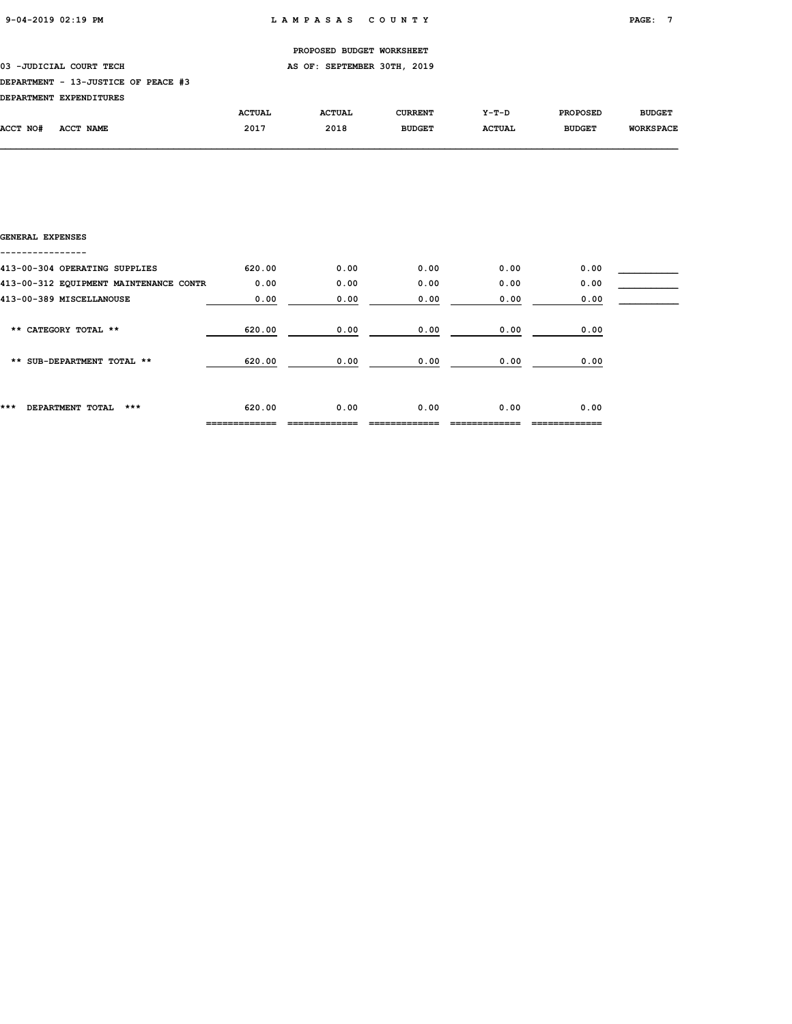03 -JUDICIAL COURT TECH **AS OF: SEPTEMBER 30TH, 2019** 

### DEPARTMENT - 13-JUSTICE OF PEACE #3

| DRDADMWRNM RYDRNDTMUDRC |  |
|-------------------------|--|

| <b>DEPARTMENT</b> | <b>EXPENDITURES</b> |               |               |               |               |                 |                  |
|-------------------|---------------------|---------------|---------------|---------------|---------------|-----------------|------------------|
|                   |                     | <b>ACTUAL</b> | <b>ACTUAL</b> | CURRENT       | $Y-T-D$       | <b>PROPOSED</b> | <b>BUDGET</b>    |
| <b>ACCT NO#</b>   | <b>ACCT NAME</b>    | 2017          | 2018          | <b>BUDGET</b> | <b>ACTUAL</b> | <b>BUDGET</b>   | <b>WORKSPACE</b> |

| GENERAL EXPENSES                       |        |      |      |      |      |  |
|----------------------------------------|--------|------|------|------|------|--|
| 413-00-304 OPERATING SUPPLIES          | 620.00 | 0.00 | 0.00 | 0.00 | 0.00 |  |
| 413-00-312 EQUIPMENT MAINTENANCE CONTR | 0.00   | 0.00 | 0.00 | 0.00 | 0.00 |  |
| 413-00-389 MISCELLANOUSE               | 0.00   | 0.00 | 0.00 | 0.00 | 0.00 |  |
| ** CATEGORY TOTAL **                   | 620.00 | 0.00 | 0.00 | 0.00 | 0.00 |  |
| ** SUB-DEPARTMENT TOTAL **             | 620.00 | 0.00 | 0.00 | 0.00 | 0.00 |  |
| ***<br>***<br>DEPARTMENT TOTAL         | 620.00 | 0.00 | 0.00 | 0.00 | 0.00 |  |
|                                        |        |      |      |      |      |  |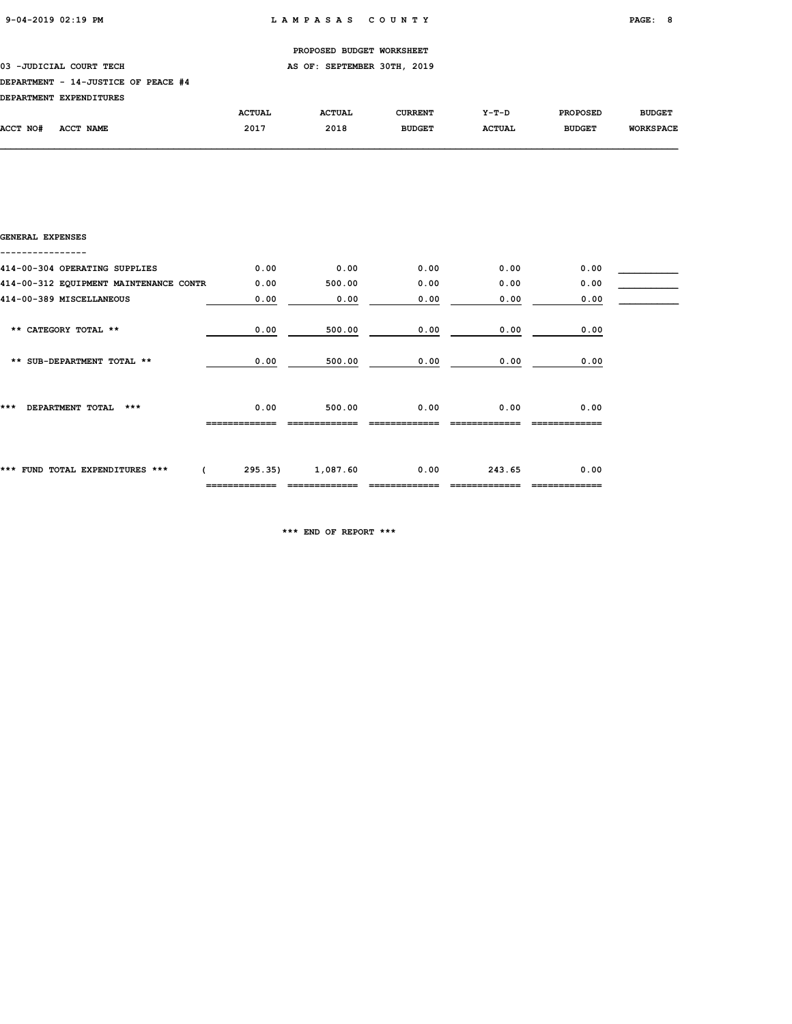### 03 -JUDICIAL COURT TECH **AS OF: SEPTEMBER 30TH, 2019**

### DEPARTMENT - 14-JUSTICE OF PEACE #4

|          | DEPARTMENT EXPENDITURES |               |               |                |               |                 |                  |
|----------|-------------------------|---------------|---------------|----------------|---------------|-----------------|------------------|
|          |                         | <b>ACTUAL</b> | <b>ACTUAL</b> | <b>CURRENT</b> | $Y-T-D$       | <b>PROPOSED</b> | <b>BUDGET</b>    |
| ACCT NO# | ACCT NAME               | 2017          | 2018          | <b>BUDGET</b>  | <b>ACTUAL</b> | <b>BUDGET</b>   | <b>WORKSPACE</b> |

| GENERAL EXPENSES                       |                          |          |      |        |      |  |
|----------------------------------------|--------------------------|----------|------|--------|------|--|
| 414-00-304 OPERATING SUPPLIES          | 0.00                     | 0.00     | 0.00 | 0.00   | 0.00 |  |
| 414-00-312 EQUIPMENT MAINTENANCE CONTR | 0.00                     | 500.00   | 0.00 | 0.00   | 0.00 |  |
| 414-00-389 MISCELLANEOUS               | 0.00                     | 0.00     | 0.00 | 0.00   | 0.00 |  |
| ** CATEGORY TOTAL **                   | 0.00                     | 500.00   | 0.00 | 0.00   | 0.00 |  |
| ** SUB-DEPARTMENT TOTAL **             | 0.00                     | 500.00   | 0.00 | 0.00   | 0.00 |  |
| ***<br>DEPARTMENT TOTAL<br>$***$       | 0.00                     | 500.00   | 0.00 | 0.00   | 0.00 |  |
| *** FUND TOTAL EXPENDITURES ***        | 295.35)<br>_____________ | 1,087.60 | 0.00 | 243.65 | 0.00 |  |

\*\*\* END OF REPORT \*\*\*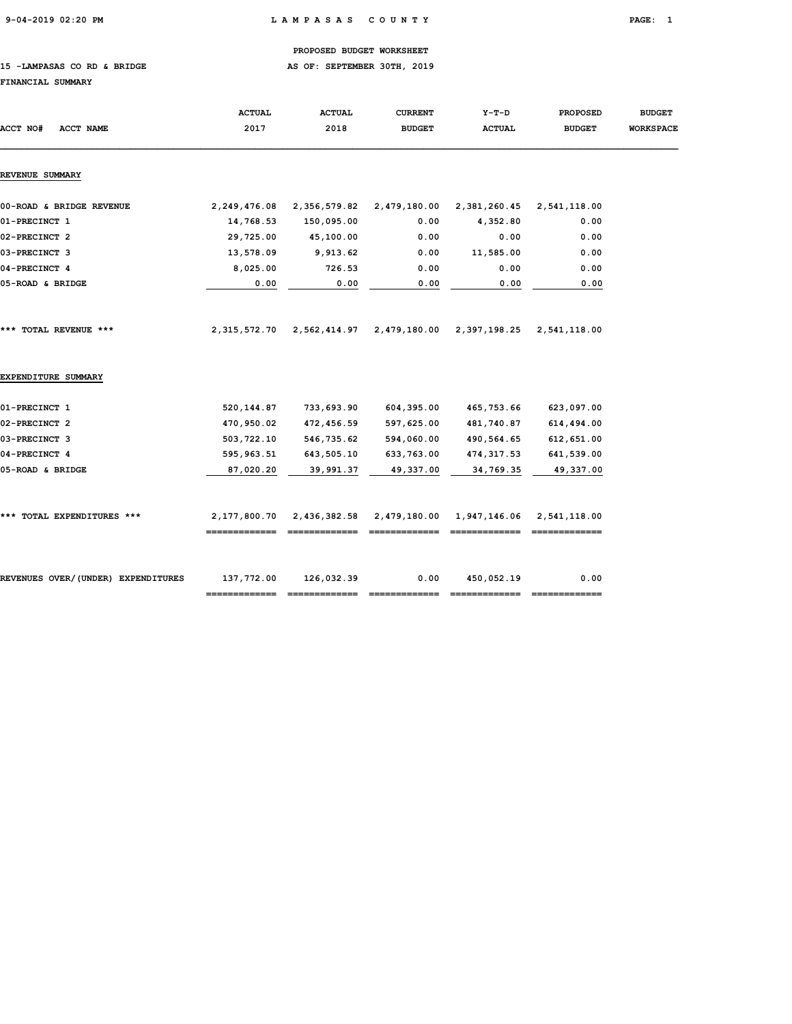9-04-2019 02:20 PM L A M P A S A S C O U N T Y PAGE: 1

### PROPOSED BUDGET WORKSHEET

15 -LAMPASAS CO RD & BRIDGE **AS OF: SEPTEMBER 30TH, 2019** 

### FINANCIAL SUMMARY

| ACCT NO#<br><b>ACCT NAME</b>       | <b>ACTUAL</b><br>2017         | <b>ACTUAL</b><br>2018 | <b>CURRENT</b><br><b>BUDGET</b> | $Y-T-D$<br><b>ACTUAL</b> | <b>PROPOSED</b><br><b>BUDGET</b> | <b>BUDGET</b><br><b>WORKSPACE</b> |
|------------------------------------|-------------------------------|-----------------------|---------------------------------|--------------------------|----------------------------------|-----------------------------------|
| <b>REVENUE SUMMARY</b>             |                               |                       |                                 |                          |                                  |                                   |
| 00-ROAD & BRIDGE REVENUE           | 2,249,476.08                  | 2,356,579.82          | 2,479,180.00                    | 2,381,260.45             | 2,541,118.00                     |                                   |
| 01-PRECINCT 1                      | 14,768.53                     | 150,095.00            | 0.00                            | 4,352.80                 | 0.00                             |                                   |
| 02-PRECINCT 2                      | 29,725.00                     | 45,100.00             | 0.00                            | 0.00                     | 0.00                             |                                   |
| 03-PRECINCT 3                      | 13,578.09                     | 9,913.62              | 0.00                            | 11,585.00                | 0.00                             |                                   |
| 04-PRECINCT 4                      | 8,025.00                      | 726.53                | 0.00                            | 0.00                     | 0.00                             |                                   |
| 05-ROAD & BRIDGE                   | 0.00                          | 0.00                  | 0.00                            | 0.00                     | 0.00                             |                                   |
| *** TOTAL REVENUE ***              | 2,315,572.70                  | 2,562,414.97          | 2,479,180.00                    | 2,397,198.25             | 2,541,118.00                     |                                   |
| EXPENDITURE SUMMARY                |                               |                       |                                 |                          |                                  |                                   |
| 01-PRECINCT 1                      | 520,144.87                    | 733,693.90            | 604,395.00                      | 465,753.66               | 623,097.00                       |                                   |
| 02-PRECINCT 2                      | 470,950.02                    | 472,456.59            | 597,625.00                      | 481,740.87               | 614,494.00                       |                                   |
| 03-PRECINCT 3                      | 503,722.10                    | 546,735.62            | 594,060.00                      | 490,564.65               | 612,651.00                       |                                   |
| 04-PRECINCT 4                      | 595, 963.51                   | 643,505.10            | 633,763.00                      | 474, 317.53              | 641,539.00                       |                                   |
| 05-ROAD & BRIDGE                   | 87,020.20                     | 39,991.37             | 49,337.00                       | 34,769.35                | 49,337.00                        |                                   |
| *** TOTAL EXPENDITURES ***         | 2,177,800.70<br>------------- | 2,436,382.58          | 2,479,180.00                    | 1,947,146.06             | 2,541,118.00                     |                                   |
| REVENUES OVER/(UNDER) EXPENDITURES | 137,772.00                    | 126,032.39            | 0.00                            | 450,052.19               | 0.00                             |                                   |
|                                    |                               |                       |                                 |                          |                                  |                                   |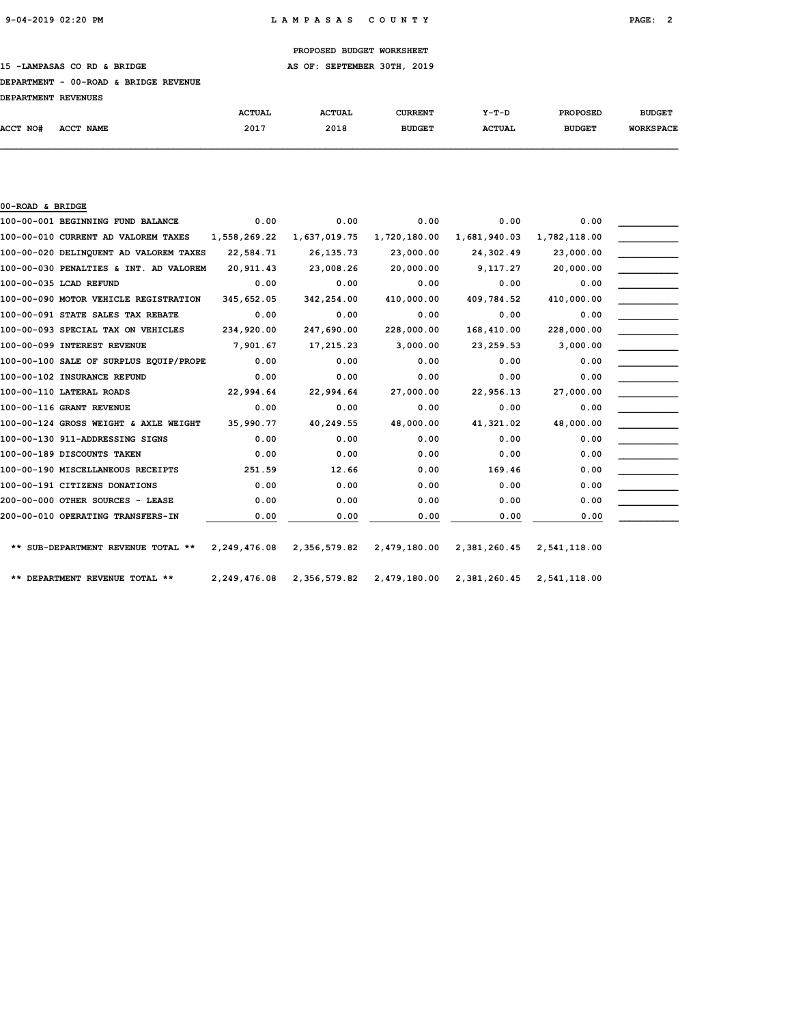15 -LAMPASAS CO RD & BRIDGE **AS OF: SEPTEMBER 30TH, 2019** 

#### DEPARTMENT - 00-ROAD & BRIDGE REVENUE

| <b>DEPARTMENT REVENUES</b> |  |
|----------------------------|--|
|                            |  |

|                 |           | <b>ACTUAL</b> | <b>ACTUAL</b> | CURRENT       | $Y-T-D$       | <b>PROPOSED</b> | <b>BUDGET</b>    |
|-----------------|-----------|---------------|---------------|---------------|---------------|-----------------|------------------|
| <b>ACCT NO#</b> | ACCT NAME | 2017          | 2018          | <b>BUDGET</b> | <b>ACTUAL</b> | <b>BUDGET</b>   | <b>WORKSPACE</b> |
|                 |           |               |               |               |               |                 |                  |

| 00-ROAD & BRIDGE                       |              |              |              |              |              |  |
|----------------------------------------|--------------|--------------|--------------|--------------|--------------|--|
| 100-00-001 BEGINNING FUND BALANCE      | 0.00         | 0.00         | 0.00         | 0.00         | 0.00         |  |
| 100-00-010 CURRENT AD VALOREM TAXES    | 1,558,269.22 | 1,637,019.75 | 1,720,180.00 | 1,681,940.03 | 1,782,118.00 |  |
| 100-00-020 DELINQUENT AD VALOREM TAXES | 22,584.71    | 26, 135. 73  | 23,000.00    | 24,302.49    | 23,000.00    |  |
| 100-00-030 PENALTIES & INT. AD VALOREM | 20,911.43    | 23,008.26    | 20,000.00    | 9,117.27     | 20,000.00    |  |
| 100-00-035 LCAD REFUND                 | 0.00         | 0.00         | 0.00         | 0.00         | 0.00         |  |
| 100-00-090 MOTOR VEHICLE REGISTRATION  | 345,652.05   | 342,254.00   | 410,000.00   | 409,784.52   | 410,000.00   |  |
| 100-00-091 STATE SALES TAX REBATE      | 0.00         | 0.00         | 0.00         | 0.00         | 0.00         |  |
| 100-00-093 SPECIAL TAX ON VEHICLES     | 234,920.00   | 247,690.00   | 228,000.00   | 168,410.00   | 228,000.00   |  |
| 100-00-099 INTEREST REVENUE            | 7,901.67     | 17,215.23    | 3,000.00     | 23,259.53    | 3,000.00     |  |
| 100-00-100 SALE OF SURPLUS EOUIP/PROPE | 0.00         | 0.00         | 0.00         | 0.00         | 0.00         |  |
| 100-00-102 INSURANCE REFUND            | 0.00         | 0.00         | 0.00         | 0.00         | 0.00         |  |
| 100-00-110 LATERAL ROADS               | 22,994.64    | 22,994.64    | 27,000.00    | 22,956.13    | 27,000.00    |  |
| 100-00-116 GRANT REVENUE               | 0.00         | 0.00         | 0.00         | 0.00         | 0.00         |  |
| 100-00-124 GROSS WEIGHT & AXLE WEIGHT  | 35,990.77    | 40,249.55    | 48,000.00    | 41,321.02    | 48,000.00    |  |
| 100-00-130 911-ADDRESSING SIGNS        | 0.00         | 0.00         | 0.00         | 0.00         | 0.00         |  |
| 100-00-189 DISCOUNTS TAKEN             | 0.00         | 0.00         | 0.00         | 0.00         | 0.00         |  |
| 100-00-190 MISCELLANEOUS RECEIPTS      | 251.59       | 12.66        | 0.00         | 169.46       | 0.00         |  |
| 100-00-191 CITIZENS DONATIONS          | 0.00         | 0.00         | 0.00         | 0.00         | 0.00         |  |
| 200-00-000 OTHER SOURCES - LEASE       | 0.00         | 0.00         | 0.00         | 0.00         | 0.00         |  |
| 200-00-010 OPERATING TRANSFERS-IN      | 0.00         | 0.00         | 0.00         | 0.00         | 0.00         |  |
|                                        |              |              |              |              |              |  |
| ** SUB-DEPARTMENT REVENUE TOTAL **     | 2,249,476.08 | 2,356,579.82 | 2,479,180.00 | 2,381,260.45 | 2,541,118.00 |  |
| ** DEPARTMENT REVENUE TOTAL **         | 2,249,476.08 | 2,356,579.82 | 2,479,180.00 | 2,381,260.45 | 2,541,118.00 |  |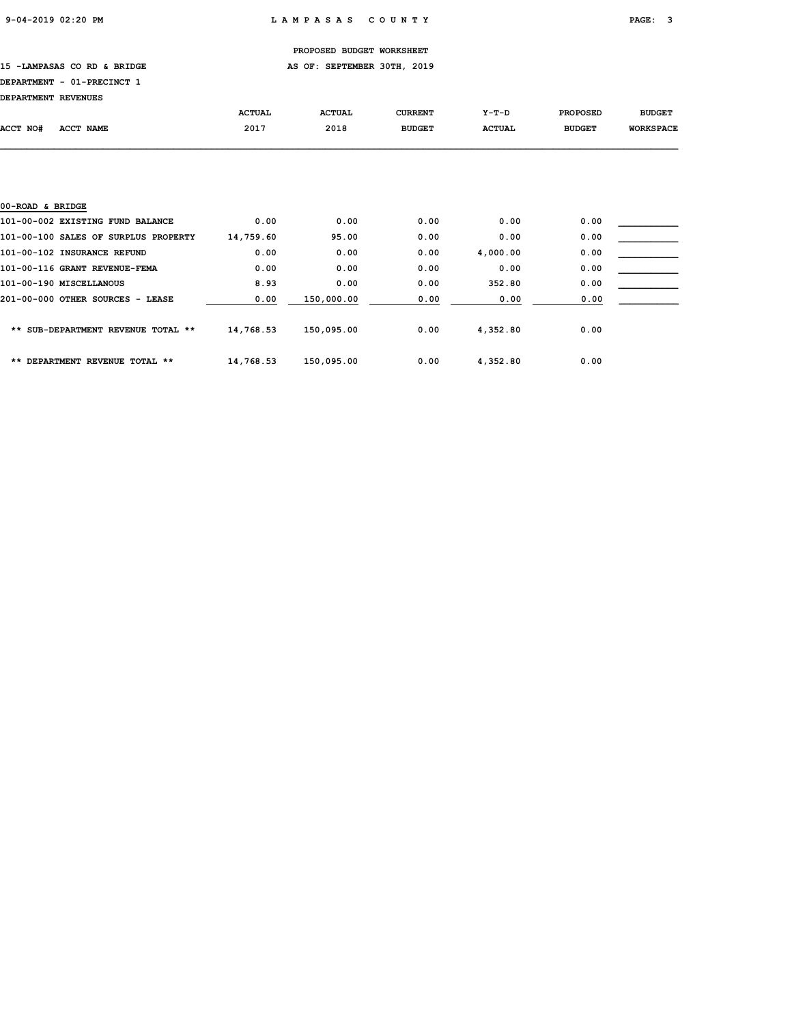15 -LAMPASAS CO RD & BRIDGE **AS OF: SEPTEMBER 30TH, 2019** 

## DEPARTMENT - 01-PRECINCT 1

| DEPARTMENT REVENUES |  |
|---------------------|--|
|---------------------|--|

|                                          | <b>ACTUAL</b> | <b>ACTUAL</b> | <b>CURRENT</b> | $Y-T-D$       | <b>PROPOSED</b> | <b>BUDGET</b>    |
|------------------------------------------|---------------|---------------|----------------|---------------|-----------------|------------------|
| ACCT NO#<br>ACCT NAME                    | 2017          | 2018          | <b>BUDGET</b>  | <b>ACTUAL</b> | <b>BUDGET</b>   | <b>WORKSPACE</b> |
|                                          |               |               |                |               |                 |                  |
|                                          |               |               |                |               |                 |                  |
|                                          |               |               |                |               |                 |                  |
|                                          |               |               |                |               |                 |                  |
| 00-ROAD & BRIDGE                         |               |               |                |               |                 |                  |
| 101-00-002 EXISTING FUND BALANCE         | 0.00          | 0.00          | 0.00           | 0.00          | 0.00            |                  |
| 101-00-100 SALES OF SURPLUS PROPERTY     | 14,759.60     | 95.00         | 0.00           | 0.00          | 0.00            |                  |
| 101-00-102 INSURANCE REFUND              | 0.00          | 0.00          | 0.00           | 4,000.00      | 0.00            |                  |
| 101-00-116 GRANT REVENUE-FEMA            | 0.00          | 0.00          | 0.00           | 0.00          | 0.00            |                  |
| 101-00-190 MISCELLANOUS                  | 8.93          | 0.00          | 0.00           | 352.80        | 0.00            |                  |
| 201-00-000 OTHER SOURCES - LEASE         | 0.00          | 150,000.00    | 0.00           | 0.00          | 0.00            |                  |
|                                          |               |               |                |               |                 |                  |
| SUB-DEPARTMENT REVENUE TOTAL **<br>$***$ | 14,768.53     | 150,095.00    | 0.00           | 4,352.80      | 0.00            |                  |
|                                          |               |               |                |               |                 |                  |

| ** DEPARTMENT REVENUE TOTAL ** | 14,768.53 | 150,095.00 | 0.00 | 4,352.80 | 0.00 |
|--------------------------------|-----------|------------|------|----------|------|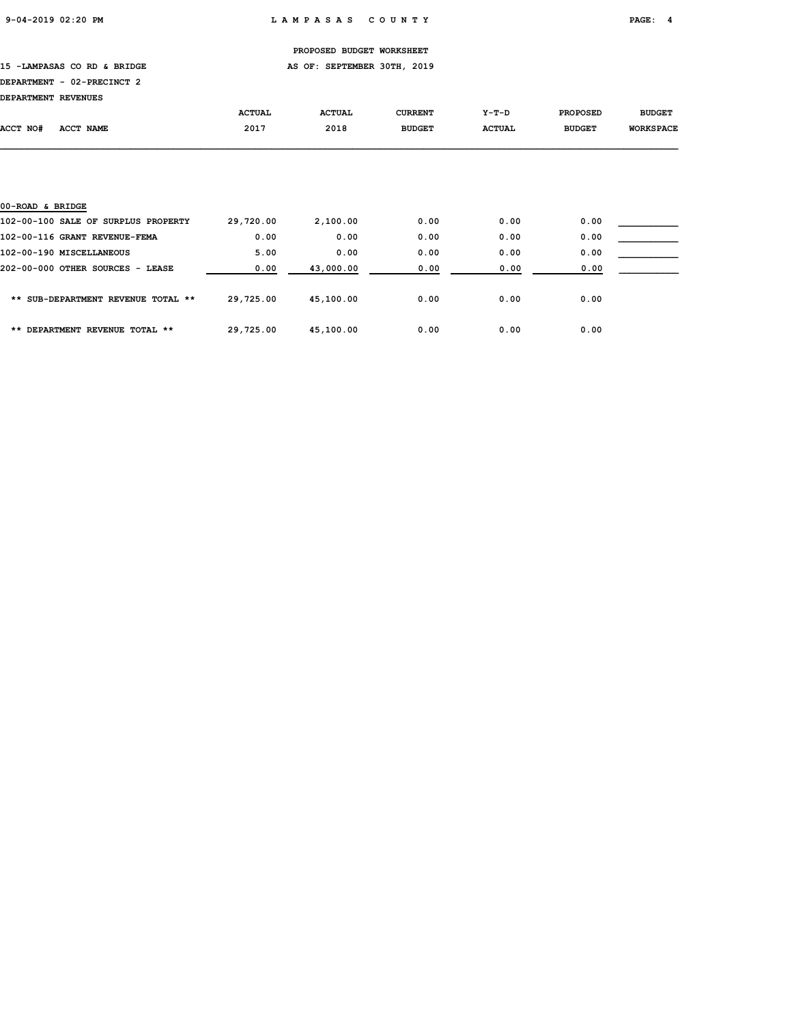15 -LAMPASAS CO RD & BRIDGE **AS OF: SEPTEMBER 30TH, 2019** 

## DEPARTMENT - 02-PRECINCT 2

| DEPARTMENT REVENUES |  |
|---------------------|--|
|---------------------|--|

|                                     | <b>ACTUAL</b> | <b>ACTUAL</b> | <b>CURRENT</b> | $Y-T-D$       | <b>PROPOSED</b> | <b>BUDGET</b>    |
|-------------------------------------|---------------|---------------|----------------|---------------|-----------------|------------------|
| ACCT NO#<br><b>ACCT NAME</b>        | 2017          | 2018          | <b>BUDGET</b>  | <b>ACTUAL</b> | <b>BUDGET</b>   | <b>WORKSPACE</b> |
|                                     |               |               |                |               |                 |                  |
|                                     |               |               |                |               |                 |                  |
|                                     |               |               |                |               |                 |                  |
| 00-ROAD & BRIDGE                    |               |               |                |               |                 |                  |
| 102-00-100 SALE OF SURPLUS PROPERTY | 29,720.00     | 2,100.00      | 0.00           | 0.00          | 0.00            |                  |
| 102-00-116 GRANT REVENUE-FEMA       | 0.00          | 0.00          | 0.00           | 0.00          | 0.00            |                  |
| 102-00-190 MISCELLANEOUS            | 5.00          | 0.00          | 0.00           | 0.00          | 0.00            |                  |
| 202-00-000 OTHER SOURCES - LEASE    | 0.00          | 43,000.00     | 0.00           | 0.00          | 0.00            |                  |
|                                     |               |               |                |               |                 |                  |
| ** SUB-DEPARTMENT REVENUE TOTAL **  | 29,725.00     | 45,100.00     | 0.00           | 0.00          | 0.00            |                  |

\*\* DEPARTMENT REVENUE TOTAL \*\* 29,725.00 45,100.00 0.00 0.00 0.00 0.00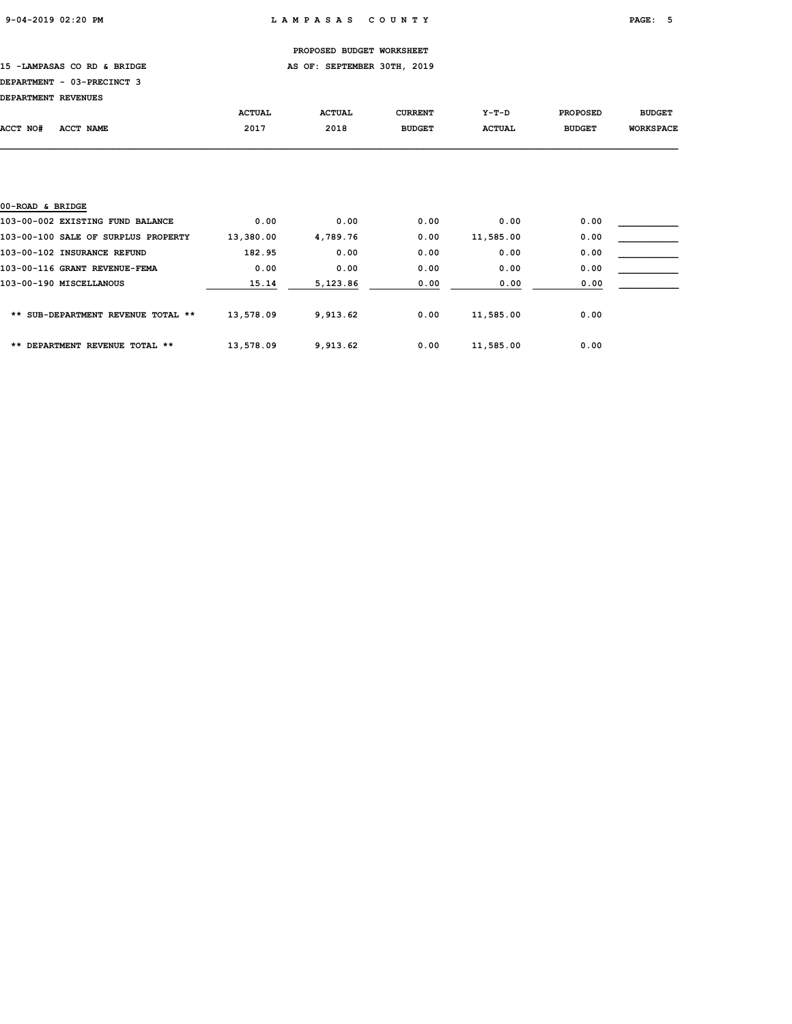15 -LAMPASAS CO RD & BRIDGE **AS OF: SEPTEMBER 30TH, 2019** 

## DEPARTMENT - 03-PRECINCT 3

| DEPARTMENT REVENUES |           |               |               |                |               |                 |                  |
|---------------------|-----------|---------------|---------------|----------------|---------------|-----------------|------------------|
|                     |           | <b>ACTUAL</b> | <b>ACTUAL</b> | <b>CURRENT</b> | Y-T-D         | <b>PROPOSED</b> | <b>BUDGET</b>    |
| ACCT NO#            | ACCT NAME | 2017          | 2018          | <b>BUDGET</b>  | <b>ACTUAL</b> | <b>BUDGET</b>   | <b>WORKSPACE</b> |
|                     |           |               |               |                |               |                 |                  |

| 00-ROAD & BRIDGE                    |           |          |      |           |      |  |
|-------------------------------------|-----------|----------|------|-----------|------|--|
| 103-00-002 EXISTING FUND BALANCE    | 0.00      | 0.00     | 0.00 | 0.00      | 0.00 |  |
| 103-00-100 SALE OF SURPLUS PROPERTY | 13,380.00 | 4,789.76 | 0.00 | 11,585.00 | 0.00 |  |
| 103-00-102 INSURANCE REFUND         | 182.95    | 0.00     | 0.00 | 0.00      | 0.00 |  |
| 103-00-116 GRANT REVENUE-FEMA       | 0.00      | 0.00     | 0.00 | 0.00      | 0.00 |  |
| 103-00-190 MISCELLANOUS             | 15.14     | 5,123.86 | 0.00 | 0.00      | 0.00 |  |
| ** SUB-DEPARTMENT REVENUE TOTAL **  | 13,578.09 | 9,913.62 | 0.00 | 11,585.00 | 0.00 |  |
| ** DEPARTMENT REVENUE TOTAL **      | 13,578.09 | 9,913.62 | 0.00 | 11,585.00 | 0.00 |  |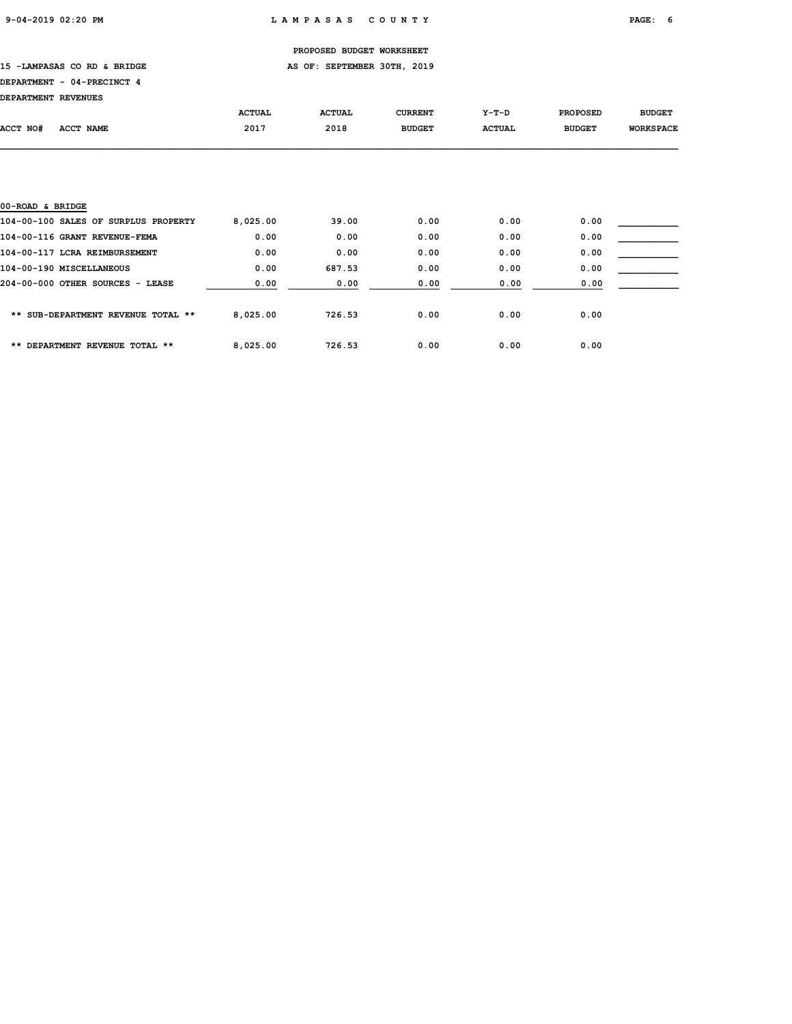### 15 -LAMPASAS CO RD & BRIDGE **AS OF: SEPTEMBER 30TH, 2019**

## DEPARTMENT - 04-PRECINCT 4

| DEPARTMENT REVENUES |  |
|---------------------|--|
|---------------------|--|

|                                      | <b>ACTUAL</b> | <b>ACTUAL</b> | <b>CURRENT</b> | $Y-T-D$       | <b>PROPOSED</b> | <b>BUDGET</b>    |
|--------------------------------------|---------------|---------------|----------------|---------------|-----------------|------------------|
| ACCT NO#<br>ACCT NAME                | 2017          | 2018          | <b>BUDGET</b>  | <b>ACTUAL</b> | <b>BUDGET</b>   | <b>WORKSPACE</b> |
|                                      |               |               |                |               |                 |                  |
|                                      |               |               |                |               |                 |                  |
|                                      |               |               |                |               |                 |                  |
|                                      |               |               |                |               |                 |                  |
| 00-ROAD & BRIDGE                     |               |               |                |               |                 |                  |
| 104-00-100 SALES OF SURPLUS PROPERTY | 8,025.00      | 39.00         | 0.00           | 0.00          | 0.00            |                  |
| 104-00-116 GRANT REVENUE-FEMA        | 0.00          | 0.00          | 0.00           | 0.00          | 0.00            |                  |
| 104-00-117 LCRA REIMBURSEMENT        | 0.00          | 0.00          | 0.00           | 0.00          | 0.00            |                  |
| 104-00-190 MISCELLANEOUS             | 0.00          | 687.53        | 0.00           | 0.00          | 0.00            |                  |
| 204-00-000 OTHER SOURCES - LEASE     | 0.00          | 0.00          | 0.00           | 0.00          | 0.00            |                  |
|                                      |               |               |                |               |                 |                  |
|                                      |               |               |                |               |                 |                  |

\*\* SUB-DEPARTMENT REVENUE TOTAL \*\* 8,025.00 726.53 0.00 0.00 0.00 0.00

\*\* DEPARTMENT REVENUE TOTAL \*\* 8,025.00 726.53 0.00 0.00 0.00 0.00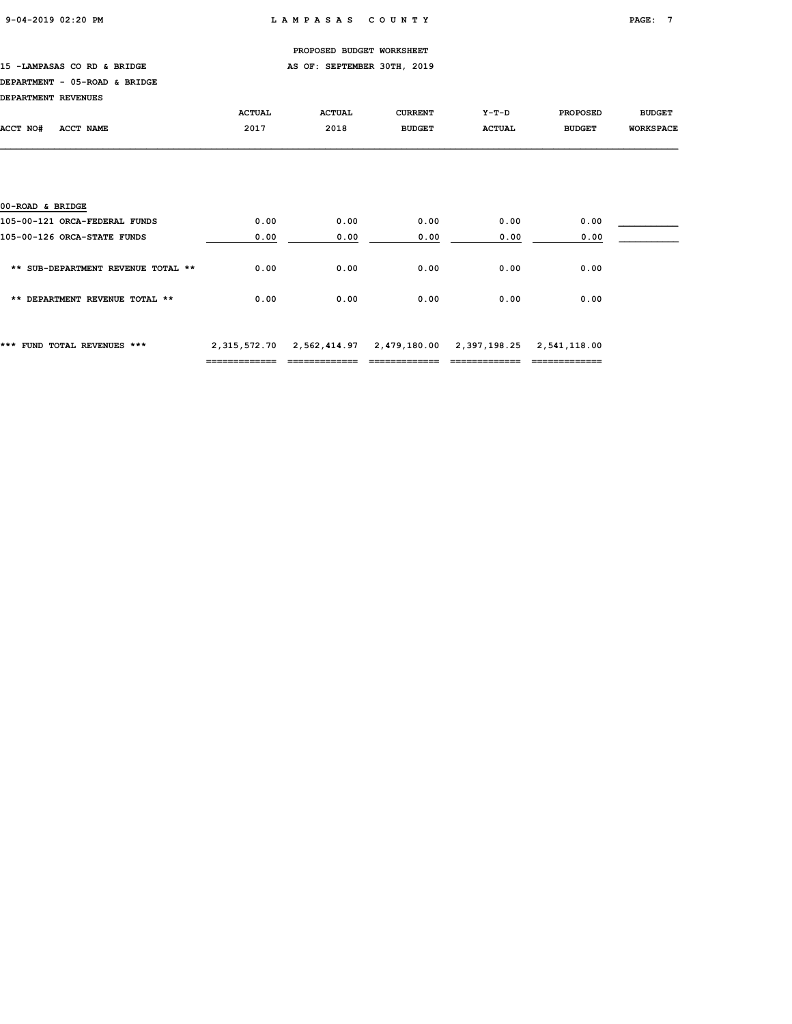15 -LAMPASAS CO RD & BRIDGE **AS OF: SEPTEMBER 30TH, 2019** 

### DEPARTMENT - 05-ROAD & BRIDGE

| DEPARTMENT REVENUES |  |
|---------------------|--|
|---------------------|--|

|                                    | <b>ACTUAL</b> | <b>ACTUAL</b> | <b>CURRENT</b> | $Y-T-D$       | <b>PROPOSED</b> | <b>BUDGET</b>    |
|------------------------------------|---------------|---------------|----------------|---------------|-----------------|------------------|
| ACCT NO#<br><b>ACCT NAME</b>       | 2017          | 2018          | <b>BUDGET</b>  | <b>ACTUAL</b> | <b>BUDGET</b>   | <b>WORKSPACE</b> |
|                                    |               |               |                |               |                 |                  |
|                                    |               |               |                |               |                 |                  |
|                                    |               |               |                |               |                 |                  |
|                                    |               |               |                |               |                 |                  |
| 00-ROAD & BRIDGE                   |               |               |                |               |                 |                  |
| 105-00-121 ORCA-FEDERAL FUNDS      | 0.00          | 0.00          | 0.00           | 0.00          | 0.00            |                  |
| 105-00-126 ORCA-STATE FUNDS        | 0.00          | 0.00          | 0.00           | 0.00          | 0.00            |                  |
|                                    |               |               |                |               |                 |                  |
| ** SUB-DEPARTMENT REVENUE TOTAL ** | 0.00          | 0.00          | 0.00           | 0.00          | 0.00            |                  |
|                                    |               |               |                |               |                 |                  |
| ** DEPARTMENT REVENUE TOTAL **     | 0.00          | 0.00          | 0.00           | 0.00          | 0.00            |                  |
|                                    |               |               |                |               |                 |                  |

\*\*\* FUND TOTAL REVENUES \*\*\* 2,315,572.70 2,562,414.97 2,479,180.00 2,397,198.25 2,541,118.00 ============= ============= ============= ============= =============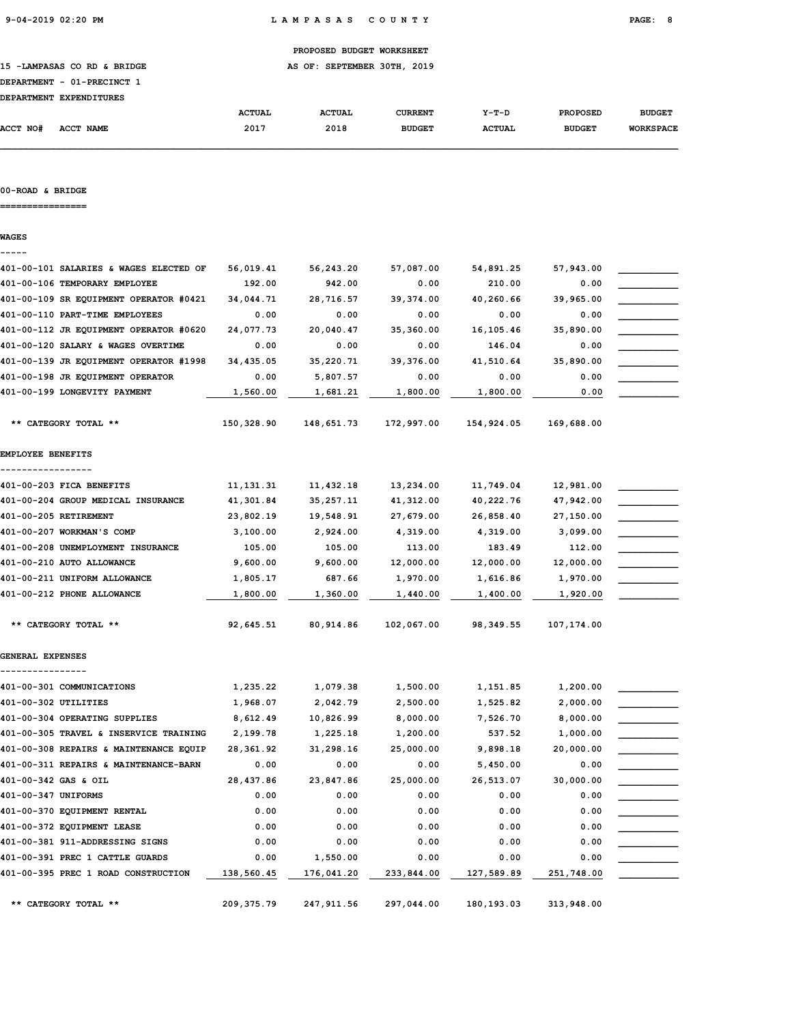15 -LAMPASAS CO RD & BRIDGE **AS OF: SEPTEMBER 30TH, 2019** 

|  | DEPARTMENT - 01-PRECINCT 1 |  |
|--|----------------------------|--|
|  |                            |  |

| <b>DEPARTMENT</b> | <b>EXPENDITURES</b> |               |               |               |               |                 |                  |
|-------------------|---------------------|---------------|---------------|---------------|---------------|-----------------|------------------|
|                   |                     | <b>ACTUAL</b> | <b>ACTUAL</b> | CURRENT       | $Y-T-D$       | <b>PROPOSED</b> | <b>BUDGET</b>    |
| <b>ACCT NO#</b>   | ACCT NAME           | 2017          | 2018          | <b>BUDGET</b> | <b>ACTUAL</b> | <b>BUDGET</b>   | <b>WORKSPACE</b> |

### 00-ROAD & BRIDGE

================

WAGES

| 401-00-101 SALARIES & WAGES ELECTED OF | 56,019.41   | 56,243.20   | 57,087.00  | 54,891.25  | 57,943.00  |  |
|----------------------------------------|-------------|-------------|------------|------------|------------|--|
| 401-00-106 TEMPORARY EMPLOYEE          | 192.00      | 942.00      | 0.00       | 210.00     | 0.00       |  |
| 401-00-109 SR EQUIPMENT OPERATOR #0421 | 34,044.71   | 28,716.57   | 39,374.00  | 40,260.66  | 39,965.00  |  |
| 401-00-110 PART-TIME EMPLOYEES         | 0.00        | 0.00        | 0.00       | 0.00       | 0.00       |  |
| 401-00-112 JR EQUIPMENT OPERATOR #0620 | 24,077.73   | 20,040.47   | 35,360.00  | 16, 105.46 | 35,890.00  |  |
| 401-00-120 SALARY & WAGES OVERTIME     | 0.00        | 0.00        | 0.00       | 146.04     | 0.00       |  |
| 401-00-139 JR EQUIPMENT OPERATOR #1998 | 34,435.05   | 35,220.71   | 39,376.00  | 41,510.64  | 35,890.00  |  |
| 401-00-198 JR EQUIPMENT OPERATOR       | 0.00        | 5,807.57    | 0.00       | 0.00       | 0.00       |  |
| 401-00-199 LONGEVITY PAYMENT           | 1,560.00    | 1,681.21    | 1,800.00   | 1,800.00   | 0.00       |  |
| ** CATEGORY TOTAL **                   | 150,328.90  | 148,651.73  | 172,997.00 | 154,924.05 | 169,688.00 |  |
| EMPLOYEE BENEFITS                      |             |             |            |            |            |  |
|                                        |             |             |            |            |            |  |
| 401-00-203 FICA BENEFITS               | 11, 131.31  | 11,432.18   | 13,234.00  | 11,749.04  | 12,981.00  |  |
| 401-00-204 GROUP MEDICAL INSURANCE     | 41,301.84   | 35, 257.11  | 41,312.00  | 40,222.76  | 47,942.00  |  |
| 401-00-205 RETIREMENT                  | 23,802.19   | 19,548.91   | 27,679.00  | 26,858.40  | 27,150.00  |  |
| 401-00-207 WORKMAN'S COMP              | 3,100.00    | 2,924.00    | 4,319.00   | 4,319.00   | 3,099.00   |  |
| 401-00-208 UNEMPLOYMENT INSURANCE      | 105.00      | 105.00      | 113.00     | 183.49     | 112.00     |  |
| 401-00-210 AUTO ALLOWANCE              | 9,600.00    | 9,600.00    | 12,000.00  | 12,000.00  | 12,000.00  |  |
| 401-00-211 UNIFORM ALLOWANCE           | 1,805.17    | 687.66      | 1,970.00   | 1,616.86   | 1,970.00   |  |
| 401-00-212 PHONE ALLOWANCE             | 1,800.00    | 1,360.00    | 1,440.00   | 1,400.00   | 1,920.00   |  |
| ** CATEGORY TOTAL **                   | 92,645.51   | 80,914.86   | 102,067.00 | 98,349.55  | 107,174.00 |  |
| GENERAL EXPENSES                       |             |             |            |            |            |  |
| 401-00-301 COMMUNICATIONS              | 1,235.22    | 1,079.38    | 1,500.00   | 1,151.85   | 1,200.00   |  |
| 401-00-302 UTILITIES                   | 1,968.07    | 2,042.79    | 2,500.00   | 1,525.82   | 2,000.00   |  |
| 401-00-304 OPERATING SUPPLIES          | 8,612.49    | 10,826.99   | 8,000.00   | 7,526.70   | 8,000.00   |  |
| 401-00-305 TRAVEL & INSERVICE TRAINING | 2,199.78    | 1,225.18    | 1,200.00   | 537.52     | 1,000.00   |  |
| 401-00-308 REPAIRS & MAINTENANCE EQUIP | 28,361.92   | 31,298.16   | 25,000.00  | 9,898.18   | 20,000.00  |  |
| 401-00-311 REPAIRS & MAINTENANCE-BARN  | 0.00        | 0.00        | 0.00       | 5,450.00   | 0.00       |  |
| 401-00-342 GAS & OIL                   | 28,437.86   | 23,847.86   | 25,000.00  | 26,513.07  | 30,000.00  |  |
| 401-00-347 UNIFORMS                    | 0.00        | 0.00        | 0.00       | 0.00       | 0.00       |  |
| 401-00-370 EQUIPMENT RENTAL            | 0.00        | 0.00        | 0.00       | 0.00       | 0.00       |  |
| 401-00-372 EQUIPMENT LEASE             | 0.00        | 0.00        | 0.00       | 0.00       | 0.00       |  |
| 401-00-381 911-ADDRESSING SIGNS        | 0.00        | 0.00        | 0.00       | 0.00       | 0.00       |  |
| 401-00-391 PREC 1 CATTLE GUARDS        | 0.00        | 1,550.00    | 0.00       | 0.00       | 0.00       |  |
| 401-00-395 PREC 1 ROAD CONSTRUCTION    | 138,560.45  | 176,041.20  | 233,844.00 | 127,589.89 | 251,748.00 |  |
| ** CATEGORY TOTAL **                   | 209, 375.79 | 247, 911.56 | 297,044.00 | 180,193.03 | 313,948.00 |  |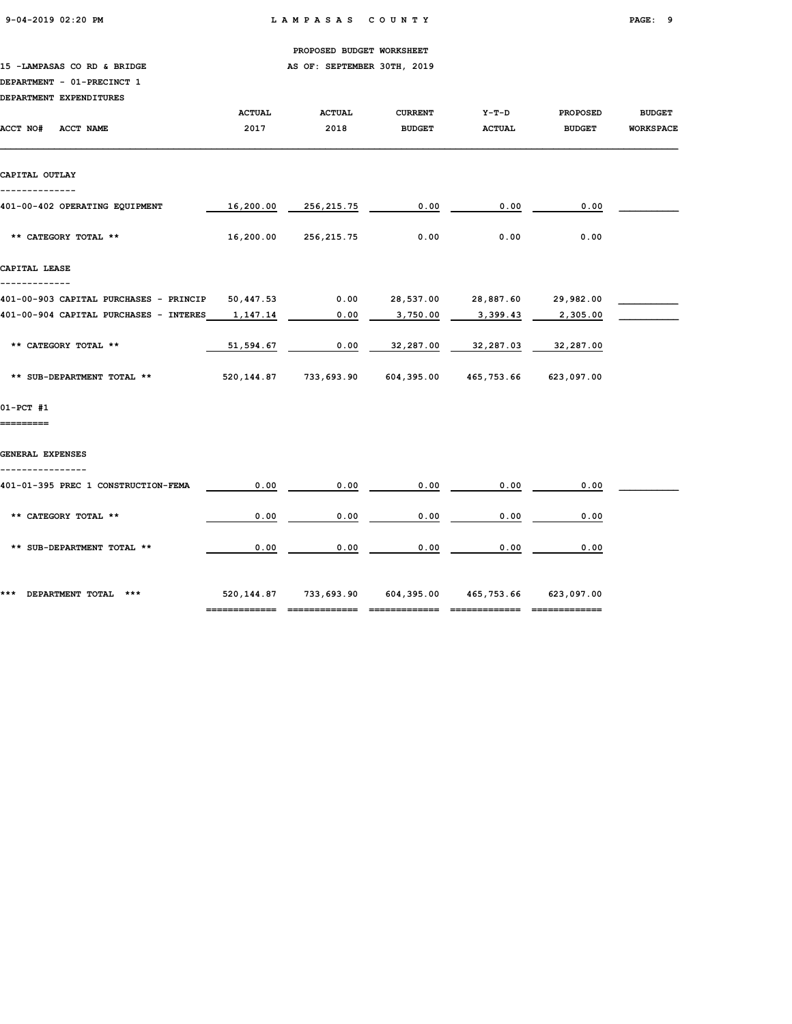9-04-2019 02:20 PM L A M P A S A S C O U N T Y PAGE: 9

|  | PROPOSED BUDGET WORKSHEET |
|--|---------------------------|
|  |                           |

15 -LAMPASAS CO RD & BRIDGE **AS OF: SEPTEMBER 30TH, 2019** 

### DEPARTMENT - 01-PRECINCT 1

| <b>DEPARTMENT EXPENDITURES</b> |  |
|--------------------------------|--|
|                                |  |

|                                        | <b>ACTUAL</b> | <b>ACTUAL</b>                                               | <b>CURRENT</b>                | $Y-T-D$             | <b>PROPOSED</b> | <b>BUDGET</b>    |
|----------------------------------------|---------------|-------------------------------------------------------------|-------------------------------|---------------------|-----------------|------------------|
| <b>ACCT NO#</b><br><b>ACCT NAME</b>    | 2017          | 2018                                                        | <b>BUDGET</b>                 | <b>ACTUAL</b>       | <b>BUDGET</b>   | <b>WORKSPACE</b> |
| CAPITAL OUTLAY                         |               |                                                             |                               |                     |                 |                  |
| 401-00-402 OPERATING EQUIPMENT         | 16,200.00     | 256,215.75                                                  | 0.00                          | 0.00                | 0.00            |                  |
| ** CATEGORY TOTAL **                   | 16,200.00     | 256,215.75                                                  | 0.00                          | 0.00                | 0.00            |                  |
| CAPITAL LEASE                          |               |                                                             |                               |                     |                 |                  |
| 401-00-903 CAPITAL PURCHASES - PRINCIP | 50,447.53     | 0.00                                                        |                               | 28,537.00 28,887.60 | 29,982.00       |                  |
| 401-00-904 CAPITAL PURCHASES - INTERES | 1,147.14      | 0.00                                                        | 3,750.00                      | 3,399.43            | 2,305.00        |                  |
| ** CATEGORY TOTAL **                   | 51,594.67     | 0.00                                                        | 32,287.00                     | 32,287.03           | 32,287.00       |                  |
| ** SUB-DEPARTMENT TOTAL **             |               | 520,144.87 733,693.90 604,395.00 465,753.66                 |                               |                     | 623,097.00      |                  |
| 01-PCT #1                              |               |                                                             |                               |                     |                 |                  |
| ========                               |               |                                                             |                               |                     |                 |                  |
| GENERAL EXPENSES                       |               |                                                             |                               |                     |                 |                  |
| 401-01-395 PREC 1 CONSTRUCTION-FEMA    | 0.00          | 0.00                                                        | 0.00                          | 0.00                | 0.00            |                  |
| ** CATEGORY TOTAL **                   | 0.00          | 0.00                                                        | 0.00                          | 0.00                | 0.00            |                  |
| ** SUB-DEPARTMENT TOTAL **             | 0.00          | 0.00                                                        | 0.00                          | 0.00                | 0.00            |                  |
| *** DEPARTMENT TOTAL ***               |               | 520, 144.87 733, 693.90 604, 395.00 465, 753.66 623, 097.00 | --------------  ------------- |                     | ------------    |                  |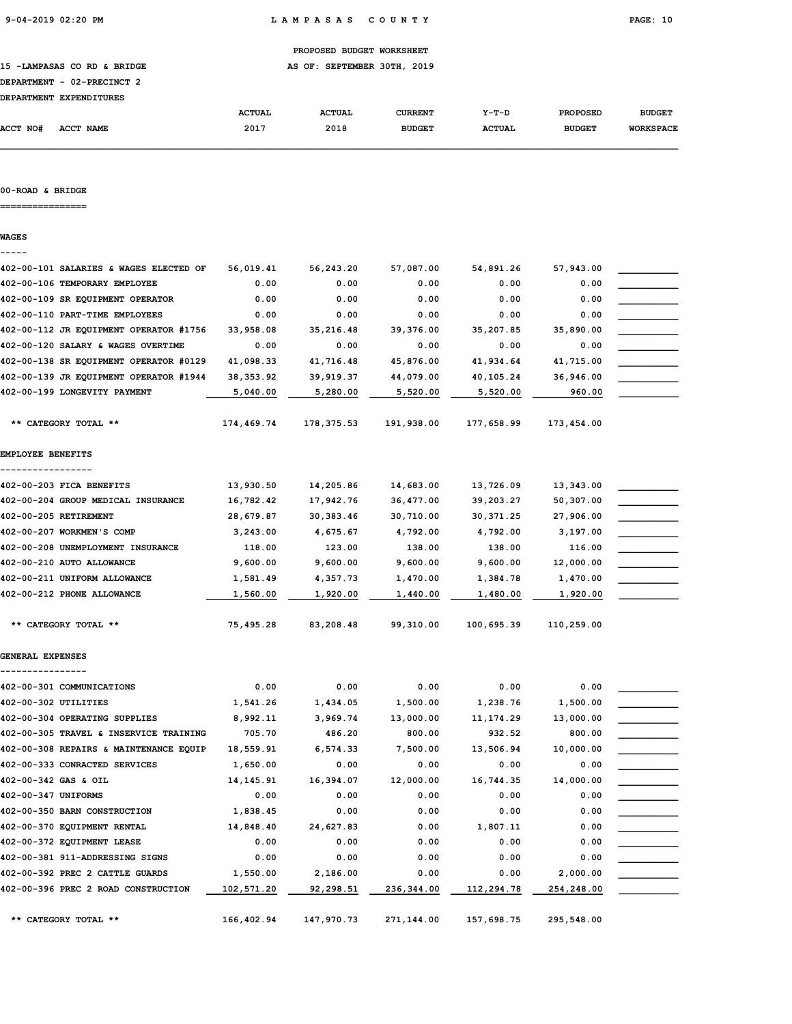15 -LAMPASAS CO RD & BRIDGE **AS OF: SEPTEMBER 30TH, 2019** 

| --- |                            |  |
|-----|----------------------------|--|
|     | DEPARTMENT - 02-PRECINCT 2 |  |
|     |                            |  |

| <b>DEPARTMENT</b> | <b>EXPENDITURES</b> |               |               |                |               |                 |                  |
|-------------------|---------------------|---------------|---------------|----------------|---------------|-----------------|------------------|
|                   |                     | <b>ACTUAL</b> | <b>ACTUAL</b> | <b>CURRENT</b> | $Y-T-D$       | <b>PROPOSED</b> | <b>BUDGET</b>    |
| ACCT NO#          | ACCT NAME           | 2017          | 2018          | <b>BUDGET</b>  | <b>ACTUAL</b> | <b>BUDGET</b>   | <b>WORKSPACE</b> |

### 00-ROAD & BRIDGE

================

WAGES

| 402-00-101 SALARIES & WAGES ELECTED OF | 56,019.41   | 56,243.20   | 57,087.00  | 54,891.26  | 57,943.00  |  |
|----------------------------------------|-------------|-------------|------------|------------|------------|--|
| 402-00-106 TEMPORARY EMPLOYEE          | 0.00        | 0.00        | 0.00       | 0.00       | 0.00       |  |
| 402-00-109 SR EQUIPMENT OPERATOR       | 0.00        | 0.00        | 0.00       | 0.00       | 0.00       |  |
| 402-00-110 PART-TIME EMPLOYEES         | 0.00        | 0.00        | 0.00       | 0.00       | 0.00       |  |
| 402-00-112 JR EQUIPMENT OPERATOR #1756 | 33,958.08   | 35,216.48   | 39,376.00  | 35,207.85  | 35,890.00  |  |
| 402-00-120 SALARY & WAGES OVERTIME     | 0.00        | 0.00        | 0.00       | 0.00       | 0.00       |  |
| 402-00-138 SR EQUIPMENT OPERATOR #0129 | 41,098.33   | 41,716.48   | 45,876.00  | 41,934.64  | 41,715.00  |  |
| 402-00-139 JR EQUIPMENT OPERATOR #1944 | 38, 353.92  | 39,919.37   | 44,079.00  | 40,105.24  | 36,946.00  |  |
| 402-00-199 LONGEVITY PAYMENT           | 5,040.00    | 5,280.00    | 5,520.00   | 5,520.00   | 960.00     |  |
| ** CATEGORY TOTAL **                   | 174,469.74  | 178, 375.53 | 191,938.00 | 177,658.99 | 173,454.00 |  |
| <b>EMPLOYEE BENEFITS</b>               |             |             |            |            |            |  |
| 402-00-203 FICA BENEFITS               | 13,930.50   | 14,205.86   | 14,683.00  | 13,726.09  | 13,343.00  |  |
| 402-00-204 GROUP MEDICAL INSURANCE     | 16,782.42   | 17,942.76   | 36,477.00  | 39,203.27  | 50,307.00  |  |
| 402-00-205 RETIREMENT                  | 28,679.87   | 30,383.46   | 30,710.00  | 30, 371.25 | 27,906.00  |  |
| 402-00-207 WORKMEN'S COMP              | 3,243.00    | 4,675.67    | 4,792.00   | 4,792.00   | 3,197.00   |  |
| 402-00-208 UNEMPLOYMENT INSURANCE      | 118.00      | 123.00      | 138.00     | 138.00     | 116.00     |  |
| 402-00-210 AUTO ALLOWANCE              | 9,600.00    | 9,600.00    | 9,600.00   | 9,600.00   | 12,000.00  |  |
| 402-00-211 UNIFORM ALLOWANCE           | 1,581.49    | 4,357.73    | 1,470.00   | 1,384.78   | 1,470.00   |  |
| 402-00-212 PHONE ALLOWANCE             | 1,560.00    | 1,920.00    | 1,440.00   | 1,480.00   | 1,920.00   |  |
| ** CATEGORY TOTAL **                   | 75,495.28   | 83,208.48   | 99,310.00  | 100,695.39 | 110,259.00 |  |
| GENERAL EXPENSES                       |             |             |            |            |            |  |
| 402-00-301 COMMUNICATIONS              | 0.00        | 0.00        | 0.00       | 0.00       | 0.00       |  |
| 402-00-302 UTILITIES                   | 1,541.26    | 1,434.05    | 1,500.00   | 1,238.76   | 1,500.00   |  |
| 402-00-304 OPERATING SUPPLIES          | 8,992.11    | 3,969.74    | 13,000.00  | 11, 174.29 | 13,000.00  |  |
| 402-00-305 TRAVEL & INSERVICE TRAINING | 705.70      | 486.20      | 800.00     | 932.52     | 800.00     |  |
| 402-00-308 REPAIRS & MAINTENANCE EQUIP | 18,559.91   | 6,574.33    | 7,500.00   | 13,506.94  | 10,000.00  |  |
| 402-00-333 CONRACTED SERVICES          | 1,650.00    | 0.00        | 0.00       | 0.00       | 0.00       |  |
| 402-00-342 GAS & OIL                   | 14, 145. 91 | 16,394.07   | 12,000.00  | 16,744.35  | 14,000.00  |  |
| 402-00-347 UNIFORMS                    | 0.00        | 0.00        | 0.00       | 0.00       | 0.00       |  |
| 402-00-350 BARN CONSTRUCTION           | 1,838.45    | 0.00        | 0.00       | 0.00       | 0.00       |  |
| 402-00-370 EQUIPMENT RENTAL            | 14,848.40   | 24,627.83   | 0.00       | 1,807.11   | 0.00       |  |
| 402-00-372 EQUIPMENT LEASE             | 0.00        | 0.00        | 0.00       | 0.00       | 0.00       |  |
| 402-00-381 911-ADDRESSING SIGNS        | 0.00        | 0.00        | 0.00       | 0.00       | 0.00       |  |
| 402-00-392 PREC 2 CATTLE GUARDS        | 1,550.00    | 2,186.00    | 0.00       | 0.00       | 2,000.00   |  |
| 402-00-396 PREC 2 ROAD CONSTRUCTION    | 102,571.20  | 92,298.51   | 236,344.00 | 112,294.78 | 254,248.00 |  |
| ** CATEGORY TOTAL **                   | 166,402.94  | 147,970.73  | 271,144.00 | 157,698.75 | 295,548.00 |  |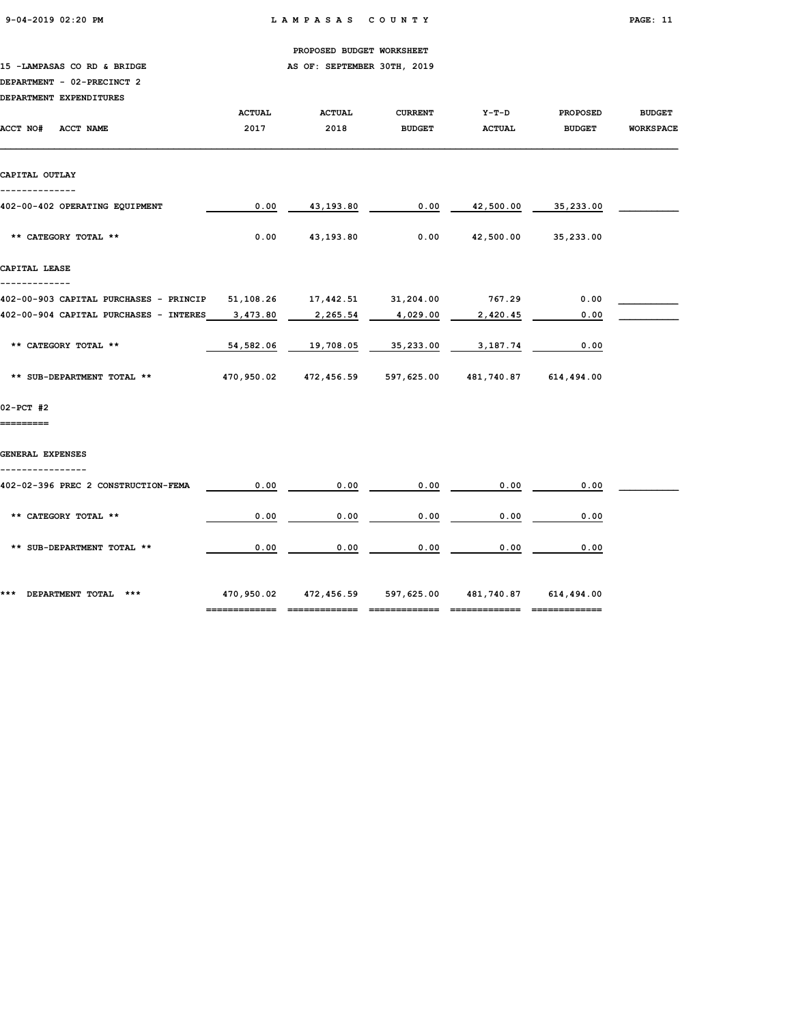15 -LAMPASAS CO RD & BRIDGE **AS OF: SEPTEMBER 30TH**, 2019

### DEPARTMENT - 02-PRECINCT 2

| DEPARTMENT EXPENDITURES |  |
|-------------------------|--|

| DEPARTMENT EXPENDITURES                          |               |                                                            |                |                                |                     |                  |
|--------------------------------------------------|---------------|------------------------------------------------------------|----------------|--------------------------------|---------------------|------------------|
|                                                  | <b>ACTUAL</b> | <b>ACTUAL</b>                                              | <b>CURRENT</b> | $Y-T-D$                        | <b>PROPOSED</b>     | <b>BUDGET</b>    |
| ACCT NO#<br>ACCT NAME                            | 2017          | 2018                                                       | <b>BUDGET</b>  | ACTUAL                         | <b>BUDGET</b>       | <b>WORKSPACE</b> |
| CAPITAL OUTLAY                                   |               |                                                            |                |                                |                     |                  |
| --------------<br>402-00-402 OPERATING EQUIPMENT | 0.00          |                                                            | 43,193.80 0.00 |                                | 42,500.00 35,233.00 |                  |
| ** CATEGORY TOTAL **                             | 0.00          | 43,193.80                                                  |                | $0.00$ $42,500.00$ $35,233.00$ |                     |                  |
| CAPITAL LEASE                                    |               |                                                            |                |                                |                     |                  |
| 402-00-903 CAPITAL PURCHASES - PRINCIP           |               |                                                            |                |                                | 0.00                |                  |
| 402-00-904 CAPITAL PURCHASES - INTERES           | 3,473.80      | 2,265.54                                                   | 4,029.00       | 2,420.45                       | 0.00                |                  |
|                                                  |               |                                                            |                |                                |                     |                  |
| ** CATEGORY TOTAL **                             | 54,582.06     | 19,708.05                                                  | 35,233.00      | 3,187.74                       | 0.00                |                  |
| ** SUB-DEPARTMENT TOTAL **                       |               | 470,950.02  472,456.59  597,625.00  481,740.87  614,494.00 |                |                                |                     |                  |
| 02-PCT #2                                        |               |                                                            |                |                                |                     |                  |
| =========                                        |               |                                                            |                |                                |                     |                  |
| GENERAL EXPENSES                                 |               |                                                            |                |                                |                     |                  |
| 402-02-396 PREC 2 CONSTRUCTION-FEMA              | 0.00          | 0.00                                                       | 0.00           | 0.00                           | 0.00                |                  |
| ** CATEGORY TOTAL **                             | 0.00          | 0.00                                                       | 0.00           | 0.00                           | 0.00                |                  |
| ** SUB-DEPARTMENT TOTAL **                       | 0.00          | 0.00                                                       | 0.00           | 0.00                           | 0.00                |                  |
| *** DEPARTMENT TOTAL ***                         |               | 470,950.02  472,456.59  597,625.00  481,740.87  614,494.00 |                |                                |                     |                  |

============= ============= ============= ============= =============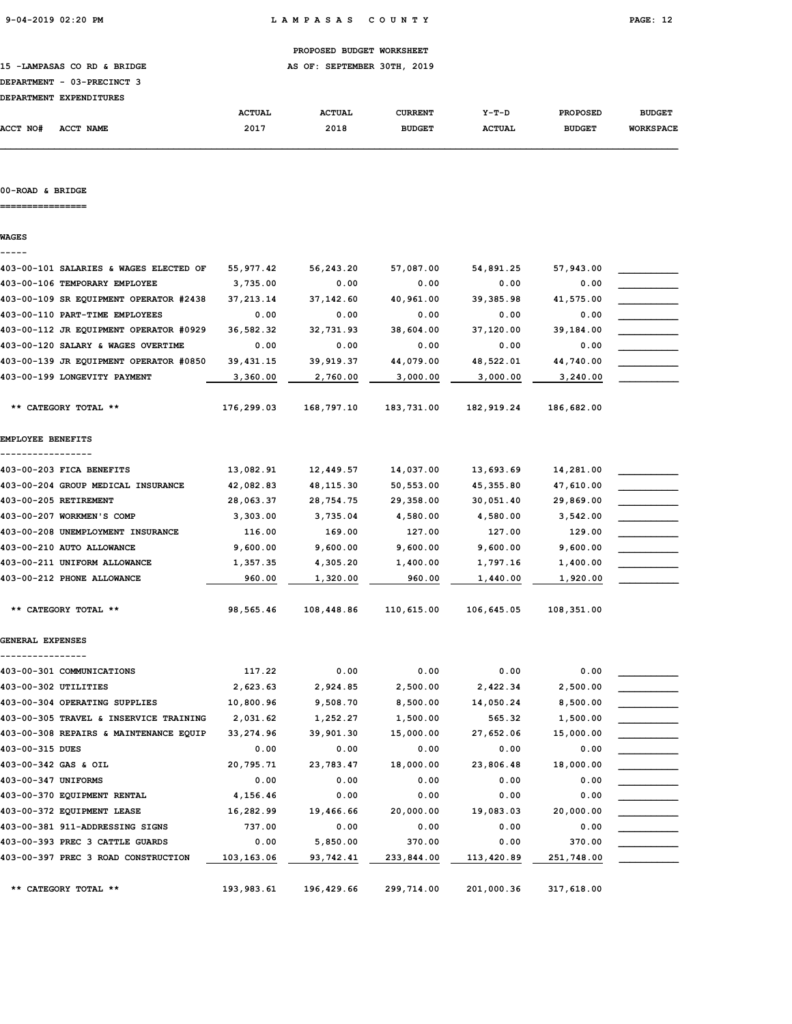15 -LAMPASAS CO RD & BRIDGE **AS OF: SEPTEMBER 30TH, 2019** 

# DEPARTMENT - 03-PRECINCT 3

| <b>DEPARTMENT</b> | <b>EXPENDITURES</b> |               |               |               |               |                 |                  |
|-------------------|---------------------|---------------|---------------|---------------|---------------|-----------------|------------------|
|                   |                     | <b>ACTUAL</b> | <b>ACTUAL</b> | CURRENT       | $Y-T-D$       | <b>PROPOSED</b> | <b>BUDGET</b>    |
| <b>ACCT NO#</b>   | <b>ACCT NAME</b>    | 2017          | 2018          | <b>BUDGET</b> | <b>ACTUAL</b> | <b>BUDGET</b>   | <b>WORKSPACE</b> |

#### 00-ROAD & BRIDGE

================

WAGES

## ----- 403-00-101 SALARIES & WAGES ELECTED OF 55,977.42 56,243.20 57,087.00 54,891.25 57,943.00 \_\_\_\_\_\_\_\_\_\_\_ 403-00-106 TEMPORARY EMPLOYEE 3,735.00 0.00 0.00 0.00 0.00 0.00 403-00-109 SR EQUIPMENT OPERATOR #2438 37,213.14 37,142.60 40,961.00 39,385.98 41,575.00  $403-00-110$  PART-TIME EMPLOYEES  $0.00$   $0.00$   $0.00$   $0.00$   $0.00$   $0.00$ 403-00-112 JR EQUIPMENT OPERATOR #0929 36,582.32 32,731.93 38,604.00 37,120.00 39,184.00 \_\_\_\_\_\_\_\_\_\_\_ 403-00-120 SALARY & WAGES OVERTIME  $0.00$  0.00 0.00 0.00 0.00 0.00 0.00  $403-00-139$  JR EQUIPMENT OPERATOR #0850  $39,431.15$   $39,919.37$   $44,079.00$   $48,522.01$   $44,740.00$ 403-00-199 LONGEVITY PAYMENT  $\qquad \qquad \qquad 3,360.00 \qquad \qquad 2,760.00 \qquad \qquad 3,000.00 \qquad \qquad 3,000.00 \qquad \qquad 3,240.00$  \*\* CATEGORY TOTAL \*\* 176,299.03 168,797.10 183,731.00 182,919.24 186,682.00 EMPLOYEE BENEFITS ----------------- 403-00-203 FICA BENEFITS  $13,082.91$   $12,449.57$   $14,037.00$   $13,693.69$   $14,281.00$ 403-00-204 GROUP MEDICAL INSURANCE 42,082.83 48,115.30 50,553.00 45,355.80 47,610.00 \_\_\_\_\_\_\_\_\_\_\_ 403-00-205 RETIREMENT 28,063.37 28,754.75 29,358.00 30,051.40 29,869.00 \_\_\_\_\_\_\_\_\_\_\_ 403-00-207 WORKMEN'S COMP 3,303.00 3,735.04 4,580.00 4,580.00 3,542.00  $403-00-208$  UNEMPLOYMENT INSURANCE  $116.00$   $169.00$   $127.00$   $127.00$   $129.00$ 403-00-210 AUTO ALLOWANCE 9,600.00 9,600.00 9,600.00 9,600.00 9,600.00 \_\_\_\_\_\_\_\_\_\_\_ 403-00-211 UNIFORM ALLOWANCE  $1,357.35$   $4,305.20$   $1,400.00$   $1,797.16$   $1,400.00$  $403-00-212$  PHONE ALLOWANCE  $\qquad \qquad \qquad 960.00 \qquad \qquad 1,320.00 \qquad \qquad 960.00 \qquad \qquad 1,440.00 \qquad \qquad 1,920.00$  \*\* CATEGORY TOTAL \*\* 98,565.46 108,448.86 110,615.00 106,645.05 108,351.00 GENERAL EXPENSES ---------------- 403-00-301 COMMUNICATIONS 117.22 0.00 0.00 0.00 0.00 \_\_\_\_\_\_\_\_\_\_\_ 403-00-302 UTILITIES 2,623.63 2,924.85 2,500.00 2,422.34 2,500.00 \_\_\_\_\_\_\_\_\_\_\_ 403-00-304 OPERATING SUPPLIES 10,800.96 9,508.70 8,500.00 14,050.24 8,500.00 \_\_\_\_\_\_\_\_\_\_\_ 403-00-305 TRAVEL & INSERVICE TRAINING  $2,031.62$   $1,252.27$   $1,500.00$   $565.32$   $1,500.00$ 403-00-308 REPAIRS & MAINTENANCE EQUIP 33,274.96 39,901.30 15,000.00 27,652.06 15,000.00 \_\_\_\_\_\_\_\_\_\_\_ 403-00-315 DUES 0.00 0.00 0.00 0.00 0.00 \_\_\_\_\_\_\_\_\_\_\_ 403-00-342 GAS & OIL 20,795.71 23,783.47 18,000.00 23,806.48 18,000.00 \_\_\_\_\_\_\_\_\_\_\_  $403-00-347$  UNIFORMS  $\begin{array}{cccc} 0.00 & 0.00 & 0.00 & 0.00 & 0.00 \end{array}$ 403-00-370 EQUIPMENT RENTAL 4,156.46 0.00 0.00 0.00 0.00 0.00 403-00-372 EQUIPMENT LEASE 16,282.99 19,466.66 20,000.00 19,083.03 20,000.00  $403-00-381$  911-ADDRESSING SIGNS  $737.00$   $0.00$   $0.00$   $0.00$   $0.00$   $0.00$   $0.00$ 403-00-393 PREC 3 CATTLE GUARDS 0.00 5,850.00 370.00 0.00 370.00 \_\_\_\_\_\_\_\_\_\_\_ 403-00-397 PREC 3 ROAD CONSTRUCTION  $\qquad 103,163.06 \qquad 93,742.41 \qquad 233,844.00 \qquad 113,420.89 \qquad 251,748.00$

\*\* CATEGORY TOTAL \*\* 193,983.61 196,429.66 299,714.00 201,000.36 317,618.00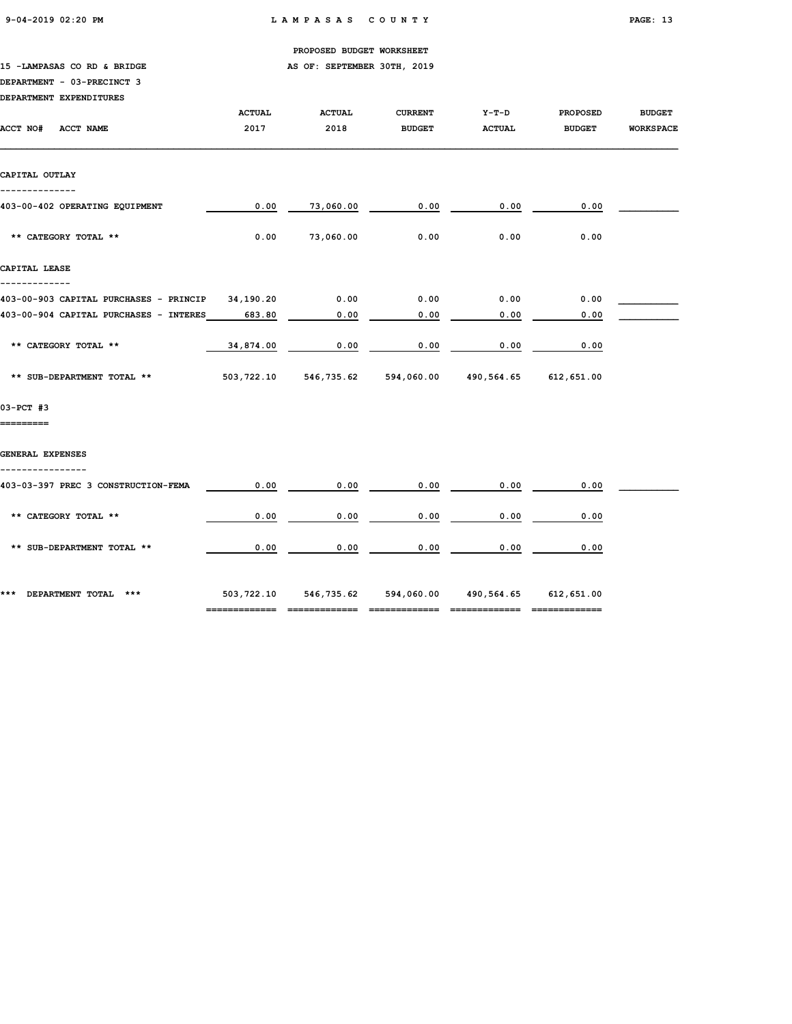15 -LAMPASAS CO RD & BRIDGE **AS OF: SEPTEMBER 30TH, 2019** 

### DEPARTMENT - 03-PRECINCT 3

|  |  | DEPARTMENT EXPENDITURES |  |
|--|--|-------------------------|--|
|--|--|-------------------------|--|

| DEFARIMENI EAFENDIIURES                          |               |                                                        |                |               |                 |                  |
|--------------------------------------------------|---------------|--------------------------------------------------------|----------------|---------------|-----------------|------------------|
|                                                  | <b>ACTUAL</b> | <b>ACTUAL</b>                                          | <b>CURRENT</b> | $Y-T-D$       | <b>PROPOSED</b> | <b>BUDGET</b>    |
| ACCT NO#<br><b>ACCT NAME</b>                     | 2017          | 2018                                                   | <b>BUDGET</b>  | <b>ACTUAL</b> | <b>BUDGET</b>   | <b>WORKSPACE</b> |
|                                                  |               |                                                        |                |               |                 |                  |
|                                                  |               |                                                        |                |               |                 |                  |
| CAPITAL OUTLAY                                   |               |                                                        |                |               |                 |                  |
|                                                  |               |                                                        |                |               |                 |                  |
|                                                  |               |                                                        |                |               |                 |                  |
| 403-00-402 OPERATING EQUIPMENT                   | 0.00          | 73,060.00                                              | 0.00           | 0.00          | 0.00            |                  |
|                                                  |               |                                                        |                |               |                 |                  |
| ** CATEGORY TOTAL **                             | 0.00          | 73,060.00                                              | 0.00           | 0.00          | 0.00            |                  |
|                                                  |               |                                                        |                |               |                 |                  |
| CAPITAL LEASE                                    |               |                                                        |                |               |                 |                  |
|                                                  |               |                                                        |                |               |                 |                  |
| 403-00-903 CAPITAL PURCHASES - PRINCIP 34,190.20 |               | 0.00                                                   | 0.00           | 0.00          | 0.00            |                  |
|                                                  |               |                                                        |                |               |                 |                  |
| 403-00-904 CAPITAL PURCHASES - INTERES           | 683.80        | 0.00                                                   | 0.00           | 0.00          | 0.00            |                  |
|                                                  |               |                                                        |                |               |                 |                  |
| ** CATEGORY TOTAL **                             | 34,874.00     | 0.00                                                   | 0.00           | 0.00          | 0.00            |                  |
|                                                  |               |                                                        |                |               |                 |                  |
| ** SUB-DEPARTMENT TOTAL **                       |               | 503,722.10 546,735.62 594,060.00 490,564.65 612,651.00 |                |               |                 |                  |
|                                                  |               |                                                        |                |               |                 |                  |
| 03-PCT #3                                        |               |                                                        |                |               |                 |                  |
| =========                                        |               |                                                        |                |               |                 |                  |
|                                                  |               |                                                        |                |               |                 |                  |
|                                                  |               |                                                        |                |               |                 |                  |
| GENERAL EXPENSES                                 |               |                                                        |                |               |                 |                  |
|                                                  |               |                                                        |                |               |                 |                  |
| 403-03-397 PREC 3 CONSTRUCTION-FEMA              | 0.00          | 0.00                                                   | 0.00           | 0.00          | 0.00            |                  |
|                                                  |               |                                                        |                |               |                 |                  |
| ** CATEGORY TOTAL **                             | 0.00          | 0.00                                                   | 0.00           | 0.00          | 0.00            |                  |
|                                                  |               |                                                        |                |               |                 |                  |
| ** SUB-DEPARTMENT TOTAL **                       | 0.00          | 0.00                                                   | 0.00           | 0.00          | 0.00            |                  |
|                                                  |               |                                                        |                |               |                 |                  |
|                                                  |               |                                                        |                |               |                 |                  |
|                                                  |               |                                                        |                |               |                 |                  |
| *** DEPARTMENT TOTAL ***                         |               | 503,722.10 546,735.62 594,060.00 490,564.65 612,651.00 |                |               |                 |                  |

============= ============= ============= ============= =============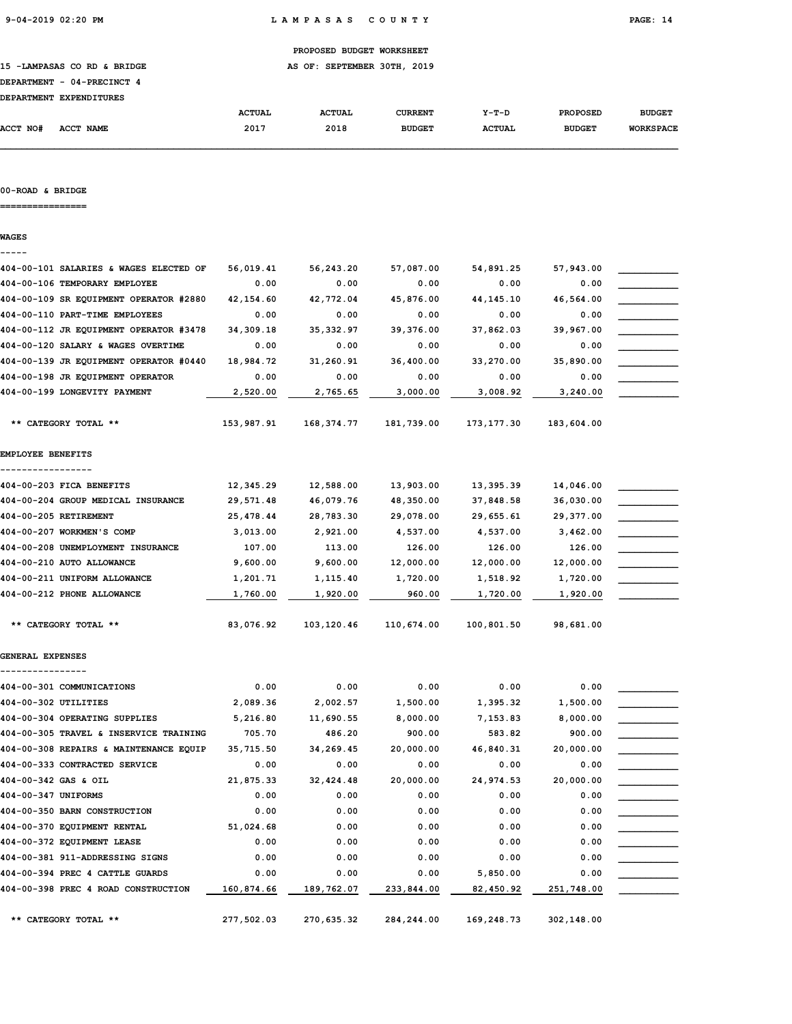15 -LAMPASAS CO RD & BRIDGE **AS OF: SEPTEMBER 30TH, 2019** 

# DEPARTMENT - 04-PRECINCT 4

| <b>DEPARTMENT</b> | <b>EXPENDITURES</b> |               |               |                |               |                 |                  |
|-------------------|---------------------|---------------|---------------|----------------|---------------|-----------------|------------------|
|                   |                     | <b>ACTUAL</b> | <b>ACTUAL</b> | <b>CURRENT</b> | $Y-T-D$       | <b>PROPOSED</b> | <b>BUDGET</b>    |
| <b>ACCT NO#</b>   | ACCT NAME           | 2017          | 2018          | <b>BUDGET</b>  | <b>ACTUAL</b> | <b>BUDGET</b>   | <b>WORKSPACE</b> |

#### 00-ROAD & BRIDGE

================

WAGES

## ----- 404-00-101 SALARIES & WAGES ELECTED OF 56,019.41 56,243.20 57,087.00 54,891.25 57,943.00 \_\_\_\_\_\_\_\_\_\_\_ 404-00-106 TEMPORARY EMPLOYEE  $0.00$   $0.00$   $0.00$   $0.00$   $0.00$   $0.00$   $0.00$ 404-00-109 SR EQUIPMENT OPERATOR #2880 42,154.60 42,772.04 45,876.00 44,145.10 46,564.00 404-00-110 PART-TIME EMPLOYEES 0.00 0.00 0.00 0.00 0.00 \_\_\_\_\_\_\_\_\_\_\_ 404-00-112 JR EQUIPMENT OPERATOR #3478 34,309.18 35,332.97 39,376.00 37,862.03 39,967.00 \_\_\_\_\_\_\_\_\_\_\_ 404-00-120 SALARY & WAGES OVERTIME  $0.00$  0.00 0.00 0.00 0.00 0.00 0.00 404-00-139 JR EQUIPMENT OPERATOR #0440 18,984.72 31,260.91 36,400.00 33,270.00 35,890.00 \_\_\_\_\_\_\_\_\_\_\_  $404-00-198$  JR EQUIPMENT OPERATOR  $0.00$   $0.00$   $0.00$   $0.00$   $0.00$   $0.00$   $0.00$ 404-00-199 LONGEVITY PAYMENT  $\qquad 2,520.00 \qquad 2,765.65 \qquad 3,000.00 \qquad 3,008.92 \qquad 3,240.00$  \*\* CATEGORY TOTAL \*\* 153,987.91 168,374.77 181,739.00 173,177.30 183,604.00 EMPLOYEE BENEFITS ----------------- 404-00-203 FICA BENEFITS 402,345.29 12,588.00 13,903.00 13,395.39 14,046.00 404-00-204 GROUP MEDICAL INSURANCE 29,571.48 46,079.76 48,350.00 37,848.58 36,030.00 \_\_\_\_\_\_\_\_\_\_\_ 404-00-205 RETIREMENT 25,478.44 28,783.30 29,078.00 29,655.61 29,377.00 \_\_\_\_\_\_\_\_\_\_\_ 404-00-207 WORKMEN'S COMP 3,013.00 2,921.00 4,537.00 4,537.00 3,462.00  $404-00-208$  UNEMPLOYMENT INSURANCE  $107.00$   $113.00$   $126.00$   $126.00$   $126.00$ 404-00-210 AUTO ALLOWANCE 9,600.00 9,600.00 12,000.00 12,000.00 12,000.00 \_\_\_\_\_\_\_\_\_\_\_ 404-00-211 UNIFORM ALLOWANCE  $1,201.71$   $1,115.40$   $1,720.00$   $1,518.92$   $1,720.00$  $404-00-212$  PHONE ALLOWANCE  $\qquad \qquad 1,760.00$   $\qquad \qquad 1,920.00$   $\qquad \qquad 960.00$   $\qquad \qquad 1,720.00$   $\qquad \qquad 1,920.00$  \*\* CATEGORY TOTAL \*\* 83,076.92 103,120.46 110,674.00 100,801.50 98,681.00 GENERAL EXPENSES ----------------  $404 - 00 - 301$  COMMUNICATIONS  $0.00$   $0.00$   $0.00$   $0.00$   $0.00$   $0.00$   $0.00$ 404-00-302 UTILITIES 2,089.36 2,002.57 1,500.00 1,395.32 1,500.00 \_\_\_\_\_\_\_\_\_\_\_ 404-00-304 OPERATING SUPPLIES 6,216.80 11,690.55 8,000.00 7,153.83 8,000.00 404-00-305 TRAVEL & INSERVICE TRAINING 705.70 486.20 900.00 583.82 900.00 \_\_\_\_\_\_\_\_\_\_\_ 404-00-308 REPAIRS & MAINTENANCE EQUIP 35,715.50 34,269.45 20,000.00 46,840.31 20,000.00 \_\_\_\_\_\_\_\_\_\_\_  $404-00-333$  CONTRACTED SERVICE  $0.00$   $0.00$   $0.00$   $0.00$   $0.00$   $0.00$   $0.00$ 404-00-342 GAS & OIL 21,875.33 32,424.48 20,000.00 24,974.53 20,000.00 \_\_\_\_\_\_\_\_\_\_\_ 404-00-347 UNIFORMS 0.00 0.00 0.00 0.00 0.00 \_\_\_\_\_\_\_\_\_\_\_  $404-00-350$  BARN CONSTRUCTION  $0.00$   $0.00$   $0.00$   $0.00$   $0.00$   $0.00$   $0.00$  $404-00-370$  EQUIPMENT RENTAL  $51,024.68$   $0.00$   $0.00$   $0.00$   $0.00$   $0.00$ 404-00-372 EQUIPMENT LEASE 0.00 0.00 0.00 0.00 0.00 \_\_\_\_\_\_\_\_\_\_\_ 404-00-381 911-ADDRESSING SIGNS 0.00 0.00 0.00 0.00 0.00 \_\_\_\_\_\_\_\_\_\_\_ 404-00-394 PREC 4 CATTLE GUARDS 0.00 0.00 0.00 5,850.00 0.00 \_\_\_\_\_\_\_\_\_\_\_  $404-00-398$  PREC 4 ROAD CONSTRUCTION  $\qquad \quad \frac{160,874.66}{2169,160}$   $\qquad \quad \frac{189,762.07}{233,844.00}$   $\qquad \quad \frac{82,450.92}{251,748.00}$   $\qquad \quad \frac{160,874.66}{2100}$

\*\* CATEGORY TOTAL \*\* 277,502.03 270,635.32 284,244.00 169,248.73 302,148.00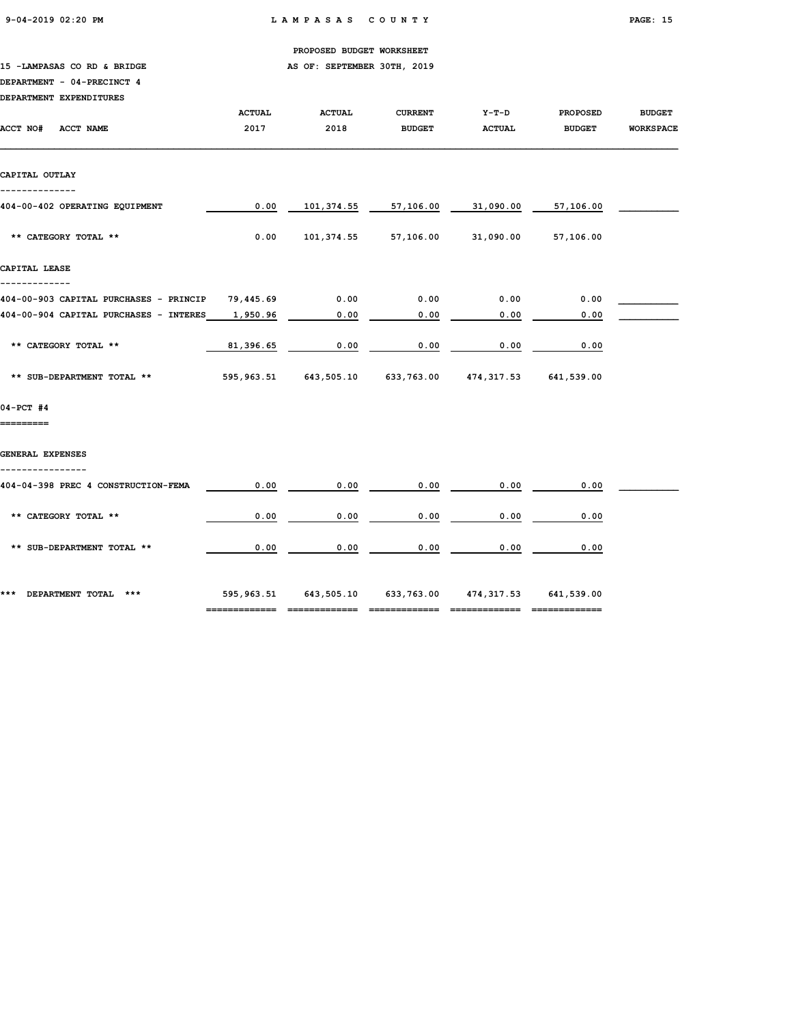9-04-2019 02:20 PM L A M P A S A S C O U N T Y PAGE: 15

PROPOSED BUDGET WORKSHEET

15 -LAMPASAS CO RD & BRIDGE AS OF: SEPTEMBER 30TH, 2019

### DEPARTMENT - 04-PRECINCT 4

| DEPARTMENT EXPENDITURES                |                       |                                                                |                                 |                          |                                  |                                   |
|----------------------------------------|-----------------------|----------------------------------------------------------------|---------------------------------|--------------------------|----------------------------------|-----------------------------------|
| ACCT NO#<br><b>ACCT NAME</b>           | <b>ACTUAL</b><br>2017 | <b>ACTUAL</b><br>2018                                          | <b>CURRENT</b><br><b>BUDGET</b> | $Y-T-D$<br><b>ACTUAL</b> | <b>PROPOSED</b><br><b>BUDGET</b> | <b>BUDGET</b><br><b>WORKSPACE</b> |
|                                        |                       |                                                                |                                 |                          |                                  |                                   |
| CAPITAL OUTLAY<br>--------------       |                       |                                                                |                                 |                          |                                  |                                   |
| 404-00-402 OPERATING EQUIPMENT         | 0.00                  | 101,374.55                                                     | 57,106.00                       | 31,090.00                | 57,106.00                        |                                   |
| ** CATEGORY TOTAL **                   | 0.00                  |                                                                | 101,374.55 57,106.00            |                          | 31,090.00 57,106.00              |                                   |
| CAPITAL LEASE                          |                       |                                                                |                                 |                          |                                  |                                   |
| 404-00-903 CAPITAL PURCHASES - PRINCIP | 79,445.69             | $\overline{0.00}$                                              | 0.00                            | 0.00                     | 0.00                             |                                   |
| 404-00-904 CAPITAL PURCHASES - INTERES | 1,950.96              | 0.00                                                           | 0.00                            | 0.00                     | 0.00                             |                                   |
| ** CATEGORY TOTAL **                   | 81,396.65             | 0.00                                                           | 0.00                            | 0.00                     | 0.00                             |                                   |
| ** SUB-DEPARTMENT TOTAL **             |                       | 595,963.51   643,505.10   633,763.00   474,317.53   641,539.00 |                                 |                          |                                  |                                   |
| 04-PCT #4                              |                       |                                                                |                                 |                          |                                  |                                   |
| =========                              |                       |                                                                |                                 |                          |                                  |                                   |
| GENERAL EXPENSES                       |                       |                                                                |                                 |                          |                                  |                                   |
| 404-04-398 PREC 4 CONSTRUCTION-FEMA    | 0.00                  | 0.00                                                           | 0.00                            | 0.00                     | 0.00                             |                                   |
| ** CATEGORY TOTAL **                   | 0.00                  | 0.00                                                           | 0.00                            | 0.00                     | 0.00                             |                                   |
| ** SUB-DEPARTMENT TOTAL **             | 0.00                  | 0.00                                                           | 0.00                            | 0.00                     | 0.00                             |                                   |
|                                        |                       |                                                                |                                 |                          |                                  |                                   |
| *** DEPARTMENT TOTAL ***               |                       | 595,963.51   643,505.10   633,763.00   474,317.53   641,539.00 |                                 |                          |                                  |                                   |

============= ============= ============= ============= =============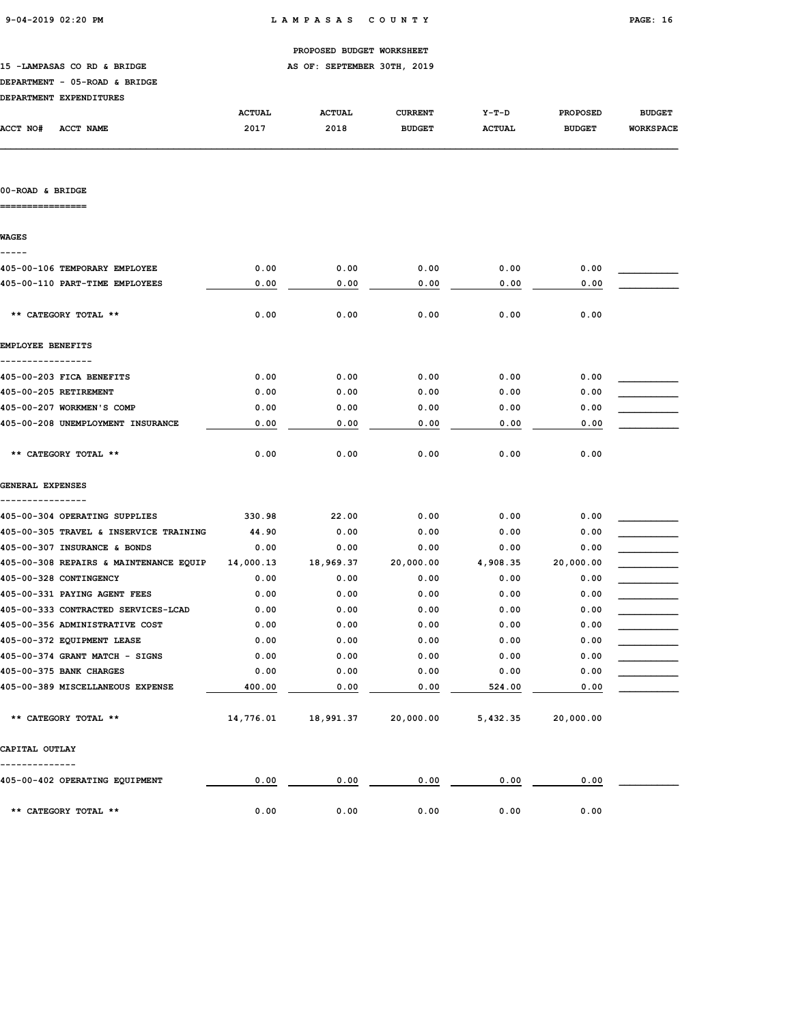|                                        |               | PROPOSED BUDGET WORKSHEET   |                |               |                 |                  |
|----------------------------------------|---------------|-----------------------------|----------------|---------------|-----------------|------------------|
| 15 -LAMPASAS CO RD & BRIDGE            |               | AS OF: SEPTEMBER 30TH, 2019 |                |               |                 |                  |
| DEPARTMENT - 05-ROAD & BRIDGE          |               |                             |                |               |                 |                  |
| DEPARTMENT EXPENDITURES                |               |                             |                |               |                 |                  |
|                                        | <b>ACTUAL</b> | <b>ACTUAL</b>               | <b>CURRENT</b> | $Y-T-D$       | <b>PROPOSED</b> | <b>BUDGET</b>    |
| <b>ACCT NO#</b><br>ACCT NAME           | 2017          | 2018                        | <b>BUDGET</b>  | <b>ACTUAL</b> | <b>BUDGET</b>   | <b>WORKSPACE</b> |
|                                        |               |                             |                |               |                 |                  |
| 00-ROAD & BRIDGE                       |               |                             |                |               |                 |                  |
| <b>WAGES</b><br>-----                  |               |                             |                |               |                 |                  |
| 405-00-106 TEMPORARY EMPLOYEE          | 0.00          | 0.00                        | 0.00           | 0.00          | 0.00            |                  |
| 405-00-110 PART-TIME EMPLOYEES         | 0.00          | 0.00                        | 0.00           | 0.00          | 0.00            |                  |
| ** CATEGORY TOTAL **                   | 0.00          | 0.00                        | 0.00           | 0.00          | 0.00            |                  |
| <b>EMPLOYEE BENEFITS</b>               |               |                             |                |               |                 |                  |
| 405-00-203 FICA BENEFITS               | 0.00          | 0.00                        | 0.00           | 0.00          | 0.00            |                  |
| 405-00-205 RETIREMENT                  | 0.00          | 0.00                        | 0.00           | 0.00          | 0.00            |                  |
| 405-00-207 WORKMEN'S COMP              | 0.00          | 0.00                        | 0.00           | 0.00          | 0.00            |                  |
| 405-00-208 UNEMPLOYMENT INSURANCE      | 0.00          | 0.00                        | 0.00           | 0.00          | 0.00            |                  |
| ** CATEGORY TOTAL **                   | 0.00          | 0.00                        | 0.00           | 0.00          | 0.00            |                  |
| GENERAL EXPENSES                       |               |                             |                |               |                 |                  |
| 405-00-304 OPERATING SUPPLIES          | 330.98        | 22.00                       | 0.00           | 0.00          | 0.00            |                  |
| 405-00-305 TRAVEL & INSERVICE TRAINING | 44.90         | 0.00                        | 0.00           | 0.00          | 0.00            |                  |
| 405-00-307 INSURANCE & BONDS           | 0.00          | 0.00                        | 0.00           | 0.00          | 0.00            |                  |
| 405-00-308 REPAIRS & MAINTENANCE EQUIP | 14,000.13     | 18,969.37                   | 20,000.00      | 4,908.35      | 20,000.00       |                  |
| 405-00-328 CONTINGENCY                 | 0.00          | 0.00                        | 0.00           | 0.00          | 0.00            |                  |
| 405-00-331 PAYING AGENT FEES           | 0.00          | 0.00                        | 0.00           | 0.00          | 0.00            |                  |
| 405-00-333 CONTRACTED SERVICES-LCAD    | 0.00          | 0.00                        | 0.00           | 0.00          | 0.00            |                  |
| 405-00-356 ADMINISTRATIVE COST         | 0.00          | 0.00                        | 0.00           | 0.00          | 0.00            |                  |
| 405-00-372 EQUIPMENT LEASE             | 0.00          | 0.00                        | 0.00           | 0.00          | 0.00            |                  |
| 405-00-374 GRANT MATCH - SIGNS         | 0.00          | 0.00                        | 0.00           | 0.00          | 0.00            |                  |
| 405-00-375 BANK CHARGES                | 0.00          | 0.00                        | 0.00           | 0.00          | 0.00            |                  |
| 405-00-389 MISCELLANEOUS EXPENSE       | 400.00        | 0.00                        | 0.00           | 524.00        | 0.00            |                  |
| ** CATEGORY TOTAL **                   | 14,776.01     | 18,991.37                   | 20,000.00      | 5,432.35      | 20,000.00       |                  |

CAPITAL OUTLAY

-------------- 405-00-402 OPERATING EQUIPMENT  $\begin{array}{|c|c|c|c|c|c|c|c|c|c|c|c|} \hline 0.00 & 0.00 & 0.00 & 0.00 & 0.00 & 0.00 & 0.00 & 0.00 & 0.00 & 0.00 & 0.00 & 0.00 & 0.00 & 0.00 & 0.00 & 0.00 & 0.00 & 0.00 & 0.00 & 0.00 & 0.00 & 0.00 & 0.00 & 0.00 & 0.00 & 0.00 &$ \*\* CATEGORY TOTAL \*\* 0.00 0.00 0.00 0.00 0.00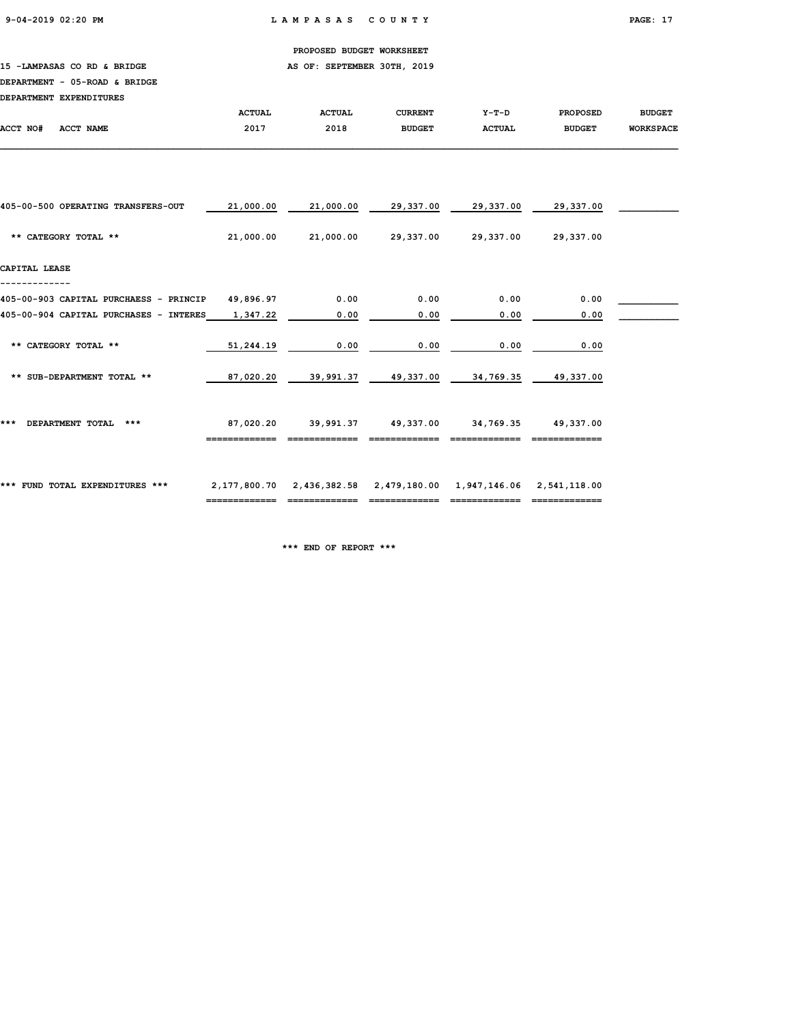### 15 -LAMPASAS CO RD & BRIDGE **AS OF: SEPTEMBER 30TH, 2019**

### DEPARTMENT - 05-ROAD & BRIDGE

| DEPARTMENT EXPENDITURES                |               |               |                     |                                                  |                 |                  |
|----------------------------------------|---------------|---------------|---------------------|--------------------------------------------------|-----------------|------------------|
|                                        | <b>ACTUAL</b> | <b>ACTUAL</b> | <b>CURRENT</b>      | $Y-T-D$                                          | <b>PROPOSED</b> | <b>BUDGET</b>    |
| ACCT NAME<br>ACCT NO#                  | 2017          | 2018          | <b>BUDGET</b>       | <b>ACTUAL</b>                                    | <b>BUDGET</b>   | <b>WORKSPACE</b> |
|                                        |               |               |                     |                                                  |                 |                  |
|                                        |               |               |                     |                                                  |                 |                  |
| 405-00-500 OPERATING TRANSFERS-OUT     | 21,000.00     | 21,000.00     | 29,337.00           | 29,337.00                                        | 29,337.00       |                  |
| ** CATEGORY TOTAL **                   | 21,000.00     |               | 21,000.00 29,337.00 | 29,337.00                                        | 29,337.00       |                  |
| CAPITAL LEASE                          |               |               |                     |                                                  |                 |                  |
| 405-00-903 CAPITAL PURCHAESS - PRINCIP | 49,896.97     | 0.00          | 0.00                | 0.00                                             | 0.00            |                  |
| 405-00-904 CAPITAL PURCHASES - INTERES | 1,347.22      | 0.00          | 0.00                | 0.00                                             | 0.00            |                  |
| ** CATEGORY TOTAL **                   | 51,244.19     | 0.00          | 0.00                | 0.00                                             | 0.00            |                  |
| ** SUB-DEPARTMENT TOTAL **             | 87,020.20     |               |                     | 39,991.37    49,337.00    34,769.35    49,337.00 |                 |                  |
|                                        |               |               |                     |                                                  |                 |                  |
| ***<br>DEPARTMENT TOTAL ***            | 87,020.20     |               |                     | 39,991.37  49,337.00  34,769.35  49,337.00       |                 |                  |
|                                        |               |               |                     |                                                  |                 |                  |
| *** FUND TOTAL EXPENDITURES ***        |               |               |                     |                                                  |                 |                  |
|                                        |               |               |                     |                                                  |                 |                  |

\*\*\* END OF REPORT \*\*\*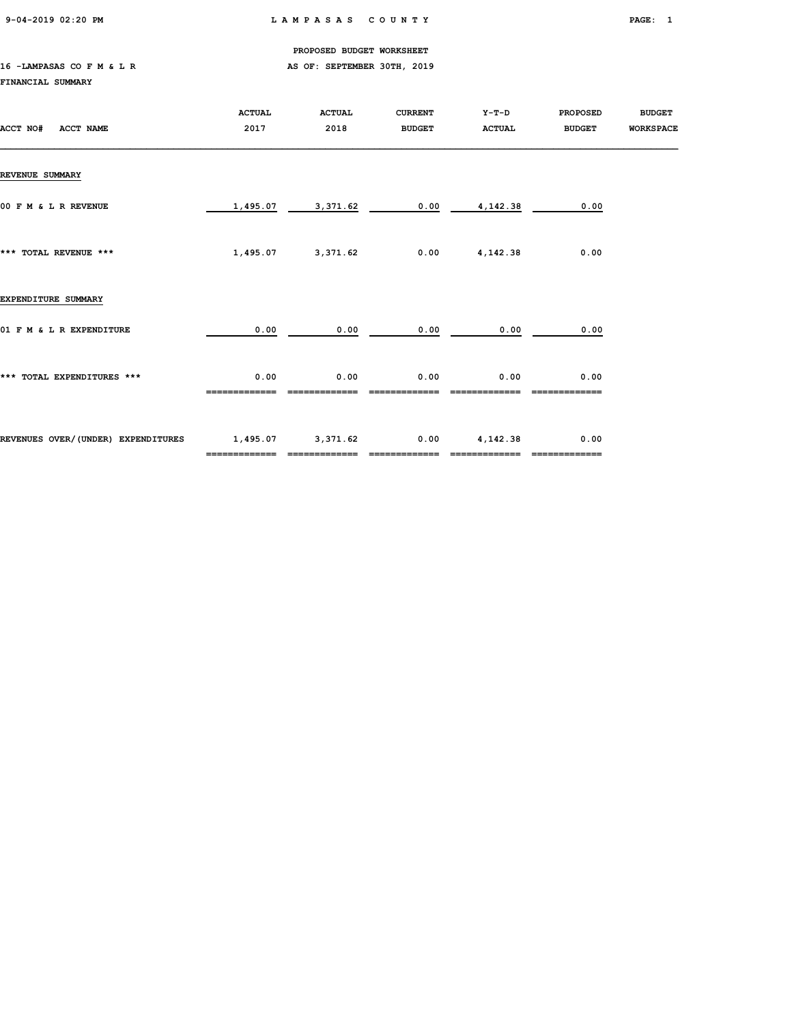9-04-2019 02:20 PM L A M P A S A S C O U N T Y PAGE: 1

PROPOSED BUDGET WORKSHEET

### 16 -LAMPASAS CO F M & L R AS OF: SEPTEMBER 30TH, 2019 FINANCIAL SUMMARY

| ACCT NO#<br><b>ACCT NAME</b>       | <b>ACTUAL</b><br>2017 | <b>ACTUAL</b><br>2018 | <b>CURRENT</b><br><b>BUDGET</b> | Y-T-D<br><b>ACTUAL</b> | <b>PROPOSED</b><br><b>BUDGET</b> | <b>BUDGET</b><br><b>WORKSPACE</b> |
|------------------------------------|-----------------------|-----------------------|---------------------------------|------------------------|----------------------------------|-----------------------------------|
| <b>REVENUE SUMMARY</b>             |                       |                       |                                 |                        |                                  |                                   |
| 00 F M & L R REVENUE               | 1,495.07              | 3,371.62              | 0.00                            | 4,142.38               | 0.00                             |                                   |
| *** TOTAL REVENUE ***              | 1,495.07              | 3,371.62              | 0.00                            | 4,142.38               | 0.00                             |                                   |
| EXPENDITURE SUMMARY                |                       |                       |                                 |                        |                                  |                                   |
| 01 F M & L R EXPENDITURE           | 0.00                  | 0.00                  | 0.00                            | 0.00                   | 0.00                             |                                   |
| *** TOTAL EXPENDITURES ***         | 0.00                  | 0.00                  | 0.00                            | 0.00                   | 0.00                             |                                   |
| REVENUES OVER/(UNDER) EXPENDITURES | 1,495.07 3,371.62     | =============         | 0.00                            | 4,142.38               | 0.00                             |                                   |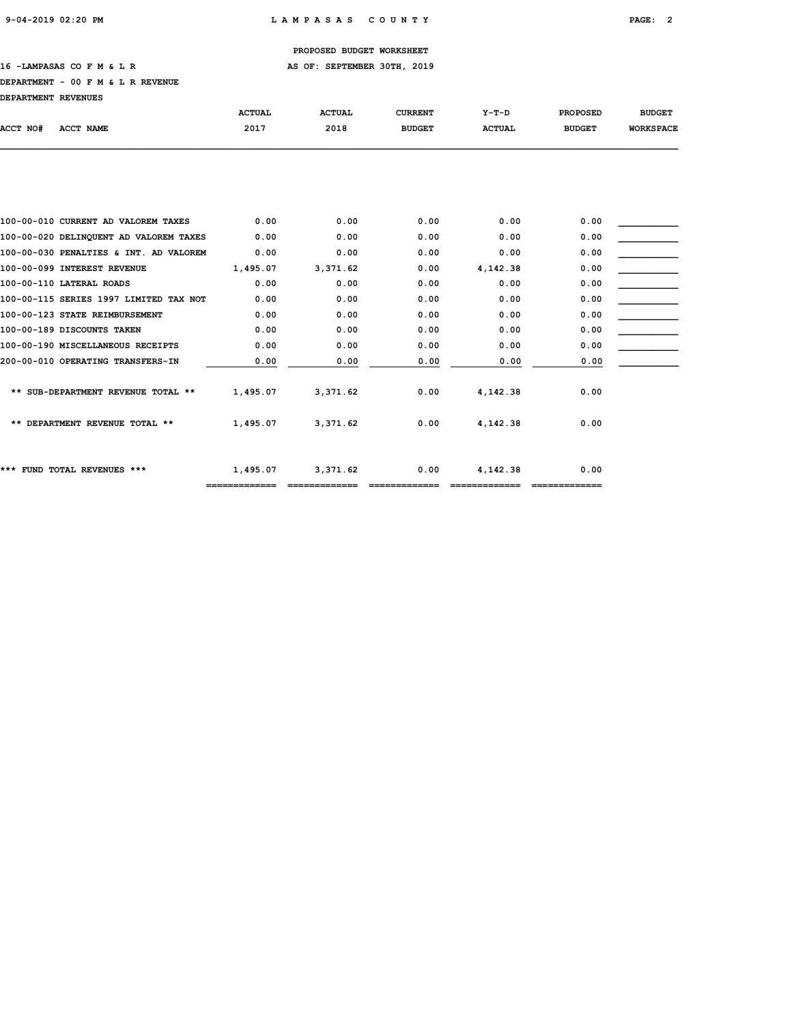### 16 -LAMPASAS CO F M & L R AS OF: SEPTEMBER 30TH, 2019

#### DEPARTMENT - 00 F M & L R REVENUE

DEPARTMENT REVENUES

| UGFARIMENI AGVGNVGO            |                                        |               |               |                |               |                 |                  |
|--------------------------------|----------------------------------------|---------------|---------------|----------------|---------------|-----------------|------------------|
|                                |                                        | <b>ACTUAL</b> | <b>ACTUAL</b> | <b>CURRENT</b> | $Y-T-D$       | <b>PROPOSED</b> | <b>BUDGET</b>    |
| ACCT NO#<br>ACCT NAME          |                                        | 2017          | 2018          | <b>BUDGET</b>  | <b>ACTUAL</b> | <b>BUDGET</b>   | <b>WORKSPACE</b> |
|                                |                                        |               |               |                |               |                 |                  |
|                                |                                        |               |               |                |               |                 |                  |
|                                | 100-00-010 CURRENT AD VALOREM TAXES    | 0.00          | 0.00          | 0.00           | 0.00          | 0.00            |                  |
|                                | 100-00-020 DELINQUENT AD VALOREM TAXES | 0.00          | 0.00          | 0.00           | 0.00          | 0.00            |                  |
|                                | 100-00-030 PENALTIES & INT. AD VALOREM | 0.00          | 0.00          | 0.00           | 0.00          | 0.00            |                  |
| 100-00-099 INTEREST REVENUE    |                                        | 1,495.07      | 3,371.62      | 0.00           | 4,142.38      | 0.00            |                  |
| 100-00-110 LATERAL ROADS       |                                        | 0.00          | 0.00          | 0.00           | 0.00          | 0.00            |                  |
|                                | 100-00-115 SERIES 1997 LIMITED TAX NOT | 0.00          | 0.00          | 0.00           | 0.00          | 0.00            |                  |
| 100-00-123 STATE REIMBURSEMENT |                                        | 0.00          | 0.00          | 0.00           | 0.00          | 0.00            |                  |
| 100-00-189 DISCOUNTS TAKEN     |                                        | 0.00          | 0.00          | 0.00           | 0.00          | 0.00            |                  |
|                                | 100-00-190 MISCELLANEOUS RECEIPTS      | 0.00          | 0.00          | 0.00           | 0.00          | 0.00            |                  |
|                                | 200-00-010 OPERATING TRANSFERS-IN      | 0.00          | 0.00          | 0.00           | 0.00          | 0.00            |                  |
|                                | ** SUB-DEPARTMENT REVENUE TOTAL **     | 1,495.07      | 3,371.62      | 0.00           | 4,142.38      | 0.00            |                  |
|                                | ** DEPARTMENT REVENUE TOTAL **         | 1,495.07      | 3,371.62      | 0.00           | 4,142.38      | 0.00            |                  |
| *** FUND TOTAL REVENUES ***    |                                        | 1,495.07      | 3,371.62      | 0.00           | 4,142.38      | 0.00            |                  |
|                                |                                        |               |               |                |               |                 |                  |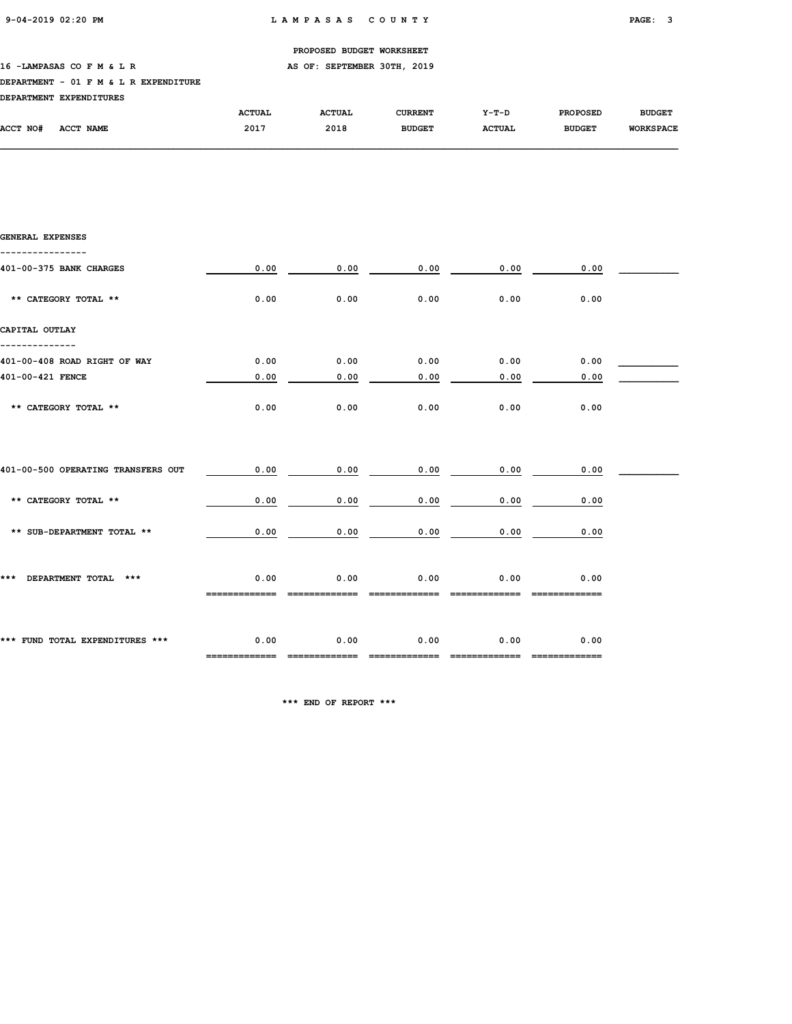16 -LAMPASAS CO F M & L R AS OF: SEPTEMBER 30TH, 2019

### DEPARTMENT - 01 F M & L R EXPENDITURE

| <b>DEPARTMENT</b> | <b>EXPENDITURES</b> |               |               |                |               |                 |                  |
|-------------------|---------------------|---------------|---------------|----------------|---------------|-----------------|------------------|
|                   |                     | <b>ACTUAL</b> | <b>ACTUAL</b> | <b>CURRENT</b> | $Y-T-D$       | <b>PROPOSED</b> | <b>BUDGET</b>    |
| ACCT NO#          | ACCT NAME           | 2017          | 2018          | <b>BUDGET</b>  | <b>ACTUAL</b> | <b>BUDGET</b>   | <b>WORKSPACE</b> |

| GENERAL EXPENSES                   |                                     |      |                       |      |                                    |  |
|------------------------------------|-------------------------------------|------|-----------------------|------|------------------------------------|--|
| 401-00-375 BANK CHARGES            | 0.00                                |      | 0.00<br>0.00          | 0.00 | 0.00                               |  |
| ** CATEGORY TOTAL **               | 0.00                                | 0.00 | 0.00                  | 0.00 | 0.00                               |  |
| CAPITAL OUTLAY                     |                                     |      |                       |      |                                    |  |
| 401-00-408 ROAD RIGHT OF WAY       | 0.00                                | 0.00 | 0.00                  | 0.00 | 0.00                               |  |
| 401-00-421 FENCE                   | 0.00                                | 0.00 | 0.00                  | 0.00 | 0.00                               |  |
| ** CATEGORY TOTAL **               | 0.00                                | 0.00 | 0.00                  | 0.00 | 0.00                               |  |
| 401-00-500 OPERATING TRANSFERS OUT | 0.00                                | 0.00 | 0.00                  | 0.00 | 0.00                               |  |
|                                    |                                     |      |                       |      |                                    |  |
| ** CATEGORY TOTAL **               | 0.00                                | 0.00 | 0.00                  | 0.00 | 0.00                               |  |
| ** SUB-DEPARTMENT TOTAL **         | 0.00                                | 0.00 | 0.00                  | 0.00 | 0.00                               |  |
| *** DEPARTMENT TOTAL ***           | 0.00                                | 0.00 | 0.00                  | 0.00 | 0.00                               |  |
| *** FUND TOTAL EXPENDITURES ***    | 0.00<br>------------- ------------- | 0.00 | 0.00<br>============= | 0.00 | 0.00<br>--------     ------------- |  |

\*\*\* END OF REPORT \*\*\*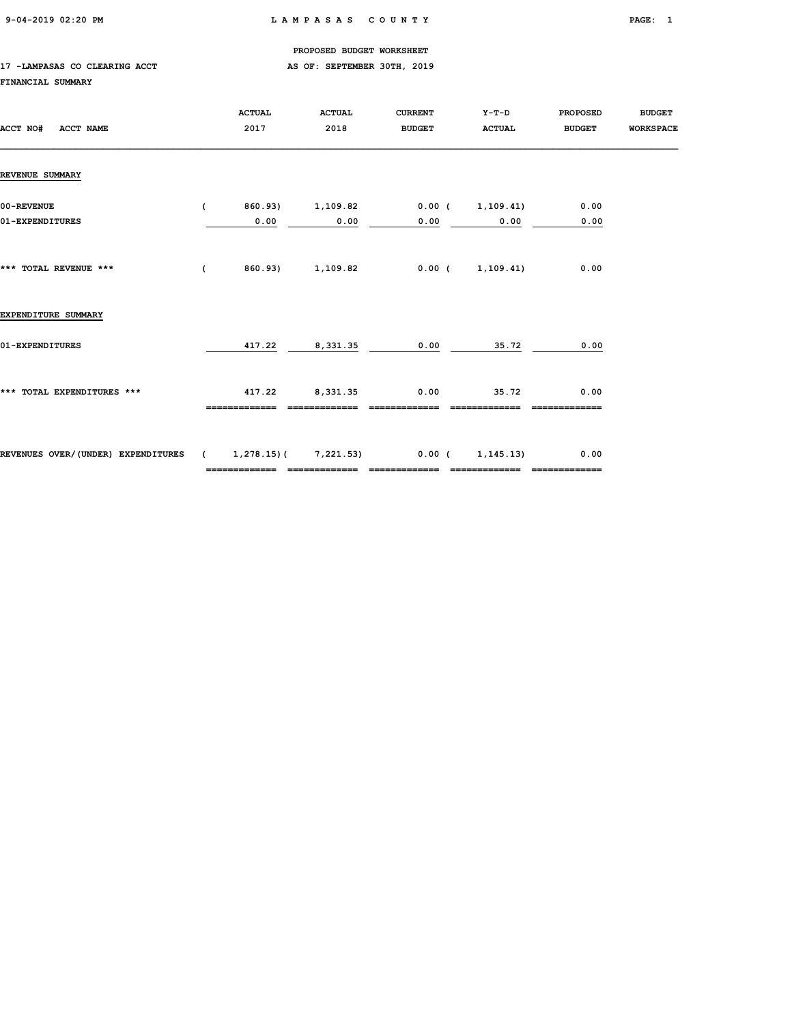### 17 -LAMPASAS CO CLEARING ACCT AS OF: SEPTEMBER 30TH, 2019

### FINANCIAL SUMMARY

| ACCT NO#<br><b>ACCT NAME</b>                            | <b>ACTUAL</b><br>2017 | <b>ACTUAL</b><br>2018    | <b>CURRENT</b><br><b>BUDGET</b> | $Y-T-D$<br><b>ACTUAL</b>        | <b>PROPOSED</b><br><b>BUDGET</b> | <b>BUDGET</b><br><b>WORKSPACE</b> |
|---------------------------------------------------------|-----------------------|--------------------------|---------------------------------|---------------------------------|----------------------------------|-----------------------------------|
| REVENUE SUMMARY                                         |                       |                          |                                 |                                 |                                  |                                   |
| 00-REVENUE<br>01-EXPENDITURES                           | $\sqrt{2}$<br>0.00    | 860.93) 1,109.82<br>0.00 | 0.00                            | $0.00$ ( $1,109.41$ )<br>0.00   | 0.00<br>0.00                     |                                   |
| *** TOTAL REVENUE ***                                   | $\sqrt{2}$            | 860.93) 1,109.82         |                                 | 0.00(1,109.41)                  | 0.00                             |                                   |
| EXPENDITURE SUMMARY                                     |                       |                          |                                 |                                 |                                  |                                   |
| 01-EXPENDITURES                                         | 417.22                | 8,331.35                 | 0.00                            | 35.72                           | 0.00                             |                                   |
| *** TOTAL EXPENDITURES ***                              | 417.22                | 8,331.35                 | 0.00                            | 35.72                           | 0.00                             |                                   |
| REVENUES OVER/(UNDER) EXPENDITURES (1,278.15)(7,221.53) | =============         | =============            | =============                   | 0.00(1,145.13)<br>============= | 0.00<br>-------------            |                                   |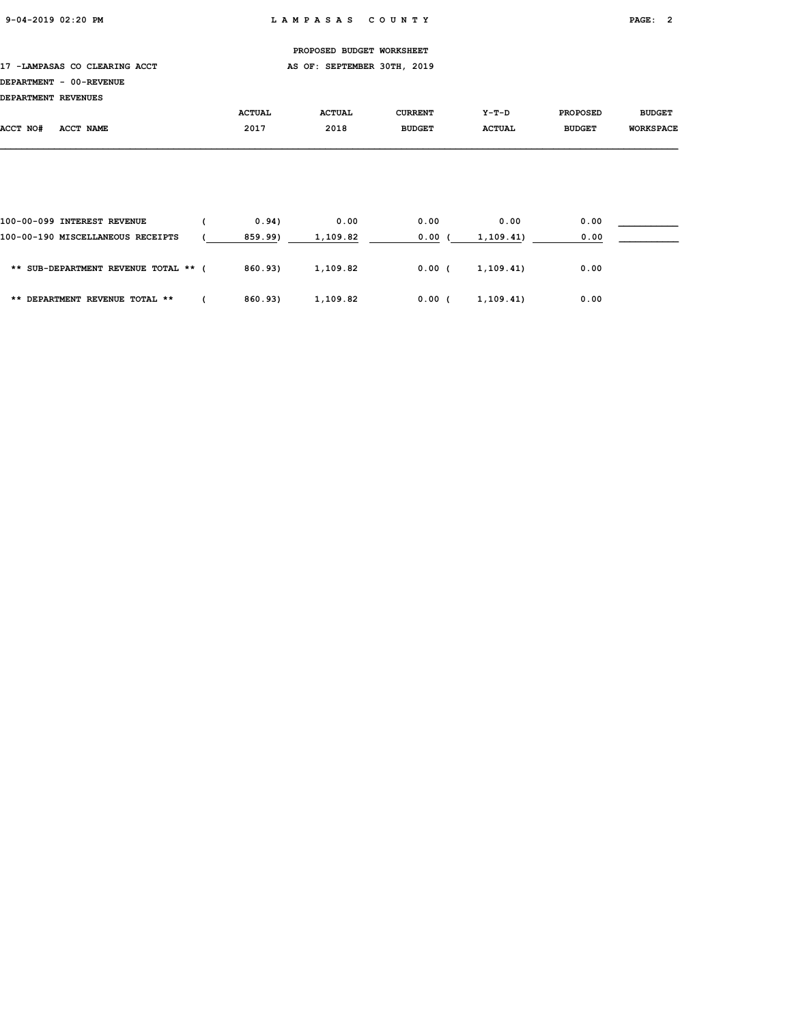17 -LAMPASAS CO CLEARING ACCT AS OF: SEPTEMBER 30TH, 2019

| DEPARTMENT REVENUES |                            |               |               |                |               |                 |                  |
|---------------------|----------------------------|---------------|---------------|----------------|---------------|-----------------|------------------|
|                     |                            | <b>ACTUAL</b> | <b>ACTUAL</b> | <b>CURRENT</b> | $Y-T-D$       | <b>PROPOSED</b> | <b>BUDGET</b>    |
| ACCT NO#            | <b>ACCT</b><br><b>NAME</b> | 2017          | 2018          | <b>BUDGET</b>  | <b>ACTUAL</b> | <b>BUDGET</b>   | <b>WORKSPACE</b> |

| 100-00-099 INTEREST REVENUE          | 0.94    | 0.00     | 0.00  | 0.00       | 0.00 |  |
|--------------------------------------|---------|----------|-------|------------|------|--|
| 100-00-190 MISCELLANEOUS RECEIPTS    | 859.99) | 1,109.82 | 0.00  | 1,109.41)  | 0.00 |  |
| ** SUB-DEPARTMENT REVENUE TOTAL ** ( | 860.93) | 1,109.82 | 0.00( | 1, 109, 41 | 0.00 |  |
| ** DEPARTMENT REVENUE TOTAL **       | 860.93) | 1,109.82 | 0.00  | 1,109.41)  | 0.00 |  |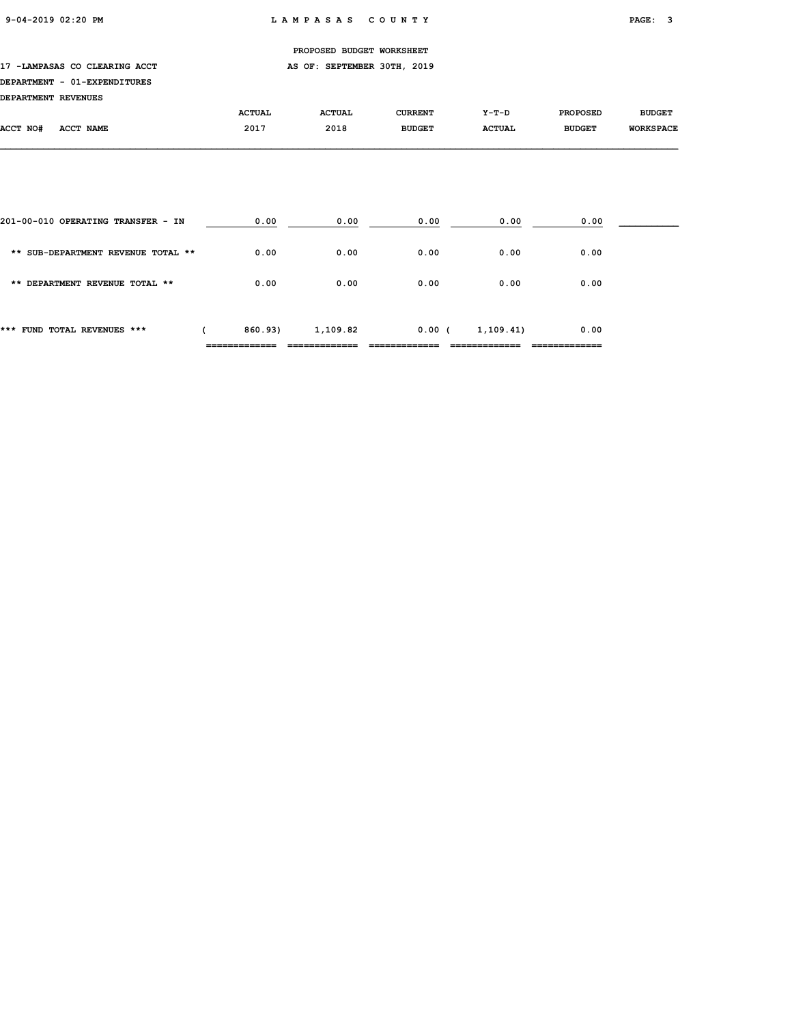### 17 -LAMPASAS CO CLEARING ACCT AS OF: SEPTEMBER 30TH, 2019

## DEPARTMENT - 01-EXPENDITURES

| <b>DEPARTMENT REVENUES</b> |           |               |               |                |               |                 |                  |
|----------------------------|-----------|---------------|---------------|----------------|---------------|-----------------|------------------|
|                            |           | <b>ACTUAL</b> | <b>ACTUAL</b> | <b>CURRENT</b> | Y-T-D         | <b>PROPOSED</b> | <b>BUDGET</b>    |
| ACCT NO#                   | ACCT NAME | 2017          | 2018          | <b>BUDGET</b>  | <b>ACTUAL</b> | <b>BUDGET</b>   | <b>WORKSPACE</b> |

| *** FUND TOTAL REVENUES ***        | 860.93) | 1,109.82 | 0.00 | 1,109.41) | 0.00 |  |
|------------------------------------|---------|----------|------|-----------|------|--|
| ** DEPARTMENT REVENUE TOTAL **     | 0.00    | 0.00     | 0.00 | 0.00      | 0.00 |  |
| ** SUB-DEPARTMENT REVENUE TOTAL ** | 0.00    | 0.00     | 0.00 | 0.00      | 0.00 |  |
| 201-00-010 OPERATING TRANSFER - IN | 0.00    | 0.00     | 0.00 | 0.00      | 0.00 |  |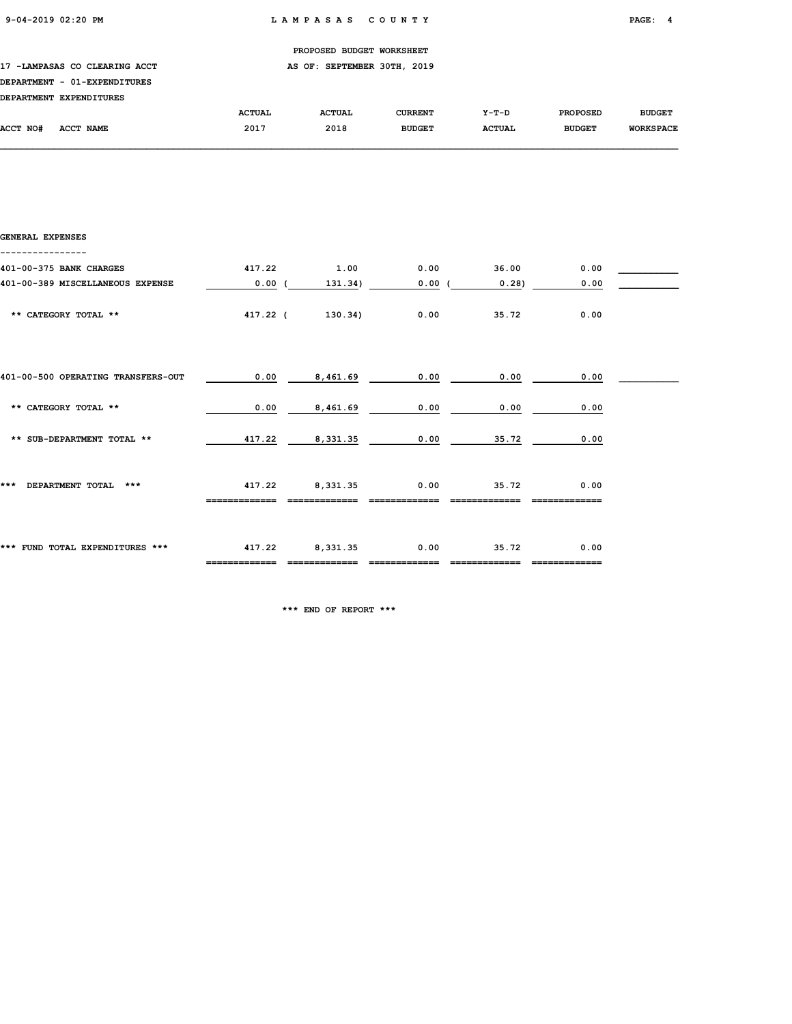17 -LAMPASAS CO CLEARING ACCT AS OF: SEPTEMBER 30TH, 2019

## DEPARTMENT - 01-EXPENDITURES

| <b>DEPARTMENT</b> | <b>EXPENDITURES</b> |               |               |                |               |                 |                  |
|-------------------|---------------------|---------------|---------------|----------------|---------------|-----------------|------------------|
|                   |                     | <b>ACTUAL</b> | <b>ACTUAL</b> | <b>CURRENT</b> | $Y-T-D$       | <b>PROPOSED</b> | <b>BUDGET</b>    |
| <b>ACCT NO#</b>   | ACCT NAME           | 2017          | 2018          | <b>BUDGET</b>  | <b>ACTUAL</b> | <b>BUDGET</b>   | <b>WORKSPACE</b> |

| <b>GENERAL EXPENSES</b>            |          |          |       |       |      |  |
|------------------------------------|----------|----------|-------|-------|------|--|
| 401-00-375 BANK CHARGES            | 417.22   | 1.00     | 0.00  | 36.00 | 0.00 |  |
| 401-00-389 MISCELLANEOUS EXPENSE   | 0.00(    | 131.34)  | 0.00( | 0.28) | 0.00 |  |
| ** CATEGORY TOTAL **               | 417.22 ( | 130.34)  | 0.00  | 35.72 | 0.00 |  |
| 401-00-500 OPERATING TRANSFERS-OUT | 0.00     | 8,461.69 | 0.00  | 0.00  | 0.00 |  |
| ** CATEGORY TOTAL **               | 0.00     | 8,461.69 | 0.00  | 0.00  | 0.00 |  |
| ** SUB-DEPARTMENT TOTAL **         | 417.22   | 8,331.35 | 0.00  | 35.72 | 0.00 |  |
| ***<br>DEPARTMENT TOTAL ***        | 417.22   | 8,331.35 | 0.00  | 35.72 | 0.00 |  |
| *** FUND TOTAL EXPENDITURES ***    | 417.22   | 8,331.35 | 0.00  | 35.72 | 0.00 |  |

\*\*\* END OF REPORT \*\*\*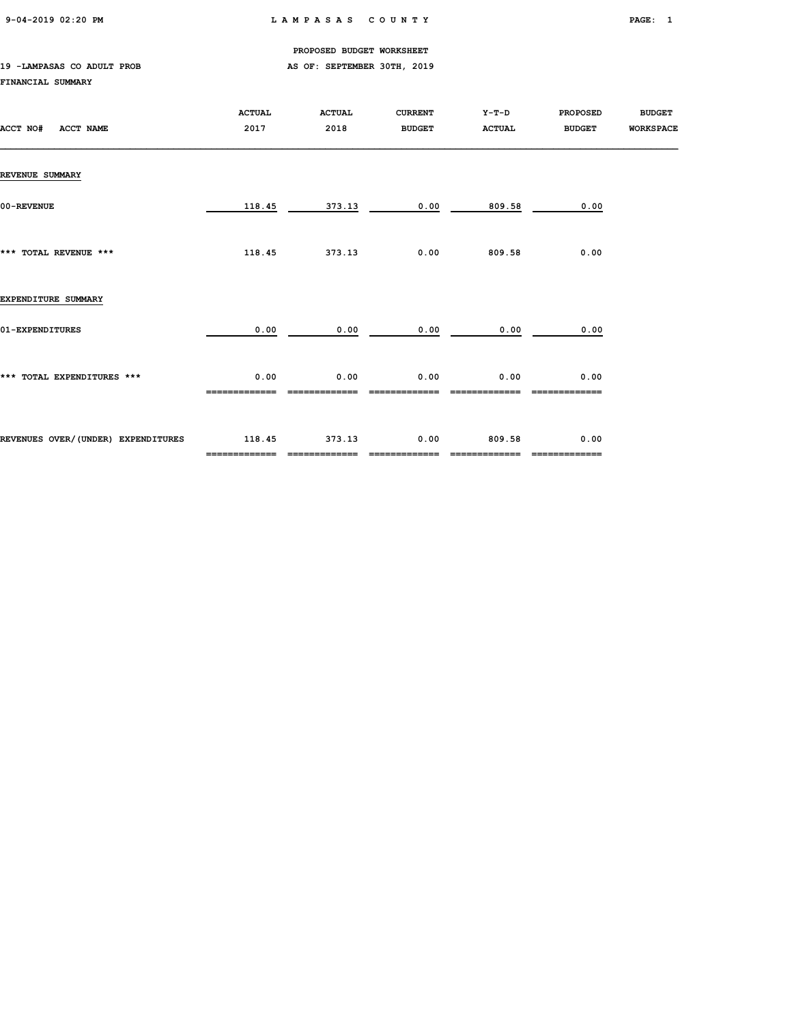9-04-2019 02:20 PM L A M P A S A S C O U N T Y PAGE: 1

PROPOSED BUDGET WORKSHEET

### 19 -LAMPASAS CO ADULT PROB **AS OF: SEPTEMBER 30TH, 2019** FINANCIAL SUMMARY

| ACCT NO#<br><b>ACCT NAME</b>       | <b>ACTUAL</b><br>2017   | <b>ACTUAL</b><br>2018   | <b>CURRENT</b><br><b>BUDGET</b> | $Y-T-D$<br><b>ACTUAL</b> | <b>PROPOSED</b><br><b>BUDGET</b> | <b>BUDGET</b><br><b>WORKSPACE</b> |
|------------------------------------|-------------------------|-------------------------|---------------------------------|--------------------------|----------------------------------|-----------------------------------|
| <b>REVENUE SUMMARY</b>             |                         |                         |                                 |                          |                                  |                                   |
| 00-REVENUE                         | 118.45                  | 373.13                  | 0.00                            | 809.58                   | 0.00                             |                                   |
| *** TOTAL REVENUE ***              | 118.45                  | 373.13                  | 0.00                            | 809.58                   | 0.00                             |                                   |
| EXPENDITURE SUMMARY                |                         |                         |                                 |                          |                                  |                                   |
| 01-EXPENDITURES                    | 0.00                    | 0.00                    | 0.00                            | 0.00                     | 0.00                             |                                   |
| *** TOTAL EXPENDITURES ***         | 0.00                    | 0.00                    | 0.00                            | 0.00                     | 0.00                             |                                   |
| REVENUES OVER/(UNDER) EXPENDITURES | 118.45<br>============= | 373.13<br>============= | 0.00<br>=============           | 809.58                   | 0.00<br>=============            |                                   |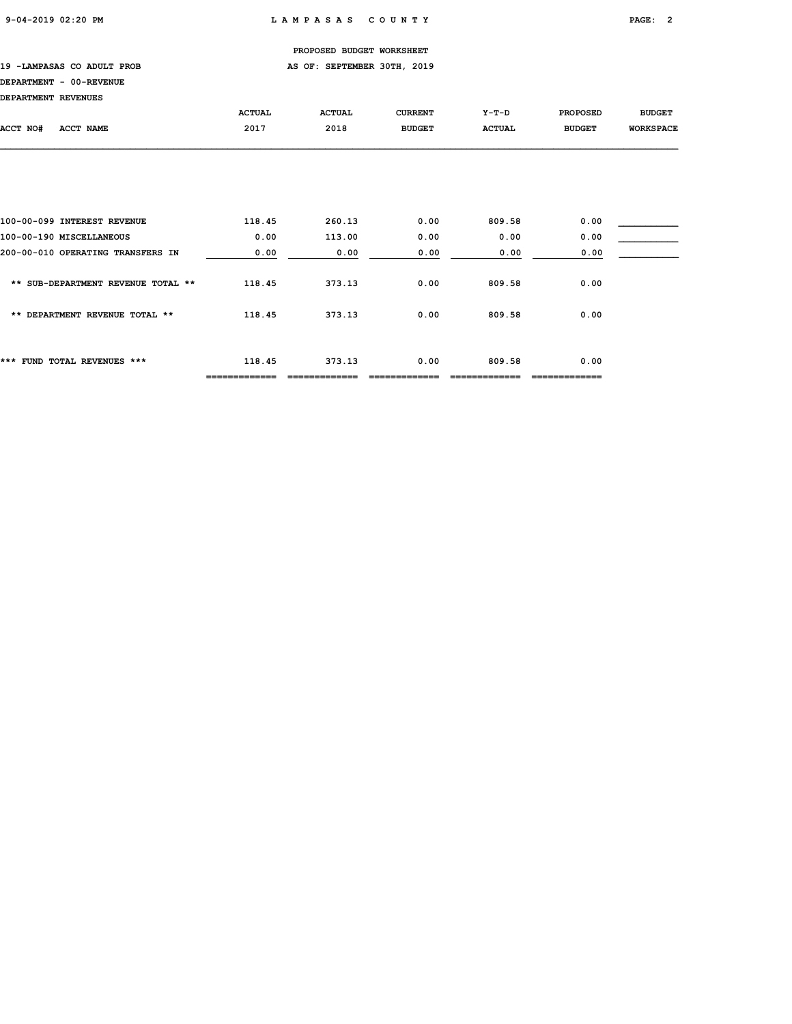19 -LAMPASAS CO ADULT PROB **AS OF: SEPTEMBER 30TH, 2019** 

### DEPARTMENT - 00-REVENUE

DEPARTMENT REVENUES

| DEPARIMENT REVENUES                |                         |               |                |               |                       |                  |
|------------------------------------|-------------------------|---------------|----------------|---------------|-----------------------|------------------|
|                                    | <b>ACTUAL</b>           | <b>ACTUAL</b> | <b>CURRENT</b> | $Y-T-D$       | <b>PROPOSED</b>       | <b>BUDGET</b>    |
| ACCT NO#<br><b>ACCT NAME</b>       | 2017                    | 2018          | <b>BUDGET</b>  | <b>ACTUAL</b> | <b>BUDGET</b>         | <b>WORKSPACE</b> |
|                                    |                         |               |                |               |                       |                  |
|                                    |                         |               |                |               |                       |                  |
|                                    |                         |               |                |               |                       |                  |
| 100-00-099 INTEREST REVENUE        | 118.45                  | 260.13        | 0.00           | 809.58        | 0.00                  |                  |
| 100-00-190 MISCELLANEOUS           | 0.00                    | 113.00        | 0.00           | 0.00          | 0.00                  |                  |
| 200-00-010 OPERATING TRANSFERS IN  | 0.00                    | 0.00          | 0.00           | 0.00          | 0.00                  |                  |
| ** SUB-DEPARTMENT REVENUE TOTAL ** | 118.45                  | 373.13        | 0.00           | 809.58        | 0.00                  |                  |
| ** DEPARTMENT REVENUE TOTAL **     | 118.45                  | 373.13        | 0.00           | 809.58        | 0.00                  |                  |
|                                    |                         |               |                |               |                       |                  |
| *** FUND TOTAL REVENUES ***        | 118.45<br>============= | 373.13        | 0.00           | 809.58        | 0.00<br>============= |                  |
|                                    |                         |               |                |               |                       |                  |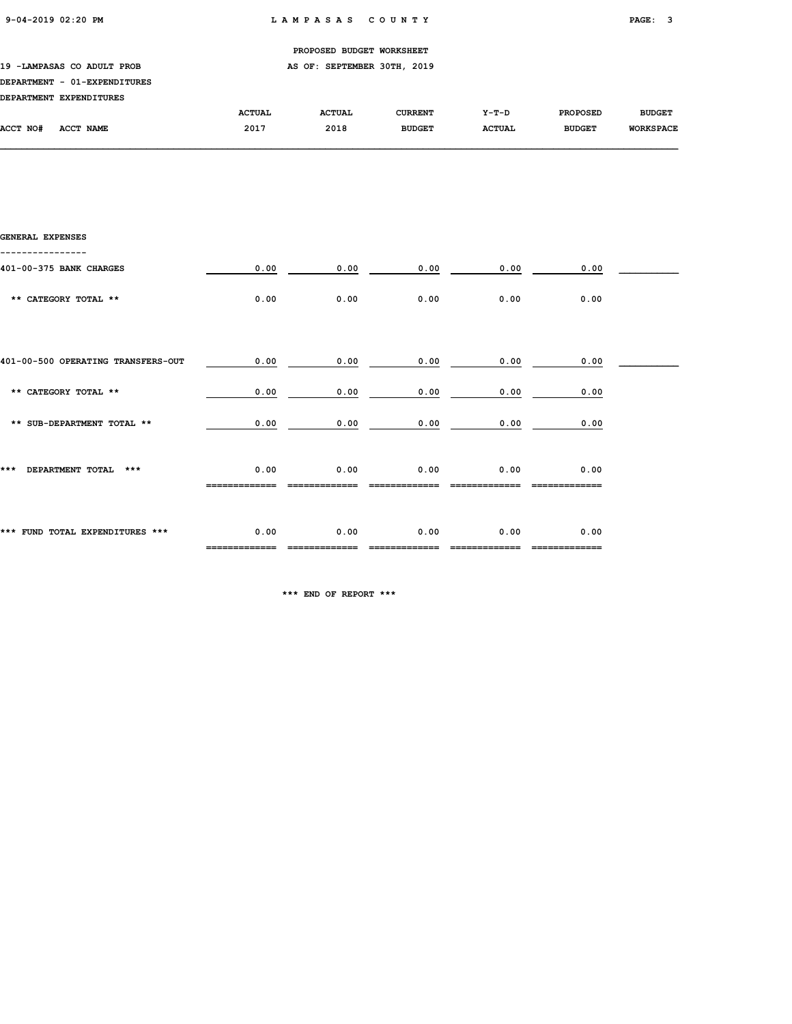19 -LAMPASAS CO ADULT PROB **AS OF: SEPTEMBER 30TH, 2019** 

### DEPARTMENT - 01-EXPENDITURES

|          | DEPARTMENT EXPENDITURES |               |               |                |               |                 |                  |
|----------|-------------------------|---------------|---------------|----------------|---------------|-----------------|------------------|
|          |                         | <b>ACTUAL</b> | <b>ACTUAL</b> | <b>CURRENT</b> | $Y-T-D$       | <b>PROPOSED</b> | <b>BUDGET</b>    |
| ACCT NO# | ACCT NAME               | 2017          | 2018          | <b>BUDGET</b>  | <b>ACTUAL</b> | <b>BUDGET</b>   | <b>WORKSPACE</b> |

| GENERAL EXPENSES                   |                       |      |      |      |                        |  |
|------------------------------------|-----------------------|------|------|------|------------------------|--|
| 401-00-375 BANK CHARGES            | 0.00                  | 0.00 | 0.00 | 0.00 | 0.00                   |  |
| ** CATEGORY TOTAL **               | 0.00                  | 0.00 | 0.00 | 0.00 | 0.00                   |  |
| 401-00-500 OPERATING TRANSFERS-OUT | 0.00                  | 0.00 | 0.00 | 0.00 | 0.00                   |  |
| ** CATEGORY TOTAL **               | 0.00                  | 0.00 | 0.00 | 0.00 | 0.00                   |  |
| ** SUB-DEPARTMENT TOTAL **         | 0.00                  | 0.00 | 0.00 | 0.00 | 0.00                   |  |
| ***<br>DEPARTMENT TOTAL ***        | 0.00                  | 0.00 | 0.00 | 0.00 | 0.00                   |  |
| *** FUND TOTAL EXPENDITURES ***    | 0.00<br>------------- | 0.00 | 0.00 | 0.00 | 0.00<br>============== |  |

\*\*\* END OF REPORT \*\*\*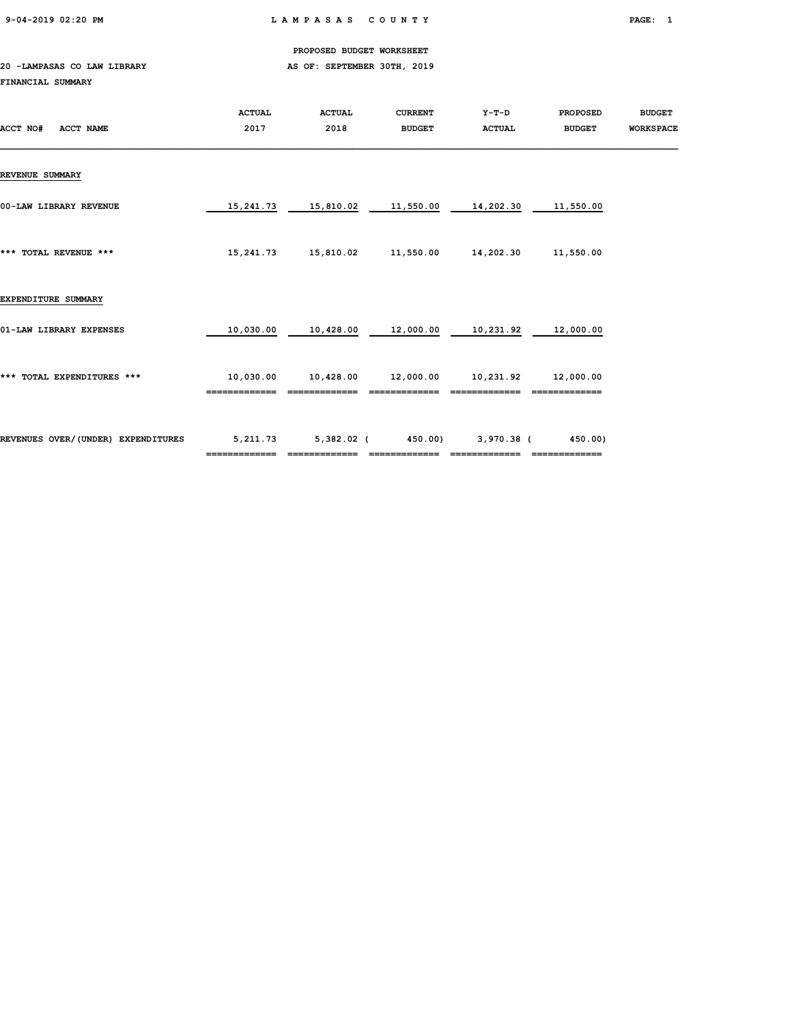9-04-2019 02:20 PM L A M P A S A S C O U N T Y PAGE: 1

PROPOSED BUDGET WORKSHEET

### 20 -LAMPASAS CO LAW LIBRARY **AS OF: SEPTEMBER 30TH, 2019** FINANCIAL SUMMARY

| ACCT NO#<br><b>ACCT NAME</b>       | <b>ACTUAL</b><br>2017 | <b>ACTUAL</b><br>2018 | <b>CURRENT</b><br><b>BUDGET</b> | $Y-T-D$<br><b>ACTUAL</b> | <b>PROPOSED</b><br><b>BUDGET</b> | <b>BUDGET</b><br><b>WORKSPACE</b> |
|------------------------------------|-----------------------|-----------------------|---------------------------------|--------------------------|----------------------------------|-----------------------------------|
| <b>REVENUE SUMMARY</b>             |                       |                       |                                 |                          |                                  |                                   |
| 00-LAW LIBRARY REVENUE             | 15,241.73             | 15,810.02             | 11,550.00                       | 14,202.30                | 11,550.00                        |                                   |
| *** TOTAL REVENUE ***              | 15,241.73             | 15,810.02             | 11,550.00                       | 14,202.30                | 11,550.00                        |                                   |
| EXPENDITURE SUMMARY                |                       |                       |                                 |                          |                                  |                                   |
| 01-LAW LIBRARY EXPENSES            | 10,030.00             | 10,428.00             | 12,000.00                       | 10,231.92                | 12,000.00                        |                                   |
| *** TOTAL EXPENDITURES ***         | 10,030.00             | 10,428.00             | 12,000.00                       | 10,231.92                | 12,000.00                        |                                   |
| REVENUES OVER/(UNDER) EXPENDITURES | 5,211.73              | $5,382.02$ (          | 450.00)                         | $3,970.38$ (             | 450.00)                          |                                   |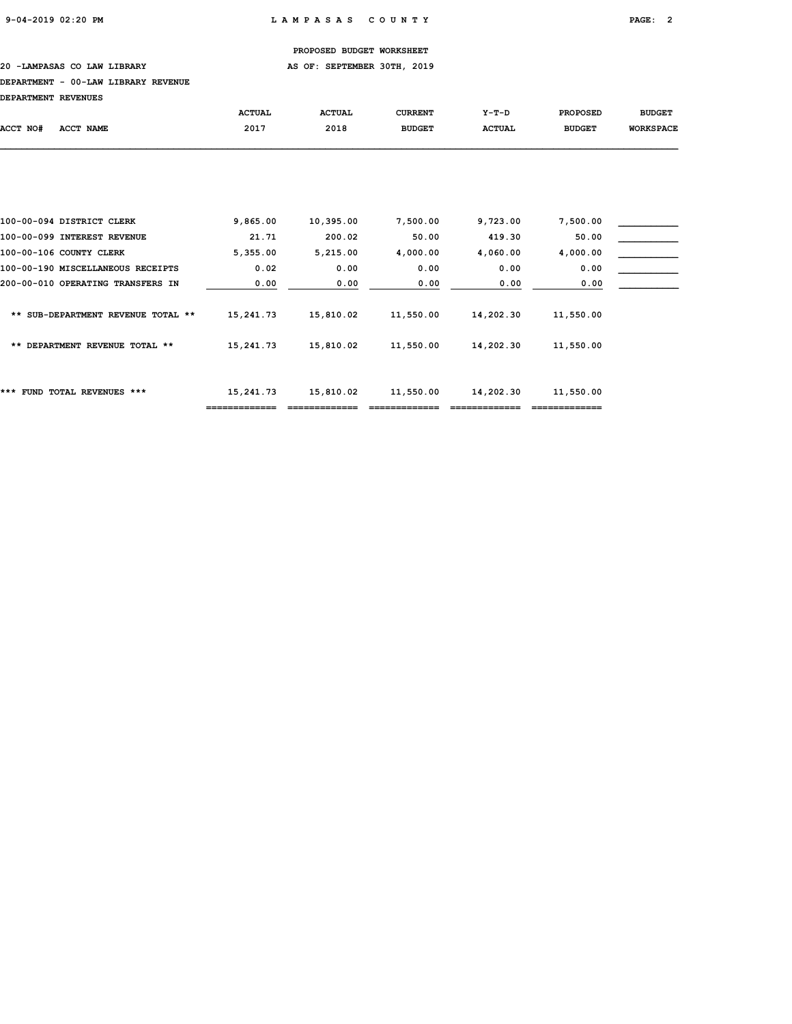20 -LAMPASAS CO LAW LIBRARY **AS OF: SEPTEMBER 30TH, 2019** 

### DEPARTMENT - 00-LAW LIBRARY REVENUE

| DEPARTMENT REVENUES |                                    |               |               |                |               |                 |                  |
|---------------------|------------------------------------|---------------|---------------|----------------|---------------|-----------------|------------------|
|                     |                                    | <b>ACTUAL</b> | <b>ACTUAL</b> | <b>CURRENT</b> | $Y-T-D$       | <b>PROPOSED</b> | <b>BUDGET</b>    |
| ACCT NO#            | ACCT NAME                          | 2017          | 2018          | <b>BUDGET</b>  | <b>ACTUAL</b> | <b>BUDGET</b>   | <b>WORKSPACE</b> |
|                     |                                    |               |               |                |               |                 |                  |
|                     | 100-00-094 DISTRICT CLERK          | 9,865.00      | 10,395.00     | 7,500.00       | 9,723.00      | 7,500.00        |                  |
|                     | 100-00-099 INTEREST REVENUE        | 21.71         | 200.02        | 50.00          | 419.30        | 50.00           |                  |
|                     | 100-00-106 COUNTY CLERK            | 5,355.00      | 5,215.00      | 4,000.00       | 4,060.00      | 4,000.00        |                  |
|                     | 100-00-190 MISCELLANEOUS RECEIPTS  | 0.02          | 0.00          | 0.00           | 0.00          | 0.00            |                  |
|                     | 200-00-010 OPERATING TRANSFERS IN  | 0.00          | 0.00          | 0.00           | 0.00          | 0.00            |                  |
|                     | ** SUB-DEPARTMENT REVENUE TOTAL ** | 15,241.73     | 15,810.02     | 11,550.00      | 14,202.30     | 11,550.00       |                  |
|                     | ** DEPARTMENT REVENUE TOTAL **     | 15,241.73     | 15,810.02     | 11,550.00      | 14,202.30     | 11,550.00       |                  |
|                     | *** FUND TOTAL REVENUES ***        | 15,241.73     | 15,810.02     | 11,550.00      | 14,202.30     | 11,550.00       |                  |

============= ============= ============= ============= =============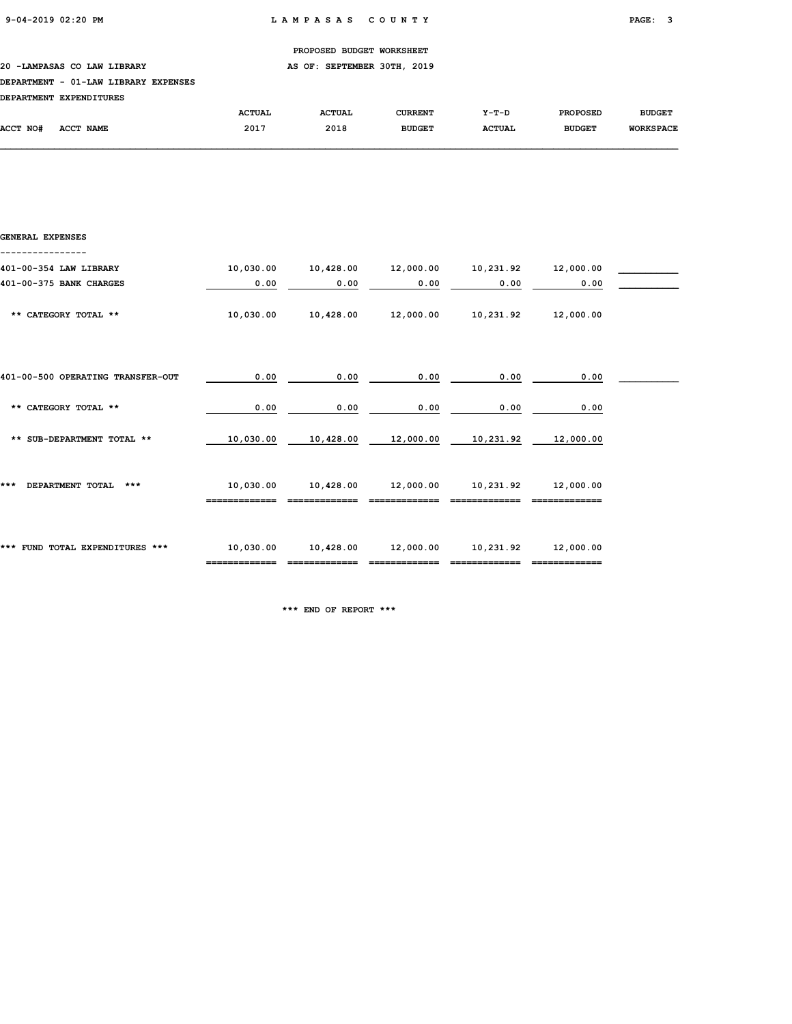### 20 -LAMPASAS CO LAW LIBRARY **AS OF: SEPTEMBER 30TH, 2019**

### DEPARTMENT - 01-LAW LIBRARY EXPENSES

|          | DEPARTMENT EXPENDITURES |               |               |                |               |                 |                  |
|----------|-------------------------|---------------|---------------|----------------|---------------|-----------------|------------------|
|          |                         | <b>ACTUAL</b> | <b>ACTUAL</b> | <b>CURRENT</b> | Y-T-D         | <b>PROPOSED</b> | <b>BUDGET</b>    |
| ACCT NO# | <b>ACCT NAME</b>        | 2017          | 2018          | <b>BUDGET</b>  | <b>ACTUAL</b> | <b>BUDGET</b>   | <b>WORKSPACE</b> |

| GENERAL EXPENSES                  |           |           |                                 |                     |           |  |
|-----------------------------------|-----------|-----------|---------------------------------|---------------------|-----------|--|
| 401-00-354 LAW LIBRARY            | 10,030.00 | 10,428.00 | 12,000.00                       | 10,231.92 12,000.00 |           |  |
| 401-00-375 BANK CHARGES           | 0.00      | 0.00      | 0.00                            | 0.00                | 0.00      |  |
| ** CATEGORY TOTAL **              | 10,030.00 | 10,428.00 | 12,000.00                       | 10,231.92           | 12,000.00 |  |
| 401-00-500 OPERATING TRANSFER-OUT | 0.00      | 0.00      | 0.00                            | 0.00                | 0.00      |  |
| ** CATEGORY TOTAL **              | 0.00      | 0.00      | 0.00                            | 0.00                | 0.00      |  |
| ** SUB-DEPARTMENT TOTAL **        | 10,030.00 | 10,428.00 | 12,000.00                       | 10,231.92           | 12,000.00 |  |
| DEPARTMENT TOTAL ***<br>***       | 10,030.00 |           | 10,428.00  12,000.00  10,231.92 |                     | 12,000.00 |  |
| *** FUND TOTAL EXPENDITURES ***   | 10,030.00 |           | 10,428.00 12,000.00             | 10,231.92           | 12,000.00 |  |

\*\*\* END OF REPORT \*\*\*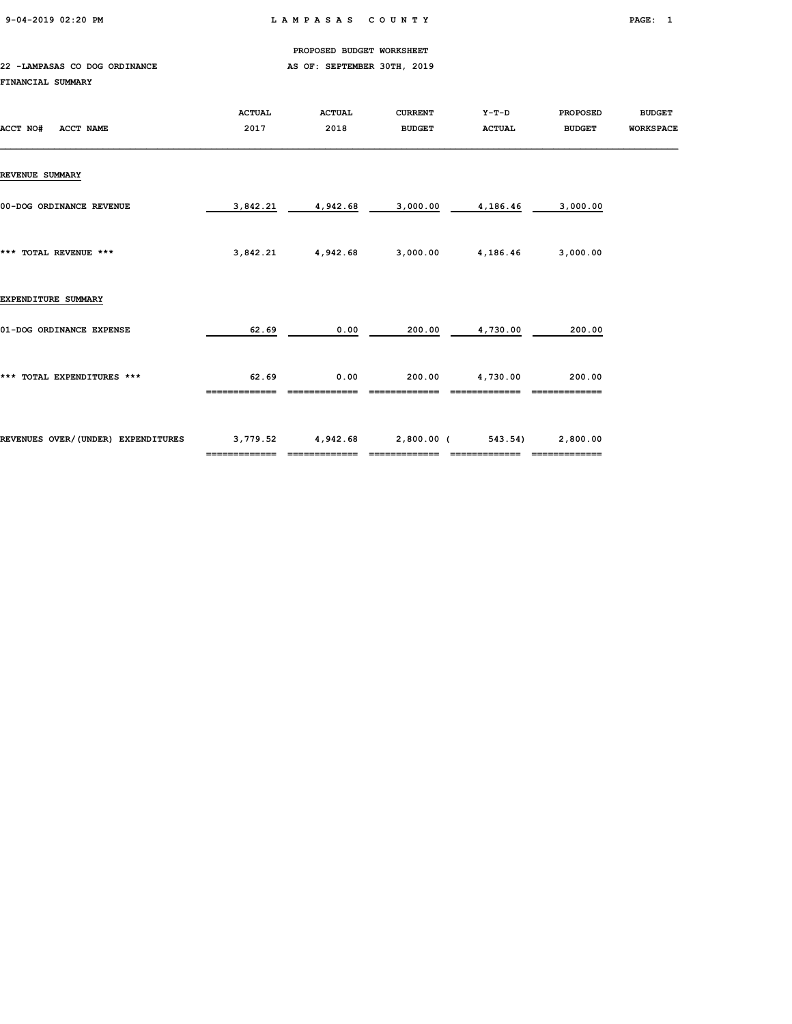9-04-2019 02:20 PM L A M P A S A S C O U N T Y PAGE: 1

PROPOSED BUDGET WORKSHEET

### 22 -LAMPASAS CO DOG ORDINANCE AS OF: SEPTEMBER 30TH, 2019 FINANCIAL SUMMARY

| ACCT NO#<br><b>ACCT NAME</b>       | <b>ACTUAL</b><br>2017 | <b>ACTUAL</b><br>2018 | <b>CURRENT</b><br><b>BUDGET</b> | Y-T-D<br><b>ACTUAL</b> | <b>PROPOSED</b><br><b>BUDGET</b> | <b>BUDGET</b><br><b>WORKSPACE</b> |
|------------------------------------|-----------------------|-----------------------|---------------------------------|------------------------|----------------------------------|-----------------------------------|
| <b>REVENUE SUMMARY</b>             |                       |                       |                                 |                        |                                  |                                   |
| 00-DOG ORDINANCE REVENUE           | 3,842.21              | 4,942.68              | 3,000.00                        | 4,186.46               | 3,000.00                         |                                   |
| *** TOTAL REVENUE ***              | 3,842.21              | 4,942.68              | 3,000.00                        | 4,186.46               | 3,000.00                         |                                   |
| EXPENDITURE SUMMARY                |                       |                       |                                 |                        |                                  |                                   |
| 01-DOG ORDINANCE EXPENSE           | 62.69                 | 0.00                  | 200.00                          | 4,730.00               | 200.00                           |                                   |
| *** TOTAL EXPENDITURES ***         | 62.69                 | 0.00                  | 200.00                          | 4,730.00               | 200.00                           |                                   |
| REVENUES OVER/(UNDER) EXPENDITURES | 3,779.52              | 4,942.68              | 2,800.00 (<br>==========        | 543.54)                | 2,800.00                         |                                   |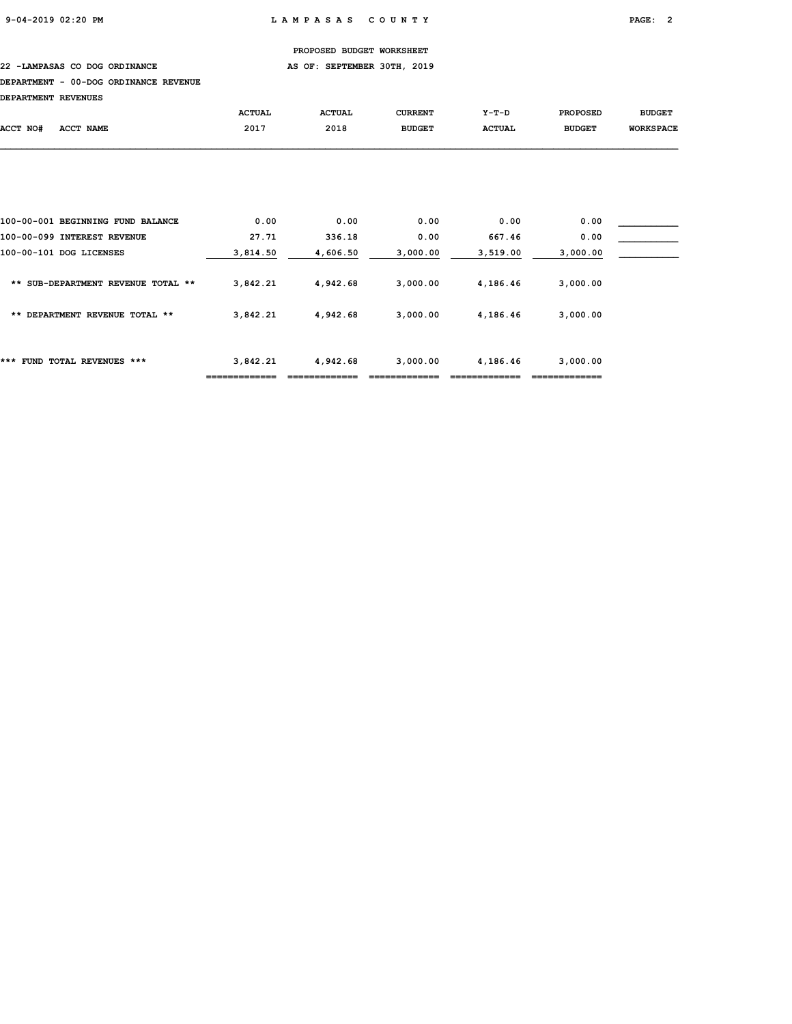22 -LAMPASAS CO DOG ORDINANCE AS OF: SEPTEMBER 30TH, 2019

## DEPARTMENT - 00-DOG ORDINANCE REVENUE

| DEDADTMENT DEWENTIES |  |
|----------------------|--|

| DEPARTMENT REVENUES |                                    |               |               |                |               |                 |                  |
|---------------------|------------------------------------|---------------|---------------|----------------|---------------|-----------------|------------------|
|                     |                                    | <b>ACTUAL</b> | <b>ACTUAL</b> | <b>CURRENT</b> | $Y-T-D$       | <b>PROPOSED</b> | <b>BUDGET</b>    |
| ACCT NO#            | ACCT NAME                          | 2017          | 2018          | <b>BUDGET</b>  | <b>ACTUAL</b> | <b>BUDGET</b>   | <b>WORKSPACE</b> |
|                     |                                    |               |               |                |               |                 |                  |
|                     |                                    |               |               |                |               |                 |                  |
|                     |                                    |               |               |                |               |                 |                  |
|                     | 100-00-001 BEGINNING FUND BALANCE  | 0.00          | 0.00          | 0.00           | 0.00          | 0.00            |                  |
|                     | 100-00-099 INTEREST REVENUE        | 27.71         | 336.18        | 0.00           | 667.46        | 0.00            |                  |
|                     | 100-00-101 DOG LICENSES            | 3,814.50      | 4,606.50      | 3,000.00       | 3,519.00      | 3,000.00        |                  |
|                     | ** SUB-DEPARTMENT REVENUE TOTAL ** | 3,842.21      | 4,942.68      | 3,000.00       | 4,186.46      | 3,000.00        |                  |
|                     | ** DEPARTMENT REVENUE TOTAL **     | 3,842.21      | 4,942.68      | 3,000.00       | 4,186.46      | 3,000.00        |                  |
|                     | *** FUND TOTAL REVENUES ***        | 3,842.21      | 4,942.68      | 3,000.00       | 4,186.46      | 3,000.00        |                  |

============= ============= ============= ============= =============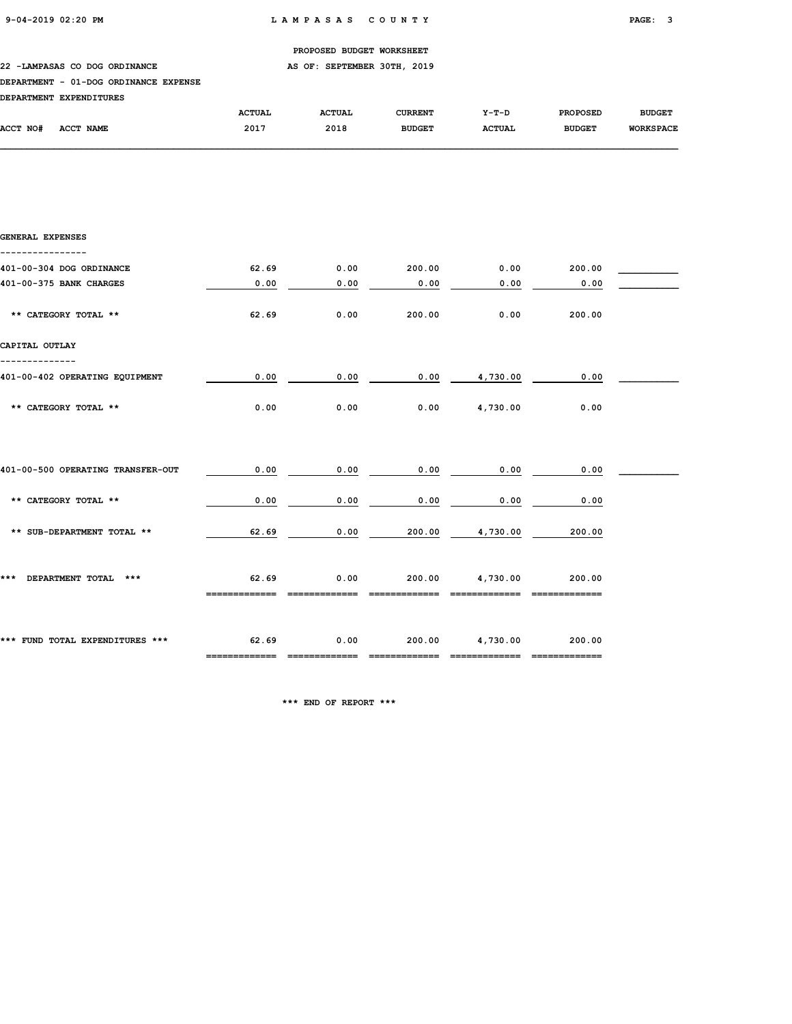22 -LAMPASAS CO DOG ORDINANCE AS OF: SEPTEMBER 30TH, 2019

## DEPARTMENT - 01-DOG ORDINANCE EXPENSE

|          | DEPARTMENT EXPENDITURES |               |               |                |               |                 |                  |
|----------|-------------------------|---------------|---------------|----------------|---------------|-----------------|------------------|
|          |                         | <b>ACTUAL</b> | <b>ACTUAL</b> | <b>CURRENT</b> | $Y-T-D$       | <b>PROPOSED</b> | <b>BUDGET</b>    |
| ACCT NO# | ACCT NAME               | 2017          | 2018          | <b>BUDGET</b>  | <b>ACTUAL</b> | <b>BUDGET</b>   | <b>WORKSPACE</b> |

| GENERAL EXPENSES                  |                                |      |               |               |               |  |
|-----------------------------------|--------------------------------|------|---------------|---------------|---------------|--|
| 401-00-304 DOG ORDINANCE          | 62.69                          | 0.00 | 200.00        | 0.00          | 200.00        |  |
| 401-00-375 BANK CHARGES           | 0.00                           | 0.00 | 0.00          | 0.00          | 0.00          |  |
| ** CATEGORY TOTAL **              | 62.69                          | 0.00 | 200.00        | 0.00          | 200.00        |  |
| CAPITAL OUTLAY                    |                                |      |               |               |               |  |
| 401-00-402 OPERATING EQUIPMENT    | 0.00                           | 0.00 | 0.00          | 4,730.00      | 0.00          |  |
| ** CATEGORY TOTAL **              | 0.00                           | 0.00 | 0.00          | 4,730.00      | 0.00          |  |
|                                   |                                |      |               |               |               |  |
| 401-00-500 OPERATING TRANSFER-OUT | 0.00                           | 0.00 | 0.00          | 0.00          | 0.00          |  |
| ** CATEGORY TOTAL **              | 0.00                           | 0.00 | 0.00          | 0.00          | 0.00          |  |
| ** SUB-DEPARTMENT TOTAL **        | 62.69                          | 0.00 | 200.00        | 4,730.00      | 200.00        |  |
| *** DEPARTMENT TOTAL ***          | 62.69                          | 0.00 | 200.00        | 4,730.00      | 200.00        |  |
|                                   |                                |      |               |               |               |  |
| *** FUND TOTAL EXPENDITURES ***   | 62.69                          | 0.00 | 200.00        | 4,730.00      | 200.00        |  |
|                                   | ============================== |      | ============= | ------------- | ------------- |  |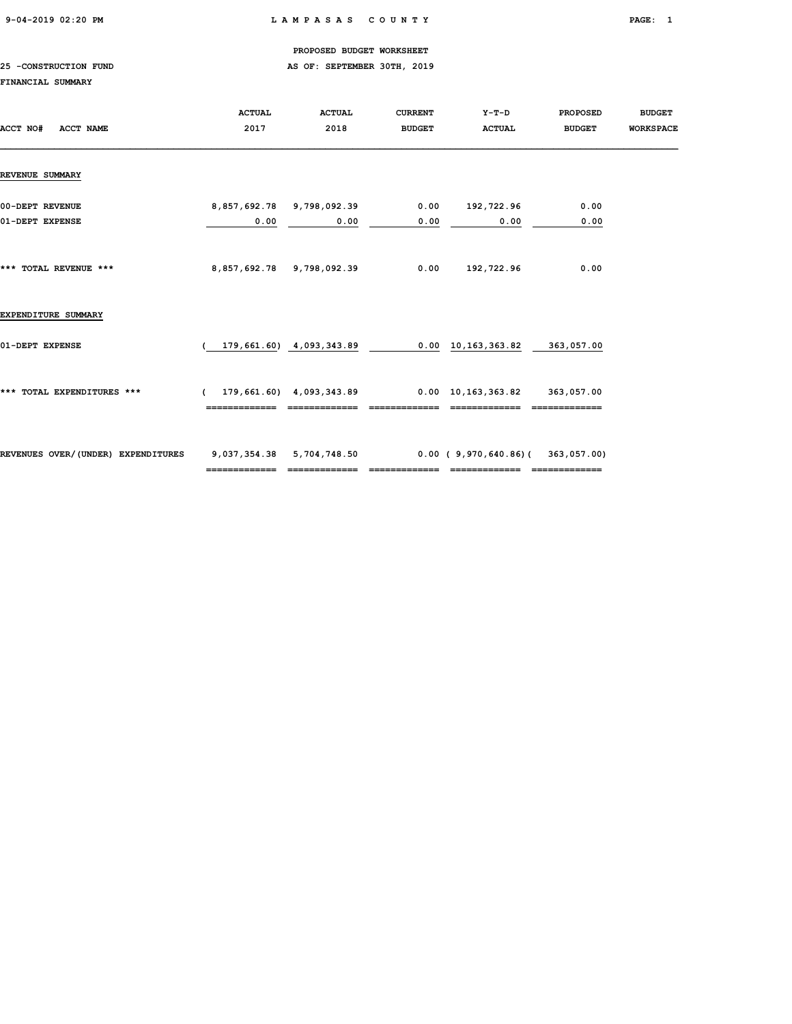## 9-04-2019 02:20 PM L A M P A S A S C O U N T Y PAGE: 1

## PROPOSED BUDGET WORKSHEET

## 25 -CONSTRUCTION FUND **AS OF: SEPTEMBER 30TH, 2019**

## FINANCIAL SUMMARY

| ACCT NO#<br><b>ACCT NAME</b>       | <b>ACTUAL</b><br>2017                      | <b>ACTUAL</b><br>2018             | <b>CURRENT</b><br><b>BUDGET</b> | Y-T-D<br><b>ACTUAL</b>                                     | <b>PROPOSED</b><br><b>BUDGET</b> | <b>BUDGET</b><br><b>WORKSPACE</b> |
|------------------------------------|--------------------------------------------|-----------------------------------|---------------------------------|------------------------------------------------------------|----------------------------------|-----------------------------------|
| <b>REVENUE SUMMARY</b>             |                                            |                                   |                                 |                                                            |                                  |                                   |
| 00-DEPT REVENUE<br>01-DEPT EXPENSE | 0.00                                       | 8,857,692.78 9,798,092.39<br>0.00 | 0.00                            | $0.00$ 192,722.96<br>0.00                                  | 0.00<br>0.00                     |                                   |
| *** TOTAL REVENUE ***              |                                            | 8,857,692.78 9,798,092.39         | 0.00                            | 192,722.96                                                 | 0.00                             |                                   |
| EXPENDITURE SUMMARY                |                                            |                                   |                                 |                                                            |                                  |                                   |
| 01-DEPT EXPENSE                    |                                            | 179,661.60) 4,093,343.89          |                                 | $0.00 \quad 10,163,363.82 \quad 363,057.00$                |                                  |                                   |
| *** TOTAL EXPENDITURES ***         |                                            |                                   |                                 | $(179, 661.60)$ 4,093,343.89 0.00 10,163,363.82 363,057.00 |                                  |                                   |
| REVENUES OVER/(UNDER) EXPENDITURES | 9,037,354.38 5,704,748.50<br>============= | =============                     |                                 | $0.00$ (9,970,640.86)(363,057.00)<br>=============         | -------------                    |                                   |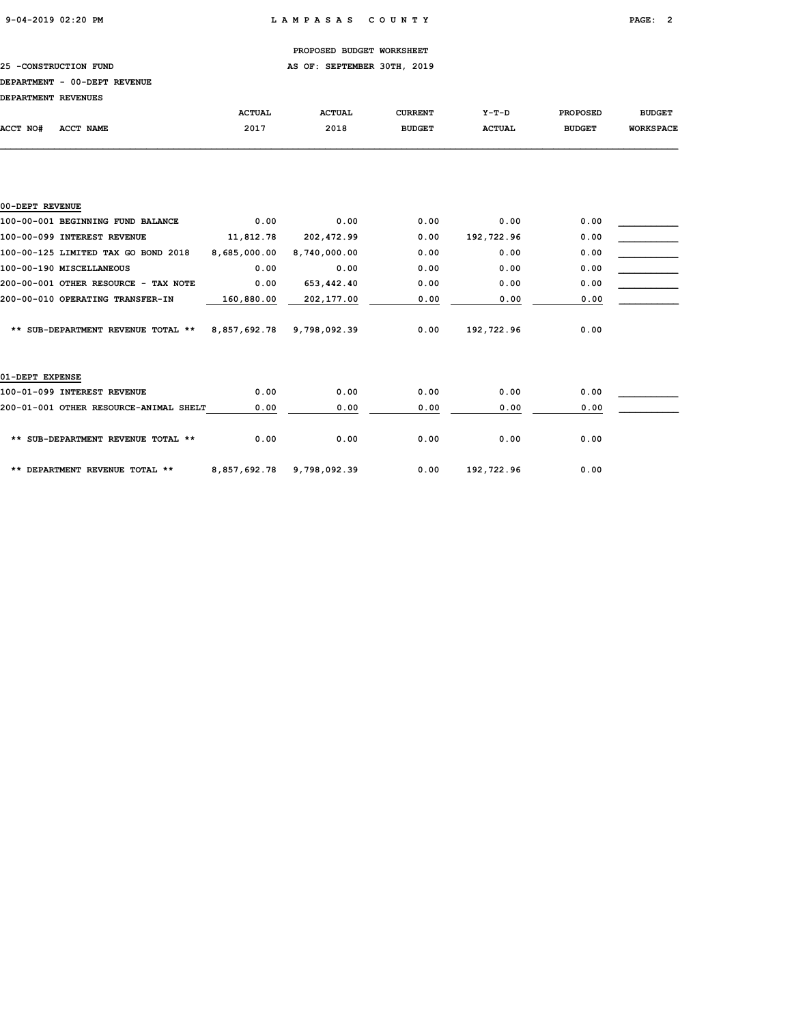## 25 -CONSTRUCTION FUND **AS OF: SEPTEMBER 30TH, 2019**

#### DEPARTMENT - 00-DEPT REVENUE

| DEPARTMENT REVENUES |                                   |               |               |                |               |                 |                  |
|---------------------|-----------------------------------|---------------|---------------|----------------|---------------|-----------------|------------------|
|                     |                                   | <b>ACTUAL</b> | <b>ACTUAL</b> | <b>CURRENT</b> | $Y-T-D$       | <b>PROPOSED</b> | <b>BUDGET</b>    |
| ACCT NO#            | ACCT NAME                         | 2017          | 2018          | <b>BUDGET</b>  | <b>ACTUAL</b> | <b>BUDGET</b>   | <b>WORKSPACE</b> |
|                     |                                   |               |               |                |               |                 |                  |
|                     |                                   |               |               |                |               |                 |                  |
|                     |                                   |               |               |                |               |                 |                  |
|                     |                                   |               |               |                |               |                 |                  |
| 00-DEPT REVENUE     |                                   |               |               |                |               |                 |                  |
|                     | 100-00-001 BEGINNING FUND BALANCE | 0.00          | 0.00          | 0.00           | 0.00          | 0.00            |                  |

| 100-00-099 INTEREST REVENUE          | 11,812.78    | 202,472.99   | 0.00 | 192,722.96 | 0.00 |  |
|--------------------------------------|--------------|--------------|------|------------|------|--|
| 100-00-125 LIMITED TAX GO BOND 2018  | 8,685,000.00 | 8,740,000.00 | 0.00 | 0.00       | 0.00 |  |
| 100-00-190 MISCELLANEOUS             | 0.00         | 0.00         | 0.00 | 0.00       | 0.00 |  |
| 200-00-001 OTHER RESOURCE - TAX NOTE | 0.00         | 653,442.40   | 0.00 | 0.00       | 0.00 |  |
| 200-00-010 OPERATING TRANSFER-IN     | 160,880.00   | 202,177.00   | 0.00 | 0.00       | 0.00 |  |
| ** SUB-DEPARTMENT REVENUE TOTAL **   | 8,857,692.78 | 9,798,092.39 | 0.00 | 192,722.96 | 0.00 |  |
|                                      |              |              |      |            |      |  |

| 01-DEPT EXPENSE                        |              |              |      |            |      |  |
|----------------------------------------|--------------|--------------|------|------------|------|--|
| 100-01-099 INTEREST REVENUE            | 0.00         | 0.00         | 0.00 | 0.00       | 0.00 |  |
| 200-01-001 OTHER RESOURCE-ANIMAL SHELT | 0.00         | 0.00         | 0.00 | 0.00       | 0.00 |  |
| ** SUB-DEPARTMENT REVENUE TOTAL **     | 0.00         | 0.00         | 0.00 | 0.00       | 0.00 |  |
| ** DEPARTMENT REVENUE TOTAL **         | 8,857,692.78 | 9,798,092.39 | 0.00 | 192,722.96 | 0.00 |  |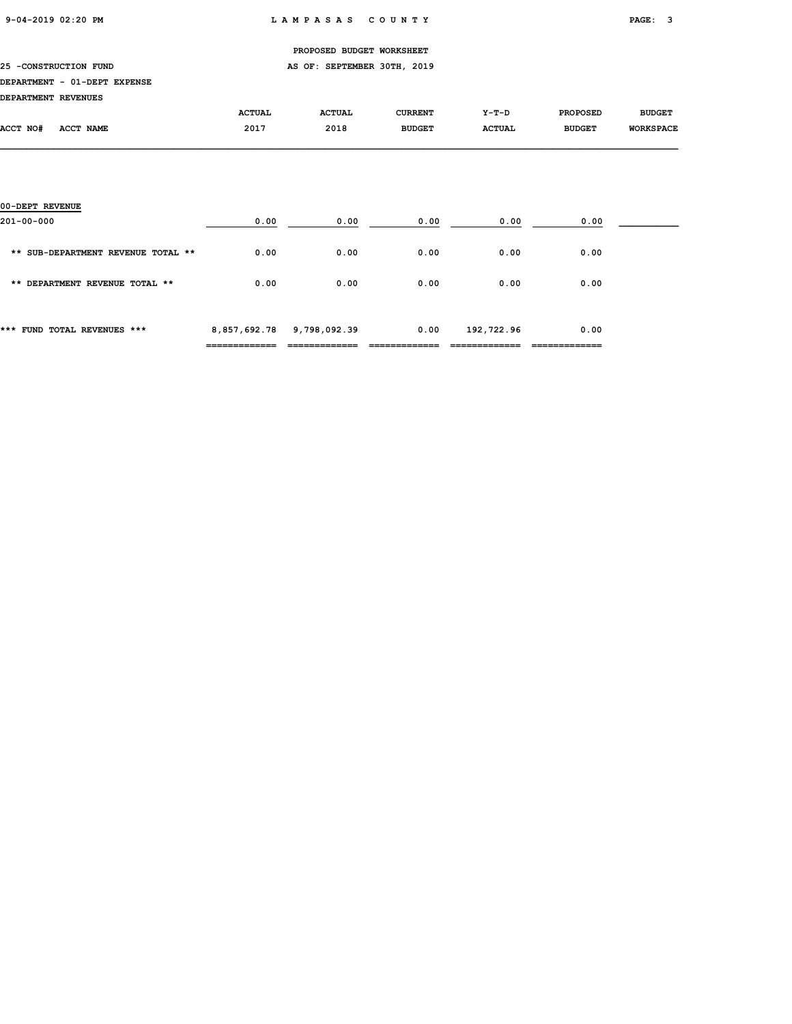|                              |               | PROPOSED BUDGET WORKSHEET   |                |               |                 |                  |
|------------------------------|---------------|-----------------------------|----------------|---------------|-----------------|------------------|
| 25 - CONSTRUCTION FUND       |               | AS OF: SEPTEMBER 30TH, 2019 |                |               |                 |                  |
| DEPARTMENT - 01-DEPT EXPENSE |               |                             |                |               |                 |                  |
| DEPARTMENT REVENUES          |               |                             |                |               |                 |                  |
|                              | <b>ACTUAL</b> | <b>ACTUAL</b>               | <b>CURRENT</b> | Y-T-D         | <b>PROPOSED</b> | <b>BUDGET</b>    |
| ACCT NAME<br><b>ACCT NO#</b> | 2017          | 2018                        | <b>BUDGET</b>  | <b>ACTUAL</b> | <b>BUDGET</b>   | <b>WORKSPACE</b> |
|                              |               |                             |                |               |                 |                  |
|                              |               |                             |                |               |                 |                  |
|                              |               |                             |                |               |                 |                  |

| *** FUND TOTAL REVENUES ***        | 8,857,692.78 | 9,798,092.39 | 0.00 | 192,722.96 | 0.00 |  |
|------------------------------------|--------------|--------------|------|------------|------|--|
| ** DEPARTMENT REVENUE TOTAL **     | 0.00         | 0.00         | 0.00 | 0.00       | 0.00 |  |
| ** SUB-DEPARTMENT REVENUE TOTAL ** | 0.00         | 0.00         | 0.00 | 0.00       | 0.00 |  |
| 00-DEPT REVENUE<br>201-00-000      | 0.00         | 0.00         | 0.00 | 0.00       | 0.00 |  |
|                                    |              |              |      |            |      |  |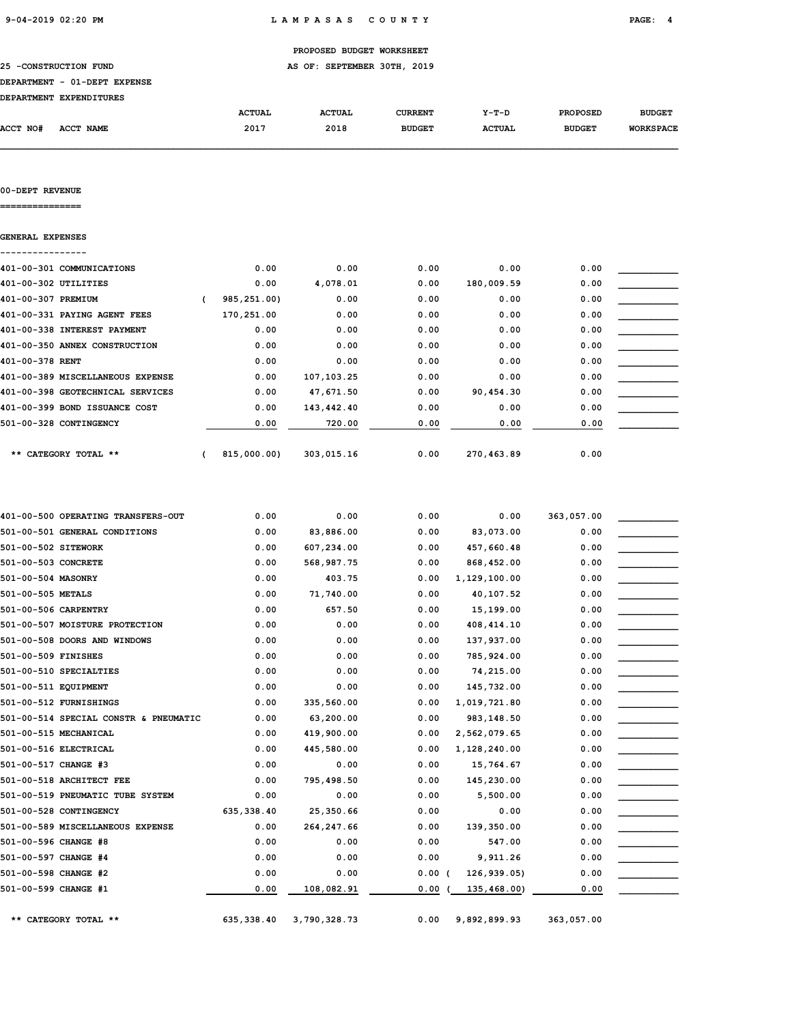|                              |               | PROPOSED BUDGET WORKSHEET   |                |               |                 |                  |
|------------------------------|---------------|-----------------------------|----------------|---------------|-----------------|------------------|
| 25 -CONSTRUCTION FUND        |               | AS OF: SEPTEMBER 30TH, 2019 |                |               |                 |                  |
| DEPARTMENT - 01-DEPT EXPENSE |               |                             |                |               |                 |                  |
| DEPARTMENT EXPENDITURES      |               |                             |                |               |                 |                  |
|                              | <b>ACTUAL</b> | <b>ACTUAL</b>               | <b>CURRENT</b> | Y-T-D         | <b>PROPOSED</b> | <b>BUDGET</b>    |
| ACCT NO#<br>ACCT NAME        | 2017          | 2018                        | <b>BUDGET</b>  | <b>ACTUAL</b> | <b>BUDGET</b>   | <b>WORKSPACE</b> |

## 00-DEPT REVENUE

===============

| 0.00        | 0.00        | 0.00       | 0.00       | 0.00       |      |
|-------------|-------------|------------|------------|------------|------|
| 0.00        | 4,078.01    | 0.00       | 180,009.59 | 0.00       |      |
| 985,251.00) | 0.00        | 0.00       | 0.00       | 0.00       |      |
| 170,251.00  | 0.00        | 0.00       | 0.00       | 0.00       |      |
| 0.00        | 0.00        | 0.00       | 0.00       | 0.00       |      |
| 0.00        | 0.00        | 0.00       | 0.00       | 0.00       |      |
| 0.00        | 0.00        | 0.00       | 0.00       | 0.00       |      |
| 0.00        | 107,103.25  | 0.00       | 0.00       | 0.00       |      |
| 0.00        | 47,671.50   | 0.00       | 90,454.30  | 0.00       |      |
| 0.00        | 143,442.40  | 0.00       | 0.00       | 0.00       |      |
| 0.00        | 720.00      | 0.00       | 0.00       | 0.00       |      |
|             |             |            |            |            |      |
|             | 815,000.00) | 303,015.16 | 0.00       | 270,463.89 | 0.00 |

| 401-00-500 OPERATING TRANSFERS-OUT    | 0.00        | 0.00         | 0.00  | 0.00         | 363,057.00 |  |
|---------------------------------------|-------------|--------------|-------|--------------|------------|--|
| 501-00-501 GENERAL CONDITIONS         | 0.00        | 83,886.00    | 0.00  | 83,073.00    | 0.00       |  |
| 501-00-502 SITEWORK                   | 0.00        | 607,234.00   | 0.00  | 457,660.48   | 0.00       |  |
| 501-00-503 CONCRETE                   | 0.00        | 568,987.75   | 0.00  | 868,452.00   | 0.00       |  |
| 501-00-504 MASONRY                    | 0.00        | 403.75       | 0.00  | 1,129,100.00 | 0.00       |  |
| 501-00-505 METALS                     | 0.00        | 71,740.00    | 0.00  | 40,107.52    | 0.00       |  |
| 501-00-506 CARPENTRY                  | 0.00        | 657.50       | 0.00  | 15,199.00    | 0.00       |  |
| 501-00-507 MOISTURE PROTECTION        | 0.00        | 0.00         | 0.00  | 408, 414.10  | 0.00       |  |
| 501-00-508 DOORS AND WINDOWS          | 0.00        | 0.00         | 0.00  | 137,937.00   | 0.00       |  |
| 501-00-509 FINISHES                   | 0.00        | 0.00         | 0.00  | 785,924.00   | 0.00       |  |
| 501-00-510 SPECIALTIES                | 0.00        | 0.00         | 0.00  | 74,215.00    | 0.00       |  |
| 501-00-511 EQUIPMENT                  | 0.00        | 0.00         | 0.00  | 145,732.00   | 0.00       |  |
| 501-00-512 FURNISHINGS                | 0.00        | 335,560.00   | 0.00  | 1,019,721.80 | 0.00       |  |
| 501-00-514 SPECIAL CONSTR & PNEUMATIC | 0.00        | 63,200.00    | 0.00  | 983,148.50   | 0.00       |  |
| 501-00-515 MECHANICAL                 | 0.00        | 419,900.00   | 0.00  | 2,562,079.65 | 0.00       |  |
| 501-00-516 ELECTRICAL                 | 0.00        | 445,580.00   | 0.00  | 1,128,240.00 | 0.00       |  |
| 501-00-517 CHANGE #3                  | 0.00        | 0.00         | 0.00  | 15,764.67    | 0.00       |  |
| 501-00-518 ARCHITECT FEE              | 0.00        | 795,498.50   | 0.00  | 145,230.00   | 0.00       |  |
| 501-00-519 PNEUMATIC TUBE SYSTEM      | 0.00        | 0.00         | 0.00  | 5,500.00     | 0.00       |  |
| 501-00-528 CONTINGENCY                | 635, 338.40 | 25,350.66    | 0.00  | 0.00         | 0.00       |  |
| 501-00-589 MISCELLANEOUS EXPENSE      | 0.00        | 264, 247.66  | 0.00  | 139,350.00   | 0.00       |  |
| 501-00-596 CHANGE #8                  | 0.00        | 0.00         | 0.00  | 547.00       | 0.00       |  |
| 501-00-597 CHANGE #4                  | 0.00        | 0.00         | 0.00  | 9,911.26     | 0.00       |  |
| 501-00-598 CHANGE #2                  | 0.00        | 0.00         | 0.00( | 126,939.05)  | 0.00       |  |
| 501-00-599 CHANGE #1                  | 0.00        | 108,082.91   | 0.00  | 135,468.00)  | 0.00       |  |
| ** CATEGORY TOTAL **                  | 635, 338.40 | 3,790,328.73 | 0.00  | 9,892,899.93 | 363,057.00 |  |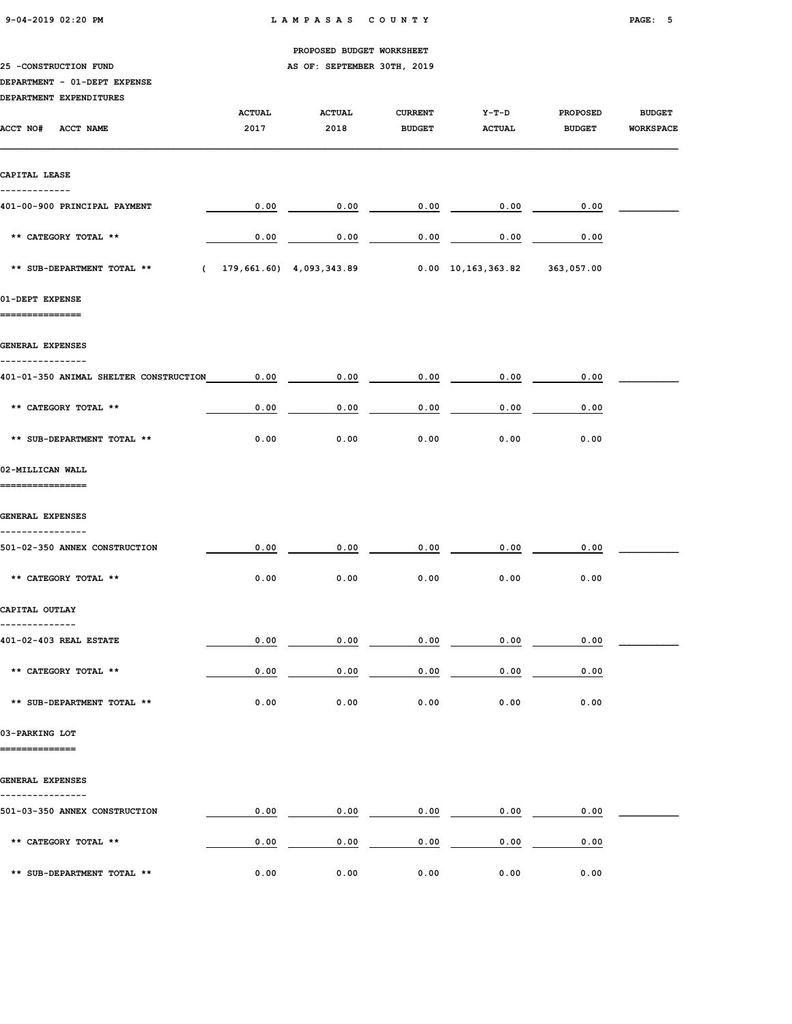| $9-04-2019$ $02:20$ PM |  |
|------------------------|--|
|                        |  |

|                                               |               | PROPOSED BUDGET WORKSHEET   |                |                            |                 |                  |
|-----------------------------------------------|---------------|-----------------------------|----------------|----------------------------|-----------------|------------------|
| 25 -CONSTRUCTION FUND                         |               | AS OF: SEPTEMBER 30TH, 2019 |                |                            |                 |                  |
| DEPARTMENT - 01-DEPT EXPENSE                  |               |                             |                |                            |                 |                  |
| DEPARTMENT EXPENDITURES                       |               |                             |                |                            |                 |                  |
|                                               | <b>ACTUAL</b> | <b>ACTUAL</b>               | <b>CURRENT</b> | $Y-T-D$                    | <b>PROPOSED</b> | <b>BUDGET</b>    |
| ACCT NO#<br>ACCT NAME                         | 2017          | 2018                        | <b>BUDGET</b>  | <b>ACTUAL</b>              | <b>BUDGET</b>   | <b>WORKSPACE</b> |
|                                               |               |                             |                |                            |                 |                  |
| CAPITAL LEASE                                 |               |                             |                |                            |                 |                  |
| 401-00-900 PRINCIPAL PAYMENT                  | 0.00          | 0.00                        | 0.00           | 0.00                       | 0.00            |                  |
| ** CATEGORY TOTAL **                          | 0.00          | 0.00                        | 0.00           | 0.00                       | 0.00            |                  |
| ** SUB-DEPARTMENT TOTAL **<br>$\epsilon$      |               | 179,661.60) 4,093,343.89    |                | $0.00 \quad 10,163,363.82$ | 363,057.00      |                  |
| 01-DEPT EXPENSE                               |               |                             |                |                            |                 |                  |
| GENERAL EXPENSES                              |               |                             |                |                            |                 |                  |
| 401-01-350 ANIMAL SHELTER CONSTRUCTION        | 0.00          | 0.00                        | 0.00           | 0.00                       | 0.00            |                  |
| ** CATEGORY TOTAL **                          | 0.00          | 0.00                        | 0.00           | 0.00                       | 0.00            |                  |
| ** SUB-DEPARTMENT TOTAL **                    | 0.00          | 0.00                        | 0.00           | 0.00                       | 0.00            |                  |
| 02-MILLICAN WALL<br>============              |               |                             |                |                            |                 |                  |
| GENERAL EXPENSES                              |               |                             |                |                            |                 |                  |
| ------------<br>501-02-350 ANNEX CONSTRUCTION | 0.00          | 0.00                        | 0.00           | 0.00                       | 0.00            |                  |
| ** CATEGORY TOTAL **                          | 0.00          | 0.00                        | 0.00           | 0.00                       | 0.00            |                  |
| CAPITAL OUTLAY                                |               |                             |                |                            |                 |                  |
| --------------                                |               |                             |                |                            |                 |                  |
| 401-02-403 REAL ESTATE                        | 0.00          | 0.00                        | 0.00           | 0.00                       | 0.00            |                  |
| ** CATEGORY TOTAL **                          | 0.00          | 0.00                        | 0.00           | 0.00                       | 0.00            |                  |
| ** SUB-DEPARTMENT TOTAL **                    | 0.00          | 0.00                        | 0.00           | 0.00                       | 0.00            |                  |
| 03-PARKING LOT<br>==============              |               |                             |                |                            |                 |                  |
| GENERAL EXPENSES                              |               |                             |                |                            |                 |                  |
| 501-03-350 ANNEX CONSTRUCTION                 | 0.00          | 0.00                        | 0.00           | 0.00                       | 0.00            |                  |
| ** CATEGORY TOTAL **                          | 0.00          | 0.00                        | 0.00           | 0.00                       | 0.00            |                  |
| ** SUB-DEPARTMENT TOTAL **                    | 0.00          | 0.00                        | 0.00           | 0.00                       | 0.00            |                  |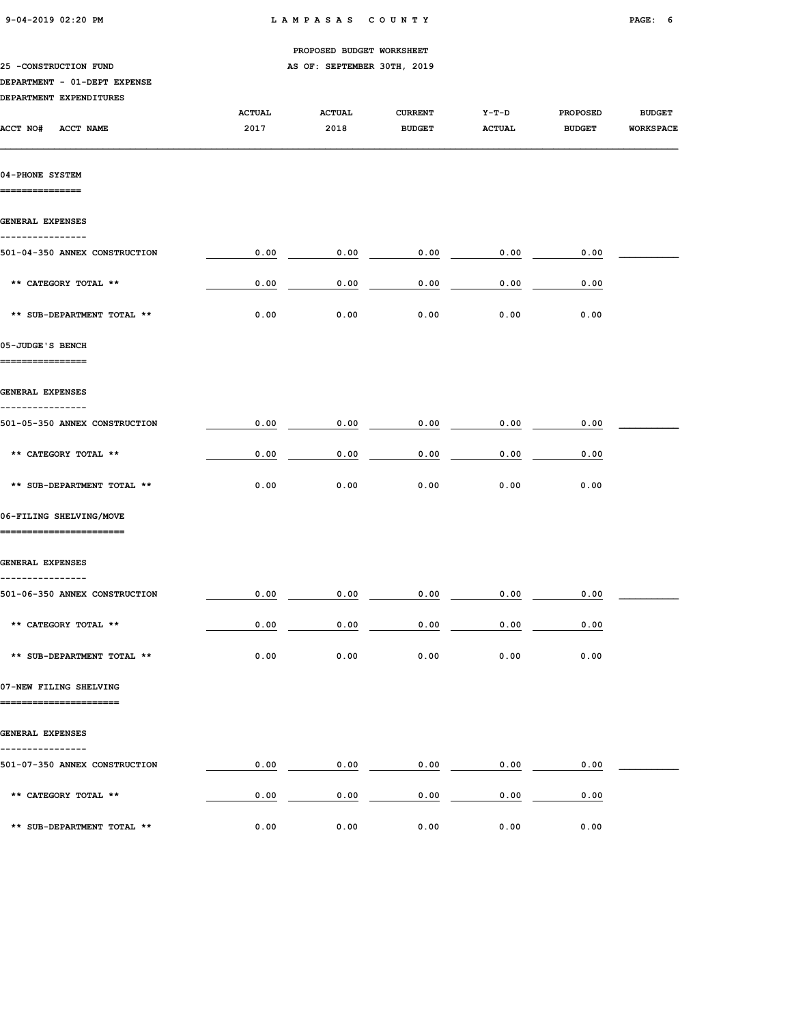| $9-04-2019$ $02:20$ PM |  |
|------------------------|--|
|                        |  |

|                                                    |               | PROPOSED BUDGET WORKSHEET   |                |               |                 |                  |
|----------------------------------------------------|---------------|-----------------------------|----------------|---------------|-----------------|------------------|
| 25 -CONSTRUCTION FUND                              |               | AS OF: SEPTEMBER 30TH, 2019 |                |               |                 |                  |
| DEPARTMENT - 01-DEPT EXPENSE                       |               |                             |                |               |                 |                  |
| DEPARTMENT EXPENDITURES                            |               |                             |                |               |                 |                  |
|                                                    | <b>ACTUAL</b> | <b>ACTUAL</b>               | <b>CURRENT</b> | $Y-T-D$       | <b>PROPOSED</b> | <b>BUDGET</b>    |
| ACCT NO#<br><b>ACCT NAME</b>                       | 2017          | 2018                        | <b>BUDGET</b>  | <b>ACTUAL</b> | <b>BUDGET</b>   | <b>WORKSPACE</b> |
| 04-PHONE SYSTEM                                    |               |                             |                |               |                 |                  |
| ============                                       |               |                             |                |               |                 |                  |
| <b>GENERAL EXPENSES</b><br>------------            |               |                             |                |               |                 |                  |
| 501-04-350 ANNEX CONSTRUCTION                      | 0.00          | 0.00                        | 0.00           | 0.00          | 0.00            |                  |
| ** CATEGORY TOTAL **                               | 0.00          | 0.00                        | 0.00           | 0.00          | 0.00            |                  |
| ** SUB-DEPARTMENT TOTAL **                         | 0.00          | 0.00                        | 0.00           | 0.00          | 0.00            |                  |
| 05-JUDGE'S BENCH                                   |               |                             |                |               |                 |                  |
| .===============                                   |               |                             |                |               |                 |                  |
| <b>GENERAL EXPENSES</b><br>------------            |               |                             |                |               |                 |                  |
| 501-05-350 ANNEX CONSTRUCTION                      | 0.00          | 0.00                        | 0.00           | 0.00          | 0.00            |                  |
| ** CATEGORY TOTAL **                               | 0.00          | 0.00                        | 0.00           | 0.00          | 0.00            |                  |
| ** SUB-DEPARTMENT TOTAL **                         | 0.00          | 0.00                        | 0.00           | 0.00          | 0.00            |                  |
| 06-FILING SHELVING/MOVE<br>----------------------- |               |                             |                |               |                 |                  |
| <b>GENERAL EXPENSES</b>                            |               |                             |                |               |                 |                  |
| -----------<br>501-06-350 ANNEX CONSTRUCTION       | 0.00          | 0.00                        | 0.00           | 0.00          | 0.00            |                  |
| ** CATEGORY TOTAL **                               | 0.00          | 0.00                        | 0.00           | 0.00          | 0.00            |                  |
| ** SUB-DEPARTMENT TOTAL **                         | 0.00          | 0.00                        | 0.00           | 0.00          | 0.00            |                  |
| 07-NEW FILING SHELVING<br>======================   |               |                             |                |               |                 |                  |
| <b>GENERAL EXPENSES</b>                            |               |                             |                |               |                 |                  |
| -----------                                        |               |                             |                |               |                 |                  |
| 501-07-350 ANNEX CONSTRUCTION                      | 0.00          | 0.00                        | 0.00           | 0.00          | 0.00            |                  |
| ** CATEGORY TOTAL **                               | 0.00          | 0.00                        | 0.00           | 0.00          | 0.00            |                  |
| ** SUB-DEPARTMENT TOTAL **                         | 0.00          | 0.00                        | 0.00           | 0.00          | 0.00            |                  |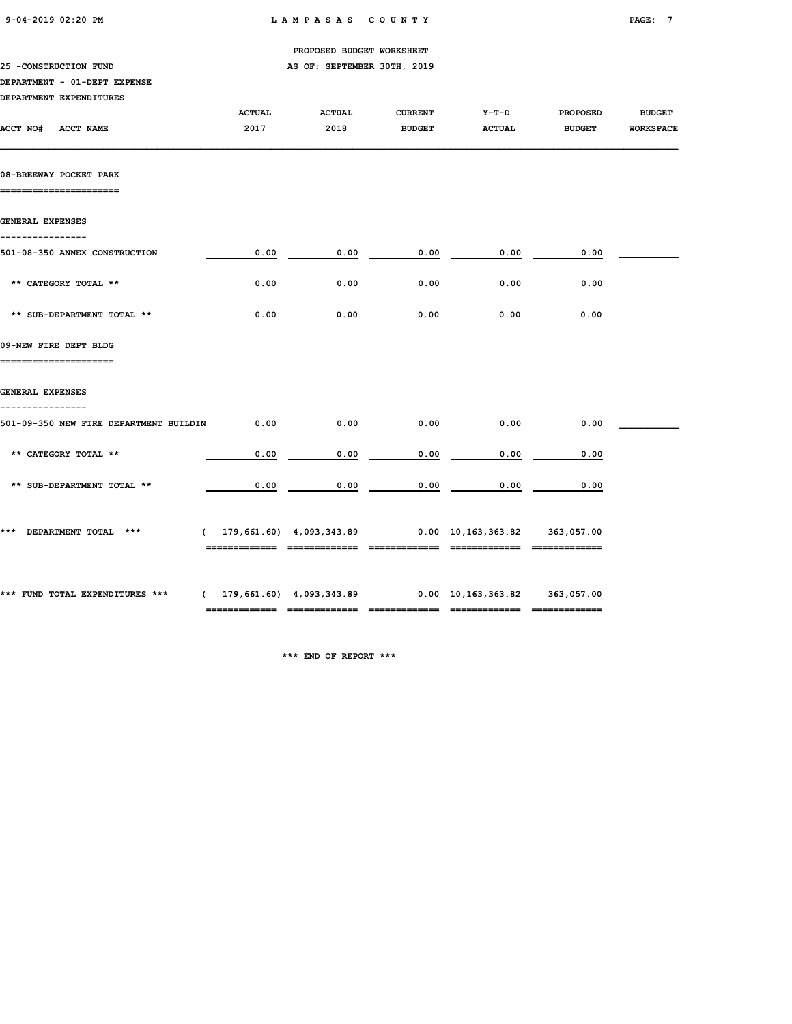|  | $9-04-2019$ $02:20$ PM |  |
|--|------------------------|--|
|  |                        |  |

|                                                  |                          | PROPOSED BUDGET WORKSHEET   |                                                                                                     |               |                 |                  |
|--------------------------------------------------|--------------------------|-----------------------------|-----------------------------------------------------------------------------------------------------|---------------|-----------------|------------------|
| 25 -CONSTRUCTION FUND                            |                          | AS OF: SEPTEMBER 30TH, 2019 |                                                                                                     |               |                 |                  |
| DEPARTMENT - 01-DEPT EXPENSE                     |                          |                             |                                                                                                     |               |                 |                  |
| DEPARTMENT EXPENDITURES                          |                          |                             |                                                                                                     |               |                 |                  |
|                                                  | <b>ACTUAL</b>            | <b>ACTUAL</b>               | <b>CURRENT</b>                                                                                      | Y-T-D         | <b>PROPOSED</b> | <b>BUDGET</b>    |
| ACCT NO# ACCT NAME                               | 2017                     | 2018                        | <b>BUDGET</b>                                                                                       | <b>ACTUAL</b> | <b>BUDGET</b>   | <b>WORKSPACE</b> |
| 08-BREEWAY POCKET PARK<br>====================== |                          |                             |                                                                                                     |               |                 |                  |
| GENERAL EXPENSES                                 |                          |                             |                                                                                                     |               |                 |                  |
| ---------------<br>501-08-350 ANNEX CONSTRUCTION | 0.00                     | 0.00                        | 0.00                                                                                                | 0.00          | 0.00            |                  |
| ** CATEGORY TOTAL **                             | 0.00                     | 0.00                        | 0.00                                                                                                | 0.00          | 0.00            |                  |
| ** SUB-DEPARTMENT TOTAL **                       | 0.00                     | 0.00                        | 0.00                                                                                                | 0.00          | 0.00            |                  |
| 09-NEW FIRE DEPT BLDG                            |                          |                             |                                                                                                     |               |                 |                  |
| <b>GENERAL EXPENSES</b><br>----------------      |                          |                             |                                                                                                     |               |                 |                  |
| 501-09-350 NEW FIRE DEPARTMENT BUILDIN           | 0.00                     | 0.00                        | 0.00                                                                                                | 0.00          | 0.00            |                  |
| ** CATEGORY TOTAL **                             | 0.00                     | 0.00                        | 0.00                                                                                                | 0.00          | 0.00            |                  |
| ** SUB-DEPARTMENT TOTAL **                       | 0.00                     | 0.00                        | 0.00                                                                                                | 0.00          | 0.00            |                  |
| *** DEPARTMENT TOTAL ***                         | ======================== |                             | $(179, 661.60)$ $4,093,343.89$ $0.00$ $10,163,363.82$ $363,057.00$<br>============================= |               | =============   |                  |
|                                                  |                          |                             |                                                                                                     |               |                 |                  |

\*\*\* FUND TOTAL EXPENDITURES \*\*\* ( 179,661.60) 4,093,343.89 0.00 10,163,363.82 363,057.00

\*\*\* END OF REPORT \*\*\*

 $\begin{array}{cccc} \textbf{...} & \textbf{...} & \textbf{...} & \textbf{...} & \textbf{...} & \textbf{...} & \textbf{...} & \textbf{...} & \textbf{...} & \textbf{...} & \textbf{...} & \textbf{...} & \textbf{...} & \textbf{...} & \textbf{...} & \textbf{...} & \textbf{...} & \textbf{...} & \textbf{...} & \textbf{...} & \textbf{...} & \textbf{...} & \textbf{...} & \textbf{...} & \textbf{...} & \textbf{...} & \textbf{...} & \textbf{...} & \textbf{...} & \textbf{...} & \textbf$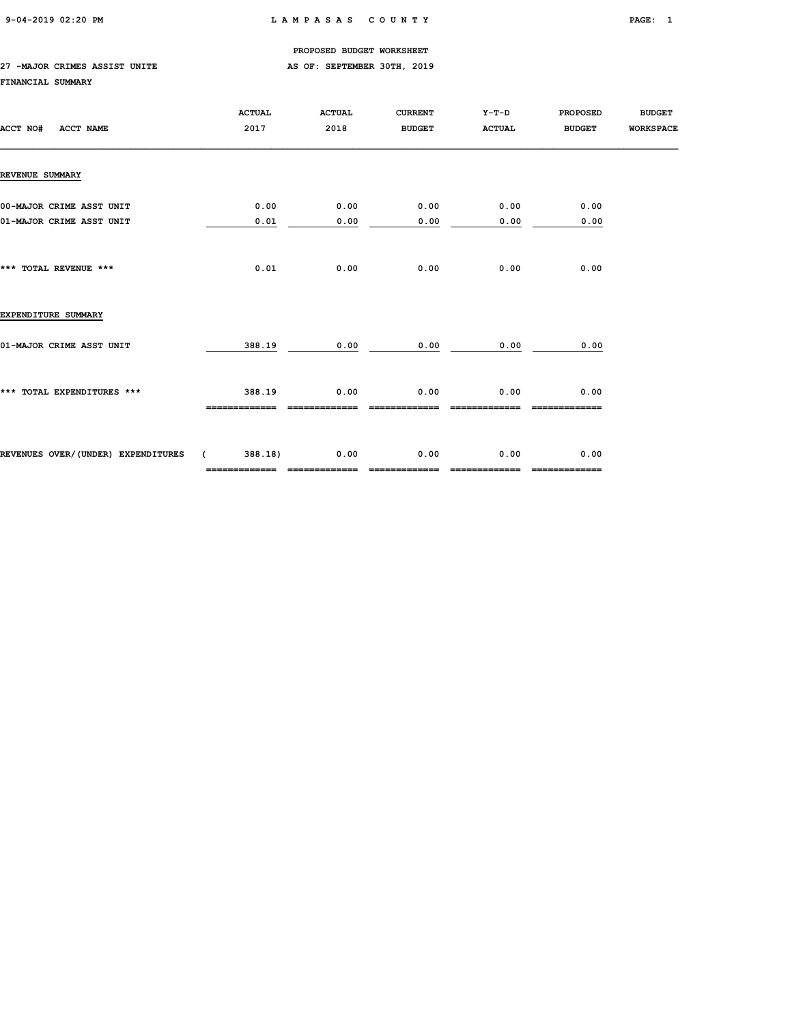## 27 -MAJOR CRIMES ASSIST UNITE **AS OF: SEPTEMBER 30TH, 2019**

## FINANCIAL SUMMARY

| ACCT NO#<br>ACCT NAME                                | <b>ACTUAL</b><br>2017    | <b>ACTUAL</b><br>2018 | <b>CURRENT</b><br><b>BUDGET</b> | Y-T-D<br><b>ACTUAL</b> | <b>PROPOSED</b><br><b>BUDGET</b> | <b>BUDGET</b><br><b>WORKSPACE</b> |
|------------------------------------------------------|--------------------------|-----------------------|---------------------------------|------------------------|----------------------------------|-----------------------------------|
| REVENUE SUMMARY                                      |                          |                       |                                 |                        |                                  |                                   |
| 00-MAJOR CRIME ASST UNIT<br>01-MAJOR CRIME ASST UNIT | 0.00<br>0.01             | 0.00<br>0.00          | 0.00<br>0.00                    | 0.00<br>0.00           | 0.00<br>0.00                     |                                   |
| *** TOTAL REVENUE ***                                | 0.01                     | 0.00                  | 0.00                            | 0.00                   | 0.00                             |                                   |
| EXPENDITURE SUMMARY                                  |                          |                       |                                 |                        |                                  |                                   |
| 01-MAJOR CRIME ASST UNIT                             | 388.19                   | 0.00                  | 0.00                            | 0.00                   | 0.00                             |                                   |
| *** TOTAL EXPENDITURES ***                           | 388.19<br>-------------  | 0.00<br>------------- | 0.00                            | 0.00                   | 0.00<br>=============            |                                   |
| REVENUES OVER/(UNDER) EXPENDITURES (                 | 388.18)<br>============= | 0.00<br>------------- | 0.00<br>-------------           | 0.00<br>-------------  | 0.00<br>-------------            |                                   |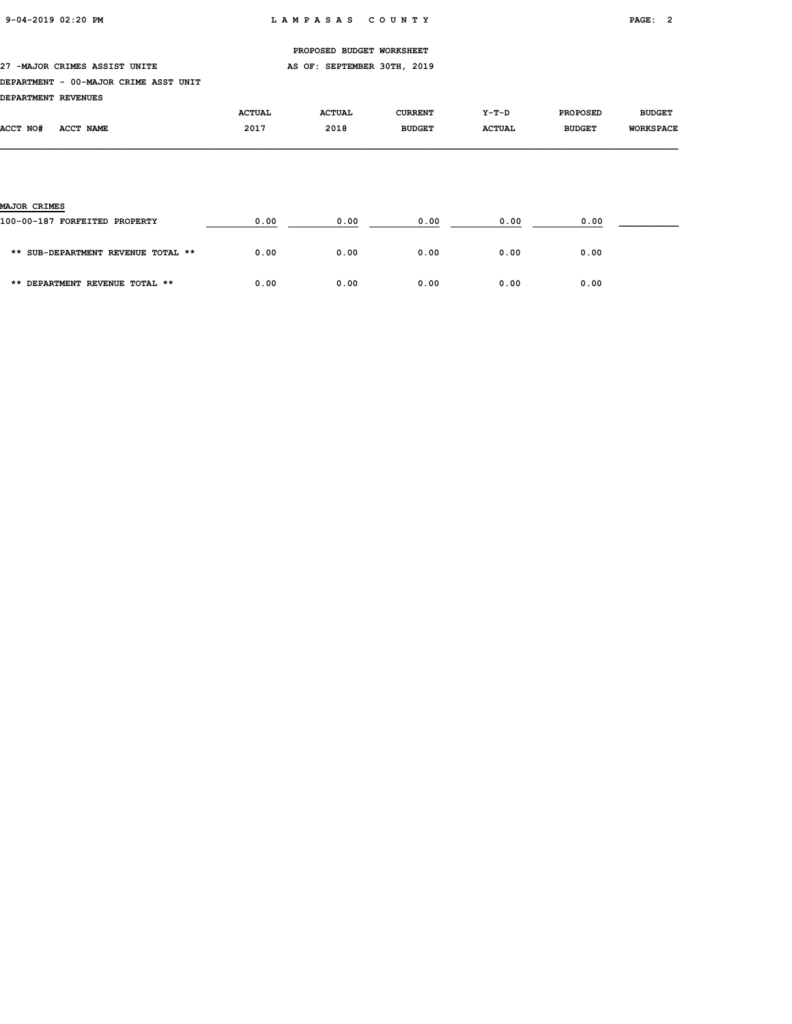27 -MAJOR CRIMES ASSIST UNITE **AS OF: SEPTEMBER 30TH, 2019** 

#### DEPARTMENT - 00-MAJOR CRIME ASST UNIT

| DEPARTMENT REVENUES |           |               |               |                |               |                 |                  |
|---------------------|-----------|---------------|---------------|----------------|---------------|-----------------|------------------|
|                     |           | <b>ACTUAL</b> | <b>ACTUAL</b> | <b>CURRENT</b> | $Y-T-D$       | <b>PROPOSED</b> | <b>BUDGET</b>    |
| <b>ACCT NO#</b>     | ACCT NAME | 2017          | 2018          | <b>BUDGET</b>  | <b>ACTUAL</b> | <b>BUDGET</b>   | <b>WORKSPACE</b> |

# MAJOR CRIMES 100-00-187 FORFEITED PROPERTY 0.00 0.00 0.00 0.00 0.00 \_\_\_\_\_\_\_\_\_\_\_ \*\* SUB-DEPARTMENT REVENUE TOTAL \*\* 0.00 0.00 0.00 0.00 0.00 \*\* DEPARTMENT REVENUE TOTAL \*\* 0.00 0.00 0.00 0.00 0.00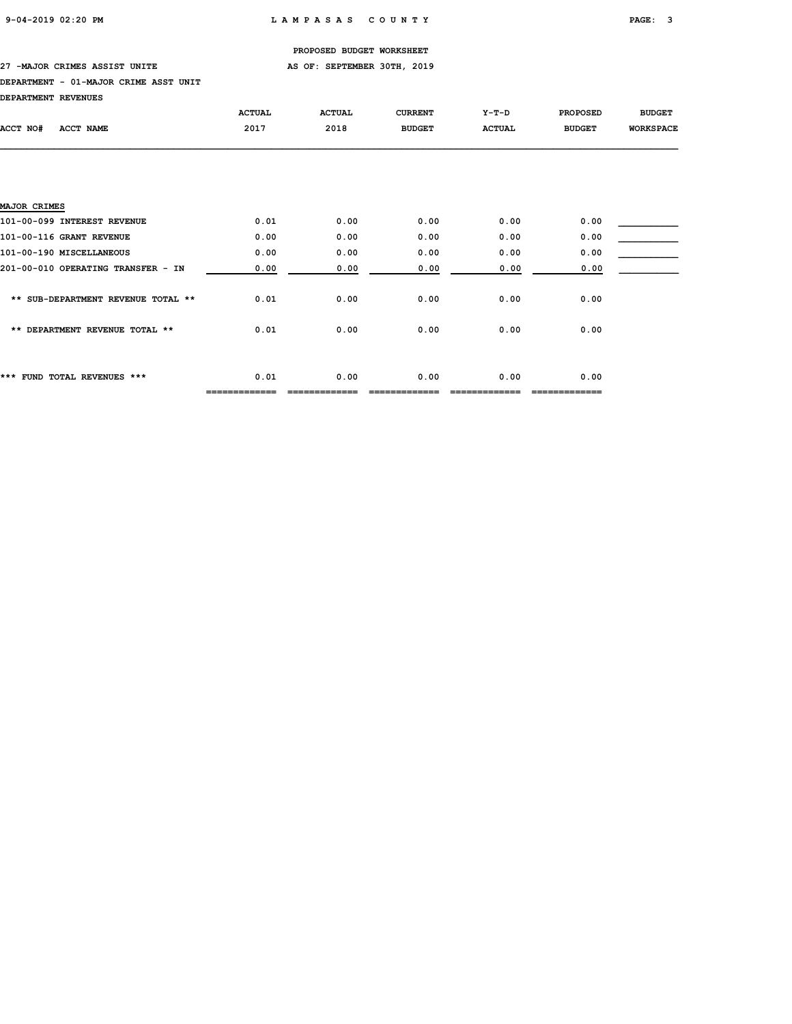## 27 -MAJOR CRIMES ASSIST UNITE **AS OF: SEPTEMBER 30TH, 2019**

#### DEPARTMENT - 01-MAJOR CRIME ASST UNIT

| <b>DEPARTMENT REVENUES</b> |  |
|----------------------------|--|
|----------------------------|--|

|                                    | <b>ACTUAL</b> | <b>ACTUAL</b> | <b>CURRENT</b> | $Y-T-D$       | <b>PROPOSED</b> | <b>BUDGET</b>    |
|------------------------------------|---------------|---------------|----------------|---------------|-----------------|------------------|
| ACCT NO#<br><b>ACCT NAME</b>       | 2017          | 2018          | <b>BUDGET</b>  | <b>ACTUAL</b> | <b>BUDGET</b>   | <b>WORKSPACE</b> |
|                                    |               |               |                |               |                 |                  |
|                                    |               |               |                |               |                 |                  |
|                                    |               |               |                |               |                 |                  |
| <b>MAJOR CRIMES</b>                |               |               |                |               |                 |                  |
|                                    |               |               |                |               |                 |                  |
| 101-00-099 INTEREST REVENUE        | 0.01          | 0.00          | 0.00           | 0.00          | 0.00            |                  |
| 101-00-116 GRANT REVENUE           | 0.00          | 0.00          | 0.00           | 0.00          | 0.00            |                  |
| 101-00-190 MISCELLANEOUS           | 0.00          | 0.00          | 0.00           | 0.00          | 0.00            |                  |
| 201-00-010 OPERATING TRANSFER - IN | 0.00          | 0.00          | 0.00           | 0.00          | 0.00            |                  |
|                                    |               |               |                |               |                 |                  |
| ** SUB-DEPARTMENT REVENUE TOTAL ** | 0.01          | 0.00          | 0.00           | 0.00          | 0.00            |                  |
|                                    |               |               |                |               |                 |                  |
| ** DEPARTMENT REVENUE TOTAL **     | 0.01          | 0.00          | 0.00           | 0.00          | 0.00            |                  |
|                                    |               |               |                |               |                 |                  |
|                                    |               |               |                |               |                 |                  |
| *** FUND TOTAL REVENUES ***        | 0.01          | 0.00          | 0.00           | 0.00          | 0.00            |                  |
|                                    |               |               |                |               |                 |                  |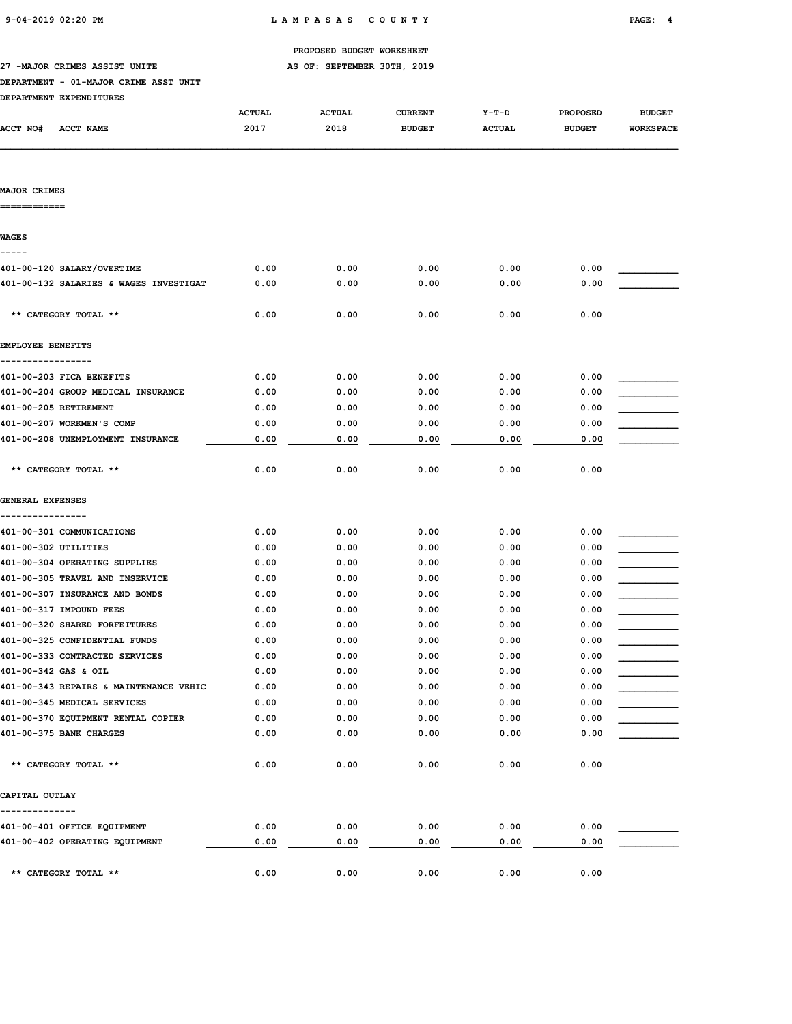| PROPOSED BUDGET WORKSHEET |  |
|---------------------------|--|
|                           |  |

27 -MAJOR CRIMES ASSIST UNITE **AS OF: SEPTEMBER 30TH, 2019** 

## DEPARTMENT - 01-MAJOR CRIME ASST UNIT

| DEPARTMENT EXPENDITURES |
|-------------------------|
|                         |

|          |           | <b>ACTUAL</b> | <b>ACTUAL</b> | <b>CURRENT</b> | $Y-T-D$       | <b>PROPOSED</b> | <b>BUDGET</b>    |
|----------|-----------|---------------|---------------|----------------|---------------|-----------------|------------------|
| ACCT NO# | ACCT NAME | 2017          | 2018          | <b>BUDGET</b>  | <b>ACTUAL</b> | <b>BUDGET</b>   | <b>WORKSPACE</b> |
|          |           |               |               |                |               |                 |                  |

## MAJOR CRIMES

============

| <b>WAGES</b>                           |      |      |      |      |      |  |
|----------------------------------------|------|------|------|------|------|--|
| 401-00-120 SALARY/OVERTIME             | 0.00 | 0.00 | 0.00 | 0.00 | 0.00 |  |
| 401-00-132 SALARIES & WAGES INVESTIGAT | 0.00 | 0.00 | 0.00 | 0.00 | 0.00 |  |
| ** CATEGORY TOTAL **                   | 0.00 | 0.00 | 0.00 | 0.00 | 0.00 |  |
| EMPLOYEE BENEFITS                      |      |      |      |      |      |  |
| 401-00-203 FICA BENEFITS               | 0.00 | 0.00 | 0.00 | 0.00 | 0.00 |  |
| 401-00-204 GROUP MEDICAL INSURANCE     | 0.00 | 0.00 | 0.00 | 0.00 | 0.00 |  |
| 401-00-205 RETIREMENT                  | 0.00 | 0.00 | 0.00 | 0.00 | 0.00 |  |
| 401-00-207 WORKMEN'S COMP              | 0.00 | 0.00 | 0.00 | 0.00 | 0.00 |  |
| 401-00-208 UNEMPLOYMENT INSURANCE      | 0.00 | 0.00 | 0.00 | 0.00 | 0.00 |  |
| ** CATEGORY TOTAL **                   | 0.00 | 0.00 | 0.00 | 0.00 | 0.00 |  |
| <b>GENERAL EXPENSES</b>                |      |      |      |      |      |  |
|                                        |      |      |      |      |      |  |
| 401-00-301 COMMUNICATIONS              | 0.00 | 0.00 | 0.00 | 0.00 | 0.00 |  |
| 401-00-302 UTILITIES                   | 0.00 | 0.00 | 0.00 | 0.00 | 0.00 |  |
| 401-00-304 OPERATING SUPPLIES          | 0.00 | 0.00 | 0.00 | 0.00 | 0.00 |  |
| 401-00-305 TRAVEL AND INSERVICE        | 0.00 | 0.00 | 0.00 | 0.00 | 0.00 |  |
| 401-00-307 INSURANCE AND BONDS         | 0.00 | 0.00 | 0.00 | 0.00 | 0.00 |  |
| 401-00-317 IMPOUND FEES                | 0.00 | 0.00 | 0.00 | 0.00 | 0.00 |  |
| 401-00-320 SHARED FORFEITURES          | 0.00 | 0.00 | 0.00 | 0.00 | 0.00 |  |
| 401-00-325 CONFIDENTIAL FUNDS          | 0.00 | 0.00 | 0.00 | 0.00 | 0.00 |  |
| 401-00-333 CONTRACTED SERVICES         | 0.00 | 0.00 | 0.00 | 0.00 | 0.00 |  |
| 401-00-342 GAS & OIL                   | 0.00 | 0.00 | 0.00 | 0.00 | 0.00 |  |
| 401-00-343 REPAIRS & MAINTENANCE VEHIC | 0.00 | 0.00 | 0.00 | 0.00 | 0.00 |  |
| 401-00-345 MEDICAL SERVICES            | 0.00 | 0.00 | 0.00 | 0.00 | 0.00 |  |
| 401-00-370 EQUIPMENT RENTAL COPIER     | 0.00 | 0.00 | 0.00 | 0.00 | 0.00 |  |
| 401-00-375 BANK CHARGES                | 0.00 | 0.00 | 0.00 | 0.00 | 0.00 |  |
| ** CATEGORY TOTAL **                   | 0.00 | 0.00 | 0.00 | 0.00 | 0.00 |  |
| CAPITAL OUTLAY                         |      |      |      |      |      |  |
| 401-00-401 OFFICE EQUIPMENT            | 0.00 | 0.00 | 0.00 | 0.00 | 0.00 |  |
| 401-00-402 OPERATING EQUIPMENT         | 0.00 | 0.00 | 0.00 | 0.00 | 0.00 |  |
| ** CATEGORY TOTAL **                   | 0.00 | 0.00 | 0.00 | 0.00 | 0.00 |  |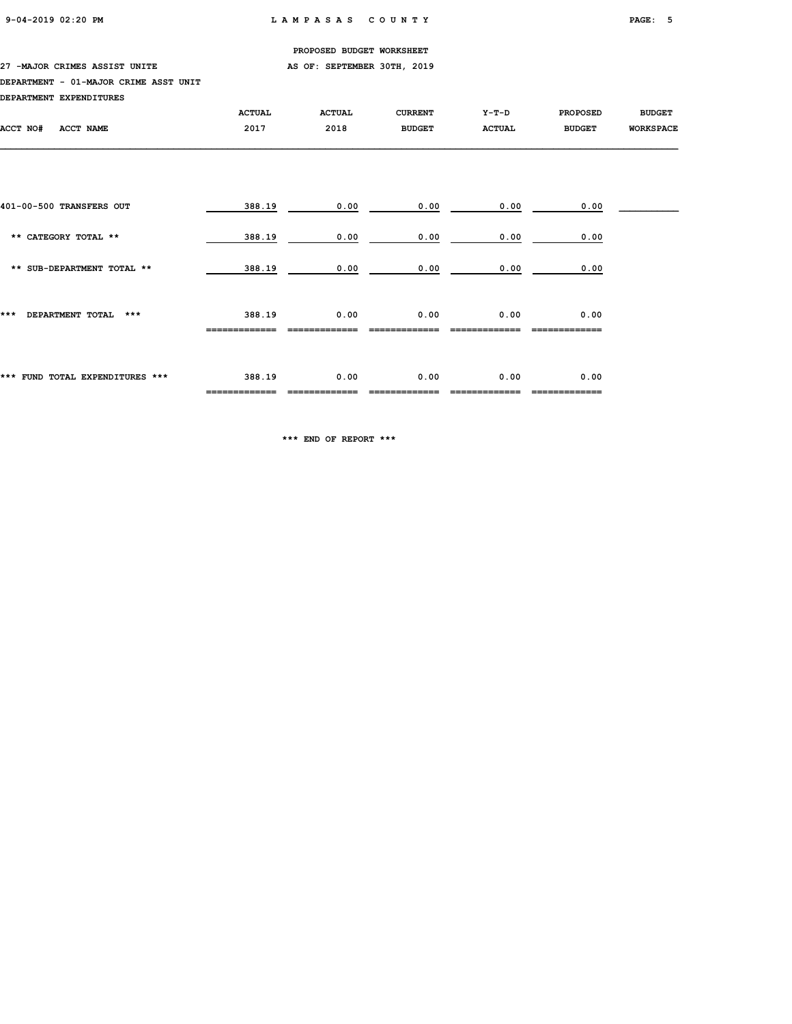27 -MAJOR CRIMES ASSIST UNITE **AS OF: SEPTEMBER 30TH, 2019** 

#### DEPARTMENT - 01-MAJOR CRIME ASST UNIT

| DEPARTMENT EXPENDITURES         |                         |               |                |               |                       |                  |
|---------------------------------|-------------------------|---------------|----------------|---------------|-----------------------|------------------|
|                                 | <b>ACTUAL</b>           | <b>ACTUAL</b> | <b>CURRENT</b> | Y-T-D         | <b>PROPOSED</b>       | <b>BUDGET</b>    |
| ACCT NO#<br><b>ACCT NAME</b>    | 2017                    | 2018          | <b>BUDGET</b>  | <b>ACTUAL</b> | <b>BUDGET</b>         | <b>WORKSPACE</b> |
|                                 |                         |               |                |               |                       |                  |
|                                 |                         |               |                |               |                       |                  |
| 401-00-500 TRANSFERS OUT        | 388.19                  | 0.00          | 0.00           | 0.00          | 0.00                  |                  |
| ** CATEGORY TOTAL **            | 388.19                  | 0.00          | 0.00           | 0.00          | 0.00                  |                  |
| ** SUB-DEPARTMENT TOTAL **      | 388.19                  | 0.00          | 0.00           | 0.00          | 0.00                  |                  |
| DEPARTMENT TOTAL ***<br>***     | 388.19                  | 0.00          | 0.00           | 0.00          | 0.00                  |                  |
|                                 |                         |               |                |               |                       |                  |
|                                 |                         |               |                |               |                       |                  |
| *** FUND TOTAL EXPENDITURES *** | 388.19<br>============= | 0.00          | 0.00           | 0.00          | 0.00<br>============= |                  |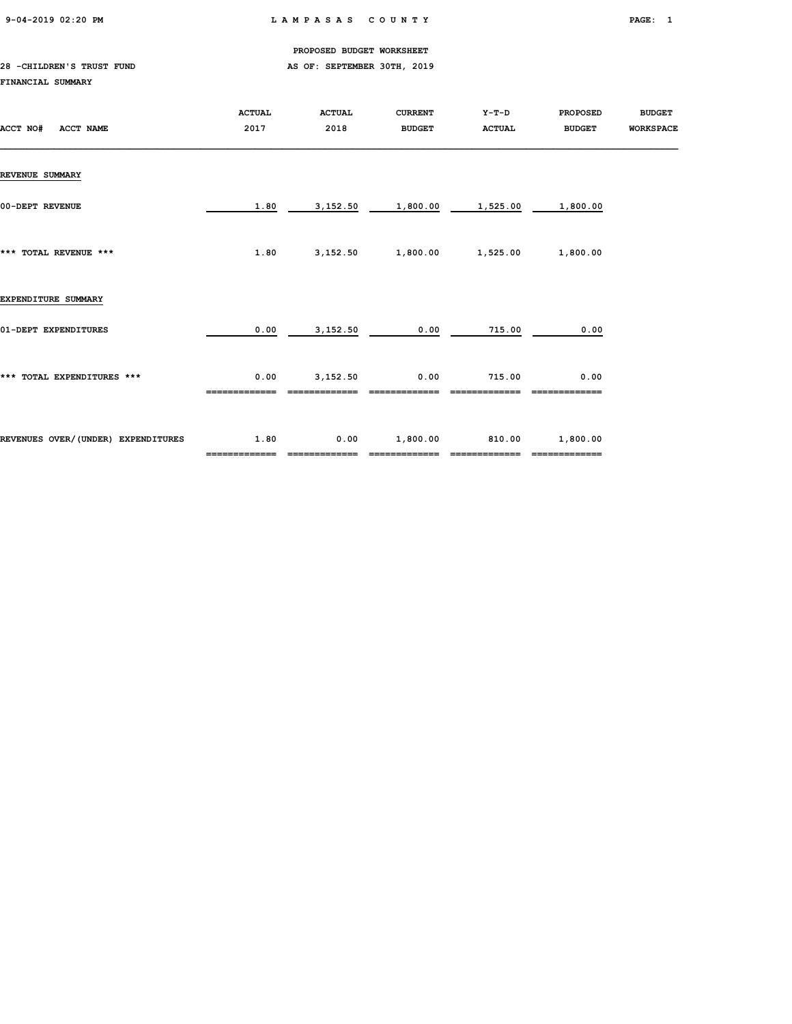9-04-2019 02:20 PM L A M P A S A S C O U N T Y PAGE: 1

PROPOSED BUDGET WORKSHEET

## 28 -CHILDREN'S TRUST FUND AS OF: SEPTEMBER 30TH, 2019 FINANCIAL SUMMARY

| ACCT NAME<br>ACCT NO#              | <b>ACTUAL</b><br>2017 | <b>ACTUAL</b><br>2018 | <b>CURRENT</b><br><b>BUDGET</b> | Y-T-D<br><b>ACTUAL</b> | <b>PROPOSED</b><br><b>BUDGET</b> | <b>BUDGET</b><br><b>WORKSPACE</b> |
|------------------------------------|-----------------------|-----------------------|---------------------------------|------------------------|----------------------------------|-----------------------------------|
| <b>REVENUE SUMMARY</b>             |                       |                       |                                 |                        |                                  |                                   |
| 00-DEPT REVENUE                    | 1.80                  | 3,152.50              | 1,800.00                        | 1,525.00               | 1,800.00                         |                                   |
| *** TOTAL REVENUE ***              | 1.80                  |                       | 3,152.50 1,800.00               | 1,525.00               | 1,800.00                         |                                   |
| EXPENDITURE SUMMARY                |                       |                       |                                 |                        |                                  |                                   |
| 01-DEPT EXPENDITURES               | 0.00                  | 3,152.50              | 0.00                            | 715.00                 | 0.00                             |                                   |
| *** TOTAL EXPENDITURES ***         | 0.00                  | 3,152.50              | 0.00                            | 715.00                 | 0.00                             |                                   |
| REVENUES OVER/(UNDER) EXPENDITURES | 1.80<br>============= | 0.00<br>============= | 1,800.00<br>=============       | 810.00                 | 1,800.00<br>=============        |                                   |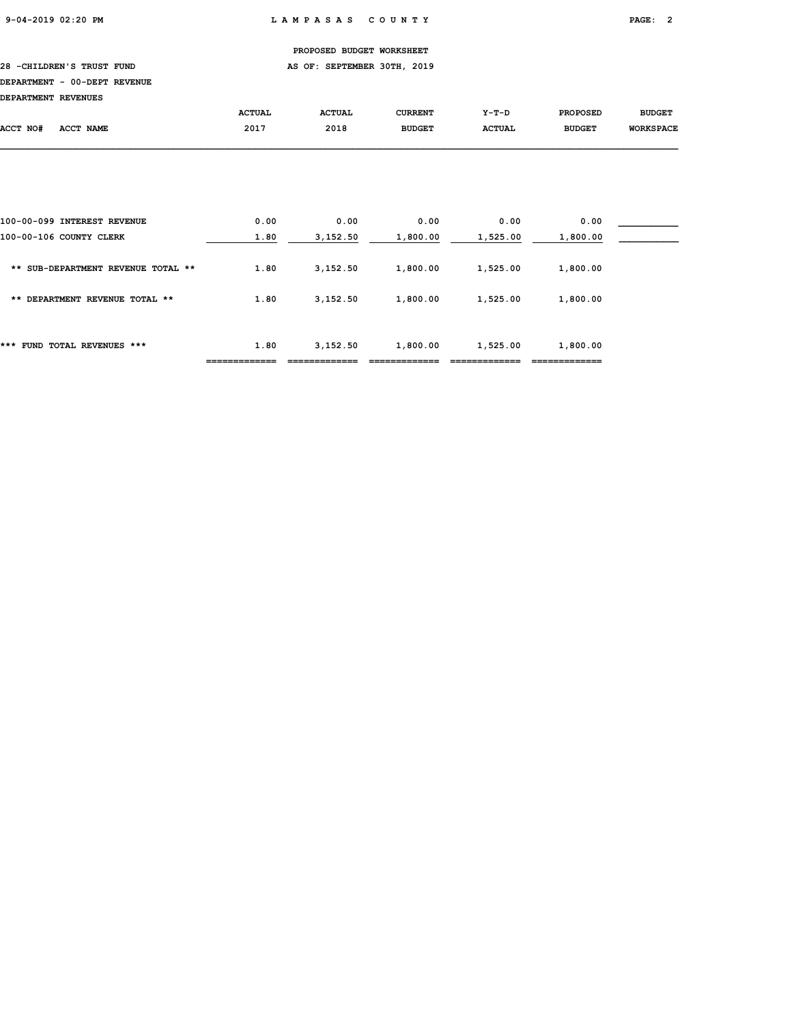28 -CHILDREN'S TRUST FUND **AS OF: SEPTEMBER 30TH, 2019** 

## DEPARTMENT - 00-DEPT REVENUE

| DEPARTMENT REVENUES |           |               |               |               |               |                 |                  |
|---------------------|-----------|---------------|---------------|---------------|---------------|-----------------|------------------|
|                     |           | <b>ACTUAL</b> | <b>ACTUAL</b> | CURRENT       | $Y-T-D$       | <b>PROPOSED</b> | <b>BUDGET</b>    |
| ACCT NO#            | ACCT NAME | 2017          | 2018          | <b>BUDGET</b> | <b>ACTUAL</b> | <b>BUDGET</b>   | <b>WORKSPACE</b> |
|                     |           |               |               |               |               |                 |                  |

| ***<br>FUND TOTAL REVENUES ***     | 1.80 | 3,152.50 | 1,800.00 | 1,525.00 | 1,800.00 |  |
|------------------------------------|------|----------|----------|----------|----------|--|
| ** DEPARTMENT REVENUE TOTAL **     | 1.80 | 3,152,50 | 1,800.00 | 1,525.00 | 1,800.00 |  |
| ** SUB-DEPARTMENT REVENUE TOTAL ** | 1.80 | 3,152.50 | 1,800.00 | 1,525.00 | 1,800.00 |  |
| 100-00-106 COUNTY CLERK            | 1.80 | 3,152.50 | 1,800.00 | 1,525.00 | 1,800.00 |  |
| 100-00-099 INTEREST REVENUE        | 0.00 | 0.00     | 0.00     | 0.00     | 0.00     |  |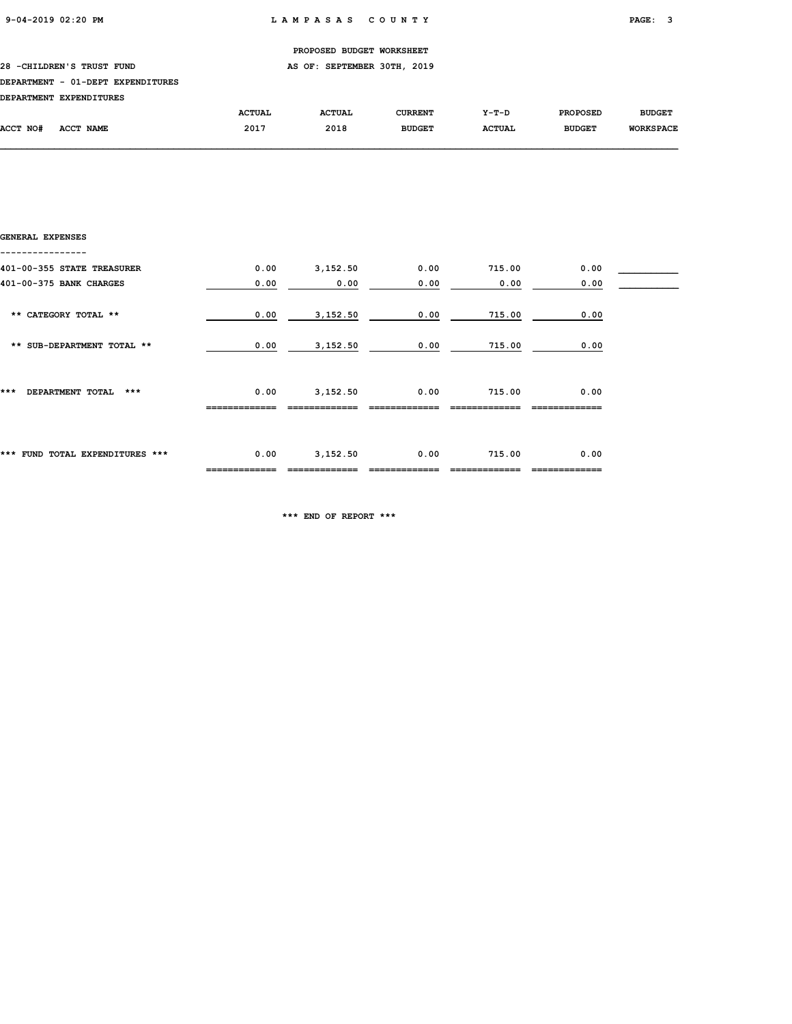28 -CHILDREN'S TRUST FUND **AS OF: SEPTEMBER 30TH, 2019** 

## DEPARTMENT - 01-DEPT EXPENDITURES

| DRDADMWRNM RYDRNDTMUDRC |  |
|-------------------------|--|

| <b>DEPARTMENT</b> | <b>EXPENDITURES</b> |               |               |                |               |                 |                  |
|-------------------|---------------------|---------------|---------------|----------------|---------------|-----------------|------------------|
|                   |                     | <b>ACTUAL</b> | <b>ACTUAL</b> | <b>CURRENT</b> | $Y-T-D$       | <b>PROPOSED</b> | <b>BUDGET</b>    |
| ACCT NO#          | <b>ACCT NAME</b>    | 2017          | 2018          | <b>BUDGET</b>  | <b>ACTUAL</b> | <b>BUDGET</b>   | <b>WORKSPACE</b> |

| GENERAL EXPENSES                |      |          |      |        |      |  |
|---------------------------------|------|----------|------|--------|------|--|
| 401-00-355 STATE TREASURER      | 0.00 | 3,152.50 | 0.00 | 715.00 | 0.00 |  |
| 401-00-375 BANK CHARGES         | 0.00 | 0.00     | 0.00 | 0.00   | 0.00 |  |
| ** CATEGORY TOTAL **            | 0.00 | 3,152.50 | 0.00 | 715.00 | 0.00 |  |
| ** SUB-DEPARTMENT TOTAL **      | 0.00 | 3,152.50 | 0.00 | 715.00 | 0.00 |  |
| ***<br>DEPARTMENT TOTAL<br>***  | 0.00 | 3,152.50 | 0.00 | 715.00 | 0.00 |  |
| *** FUND TOTAL EXPENDITURES *** | 0.00 | 3,152.50 | 0.00 | 715.00 | 0.00 |  |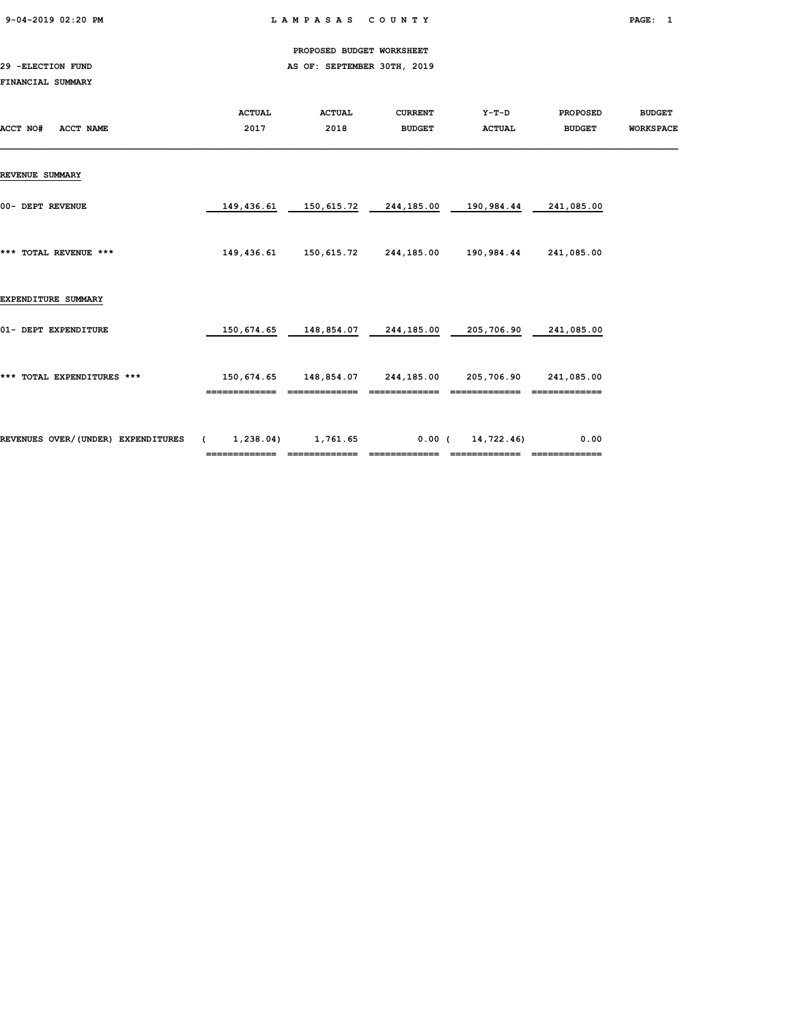9-04-2019 02:20 PM L A M P A S A S C O U N T Y PAGE: 1

PROPOSED BUDGET WORKSHEET

29 -ELECTION FUND AS OF: SEPTEMBER 30TH, 2019

## FINANCIAL SUMMARY

| ACCT NO#<br>ACCT NAME              | <b>ACTUAL</b><br>2017 | <b>ACTUAL</b><br>2018            | <b>CURRENT</b><br><b>BUDGET</b> | Y-T-D<br><b>ACTUAL</b> | <b>PROPOSED</b><br><b>BUDGET</b> | <b>BUDGET</b><br><b>WORKSPACE</b> |
|------------------------------------|-----------------------|----------------------------------|---------------------------------|------------------------|----------------------------------|-----------------------------------|
| <b>REVENUE SUMMARY</b>             |                       |                                  |                                 |                        |                                  |                                   |
| 00- DEPT REVENUE                   | 149,436.61            | 150,615.72                       | 244,185.00                      | 190,984.44             | 241,085.00                       |                                   |
| *** TOTAL REVENUE ***              | 149,436.61            | 150,615.72                       | 244,185.00 190,984.44           |                        | 241,085.00                       |                                   |
| EXPENDITURE SUMMARY                |                       |                                  |                                 |                        |                                  |                                   |
| 01- DEPT EXPENDITURE               | 150,674.65            | 148,854.07                       | 244,185.00                      | 205,706.90             | 241,085.00                       |                                   |
| *** TOTAL EXPENDITURES ***         |                       | 150,674.65 148,854.07 244,185.00 |                                 | 205,706.90             | 241,085.00                       |                                   |
| REVENUES OVER/(UNDER) EXPENDITURES | (1, 238.04)           | 1,761.65                         | 0.00(                           | 14,722.46)             | 0.00                             |                                   |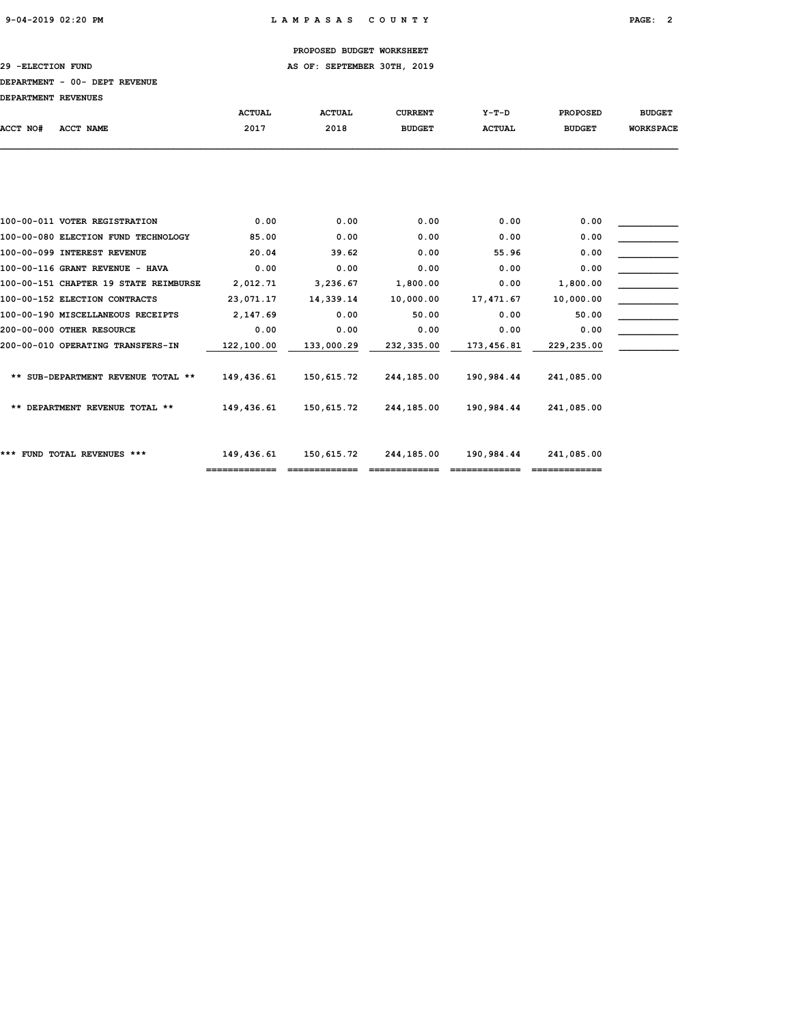29 - ELECTION FUND **AS OF: SEPTEMBER 30TH, 2019** 

#### DEPARTMENT - 00- DEPT REVENUE

| DEPARTMENT REVENUES |                                       |               |               |                |               |                 |                  |
|---------------------|---------------------------------------|---------------|---------------|----------------|---------------|-----------------|------------------|
|                     |                                       | <b>ACTUAL</b> | <b>ACTUAL</b> | <b>CURRENT</b> | $Y-T-D$       | <b>PROPOSED</b> | <b>BUDGET</b>    |
| ACCT NO#            | ACCT NAME                             | 2017          | 2018          | <b>BUDGET</b>  | <b>ACTUAL</b> | <b>BUDGET</b>   | <b>WORKSPACE</b> |
|                     |                                       |               |               |                |               |                 |                  |
|                     |                                       |               |               |                |               |                 |                  |
|                     | 100-00-011 VOTER REGISTRATION         | 0.00          | 0.00          | 0.00           | 0.00          | 0.00            |                  |
|                     | 100-00-080 ELECTION FUND TECHNOLOGY   | 85.00         | 0.00          | 0.00           | 0.00          | 0.00            |                  |
|                     | 100-00-099 INTEREST REVENUE           | 20.04         | 39.62         | 0.00           | 55.96         | 0.00            |                  |
|                     | 100-00-116 GRANT REVENUE - HAVA       | 0.00          | 0.00          | 0.00           | 0.00          | 0.00            |                  |
|                     | 100-00-151 CHAPTER 19 STATE REIMBURSE | 2,012.71      | 3,236.67      | 1,800.00       | 0.00          | 1,800.00        |                  |
|                     | 100-00-152 ELECTION CONTRACTS         | 23,071.17     | 14,339.14     | 10,000.00      | 17,471.67     | 10,000.00       |                  |
|                     | 100-00-190 MISCELLANEOUS RECEIPTS     | 2,147.69      | 0.00          | 50.00          | 0.00          | 50.00           |                  |
|                     | 200-00-000 OTHER RESOURCE             | 0.00          | 0.00          | 0.00           | 0.00          | 0.00            |                  |
|                     | 200-00-010 OPERATING TRANSFERS-IN     | 122,100.00    | 133,000.29    | 232,335.00     | 173,456.81    | 229,235.00      |                  |
|                     | ** SUB-DEPARTMENT REVENUE TOTAL **    | 149,436.61    | 150,615.72    | 244,185.00     | 190,984.44    | 241,085.00      |                  |
|                     | ** DEPARTMENT REVENUE TOTAL **        | 149,436.61    | 150,615.72    | 244,185.00     | 190,984.44    | 241,085.00      |                  |
|                     |                                       |               |               |                |               |                 |                  |

============= ============= ============= ============= =============

\*\*\* FUND TOTAL REVENUES \*\*\* 149,436.61 150,615.72 244,185.00 190,984.44 241,085.00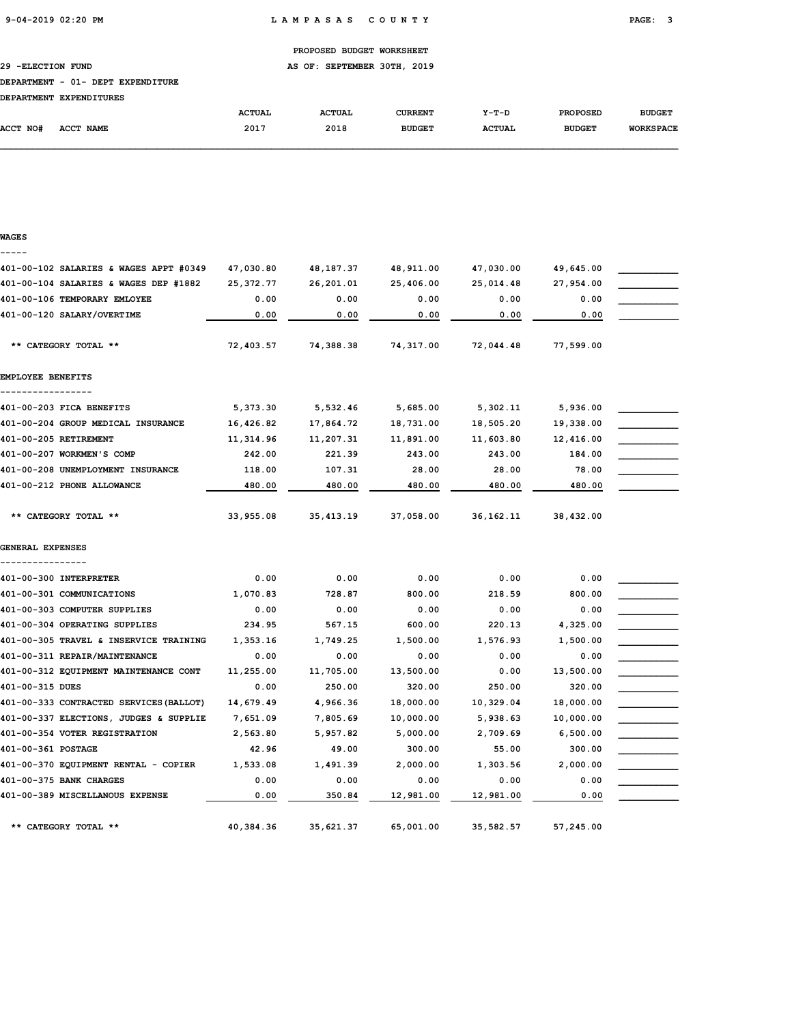WAGES

PROPOSED BUDGET WORKSHEET

29 -ELECTION FUND AS OF: SEPTEMBER 30TH, 2019

#### DEPARTMENT - 01- DEPT EXPENDITURE

| <b>DEPARTMENT</b> | <b>EXPENDITURES</b> |               |               |                |               |                 |                  |
|-------------------|---------------------|---------------|---------------|----------------|---------------|-----------------|------------------|
|                   |                     | <b>ACTUAL</b> | <b>ACTUAL</b> | <b>CURRENT</b> | $Y-T-D$       | <b>PROPOSED</b> | <b>BUDGET</b>    |
| <b>ACCT NO#</b>   | ACCT NAME           | 2017          | 2018          | <b>BUDGET</b>  | <b>ACTUAL</b> | <b>BUDGET</b>   | <b>WORKSPACE</b> |

## ----- 401-00-102 SALARIES & WAGES APPT #0349 47,030.80 48,187.37 48,911.00 47,030.00 49,645.00 \_\_\_\_\_\_\_\_\_\_\_ 401-00-104 SALARIES & WAGES DEP #1882 25,372.77 26,201.01 25,406.00 25,014.48 27,954.00 \_\_\_\_\_\_\_\_\_\_\_ 401-00-106 TEMPORARY EMLOYEE 6 0.00 0.00 0.00 0.00 0.00 0.00 0.00 401-00-120 SALARY/OVERTIME  $\begin{array}{|c|c|c|c|c|c|c|c|c|} \hline 0.00 & 0.00 & 0.00 & 0.00 & 0.00 & 0.00 & 0.00 & 0.00 & 0.00 & 0.00 & 0.00 & 0.00 & 0.00 & 0.00 & 0.00 & 0.00 & 0.00 & 0.00 & 0.00 & 0.00 & 0.00 & 0.00 & 0.00 & 0.00 & 0.00 & 0.00 & 0.00 & 0.0$  \*\* CATEGORY TOTAL \*\* 72,403.57 74,388.38 74,317.00 72,044.48 77,599.00 EMPLOYEE BENEFITS ----------------- 401-00-203 FICA BENEFITS 65,373.30 5,532.46 5,685.00 5,302.11 5,936.00 401-00-204 GROUP MEDICAL INSURANCE 16,426.82 17,864.72 18,731.00 18,505.20 19,338.00 \_\_\_\_\_\_\_\_\_\_\_ 401-00-205 RETIREMENT **11,314.96** 11,207.31 11,891.00 11,603.80 12,416.00 401-00-207 WORKMEN'S COMP 242.00 221.39 243.00 243.00 243.00 184.00 401-00-208 UNEMPLOYMENT INSURANCE  $118.00$   $107.31$   $28.00$   $28.00$   $78.00$ 480.00 480.00 480.00 480.00 480.00 480.00 480.00 480.00 480.00 480.00 480.00 480.00 480.00 480.00 480.00 480.00 5 \*\* CATEGORY TOTAL \*\* 33,955.08 35,413.19 37,058.00 36,162.11 38,432.00 GENERAL EXPENSES ----------------  $401-00-300$  INTERPRETER  $0.00$   $0.00$   $0.00$   $0.00$   $0.00$   $0.00$   $0.00$ 401-00-301 COMMUNICATIONS 1,070.83 728.87 800.00 218.59 800.00 \_\_\_\_\_\_\_\_\_\_\_  $401-00-303$  COMPUTER SUPPLIES  $0.00$   $0.00$   $0.00$   $0.00$   $0.00$   $0.00$   $0.00$ 401-00-304 OPERATING SUPPLIES  $234.95$  567.15 600.00 220.13 4,325.00 401-00-305 TRAVEL & INSERVICE TRAINING 1,353.16 1,749.25 1,500.00 1,576.93 1,500.00  $401-00-311$  REPAIR/MAINTENANCE  $0.00$   $0.00$   $0.00$   $0.00$   $0.00$   $0.00$   $0.00$ 401-00-312 EQUIPMENT MAINTENANCE CONT 11,255.00 11,705.00 13,500.00 0.00 13,500.00 \_\_\_\_\_\_\_\_\_\_\_  $401-00-315$  DUES  $0.00$   $250.00$   $320.00$   $250.00$   $320.00$   $320.00$   $320.00$ 401-00-333 CONTRACTED SERVICES(BALLOT) 14,679.49 4,966.36 18,000.00 10,329.04 18,000.00 \_\_\_\_\_\_\_\_\_\_\_ 401-00-337 ELECTIONS, JUDGES & SUPPLIE 7,651.09 7,805.69 10,000.00 5,938.63 10,000.00 \_\_\_\_\_\_\_\_\_\_\_ 401-00-354 VOTER REGISTRATION 2,563.80 5,957.82 5,000.00 2,709.69 6,500.00 \_\_\_\_\_\_\_\_\_\_\_ 401-00-361 POSTAGE 42.96 49.00 300.00 55.00 300.00 \_\_\_\_\_\_\_\_\_\_\_ 401-00-370 EQUIPMENT RENTAL - COPIER  $1,533.08$   $1,491.39$   $2,000.00$   $1,303.56$   $2,000.00$  $401-00-375$  BANK CHARGES  $0.00$   $0.00$   $0.00$   $0.00$   $0.00$   $0.00$   $0.00$   $0.00$  $401-00-389$  MISCELLANOUS EXPENSE  $0.00$   $350.84$   $12,981.00$   $12,981.00$   $0.00$ \*\* CATEGORY TOTAL \*\* 40,384.36 35,621.37 65,001.00 35,582.57 57,245.00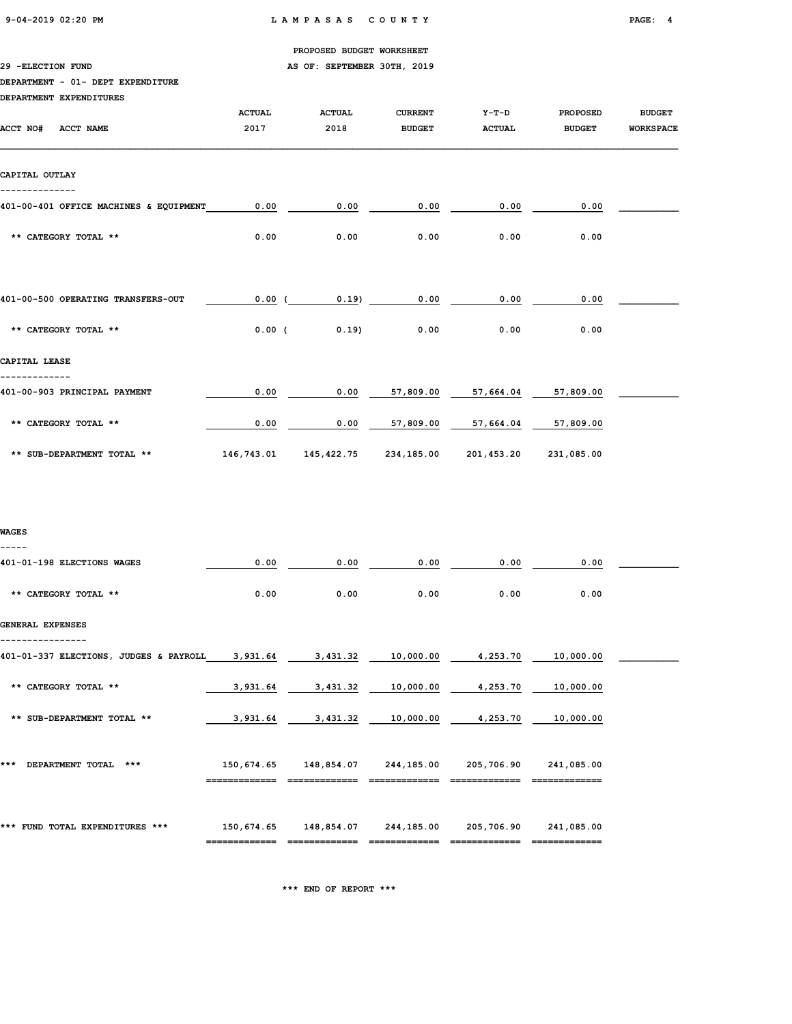29 - ELECTION FUND **AS OF: SEPTEMBER 30TH, 2019** 

## DEPARTMENT - 01- DEPT EXPENDITURE

| DEPARTMENT EXPENDITURES                |               |               |                |               |                 |                  |
|----------------------------------------|---------------|---------------|----------------|---------------|-----------------|------------------|
|                                        | <b>ACTUAL</b> | <b>ACTUAL</b> | <b>CURRENT</b> | $Y-T-D$       | <b>PROPOSED</b> | <b>BUDGET</b>    |
| ACCT NO#<br>ACCT NAME                  | 2017          | 2018          | <b>BUDGET</b>  | <b>ACTUAL</b> | <b>BUDGET</b>   | <b>WORKSPACE</b> |
|                                        |               |               |                |               |                 |                  |
|                                        |               |               |                |               |                 |                  |
| CAPITAL OUTLAY                         |               |               |                |               |                 |                  |
|                                        |               |               |                |               |                 |                  |
| 401-00-401 OFFICE MACHINES & EQUIPMENT | 0.00          | 0.00          | 0.00           | 0.00          | 0.00            |                  |
|                                        |               |               |                |               |                 |                  |
| ** CATEGORY TOTAL **                   | 0.00          | 0.00          | 0.00           | 0.00          | 0.00            |                  |
|                                        |               |               |                |               |                 |                  |
|                                        |               |               |                |               |                 |                  |
| 401-00-500 OPERATING TRANSFERS-OUT     | 0.00(         | 0.19          | 0.00           | 0.00          | 0.00            |                  |
|                                        |               |               |                |               |                 |                  |
| ** CATEGORY TOTAL **                   | $0.00$ (      | 0.19          | 0.00           | 0.00          | 0.00            |                  |
|                                        |               |               |                |               |                 |                  |
| CAPITAL LEASE                          |               |               |                |               |                 |                  |
|                                        |               |               |                |               |                 |                  |
| 401-00-903 PRINCIPAL PAYMENT           | 0.00          | 0.00          | 57,809.00      | 57,664.04     | 57,809.00       |                  |
|                                        |               |               |                |               |                 |                  |
| ** CATEGORY TOTAL **                   | 0.00          | 0.00          | 57,809.00      | 57,664.04     | 57,809.00       |                  |
| ** SUB-DEPARTMENT TOTAL **             | 146,743.01    | 145,422.75    | 234,185.00     | 201,453.20    | 231,085.00      |                  |
|                                        |               |               |                |               |                 |                  |
|                                        |               |               |                |               |                 |                  |

## WAGES

-----

| 401-01-198 ELECTIONS WAGES                      | 0.00     | 0.00                                                       | 0.00 | 0.00                        | 0.00      |  |
|-------------------------------------------------|----------|------------------------------------------------------------|------|-----------------------------|-----------|--|
| ** CATEGORY TOTAL **                            | 0.00     | 0.00                                                       | 0.00 | 0.00                        | 0.00      |  |
| GENERAL EXPENSES                                |          |                                                            |      |                             |           |  |
| 401-01-337 ELECTIONS, JUDGES & PAYROLL 3,931.64 |          |                                                            |      |                             | 10,000.00 |  |
| ** CATEGORY TOTAL **                            | 3,931.64 | 3,431.32                                                   |      | 10,000.00 4,253.70          | 10,000.00 |  |
| ** SUB-DEPARTMENT TOTAL **                      | 3,931.64 |                                                            |      | 3,431.32 10,000.00 4,253.70 | 10,000.00 |  |
| DEPARTMENT TOTAL<br>***<br>***                  |          | 150,674.65 148,854.07 244,185.00 205,706.90 241,085.00     |      |                             |           |  |
| *** FUND TOTAL EXPENDITURES ***                 |          | 150,674.65  148,854.07  244,185.00  205,706.90  241,085.00 |      |                             |           |  |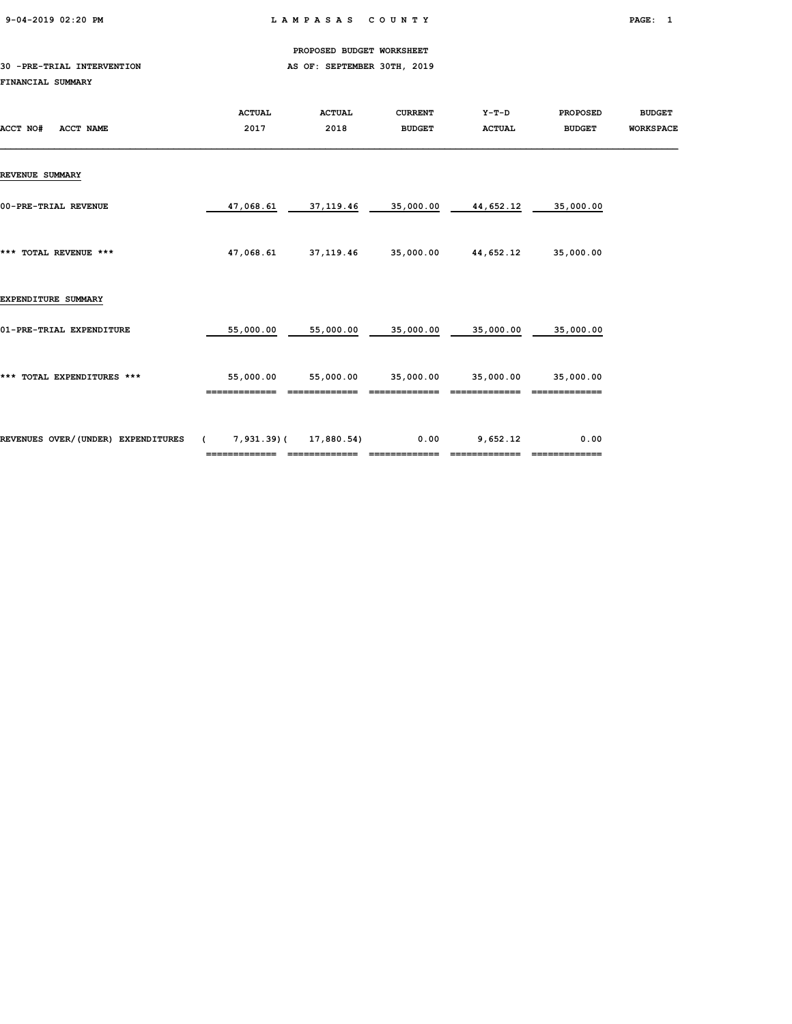9-04-2019 02:20 PM L A M P A S A S C O U N T Y PAGE: 1

PROPOSED BUDGET WORKSHEET

## 30 -PRE-TRIAL INTERVENTION AS OF: SEPTEMBER 30TH, 2019 FINANCIAL SUMMARY

| ACCT NO#<br>ACCT NAME              | <b>ACTUAL</b><br>2017 | <b>ACTUAL</b><br>2018 | <b>CURRENT</b><br><b>BUDGET</b> | Y-T-D<br><b>ACTUAL</b> | <b>PROPOSED</b><br><b>BUDGET</b> | <b>BUDGET</b><br><b>WORKSPACE</b> |
|------------------------------------|-----------------------|-----------------------|---------------------------------|------------------------|----------------------------------|-----------------------------------|
| <b>REVENUE SUMMARY</b>             |                       |                       |                                 |                        |                                  |                                   |
| 00-PRE-TRIAL REVENUE               | 47,068.61             | 37,119.46             | 35,000.00                       | 44,652.12              | 35,000.00                        |                                   |
| *** TOTAL REVENUE ***              | 47,068.61             | 37, 119.46            | 35,000.00                       | 44,652.12              | 35,000.00                        |                                   |
| EXPENDITURE SUMMARY                |                       |                       |                                 |                        |                                  |                                   |
| 01-PRE-TRIAL EXPENDITURE           | 55,000.00             | 55,000.00             | 35,000.00                       | 35,000.00              | 35,000.00                        |                                   |
| *** TOTAL EXPENDITURES ***         | 55,000.00             | 55,000.00             | 35,000.00                       | 35,000.00              | 35,000.00                        |                                   |
| REVENUES OVER/(UNDER) EXPENDITURES | (7, 931.39)           | 17,880.54)            | 0.00                            | 9,652.12               | 0.00                             |                                   |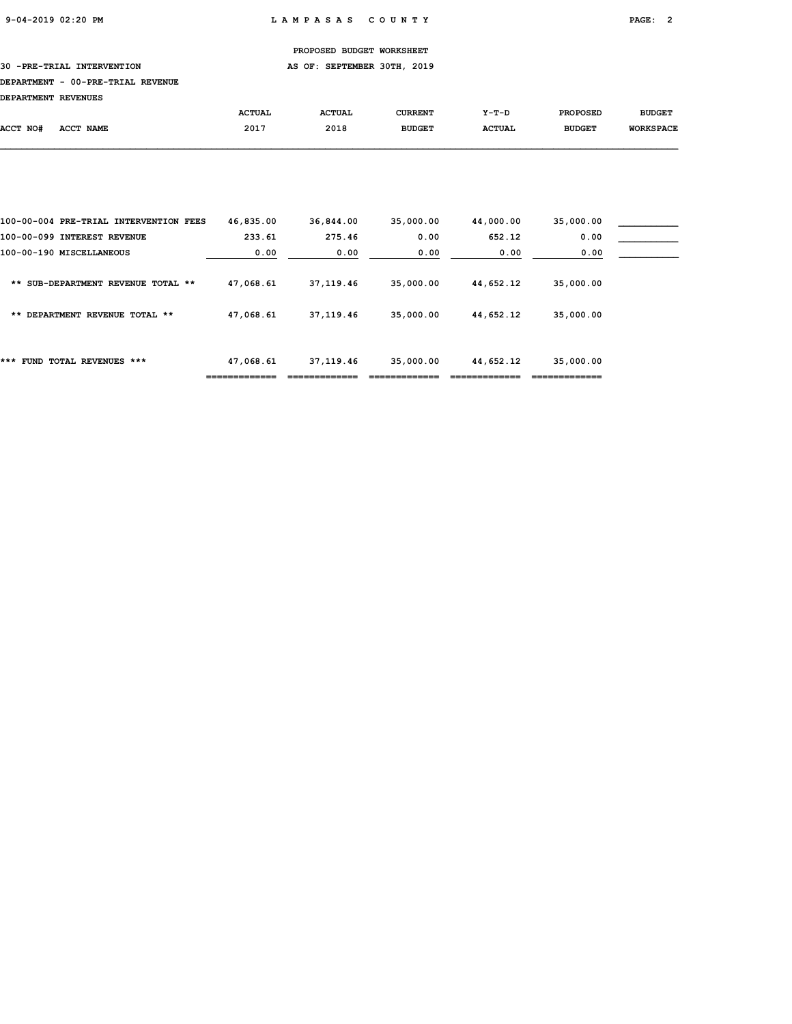## 30 -PRE-TRIAL INTERVENTION AS OF: SEPTEMBER 30TH, 2019

#### DEPARTMENT - 00-PRE-TRIAL REVENUE

DEPARTMENT REVENUES

| DEPARIMENI REVENUES |           |               |               |               |               |                 |                  |
|---------------------|-----------|---------------|---------------|---------------|---------------|-----------------|------------------|
|                     |           | <b>ACTUAL</b> | <b>ACTUAL</b> | CURRENT       | $Y-T-D$       | <b>PROPOSED</b> | <b>BUDGET</b>    |
| ACCT NO#            | ACCT NAME | 2017          | 2018          | <b>BUDGET</b> | <b>ACTUAL</b> | <b>BUDGET</b>   | <b>WORKSPACE</b> |
|                     |           |               |               |               |               |                 |                  |

|                                        |           |             |           |           | ____________ |  |
|----------------------------------------|-----------|-------------|-----------|-----------|--------------|--|
| ***<br>FUND TOTAL REVENUES ***         | 47,068.61 | 37,119.46   | 35,000.00 | 44,652.12 | 35,000.00    |  |
| DEPARTMENT REVENUE TOTAL **<br>**      | 47,068.61 | 37, 119, 46 | 35,000.00 | 44,652.12 | 35,000.00    |  |
| SUB-DEPARTMENT REVENUE TOTAL **<br>**  | 47,068.61 | 37, 119, 46 | 35,000.00 | 44,652.12 | 35,000.00    |  |
| 100-00-190 MISCELLANEOUS               | 0.00      | 0.00        | 0.00      | 0.00      | 0.00         |  |
| 100-00-099 INTEREST REVENUE            | 233.61    | 275.46      | 0.00      | 652.12    | 0.00         |  |
| 100-00-004 PRE-TRIAL INTERVENTION FEES | 46,835.00 | 36,844.00   | 35,000.00 | 44,000.00 | 35,000.00    |  |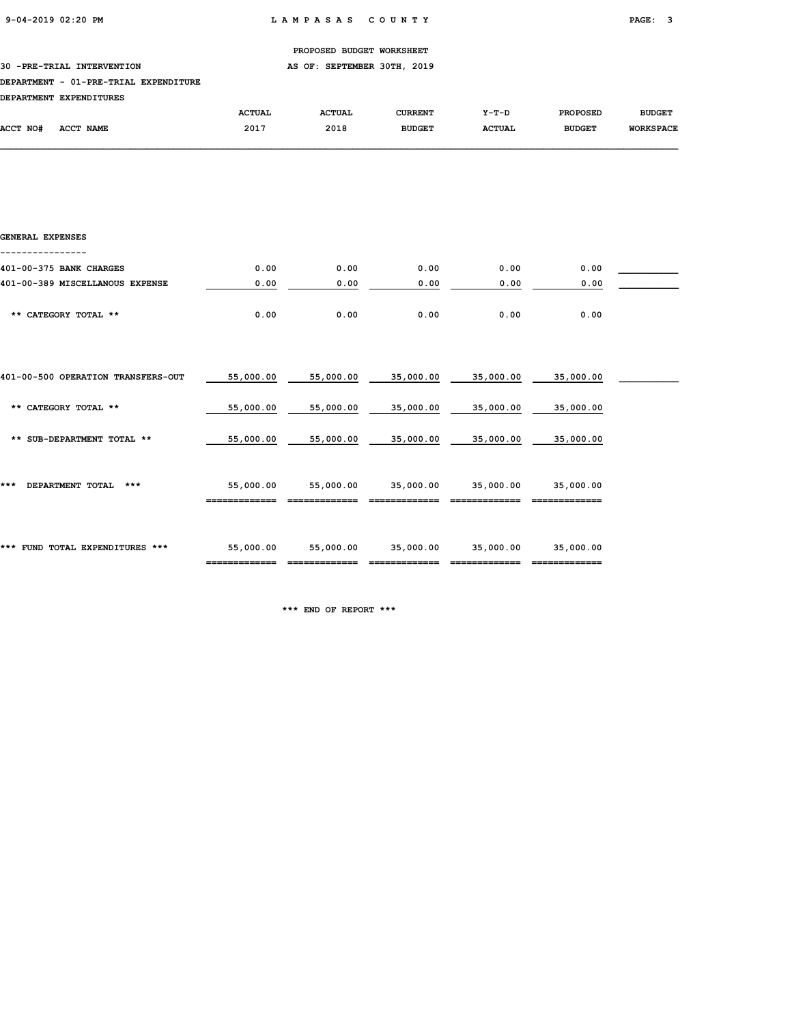30 -PRE-TRIAL INTERVENTION **AS OF: SEPTEMBER 30TH, 2019** 

#### DEPARTMENT - 01-PRE-TRIAL EXPENDITURE

| <b>DEPARTMENT</b> | <b>EXPENDITURES</b> |               |               |               |               |                 |                  |
|-------------------|---------------------|---------------|---------------|---------------|---------------|-----------------|------------------|
|                   |                     | <b>ACTUAL</b> | <b>ACTUAL</b> | CURRENT       | $Y-T-D$       | <b>PROPOSED</b> | <b>BUDGET</b>    |
| <b>ACCT NO#</b>   | ACCT NAME           | 2017          | 2018          | <b>BUDGET</b> | <b>ACTUAL</b> | <b>BUDGET</b>   | <b>WORKSPACE</b> |

| GENERAL EXPENSES                   |           |           |           |           |           |  |
|------------------------------------|-----------|-----------|-----------|-----------|-----------|--|
| 401-00-375 BANK CHARGES            | 0.00      | 0.00      | 0.00      | 0.00      | 0.00      |  |
| 401-00-389 MISCELLANOUS EXPENSE    | 0.00      | 0.00      | 0.00      | 0.00      | 0.00      |  |
| ** CATEGORY TOTAL **               | 0.00      | 0.00      | 0.00      | 0.00      | 0.00      |  |
| 401-00-500 OPERATION TRANSFERS-OUT | 55,000.00 | 55,000.00 | 35,000.00 | 35,000.00 | 35,000.00 |  |
| ** CATEGORY TOTAL **               | 55,000.00 | 55,000.00 | 35,000.00 | 35,000.00 | 35,000.00 |  |
| ** SUB-DEPARTMENT TOTAL **         | 55,000.00 | 55,000.00 | 35,000.00 | 35,000.00 | 35,000.00 |  |
| DEPARTMENT TOTAL<br>***<br>***     | 55,000.00 | 55,000.00 | 35,000.00 | 35,000.00 | 35,000.00 |  |
| *** FUND TOTAL EXPENDITURES ***    | 55,000.00 | 55,000.00 | 35,000.00 | 35,000.00 | 35,000.00 |  |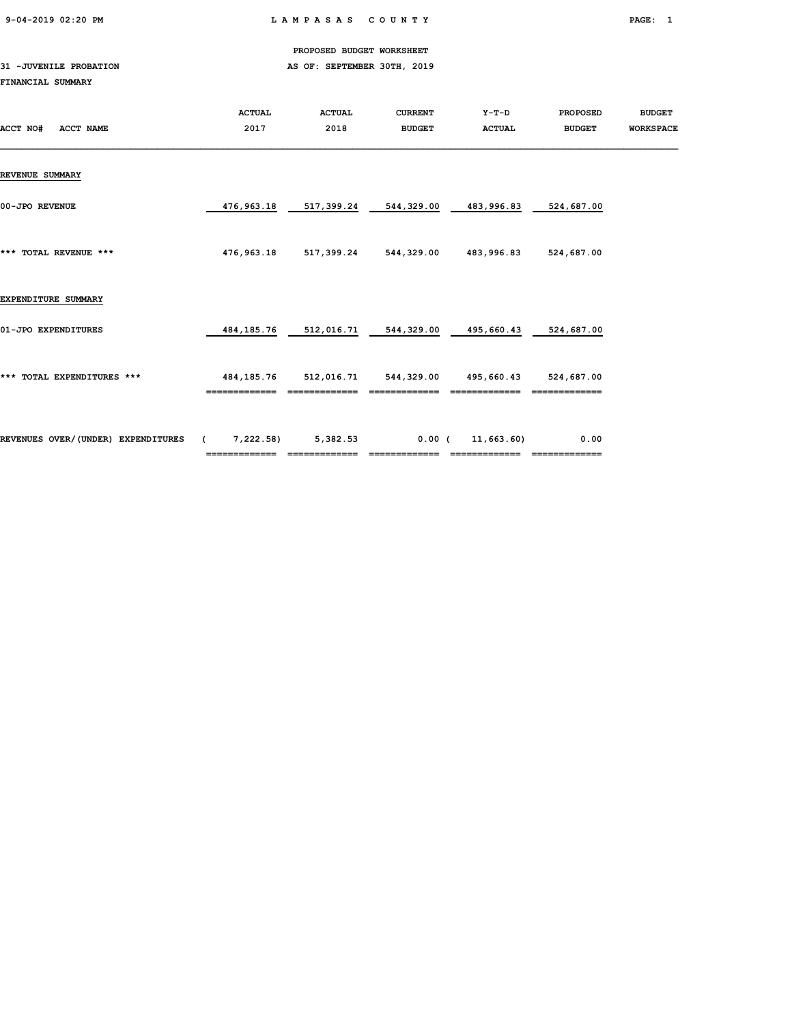9-04-2019 02:20 PM L A M P A S A S C O U N T Y PAGE: 1

PROPOSED BUDGET WORKSHEET

## 31 -JUVENILE PROBATION AS OF: SEPTEMBER 30TH, 2019 FINANCIAL SUMMARY

| ACCT NO#<br>ACCT NAME              | <b>ACTUAL</b><br>2017                       | <b>ACTUAL</b><br>2018 | <b>CURRENT</b><br><b>BUDGET</b> | Y-T-D<br><b>ACTUAL</b> | <b>PROPOSED</b><br><b>BUDGET</b> | <b>BUDGET</b><br><b>WORKSPACE</b> |
|------------------------------------|---------------------------------------------|-----------------------|---------------------------------|------------------------|----------------------------------|-----------------------------------|
| <b>REVENUE SUMMARY</b>             |                                             |                       |                                 |                        |                                  |                                   |
| 00-JPO REVENUE                     | 476,963.18                                  | 517,399.24            | 544,329.00                      | 483,996.83             | 524,687.00                       |                                   |
| *** TOTAL REVENUE ***              | 476,963.18                                  |                       | 517,399.24 544,329.00           | 483,996.83             | 524,687.00                       |                                   |
| EXPENDITURE SUMMARY                |                                             |                       |                                 |                        |                                  |                                   |
| 01-JPO EXPENDITURES                | 484,185.76                                  | 512,016.71            | 544,329.00                      | 495,660.43             | 524,687.00                       |                                   |
| *** TOTAL EXPENDITURES ***         | 484,185.76                                  | 512,016.71 544,329.00 |                                 | 495,660.43 524,687.00  |                                  |                                   |
| REVENUES OVER/(UNDER) EXPENDITURES | (7, 222.58)<br>============================ | 5,382.53              | 0.00(                           | 11,663.60)             | 0.00                             |                                   |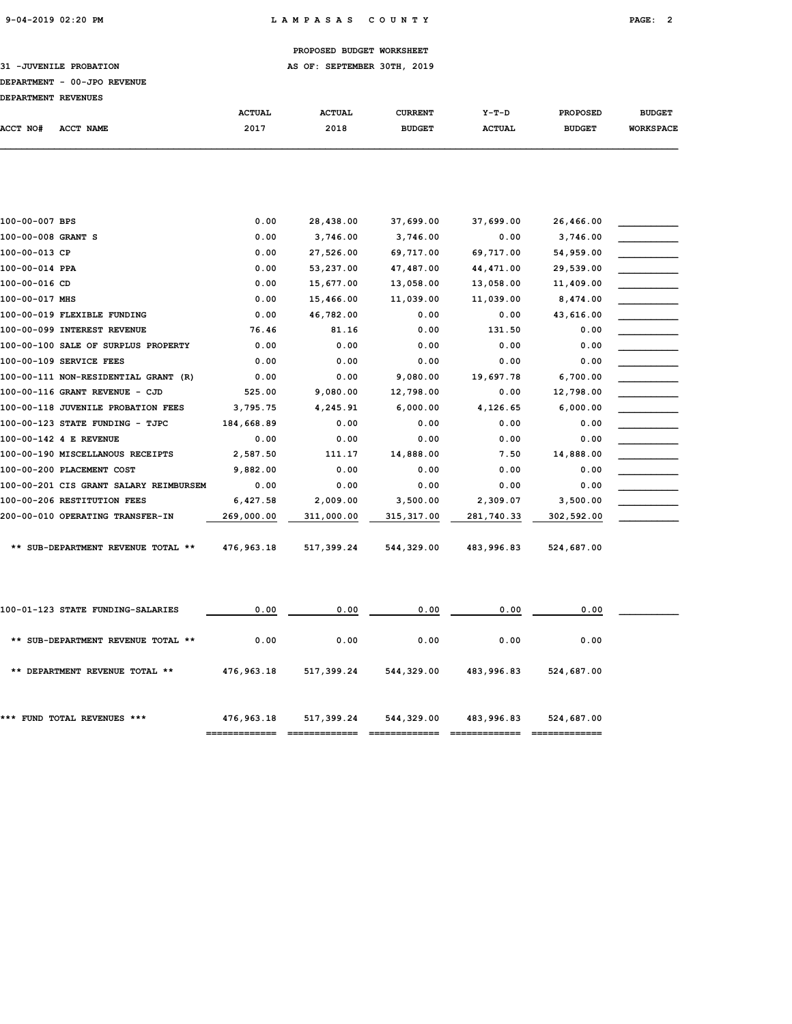31 -JUVENILE PROBATION **AS OF: SEPTEMBER 30TH, 2019** 

## DEPARTMENT - 00-JPO REVENUE

|  | VV UIV IVIVIIN |
|--|----------------|
|  |                |

| <b>DEPARTMENT REVENUES</b> |           |               |               |                |               |                 |                  |
|----------------------------|-----------|---------------|---------------|----------------|---------------|-----------------|------------------|
|                            |           | <b>ACTUAL</b> | <b>ACTUAL</b> | <b>CURRENT</b> | Y-T-D         | <b>PROPOSED</b> | <b>BUDGET</b>    |
| ACCT NO#                   | ACCT NAME | 2017          | 2018          | <b>BUDGET</b>  | <b>ACTUAL</b> | <b>BUDGET</b>   | <b>WORKSPACE</b> |
|                            |           |               |               |                |               |                 |                  |

| 100-00-007 BPS                         | 0.00       | 28,438.00  | 37,699.00   | 37,699.00  | 26,466.00  |  |
|----------------------------------------|------------|------------|-------------|------------|------------|--|
| 100-00-008 GRANT S                     | 0.00       | 3,746.00   | 3,746.00    | 0.00       | 3,746.00   |  |
| 100-00-013 CP                          | 0.00       | 27,526.00  | 69,717.00   | 69,717.00  | 54,959.00  |  |
| 100-00-014 PPA                         | 0.00       | 53,237.00  | 47,487.00   | 44, 471.00 | 29,539.00  |  |
| 100-00-016 CD                          | 0.00       | 15,677.00  | 13,058.00   | 13,058.00  | 11,409.00  |  |
| 100-00-017 MHS                         | 0.00       | 15,466.00  | 11,039.00   | 11,039.00  | 8,474.00   |  |
| 100-00-019 FLEXIBLE FUNDING            | 0.00       | 46,782.00  | 0.00        | 0.00       | 43,616.00  |  |
| 100-00-099 INTEREST REVENUE            | 76.46      | 81.16      | 0.00        | 131.50     | 0.00       |  |
| 100-00-100 SALE OF SURPLUS PROPERTY    | 0.00       | 0.00       | 0.00        | 0.00       | 0.00       |  |
| 100-00-109 SERVICE FEES                | 0.00       | 0.00       | 0.00        | 0.00       | 0.00       |  |
| 100-00-111 NON-RESIDENTIAL GRANT (R)   | 0.00       | 0.00       | 9,080.00    | 19,697.78  | 6,700.00   |  |
| 100-00-116 GRANT REVENUE - CJD         | 525.00     | 9,080.00   | 12,798.00   | 0.00       | 12,798.00  |  |
| 100-00-118 JUVENILE PROBATION FEES     | 3,795.75   | 4,245.91   | 6,000.00    | 4,126.65   | 6,000.00   |  |
| 100-00-123 STATE FUNDING - TJPC        | 184,668.89 | 0.00       | 0.00        | 0.00       | 0.00       |  |
| 100-00-142 4 E REVENUE                 | 0.00       | 0.00       | 0.00        | 0.00       | 0.00       |  |
| 100-00-190 MISCELLANOUS RECEIPTS       | 2,587.50   | 111.17     | 14,888.00   | 7.50       | 14,888.00  |  |
| 100-00-200 PLACEMENT COST              | 9,882.00   | 0.00       | 0.00        | 0.00       | 0.00       |  |
| 100-00-201 CIS GRANT SALARY REIMBURSEM | 0.00       | 0.00       | 0.00        | 0.00       | 0.00       |  |
| 100-00-206 RESTITUTION FEES            | 6,427.58   | 2,009.00   | 3,500.00    | 2,309.07   | 3,500.00   |  |
| 200-00-010 OPERATING TRANSFER-IN       | 269,000.00 | 311,000.00 | 315, 317.00 | 281,740.33 | 302,592.00 |  |
|                                        |            |            |             |            |            |  |
| ** SUB-DEPARTMENT REVENUE TOTAL **     | 476,963.18 | 517,399.24 | 544,329.00  | 483,996.83 | 524,687.00 |  |
|                                        |            |            |             |            |            |  |

|                                    | ------- <del>-----</del> - |            |            |            |            |  |
|------------------------------------|----------------------------|------------|------------|------------|------------|--|
| *** FUND TOTAL REVENUES ***        | 476,963.18                 | 517,399.24 | 544,329.00 | 483,996.83 | 524,687.00 |  |
| ** DEPARTMENT REVENUE TOTAL **     | 476,963.18                 | 517,399.24 | 544,329.00 | 483,996.83 | 524,687.00 |  |
| ** SUB-DEPARTMENT REVENUE TOTAL ** | 0.00                       | 0.00       | 0.00       | 0.00       | 0.00       |  |
| 100-01-123 STATE FUNDING-SALARIES  | 0.00                       | 0.00       | 0.00       | 0.00       | 0.00       |  |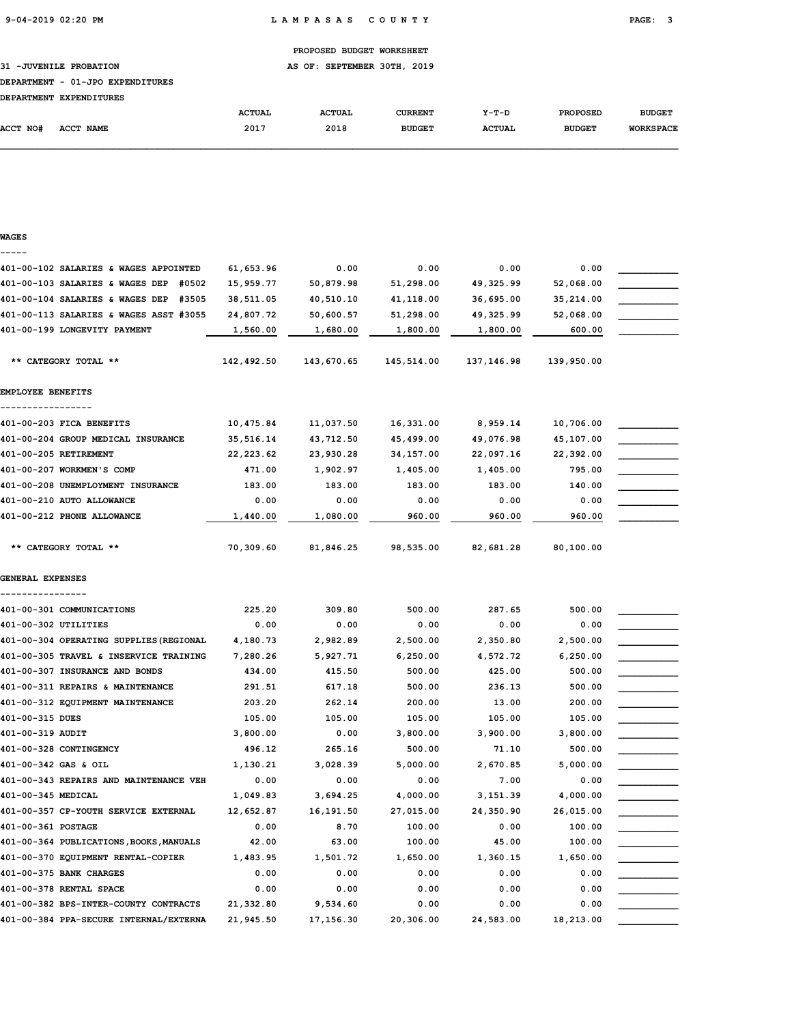| PROPOSED BUDGET WORKSHEET |  |
|---------------------------|--|
|                           |  |

31 -JUVENILE PROBATION **AS OF: SEPTEMBER 30TH, 2019** 

## DEPARTMENT - 01-JPO EXPENDITURES

| <b>DEPARTMENT</b> | <b>EXPENDITURES</b> |               |               |               |               |                 |                  |
|-------------------|---------------------|---------------|---------------|---------------|---------------|-----------------|------------------|
|                   |                     | <b>ACTUAL</b> | <b>ACTUAL</b> | CURRENT       | $Y-T-D$       | <b>PROPOSED</b> | <b>BUDGET</b>    |
| <b>ACCT NO#</b>   | <b>ACCT NAME</b>    | 2017          | 2018          | <b>BUDGET</b> | <b>ACTUAL</b> | <b>BUDGET</b>   | <b>WORKSPACE</b> |

| WAGES                                    |            |            |            |            |            |  |
|------------------------------------------|------------|------------|------------|------------|------------|--|
|                                          |            |            |            |            |            |  |
| 401-00-102 SALARIES & WAGES APPOINTED    | 61,653.96  | 0.00       | 0.00       | 0.00       | 0.00       |  |
| 401-00-103 SALARIES & WAGES DEP #0502    | 15,959.77  | 50,879.98  | 51,298.00  | 49,325.99  | 52,068.00  |  |
| 401-00-104 SALARIES & WAGES DEP<br>#3505 | 38,511.05  | 40,510.10  | 41,118.00  | 36,695.00  | 35,214.00  |  |
| 401-00-113 SALARIES & WAGES ASST #3055   | 24,807.72  | 50,600.57  | 51,298.00  | 49,325.99  | 52,068.00  |  |
| 401-00-199 LONGEVITY PAYMENT             | 1,560.00   | 1,680.00   | 1,800.00   | 1,800.00   | 600.00     |  |
| ** CATEGORY TOTAL **                     | 142,492.50 | 143,670.65 | 145,514.00 | 137,146.98 | 139,950.00 |  |
| <b>EMPLOYEE BENEFITS</b>                 |            |            |            |            |            |  |
| 401-00-203 FICA BENEFITS                 | 10,475.84  | 11,037.50  | 16,331.00  | 8,959.14   | 10,706.00  |  |
| 401-00-204 GROUP MEDICAL INSURANCE       | 35,516.14  | 43,712.50  | 45,499.00  | 49,076.98  | 45,107.00  |  |
| 401-00-205 RETIREMENT                    | 22, 223.62 | 23,930.28  | 34, 157.00 | 22,097.16  | 22,392.00  |  |
| 401-00-207 WORKMEN'S COMP                | 471.00     | 1,902.97   | 1,405.00   | 1,405.00   | 795.00     |  |
| 401-00-208 UNEMPLOYMENT INSURANCE        | 183.00     | 183.00     | 183.00     | 183.00     | 140.00     |  |
| 401-00-210 AUTO ALLOWANCE                | 0.00       | 0.00       | 0.00       | 0.00       | 0.00       |  |
| 401-00-212 PHONE ALLOWANCE               | 1,440.00   | 1,080.00   | 960.00     | 960.00     | 960.00     |  |
| ** CATEGORY TOTAL **                     | 70,309.60  | 81,846.25  | 98,535.00  | 82,681.28  | 80,100.00  |  |
| <b>GENERAL EXPENSES</b>                  |            |            |            |            |            |  |
|                                          |            |            |            |            |            |  |
| 401-00-301 COMMUNICATIONS                | 225.20     | 309.80     | 500.00     | 287.65     | 500.00     |  |
| 401-00-302 UTILITIES                     | 0.00       | 0.00       | 0.00       | 0.00       | 0.00       |  |
| 401-00-304 OPERATING SUPPLIES (REGIONAL  | 4,180.73   | 2,982.89   | 2,500.00   | 2,350.80   | 2,500.00   |  |
| 401-00-305 TRAVEL & INSERVICE TRAINING   | 7,280.26   | 5,927.71   | 6,250.00   | 4,572.72   | 6,250.00   |  |
| 401-00-307 INSURANCE AND BONDS           | 434.00     | 415.50     | 500.00     | 425.00     | 500.00     |  |
| 401-00-311 REPAIRS & MAINTENANCE         | 291.51     | 617.18     | 500.00     | 236.13     | 500.00     |  |
| 401-00-312 EQUIPMENT MAINTENANCE         | 203.20     | 262.14     | 200.00     | 13.00      | 200.00     |  |
| 401-00-315 DUES                          | 105.00     | 105.00     | 105.00     | 105.00     | 105.00     |  |
| 401-00-319 AUDIT                         | 3,800.00   | 0.00       | 3,800.00   | 3,900.00   | 3,800.00   |  |
| 401-00-328 CONTINGENCY                   | 496.12     | 265.16     | 500.00     | 71.10      | 500.00     |  |
| 401-00-342 GAS & OIL                     | 1,130.21   | 3,028.39   | 5,000.00   | 2,670.85   | 5,000.00   |  |
| 401-00-343 REPAIRS AND MAINTENANCE VEH   | 0.00       | 0.00       | 0.00       | 7.00       | 0.00       |  |
| 401-00-345 MEDICAL                       | 1,049.83   | 3,694.25   | 4,000.00   | 3,151.39   | 4,000.00   |  |
| 401-00-357 CP-YOUTH SERVICE EXTERNAL     | 12,652.87  | 16,191.50  | 27,015.00  | 24,350.90  | 26,015.00  |  |
| 401-00-361 POSTAGE                       | 0.00       | 8.70       | 100.00     | 0.00       | 100.00     |  |
| 401-00-364 PUBLICATIONS, BOOKS, MANUALS  | 42.00      | 63.00      | 100.00     | 45.00      | 100.00     |  |
| 401-00-370 EQUIPMENT RENTAL-COPIER       | 1,483.95   | 1,501.72   | 1,650.00   | 1,360.15   | 1,650.00   |  |
| 401-00-375 BANK CHARGES                  | 0.00       | 0.00       | 0.00       | 0.00       | 0.00       |  |
| 401-00-378 RENTAL SPACE                  | 0.00       | 0.00       | 0.00       | 0.00       | 0.00       |  |
| 401-00-382 BPS-INTER-COUNTY CONTRACTS    | 21,332.80  | 9,534.60   | 0.00       | 0.00       | 0.00       |  |
| 401-00-384 PPA-SECURE INTERNAL/EXTERNA   | 21,945.50  | 17, 156.30 | 20,306.00  | 24,583.00  | 18,213.00  |  |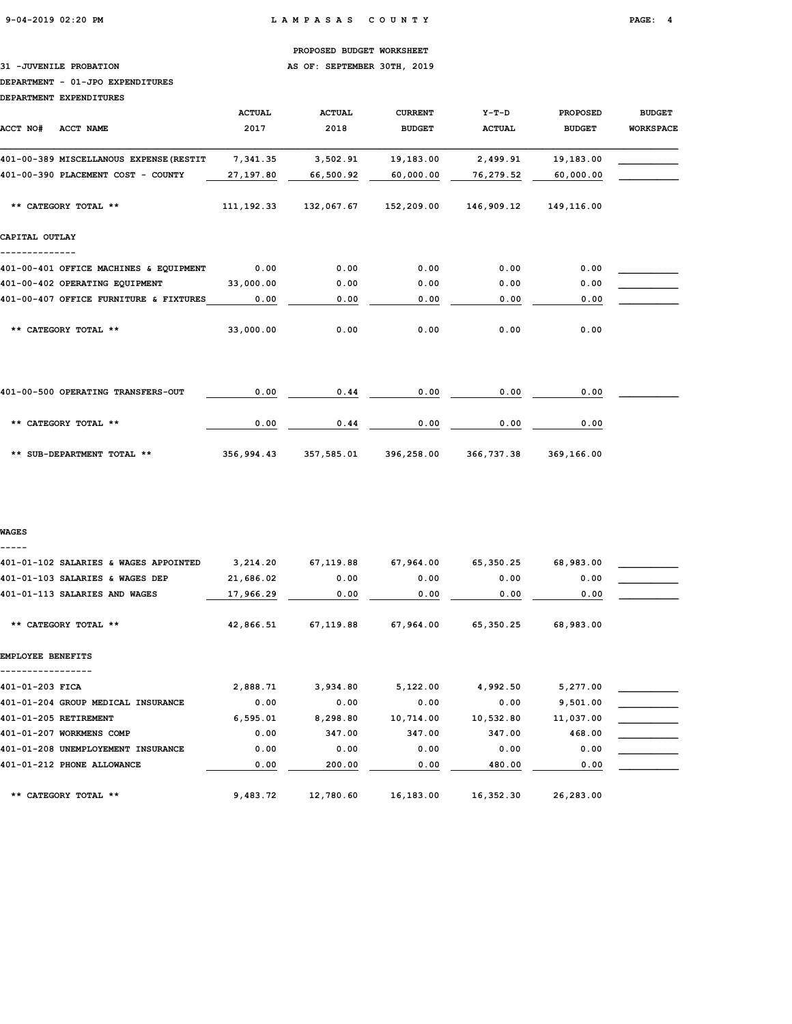## 31 -JUVENILE PROBATION **AS OF: SEPTEMBER 30TH, 2019**

#### DEPARTMENT - 01-JPO EXPENDITURES

DEPARTMENT EXPENDITURES

| ACCT NO#<br><b>ACCT NAME</b>            | <b>ACTUAL</b><br>2017 | <b>ACTUAL</b><br>2018 | <b>CURRENT</b><br><b>BUDGET</b> | $Y-T-D$<br><b>ACTUAL</b> | <b>PROPOSED</b><br><b>BUDGET</b> | <b>BUDGET</b><br><b>WORKSPACE</b> |
|-----------------------------------------|-----------------------|-----------------------|---------------------------------|--------------------------|----------------------------------|-----------------------------------|
| 401-00-389 MISCELLANOUS EXPENSE (RESTIT | 7,341.35              | 3,502.91              | 19,183.00                       | 2,499.91                 | 19,183.00                        |                                   |
| 401-00-390 PLACEMENT COST - COUNTY      | 27,197.80             | 66,500.92             | 60,000.00                       | 76,279.52                | 60,000.00                        |                                   |
| ** CATEGORY TOTAL **                    | 111, 192. 33          | 132,067.67            | 152,209.00                      | 146,909.12               | 149,116.00                       |                                   |
| CAPITAL OUTLAY                          |                       |                       |                                 |                          |                                  |                                   |
| 401-00-401 OFFICE MACHINES & EQUIPMENT  | 0.00                  | 0.00                  | 0.00                            | 0.00                     | 0.00                             |                                   |
| 401-00-402 OPERATING EQUIPMENT          | 33,000.00             | 0.00                  | 0.00                            | 0.00                     | 0.00                             |                                   |
| 401-00-407 OFFICE FURNITURE & FIXTURES  | 0.00                  | 0.00                  | 0.00                            | 0.00                     | 0.00                             |                                   |
| ** CATEGORY TOTAL **                    | 33,000.00             | 0.00                  | 0.00                            | 0.00                     | 0.00                             |                                   |
| 401-00-500 OPERATING TRANSFERS-OUT      | 0.00                  | 0.44                  | 0.00                            | 0.00                     | 0.00                             |                                   |
| ** CATEGORY TOTAL **                    | 0.00                  | 0.44                  | 0.00                            | 0.00                     | 0.00                             |                                   |

\*\* SUB-DEPARTMENT TOTAL \*\* 356,994.43 357,585.01 396,258.00 366,737.38 369,166.00

#### WAGES

-----

| 401-01-102 SALARIES & WAGES APPOINTED | 3,214.20  | 67,119.88 | 67,964.00 | 65,350.25 | 68,983.00 |  |
|---------------------------------------|-----------|-----------|-----------|-----------|-----------|--|
| 401-01-103 SALARIES & WAGES DEP       | 21,686.02 | 0.00      | 0.00      | 0.00      | 0.00      |  |
| 401-01-113 SALARIES AND WAGES         | 17,966.29 | 0.00      | 0.00      | 0.00      | 0.00      |  |
| ** CATEGORY TOTAL **                  | 42,866.51 | 67,119.88 | 67,964.00 | 65,350.25 | 68,983.00 |  |
| EMPLOYEE BENEFITS                     |           |           |           |           |           |  |
| 401-01-203 FICA                       | 2,888.71  | 3,934.80  | 5,122.00  | 4,992.50  | 5,277.00  |  |
| 401-01-204 GROUP MEDICAL INSURANCE    | 0.00      | 0.00      | 0.00      | 0.00      | 9,501.00  |  |
| 401-01-205 RETIREMENT                 | 6,595.01  | 8,298.80  | 10,714.00 | 10,532.80 | 11,037.00 |  |
| 401-01-207 WORKMENS COMP              | 0.00      | 347.00    | 347.00    | 347.00    | 468.00    |  |
| 401-01-208 UNEMPLOYEMENT INSURANCE    | 0.00      | 0.00      | 0.00      | 0.00      | 0.00      |  |
| 401-01-212 PHONE ALLOWANCE            | 0.00      | 200.00    | 0.00      | 480.00    | 0.00      |  |
| ** CATEGORY TOTAL **                  | 9,483.72  | 12,780.60 | 16,183.00 | 16,352.30 | 26,283.00 |  |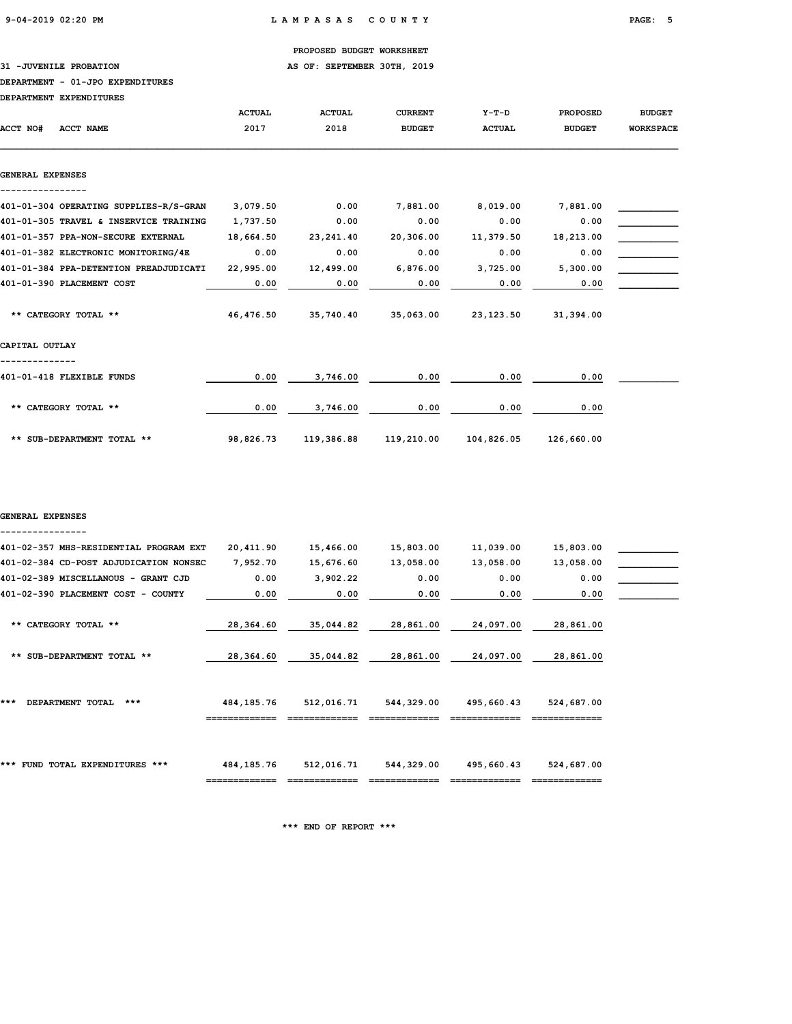31 -JUVENILE PROBATION **AS OF: SEPTEMBER 30TH, 2019** 

#### DEPARTMENT - 01-JPO EXPENDITURES

|                       | DEPARTMENT EXPENDITURES                |               |               |                |               |                 |                  |
|-----------------------|----------------------------------------|---------------|---------------|----------------|---------------|-----------------|------------------|
|                       |                                        | <b>ACTUAL</b> | <b>ACTUAL</b> | <b>CURRENT</b> | $Y-T-D$       | <b>PROPOSED</b> | <b>BUDGET</b>    |
| ACCT NO#<br>ACCT NAME |                                        | 2017          | 2018          | <b>BUDGET</b>  | <b>ACTUAL</b> | <b>BUDGET</b>   | <b>WORKSPACE</b> |
| GENERAL EXPENSES      |                                        |               |               |                |               |                 |                  |
|                       |                                        |               |               |                |               |                 |                  |
|                       | 401-01-304 OPERATING SUPPLIES-R/S-GRAN | 3,079.50      | 0.00          | 7,881.00       | 8,019.00      | 7,881.00        |                  |
|                       | 401-01-305 TRAVEL & INSERVICE TRAINING | 1,737.50      | 0.00          | 0.00           | 0.00          | 0.00            |                  |
|                       | 401-01-357 PPA-NON-SECURE EXTERNAL     | 18,664.50     | 23,241.40     | 20,306.00      | 11,379.50     | 18,213.00       |                  |
|                       | 401-01-382 ELECTRONIC MONITORING/4E    | 0.00          | 0.00          | 0.00           | 0.00          | 0.00            |                  |
|                       | 401-01-384 PPA-DETENTION PREADJUDICATI | 22,995.00     | 12,499.00     | 6,876.00       | 3,725.00      | 5,300.00        |                  |
|                       | 401-01-390 PLACEMENT COST              | 0.00          | 0.00          | 0.00           | 0.00          | 0.00            |                  |
|                       | ** CATEGORY TOTAL **                   | 46,476.50     | 35,740.40     | 35,063.00      | 23,123.50     | 31,394.00       |                  |
| CAPITAL OUTLAY        |                                        |               |               |                |               |                 |                  |
|                       | 401-01-418 FLEXIBLE FUNDS              | 0.00          | 3,746.00      | 0.00           | 0.00          | 0.00            |                  |
|                       | ** CATEGORY TOTAL **                   | 0.00          | 3,746.00      | 0.00           | 0.00          | 0.00            |                  |
|                       | ** SUB-DEPARTMENT TOTAL **             | 98,826.73     | 119,386.88    | 119,210.00     | 104,826.05    | 126,660.00      |                  |

## GENERAL EXPENSES ----------------

| 401-02-357 MHS-RESIDENTIAL PROGRAM EXT | 20,411.90    | 15,466.00  | 15,803.00  | 11,039.00  | 15,803.00  |  |
|----------------------------------------|--------------|------------|------------|------------|------------|--|
| 401-02-384 CD-POST ADJUDICATION NONSEC | 7,952.70     | 15,676.60  | 13,058.00  | 13,058.00  | 13,058.00  |  |
| 401-02-389 MISCELLANOUS - GRANT CJD    | 0.00         | 3,902.22   | 0.00       | 0.00       | 0.00       |  |
| 401-02-390 PLACEMENT COST - COUNTY     | 0.00         | 0.00       | 0.00       | 0.00       | 0.00       |  |
|                                        |              |            |            |            |            |  |
| ** CATEGORY TOTAL **                   | 28,364.60    | 35,044.82  | 28,861.00  | 24,097.00  | 28,861.00  |  |
|                                        |              |            |            |            |            |  |
| ** SUB-DEPARTMENT TOTAL **             | 28,364.60    | 35,044.82  | 28,861.00  | 24,097.00  | 28,861.00  |  |
|                                        |              |            |            |            |            |  |
|                                        |              |            |            |            |            |  |
| ***<br>$***$                           |              |            |            |            |            |  |
| DEPARTMENT TOTAL                       | 484, 185. 76 | 512,016.71 | 544,329.00 | 495,660.43 | 524,687.00 |  |
|                                        | ____________ |            |            |            |            |  |
|                                        |              |            |            |            |            |  |
|                                        |              |            |            |            |            |  |
| *** FUND TOTAL EXPENDITURES ***        | 484, 185. 76 | 512,016.71 | 544,329.00 | 495,660.43 | 524,687.00 |  |
|                                        |              |            |            |            |            |  |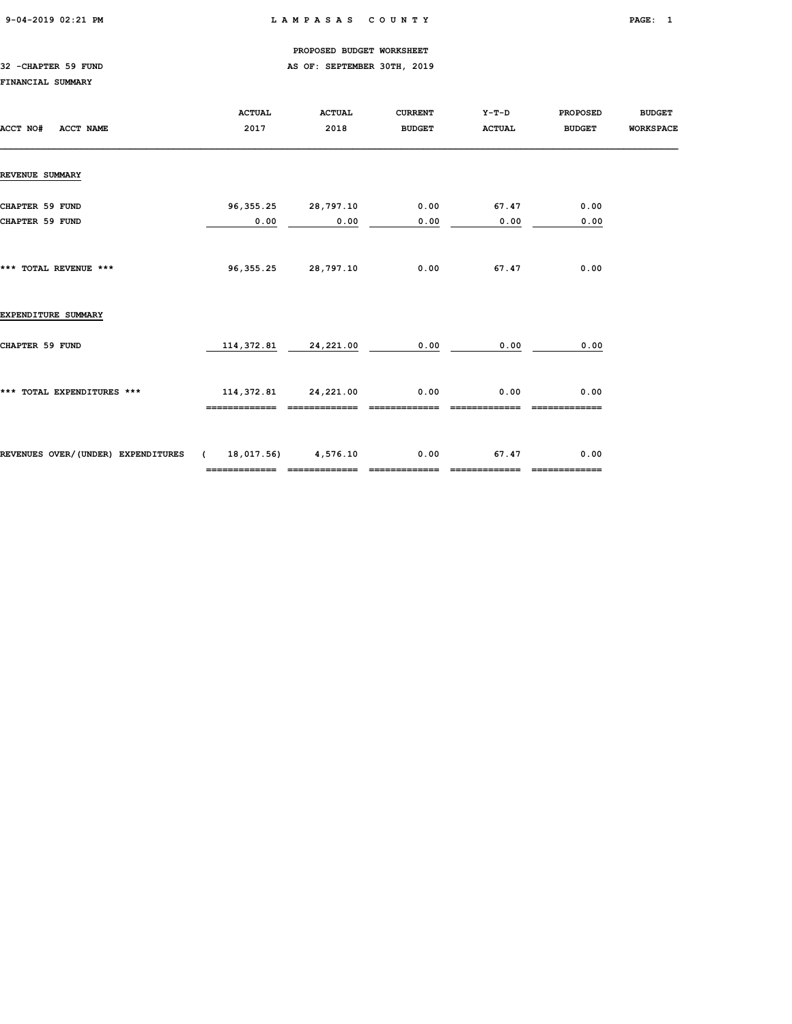## 9-04-2019 02:21 PM L A M P A S A S C O U N T Y PAGE: 1

## PROPOSED BUDGET WORKSHEET

## 32 -CHAPTER 59 FUND **AS OF: SEPTEMBER 30TH, 2019**

## FINANCIAL SUMMARY

| ACCT NO#<br>ACCT NAME                                   | <b>ACTUAL</b><br>2017 | <b>ACTUAL</b><br>2018                   | <b>CURRENT</b><br><b>BUDGET</b> | Y-T-D<br><b>ACTUAL</b> | <b>PROPOSED</b><br><b>BUDGET</b> | <b>BUDGET</b><br><b>WORKSPACE</b> |
|---------------------------------------------------------|-----------------------|-----------------------------------------|---------------------------------|------------------------|----------------------------------|-----------------------------------|
| <b>REVENUE SUMMARY</b>                                  |                       |                                         |                                 |                        |                                  |                                   |
| <b>CHAPTER 59 FUND</b><br>CHAPTER 59 FUND               | 96,355.25<br>0.00     | 28,797.10<br>0.00                       | 0.00<br>0.00                    | 67.47<br>0.00          | 0.00<br>0.00                     |                                   |
| *** TOTAL REVENUE ***                                   | 96,355.25             | 28,797.10                               | 0.00                            | 67.47                  | 0.00                             |                                   |
| EXPENDITURE SUMMARY                                     |                       |                                         |                                 |                        |                                  |                                   |
| CHAPTER 59 FUND                                         |                       | 114, 372.81 24, 221.00                  | 0.00                            | 0.00                   | 0.00                             |                                   |
| *** TOTAL EXPENDITURES ***                              | -------------         | 114, 372.81 24, 221.00<br>------------- | 0.00<br>-------------           | 0.00                   | 0.00<br>-------------            |                                   |
| REVENUES OVER/(UNDER) EXPENDITURES (18,017.56) 4,576.10 | =============         | =============                           | 0.00<br>=============           | 67.47<br>============= | 0.00<br>-------------            |                                   |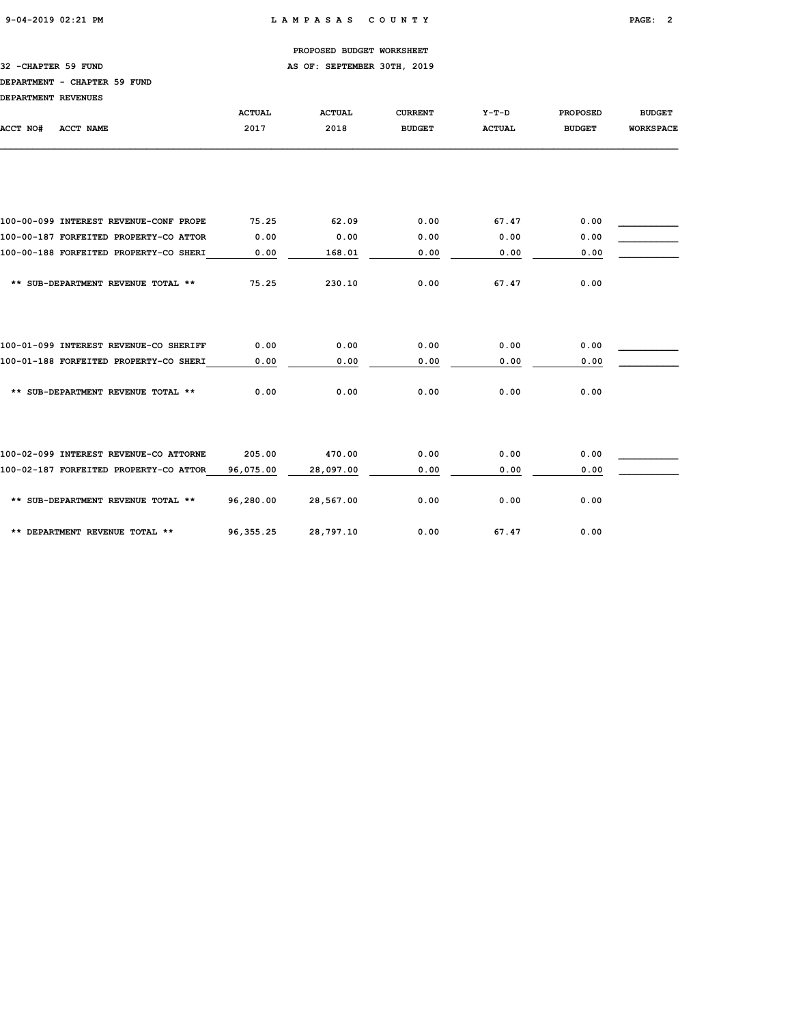32 -CHAPTER 59 FUND **AS OF: SEPTEMBER 30TH, 2019** 

## DEPARTMENT - CHAPTER 59 FUND

| DEPARTMENT REVENUES                    |               |               |                |               |                 |                  |
|----------------------------------------|---------------|---------------|----------------|---------------|-----------------|------------------|
|                                        | <b>ACTUAL</b> | <b>ACTUAL</b> | <b>CURRENT</b> | $Y-T-D$       | <b>PROPOSED</b> | <b>BUDGET</b>    |
| ACCT NO#<br><b>ACCT NAME</b>           | 2017          | 2018          | <b>BUDGET</b>  | <b>ACTUAL</b> | <b>BUDGET</b>   | <b>WORKSPACE</b> |
|                                        |               |               |                |               |                 |                  |
| 100-00-099 INTEREST REVENUE-CONF PROPE | 75.25         | 62.09         | 0.00           | 67.47         | 0.00            |                  |
| 100-00-187 FORFEITED PROPERTY-CO ATTOR | 0.00          | 0.00          | 0.00           | 0.00          | 0.00            |                  |
| 100-00-188 FORFEITED PROPERTY-CO SHERI | 0.00          | 168.01        | 0.00           | 0.00          | 0.00            |                  |
| ** SUB-DEPARTMENT REVENUE TOTAL **     | 75.25         | 230.10        | 0.00           | 67.47         | 0.00            |                  |
| 100-01-099 INTEREST REVENUE-CO SHERIFF | 0.00          | 0.00          | 0.00           | 0.00          | 0.00            |                  |
| 100-01-188 FORFEITED PROPERTY-CO SHERI | 0.00          | 0.00          | 0.00           | 0.00          | 0.00            |                  |
| ** SUB-DEPARTMENT REVENUE TOTAL **     | 0.00          | 0.00          | 0.00           | 0.00          | 0.00            |                  |
| 100-02-099 INTEREST REVENUE-CO ATTORNE | 205.00        | 470.00        | 0.00           | 0.00          | 0.00            |                  |
| 100-02-187 FORFEITED PROPERTY-CO ATTOR | 96,075.00     | 28,097.00     | 0.00           | 0.00          | 0.00            |                  |
| ** SUB-DEPARTMENT REVENUE TOTAL **     | 96,280.00     | 28,567.00     | 0.00           | 0.00          | 0.00            |                  |
| ** DEPARTMENT REVENUE TOTAL **         | 96, 355.25    | 28,797.10     | 0.00           | 67.47         | 0.00            |                  |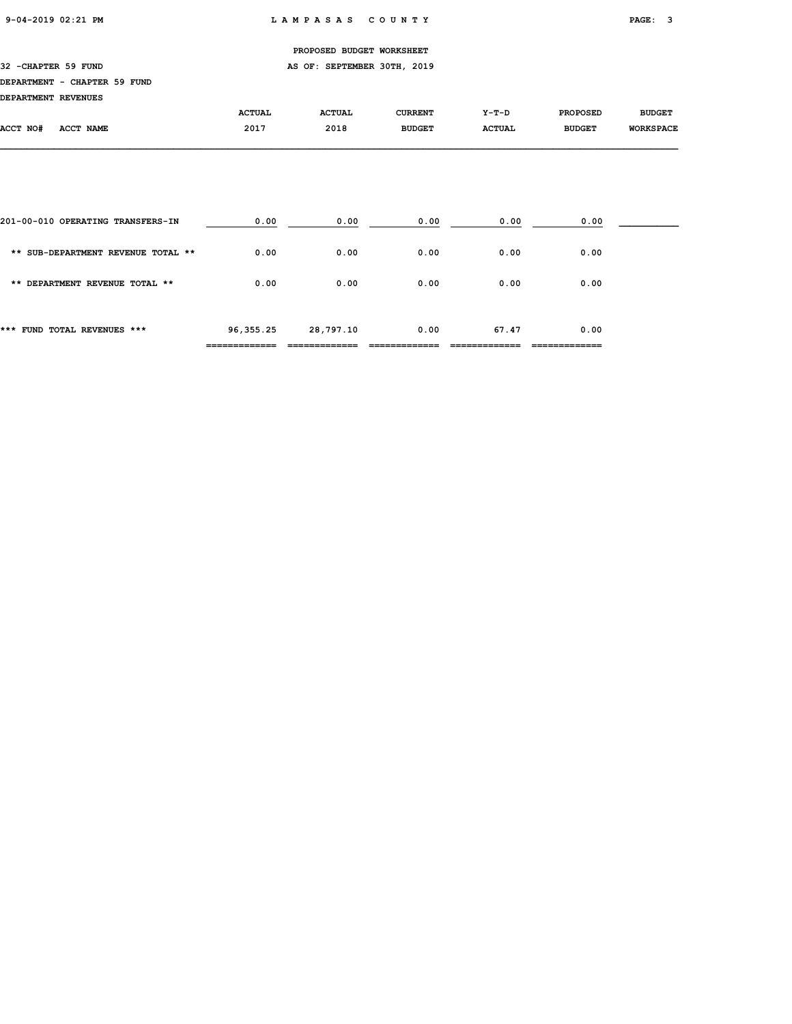32 -CHAPTER 59 FUND **AS OF: SEPTEMBER 30TH, 2019** 

## DEPARTMENT - CHAPTER 59 FUND

| DEPARTMENT REVENUES |  |
|---------------------|--|
|                     |  |

| DEFARIMENI REVENUES |                  |               |               |                |               |                 |                  |
|---------------------|------------------|---------------|---------------|----------------|---------------|-----------------|------------------|
|                     |                  | <b>ACTUAL</b> | <b>ACTUAL</b> | <b>CURRENT</b> | $Y-T-D$       | <b>PROPOSED</b> | <b>BUDGET</b>    |
| ACCT NO#            | <b>ACCT NAME</b> | 2017          | 2018          | <b>BUDGET</b>  | <b>ACTUAL</b> | <b>BUDGET</b>   | <b>WORKSPACE</b> |
|                     |                  |               |               |                |               |                 |                  |

| *** FUND TOTAL REVENUES ***        | 96,355.25 | 28,797.10 | 0.00 | 67.47 | 0.00 |  |
|------------------------------------|-----------|-----------|------|-------|------|--|
| ** DEPARTMENT REVENUE TOTAL **     | 0.00      | 0.00      | 0.00 | 0.00  | 0.00 |  |
| ** SUB-DEPARTMENT REVENUE TOTAL ** | 0.00      | 0.00      | 0.00 | 0.00  | 0.00 |  |
| 201-00-010 OPERATING TRANSFERS-IN  | 0.00      | 0.00      | 0.00 | 0.00  | 0.00 |  |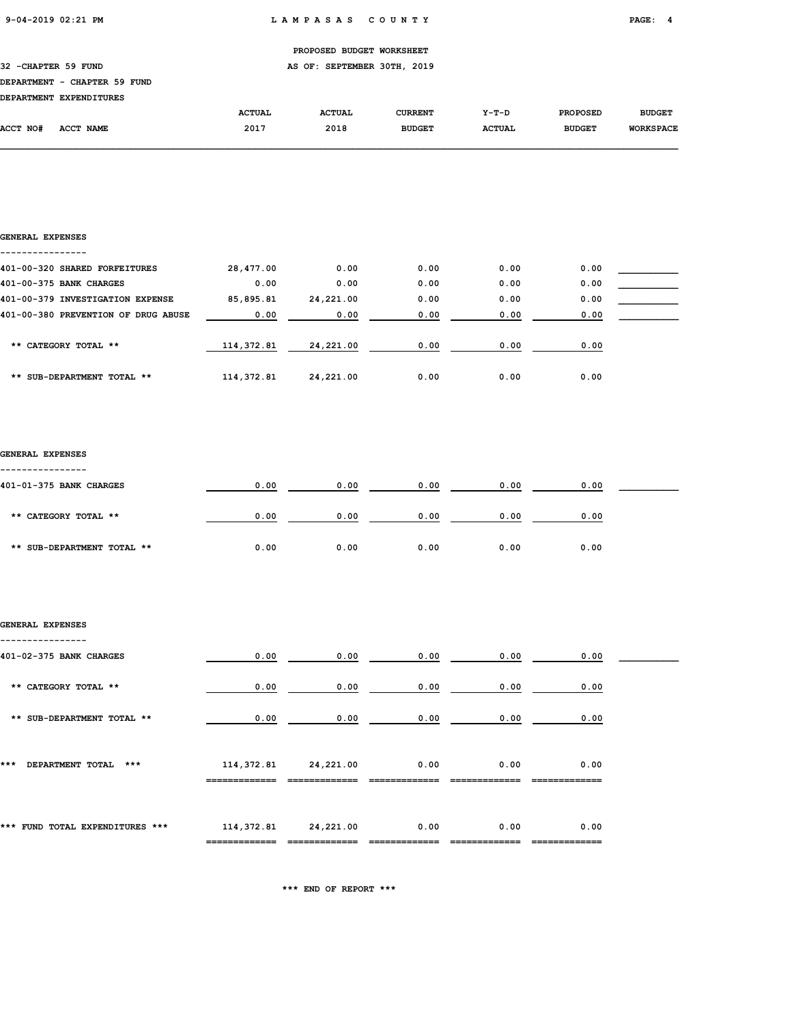| PROPOSED BUDGET WORKSHEET |
|---------------------------|
|                           |

32 -CHAPTER 59 FUND **AS OF: SEPTEMBER 30TH, 2019** 

## DEPARTMENT - CHAPTER 59 FUND

|          | DEPARTMENT EXPENDITURES |               |               |                |               |                 |                  |
|----------|-------------------------|---------------|---------------|----------------|---------------|-----------------|------------------|
|          |                         | <b>ACTUAL</b> | <b>ACTUAL</b> | <b>CURRENT</b> | Y-T-D         | <b>PROPOSED</b> | <b>BUDGET</b>    |
| ACCT NO# | ACCT NAME               | 2017          | 2018          | <b>BUDGET</b>  | <b>ACTUAL</b> | <b>BUDGET</b>   | <b>WORKSPACE</b> |

## GENERAL EXPENSES

| 401-00-320 SHARED FORFEITURES       | 28,477.00   | 0.00      | 0.00 | 0.00 | 0.00 |  |
|-------------------------------------|-------------|-----------|------|------|------|--|
| 401-00-375 BANK CHARGES             | 0.00        | 0.00      | 0.00 | 0.00 | 0.00 |  |
| 401-00-379 INVESTIGATION EXPENSE    | 85,895.81   | 24,221.00 | 0.00 | 0.00 | 0.00 |  |
| 401-00-380 PREVENTION OF DRUG ABUSE | 0.00        | 0.00      | 0.00 | 0.00 | 0.00 |  |
| ** CATEGORY TOTAL **                | 114,372.81  | 24,221.00 | 0.00 | 0.00 | 0.00 |  |
|                                     |             |           |      |      |      |  |
| ** SUB-DEPARTMENT TOTAL **          | 114, 372.81 | 24,221.00 | 0.00 | 0.00 | 0.00 |  |

## GENERAL EXPENSES

| 401-01-375 BANK CHARGES    | 0.00 | 0.00 | 0.00 | 0.00 | 0.00 |  |
|----------------------------|------|------|------|------|------|--|
|                            |      |      |      |      |      |  |
| ** CATEGORY TOTAL **       | 0.00 | 0.00 | 0.00 | 0.00 | 0.00 |  |
|                            |      |      |      |      |      |  |
| ** SUB-DEPARTMENT TOTAL ** | 0.00 | 0.00 | 0.00 | 0.00 | 0.00 |  |

## GENERAL EXPENSES ----------------

| 401-02-375 BANK CHARGES         | 0.00       | 0.00      | 0.00 | 0.00 | 0.00 |  |
|---------------------------------|------------|-----------|------|------|------|--|
| ** CATEGORY TOTAL **            | 0.00       | 0.00      | 0.00 | 0.00 | 0.00 |  |
| ** SUB-DEPARTMENT TOTAL **      | 0.00       | 0.00      | 0.00 | 0.00 | 0.00 |  |
| ***<br>DEPARTMENT TOTAL<br>***  | 114,372.81 | 24,221.00 | 0.00 | 0.00 | 0.00 |  |
| *** FUND TOTAL EXPENDITURES *** | 114,372.81 | 24,221.00 | 0.00 | 0.00 | 0.00 |  |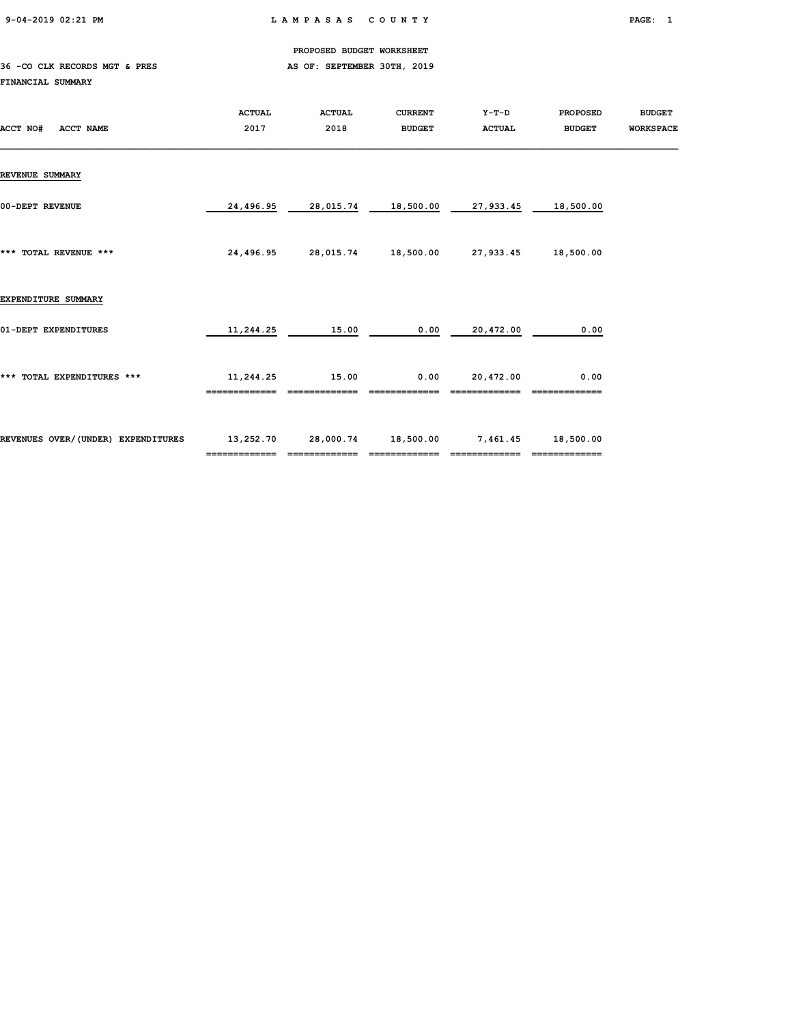9-04-2019 02:21 PM L A M P A S A S C O U N T Y PAGE: 1

PROPOSED BUDGET WORKSHEET

## 36 -CO CLK RECORDS MGT & PRES AS OF: SEPTEMBER 30TH, 2019 FINANCIAL SUMMARY

| ACCT NO#<br><b>ACCT NAME</b>       | <b>ACTUAL</b><br>2017 | <b>ACTUAL</b><br>2018 | <b>CURRENT</b><br><b>BUDGET</b> | Y-T-D<br><b>ACTUAL</b> | <b>PROPOSED</b><br><b>BUDGET</b> | <b>BUDGET</b><br><b>WORKSPACE</b> |
|------------------------------------|-----------------------|-----------------------|---------------------------------|------------------------|----------------------------------|-----------------------------------|
| <b>REVENUE SUMMARY</b>             |                       |                       |                                 |                        |                                  |                                   |
| 00-DEPT REVENUE                    | 24,496.95             | 28,015.74             | 18,500.00                       | 27,933.45              | 18,500.00                        |                                   |
| *** TOTAL REVENUE ***              | 24,496.95             |                       | 28,015.74 18,500.00             | 27,933.45              | 18,500.00                        |                                   |
| EXPENDITURE SUMMARY                |                       |                       |                                 |                        |                                  |                                   |
| 01-DEPT EXPENDITURES               | 11,244.25             | 15.00                 | 0.00                            | 20,472.00              | 0.00                             |                                   |
| *** TOTAL EXPENDITURES ***         | 11,244.25             | 15.00                 | 0.00                            | 20,472.00              | 0.00                             |                                   |
| REVENUES OVER/(UNDER) EXPENDITURES | 13,252.70             | 28,000.74             | 18,500.00                       | 7,461.45               | 18,500.00<br>=============       |                                   |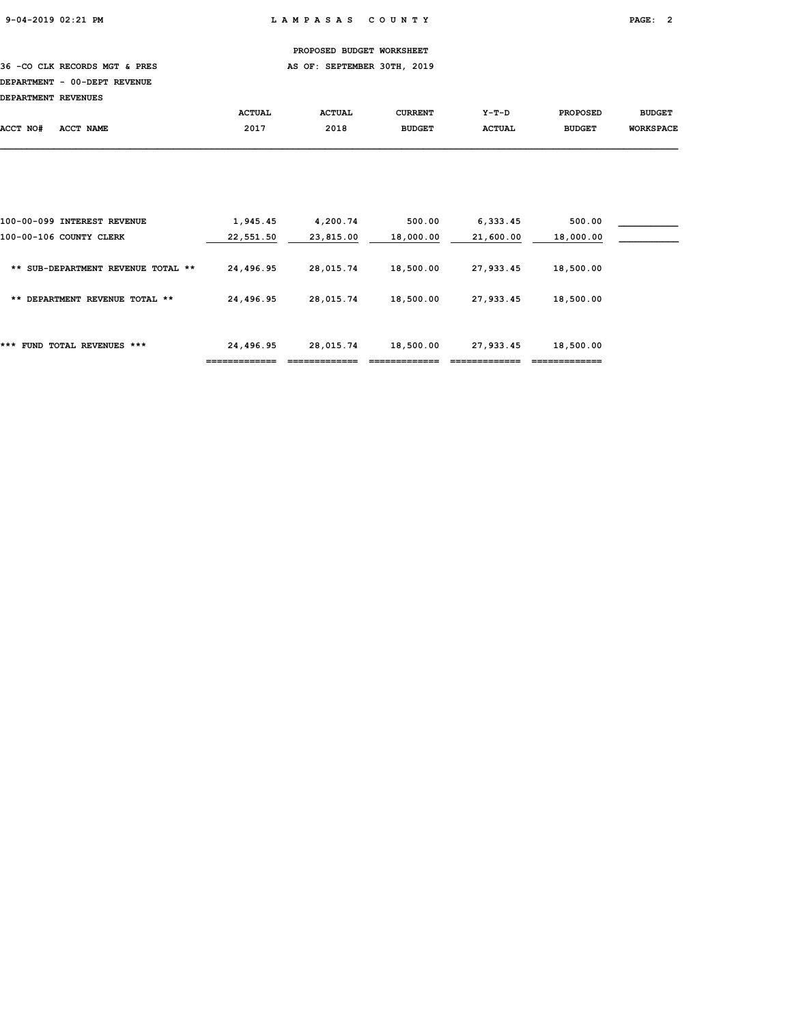36 -CO CLK RECORDS MGT & PRES AS OF: SEPTEMBER 30TH, 2019

# DEPARTMENT - 00-DEPT REVENUE

| <b>DEPARTMENT REVENUES</b> |           |               |               |               |               |                 |                  |
|----------------------------|-----------|---------------|---------------|---------------|---------------|-----------------|------------------|
|                            |           | <b>ACTUAL</b> | <b>ACTUAL</b> | CURRENT       | $Y-T-D$       | <b>PROPOSED</b> | <b>BUDGET</b>    |
| ACCT NO#                   | ACCT NAME | 2017          | 2018          | <b>BUDGET</b> | <b>ACTUAL</b> | <b>BUDGET</b>   | <b>WORKSPACE</b> |

| FUND TOTAL REVENUES ***<br>***                         | 24,496.95             | 28,015.74             | 18,500.00           | 27,933.45             | 18,500.00           |  |
|--------------------------------------------------------|-----------------------|-----------------------|---------------------|-----------------------|---------------------|--|
| DEPARTMENT REVENUE TOTAL **<br>**                      | 24,496.95             | 28,015.74             | 18,500.00           | 27,933.45             | 18,500.00           |  |
| SUB-DEPARTMENT REVENUE TOTAL **<br>**                  | 24,496.95             | 28,015.74             | 18,500.00           | 27,933.45             | 18,500.00           |  |
| 100-00-099 INTEREST REVENUE<br>100-00-106 COUNTY CLERK | 1,945.45<br>22,551.50 | 4,200.74<br>23,815.00 | 500.00<br>18,000.00 | 6,333.45<br>21,600.00 | 500.00<br>18,000.00 |  |
|                                                        |                       |                       |                     |                       |                     |  |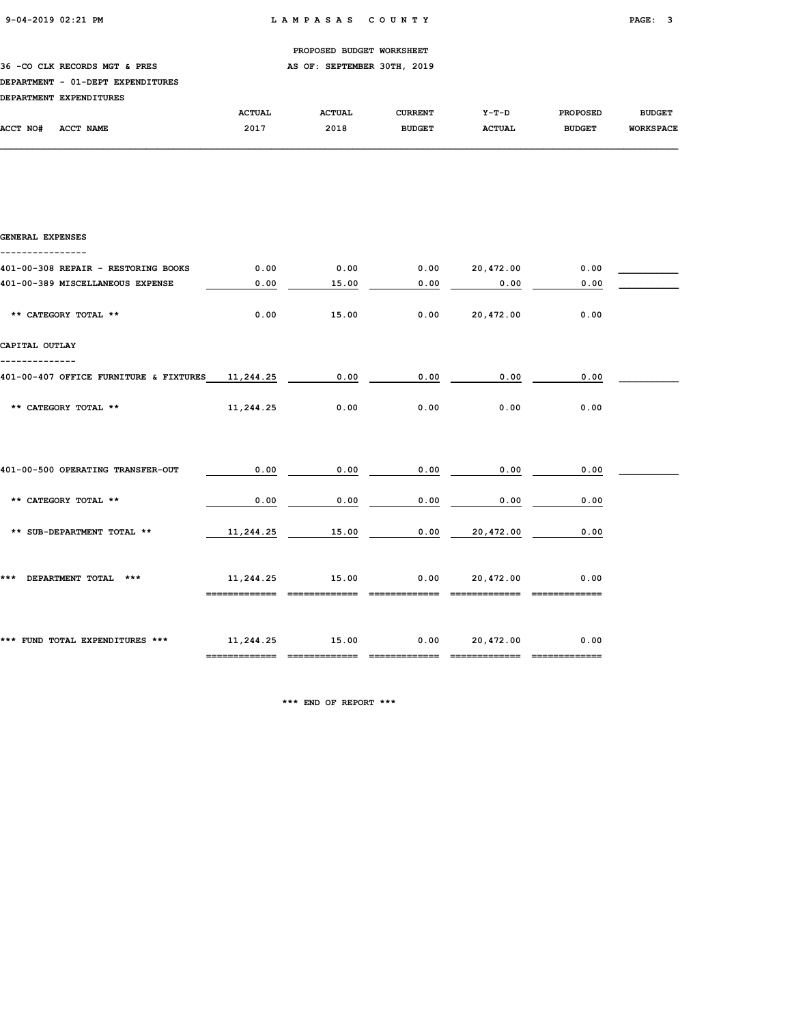## 36 -CO CLK RECORDS MGT & PRES AS OF: SEPTEMBER 30TH, 2019

## DEPARTMENT - 01-DEPT EXPENDITURES

| <b>DEPARTMENT</b> | <b>EXPENDITURES</b> |               |               |                |               |                 |                  |
|-------------------|---------------------|---------------|---------------|----------------|---------------|-----------------|------------------|
|                   |                     | <b>ACTUAL</b> | <b>ACTUAL</b> | <b>CURRENT</b> | $Y-T-D$       | <b>PROPOSED</b> | <b>BUDGET</b>    |
| ACCT NO#          | ACCT NAME           | 2017          | 2018          | <b>BUDGET</b>  | <b>ACTUAL</b> | <b>BUDGET</b>   | <b>WORKSPACE</b> |

| GENERAL EXPENSES                                 |                            |                               |                       |                            |      |  |
|--------------------------------------------------|----------------------------|-------------------------------|-----------------------|----------------------------|------|--|
| 401-00-308 REPAIR - RESTORING BOOKS              | 0.00                       | 0.00                          |                       | 0.00 20,472.00             | 0.00 |  |
| 401-00-389 MISCELLANEOUS EXPENSE                 | 0.00                       | 15.00                         | 0.00                  | 0.00                       | 0.00 |  |
| ** CATEGORY TOTAL **                             | 0.00                       | 15.00                         |                       | $0.00$ 20,472.00           | 0.00 |  |
| CAPITAL OUTLAY                                   |                            |                               |                       |                            |      |  |
| 401-00-407 OFFICE FURNITURE & FIXTURES 11,244.25 |                            | 0.00                          | 0.00                  | 0.00                       | 0.00 |  |
| ** CATEGORY TOTAL **                             | 11,244.25                  | 0.00                          | 0.00                  | 0.00                       | 0.00 |  |
|                                                  |                            |                               |                       |                            |      |  |
| 401-00-500 OPERATING TRANSFER-OUT                | 0.00                       | 0.00                          | 0.00                  | 0.00                       | 0.00 |  |
| ** CATEGORY TOTAL **                             | 0.00                       | 0.00                          | 0.00                  | 0.00                       | 0.00 |  |
| ** SUB-DEPARTMENT TOTAL **                       | 11,244.25                  | 15.00                         | 0.00                  | 20,472.00                  | 0.00 |  |
| *** DEPARTMENT TOTAL ***                         | 11,244.25<br>------------- | 15.00<br>-------------        | 0.00<br>------------- | 20,472.00<br>------------- | 0.00 |  |
| *** FUND TOTAL EXPENDITURES *** 11,244.25 15.00  |                            | ============================= |                       | 0.00 20,472.00             | 0.00 |  |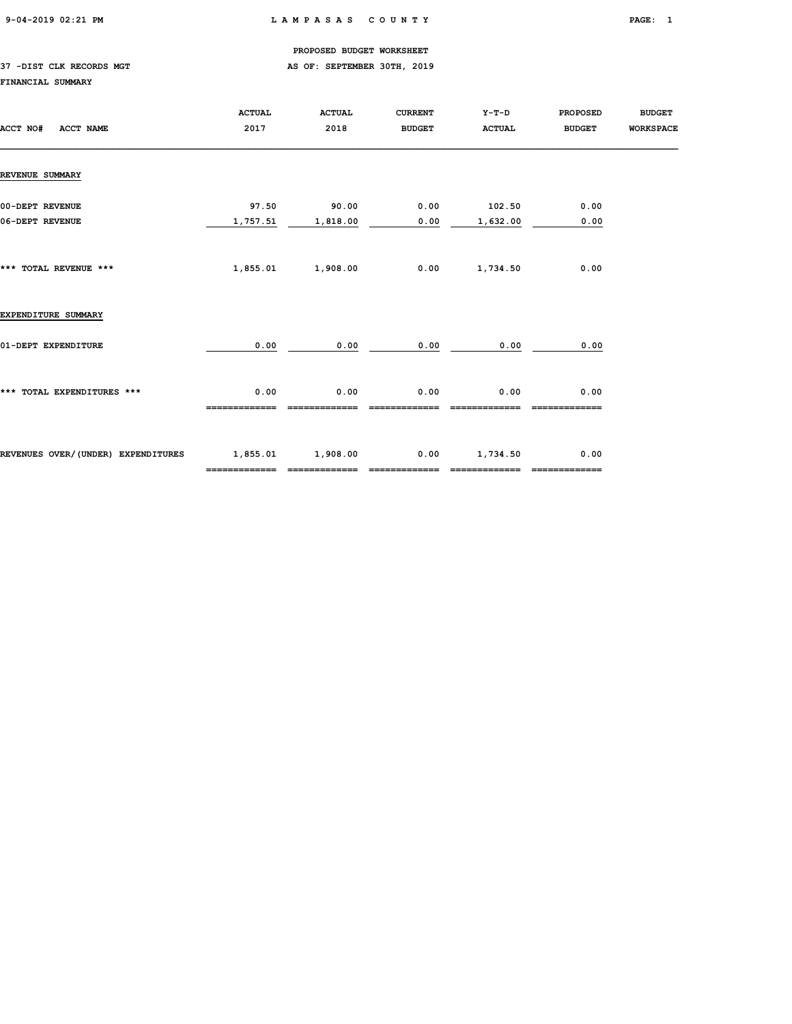#### 37 -DIST CLK RECORDS MGT **AS OF: SEPTEMBER 30TH, 2019**

#### FINANCIAL SUMMARY

| ACCT NO#<br>ACCT NAME              | <b>ACTUAL</b><br>2017              | <b>ACTUAL</b><br>2018 | <b>CURRENT</b><br><b>BUDGET</b> | Y-T-D<br><b>ACTUAL</b>    | <b>PROPOSED</b><br><b>BUDGET</b> | <b>BUDGET</b><br><b>WORKSPACE</b> |
|------------------------------------|------------------------------------|-----------------------|---------------------------------|---------------------------|----------------------------------|-----------------------------------|
| <b>REVENUE SUMMARY</b>             |                                    |                       |                                 |                           |                                  |                                   |
| 00-DEPT REVENUE<br>06-DEPT REVENUE | 97.50<br>1,757.51                  | 90.00<br>1,818.00     | 0.00<br>0.00                    | 102.50<br>1,632.00        | 0.00<br>0.00                     |                                   |
| *** TOTAL REVENUE ***              | 1,855.01                           | 1,908.00              | 0.00                            | 1,734.50                  | 0.00                             |                                   |
| EXPENDITURE SUMMARY                |                                    |                       |                                 |                           |                                  |                                   |
| 01-DEPT EXPENDITURE                | 0.00                               | 0.00                  | 0.00                            | 0.00                      | 0.00                             |                                   |
| *** TOTAL EXPENDITURES ***         | 0.00                               | 0.00                  | 0.00                            | 0.00                      | 0.00                             |                                   |
| REVENUES OVER/(UNDER) EXPENDITURES | 1,855.01 1,908.00<br>============= | =============         | 0.00<br>-------------           | 1,734.50<br>------------- | 0.00                             |                                   |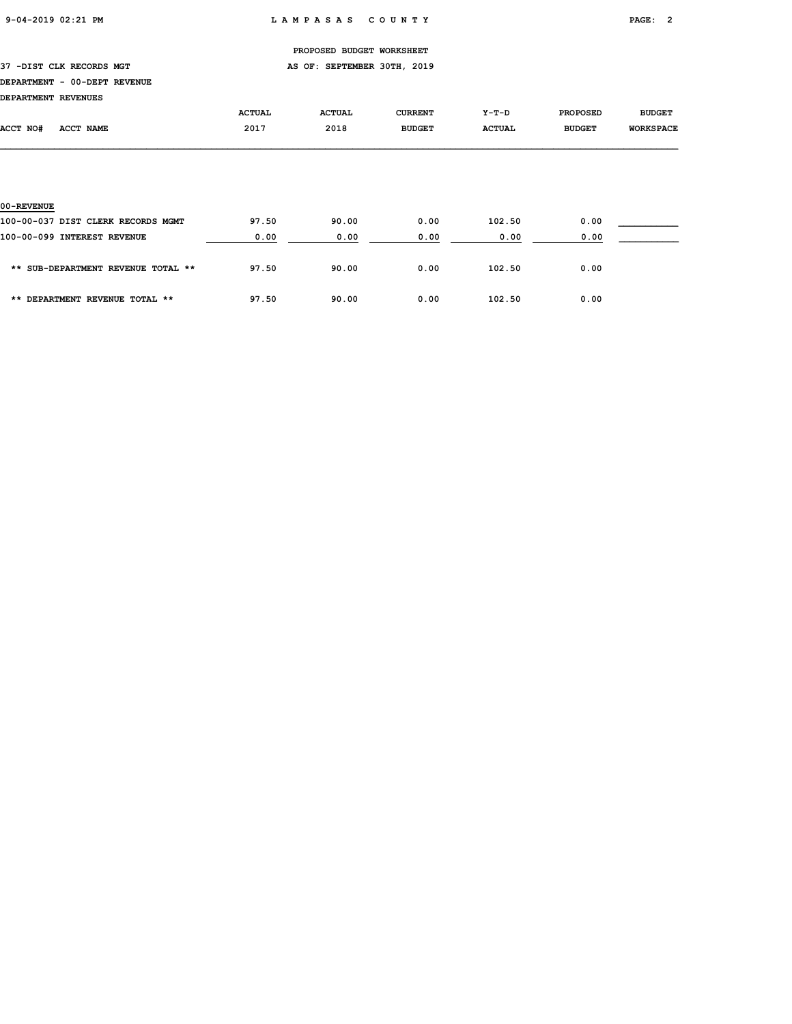# PROPOSED BUDGET WORKSHEET 37 -DIST CLK RECORDS MGT **AS OF: SEPTEMBER 30TH, 2019** DEPARTMENT - 00-DEPT REVENUE DEPARTMENT REVENUES ACTUAL ACTUAL CURRENT Y-T-D PROPOSED BUDGET ACCT NO# ACCT NAME 2017 2018 BUDGET ACTUAL BUDGET WORKSPACE 00-REVENUE 100-00-037 DIST CLERK RECORDS MGMT 97.50 90.00 0.00 102.50 0.00 \_\_\_\_\_\_\_\_\_\_\_

| 100-00-099 INTEREST REVENUE        | 0.00  | 0.00  | 0.00 | 0.00   | 0.00 |  |
|------------------------------------|-------|-------|------|--------|------|--|
| ** SUB-DEPARTMENT REVENUE TOTAL ** | 97.50 | 90.00 | 0.00 | 102.50 | 0.00 |  |
| ** DEPARTMENT REVENUE TOTAL **     | 97.50 | 90.00 | 0.00 | 102.50 | 0.00 |  |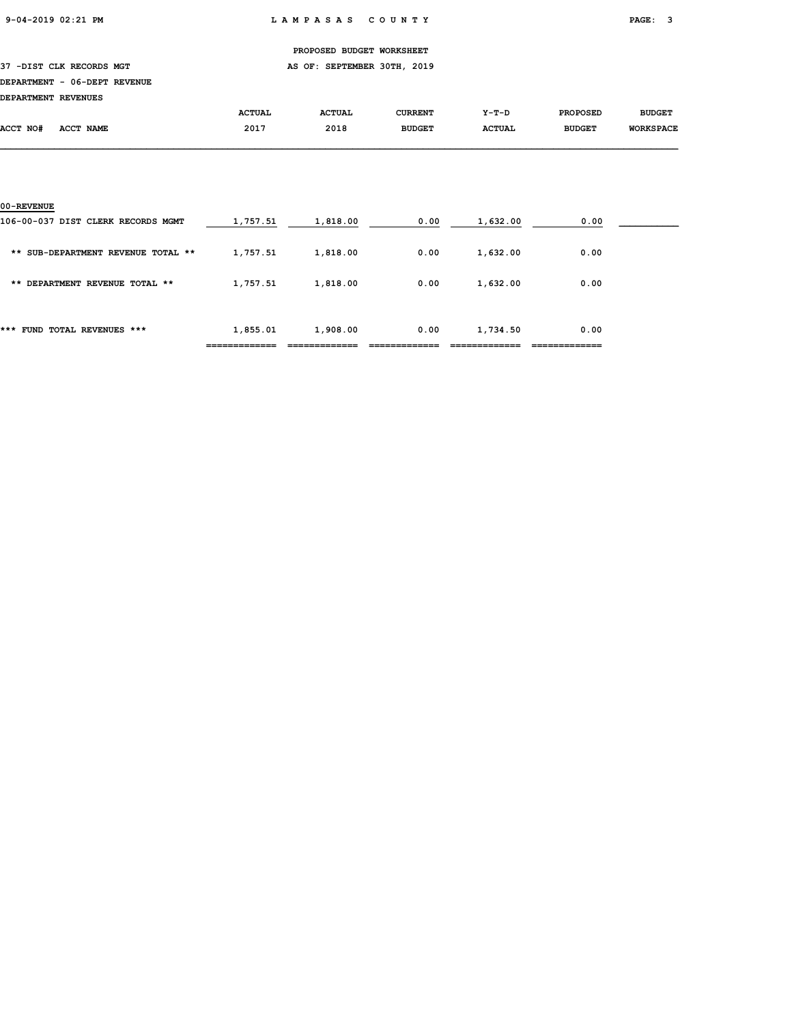37 -DIST CLK RECORDS MGT **AS OF: SEPTEMBER 30TH, 2019** 

#### DEPARTMENT - 06-DEPT REVENUE

DEPARTMENT REVENUES

| DEPARIMENT REVENUES |           |               |               |               |               |                 |                  |
|---------------------|-----------|---------------|---------------|---------------|---------------|-----------------|------------------|
|                     |           | <b>ACTUAL</b> | <b>ACTUAL</b> | CURRENT       | Y-T-D         | <b>PROPOSED</b> | <b>BUDGET</b>    |
| ACCT NO#            | ACCT NAME | 2017          | 2018<br>___   | <b>BUDGET</b> | <b>ACTUAL</b> | <b>BUDGET</b>   | <b>WORKSPACE</b> |
|                     |           |               |               |               |               |                 |                  |

| 00-REVENUE                         |          |          |      |          |      |  |
|------------------------------------|----------|----------|------|----------|------|--|
| 106-00-037 DIST CLERK RECORDS MGMT | 1,757.51 | 1,818.00 | 0.00 | 1,632.00 | 0.00 |  |
| ** SUB-DEPARTMENT REVENUE TOTAL ** | 1,757.51 | 1,818.00 | 0.00 | 1,632.00 | 0.00 |  |
| ** DEPARTMENT REVENUE TOTAL **     | 1,757.51 | 1,818.00 | 0.00 | 1,632.00 | 0.00 |  |
| FUND TOTAL REVENUES ***<br>***     | 1,855.01 | 1,908.00 | 0.00 | 1,734.50 | 0.00 |  |
|                                    |          |          |      |          |      |  |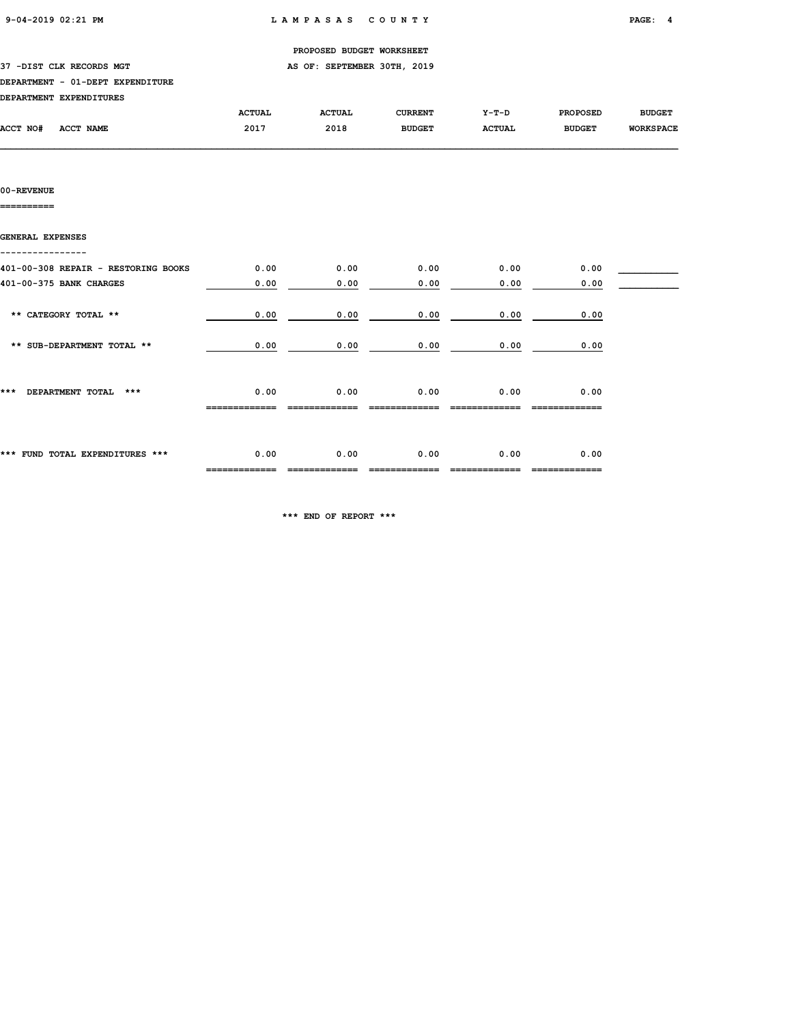|                                     |               | PROPOSED BUDGET WORKSHEET   |                |               |                 |                  |
|-------------------------------------|---------------|-----------------------------|----------------|---------------|-----------------|------------------|
| 37 -DIST CLK RECORDS MGT            |               | AS OF: SEPTEMBER 30TH, 2019 |                |               |                 |                  |
| DEPARTMENT - 01-DEPT EXPENDITURE    |               |                             |                |               |                 |                  |
| DEPARTMENT EXPENDITURES             |               |                             |                |               |                 |                  |
|                                     | <b>ACTUAL</b> | <b>ACTUAL</b>               | <b>CURRENT</b> | Y-T-D         | <b>PROPOSED</b> | <b>BUDGET</b>    |
| ACCT NO#<br><b>ACCT NAME</b>        | 2017          | 2018                        | <b>BUDGET</b>  | <b>ACTUAL</b> | <b>BUDGET</b>   | <b>WORKSPACE</b> |
|                                     |               |                             |                |               |                 |                  |
|                                     |               |                             |                |               |                 |                  |
|                                     |               |                             |                |               |                 |                  |
| 00-REVENUE                          |               |                             |                |               |                 |                  |
| ========                            |               |                             |                |               |                 |                  |
|                                     |               |                             |                |               |                 |                  |
| GENERAL EXPENSES                    |               |                             |                |               |                 |                  |
|                                     |               |                             |                |               |                 |                  |
| 401-00-308 REPAIR - RESTORING BOOKS | 0.00          | 0.00                        | 0.00           | 0.00          | 0.00            |                  |
| 401-00-375 BANK CHARGES             | 0.00          | 0.00                        | 0.00           | 0.00          | 0.00            |                  |
|                                     |               |                             |                |               |                 |                  |

| 0.00<br>0.00<br>0.00<br>0.00<br>0.00<br>** SUB-DEPARTMENT TOTAL **<br>***<br>0.00<br>0.00<br>0.00<br>0.00<br>0.00<br>DEPARTMENT TOTAL<br>***<br>---------- | *** FUND TOTAL EXPENDITURES *** | 0.00 | 0.00 | 0.00 | 0.00 | 0.00 |  |
|------------------------------------------------------------------------------------------------------------------------------------------------------------|---------------------------------|------|------|------|------|------|--|
|                                                                                                                                                            |                                 |      |      |      |      |      |  |
|                                                                                                                                                            |                                 |      |      |      |      |      |  |
|                                                                                                                                                            | ** CATEGORY TOTAL **            | 0.00 | 0.00 | 0.00 | 0.00 | 0.00 |  |

\*\*\* END OF REPORT \*\*\*

============= ============= ============= ============= =============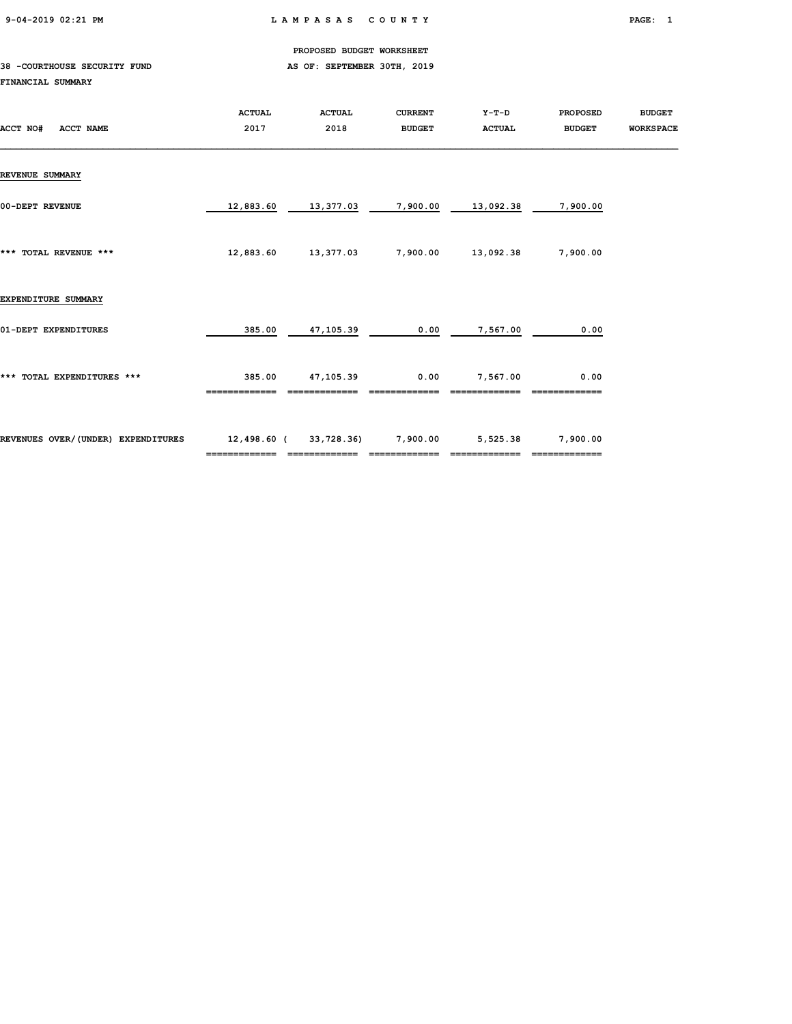9-04-2019 02:21 PM L A M P A S A S C O U N T Y PAGE: 1

PROPOSED BUDGET WORKSHEET

#### 38 -COURTHOUSE SECURITY FUND **AS OF: SEPTEMBER 30TH, 2019** FINANCIAL SUMMARY

| ACCT NO#<br><b>ACCT NAME</b>       | <b>ACTUAL</b><br>2017 | <b>ACTUAL</b><br>2018 | <b>CURRENT</b><br><b>BUDGET</b> | Y-T-D<br><b>ACTUAL</b> | <b>PROPOSED</b><br><b>BUDGET</b> | <b>BUDGET</b><br><b>WORKSPACE</b> |
|------------------------------------|-----------------------|-----------------------|---------------------------------|------------------------|----------------------------------|-----------------------------------|
| <b>REVENUE SUMMARY</b>             |                       |                       |                                 |                        |                                  |                                   |
| 00-DEPT REVENUE                    | 12,883.60             | 13,377.03             | 7,900.00                        | 13,092.38              | 7,900.00                         |                                   |
| *** TOTAL REVENUE ***              | 12,883.60             | 13,377.03             | 7,900.00                        | 13,092.38              | 7,900.00                         |                                   |
| EXPENDITURE SUMMARY                |                       |                       |                                 |                        |                                  |                                   |
| 01-DEPT EXPENDITURES               | 385.00                | 47,105.39             | 0.00                            | 7,567.00               | 0.00                             |                                   |
| *** TOTAL EXPENDITURES ***         | 385.00                | 47,105.39             | 0.00                            | 7,567.00               | 0.00                             |                                   |
| REVENUES OVER/(UNDER) EXPENDITURES | 12,498.60 (           | 33,728.36)            | 7,900.00                        | 5,525.38               | 7,900.00<br>=============        |                                   |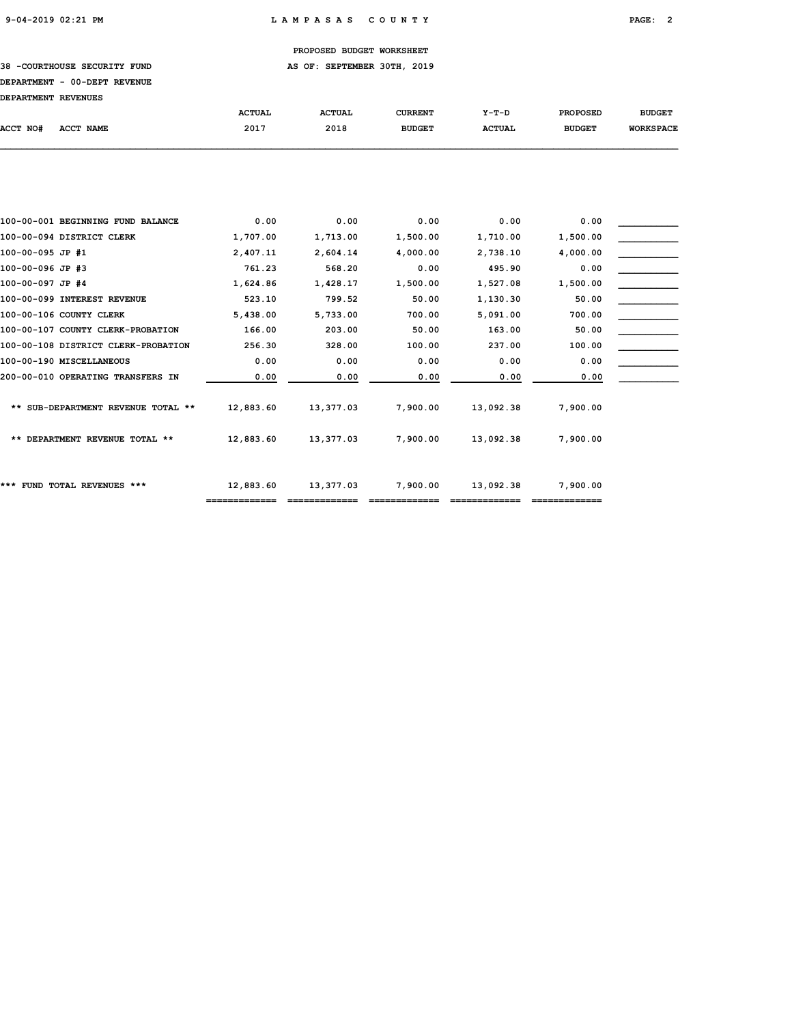38 -COURTHOUSE SECURITY FUND **AS OF: SEPTEMBER 30TH, 2019** 

## DEPARTMENT - 00-DEPT REVENUE

| DEPARTMENT REVENUES                 |               |               |                |               |                 |                  |
|-------------------------------------|---------------|---------------|----------------|---------------|-----------------|------------------|
|                                     | <b>ACTUAL</b> | <b>ACTUAL</b> | <b>CURRENT</b> | $Y-T-D$       | <b>PROPOSED</b> | <b>BUDGET</b>    |
| ACCT NO#<br><b>ACCT NAME</b>        | 2017          | 2018          | <b>BUDGET</b>  | <b>ACTUAL</b> | <b>BUDGET</b>   | <b>WORKSPACE</b> |
|                                     |               |               |                |               |                 |                  |
|                                     |               |               |                |               |                 |                  |
|                                     |               |               |                |               |                 |                  |
|                                     |               |               |                |               |                 |                  |
| 100-00-001 BEGINNING FUND BALANCE   | 0.00          | 0.00          | 0.00           | 0.00          | 0.00            |                  |
| 100-00-094 DISTRICT CLERK           | 1,707.00      | 1,713.00      | 1,500.00       | 1,710.00      | 1,500.00        |                  |
| 100-00-095 JP #1                    | 2,407.11      | 2,604.14      | 4,000.00       | 2,738.10      | 4,000.00        |                  |
| 100-00-096 JP #3                    | 761.23        | 568.20        | 0.00           | 495.90        | 0.00            |                  |
| 100-00-097 JP #4                    | 1,624.86      | 1,428.17      | 1,500.00       | 1,527.08      | 1,500.00        |                  |
| 100-00-099 INTEREST REVENUE         | 523.10        | 799.52        | 50.00          | 1,130.30      | 50.00           |                  |
| 100-00-106 COUNTY CLERK             | 5,438.00      | 5,733.00      | 700.00         | 5,091.00      | 700.00          |                  |
| 100-00-107 COUNTY CLERK-PROBATION   | 166.00        | 203.00        | 50.00          | 163.00        | 50.00           |                  |
| 100-00-108 DISTRICT CLERK-PROBATION | 256.30        | 328.00        | 100.00         | 237.00        | 100.00          |                  |
| 100-00-190 MISCELLANEOUS            | 0.00          | 0.00          | 0.00           | 0.00          | 0.00            |                  |
| 200-00-010 OPERATING TRANSFERS IN   | 0.00          | 0.00          | 0.00           | 0.00          | 0.00            |                  |
|                                     |               |               |                |               |                 |                  |
| ** SUB-DEPARTMENT REVENUE TOTAL **  | 12,883.60     | 13,377.03     | 7,900.00       | 13,092.38     | 7,900.00        |                  |
|                                     |               |               |                |               |                 |                  |
| ** DEPARTMENT REVENUE TOTAL **      | 12,883.60     | 13,377.03     | 7,900.00       | 13,092.38     | 7,900.00        |                  |
|                                     |               |               |                |               |                 |                  |
|                                     |               |               |                |               |                 |                  |
| *** FUND TOTAL REVENUES ***         | 12,883.60     | 13,377.03     | 7,900.00       | 13,092.38     | 7,900.00        |                  |

============= ============= ============= ============= =============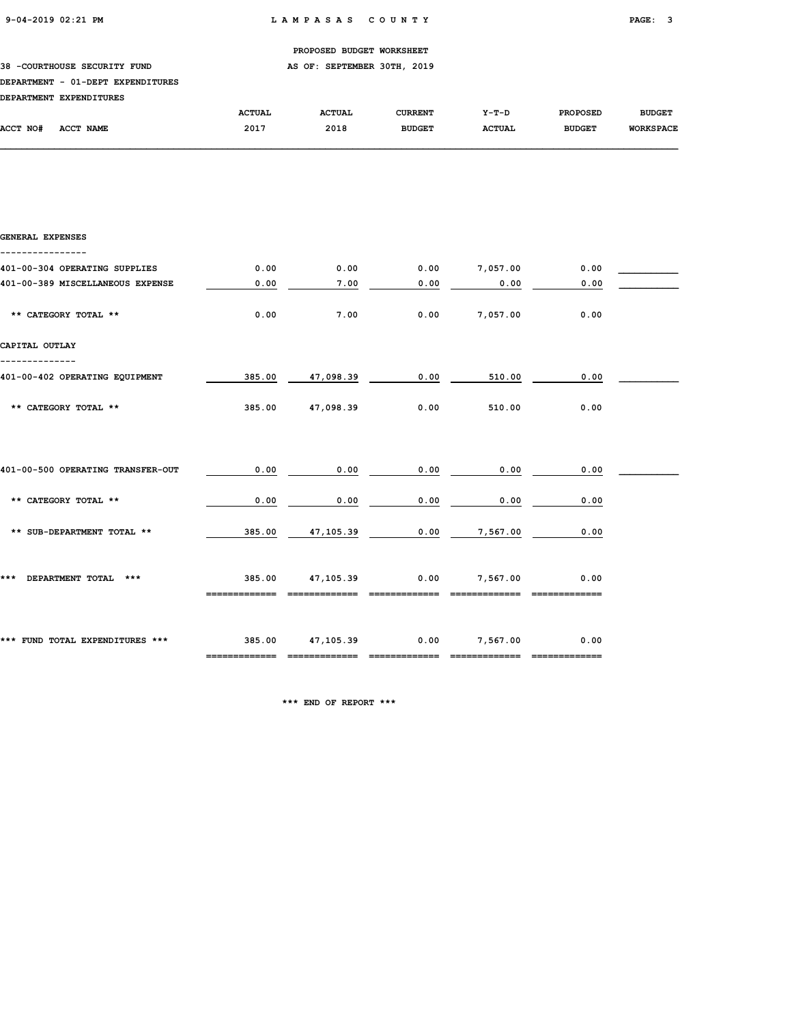### 38 -COURTHOUSE SECURITY FUND **AS OF: SEPTEMBER 30TH, 2019**

#### DEPARTMENT - 01-DEPT EXPENDITURES

| <b>DEPARTMENT</b> | <b>EXPENDITURES</b> |               |               |               |               |                 |                  |
|-------------------|---------------------|---------------|---------------|---------------|---------------|-----------------|------------------|
|                   |                     | <b>ACTUAL</b> | <b>ACTUAL</b> | CURRENT       | $Y-T-D$       | <b>PROPOSED</b> | <b>BUDGET</b>    |
| <b>ACCT NO#</b>   | <b>ACCT NAME</b>    | 2017          | 2018          | <b>BUDGET</b> | <b>ACTUAL</b> | <b>BUDGET</b>   | <b>WORKSPACE</b> |

| <b>GENERAL EXPENSES</b>           |                         |                            |                       |               |      |  |
|-----------------------------------|-------------------------|----------------------------|-----------------------|---------------|------|--|
| 401-00-304 OPERATING SUPPLIES     | 0.00                    | 0.00                       | 0.00                  | 7,057.00      | 0.00 |  |
| 401-00-389 MISCELLANEOUS EXPENSE  | 0.00                    | 7.00                       | 0.00                  | 0.00          | 0.00 |  |
| ** CATEGORY TOTAL **              | 0.00                    | 7.00                       | 0.00                  | 7,057.00      | 0.00 |  |
| CAPITAL OUTLAY                    |                         |                            |                       |               |      |  |
| 401-00-402 OPERATING EQUIPMENT    | 385.00                  | 47,098.39                  | 0.00                  | 510.00        | 0.00 |  |
| ** CATEGORY TOTAL **              | 385.00                  | 47,098.39                  | 0.00                  | 510.00        | 0.00 |  |
|                                   |                         |                            |                       |               |      |  |
| 401-00-500 OPERATING TRANSFER-OUT | 0.00                    | 0.00                       | 0.00                  | 0.00          | 0.00 |  |
| ** CATEGORY TOTAL **              | 0.00                    | 0.00                       | 0.00                  | 0.00          | 0.00 |  |
| ** SUB-DEPARTMENT TOTAL **        | 385.00                  | 47,105.39                  | 0.00                  | 7,567.00      | 0.00 |  |
| *** DEPARTMENT TOTAL ***          | 385.00<br>============= | 47,105.39<br>============= | 0.00<br>============= | 7,567.00      | 0.00 |  |
| *** FUND TOTAL EXPENDITURES ***   | 385.00 47,105.39        | --------------             | --------------        | 0.00 7,567.00 | 0.00 |  |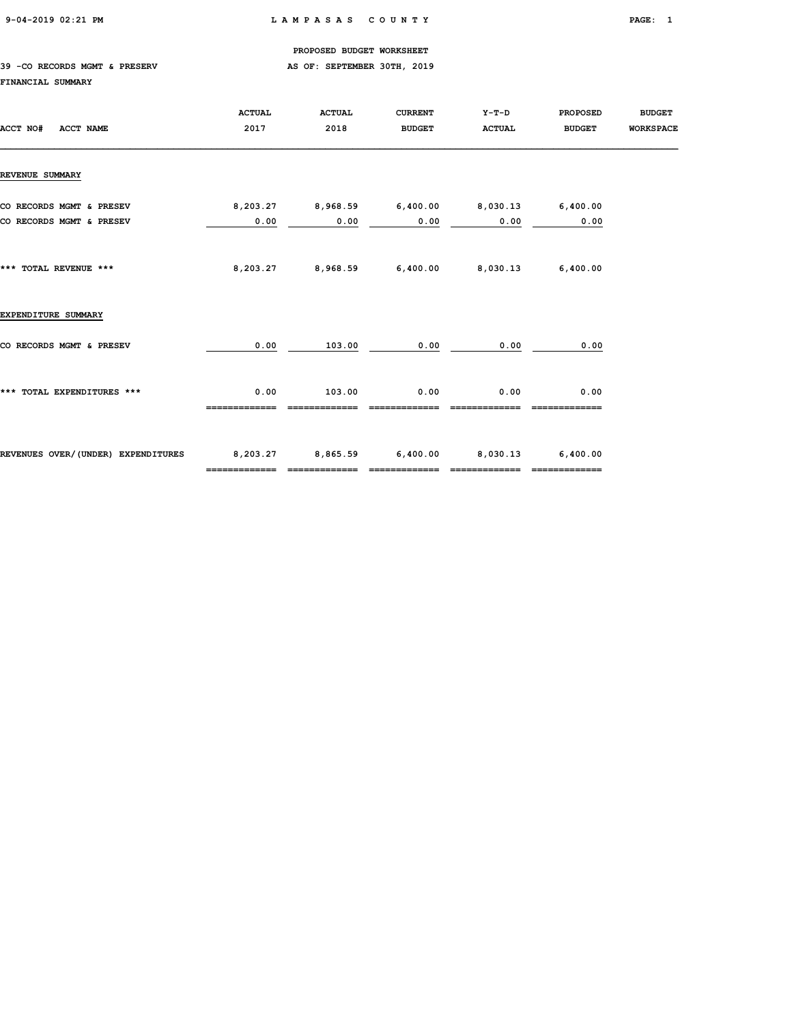#### 39 -CO RECORDS MGMT & PRESERV AS OF: SEPTEMBER 30TH, 2019

#### FINANCIAL SUMMARY

| ACCT NO#<br><b>ACCT NAME</b>                         | <b>ACTUAL</b><br>2017                                         | <b>ACTUAL</b><br>2018 | <b>CURRENT</b><br><b>BUDGET</b> | Y-T-D<br><b>ACTUAL</b>                       | <b>PROPOSED</b><br><b>BUDGET</b> | <b>BUDGET</b><br><b>WORKSPACE</b> |
|------------------------------------------------------|---------------------------------------------------------------|-----------------------|---------------------------------|----------------------------------------------|----------------------------------|-----------------------------------|
| <b>REVENUE SUMMARY</b>                               |                                                               |                       |                                 |                                              |                                  |                                   |
| CO RECORDS MGMT & PRESEV<br>CO RECORDS MGMT & PRESEV | 8,203.27<br>0.00                                              | 0.00                  | 0.00                            | 0.00                                         | 0.00                             |                                   |
| *** TOTAL REVENUE ***                                |                                                               |                       |                                 | 8,203.27 8,968.59 6,400.00 8,030.13 6,400.00 |                                  |                                   |
| EXPENDITURE SUMMARY                                  |                                                               |                       |                                 |                                              |                                  |                                   |
| CO RECORDS MGMT & PRESEV                             | 0.00                                                          | 103.00                | 0.00                            | 0.00                                         | 0.00                             |                                   |
| *** TOTAL EXPENDITURES ***                           | 0.00                                                          | 103.00                | 0.00                            | 0.00                                         | 0.00                             |                                   |
| REVENUES OVER/(UNDER) EXPENDITURES                   | 8,203.27 8,865.59 6,400.00 8,030.13 6,400.00<br>============= |                       | =============                   | =============                                | -------------                    |                                   |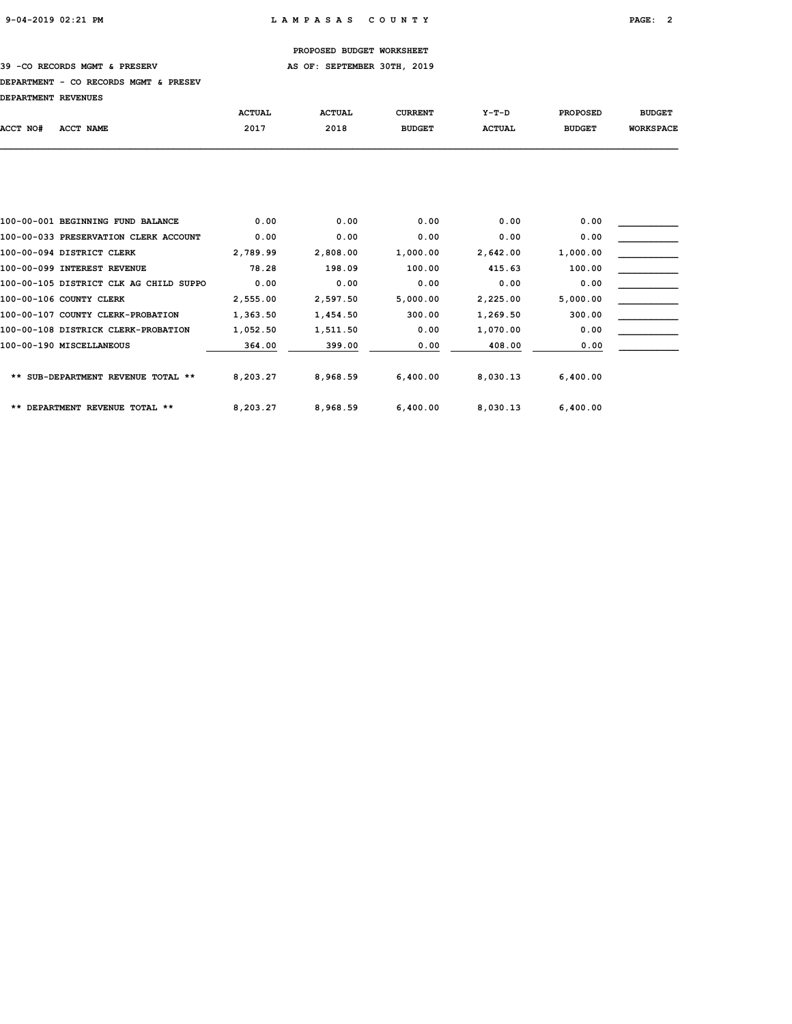39 -CO RECORDS MGMT & PRESERV AS OF: SEPTEMBER 30TH, 2019

#### DEPARTMENT - CO RECORDS MGMT & PRESEV

| DEPARTMENT REVENUES |  |
|---------------------|--|
|                     |  |

|          |                                        | <b>ACTUAL</b> | <b>ACTUAL</b> | <b>CURRENT</b> | $Y-T-D$       | <b>PROPOSED</b> | <b>BUDGET</b>    |
|----------|----------------------------------------|---------------|---------------|----------------|---------------|-----------------|------------------|
| ACCT NO# | <b>ACCT NAME</b>                       | 2017          | 2018          | <b>BUDGET</b>  | <b>ACTUAL</b> | <b>BUDGET</b>   | <b>WORKSPACE</b> |
|          |                                        |               |               |                |               |                 |                  |
|          |                                        |               |               |                |               |                 |                  |
|          |                                        |               |               |                |               |                 |                  |
|          | 100-00-001 BEGINNING FUND BALANCE      | 0.00          | 0.00          | 0.00           | 0.00          | 0.00            |                  |
|          | 100-00-033 PRESERVATION CLERK ACCOUNT  | 0.00          | 0.00          | 0.00           | 0.00          | 0.00            |                  |
|          | 100-00-094 DISTRICT CLERK              | 2,789.99      | 2,808.00      | 1,000.00       | 2,642.00      | 1,000.00        |                  |
|          | 100-00-099 INTEREST REVENUE            | 78.28         | 198.09        | 100.00         | 415.63        | 100.00          |                  |
|          | 100-00-105 DISTRICT CLK AG CHILD SUPPO | 0.00          | 0.00          | 0.00           | 0.00          | 0.00            |                  |
|          | 100-00-106 COUNTY CLERK                | 2,555.00      | 2,597.50      | 5,000.00       | 2,225.00      | 5,000.00        |                  |
|          | 100-00-107 COUNTY CLERK-PROBATION      | 1,363.50      | 1,454.50      | 300.00         | 1,269.50      | 300.00          |                  |
|          | 100-00-108 DISTRICK CLERK-PROBATION    | 1,052.50      | 1,511.50      | 0.00           | 1,070.00      | 0.00            |                  |
|          | 100-00-190 MISCELLANEOUS               | 364.00        | 399.00        | 0.00           | 408.00        | 0.00            |                  |
|          | ** SUB-DEPARTMENT REVENUE TOTAL **     | 8,203.27      | 8,968.59      | 6,400.00       | 8,030.13      | 6,400.00        |                  |
|          | ** DEPARTMENT REVENUE TOTAL **         | 8,203.27      | 8,968.59      | 6,400.00       | 8,030.13      | 6,400.00        |                  |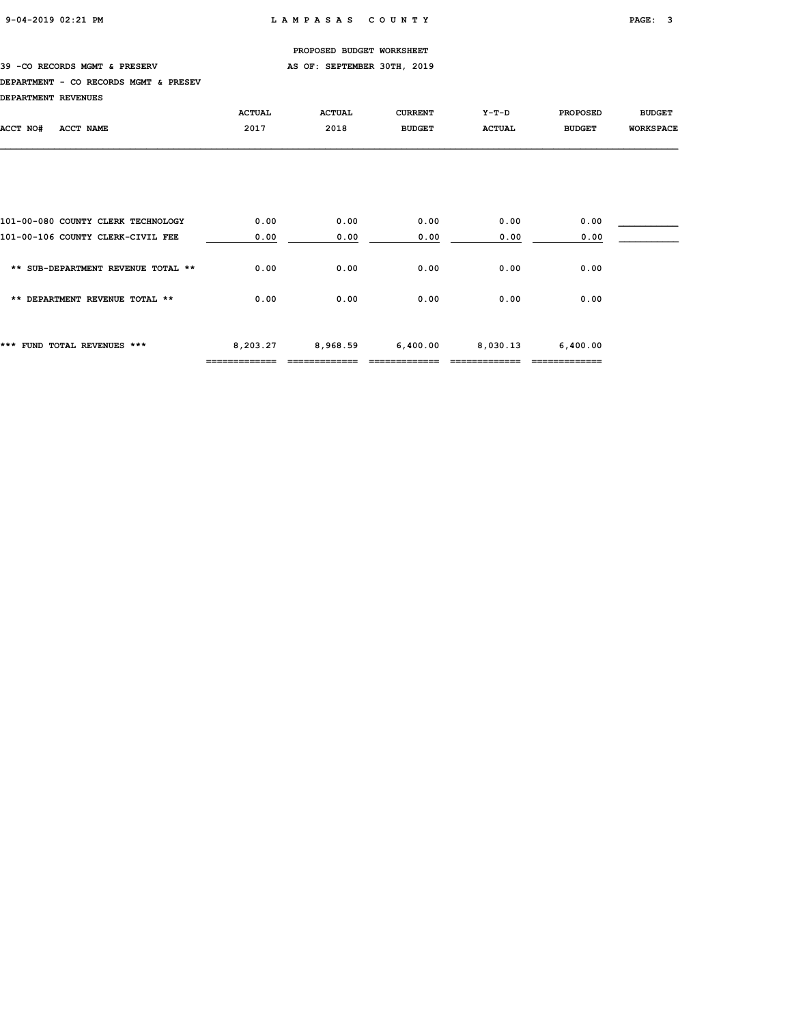39 -CO RECORDS MGMT & PRESERV AS OF: SEPTEMBER 30TH, 2019

#### DEPARTMENT - CO RECORDS MGMT & PRESEV

| <b>DEPARTMENT REVENUES</b> |  |
|----------------------------|--|
|                            |  |

| DEFARIMENI REVENUES                |               |               |                |               |                 |                  |
|------------------------------------|---------------|---------------|----------------|---------------|-----------------|------------------|
|                                    | <b>ACTUAL</b> | <b>ACTUAL</b> | <b>CURRENT</b> | $Y-T-D$       | <b>PROPOSED</b> | <b>BUDGET</b>    |
| ACCT NO#<br>ACCT NAME              | 2017          | 2018          | <b>BUDGET</b>  | <b>ACTUAL</b> | <b>BUDGET</b>   | <b>WORKSPACE</b> |
|                                    |               |               |                |               |                 |                  |
|                                    |               |               |                |               |                 |                  |
|                                    |               |               |                |               |                 |                  |
| 101-00-080 COUNTY CLERK TECHNOLOGY | 0.00          | 0.00          | 0.00           | 0.00          | 0.00            |                  |
| 101-00-106 COUNTY CLERK-CIVIL FEE  | 0.00          | 0.00          | 0.00           | 0.00          | 0.00            |                  |
| ** SUB-DEPARTMENT REVENUE TOTAL ** | 0.00          | 0.00          | 0.00           | 0.00          | 0.00            |                  |
| ** DEPARTMENT REVENUE TOTAL **     | 0.00          | 0.00          | 0.00           | 0.00          | 0.00            |                  |
| *** FUND TOTAL REVENUES ***        | 8,203.27      | 8,968.59      | 6,400.00       | 8,030.13      | 6,400.00        |                  |
|                                    | ============= |               |                |               |                 |                  |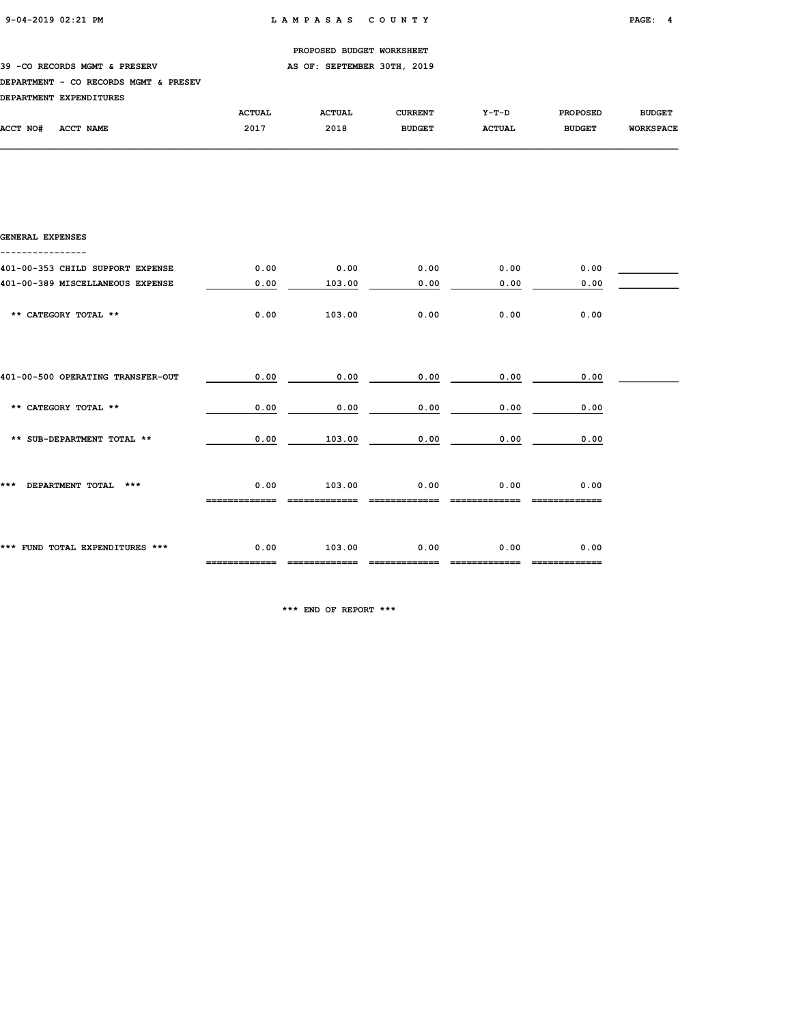39 -CO RECORDS MGMT & PRESERV AS OF: SEPTEMBER 30TH, 2019

#### DEPARTMENT - CO RECORDS MGMT & PRESEV

| <b>DEPARTMENT</b> | <b>EXPENDITURES</b> |               |               |               |               |                 |                  |
|-------------------|---------------------|---------------|---------------|---------------|---------------|-----------------|------------------|
|                   |                     | <b>ACTUAL</b> | <b>ACTUAL</b> | CURRENT       | $Y-T-D$       | <b>PROPOSED</b> | <b>BUDGET</b>    |
| <b>ACCT NO#</b>   | ACCT NAME           | 2017          | 2018          | <b>BUDGET</b> | <b>ACTUAL</b> | <b>BUDGET</b>   | <b>WORKSPACE</b> |

| <b>GENERAL EXPENSES</b>           |      |        |      |      |      |  |
|-----------------------------------|------|--------|------|------|------|--|
| 401-00-353 CHILD SUPPORT EXPENSE  | 0.00 | 0.00   | 0.00 | 0.00 | 0.00 |  |
| 401-00-389 MISCELLANEOUS EXPENSE  | 0.00 | 103.00 | 0.00 | 0.00 | 0.00 |  |
| ** CATEGORY TOTAL **              | 0.00 | 103.00 | 0.00 | 0.00 | 0.00 |  |
| 401-00-500 OPERATING TRANSFER-OUT | 0.00 | 0.00   | 0.00 | 0.00 | 0.00 |  |
|                                   |      |        |      |      |      |  |
| ** CATEGORY TOTAL **              | 0.00 | 0.00   | 0.00 | 0.00 | 0.00 |  |
| ** SUB-DEPARTMENT TOTAL **        | 0.00 | 103.00 | 0.00 | 0.00 | 0.00 |  |
| DEPARTMENT TOTAL<br>***<br>***    | 0.00 | 103.00 | 0.00 | 0.00 | 0.00 |  |
| *** FUND TOTAL EXPENDITURES ***   | 0.00 | 103.00 | 0.00 | 0.00 | 0.00 |  |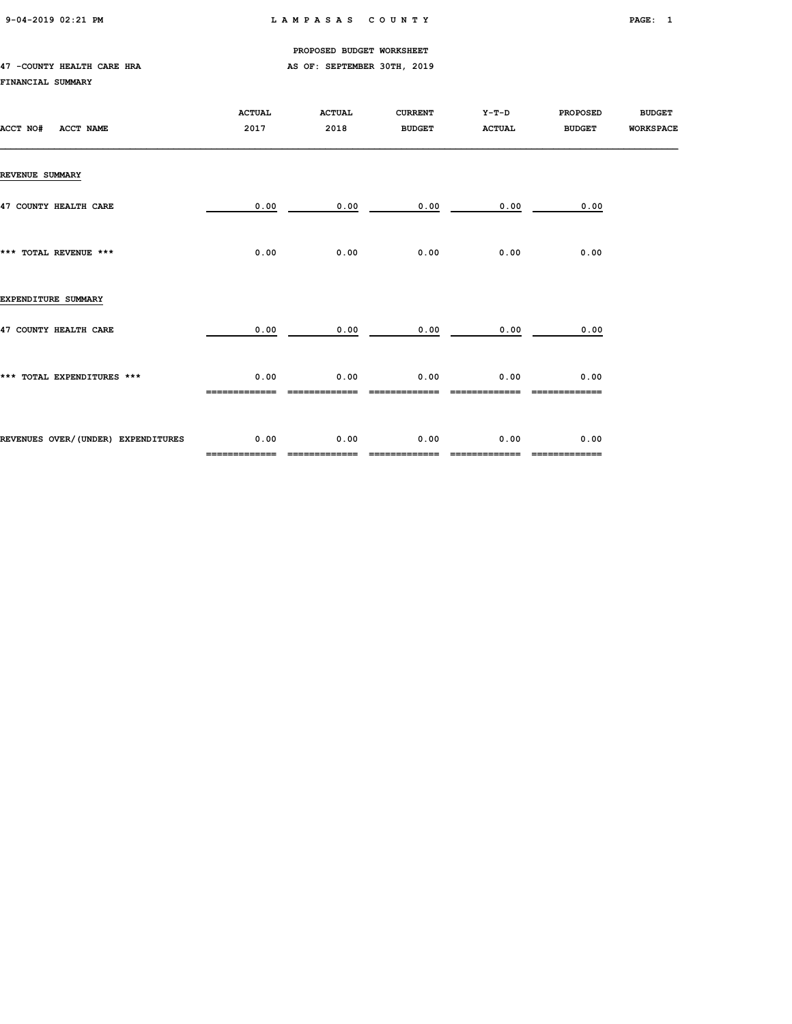9-04-2019 02:21 PM L A M P A S A S C O U N T Y PAGE: 1

PROPOSED BUDGET WORKSHEET

#### 47 -COUNTY HEALTH CARE HRA **AS OF: SEPTEMBER 30TH, 2019** FINANCIAL SUMMARY

| ACCT NO#<br><b>ACCT NAME</b>       | <b>ACTUAL</b><br>2017 | <b>ACTUAL</b><br>2018 | <b>CURRENT</b><br><b>BUDGET</b> | $Y-T-D$<br><b>ACTUAL</b> | <b>PROPOSED</b><br><b>BUDGET</b> | <b>BUDGET</b><br><b>WORKSPACE</b> |
|------------------------------------|-----------------------|-----------------------|---------------------------------|--------------------------|----------------------------------|-----------------------------------|
| <b>REVENUE SUMMARY</b>             |                       |                       |                                 |                          |                                  |                                   |
| 47 COUNTY HEALTH CARE              | 0.00                  | 0.00                  | 0.00                            | 0.00                     | 0.00                             |                                   |
| *** TOTAL REVENUE ***              | 0.00                  | 0.00                  | 0.00                            | 0.00                     | 0.00                             |                                   |
| EXPENDITURE SUMMARY                |                       |                       |                                 |                          |                                  |                                   |
| 47 COUNTY HEALTH CARE              | 0.00                  | 0.00                  | 0.00                            | 0.00                     | 0.00                             |                                   |
| *** TOTAL EXPENDITURES ***         | 0.00                  | 0.00                  | 0.00                            | 0.00                     | 0.00                             |                                   |
| REVENUES OVER/(UNDER) EXPENDITURES | 0.00<br>============= | 0.00<br>============= | 0.00<br>=============           | 0.00                     | 0.00<br>=============            |                                   |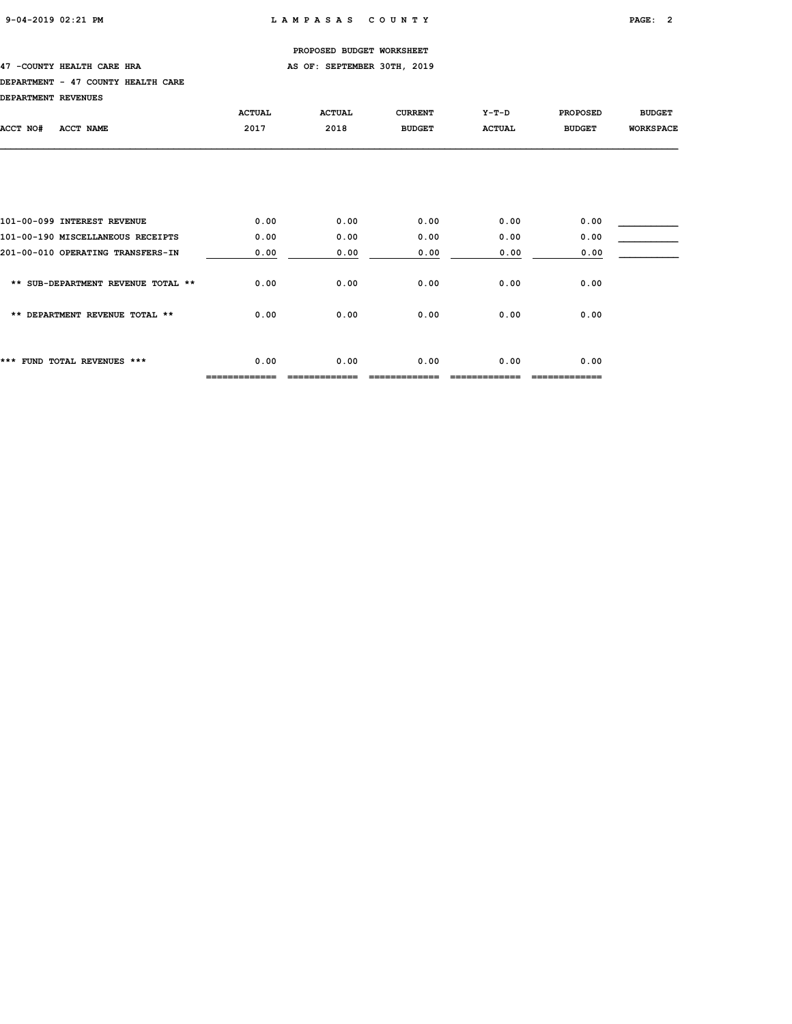#### 47 -COUNTY HEALTH CARE HRA **AS OF: SEPTEMBER 30TH, 2019**

#### DEPARTMENT - 47 COUNTY HEALTH CARE

DEPARTMENT REVENUES

| DEPARTMENT REVENUES                |                       |               |                |               |                      |                  |
|------------------------------------|-----------------------|---------------|----------------|---------------|----------------------|------------------|
|                                    | <b>ACTUAL</b>         | <b>ACTUAL</b> | <b>CURRENT</b> | $Y-T-D$       | <b>PROPOSED</b>      | <b>BUDGET</b>    |
| ACCT NAME<br>ACCT NO#              | 2017                  | 2018          | <b>BUDGET</b>  | <b>ACTUAL</b> | <b>BUDGET</b>        | <b>WORKSPACE</b> |
|                                    |                       |               |                |               |                      |                  |
|                                    |                       |               |                |               |                      |                  |
|                                    |                       |               |                |               |                      |                  |
| 101-00-099 INTEREST REVENUE        | 0.00                  | 0.00          | 0.00           | 0.00          | 0.00                 |                  |
| 101-00-190 MISCELLANEOUS RECEIPTS  | 0.00                  | 0.00          | 0.00           | 0.00          | 0.00                 |                  |
| 201-00-010 OPERATING TRANSFERS-IN  | 0.00                  | 0.00          | 0.00           | 0.00          | 0.00                 |                  |
| ** SUB-DEPARTMENT REVENUE TOTAL ** | 0.00                  | 0.00          | 0.00           | 0.00          | 0.00                 |                  |
| ** DEPARTMENT REVENUE TOTAL **     | 0.00                  | 0.00          | 0.00           | 0.00          | 0.00                 |                  |
|                                    |                       |               |                |               |                      |                  |
| *** FUND TOTAL REVENUES ***        | 0.00<br>------------- | 0.00          | 0.00           | 0.00          | 0.00<br>============ |                  |
|                                    |                       |               |                |               |                      |                  |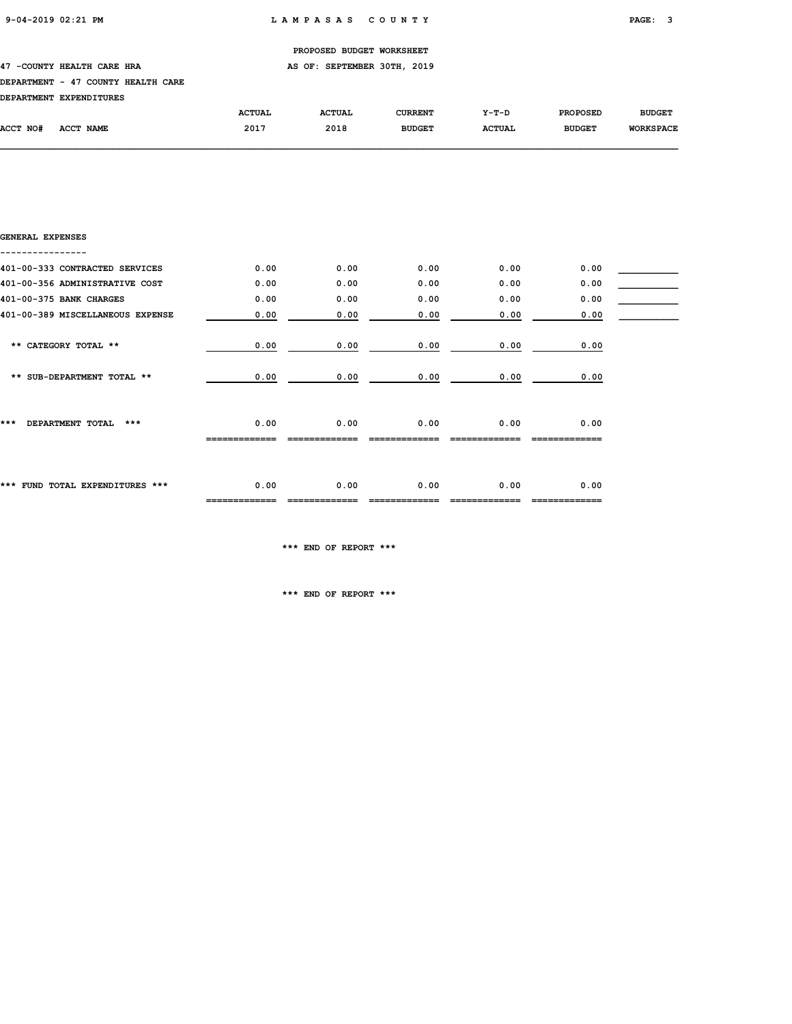#### 47 -COUNTY HEALTH CARE HRA **AS OF: SEPTEMBER 30TH, 2019**

#### DEPARTMENT - 47 COUNTY HEALTH CARE

| סססוחד הווסמטס הווסמה ממס |  |  |
|---------------------------|--|--|

|          | DEPARTMENT EXPENDITURES |               |               |                |               |                 |                  |
|----------|-------------------------|---------------|---------------|----------------|---------------|-----------------|------------------|
|          |                         | <b>ACTUAL</b> | <b>ACTUAL</b> | <b>CURRENT</b> | Y-T-D         | <b>PROPOSED</b> | <b>BUDGET</b>    |
| ACCT NO# | ACCT NAME               | 2017          | 2018          | <b>BUDGET</b>  | <b>ACTUAL</b> | <b>BUDGET</b>   | <b>WORKSPACE</b> |

| GENERAL EXPENSES                 |      |      |      |      |      |  |
|----------------------------------|------|------|------|------|------|--|
|                                  |      |      |      |      |      |  |
| 401-00-333 CONTRACTED SERVICES   | 0.00 | 0.00 | 0.00 | 0.00 | 0.00 |  |
| 401-00-356 ADMINISTRATIVE COST   | 0.00 | 0.00 | 0.00 | 0.00 | 0.00 |  |
| 401-00-375 BANK CHARGES          | 0.00 | 0.00 | 0.00 | 0.00 | 0.00 |  |
| 401-00-389 MISCELLANEOUS EXPENSE | 0.00 | 0.00 | 0.00 | 0.00 | 0.00 |  |
|                                  |      |      |      |      |      |  |
| ** CATEGORY TOTAL **             | 0.00 | 0.00 | 0.00 | 0.00 | 0.00 |  |
|                                  |      |      |      |      |      |  |
| ** SUB-DEPARTMENT TOTAL **       | 0.00 | 0.00 | 0.00 | 0.00 | 0.00 |  |
|                                  |      |      |      |      |      |  |
|                                  |      |      |      |      |      |  |
| ***<br>DEPARTMENT TOTAL<br>$***$ | 0.00 | 0.00 | 0.00 | 0.00 | 0.00 |  |
|                                  |      |      |      |      |      |  |
|                                  |      |      |      |      |      |  |
|                                  |      |      |      |      |      |  |
| *** FUND TOTAL EXPENDITURES ***  | 0.00 | 0.00 | 0.00 | 0.00 | 0.00 |  |
|                                  |      |      |      |      |      |  |

\*\*\* END OF REPORT \*\*\*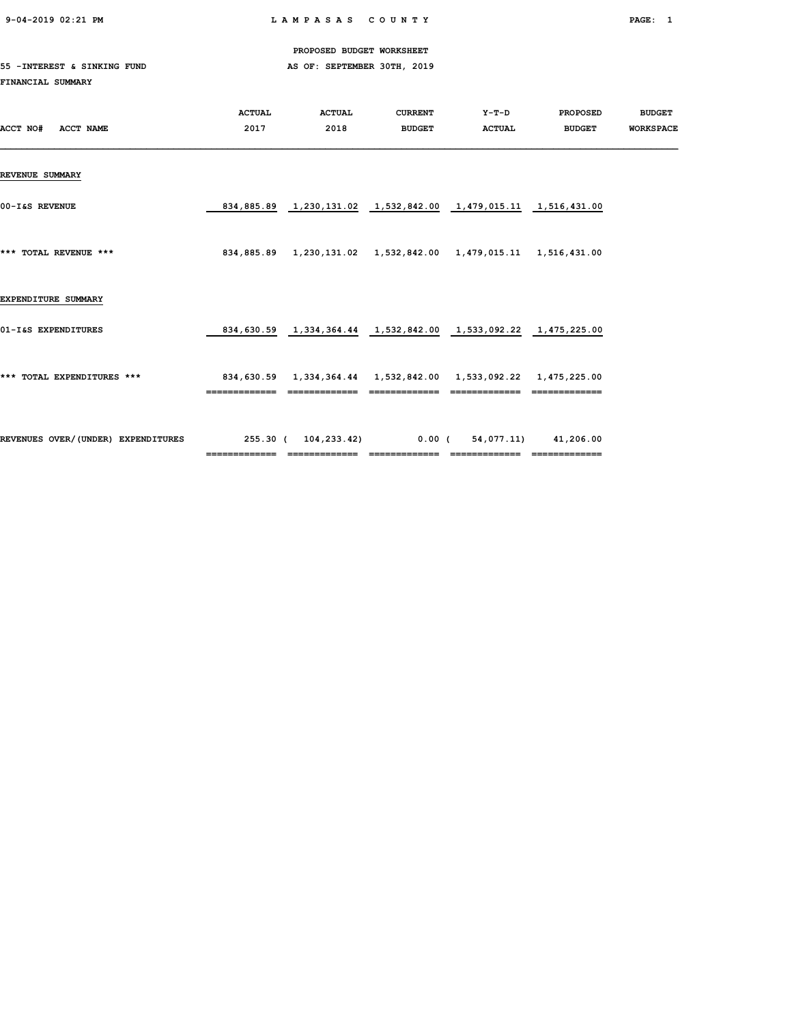9-04-2019 02:21 PM L A M P A S A S C O U N T Y PAGE: 1

PROPOSED BUDGET WORKSHEET

### 55 -INTEREST & SINKING FUND **AS OF: SEPTEMBER 30TH, 2019**

#### FINANCIAL SUMMARY

|                                    | <b>ACTUAL</b> | <b>ACTUAL</b> | <b>CURRENT</b> | $Y-T-D$                                                                    | <b>PROPOSED</b> | <b>BUDGET</b>    |
|------------------------------------|---------------|---------------|----------------|----------------------------------------------------------------------------|-----------------|------------------|
| ACCT NO#<br><b>ACCT NAME</b>       | 2017          | 2018          | <b>BUDGET</b>  | <b>ACTUAL</b>                                                              | <b>BUDGET</b>   | <b>WORKSPACE</b> |
|                                    |               |               |                |                                                                            |                 |                  |
|                                    |               |               |                |                                                                            |                 |                  |
| <b>REVENUE SUMMARY</b>             |               |               |                |                                                                            |                 |                  |
|                                    |               |               |                |                                                                            |                 |                  |
| 00-I&S REVENUE                     |               |               |                | 834,885.89  1,230,131.02  1,532,842.00  1,479,015.11  1,516,431.00         |                 |                  |
|                                    |               |               |                |                                                                            |                 |                  |
| *** TOTAL REVENUE ***              |               |               |                | 834,885.89  1,230,131.02  1,532,842.00  1,479,015.11  1,516,431.00         |                 |                  |
|                                    |               |               |                |                                                                            |                 |                  |
|                                    |               |               |                |                                                                            |                 |                  |
| EXPENDITURE SUMMARY                |               |               |                |                                                                            |                 |                  |
|                                    |               |               |                |                                                                            |                 |                  |
| 01-I&S EXPENDITURES                |               |               |                | 834,630.59   1,334,364.44   1,532,842.00   1,533,092.22   1,475,225.00     |                 |                  |
|                                    |               |               |                |                                                                            |                 |                  |
|                                    |               |               |                |                                                                            |                 |                  |
| *** TOTAL EXPENDITURES ***         |               |               |                | 834,630.59    1,334,364.44    1,532,842.00    1,533,092.22    1,475,225.00 |                 |                  |
|                                    |               |               |                |                                                                            |                 |                  |
|                                    |               |               |                |                                                                            |                 |                  |
| REVENUES OVER/(UNDER) EXPENDITURES |               |               |                | 255.30 ( 104,233.42) 0.00 ( 54,077.11) 41,206.00                           |                 |                  |
|                                    |               |               |                |                                                                            | =============   |                  |
|                                    |               |               |                |                                                                            |                 |                  |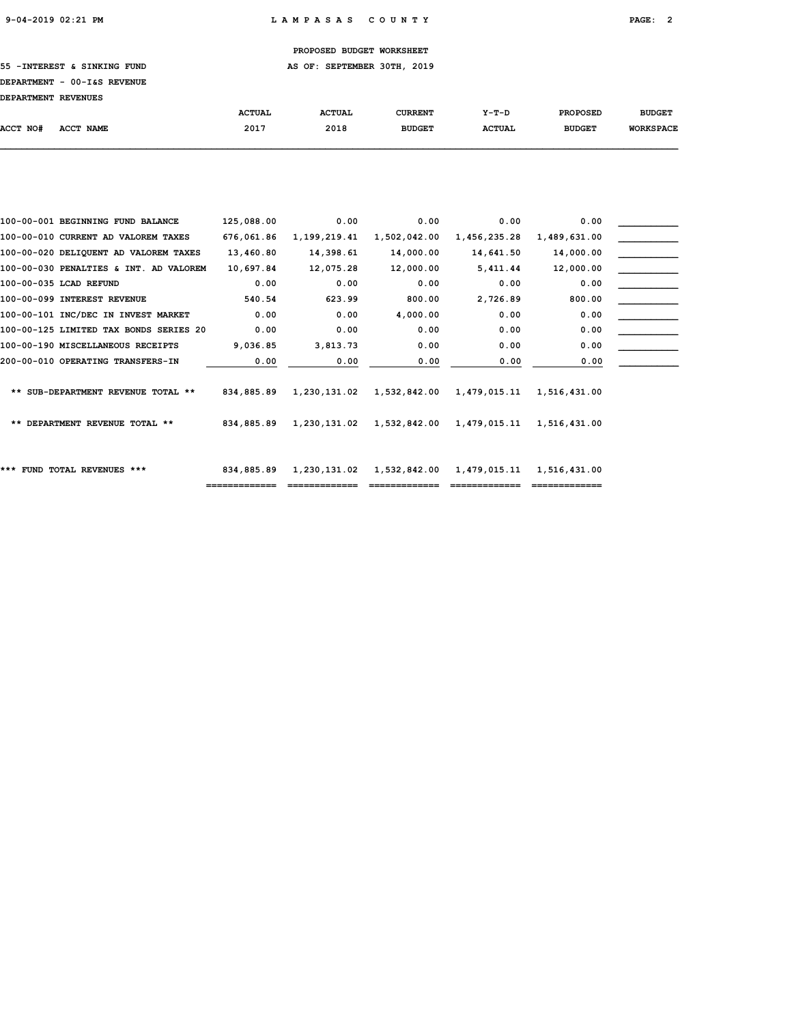55 -INTEREST & SINKING FUND **AS OF: SEPTEMBER 30TH, 2019** 

# DEPARTMENT - 00-I&S REVENUE

| DEPARTMENT REVENUES |           |               |               |               |               |                 |                  |
|---------------------|-----------|---------------|---------------|---------------|---------------|-----------------|------------------|
|                     |           | <b>ACTUAL</b> | <b>ACTUAL</b> | CURRENT       | $Y-T-D$       | <b>PROPOSED</b> | <b>BUDGET</b>    |
| <b>ACCT NO#</b>     | ACCT NAME | 2017          | 2018          | <b>BUDGET</b> | <b>ACTUAL</b> | <b>BUDGET</b>   | <b>WORKSPACE</b> |

| 100-00-001 BEGINNING FUND BALANCE      | 125,088.00 | 0.00         | 0.00                      | 0.00         | 0.00         |  |
|----------------------------------------|------------|--------------|---------------------------|--------------|--------------|--|
| 100-00-010 CURRENT AD VALOREM TAXES    | 676,061.86 | 1,199,219.41 | 1,502,042.00              | 1,456,235.28 | 1,489,631.00 |  |
| 100-00-020 DELIQUENT AD VALOREM TAXES  | 13,460.80  | 14,398.61    | 14,000.00                 | 14,641.50    | 14,000.00    |  |
| 100-00-030 PENALTIES & INT. AD VALOREM | 10,697.84  | 12,075.28    | 12,000.00                 | 5,411.44     | 12,000.00    |  |
| 100-00-035 LCAD REFUND                 | 0.00       | 0.00         | 0.00                      | 0.00         | 0.00         |  |
| 100-00-099 INTEREST REVENUE            | 540.54     | 623.99       | 800.00                    | 2,726.89     | 800.00       |  |
| 100-00-101 INC/DEC IN INVEST MARKET    | 0.00       | 0.00         | 4,000.00                  | 0.00         | 0.00         |  |
| 100-00-125 LIMITED TAX BONDS SERIES 20 | 0.00       | 0.00         | 0.00                      | 0.00         | 0.00         |  |
| 100-00-190 MISCELLANEOUS RECEIPTS      | 9,036.85   | 3,813.73     | 0.00                      | 0.00         | 0.00         |  |
| 200-00-010 OPERATING TRANSFERS-IN      | 0.00       | 0.00         | 0.00                      | 0.00         | 0.00         |  |
|                                        |            |              |                           |              |              |  |
| ** SUB-DEPARTMENT REVENUE TOTAL **     | 834,885.89 |              | 1,230,131.02 1,532,842.00 | 1,479,015.11 | 1,516,431.00 |  |
|                                        |            |              |                           |              |              |  |
| ** DEPARTMENT REVENUE TOTAL **         | 834,885.89 |              | 1,230,131.02 1,532,842.00 | 1,479,015.11 | 1,516,431.00 |  |
|                                        |            |              |                           |              |              |  |
|                                        |            |              |                           |              |              |  |
| *** FUND TOTAL REVENUES ***            | 834,885.89 | 1,230,131.02 | 1,532,842.00              | 1,479,015.11 | 1,516,431.00 |  |
|                                        |            |              |                           |              |              |  |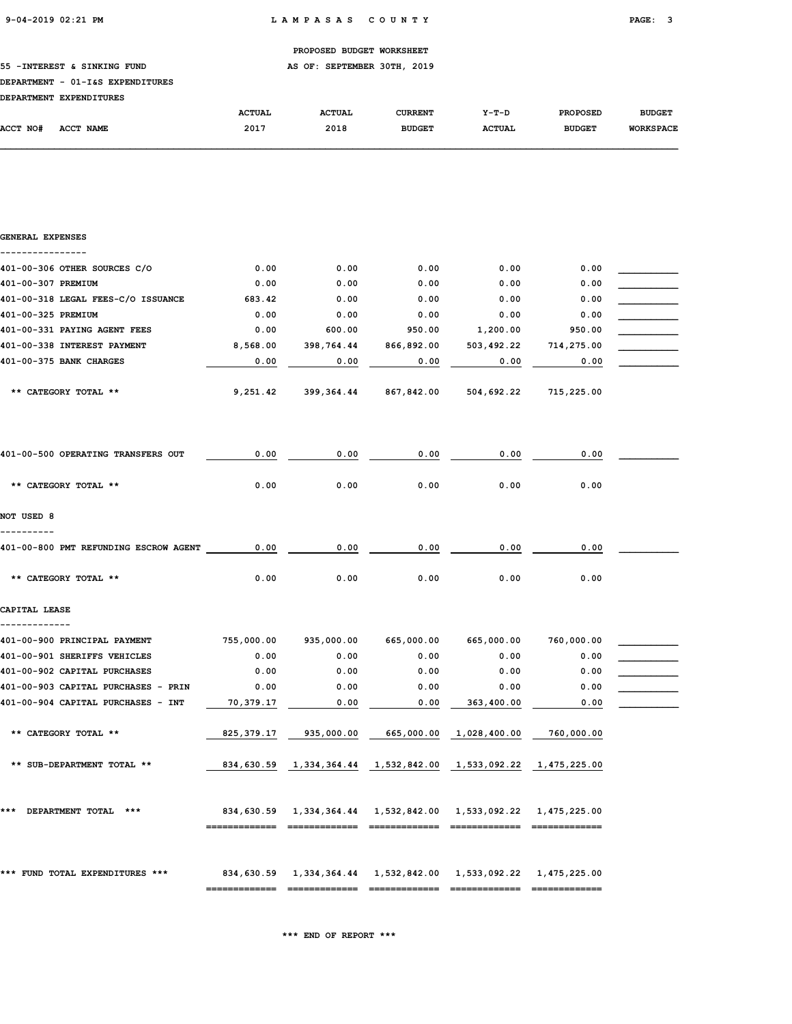#### 55 -INTEREST & SINKING FUND **AS OF: SEPTEMBER 30TH, 2019**

#### DEPARTMENT - 01-I&S EXPENDITURES

|          | DEPARTMENT EXPENDITURES |               |               |               |               |                 |                  |
|----------|-------------------------|---------------|---------------|---------------|---------------|-----------------|------------------|
|          |                         | <b>ACTUAL</b> | <b>ACTUAL</b> | CURRENT       | $Y-T-D$       | <b>PROPOSED</b> | <b>BUDGET</b>    |
| ACCT NO# | ACCT NAME               | 2017          | 2018          | <b>BUDGET</b> | <b>ACTUAL</b> | <b>BUDGET</b>   | <b>WORKSPACE</b> |

# GENERAL EXPENSES ---------------- 401-00-306 OTHER SOURCES C/O 0.00 0.00 0.00 0.00 0.00 0.00 0.00 401-00-307 PREMIUM 0.00 0.00 0.00 0.00 0.00 \_\_\_\_\_\_\_\_\_\_\_ 401-00-318 LEGAL FEES-C/O ISSUANCE 683.42 0.00 0.00 0.00 0.00 0.00 401-00-325 PREMIUM 0.00 0.00 0.00 0.00 0.00 \_\_\_\_\_\_\_\_\_\_\_ 401-00-331 PAYING AGENT FEES  $0.00$  600.00 950.00 1,200.00 950.00 401-00-338 INTEREST PAYMENT 8,568.00 398,764.44 866,892.00 503,492.22 714,275.00 \_\_\_\_\_\_\_\_\_\_\_ 401-00-375 BANK CHARGES 0.00 0.00 0.00 0.00 0.00 \_\_\_\_\_\_\_\_\_\_\_ \*\* CATEGORY TOTAL \*\* 9,251.42 399,364.44 867,842.00 504,692.22 715,225.00 401-00-500 OPERATING TRANSFERS OUT  $\qquad \qquad 0.00$   $\qquad \qquad 0.00$   $\qquad \qquad 0.00$   $\qquad \qquad 0.00$   $\qquad \qquad 0.00$  \*\* CATEGORY TOTAL \*\* 0.00 0.00 0.00 0.00 0.00 NOT USED 8 ---------- 401-00-800 PMT REFUNDING ESCROW AGENT 0.00 0.00 0.00 0.00 0.00 \_\_\_\_\_\_\_\_\_\_\_ \*\* CATEGORY TOTAL \*\* 0.00 0.00 0.00 0.00 0.00 CAPITAL LEASE ------------- 401-00-900 PRINCIPAL PAYMENT 755,000.00 935,000.00 665,000.00 665,000.00 760,000.00 \_\_\_\_\_\_\_\_\_\_\_ 401-00-901 SHERIFFS VEHICLES 0.00 0.00 0.00 0.00 0.00 \_\_\_\_\_\_\_\_\_\_\_  $401-00-902$  CAPITAL PURCHASES  $0.00$   $0.00$   $0.00$   $0.00$   $0.00$   $0.00$   $0.00$ 401-00-903 CAPITAL PURCHASES - PRIN 0.00 0.00 0.00 0.00 0.00 \_\_\_\_\_\_\_\_\_\_\_  $401-00-904$  CAPITAL PURCHASES - INT  $\qquad \qquad 70,379.17$   $\qquad \qquad 0.00$   $\qquad \qquad 0.00$   $\qquad \qquad 363,400.00$   $\qquad \qquad 0.00$   $\qquad \qquad$  \*\* CATEGORY TOTAL \*\* 825,379.17 935,000.00 665,000.00 1,028,400.00 760,000.00 \*\* SUB-DEPARTMENT TOTAL \*\* 1834,630.59 1,334,364.44 1,532,842.00 1,533,092.22 1,475,225.00 \*\*\* DEPARTMENT TOTAL \*\*\* 834,630.59 1,334,364.44 1,532,842.00 1,533,092.22 1,475,225.00 ============= ============= ============= ============= ============= \*\*\* FUND TOTAL EXPENDITURES \*\*\* 834,630.59 1,334,364.44 1,532,842.00 1,533,092.22 1,475,225.00

\*\*\* END OF REPORT \*\*\*

============= ============= ============= ============= =============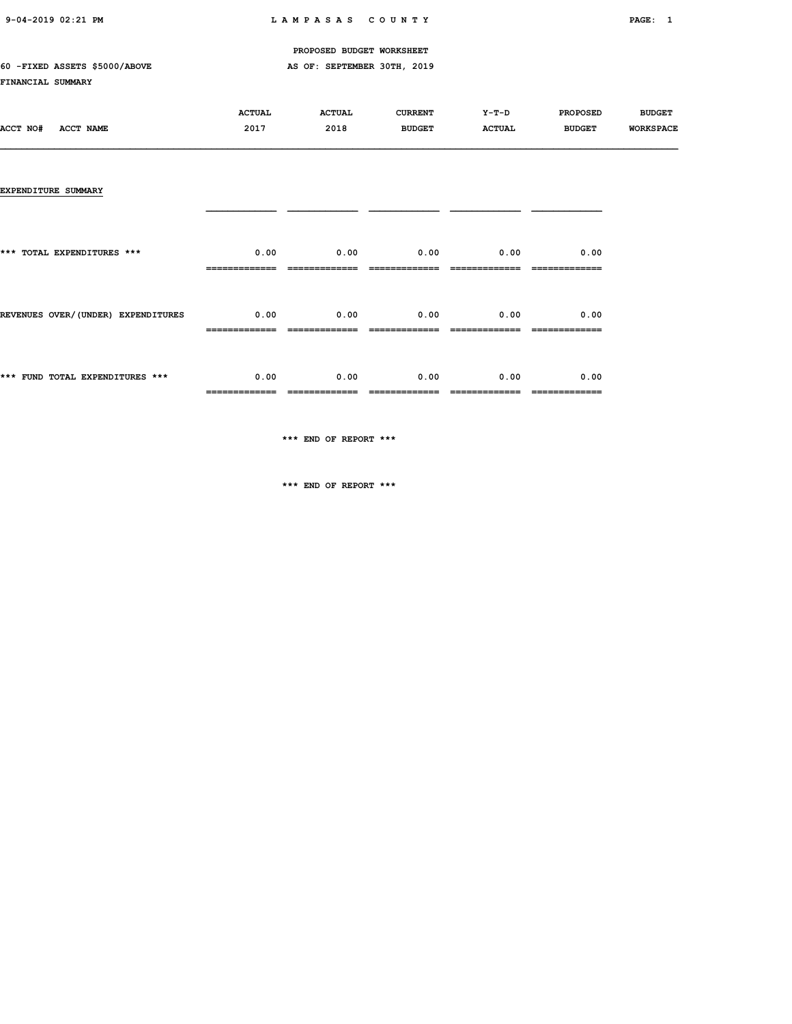#### 60 -FIXED ASSETS \$5000/ABOVE AS OF: SEPTEMBER 30TH, 2019

#### FINANCIAL SUMMARY

|          |           | <b>ACTUAL</b> | <b>ACTUAL</b> | <b>CURRENT</b> | Y-T-D         | <b>PROPOSED</b> | <b>BUDGET</b>    |
|----------|-----------|---------------|---------------|----------------|---------------|-----------------|------------------|
| ACCT NO# | ACCT NAME | 2017          | 2018          | <b>BUDGET</b>  | <b>ACTUAL</b> | <b>BUDGET</b>   | <b>WORKSPACE</b> |
|          |           |               |               |                |               |                 |                  |

#### EXPENDITURE SUMMARY

| *** FUND TOTAL EXPENDITURES ***    | 0.00                               | 0.00 | $0.00$ $0.00$               | 0.00 |
|------------------------------------|------------------------------------|------|-----------------------------|------|
| REVENUES OVER/(UNDER) EXPENDITURES | $0.00$ $0.00$ $0.00$ $0.00$ $0.00$ |      |                             | 0.00 |
| *** TOTAL EXPENDITURES ***         | 0.00                               |      | $0.00$ $0.00$ $0.00$ $0.00$ | 0.00 |
|                                    |                                    |      |                             |      |

\*\*\* END OF REPORT \*\*\*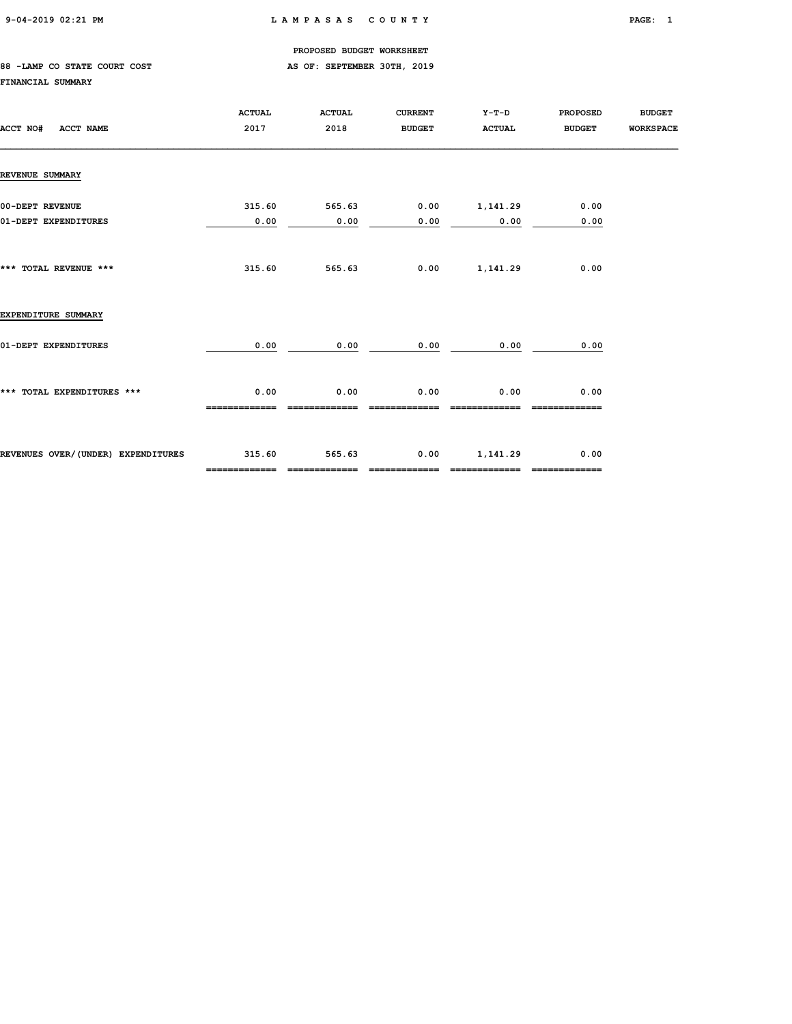#### 88 -LAMP CO STATE COURT COST **AS OF: SEPTEMBER 30TH, 2019**

#### FINANCIAL SUMMARY

| ACCT NO#<br>ACCT NAME                   | <b>ACTUAL</b><br>2017   | <b>ACTUAL</b><br>2018    | <b>CURRENT</b><br><b>BUDGET</b> | Y-T-D<br><b>ACTUAL</b>    | <b>PROPOSED</b><br><b>BUDGET</b> | <b>BUDGET</b><br><b>WORKSPACE</b> |
|-----------------------------------------|-------------------------|--------------------------|---------------------------------|---------------------------|----------------------------------|-----------------------------------|
| <b>REVENUE SUMMARY</b>                  |                         |                          |                                 |                           |                                  |                                   |
| 00-DEPT REVENUE<br>01-DEPT EXPENDITURES | 315.60<br>0.00          | 565.63<br>0.00           | 0.00                            | $0.00$ 1,141.29<br>0.00   | 0.00<br>0.00                     |                                   |
| *** TOTAL REVENUE ***                   | 315.60                  | 565.63                   | 0.00                            | 1,141.29                  | 0.00                             |                                   |
| EXPENDITURE SUMMARY                     |                         |                          |                                 |                           |                                  |                                   |
| 01-DEPT EXPENDITURES                    | 0.00                    | 0.00                     | 0.00                            | 0.00                      | 0.00                             |                                   |
| *** TOTAL EXPENDITURES ***              | 0.00                    | 0.00                     | 0.00                            | 0.00                      | 0.00                             |                                   |
| REVENUES OVER/(UNDER) EXPENDITURES      | 315.60<br>============= | 565.63<br>============== | 0.00<br>-------------           | 1,141.29<br>------------- | 0.00<br>-------------            |                                   |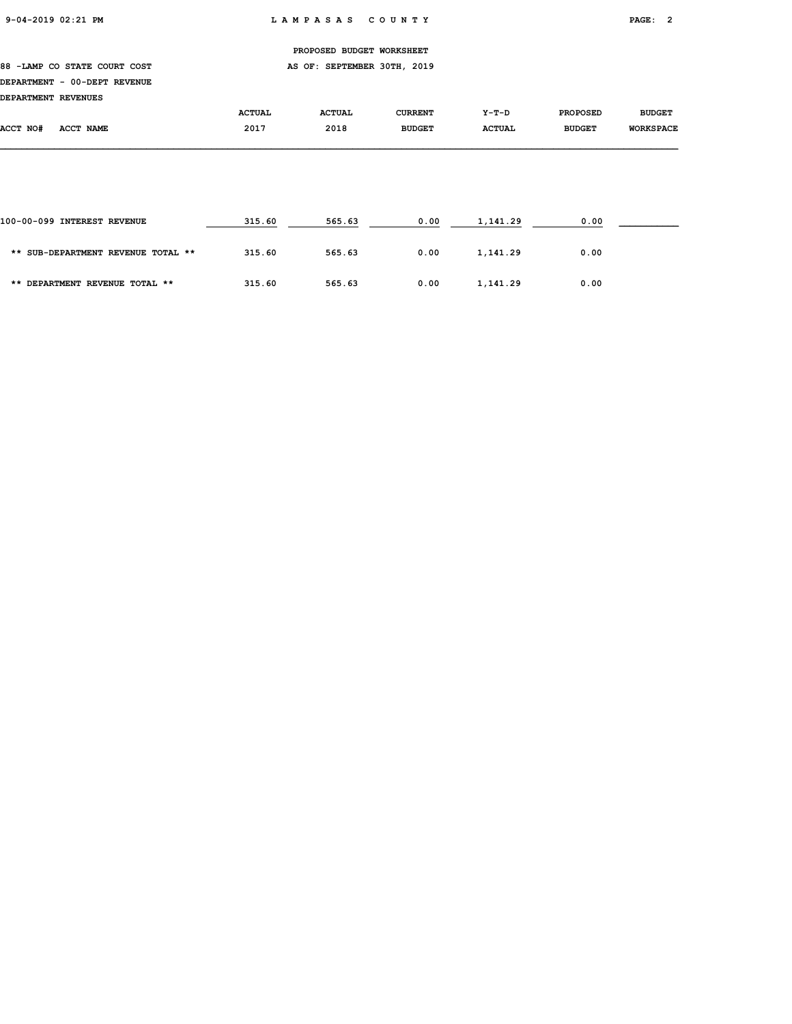88 -LAMP CO STATE COURT COST COME CONSTANTING AS OF: SEPTEMBER 30TH, 2019

### DEPARTMENT - 00-DEPT REVENUE

| <b>IDEPARTMENT REVENUES</b> |           |               |               |                |               |                 |                  |
|-----------------------------|-----------|---------------|---------------|----------------|---------------|-----------------|------------------|
|                             |           | <b>ACTUAL</b> | <b>ACTUAL</b> | <b>CURRENT</b> | $Y-T-D$       | <b>PROPOSED</b> | <b>BUDGET</b>    |
| ACCT NO#                    | ACCT NAME | 2017          | 2018          | <b>BUDGET</b>  | <b>ACTUAL</b> | <b>BUDGET</b>   | <b>WORKSPACE</b> |

| 100-00-099 INTEREST REVENUE        | 315.60 | 565.63 | 0.00 | 1,141.29 | 0.00 |  |
|------------------------------------|--------|--------|------|----------|------|--|
| ** SUB-DEPARTMENT REVENUE TOTAL ** | 315.60 | 565.63 | 0.00 | 1,141.29 | 0.00 |  |
| ** DEPARTMENT REVENUE TOTAL **     | 315.60 | 565.63 | 0.00 | 1,141.29 | 0.00 |  |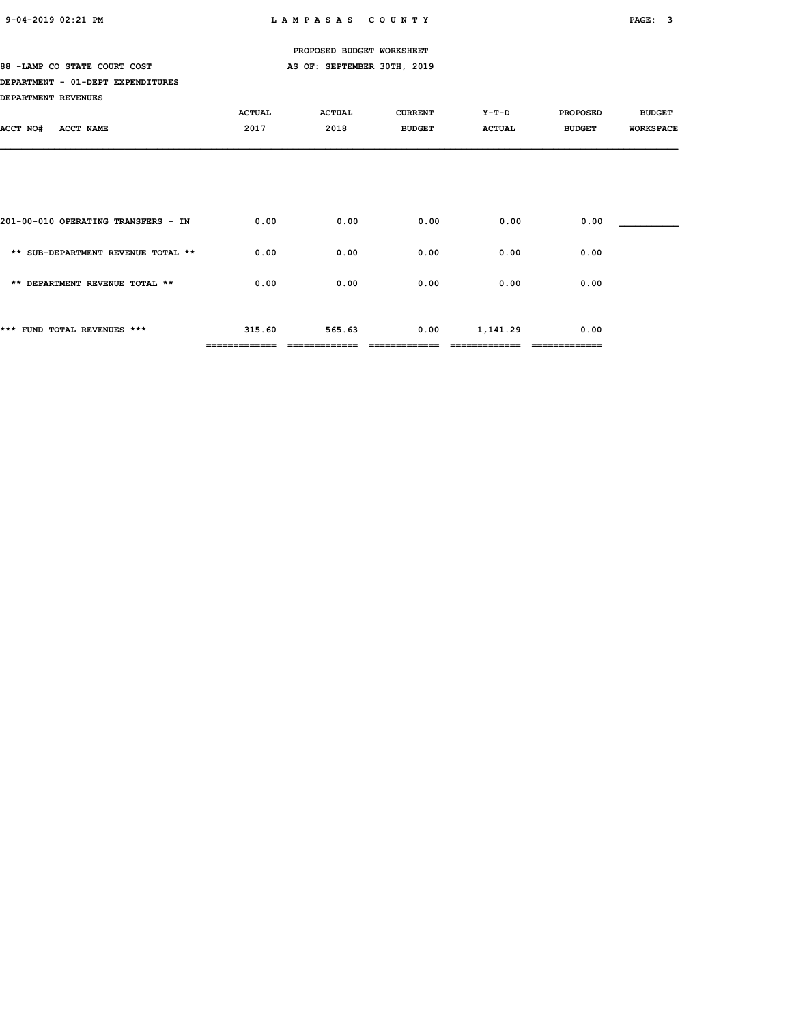#### 88 -LAMP CO STATE COURT COST COME CONSTANTING AS OF: SEPTEMBER 30TH, 2019

#### DEPARTMENT - 01-DEPT EXPENDITURES

#### DEPARTMENT REVENUES

| pserviveni nsvenoso |           |               |               |               |               |                 |                  |
|---------------------|-----------|---------------|---------------|---------------|---------------|-----------------|------------------|
|                     |           | <b>ACTUAL</b> | <b>ACTUAL</b> | CURRENT       | $Y-T-D$       | <b>PROPOSED</b> | <b>BUDGET</b>    |
| ACCT NO#            | ACCT NAME | 2017          | 2018          | <b>BUDGET</b> | <b>ACTUAL</b> | <b>BUDGET</b>   | <b>WORKSPACE</b> |
|                     |           |               |               |               |               |                 |                  |

| *** FUND TOTAL REVENUES ***         | 315.60 | 565.63 | 0.00 | 1,141.29 | 0.00 |  |
|-------------------------------------|--------|--------|------|----------|------|--|
| ** DEPARTMENT REVENUE TOTAL **      | 0.00   | 0.00   | 0.00 | 0.00     | 0.00 |  |
| ** SUB-DEPARTMENT REVENUE TOTAL **  | 0.00   | 0.00   | 0.00 | 0.00     | 0.00 |  |
| 201-00-010 OPERATING TRANSFERS - IN | 0.00   | 0.00   | 0.00 | 0.00     | 0.00 |  |